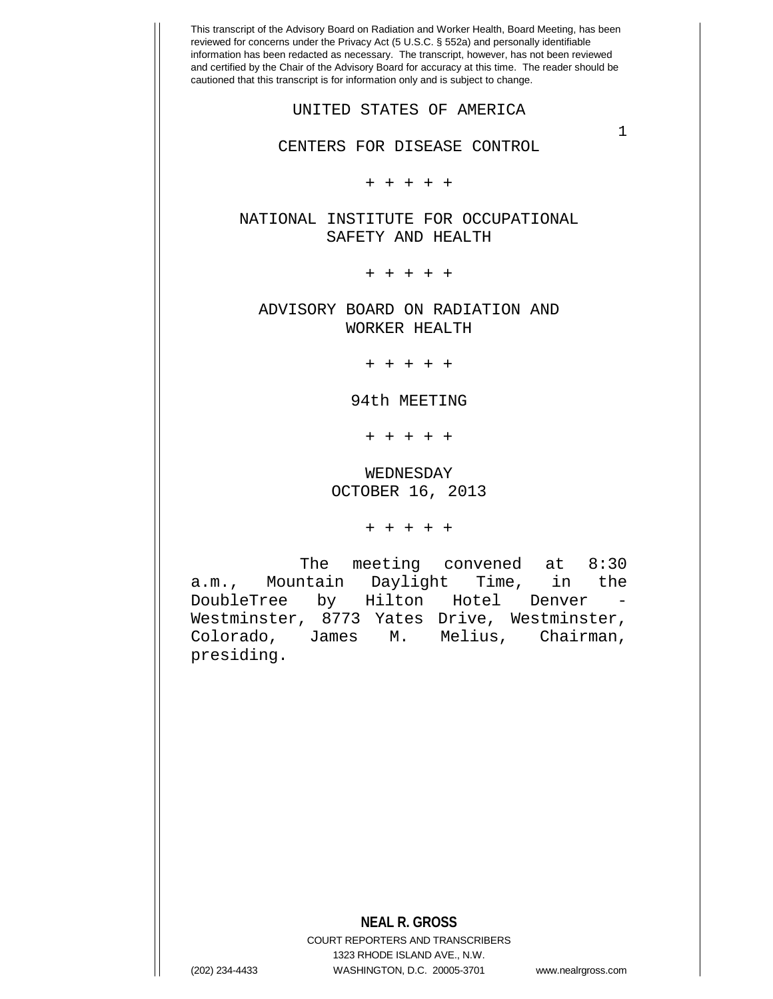This transcript of the Advisory Board on Radiation and Worker Health, Board Meeting, has been reviewed for concerns under the Privacy Act (5 U.S.C. § 552a) and personally identifiable information has been redacted as necessary. The transcript, however, has not been reviewed and certified by the Chair of the Advisory Board for accuracy at this time. The reader should be cautioned that this transcript is for information only and is subject to change. **NEAL R. GROSS** COURT REPORTERS AND TRANSCRIBERS 1323 RHODE ISLAND AVE., N.W. 1 UNITED STATES OF AMERICA CENTERS FOR DISEASE CONTROL + + + + + NATIONAL INSTITUTE FOR OCCUPATIONAL SAFETY AND HEALTH + + + + + ADVISORY BOARD ON RADIATION AND WORKER HEALTH + + + + + 94th MEETING + + + + + WEDNESDAY OCTOBER 16, 2013 + + + + + The meeting convened at 8:30 a.m., Mountain Daylight Time, in the DoubleTree by Hilton Hotel Denver - Westminster, 8773 Yates Drive, Westminster, Colorado, James M. Melius, Chairman, presiding.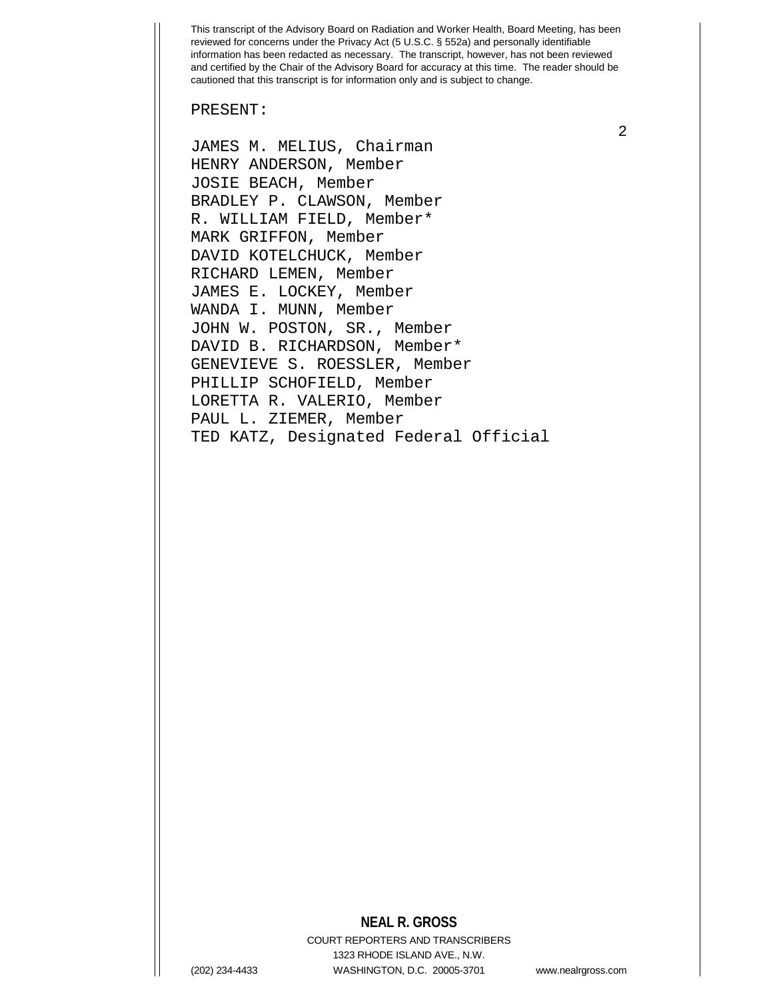PRESENT:

JAMES M. MELIUS, Chairman HENRY ANDERSON, Member JOSIE BEACH, Member BRADLEY P. CLAWSON, Member R. WILLIAM FIELD, Member\* MARK GRIFFON, Member DAVID KOTELCHUCK, Member RICHARD LEMEN, Member JAMES E. LOCKEY, Member WANDA I. MUNN, Member JOHN W. POSTON, SR., Member DAVID B. RICHARDSON, Member\* GENEVIEVE S. ROESSLER, Member PHILLIP SCHOFIELD, Member LORETTA R. VALERIO, Member PAUL L. ZIEMER, Member TED KATZ, Designated Federal Official

#### **NEAL R. GROSS**

COURT REPORTERS AND TRANSCRIBERS 1323 RHODE ISLAND AVE., N.W. (202) 234-4433 WASHINGTON, D.C. 20005-3701 www.nealrgross.com

2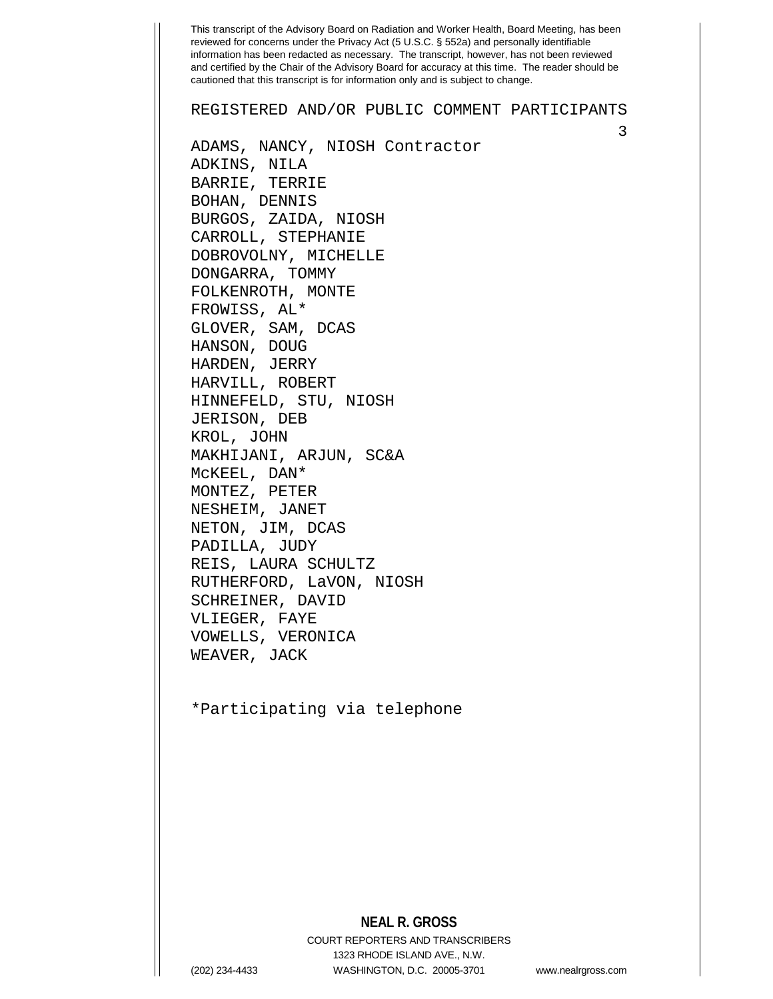This transcript of the Advisory Board on Radiation and Worker Health, Board Meeting, has been reviewed for concerns under the Privacy Act (5 U.S.C. § 552a) and personally identifiable information has been redacted as necessary. The transcript, however, has not been reviewed and certified by the Chair of the Advisory Board for accuracy at this time. The reader should be cautioned that this transcript is for information only and is subject to change. 3 REGISTERED AND/OR PUBLIC COMMENT PARTICIPANTS ADAMS, NANCY, NIOSH Contractor ADKINS, NILA BARRIE, TERRIE BOHAN, DENNIS BURGOS, ZAIDA, NIOSH CARROLL, STEPHANIE DOBROVOLNY, MICHELLE DONGARRA, TOMMY FOLKENROTH, MONTE FROWISS, AL\* GLOVER, SAM, DCAS HANSON, DOUG HARDEN, JERRY HARVILL, ROBERT HINNEFELD, STU, NIOSH JERISON, DEB KROL, JOHN MAKHIJANI, ARJUN, SC&A McKEEL, DAN\* MONTEZ, PETER NESHEIM, JANET NETON, JIM, DCAS PADILLA, JUDY REIS, LAURA SCHULTZ RUTHERFORD, LaVON, NIOSH SCHREINER, DAVID VLIEGER, FAYE VOWELLS, VERONICA WEAVER, JACK

\*Participating via telephone

## **NEAL R. GROSS**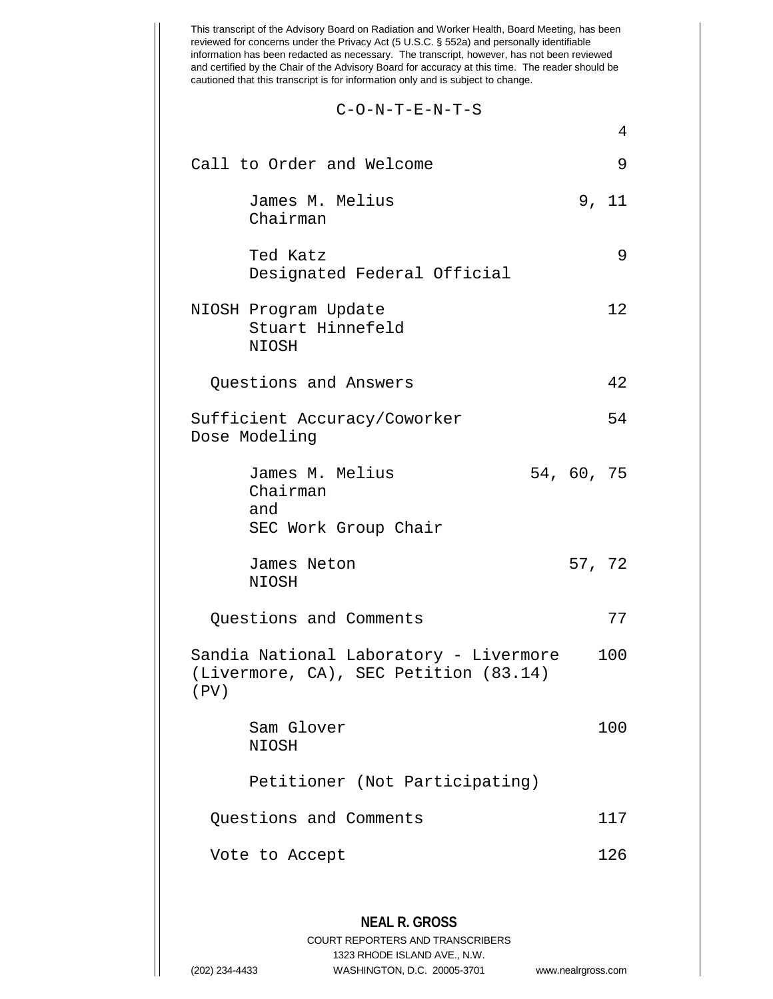$$
C-O-N-T-E-N-T-S
$$

| Call to Order and Welcome                                                                       |        | 9     |
|-------------------------------------------------------------------------------------------------|--------|-------|
| James M. Melius<br>Chairman                                                                     |        | 9, 11 |
| Ted Katz<br>Designated Federal Official                                                         |        | 9     |
| NIOSH Program Update<br>Stuart Hinnefeld<br>NIOSH                                               |        | 12    |
| Questions and Answers                                                                           |        | 42    |
| Sufficient Accuracy/Coworker<br>Dose Modeling                                                   |        | 54    |
| 54, 60, 75<br>James M. Melius<br>Chairman<br>and<br>SEC Work Group Chair                        |        |       |
| James Neton<br>NIOSH                                                                            | 57, 72 |       |
| Questions and Comments                                                                          |        | 77    |
| Sandia National Laboratory - Livermore<br>(Livermore, CA), SEC Petition (83.14)<br>(PV)         |        | 100   |
| Sam Glover<br>NIOSH                                                                             |        | 100   |
| Petitioner (Not Participating)                                                                  |        |       |
| Questions and Comments                                                                          |        | 117   |
| Vote to Accept                                                                                  |        | 126   |
| <b>NEAL R. GROSS</b><br><b>COURT REPORTERS AND TRANSCRIBERS</b><br>1323 RHODE ISLAND AVE., N.W. |        |       |

(202) 234-4433 WASHINGTON, D.C. 20005-3701 www.nealrgross.com

4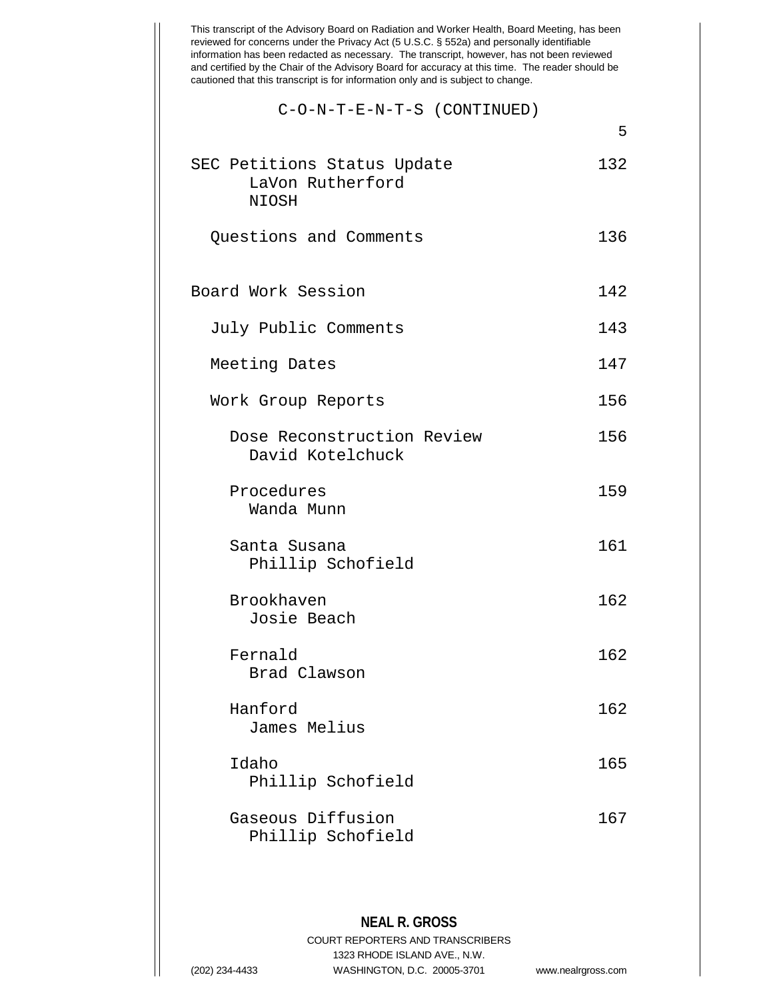$$
C-O-N-T-E-N-T-S (CONTINUED)
$$

|                                                          | 5   |
|----------------------------------------------------------|-----|
| SEC Petitions Status Update<br>LaVon Rutherford<br>NIOSH | 132 |
| Questions and Comments                                   | 136 |
| Board Work Session                                       | 142 |
| July Public Comments                                     | 143 |
| Meeting Dates                                            | 147 |
| Work Group Reports                                       | 156 |
| Dose Reconstruction Review<br>David Kotelchuck           | 156 |
| Procedures<br>Wanda Munn                                 | 159 |
| Santa Susana<br>Phillip Schofield                        | 161 |
| Brookhaven<br>Josie Beach                                | 162 |
| Fernald<br>Brad Clawson                                  | 162 |
| Hanford<br>James Melius                                  | 162 |
| Idaho<br>Phillip Schofield                               | 165 |
| Gaseous Diffusion<br>Phillip Schofield                   | 167 |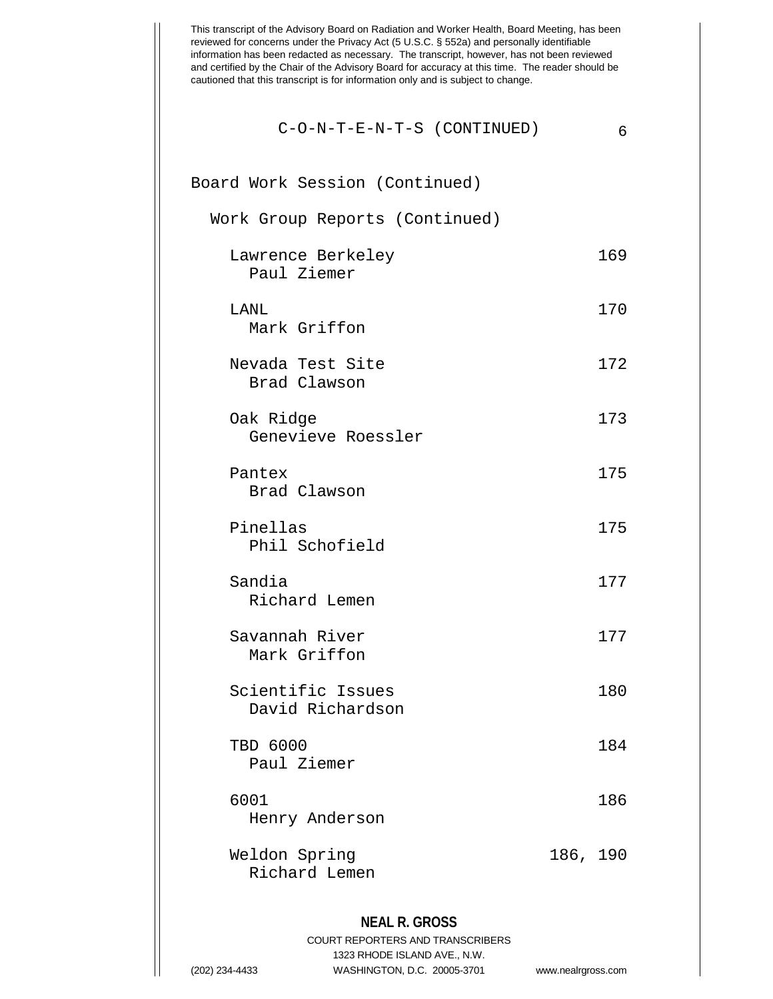C-O-N-T-E-N-T-S (CONTINUED) 6

| Board Work Session (Continued)                                                                  |          |
|-------------------------------------------------------------------------------------------------|----------|
| Work Group Reports (Continued)                                                                  |          |
| Lawrence Berkeley<br>Paul Ziemer                                                                | 169      |
| LANL<br>Mark Griffon                                                                            | 170      |
| Nevada Test Site<br>Brad Clawson                                                                | 172      |
| Oak Ridge<br>Genevieve Roessler                                                                 | 173      |
| Pantex<br>Brad Clawson                                                                          | 175      |
| Pinellas<br>Phil Schofield                                                                      | 175      |
| Sandia<br>Richard Lemen                                                                         | 177      |
| Savannah River<br>Mark Griffon                                                                  | 177      |
| Scientific Issues<br>David Richardson                                                           | 180      |
| <b>TBD 6000</b><br>Paul Ziemer                                                                  | 184      |
| 6001<br>Henry Anderson                                                                          | 186      |
| Weldon Spring<br>Richard Lemen                                                                  | 186, 190 |
| <b>NEAL R. GROSS</b><br><b>COURT REPORTERS AND TRANSCRIBERS</b><br>1323 RHODE ISLAND AVE., N.W. |          |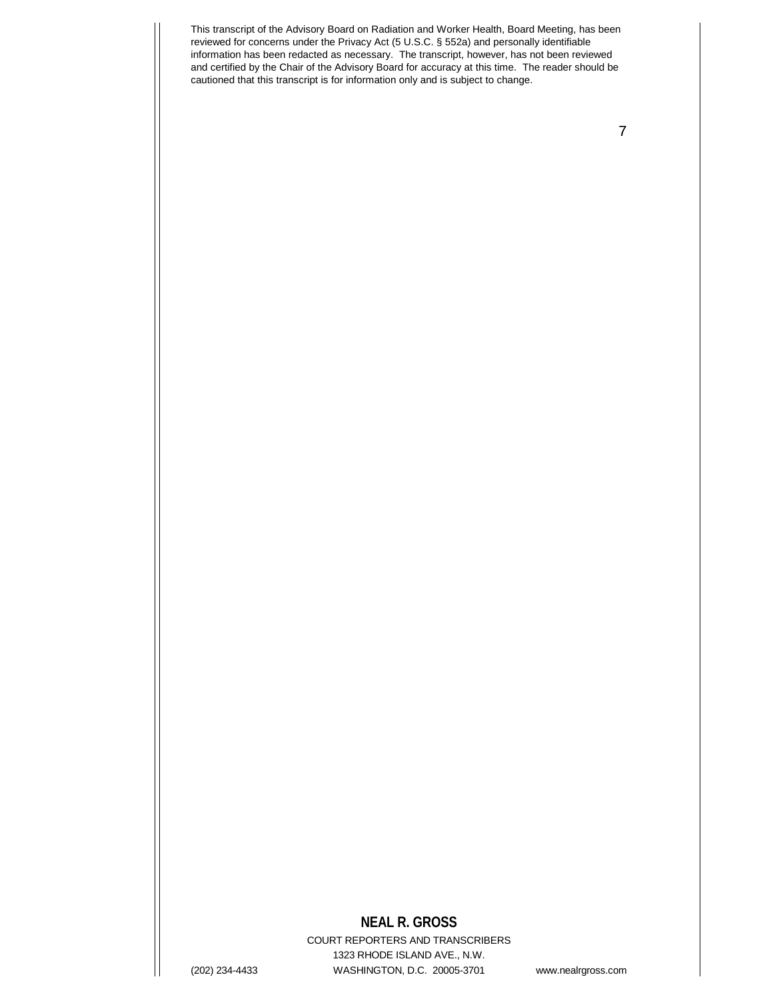### **NEAL R. GROSS**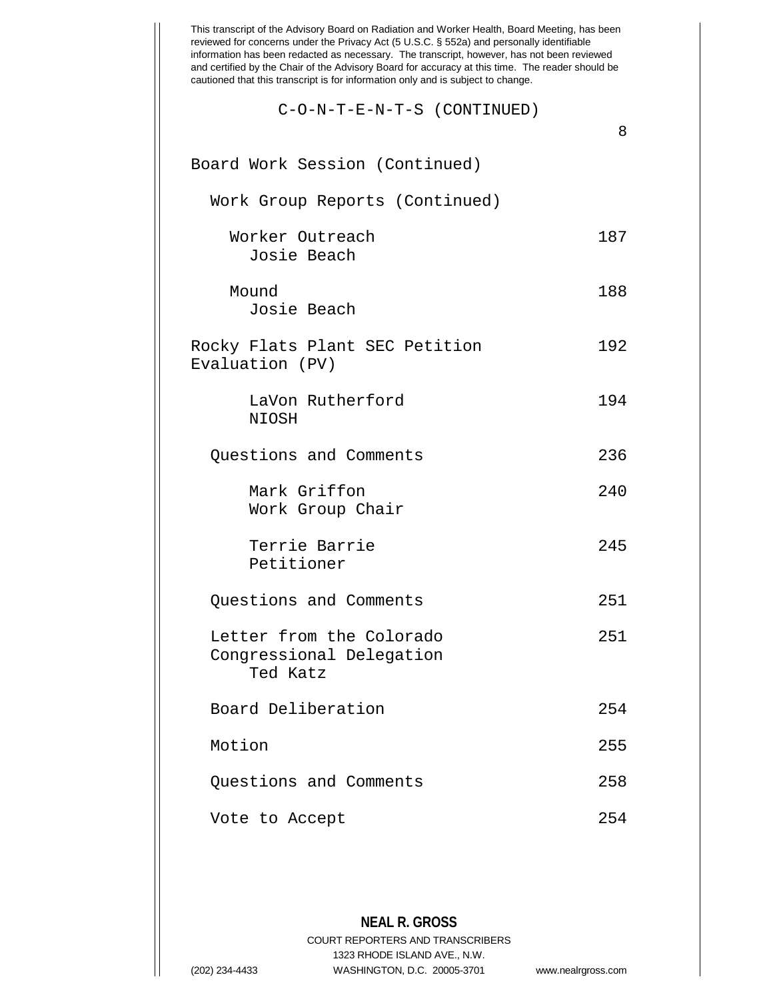$$
C-O-N-T-E-N-T-S (CONTINUED)
$$

Board Work Session (Continued)

Work Group Reports (Continued)

| Worker Outreach | 187 |
|-----------------|-----|
| Josie Beach     |     |

Mound 188 Josie Beach

Rocky Flats Plant SEC Petition 192 Evaluation (PV)

> LaVon Rutherford 194 NIOSH

Questions and Comments 236

Mark Griffon 240 Work Group Chair

 Terrie Barrie 245 Petitioner

Questions and Comments 251

Letter from the Colorado 251 Congressional Delegation Ted Katz

Board Deliberation 254

Motion 255 Questions and Comments 258

Vote to Accept 254

**NEAL R. GROSS** COURT REPORTERS AND TRANSCRIBERS 1323 RHODE ISLAND AVE., N.W. (202) 234-4433 WASHINGTON, D.C. 20005-3701 www.nealrgross.com

8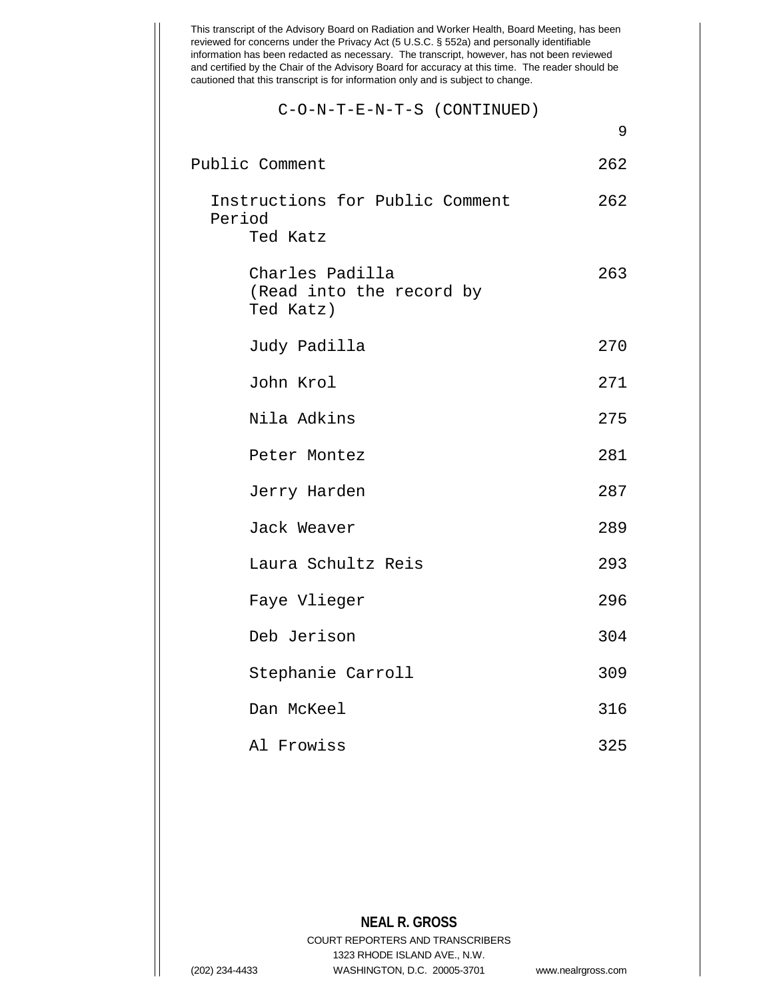#### C-O-N-T-E-N-T-S (CONTINUED)

|                                                          | 9   |
|----------------------------------------------------------|-----|
| Public Comment                                           | 262 |
| Instructions for Public Comment<br>Period<br>Ted Katz    | 262 |
| Charles Padilla<br>(Read into the record by<br>Ted Katz) | 263 |
| Judy Padilla                                             | 270 |
| John Krol                                                | 271 |
| Nila Adkins                                              | 275 |
| Peter Montez                                             | 281 |
| Jerry Harden                                             | 287 |
| Jack Weaver                                              | 289 |
| Laura Schultz Reis                                       | 293 |
| Faye Vlieger                                             | 296 |
| Deb Jerison                                              | 304 |
| Stephanie Carroll                                        | 309 |
| Dan McKeel                                               | 316 |
| Al Frowiss                                               | 325 |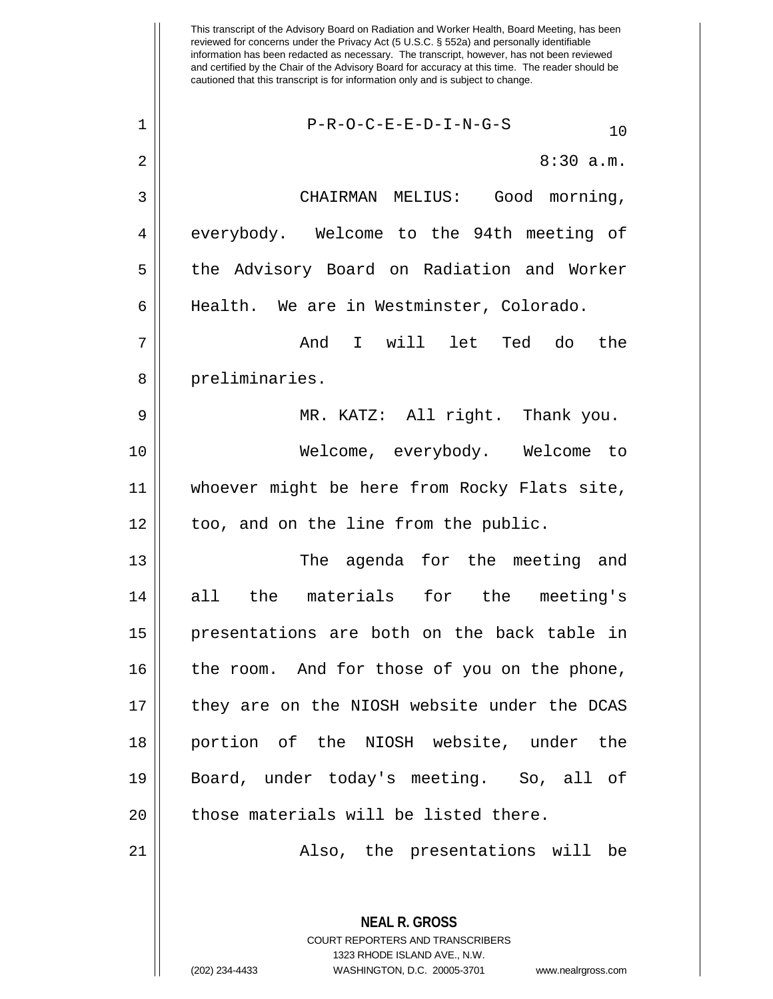This transcript of the Advisory Board on Radiation and Worker Health, Board Meeting, has been reviewed for concerns under the Privacy Act (5 U.S.C. § 552a) and personally identifiable information has been redacted as necessary. The transcript, however, has not been reviewed and certified by the Chair of the Advisory Board for accuracy at this time. The reader should be cautioned that this transcript is for information only and is subject to change. **NEAL R. GROSS** COURT REPORTERS AND TRANSCRIBERS 1323 RHODE ISLAND AVE., N.W.  $1$  | P-R-O-C-E-E-D-I-N-G-S 10 2  $\parallel$  8:30 a.m. 3 CHAIRMAN MELIUS: Good morning, 4 everybody. Welcome to the 94th meeting of 5 | the Advisory Board on Radiation and Worker 6 Health. We are in Westminster, Colorado. 7 And I will let Ted do the 8 || preliminaries. 9 || MR. KATZ: All right. Thank you. 10 Welcome, everybody. Welcome to 11 whoever might be here from Rocky Flats site, 12 || too, and on the line from the public. 13 || The agenda for the meeting and 14 all the materials for the meeting's 15 presentations are both on the back table in 16 || the room. And for those of you on the phone, 17 || they are on the NIOSH website under the DCAS 18 portion of the NIOSH website, under the 19 Board, under today's meeting. So, all of  $20$  || those materials will be listed there. 21 Also, the presentations will be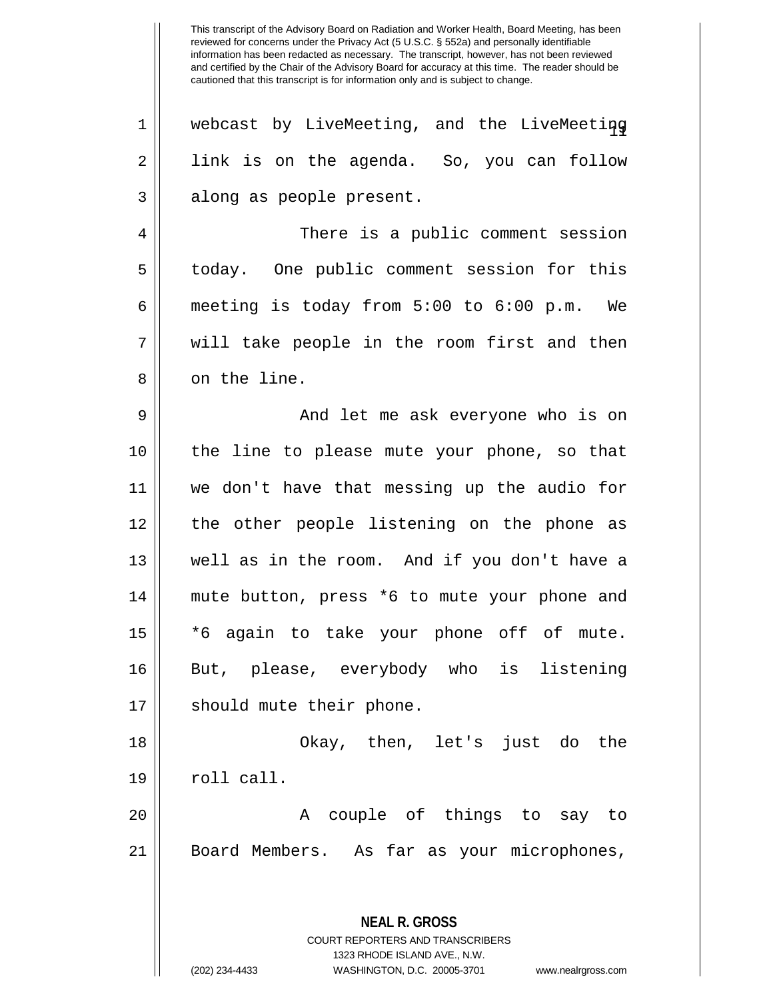**NEAL R. GROSS** COURT REPORTERS AND TRANSCRIBERS 1 || webcast by LiveMeeting, and the LiveMeeting 2 || link is on the agenda. So, you can follow 3 || along as people present. 4 There is a public comment session 5 | today. One public comment session for this  $6 \parallel$  meeting is today from 5:00 to 6:00 p.m. We 7 || will take people in the room first and then 8 || on the line. 9 And let me ask everyone who is on 10 the line to please mute your phone, so that 11 we don't have that messing up the audio for 12 the other people listening on the phone as 13 well as in the room. And if you don't have a 14 || mute button, press \*6 to mute your phone and 15 \*6 again to take your phone off of mute. 16 But, please, everybody who is listening 17 || should mute their phone. 18 Okay, then, let's just do the  $19 \parallel$  roll call. 20 || A couple of things to say to 21 Board Members. As far as your microphones,

1323 RHODE ISLAND AVE., N.W.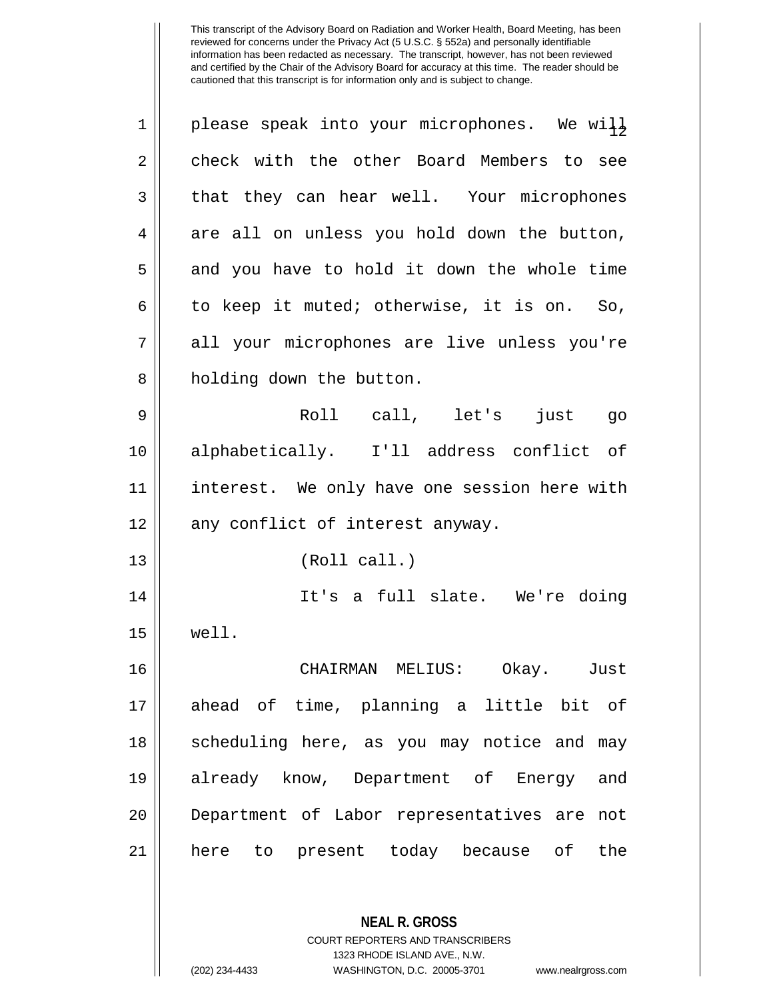| $\mathbf 1$    | please speak into your microphones. We will                                                                                                                            |
|----------------|------------------------------------------------------------------------------------------------------------------------------------------------------------------------|
| $\overline{2}$ | check with the other Board Members to see                                                                                                                              |
| 3              | that they can hear well. Your microphones                                                                                                                              |
| 4              | are all on unless you hold down the button,                                                                                                                            |
| 5              | and you have to hold it down the whole time                                                                                                                            |
| 6              | to keep it muted; otherwise, it is on. So,                                                                                                                             |
| 7              | all your microphones are live unless you're                                                                                                                            |
| 8              | holding down the button.                                                                                                                                               |
| 9              | Roll call, let's<br>just<br>go                                                                                                                                         |
| 10             | alphabetically. I'll address conflict of                                                                                                                               |
| 11             | interest. We only have one session here with                                                                                                                           |
| 12             | any conflict of interest anyway.                                                                                                                                       |
| 13             | (Roll call.)                                                                                                                                                           |
| 14             | It's a full slate. We're doing                                                                                                                                         |
| 15             | well.                                                                                                                                                                  |
| 16             | CHAIRMAN MELIUS: Okay. Just                                                                                                                                            |
| 17             | ahead of time, planning a little bit of                                                                                                                                |
| 18             | scheduling here, as you may notice and may                                                                                                                             |
| 19             | already know, Department of Energy<br>and                                                                                                                              |
| 20             | Department of Labor representatives are not                                                                                                                            |
| 21             | here to present today because of the                                                                                                                                   |
|                | <b>NEAL R. GROSS</b><br><b>COURT REPORTERS AND TRANSCRIBERS</b><br>1323 RHODE ISLAND AVE., N.W.<br>(202) 234-4433<br>WASHINGTON, D.C. 20005-3701<br>www.nealrgross.com |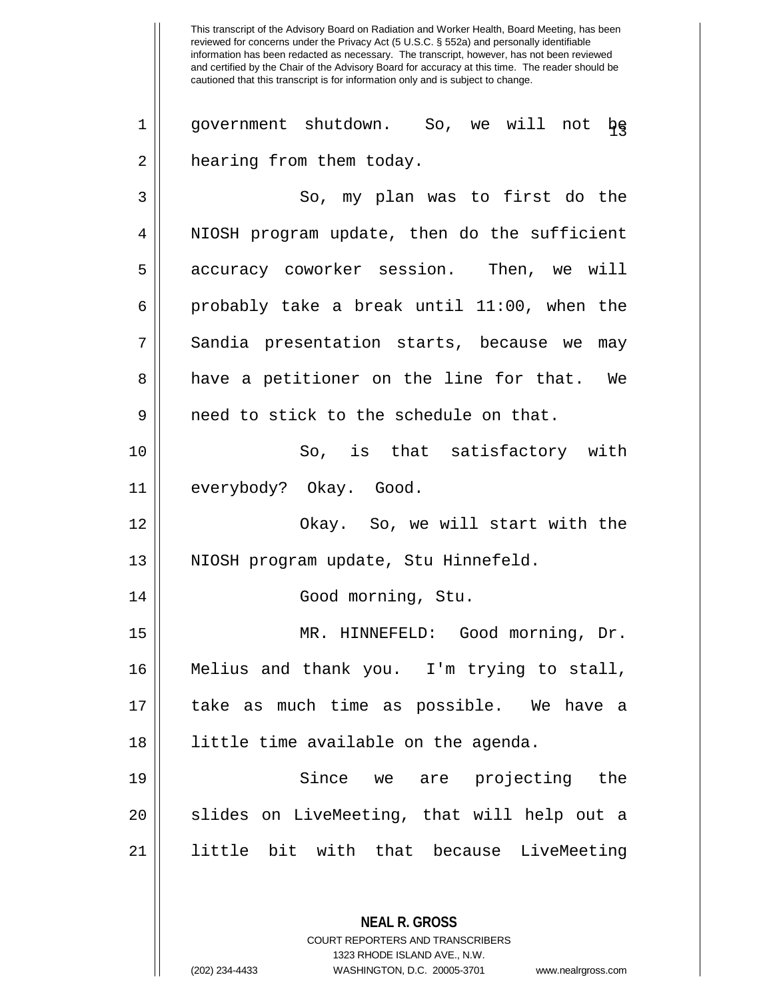This transcript of the Advisory Board on Radiation and Worker Health, Board Meeting, has been reviewed for concerns under the Privacy Act (5 U.S.C. § 552a) and personally identifiable information has been redacted as necessary. The transcript, however, has not been reviewed and certified by the Chair of the Advisory Board for accuracy at this time. The reader should be cautioned that this transcript is for information only and is subject to change. **NEAL R. GROSS** COURT REPORTERS AND TRANSCRIBERS 1323 RHODE ISLAND AVE., N.W. 1 || government shutdown. So, we will not be 2 | hearing from them today. 3 So, my plan was to first do the 4 || NIOSH program update, then do the sufficient 5 | accuracy coworker session. Then, we will 6 || probably take a break until  $11:00$ , when the 7 || Sandia presentation starts, because we may 8 || have a petitioner on the line for that. We  $9 \parallel$  need to stick to the schedule on that. 10 || So, is that satisfactory with 11 everybody? Okay. Good. 12 Okay. So, we will start with the 13 || NIOSH program update, Stu Hinnefeld. 14 || Good morning, Stu. 15 MR. HINNEFELD: Good morning, Dr. 16 Melius and thank you. I'm trying to stall, 17 take as much time as possible. We have a 18 little time available on the agenda. 19 Since we are projecting the 20 || slides on LiveMeeting, that will help out a 21 little bit with that because LiveMeeting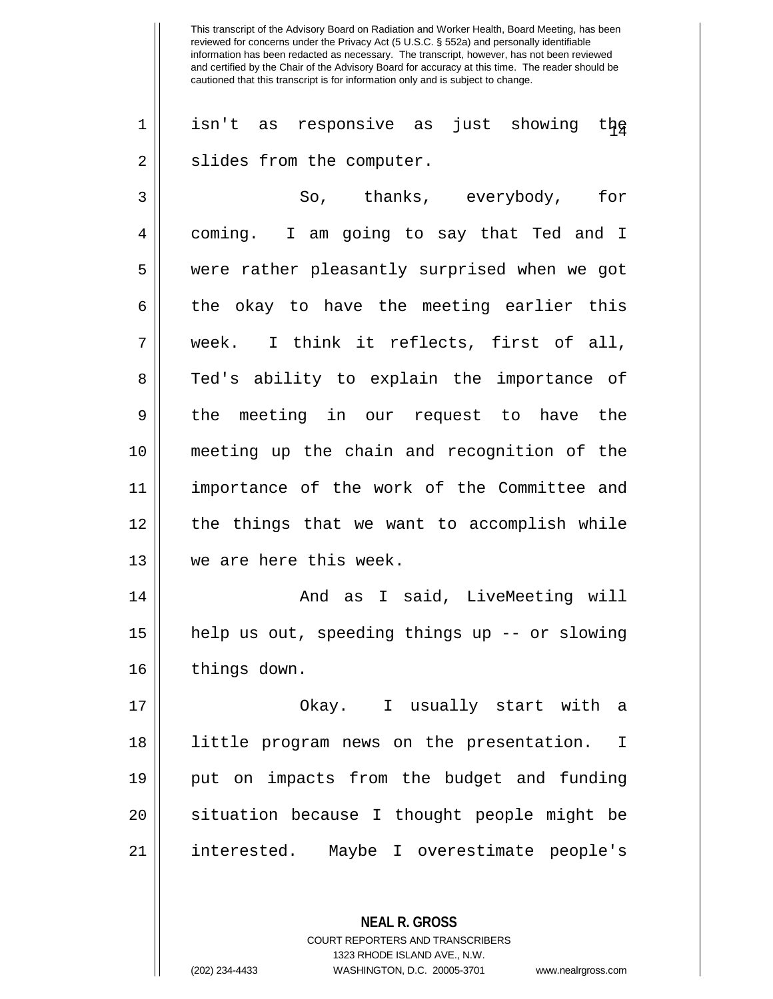1 || isn't as responsive as just showing the 2 || slides from the computer.

 So, thanks, everybody, for coming. I am going to say that Ted and I 5 || were rather pleasantly surprised when we got  $6 \parallel$  the okay to have the meeting earlier this week. I think it reflects, first of all, 8 Ted's ability to explain the importance of 9 the meeting in our request to have the meeting up the chain and recognition of the importance of the work of the Committee and the things that we want to accomplish while we are here this week. And as I said, LiveMeeting will 15 || help us out, speeding things up -- or slowing

16 | things down.

 Okay. I usually start with a little program news on the presentation. I put on impacts from the budget and funding 20 || situation because I thought people might be interested. Maybe I overestimate people's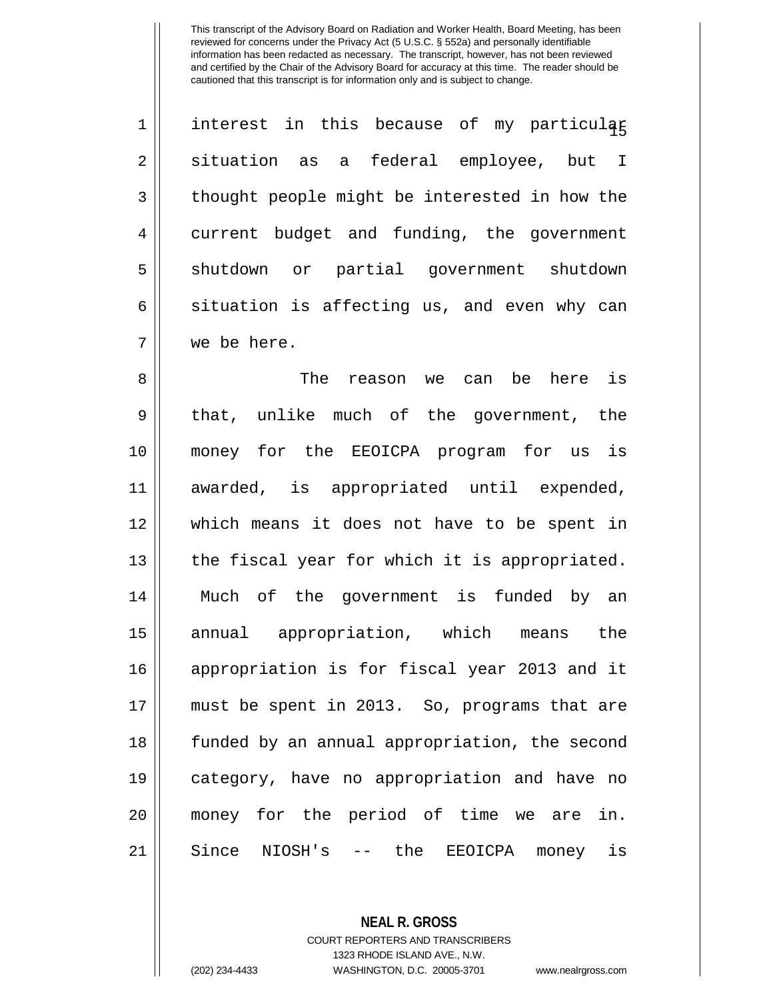$1 \parallel$  interest in this because of my particular 2 || situation as a federal employee, but I 3 || thought people might be interested in how the 4 current budget and funding, the government 5 || shutdown or partial government shutdown  $6 \parallel$  situation is affecting us, and even why can 7 we be here.

 The reason we can be here is  $9 \parallel$  that, unlike much of the government, the money for the EEOICPA program for us is awarded, is appropriated until expended, which means it does not have to be spent in | the fiscal year for which it is appropriated. Much of the government is funded by an annual appropriation, which means the appropriation is for fiscal year 2013 and it must be spent in 2013. So, programs that are funded by an annual appropriation, the second category, have no appropriation and have no money for the period of time we are in. 21 || Since NIOSH's -- the EEOICPA money is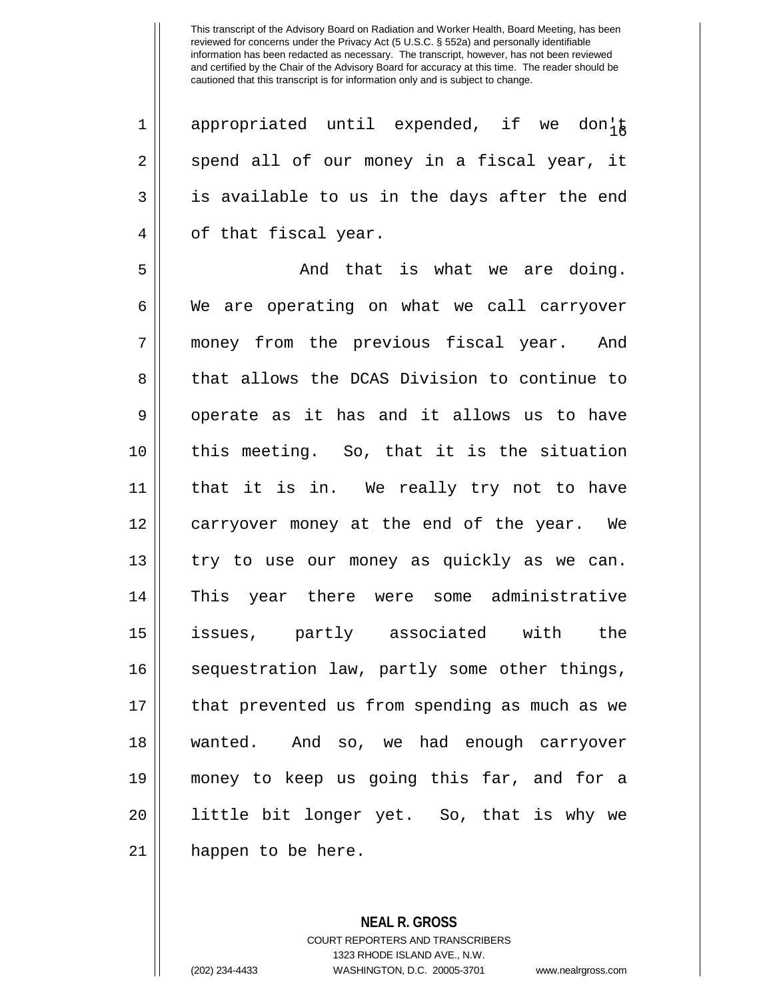1 || appropriated until expended, if we don $1\frac{1}{k}$ 2 || spend all of our money in a fiscal year, it  $3 \parallel$  is available to us in the days after the end 4 | of that fiscal year.

 And that is what we are doing. 6 We are operating on what we call carryover money from the previous fiscal year. And 8 || that allows the DCAS Division to continue to  $9 \parallel$  operate as it has and it allows us to have this meeting. So, that it is the situation that it is in. We really try not to have carryover money at the end of the year. We 13 || try to use our money as quickly as we can. This year there were some administrative issues, partly associated with the 16 || sequestration law, partly some other things, that prevented us from spending as much as we wanted. And so, we had enough carryover money to keep us going this far, and for a 20 || little bit longer yet. So, that is why we happen to be here.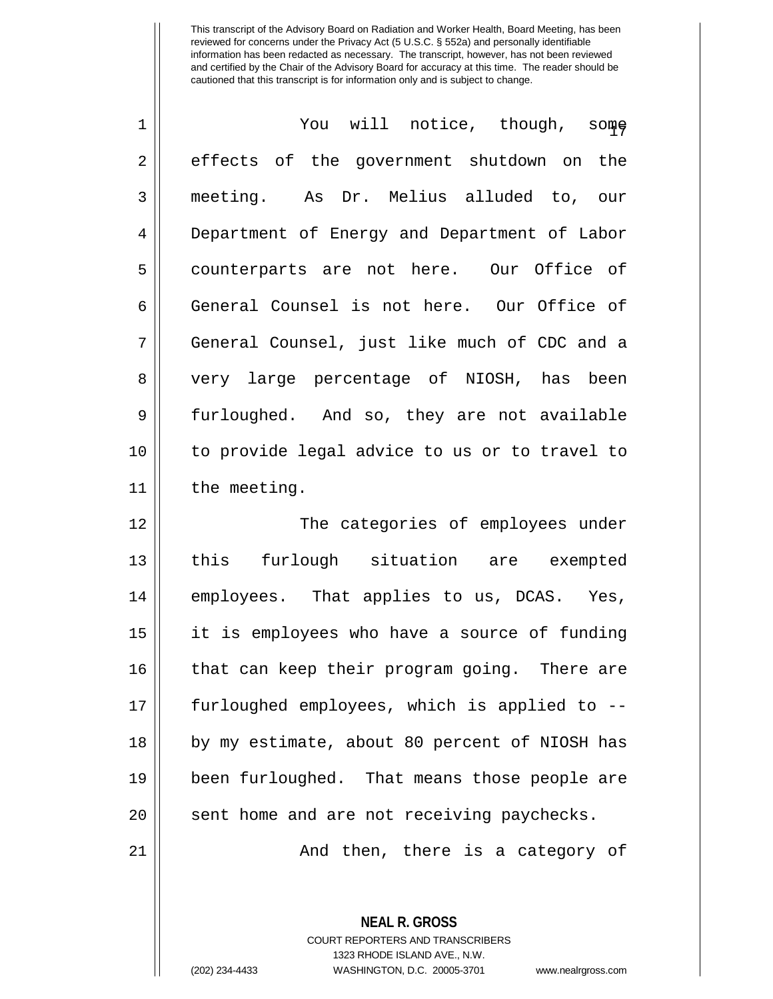| $\mathbf 1$    | You will notice, though,<br>some              |
|----------------|-----------------------------------------------|
| $\overline{2}$ | effects of the government shutdown on the     |
| 3              | meeting. As Dr. Melius alluded to, our        |
| $\overline{4}$ | Department of Energy and Department of Labor  |
| 5              | counterparts are not here. Our Office of      |
| 6              | General Counsel is not here. Our Office of    |
| 7              | General Counsel, just like much of CDC and a  |
| 8              | very large percentage of NIOSH, has<br>been   |
| 9              | furloughed. And so, they are not available    |
| 10             | to provide legal advice to us or to travel to |
| 11             | the meeting.                                  |
| 12             | The categories of employees under             |
| 13             | this<br>furlough situation are exempted       |
| 14             | employees. That applies to us, DCAS. Yes,     |
| 15             | it is employees who have a source of funding  |
| 16             | that can keep their program going. There are  |
| 17             | furloughed employees, which is applied to --  |
| 18             | by my estimate, about 80 percent of NIOSH has |
| 19             | been furloughed. That means those people are  |
| 20             | sent home and are not receiving paychecks.    |
| 21             | And then, there is a category of              |
|                |                                               |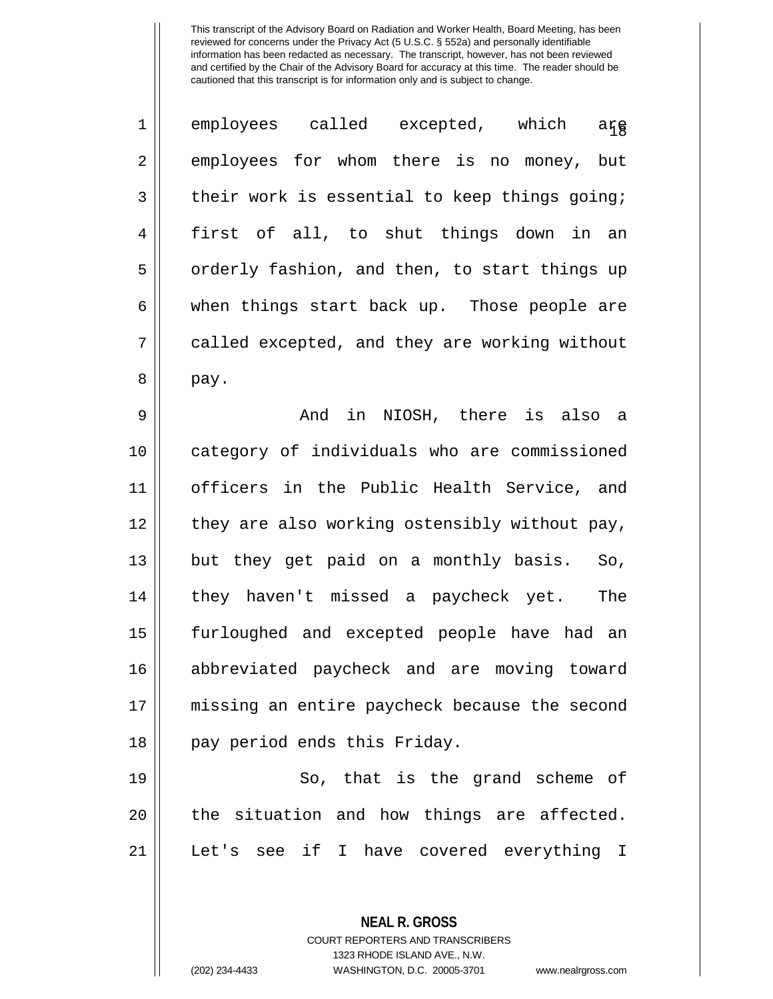| $\mathbf 1$    | employees called excepted, which<br>arg       |
|----------------|-----------------------------------------------|
| $\overline{2}$ | employees for whom there is no money, but     |
| 3              | their work is essential to keep things going; |
| 4              | first of all, to shut things down in an       |
| 5              | orderly fashion, and then, to start things up |
| 6              | when things start back up. Those people are   |
| 7              | called excepted, and they are working without |
| 8              | pay.                                          |
| 9              | And in NIOSH, there is also a                 |
| 10             | category of individuals who are commissioned  |
| 11             | officers in the Public Health Service, and    |
| 12             | they are also working ostensibly without pay, |
| 13             | but they get paid on a monthly basis. So,     |
| 14             | they haven't missed a paycheck yet.<br>The    |
| 15             | furloughed and excepted people have had an    |
| 16             | abbreviated paycheck and are moving toward    |
| 17             | missing an entire paycheck because the second |
| 18             | pay period ends this Friday.                  |
| 19             | So, that is the grand scheme of               |
| 20             | the situation and how things are affected.    |
| 21             | Let's see if I have covered everything I      |
|                |                                               |
|                | <b>NEAL R. GROSS</b>                          |

COURT REPORTERS AND TRANSCRIBERS 1323 RHODE ISLAND AVE., N.W.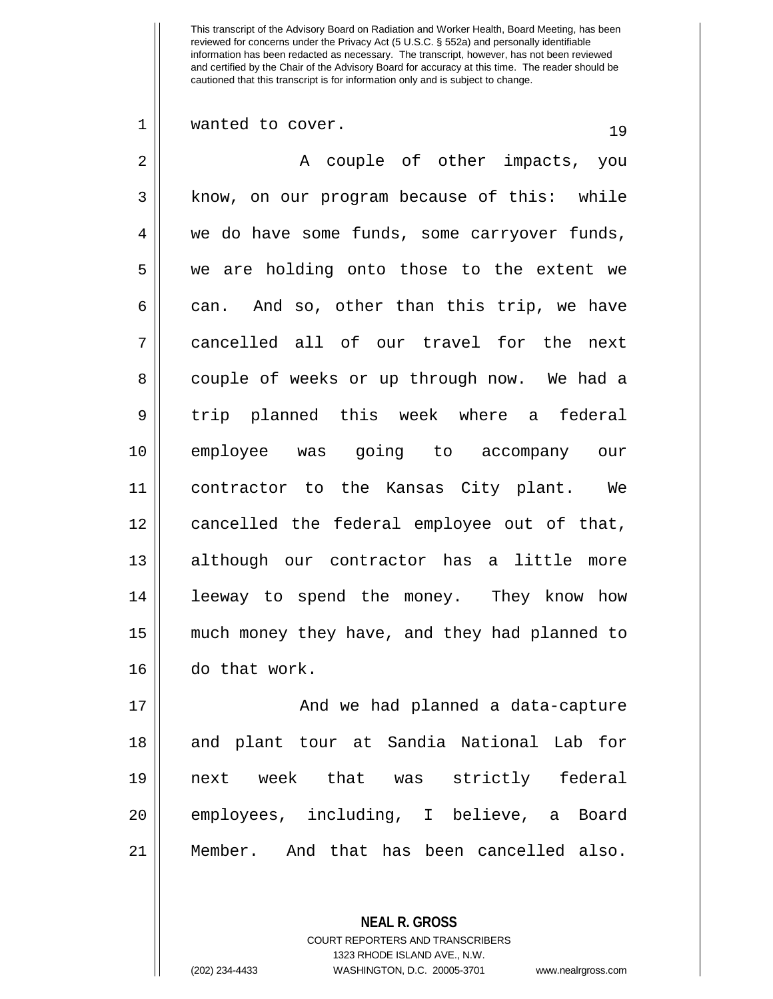# $1 \parallel$  wanted to cover. 19

| $\overline{2}$ | A couple of other impacts, you                |
|----------------|-----------------------------------------------|
| 3              | know, on our program because of this: while   |
| 4              | we do have some funds, some carryover funds,  |
| 5              | we are holding onto those to the extent we    |
| 6              | can. And so, other than this trip, we have    |
| 7              | cancelled all of our travel for the next      |
| 8              | couple of weeks or up through now. We had a   |
| 9              | trip planned this week where a federal        |
| 10             | employee was going to accompany our           |
| 11             | contractor to the Kansas City plant. We       |
| 12             | cancelled the federal employee out of that,   |
| 13             | although our contractor has a little more     |
| 14             | leeway to spend the money. They know how      |
| 15             | much money they have, and they had planned to |
| 16             | do that work.                                 |
| 17             | And we had planned a data-capture             |
| 18             | and plant tour at Sandia National Lab for     |
| 19             | next week that was strictly federal           |
| 20             | employees, including, I believe, a Board      |
| 21             | Member. And that has been cancelled also.     |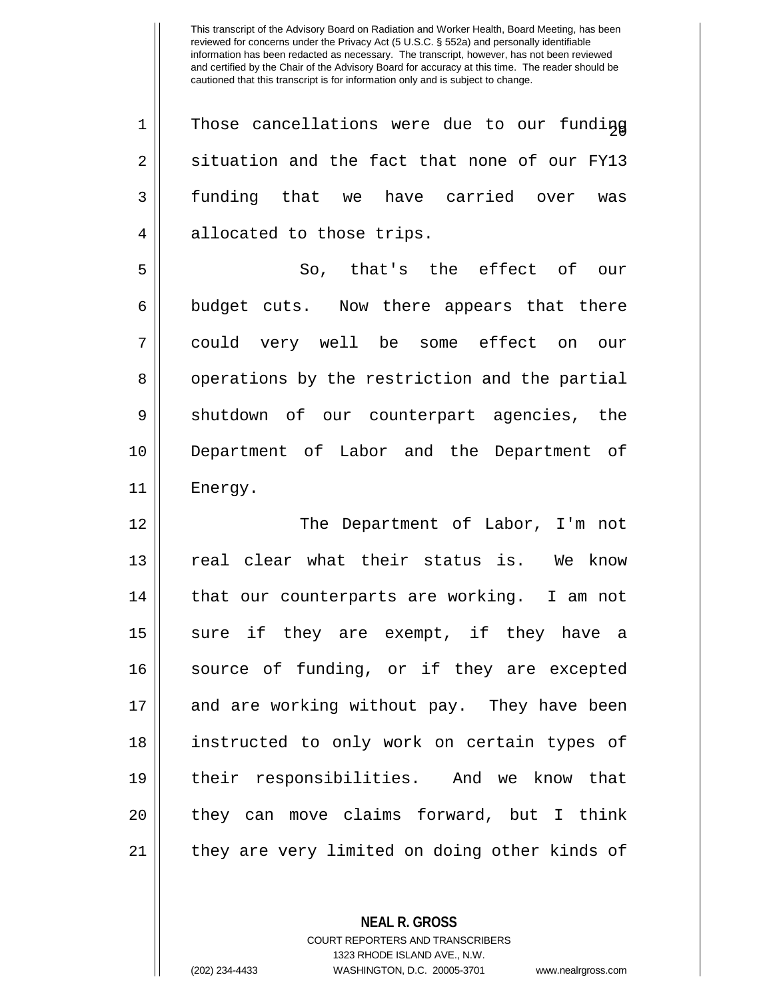$1$  | Those cancellations were due to our funding  $2 \parallel$  situation and the fact that none of our FY13 3 || funding that we have carried over was 4 || allocated to those trips.

5 So, that's the effect of our 6 || budget cuts. Now there appears that there 7 could very well be some effect on our 8 || operations by the restriction and the partial 9 Shutdown of our counterpart agencies, the 10 Department of Labor and the Department of 11 || Energy.

12 The Department of Labor, I'm not 13 || real clear what their status is. We know 14 || that our counterparts are working. I am not 15 || sure if they are exempt, if they have a 16 || source of funding, or if they are excepted 17 || and are working without pay. They have been 18 instructed to only work on certain types of 19 their responsibilities. And we know that 20 || they can move claims forward, but I think 21 || they are very limited on doing other kinds of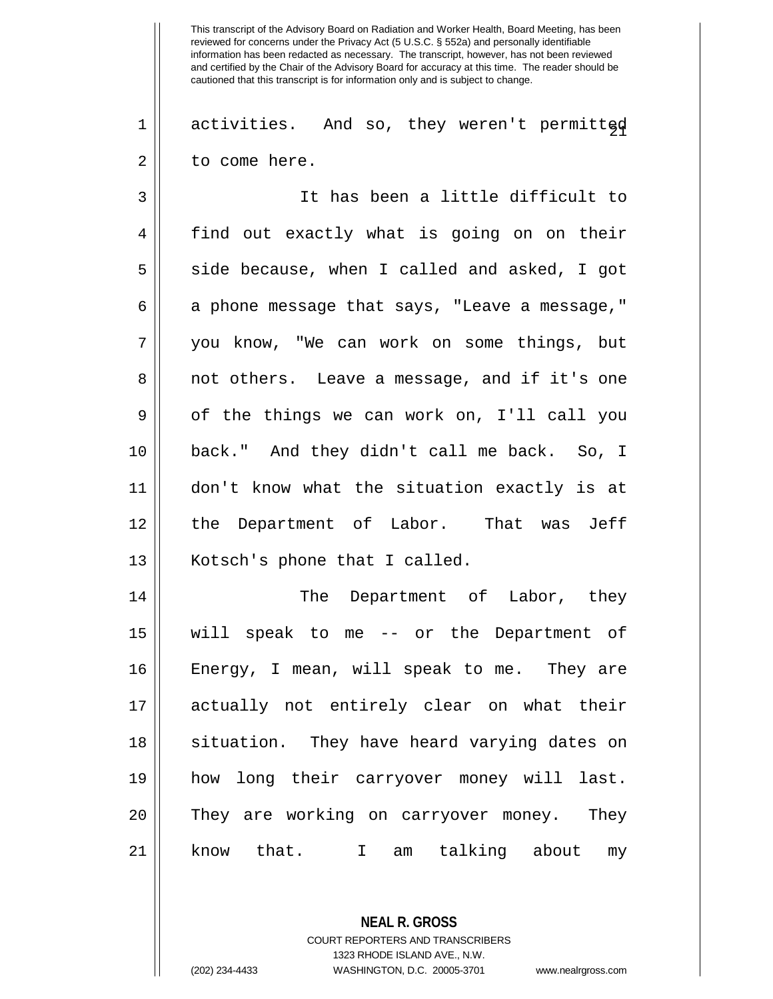1 || activities. And so, they weren't permitted  $2 \parallel$  to come here.

3 It has been a little difficult to 4 find out exactly what is going on on their  $5 \parallel$  side because, when I called and asked, I got  $6 \parallel$  a phone message that says, "Leave a message," 7 you know, "We can work on some things, but 8 || not others. Leave a message, and if it's one  $9 \parallel$  of the things we can work on, I'll call you 10 back." And they didn't call me back. So, I 11 don't know what the situation exactly is at 12 the Department of Labor. That was Jeff 13 || Kotsch's phone that I called.

 The Department of Labor, they will speak to me -- or the Department of Energy, I mean, will speak to me. They are actually not entirely clear on what their 18 || situation. They have heard varying dates on how long their carryover money will last. 20 They are working on carryover money. They 21 || know that. I am talking about my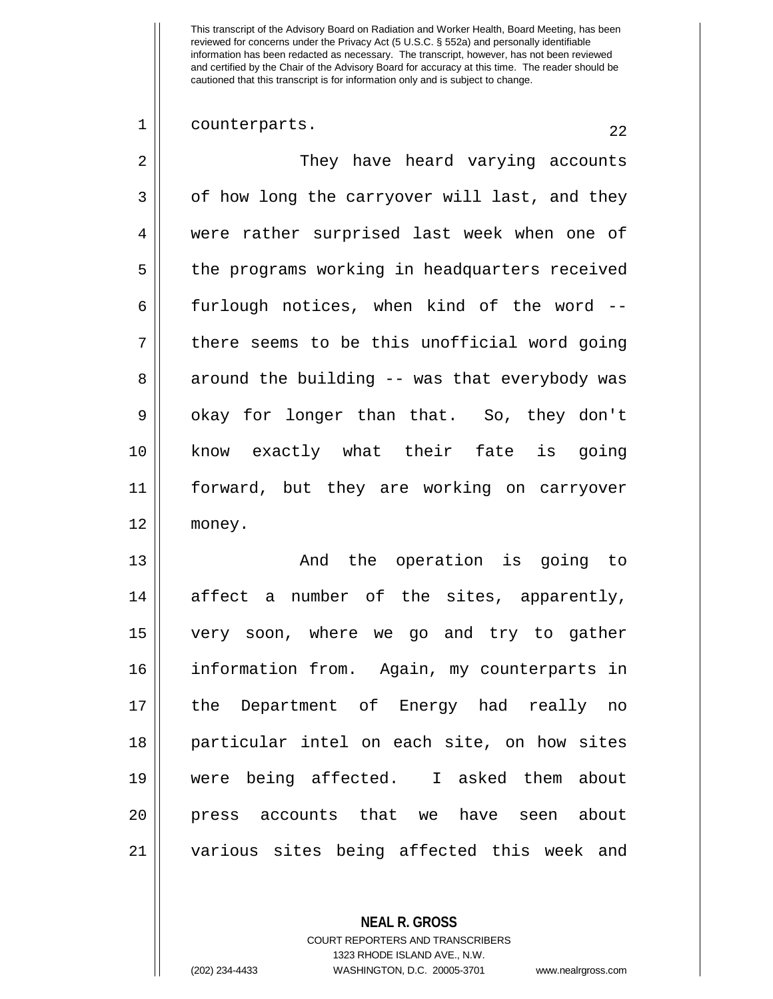# 1 counterparts. 22

2 They have heard varying accounts 3 | of how long the carryover will last, and they 4 were rather surprised last week when one of 5 | the programs working in headquarters received 6 furlough notices, when kind of the word -- 7 || there seems to be this unofficial word going 8 || around the building -- was that everybody was  $9 \parallel$  okay for longer than that. So, they don't 10 know exactly what their fate is going 11 forward, but they are working on carryover 12 money. 13 || The operation is going to 14 affect a number of the sites, apparently, 15 very soon, where we go and try to gather 16 information from. Again, my counterparts in 17 the Department of Energy had really no 18 particular intel on each site, on how sites 19 were being affected. I asked them about 20 || press accounts that we have seen about 21 various sites being affected this week and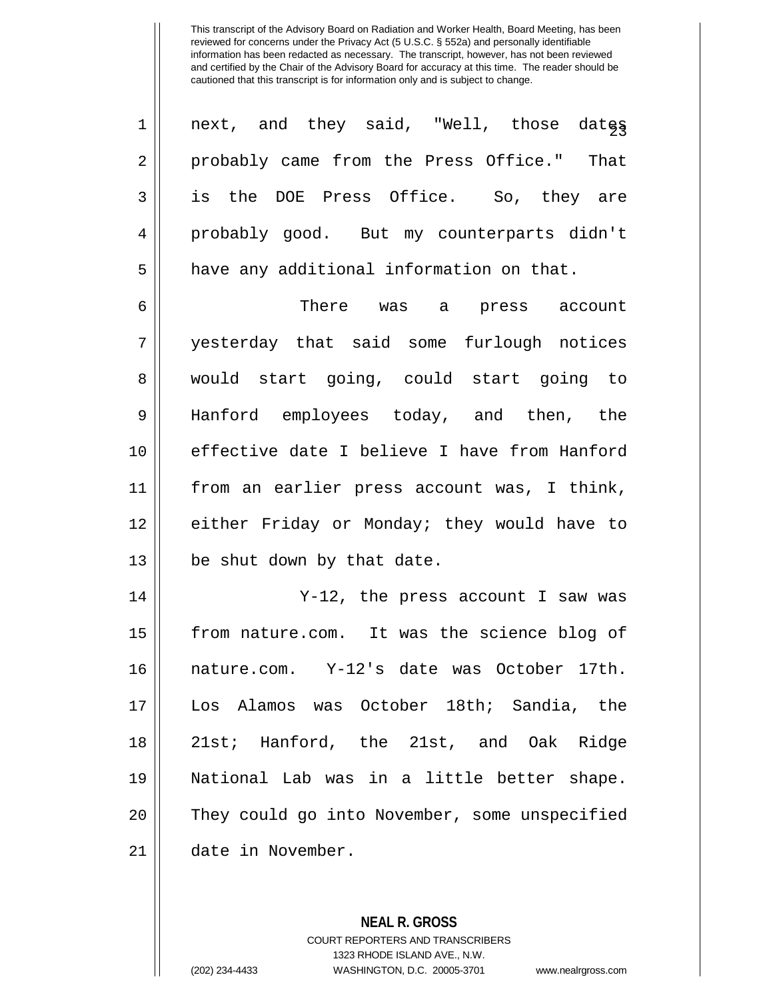| $\mathbf{1}$   | next, and they said, "Well, those dates    |
|----------------|--------------------------------------------|
| $\overline{2}$ | probably came from the Press Office." That |
| 3              | is the DOE Press Office. So, they are      |
| $\overline{4}$ | probably good. But my counterparts didn't  |
| 5              | have any additional information on that.   |
|                |                                            |

 There was a press account yesterday that said some furlough notices 8 || would start going, could start going to Hanford employees today, and then, the effective date I believe I have from Hanford from an earlier press account was, I think, either Friday or Monday; they would have to | be shut down by that date.

 Y-12, the press account I saw was 15 | from nature.com. It was the science blog of nature.com. Y-12's date was October 17th. Los Alamos was October 18th; Sandia, the 21st; Hanford, the 21st, and Oak Ridge National Lab was in a little better shape. 20 || They could go into November, some unspecified date in November.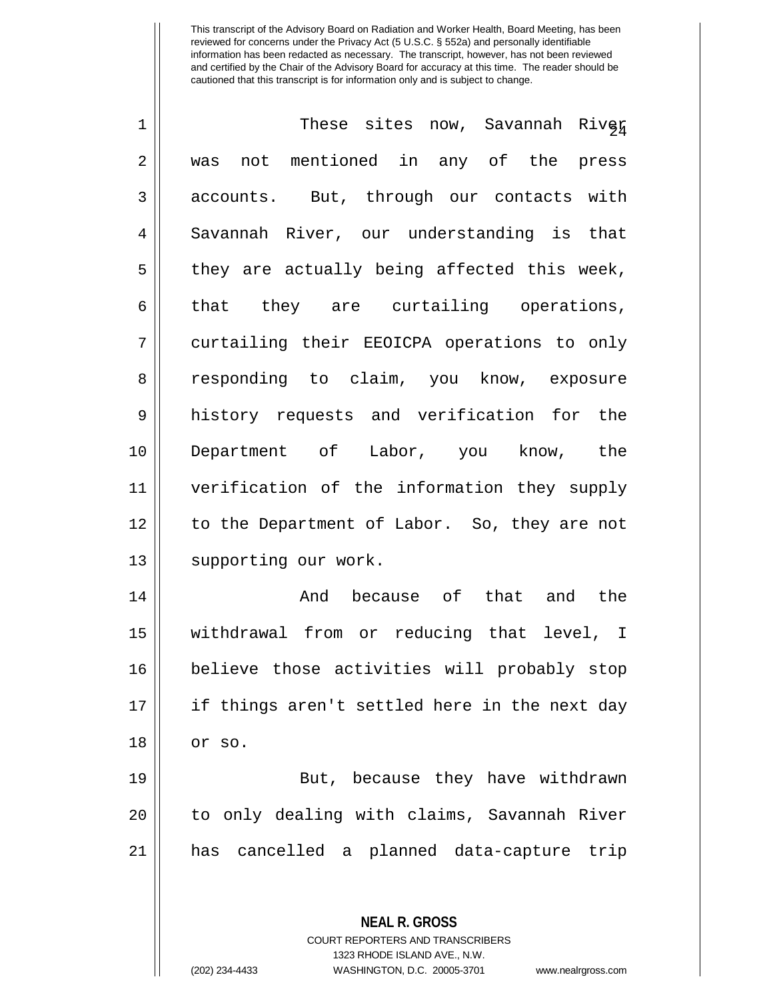| $\mathbf 1$    | These sites now, Savannah Riveg                                                                 |
|----------------|-------------------------------------------------------------------------------------------------|
| $\overline{2}$ | was not mentioned in any of the<br>press                                                        |
| 3              | accounts. But, through our contacts with                                                        |
| $\overline{4}$ | Savannah River, our understanding is that                                                       |
| 5              | they are actually being affected this week,                                                     |
| 6              | that they are curtailing operations,                                                            |
| 7              | curtailing their EEOICPA operations to only                                                     |
| 8              | responding to claim, you know, exposure                                                         |
| 9              | history requests and verification for the                                                       |
| 10             | Department of Labor, you know, the                                                              |
| 11             | verification of the information they supply                                                     |
| 12             | to the Department of Labor. So, they are not                                                    |
| 13             | supporting our work.                                                                            |
| 14             | And because of that and the                                                                     |
| 15             | withdrawal from or reducing that level, I                                                       |
| 16             | believe those activities will probably stop                                                     |
| 17             | if things aren't settled here in the next day                                                   |
| 18             | or so.                                                                                          |
| 19             | But, because they have withdrawn                                                                |
| 20             | to only dealing with claims, Savannah River                                                     |
| 21             | cancelled a planned data-capture trip<br>has                                                    |
|                |                                                                                                 |
|                | <b>NEAL R. GROSS</b><br><b>COURT REPORTERS AND TRANSCRIBERS</b><br>1323 RHODE ISLAND AVE., N.W. |

 $\prod_{i=1}^{n}$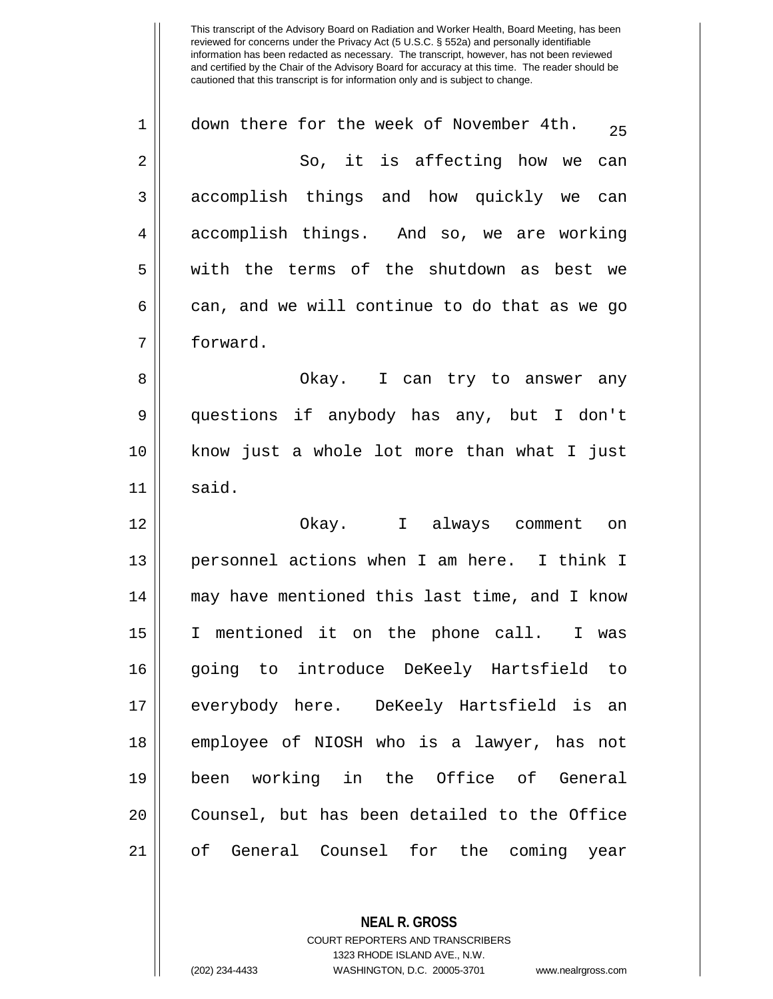| $\mathbf 1$    | down there for the week of November 4th.<br>25 |
|----------------|------------------------------------------------|
| $\overline{2}$ | So, it is affecting how we can                 |
| 3              | accomplish things and how quickly we can       |
| 4              | accomplish things. And so, we are working      |
| 5              | with the terms of the shutdown as best we      |
| 6              | can, and we will continue to do that as we go  |
| 7              | forward.                                       |
| 8              | Okay. I can try to answer any                  |
| 9              | questions if anybody has any, but I don't      |
| 10             | know just a whole lot more than what I just    |
| 11             | said.                                          |
|                |                                                |

 Okay. I always comment on 13 || personnel actions when I am here. I think I 14 || may have mentioned this last time, and I know I mentioned it on the phone call. I was going to introduce DeKeely Hartsfield to everybody here. DeKeely Hartsfield is an employee of NIOSH who is a lawyer, has not been working in the Office of General 20 || Counsel, but has been detailed to the Office of General Counsel for the coming year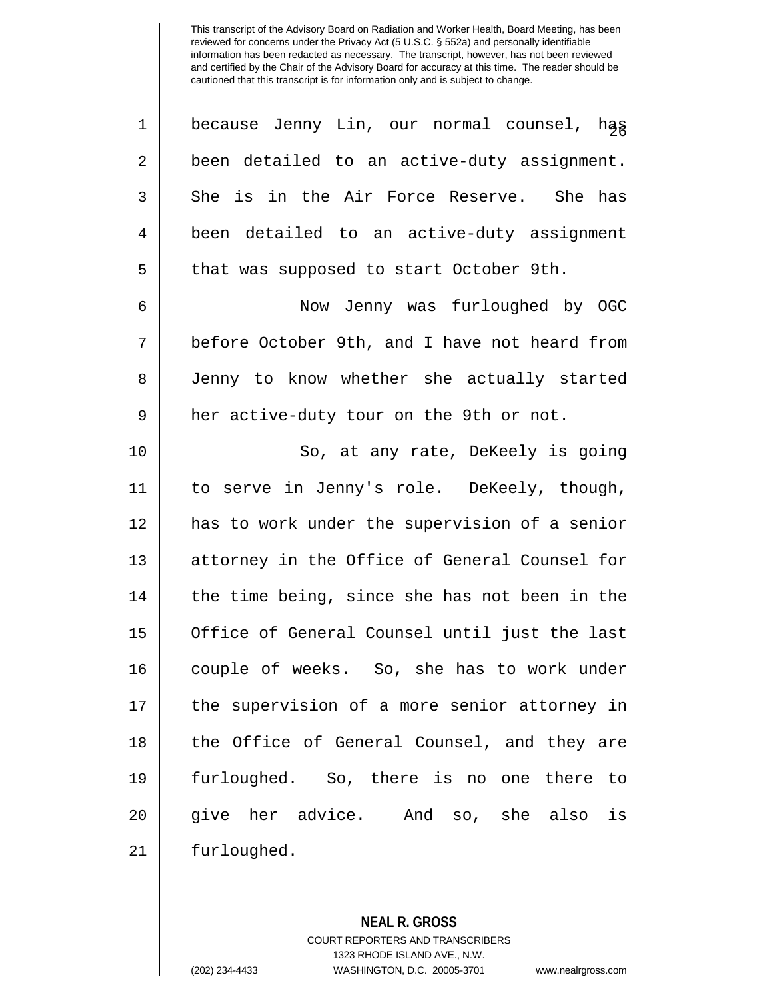| 1  | because Jenny Lin, our normal counsel, hag    |
|----|-----------------------------------------------|
| 2  | been detailed to an active-duty assignment.   |
| 3  | She is in the Air Force Reserve. She has      |
| 4  | been detailed to an active-duty assignment    |
| 5  | that was supposed to start October 9th.       |
| 6  | Now Jenny was furloughed by OGC               |
| 7  | before October 9th, and I have not heard from |
| 8  | Jenny to know whether she actually started    |
| 9  | her active-duty tour on the 9th or not.       |
| 10 | So, at any rate, DeKeely is going             |
| 11 | to serve in Jenny's role. DeKeely, though,    |
| 12 | has to work under the supervision of a senior |
| 13 | attorney in the Office of General Counsel for |
| 14 | the time being, since she has not been in the |
| 15 | Office of General Counsel until just the last |
| 16 | couple of weeks. So, she has to work under    |
| 17 | the supervision of a more senior attorney in  |
| 18 | the Office of General Counsel, and they are   |
| 19 | furloughed. So, there is no one there to      |
| 20 | give her advice. And so, she also is          |
| 21 | furloughed.                                   |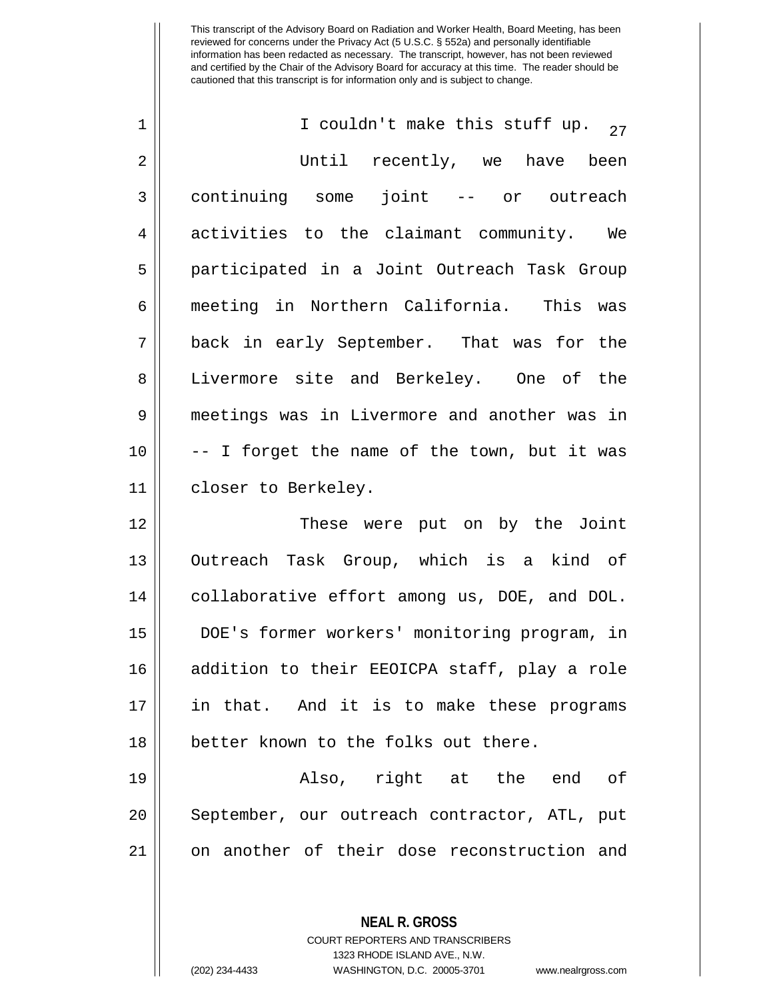| $\mathbf 1$    | I couldn't make this stuff up. 27            |
|----------------|----------------------------------------------|
| $\overline{2}$ | Until recently, we have been                 |
| 3              | continuing some joint -- or outreach         |
| 4              | activities to the claimant community. We     |
| 5              | participated in a Joint Outreach Task Group  |
| 6              | meeting in Northern California. This was     |
| 7              | back in early September. That was for the    |
| 8              | Livermore site and Berkeley. One of the      |
| 9              | meetings was in Livermore and another was in |
| 10             | -- I forget the name of the town, but it was |
| 11             | closer to Berkeley.                          |
| 12             | These were put on by the Joint               |
| 13             | Outreach Task Group, which is a kind of      |
| 14             | collaborative effort among us, DOE, and DOL. |
| 15             | DOE's former workers' monitoring program, in |
| 16             | addition to their EEOICPA staff, play a role |
| 17             | in that. And it is to make these programs    |
| 18             | better known to the folks out there.         |
| 19             | Also, right at the end of                    |
| 20             | September, our outreach contractor, ATL, put |
| 21             | on another of their dose reconstruction and  |
|                |                                              |
|                | <b>NEAL R. GROSS</b>                         |

COURT REPORTERS AND TRANSCRIBERS 1323 RHODE ISLAND AVE., N.W.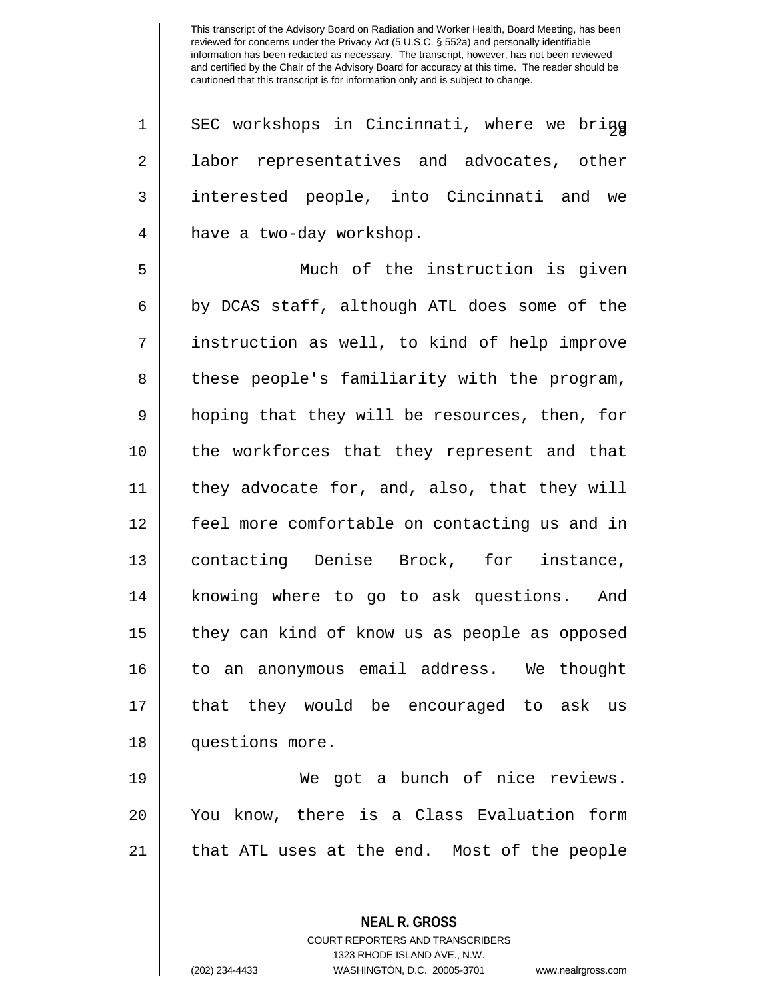1 || SEC workshops in Cincinnati, where we bring 2 || labor representatives and advocates, other 3 interested people, into Cincinnati and we  $4 \parallel$  have a two-day workshop.

 Much of the instruction is given  $6 \parallel$  by DCAS staff, although ATL does some of the instruction as well, to kind of help improve 8 || these people's familiarity with the program, 9 || hoping that they will be resources, then, for the workforces that they represent and that they advocate for, and, also, that they will feel more comfortable on contacting us and in contacting Denise Brock, for instance, 14 || knowing where to go to ask questions. And they can kind of know us as people as opposed to an anonymous email address. We thought that they would be encouraged to ask us questions more.

19 We got a bunch of nice reviews. 20 || You know, there is a Class Evaluation form 21 || that ATL uses at the end. Most of the people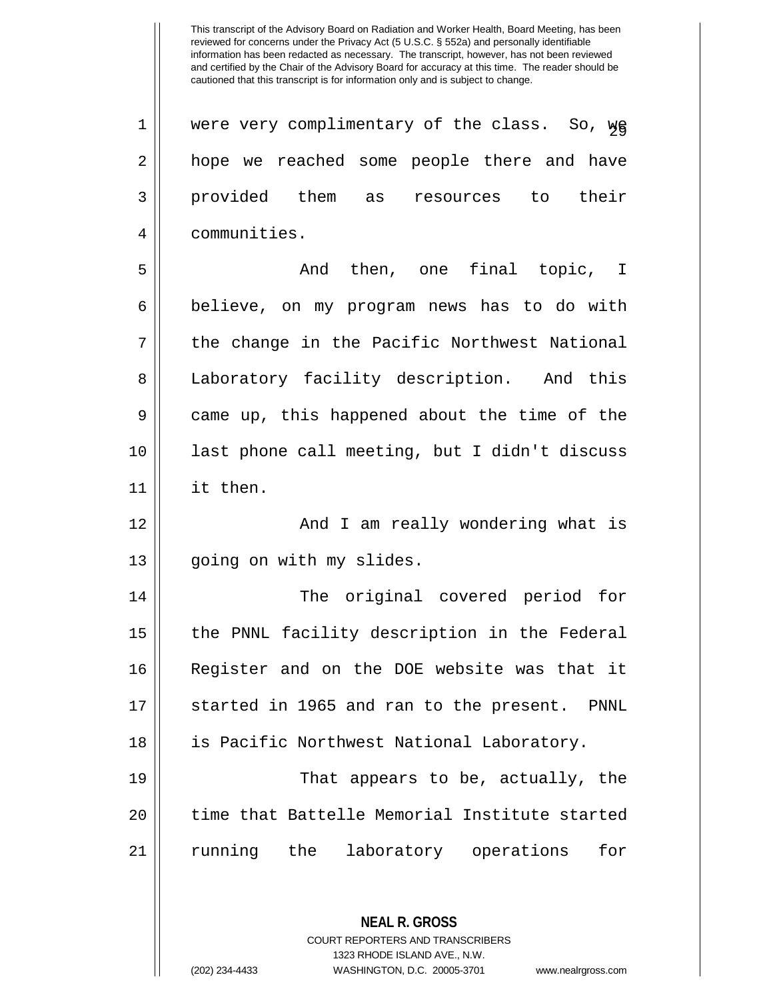**NEAL R. GROSS** 1 || were very complimentary of the class. So,  $wg$ 2 || hope we reached some people there and have 3 provided them as resources to their 4 communities. 5 And then, one final topic, I 6 believe, on my program news has to do with 7 || the change in the Pacific Northwest National 8 || Laboratory facility description. And this 9 came up, this happened about the time of the 10 last phone call meeting, but I didn't discuss 11 it then. 12 || And I am really wondering what is 13 | going on with my slides. 14 || The original covered period for 15 || the PNNL facility description in the Federal 16 Register and on the DOE website was that it 17 || started in 1965 and ran to the present. PNNL 18 || is Pacific Northwest National Laboratory. 19 That appears to be, actually, the 20 || time that Battelle Memorial Institute started 21 || running the laboratory operations for

> COURT REPORTERS AND TRANSCRIBERS 1323 RHODE ISLAND AVE., N.W.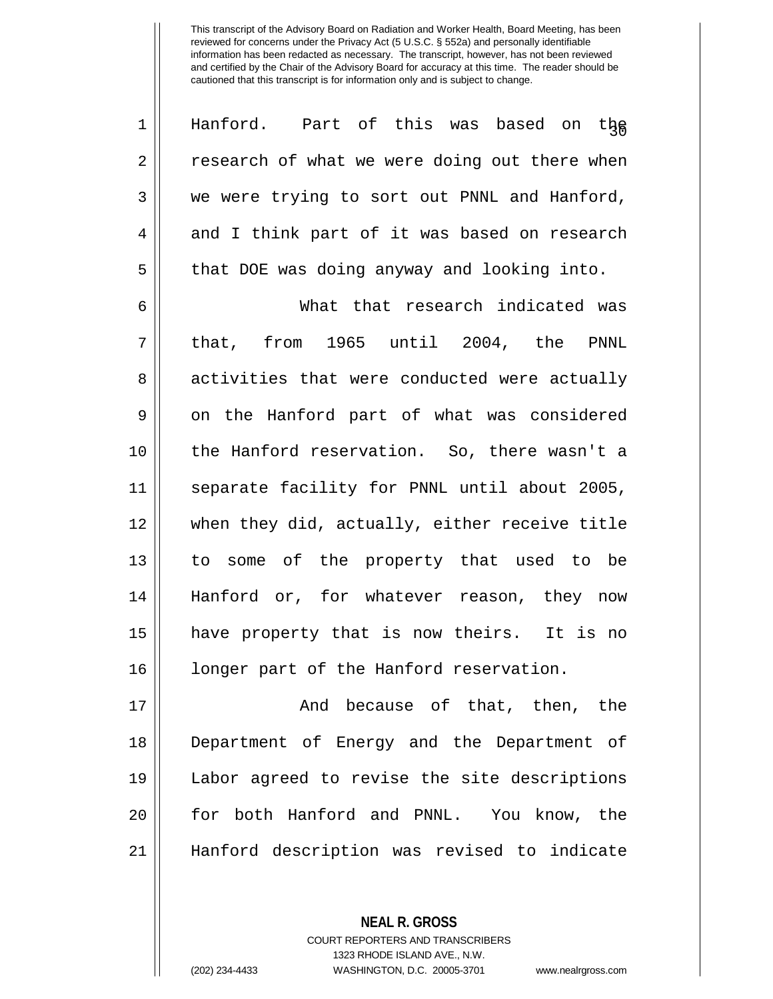| $\mathbf 1$    | Hanford. Part of this was based on the        |
|----------------|-----------------------------------------------|
| $\overline{2}$ | research of what we were doing out there when |
| 3              | we were trying to sort out PNNL and Hanford,  |
| $\overline{4}$ | and I think part of it was based on research  |
| 5              | that DOE was doing anyway and looking into.   |
| 6              | What that research indicated was              |
| 7              | that, from 1965 until 2004, the PNNL          |
| 8              | activities that were conducted were actually  |
| 9              | on the Hanford part of what was considered    |
| 10             | the Hanford reservation. So, there wasn't a   |
| 11             | separate facility for PNNL until about 2005,  |
| 12             | when they did, actually, either receive title |
| 13             | to some of the property that used to be       |
| 14             | Hanford or, for whatever reason, they now     |

 have property that is now theirs. It is no 16 | longer part of the Hanford reservation.

 And because of that, then, the Department of Energy and the Department of Labor agreed to revise the site descriptions for both Hanford and PNNL. You know, the Hanford description was revised to indicate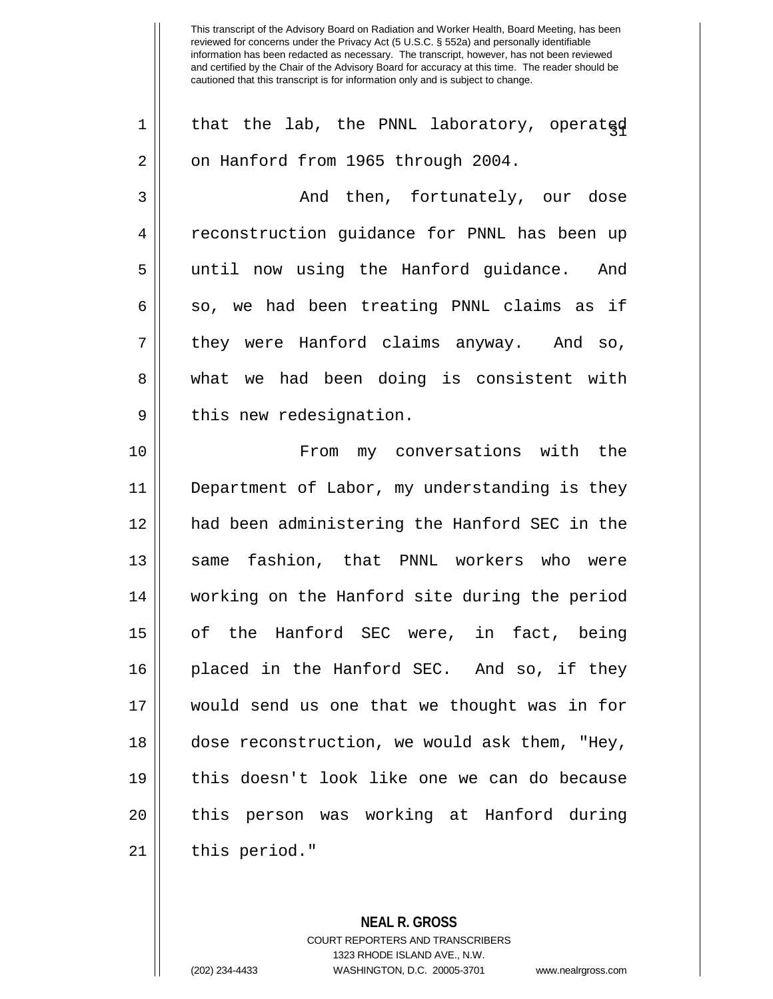$1 ||$  that the lab, the PNNL laboratory, operated 2 | on Hanford from 1965 through 2004. 3 And then, fortunately, our dose 4 | reconstruction quidance for PNNL has been up 5 || until now using the Hanford guidance. And  $6 \parallel$  so, we had been treating PNNL claims as if 7 || they were Hanford claims anyway. And so, 8 || what we had been doing is consistent with  $9 \parallel$  this new redesignation. 10 || Trom my conversations with the 11 Department of Labor, my understanding is they

 had been administering the Hanford SEC in the 13 || same fashion, that PNNL workers who were working on the Hanford site during the period of the Hanford SEC were, in fact, being placed in the Hanford SEC. And so, if they would send us one that we thought was in for dose reconstruction, we would ask them, "Hey, this doesn't look like one we can do because 20 || this person was working at Hanford during | this period."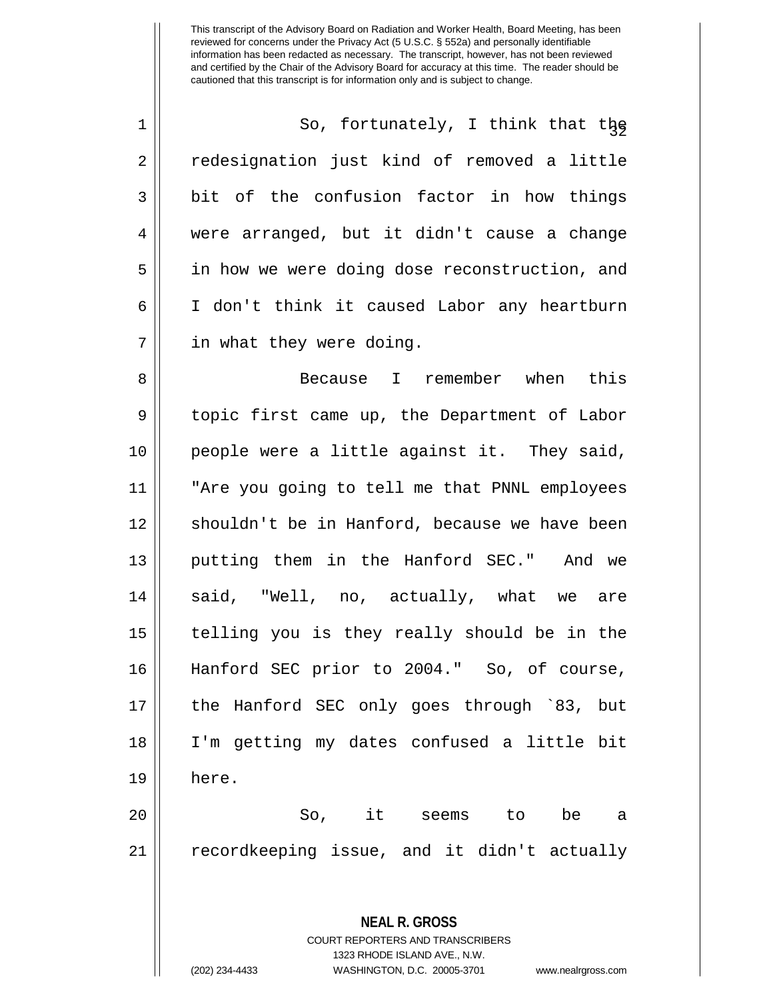| $\mathbf 1$    | So, fortunately, I think that the             |
|----------------|-----------------------------------------------|
| $\overline{2}$ | redesignation just kind of removed a little   |
| 3              | bit of the confusion factor in how things     |
| 4              | were arranged, but it didn't cause a change   |
| 5              | in how we were doing dose reconstruction, and |
| 6              | I don't think it caused Labor any heartburn   |
| 7              | in what they were doing.                      |
| 8              | Because I remember when this                  |
| 9              | topic first came up, the Department of Labor  |
| 10             | people were a little against it. They said,   |
| 11             | "Are you going to tell me that PNNL employees |
| 12             | shouldn't be in Hanford, because we have been |
| 13             | putting them in the Hanford SEC." And we      |
| 14             | said, "Well, no, actually, what we are        |
| 15             | telling you is they really should be in the   |
| 16             | Hanford SEC prior to 2004." So, of course,    |
| 17             | the Hanford SEC only goes through `83, but    |
| 18             | I'm getting my dates confused a little bit    |
| 19             | here.                                         |
| 20             | So, it seems<br>be<br>to<br>а                 |
| 21             | recordkeeping issue, and it didn't actually   |
|                |                                               |
|                |                                               |

**NEAL R. GROSS** COURT REPORTERS AND TRANSCRIBERS 1323 RHODE ISLAND AVE., N.W.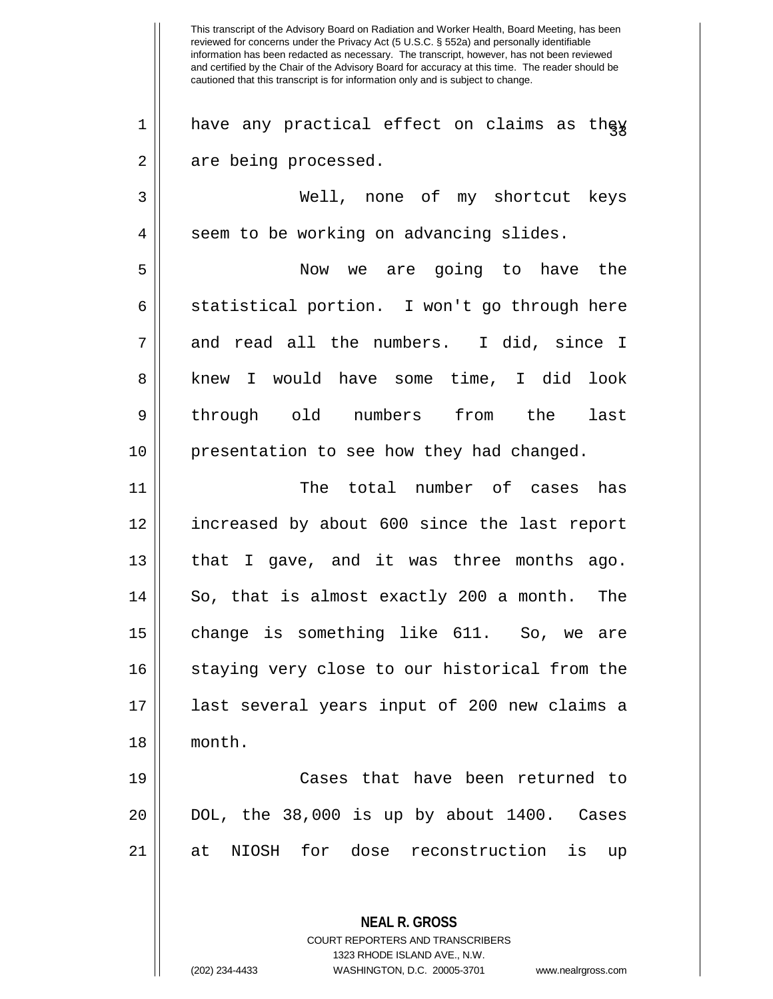This transcript of the Advisory Board on Radiation and Worker Health, Board Meeting, has been reviewed for concerns under the Privacy Act (5 U.S.C. § 552a) and personally identifiable information has been redacted as necessary. The transcript, however, has not been reviewed and certified by the Chair of the Advisory Board for accuracy at this time. The reader should be cautioned that this transcript is for information only and is subject to change. **NEAL R. GROSS** COURT REPORTERS AND TRANSCRIBERS 1323 RHODE ISLAND AVE., N.W.  $1 ||$  have any practical effect on claims as they 2 || are being processed. 3 Well, none of my shortcut keys 4 | seem to be working on advancing slides. 5 Now we are going to have the  $6 \parallel$  statistical portion. I won't go through here 7 and read all the numbers. I did, since I 8 || knew I would have some time, I did look 9 || through old numbers from the last 10 || presentation to see how they had changed. 11 The total number of cases has 12 increased by about 600 since the last report 13 that I gave, and it was three months ago. 14 || So, that is almost exactly 200 a month. The 15 || change is something like 611. So, we are 16 || staying very close to our historical from the 17 last several years input of 200 new claims a 18 month. 19 Cases that have been returned to  $20$  || DOL, the 38,000 is up by about 1400. Cases 21 at NIOSH for dose reconstruction is up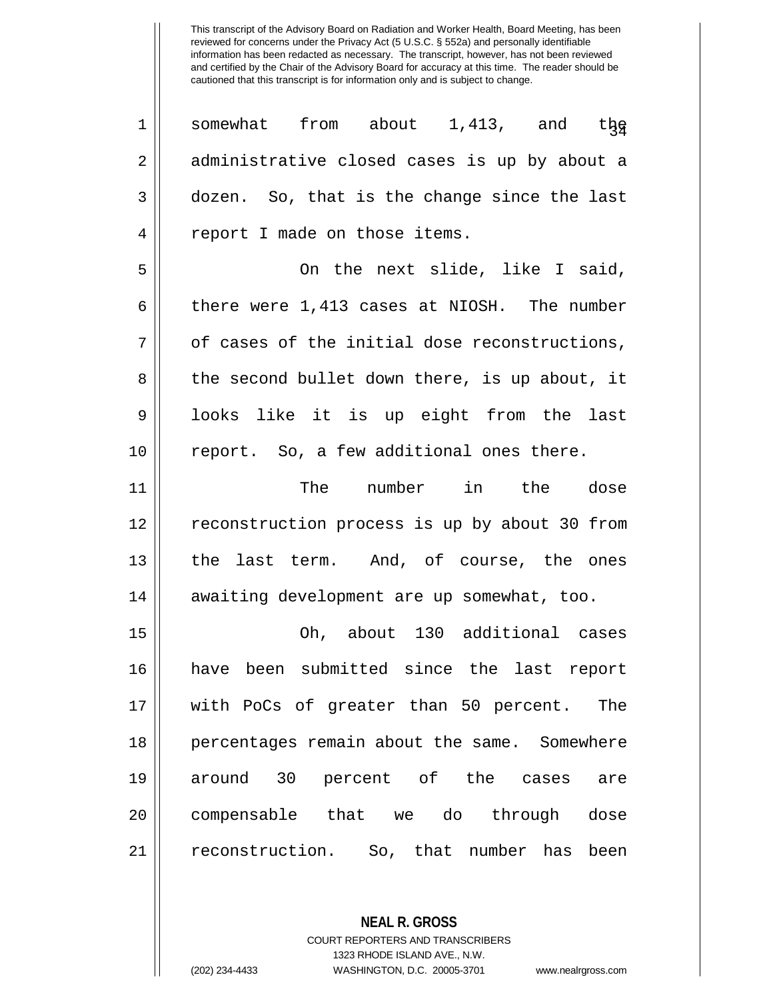| $\mathbf 1$    | somewhat from about 1,413, and<br>thg         |
|----------------|-----------------------------------------------|
| 2              | administrative closed cases is up by about a  |
| 3              | dozen. So, that is the change since the last  |
| $\overline{4}$ | report I made on those items.                 |
| 5              | On the next slide, like I said,               |
| 6              | there were 1,413 cases at NIOSH. The number   |
| 7              | of cases of the initial dose reconstructions, |
| 8              | the second bullet down there, is up about, it |
| 9              | looks like it is up eight from the last       |
| 10             | report. So, a few additional ones there.      |
| 11             | The number in the dose                        |
| 12             | reconstruction process is up by about 30 from |
| 13             | the last term. And, of course, the ones       |
| 14             | awaiting development are up somewhat, too.    |
| 15             | Oh, about 130 additional cases                |
| 16             | have been submitted since the last report     |
| 17             | with PoCs of greater than 50 percent. The     |
| 18             | percentages remain about the same. Somewhere  |
| 19             | around 30 percent of the cases<br>are         |
| 20             | compensable that we do through dose           |
| 21             | reconstruction. So, that number has been      |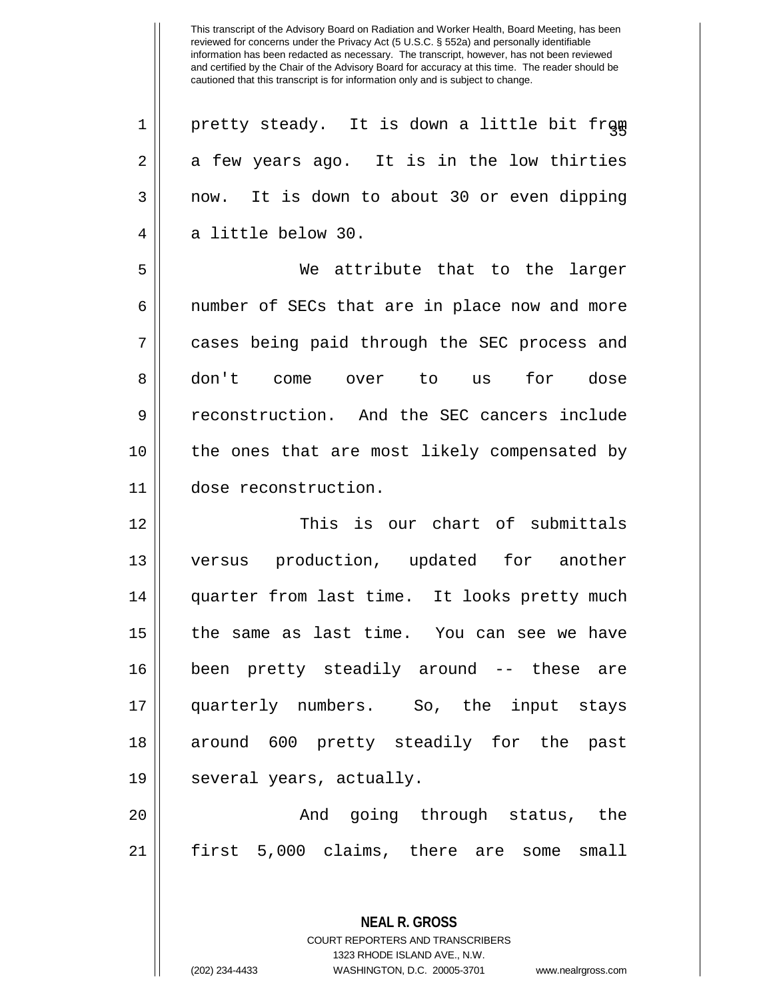$1 ||$  pretty steady. It is down a little bit from  $2 \parallel$  a few years ago. It is in the low thirties 3 || now. It is down to about 30 or even dipping 4 || a little below 30.

 We attribute that to the larger 6 || number of SECs that are in place now and more cases being paid through the SEC process and 8|| don't come over to us for dose reconstruction. And the SEC cancers include the ones that are most likely compensated by dose reconstruction.

 This is our chart of submittals versus production, updated for another 14 quarter from last time. It looks pretty much 15 || the same as last time. You can see we have been pretty steadily around -- these are quarterly numbers. So, the input stays around 600 pretty steadily for the past 19 || several years, actually.

20 And going through status, the 21 first 5,000 claims, there are some small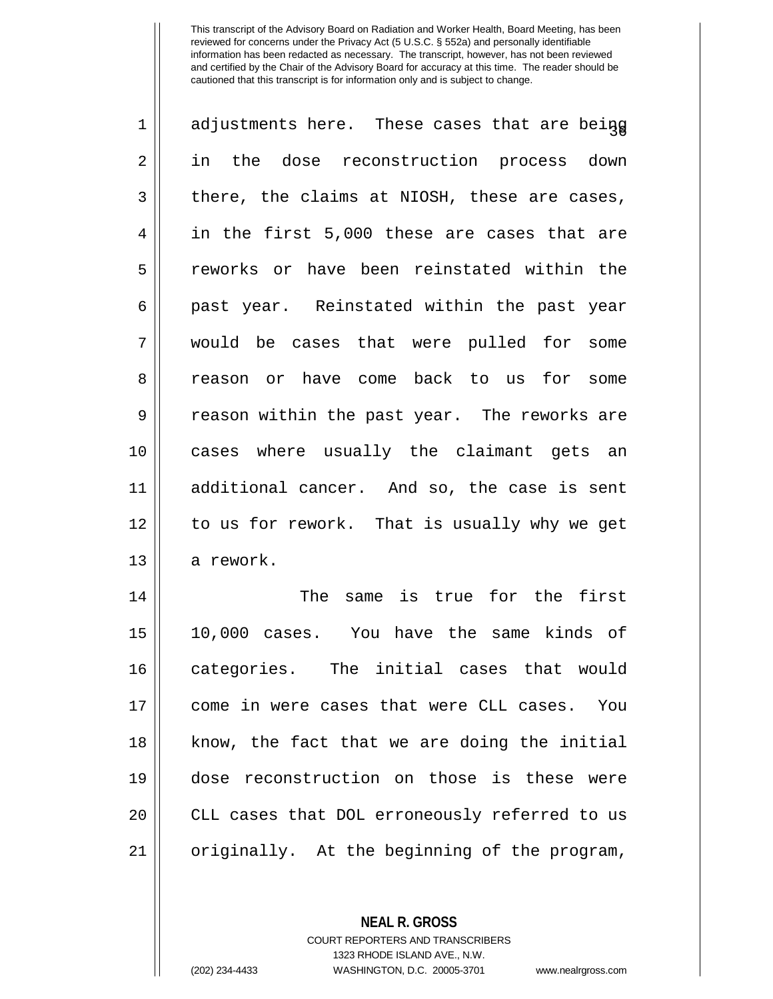| $\mathbf 1$    | adjustments here. These cases that are being  |
|----------------|-----------------------------------------------|
| $\overline{2}$ | in the dose reconstruction process down       |
| $\mathfrak{Z}$ | there, the claims at NIOSH, these are cases,  |
| 4              | in the first 5,000 these are cases that are   |
| 5              | reworks or have been reinstated within the    |
| $\sigma$       | past year. Reinstated within the past year    |
| 7              | would be cases that were pulled for some      |
| 8              | reason or have come back to us for<br>some    |
| 9              | reason within the past year. The reworks are  |
| 10             | cases where usually the claimant gets an      |
| 11             | additional cancer. And so, the case is sent   |
| 12             | to us for rework. That is usually why we get  |
| 13             | a rework.                                     |
| 14             | same is true for the first<br>The             |
| 15             | 10,000 cases. You have the same kinds of      |
| 16             | categories. The initial cases that would      |
| 17             | come in were cases that were CLL cases. You   |
| 18             | know, the fact that we are doing the initial  |
| 19             | dose reconstruction on those is these were    |
| 20             | CLL cases that DOL erroneously referred to us |
| 21             | originally. At the beginning of the program,  |

**NEAL R. GROSS** COURT REPORTERS AND TRANSCRIBERS 1323 RHODE ISLAND AVE., N.W.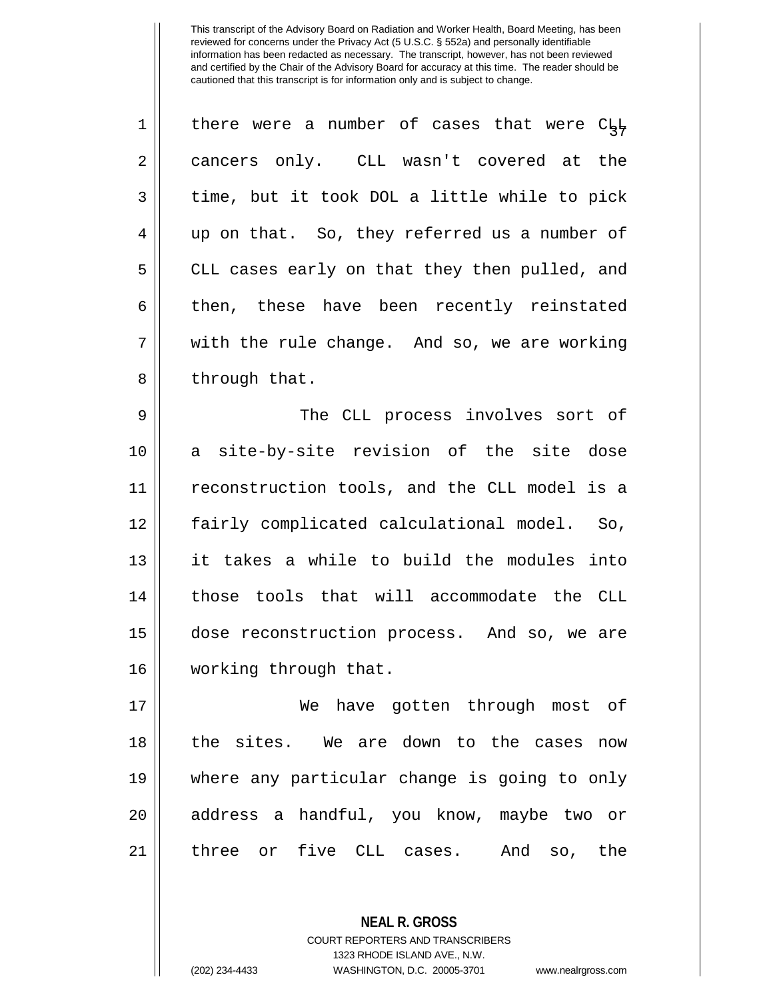| $\mathbf 1$ | there were a number of cases that were CLL    |
|-------------|-----------------------------------------------|
| 2           | cancers only. CLL wasn't covered at the       |
| 3           | time, but it took DOL a little while to pick  |
| 4           | up on that. So, they referred us a number of  |
| 5           | CLL cases early on that they then pulled, and |
| 6           | then, these have been recently reinstated     |
| 7           | with the rule change. And so, we are working  |
| 8           | through that.                                 |
| 9           | The CLL process involves sort of              |
| 10          | a site-by-site revision of the site dose      |
| 11          | reconstruction tools, and the CLL model is a  |
| 12          | fairly complicated calculational model. So,   |
| 13          | it takes a while to build the modules into    |
| 14          | those tools that will accommodate the CLL     |
| 15          | dose reconstruction process. And so, we are   |
| 16          | working through that.                         |
| 17          | We have gotten through most of                |
| 18          | the sites. We are down to the cases now       |
| 19          | where any particular change is going to only  |
| 20          | address a handful, you know, maybe two or     |
| 21          | three or five CLL cases. And so, the          |

**NEAL R. GROSS** COURT REPORTERS AND TRANSCRIBERS 1323 RHODE ISLAND AVE., N.W.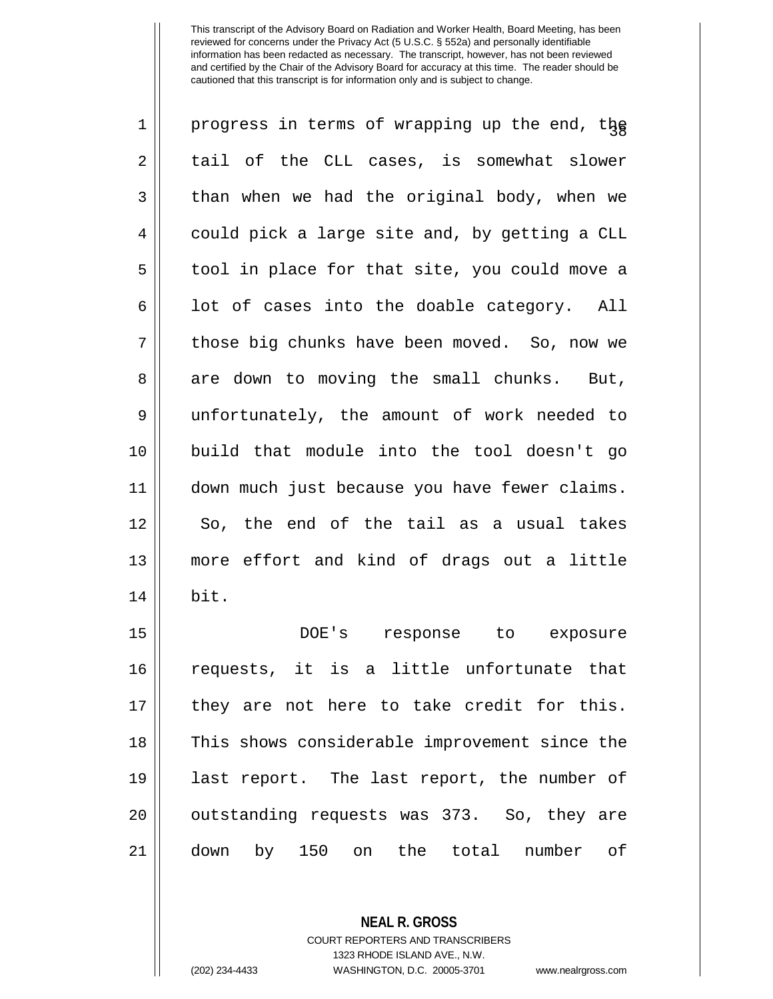| $\mathbf 1$    | progress in terms of wrapping up the end, the |
|----------------|-----------------------------------------------|
| $\overline{2}$ | tail of the CLL cases, is somewhat slower     |
| 3              | than when we had the original body, when we   |
| $\overline{4}$ | could pick a large site and, by getting a CLL |
| 5              | tool in place for that site, you could move a |
| б              | lot of cases into the doable category. All    |
| 7              | those big chunks have been moved. So, now we  |
| 8              | are down to moving the small chunks. But,     |
| 9              | unfortunately, the amount of work needed to   |
| 10             | build that module into the tool doesn't go    |
| 11             | down much just because you have fewer claims. |
| 12             | So, the end of the tail as a usual takes      |
| 13             | more effort and kind of drags out a little    |
| 14             | bit.                                          |
| 15             | DOE's response to exposure                    |
| 16             | requests, it is a little unfortunate that     |
| 17             | they are not here to take credit for this.    |
| 18             | This shows considerable improvement since the |
| 19             | last report. The last report, the number of   |
| 20             | outstanding requests was 373. So, they are    |
| 21             | down by 150 on the total number of            |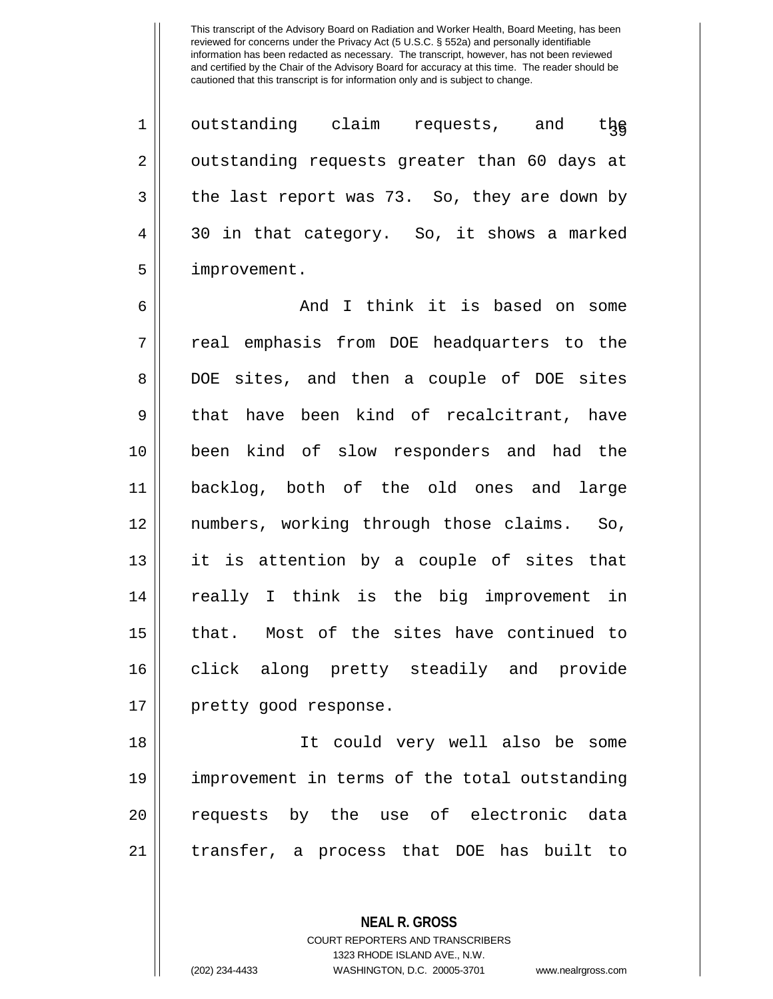$1 \parallel$  outstanding claim requests, and the 2 || outstanding requests greater than 60 days at  $3 \parallel$  the last report was 73. So, they are down by  $4 \parallel 30$  in that category. So, it shows a marked 5 | improvement.

6 And I think it is based on some 7 real emphasis from DOE headquarters to the 8 ODE sites, and then a couple of DOE sites 9 || that have been kind of recalcitrant, have 10 been kind of slow responders and had the 11 backlog, both of the old ones and large 12 numbers, working through those claims. So, 13 it is attention by a couple of sites that 14 || really I think is the big improvement in 15 that. Most of the sites have continued to 16 click along pretty steadily and provide 17 || pretty good response.

 It could very well also be some improvement in terms of the total outstanding requests by the use of electronic data transfer, a process that DOE has built to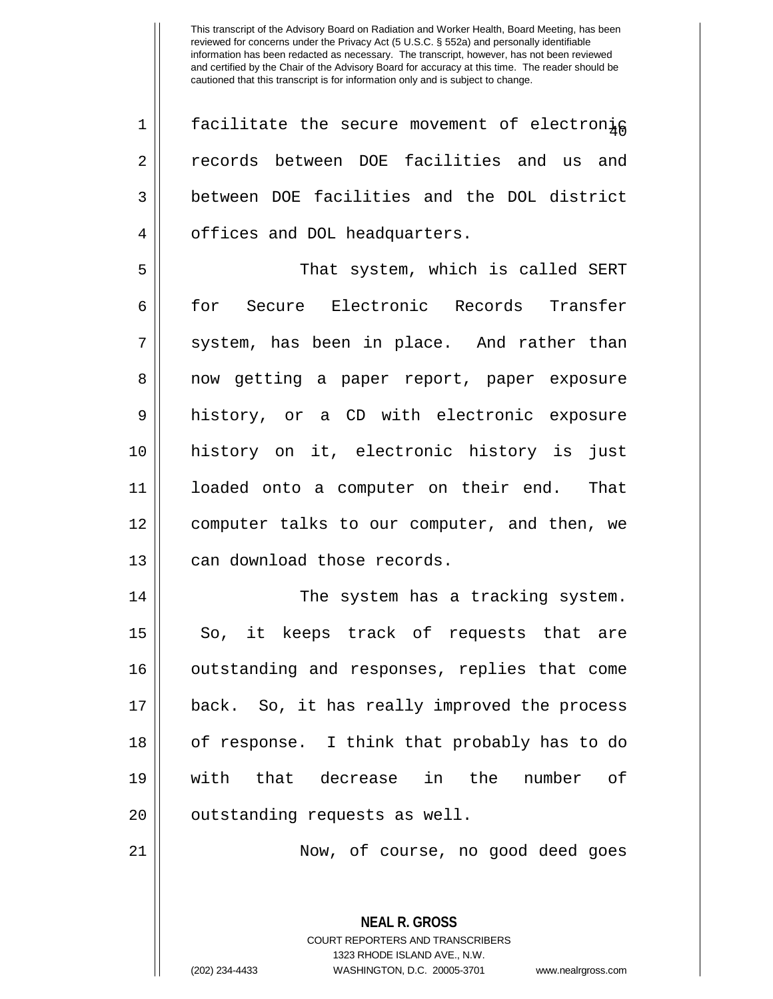$1 \parallel$  facilitate the secure movement of electronig 2 records between DOE facilities and us and 3 between DOE facilities and the DOL district 4 | offices and DOL headquarters.

5 That system, which is called SERT 6 for Secure Electronic Records Transfer 7 || system, has been in place. And rather than 8 || now getting a paper report, paper exposure 9 history, or a CD with electronic exposure 10 history on it, electronic history is just 11 loaded onto a computer on their end. That 12 computer talks to our computer, and then, we 13 || can download those records.

14 || The system has a tracking system. 15 || So, it keeps track of requests that are 16 || outstanding and responses, replies that come 17 back. So, it has really improved the process 18 || of response. I think that probably has to do 19 with that decrease in the number of 20 || outstanding requests as well.

21 Now, of course, no good deed goes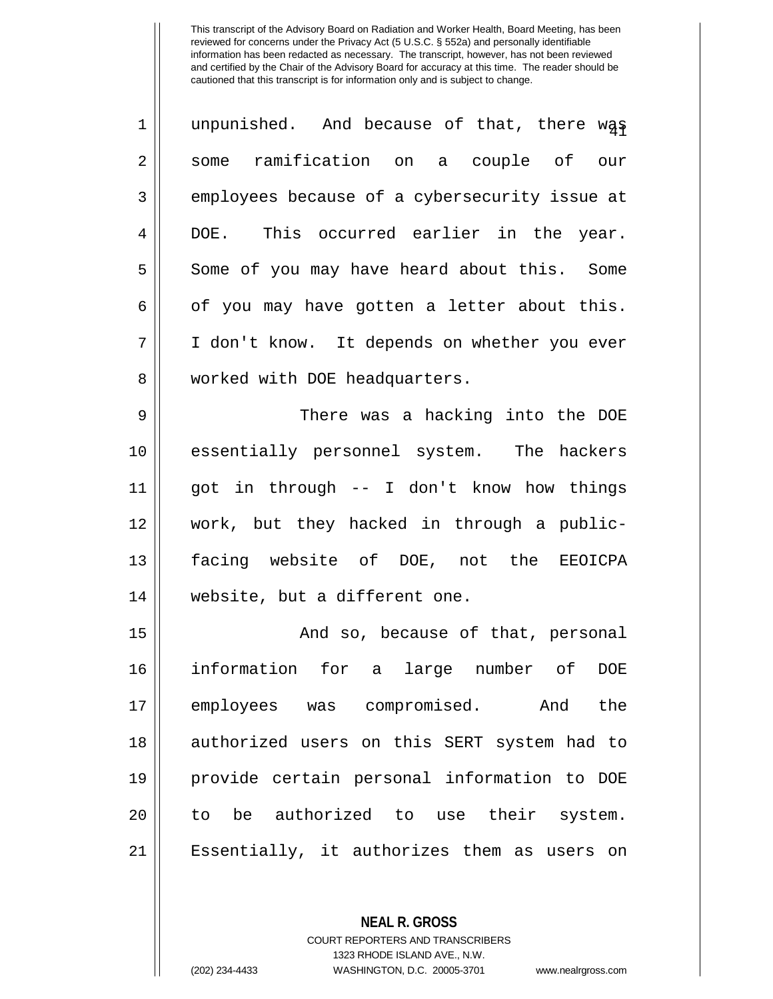| $\mathbf 1$    | unpunished. And because of that, there was    |
|----------------|-----------------------------------------------|
| $\overline{2}$ | some ramification on a couple of our          |
| $\mathbf{3}$   | employees because of a cybersecurity issue at |
| $\overline{4}$ | DOE. This occurred earlier in the year.       |
| 5              | Some of you may have heard about this. Some   |
| 6              | of you may have gotten a letter about this.   |
| 7              | I don't know. It depends on whether you ever  |
| 8              | worked with DOE headquarters.                 |
| 9              | There was a hacking into the DOE              |
| 10             | essentially personnel system. The hackers     |
| 11             | got in through -- I don't know how things     |
| 12             | work, but they hacked in through a public-    |
| 13             | facing website of DOE, not the EEOICPA        |
| 14             | website, but a different one.                 |
| 15             | And so, because of that, personal             |
| 16             | information for a large number of DOE         |
| 17             | employees was compromised. And<br>the         |
| 18             | authorized users on this SERT system had to   |
| 19             | provide certain personal information to DOE   |
| 20             | to be authorized to use their system.         |
| 21             | Essentially, it authorizes them as users on   |

COURT REPORTERS AND TRANSCRIBERS 1323 RHODE ISLAND AVE., N.W.

**NEAL R. GROSS**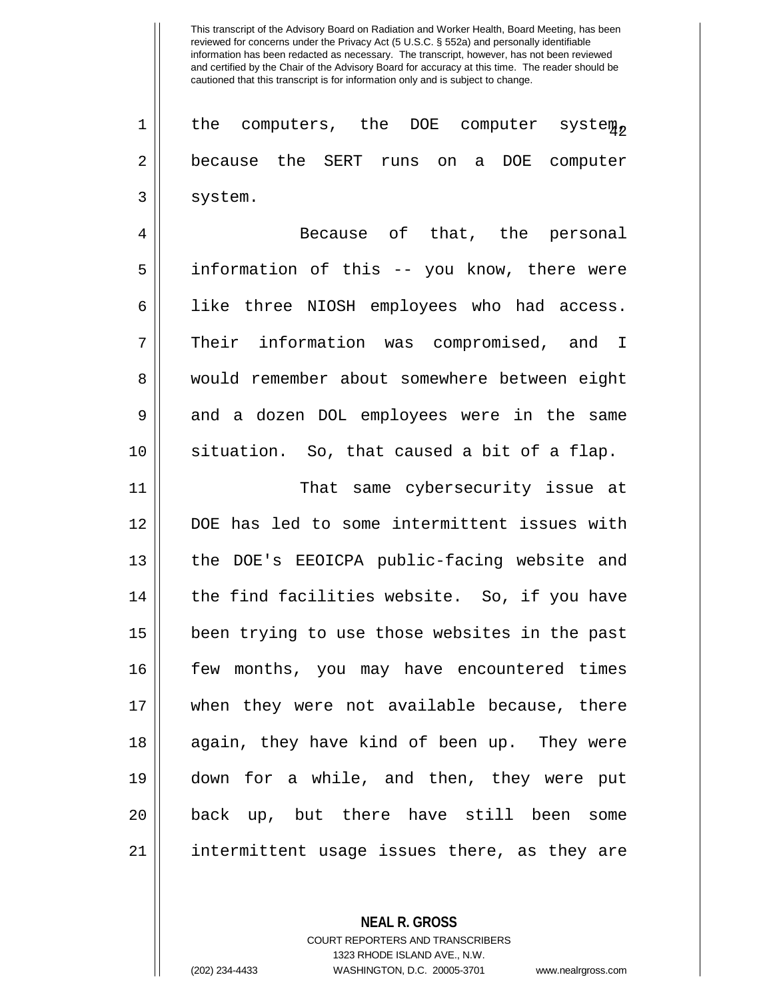1 || the computers, the DOE computer system<sub>2</sub> 2 || because the SERT runs on a DOE computer  $3 \parallel$  system.

4 || Because of that, the personal 5 || information of this -- you know, there were 6 || like three NIOSH employees who had access. 7 || Their information was compromised, and I 8 || would remember about somewhere between eight 9 and a dozen DOL employees were in the same 10 situation. So, that caused a bit of a flap.

 That same cybersecurity issue at DOE has led to some intermittent issues with 13 || the DOE's EEOICPA public-facing website and 14 || the find facilities website. So, if you have been trying to use those websites in the past few months, you may have encountered times when they were not available because, there 18 || again, they have kind of been up. They were down for a while, and then, they were put back up, but there have still been some 21 || intermittent usage issues there, as they are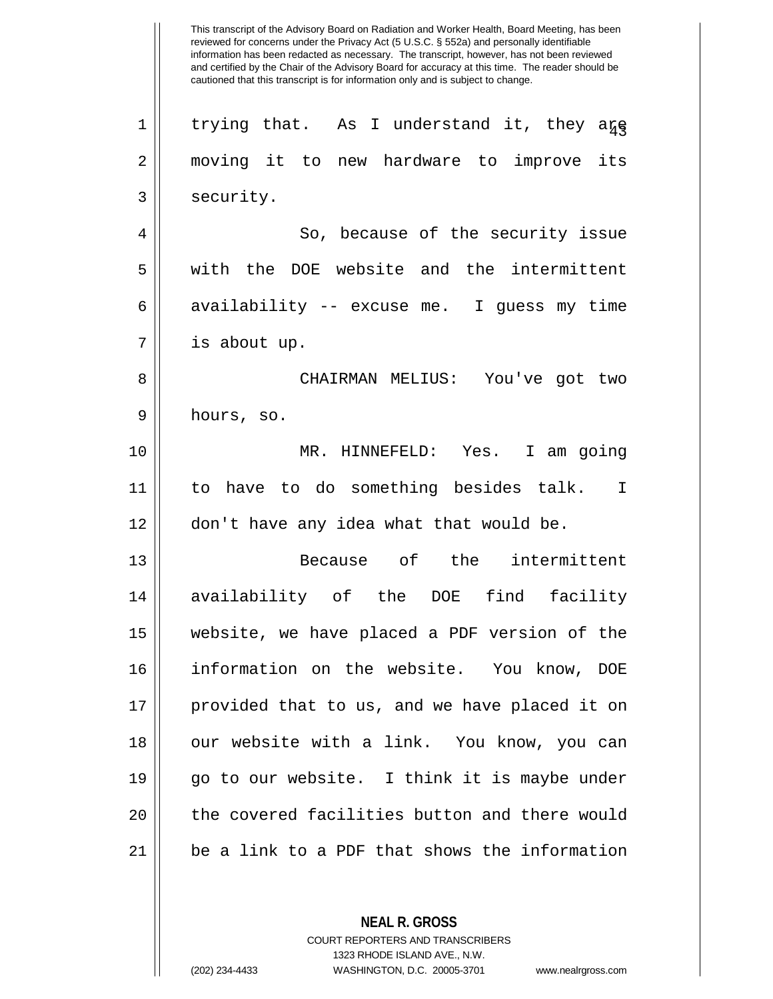This transcript of the Advisory Board on Radiation and Worker Health, Board Meeting, has been reviewed for concerns under the Privacy Act (5 U.S.C. § 552a) and personally identifiable information has been redacted as necessary. The transcript, however, has not been reviewed and certified by the Chair of the Advisory Board for accuracy at this time. The reader should be cautioned that this transcript is for information only and is subject to change.  $1 ||$  trying that. As I understand it, they a $q_{\xi}$ 2 moving it to new hardware to improve its 3 | security. 4 | So, because of the security issue 5 || with the DOE website and the intermittent 6 availability -- excuse me. I guess my time 7 is about up. 8 CHAIRMAN MELIUS: You've got two  $9 \parallel$  hours, so. 10 MR. HINNEFELD: Yes. I am going 11 to have to do something besides talk. I 12 don't have any idea what that would be. 13 Because of the intermittent 14 availability of the DOE find facility 15 website, we have placed a PDF version of the 16 information on the website. You know, DOE 17 provided that to us, and we have placed it on 18 || our website with a link. You know, you can  $19$  | qo to our website. I think it is maybe under 20 || the covered facilities button and there would 21 be a link to a PDF that shows the information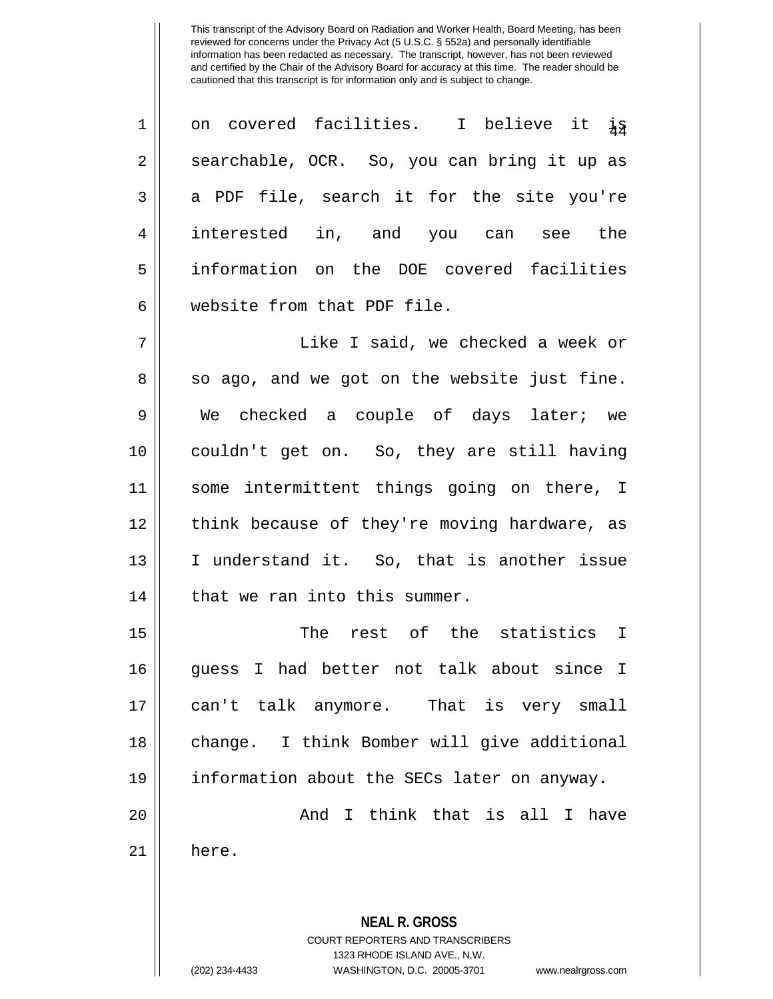$1 \parallel$  on covered facilities. I believe it  $\frac{1}{4}$ 2 || searchable, OCR. So, you can bring it up as 3 a PDF file, search it for the site you're 4 interested in, and you can see the 5 information on the DOE covered facilities 6 website from that PDF file.

 Like I said, we checked a week or  $8 \parallel$  so ago, and we got on the website just fine. We checked a couple of days later; we couldn't get on. So, they are still having some intermittent things going on there, I think because of they're moving hardware, as 13 || I understand it. So, that is another issue | that we ran into this summer.

 The rest of the statistics I guess I had better not talk about since I can't talk anymore. That is very small 18 || change. I think Bomber will give additional information about the SECs later on anyway. And I think that is all I have  $21$  here.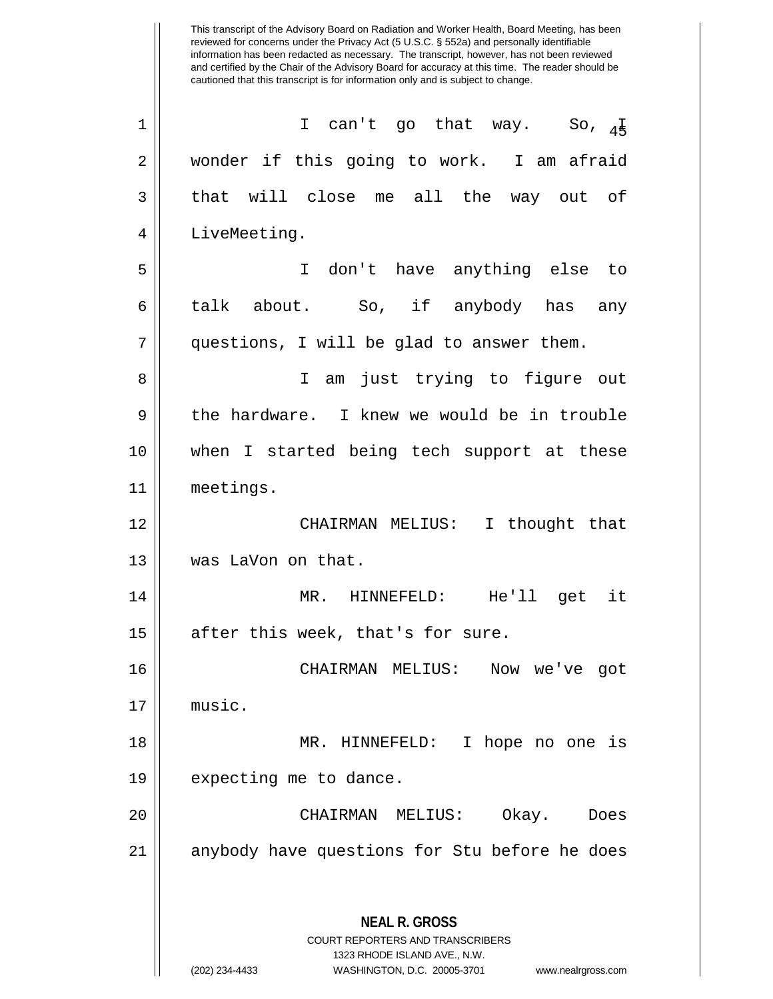This transcript of the Advisory Board on Radiation and Worker Health, Board Meeting, has been reviewed for concerns under the Privacy Act (5 U.S.C. § 552a) and personally identifiable information has been redacted as necessary. The transcript, however, has not been reviewed and certified by the Chair of the Advisory Board for accuracy at this time. The reader should be cautioned that this transcript is for information only and is subject to change. **NEAL R. GROSS** COURT REPORTERS AND TRANSCRIBERS 1323 RHODE ISLAND AVE., N.W. (202) 234-4433 WASHINGTON, D.C. 20005-3701 www.nealrgross.com  $\begin{array}{ccc} \hbox{\small\it 1}\end{array}$   $\begin{array}{ccc} \hbox{\small\it 1}\end{array}$   $\begin{array}{ccc} \hbox{\small\it 1}\end{array}$   $\begin{array}{ccc} \hbox{\small \it 1}\end{array}$   $\begin{array}{ccc} \hbox{\small \it 1}\end{array}$   $\begin{array}{ccc} \hbox{\small \it 1}\end{array}$   $\begin{array}{ccc} \hbox{\small \it 1}\end{array}$   $\begin{array}{ccc} \hbox{\small \it 1}\end{array}$ 2 | wonder if this going to work. I am afraid 3 that will close me all the way out of 4 | LiveMeeting. 5 I don't have anything else to 6 || talk about. So, if anybody has any 7 questions, I will be glad to answer them. 8 || I am just trying to figure out 9 the hardware. I knew we would be in trouble 10 when I started being tech support at these 11 meetings. 12 CHAIRMAN MELIUS: I thought that 13 || was LaVon on that. 14 MR. HINNEFELD: He'll get it  $15$  || after this week, that's for sure. 16 CHAIRMAN MELIUS: Now we've got 17 music. 18 MR. HINNEFELD: I hope no one is 19 | expecting me to dance. 20 CHAIRMAN MELIUS: Okay. Does 21 || anybody have questions for Stu before he does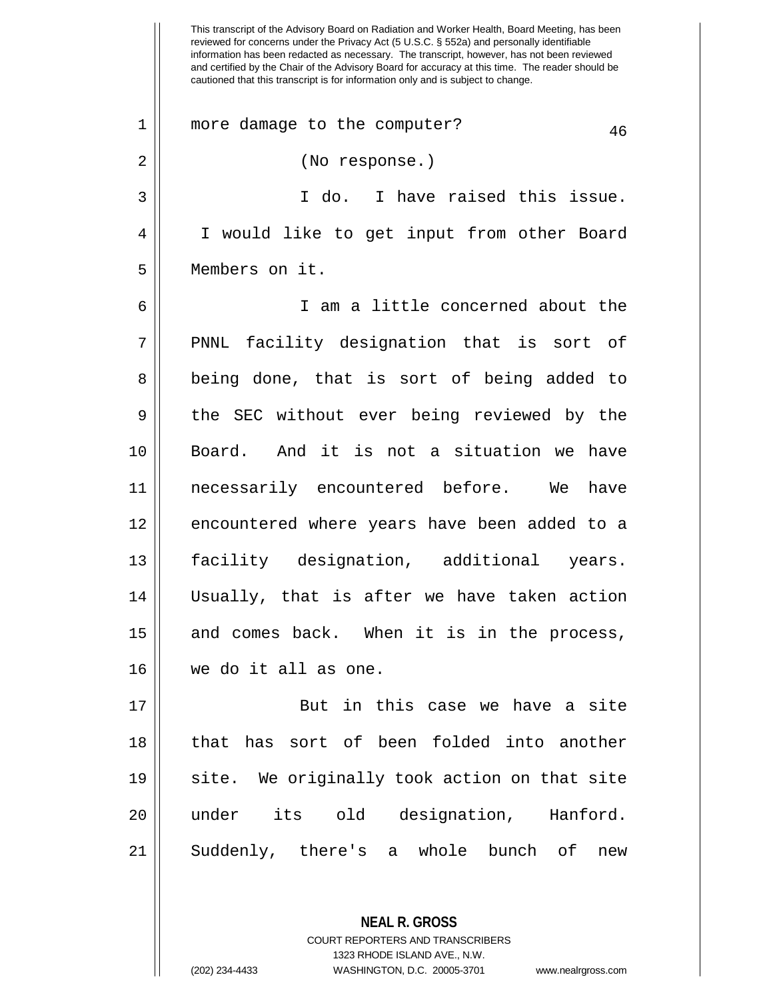This transcript of the Advisory Board on Radiation and Worker Health, Board Meeting, has been reviewed for concerns under the Privacy Act (5 U.S.C. § 552a) and personally identifiable information has been redacted as necessary. The transcript, however, has not been reviewed and certified by the Chair of the Advisory Board for accuracy at this time. The reader should be cautioned that this transcript is for information only and is subject to change.  $1 \parallel$  more damage to the computer?  $46$ 2 || (No response.) 3 I do. I have raised this issue. 4 I would like to get input from other Board 5 Members on it. 6 I am a little concerned about the 7 PNNL facility designation that is sort of 8 || being done, that is sort of being added to  $9 \parallel$  the SEC without ever being reviewed by the 10 Board. And it is not a situation we have 11 necessarily encountered before. We have 12 encountered where years have been added to a 13 || facility designation, additional years. 14 Usually, that is after we have taken action 15 || and comes back. When it is in the process, 16 we do it all as one. 17 || But in this case we have a site 18 that has sort of been folded into another 19 || site. We originally took action on that site 20 under its old designation, Hanford. 21 || Suddenly, there's a whole bunch of new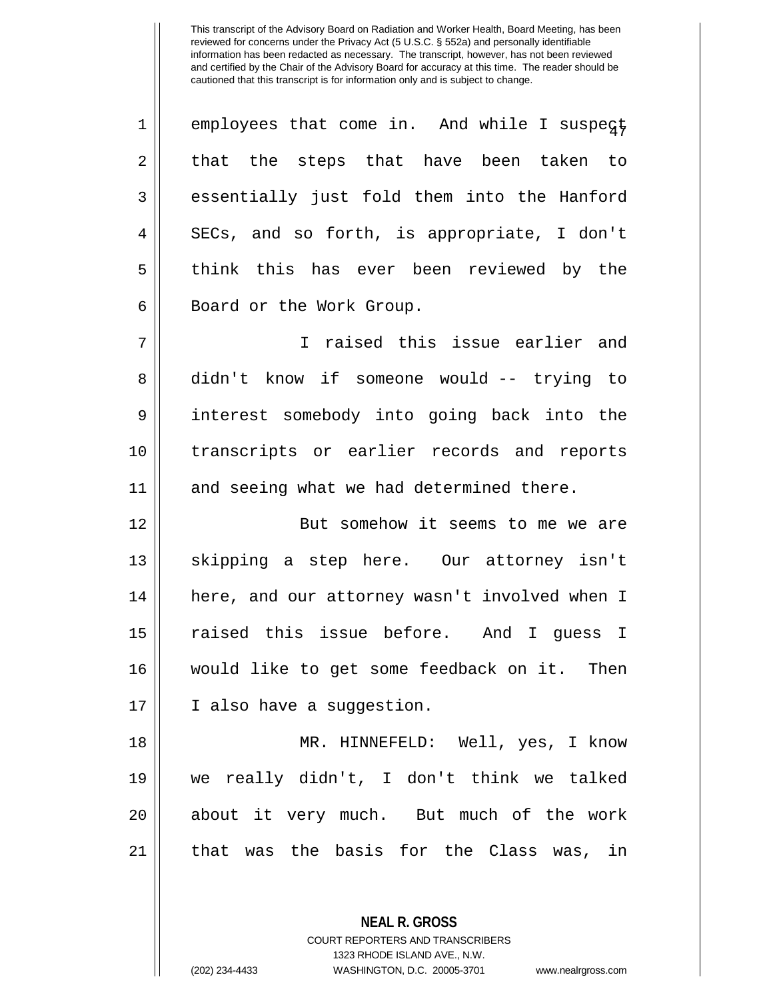1 || employees that come in. And while I suspect 2 || that the steps that have been taken to 3 || essentially just fold them into the Hanford 4 SECs, and so forth, is appropriate, I don't 5 || think this has ever been reviewed by the 6 || Board or the Work Group. 7 I raised this issue earlier and 8 | didn't know if someone would -- trying to 9 interest somebody into going back into the 10 transcripts or earlier records and reports 11 || and seeing what we had determined there. 12 || But somehow it seems to me we are 13 || skipping a step here. Our attorney isn't 14 || here, and our attorney wasn't involved when I 15 raised this issue before. And I guess I 16 would like to get some feedback on it. Then 17 || I also have a suggestion. 18 MR. HINNEFELD: Well, yes, I know 19 we really didn't, I don't think we talked 20 about it very much. But much of the work 21 || that was the basis for the Class was, in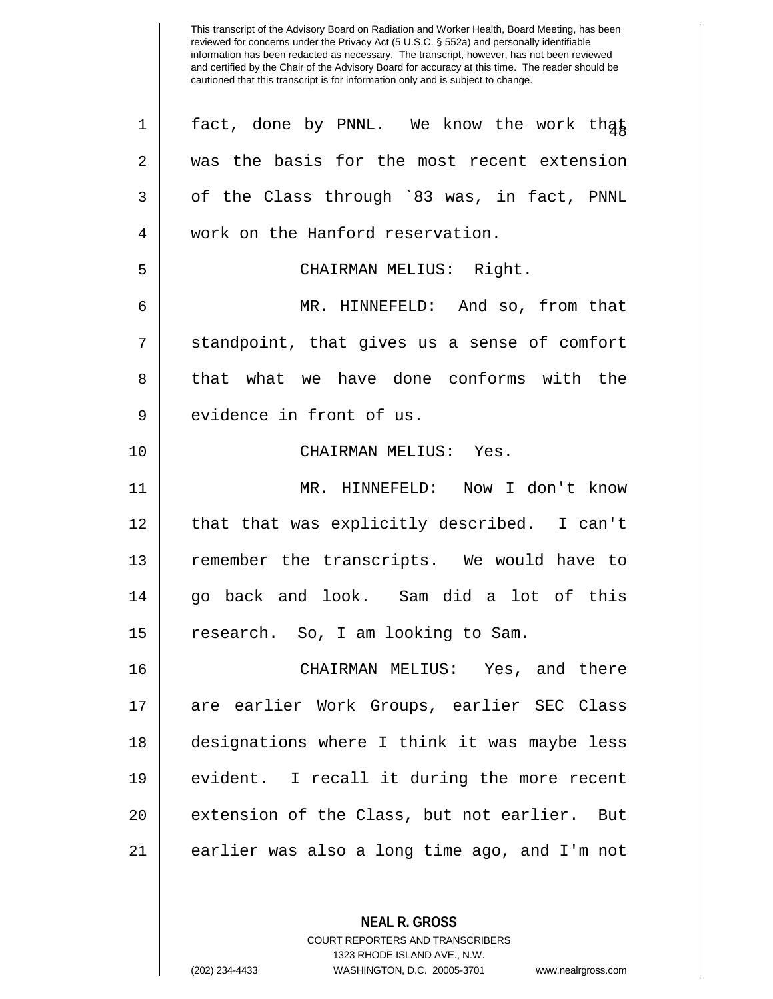1 || fact, done by PNNL. We know the work that 2 was the basis for the most recent extension  $3 \parallel$  of the Class through `83 was, in fact, PNNL 4 Work on the Hanford reservation. 5 CHAIRMAN MELIUS: Right. 6 MR. HINNEFELD: And so, from that 7 || standpoint, that gives us a sense of comfort 8 ll that what we have done conforms with the 9 evidence in front of us. 10 CHAIRMAN MELIUS: Yes. 11 MR. HINNEFELD: Now I don't know 12 that that was explicitly described. I can't 13 remember the transcripts. We would have to 14 || qo back and look. Sam did a lot of this 15 || research. So, I am looking to Sam. 16 CHAIRMAN MELIUS: Yes, and there 17 are earlier Work Groups, earlier SEC Class 18 designations where I think it was maybe less 19 evident. I recall it during the more recent 20 || extension of the Class, but not earlier. But 21 earlier was also a long time ago, and I'm not

> COURT REPORTERS AND TRANSCRIBERS 1323 RHODE ISLAND AVE., N.W.

**NEAL R. GROSS**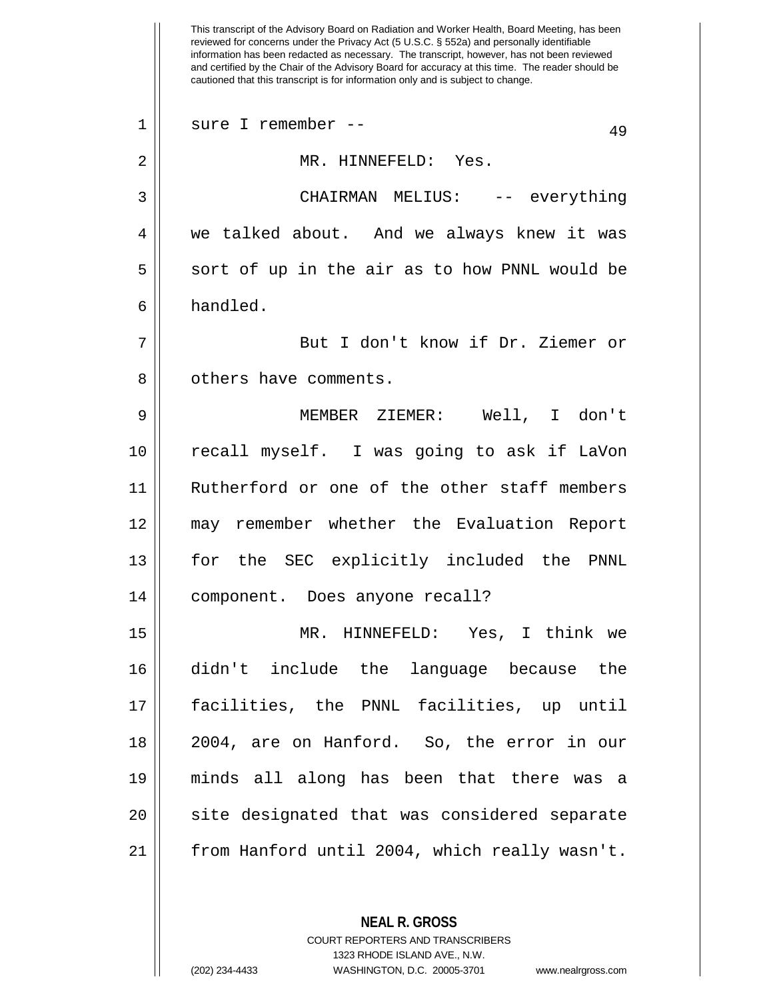This transcript of the Advisory Board on Radiation and Worker Health, Board Meeting, has been reviewed for concerns under the Privacy Act (5 U.S.C. § 552a) and personally identifiable information has been redacted as necessary. The transcript, however, has not been reviewed and certified by the Chair of the Advisory Board for accuracy at this time. The reader should be cautioned that this transcript is for information only and is subject to change. **NEAL R. GROSS**  $1 \parallel$  sure I remember --  $49$ 2 MR. HINNEFELD: Yes. 3 CHAIRMAN MELIUS: -- everything 4 we talked about. And we always knew it was  $5 \parallel$  sort of up in the air as to how PNNL would be 6 handled. 7 But I don't know if Dr. Ziemer or 8 ll others have comments. 9 MEMBER ZIEMER: Well, I don't 10 recall myself. I was going to ask if LaVon 11 Rutherford or one of the other staff members 12 may remember whether the Evaluation Report 13 for the SEC explicitly included the PNNL 14 component. Does anyone recall? 15 MR. HINNEFELD: Yes, I think we 16 didn't include the language because the 17 facilities, the PNNL facilities, up until 18 2004, are on Hanford. So, the error in our 19 minds all along has been that there was a 20 || site designated that was considered separate 21 from Hanford until 2004, which really wasn't.

> COURT REPORTERS AND TRANSCRIBERS 1323 RHODE ISLAND AVE., N.W.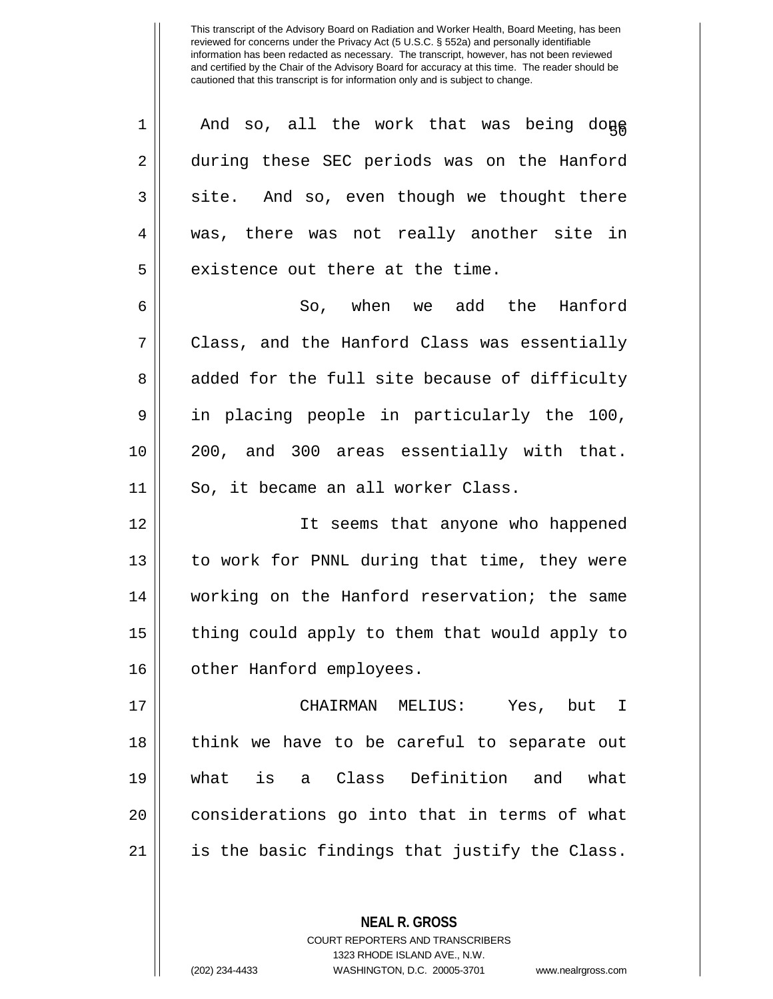$1 ||$  And so, all the work that was being dong 2 during these SEC periods was on the Hanford  $3 \parallel$  site. And so, even though we thought there 4 || was, there was not really another site in  $5$  | existence out there at the time. 6 So, when we add the Hanford 7 Class, and the Hanford Class was essentially 8 added for the full site because of difficulty 9 in placing people in particularly the 100, 10 200, and 300 areas essentially with that. 11 || So, it became an all worker Class. 12 || The seems that anyone who happened 13 || to work for PNNL during that time, they were 14 working on the Hanford reservation; the same 15 || thing could apply to them that would apply to 16 || other Hanford employees. 17 CHAIRMAN MELIUS: Yes, but I 18 || think we have to be careful to separate out 19 what is a Class Definition and what 20 || considerations go into that in terms of what 21 || is the basic findings that justify the Class.

> 1323 RHODE ISLAND AVE., N.W. (202) 234-4433 WASHINGTON, D.C. 20005-3701 www.nealrgross.com

**NEAL R. GROSS** COURT REPORTERS AND TRANSCRIBERS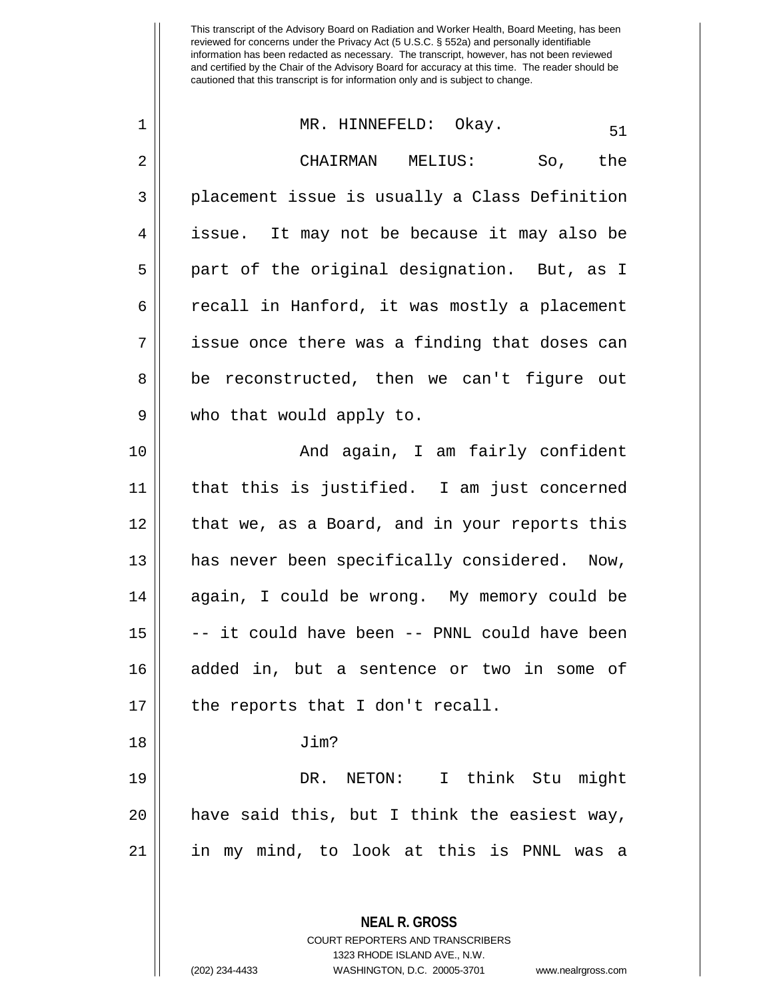| $\mathbf 1$ | MR. HINNEFELD: Okay.<br>51                                                                                                                                      |
|-------------|-----------------------------------------------------------------------------------------------------------------------------------------------------------------|
| 2           | CHAIRMAN MELIUS:<br>So, the                                                                                                                                     |
| 3           | placement issue is usually a Class Definition                                                                                                                   |
| 4           | issue. It may not be because it may also be                                                                                                                     |
| 5           | part of the original designation. But, as I                                                                                                                     |
| 6           | recall in Hanford, it was mostly a placement                                                                                                                    |
| 7           | issue once there was a finding that doses can                                                                                                                   |
| 8           | be reconstructed, then we can't figure out                                                                                                                      |
| 9           | who that would apply to.                                                                                                                                        |
| 10          | And again, I am fairly confident                                                                                                                                |
| 11          | that this is justified. I am just concerned                                                                                                                     |
| 12          | that we, as a Board, and in your reports this                                                                                                                   |
| 13          | has never been specifically considered. Now,                                                                                                                    |
| 14          | again, I could be wrong. My memory could be                                                                                                                     |
| 15          | -- it could have been -- PNNL could have been                                                                                                                   |
| 16          | added in, but a sentence or two in some of                                                                                                                      |
| 17          | the reports that I don't recall.                                                                                                                                |
| 18          | Jim?                                                                                                                                                            |
| 19          | NETON:<br>I think Stu might<br>DR.                                                                                                                              |
| 20          | have said this, but I think the easiest way,                                                                                                                    |
| 21          | in my mind, to look at this is PNNL was a                                                                                                                       |
|             | <b>NEAL R. GROSS</b><br>COURT REPORTERS AND TRANSCRIBERS<br>1323 RHODE ISLAND AVE., N.W.<br>(202) 234-4433<br>WASHINGTON, D.C. 20005-3701<br>www.nealrgross.com |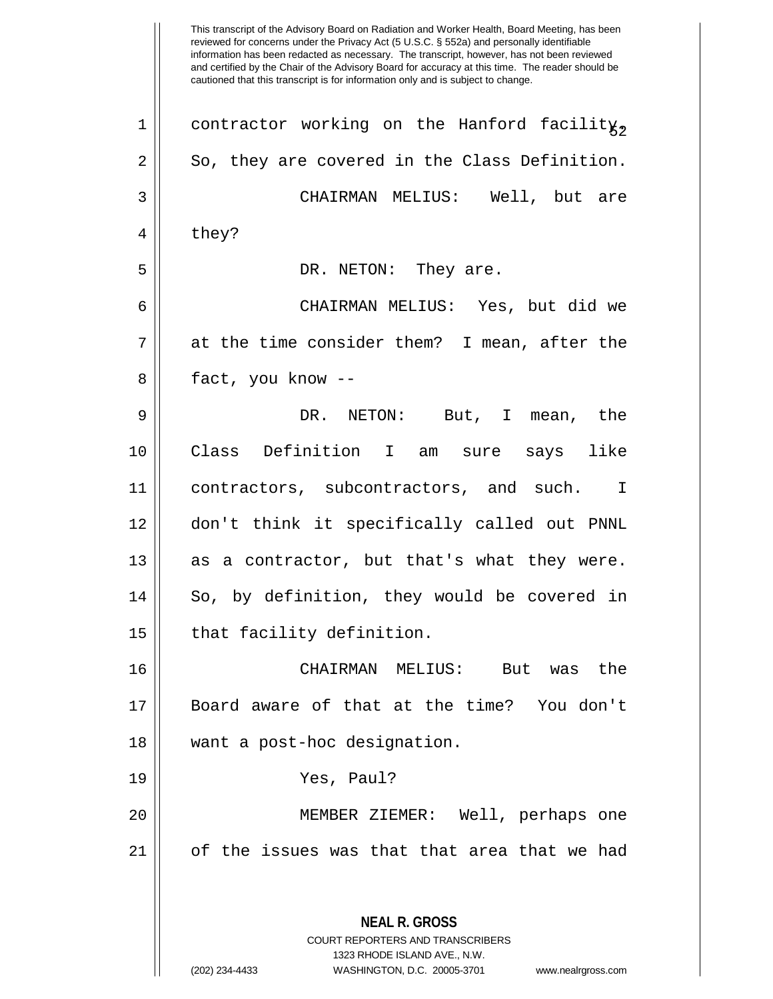This transcript of the Advisory Board on Radiation and Worker Health, Board Meeting, has been reviewed for concerns under the Privacy Act (5 U.S.C. § 552a) and personally identifiable information has been redacted as necessary. The transcript, however, has not been reviewed and certified by the Chair of the Advisory Board for accuracy at this time. The reader should be cautioned that this transcript is for information only and is subject to change. **NEAL R. GROSS** COURT REPORTERS AND TRANSCRIBERS 1323 RHODE ISLAND AVE., N.W. (202) 234-4433 WASHINGTON, D.C. 20005-3701 www.nealrgross.com 1 | contractor working on the Hanford facility,  $2 \parallel$  So, they are covered in the Class Definition. 3 CHAIRMAN MELIUS: Well, but are 4 | they? 5 DR. NETON: They are. 6 CHAIRMAN MELIUS: Yes, but did we  $7 ||$  at the time consider them? I mean, after the 8 || fact, you know --9 DR. NETON: But, I mean, the 10 Class Definition I am sure says like 11 contractors, subcontractors, and such. I 12 don't think it specifically called out PNNL  $13$  as a contractor, but that's what they were.  $14$  So, by definition, they would be covered in 15 || that facility definition. 16 CHAIRMAN MELIUS: But was the 17 Board aware of that at the time? You don't 18 want a post-hoc designation. 19 Yes, Paul? 20 MEMBER ZIEMER: Well, perhaps one 21 of the issues was that that area that we had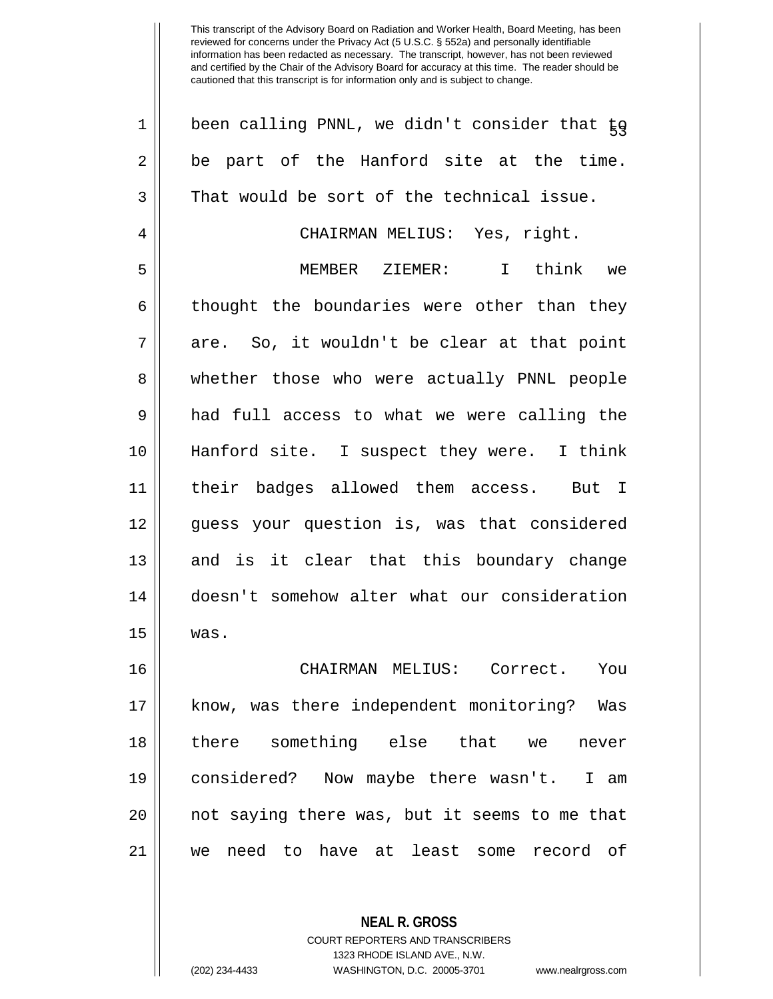| $\mathbf 1$ | been calling PNNL, we didn't consider that to |
|-------------|-----------------------------------------------|
| 2           | be part of the Hanford site at the time.      |
| 3           | That would be sort of the technical issue.    |
| 4           | CHAIRMAN MELIUS: Yes, right.                  |
| 5           | MEMBER ZIEMER: I think we                     |
| 6           | thought the boundaries were other than they   |
| 7           | are. So, it wouldn't be clear at that point   |
| 8           | whether those who were actually PNNL people   |
| 9           | had full access to what we were calling the   |
| 10          | Hanford site. I suspect they were. I think    |
| 11          | their badges allowed them access. But I       |
| 12          | guess your question is, was that considered   |
| 13          | and is it clear that this boundary change     |
| 14          | doesn't somehow alter what our consideration  |
| 15          | was.                                          |
| 16          | CHAIRMAN MELIUS: Correct. You                 |
| 17          | know, was there independent monitoring? Was   |
| 18          | there something else that we<br>never         |
| 19          | considered? Now maybe there wasn't.<br>I am   |
| 20          | not saying there was, but it seems to me that |
| 21          | we need to have at least some record of       |
|             |                                               |
|             |                                               |

COURT REPORTERS AND TRANSCRIBERS 1323 RHODE ISLAND AVE., N.W. (202) 234-4433 WASHINGTON, D.C. 20005-3701 www.nealrgross.com

**NEAL R. GROSS**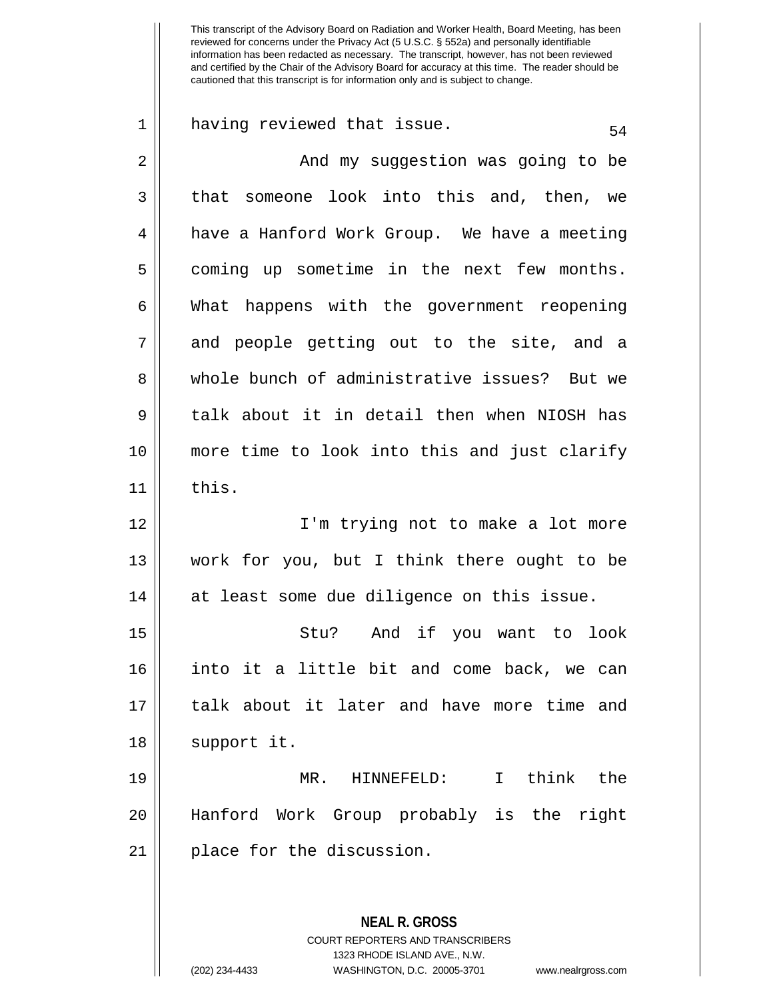**NEAL R. GROSS**  $1 \parallel$  having reviewed that issue.  $54$  And my suggestion was going to be  $3 \parallel$  that someone look into this and, then, we 4 | have a Hanford Work Group. We have a meeting 5 | coming up sometime in the next few months. 6 What happens with the government reopening and people getting out to the site, and a 8 Whole bunch of administrative issues? But we talk about it in detail then when NIOSH has more time to look into this and just clarify  $\parallel$  this. I'm trying not to make a lot more work for you, but I think there ought to be || at least some due diligence on this issue. Stu? And if you want to look into it a little bit and come back, we can talk about it later and have more time and 18 | support it. MR. HINNEFELD: I think the Hanford Work Group probably is the right place for the discussion.

> COURT REPORTERS AND TRANSCRIBERS 1323 RHODE ISLAND AVE., N.W.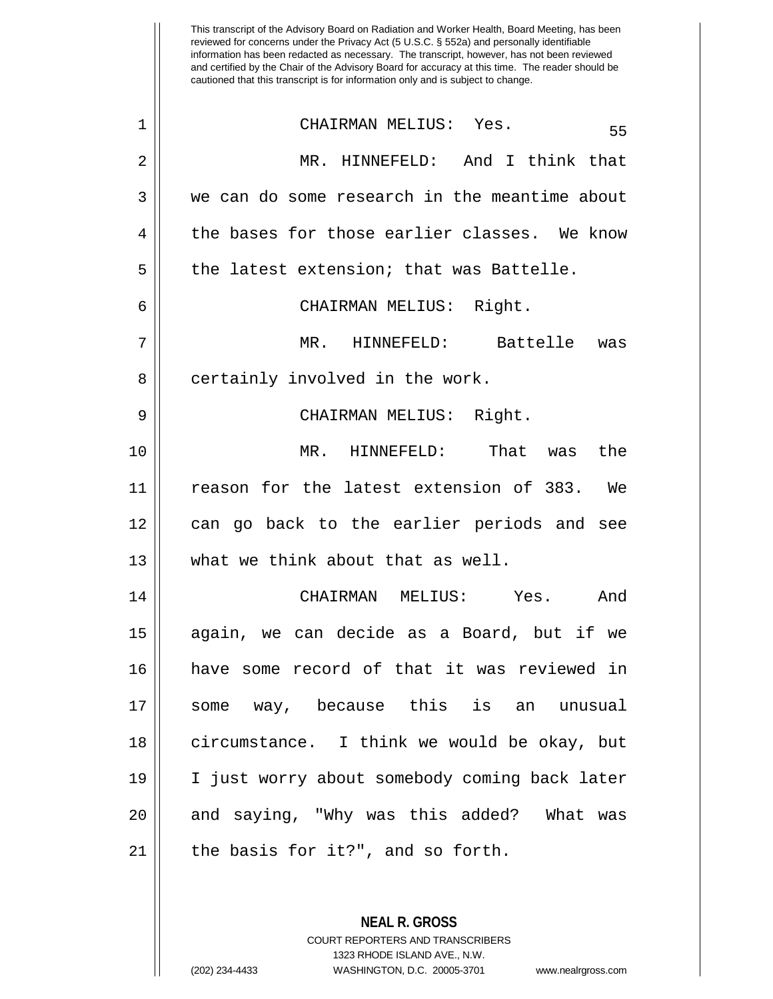|    | This transcript of the Advisory Board on Radiation and Worker Health, Board Meeting, has been<br>reviewed for concerns under the Privacy Act (5 U.S.C. § 552a) and personally identifiable<br>information has been redacted as necessary. The transcript, however, has not been reviewed<br>and certified by the Chair of the Advisory Board for accuracy at this time. The reader should be<br>cautioned that this transcript is for information only and is subject to change. |
|----|----------------------------------------------------------------------------------------------------------------------------------------------------------------------------------------------------------------------------------------------------------------------------------------------------------------------------------------------------------------------------------------------------------------------------------------------------------------------------------|
| 1  | CHAIRMAN MELIUS: Yes.<br>55                                                                                                                                                                                                                                                                                                                                                                                                                                                      |
| 2  | $MR$ .<br>And I think that<br>HINNEFELD:                                                                                                                                                                                                                                                                                                                                                                                                                                         |
| 3  | we can do some research in the meantime about                                                                                                                                                                                                                                                                                                                                                                                                                                    |
| 4  | the bases for those earlier classes. We know                                                                                                                                                                                                                                                                                                                                                                                                                                     |
| 5  | the latest extension; that was Battelle.                                                                                                                                                                                                                                                                                                                                                                                                                                         |
| 6  | Right.<br>CHAIRMAN MELIUS:                                                                                                                                                                                                                                                                                                                                                                                                                                                       |
| 7  | MR.<br>Battelle<br>HINNEFELD:<br>was                                                                                                                                                                                                                                                                                                                                                                                                                                             |
| 8  | certainly involved in the work.                                                                                                                                                                                                                                                                                                                                                                                                                                                  |
| 9  | Right.<br>CHAIRMAN MELIUS:                                                                                                                                                                                                                                                                                                                                                                                                                                                       |
| 10 | MR.<br>HINNEFELD:<br>That<br>the<br>was                                                                                                                                                                                                                                                                                                                                                                                                                                          |
| 11 | reason for the latest extension of 383.<br>We                                                                                                                                                                                                                                                                                                                                                                                                                                    |
| 12 | can go back to the earlier periods and<br>see                                                                                                                                                                                                                                                                                                                                                                                                                                    |
| 13 | what we think about that as well.                                                                                                                                                                                                                                                                                                                                                                                                                                                |
| 14 | CHAIRMAN MELIUS: Yes.<br>And                                                                                                                                                                                                                                                                                                                                                                                                                                                     |
| 15 | again, we can decide as a Board, but if we                                                                                                                                                                                                                                                                                                                                                                                                                                       |
| 16 | have some record of that it was reviewed in                                                                                                                                                                                                                                                                                                                                                                                                                                      |
| 17 | some way, because this is an unusual                                                                                                                                                                                                                                                                                                                                                                                                                                             |
| 18 | circumstance. I think we would be okay, but                                                                                                                                                                                                                                                                                                                                                                                                                                      |
| 19 | I just worry about somebody coming back later                                                                                                                                                                                                                                                                                                                                                                                                                                    |
| 20 | and saying, "Why was this added? What was                                                                                                                                                                                                                                                                                                                                                                                                                                        |
| 21 | the basis for it?", and so forth.                                                                                                                                                                                                                                                                                                                                                                                                                                                |
|    | <b>NEAL R. GROSS</b>                                                                                                                                                                                                                                                                                                                                                                                                                                                             |

COURT REPORTERS AND TRANSCRIBERS 1323 RHODE ISLAND AVE., N.W.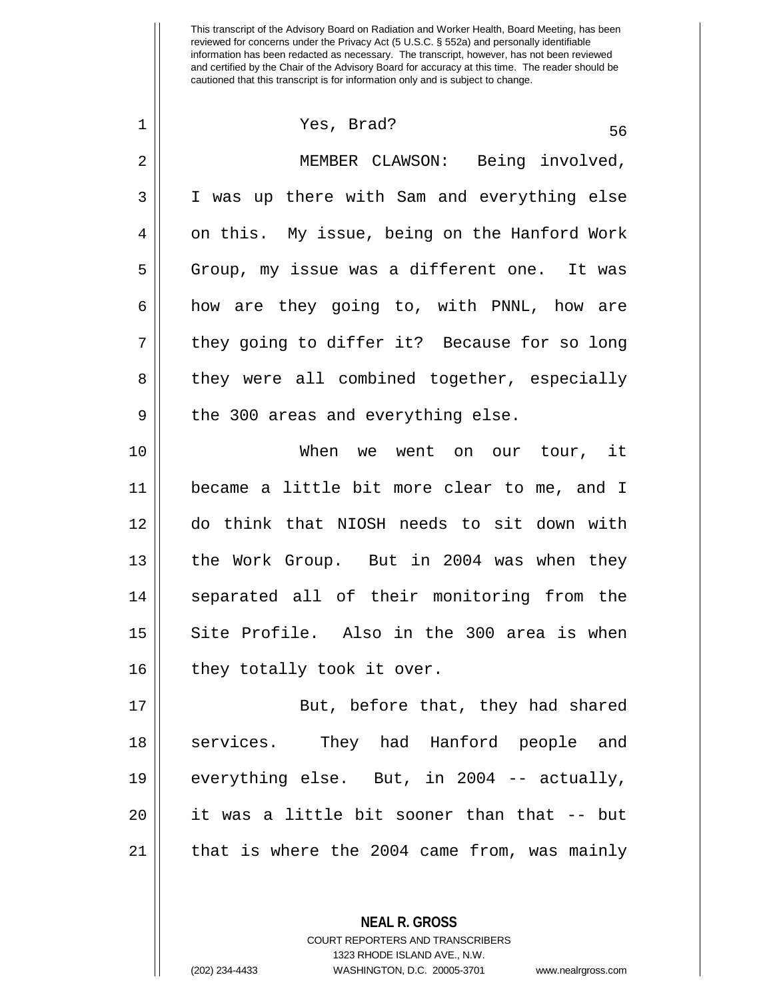| $\mathbf 1$ | Yes, Brad?<br>56                             |
|-------------|----------------------------------------------|
| 2           | MEMBER CLAWSON: Being involved,              |
| 3           | I was up there with Sam and everything else  |
| 4           | on this. My issue, being on the Hanford Work |
| 5           | Group, my issue was a different one. It was  |
| 6           | how are they going to, with PNNL, how are    |
| 7           | they going to differ it? Because for so long |
| 8           | they were all combined together, especially  |
| 9           | the 300 areas and everything else.           |
| 10          | When we went on our tour, it                 |
| 11          | became a little bit more clear to me, and I  |
| 12          | do think that NIOSH needs to sit down with   |
| 13          | the Work Group. But in 2004 was when they    |
| 14          | separated all of their monitoring from the   |
| 15          | Site Profile. Also in the 300 area is when   |
| 16          | they totally took it over.                   |
| 17          | But, before that, they had shared            |
| 18          | They had Hanford people and<br>services.     |
| 19          | everything else. But, in 2004 -- actually,   |
| 20          | it was a little bit sooner than that -- but  |
| 21          | that is where the 2004 came from, was mainly |
|             |                                              |

**NEAL R. GROSS** COURT REPORTERS AND TRANSCRIBERS 1323 RHODE ISLAND AVE., N.W.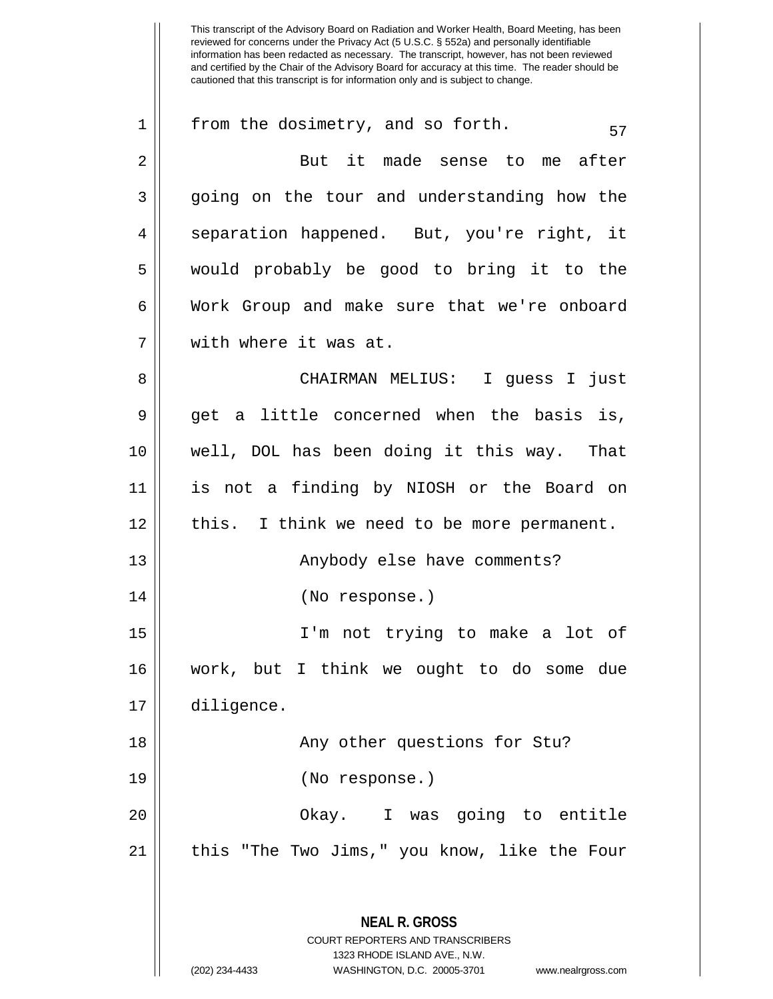This transcript of the Advisory Board on Radiation and Worker Health, Board Meeting, has been reviewed for concerns under the Privacy Act (5 U.S.C. § 552a) and personally identifiable information has been redacted as necessary. The transcript, however, has not been reviewed and certified by the Chair of the Advisory Board for accuracy at this time. The reader should be cautioned that this transcript is for information only and is subject to change. **NEAL R. GROSS** COURT REPORTERS AND TRANSCRIBERS 1323 RHODE ISLAND AVE., N.W. (202) 234-4433 WASHINGTON, D.C. 20005-3701 www.nealrgross.com 1 | from the dosimetry, and so forth.  $57$ 2 || But it made sense to me after 3 || going on the tour and understanding how the 4 || separation happened. But, you're right, it 5 || would probably be good to bring it to the 6 Work Group and make sure that we're onboard 7 with where it was at. 8 CHAIRMAN MELIUS: I guess I just  $9 \parallel$  get a little concerned when the basis is, 10 well, DOL has been doing it this way. That 11 is not a finding by NIOSH or the Board on 12 || this. I think we need to be more permanent. 13 || Anybody else have comments? 14 (No response.) 15 I'm not trying to make a lot of 16 work, but I think we ought to do some due 17 diligence. 18 || Any other questions for Stu? 19 (No response.) 20 Okay. I was going to entitle 21 || this "The Two Jims," you know, like the Four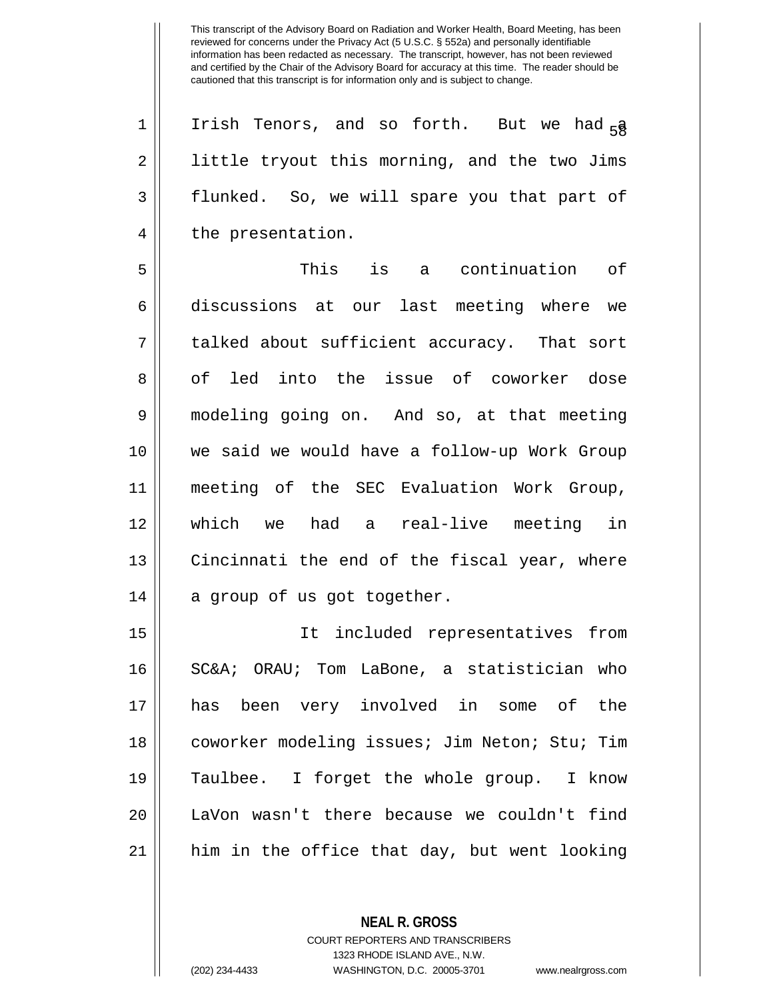1 || Irish Tenors, and so forth. But we had  $_{58}$ 2 | little tryout this morning, and the two Jims 3 flunked. So, we will spare you that part of  $4 \parallel$  the presentation.

5 This is a continuation of 6 discussions at our last meeting where we 7 || talked about sufficient accuracy. That sort 8 || of led into the issue of coworker dose 9 modeling going on. And so, at that meeting 10 we said we would have a follow-up Work Group 11 meeting of the SEC Evaluation Work Group, 12 which we had a real-live meeting in 13 | Cincinnati the end of the fiscal year, where  $14$  | a group of us got together.

 It included representatives from 16 || SC&A; ORAU; Tom LaBone, a statistician who has been very involved in some of the 18 | coworker modeling issues; Jim Neton; Stu; Tim Taulbee. I forget the whole group. I know LaVon wasn't there because we couldn't find him in the office that day, but went looking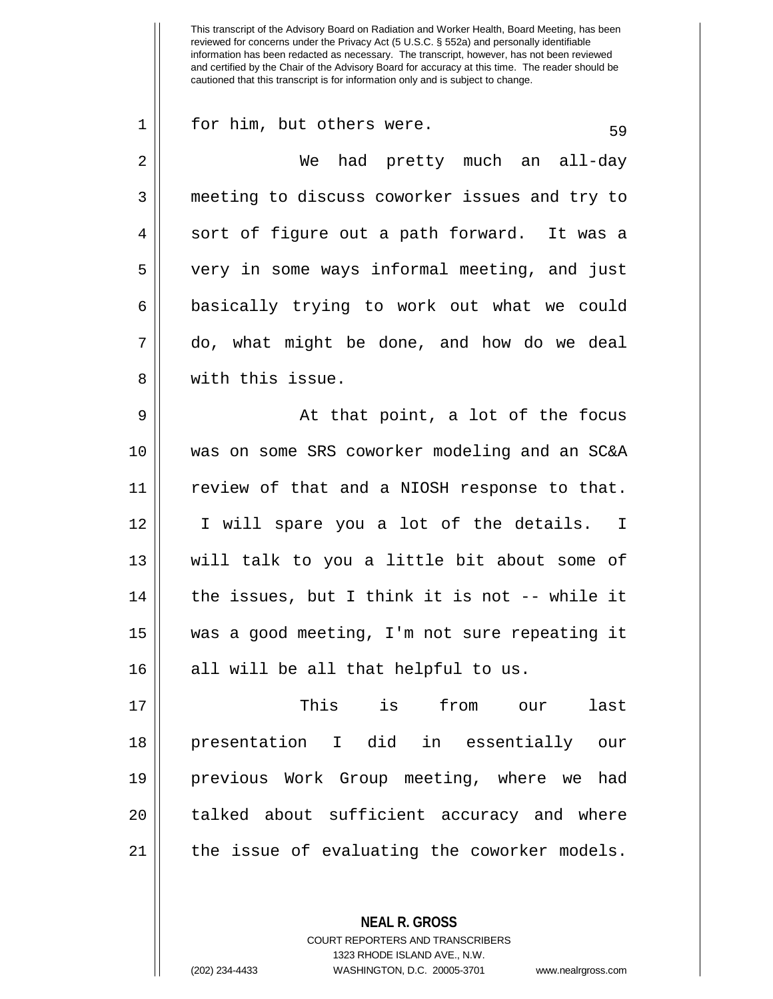$1 \parallel$  for him, but others were.  $59$ 2 We had pretty much an all-day 3 meeting to discuss coworker issues and try to 4 sort of figure out a path forward. It was a 5 very in some ways informal meeting, and just 6 | basically trying to work out what we could 7 do, what might be done, and how do we deal 8 West 8 With this issue. 9 || At that point, a lot of the focus 10 was on some SRS coworker modeling and an SC&A 11 review of that and a NIOSH response to that. 12 I will spare you a lot of the details. I 13 || will talk to you a little bit about some of  $14$  | the issues, but I think it is not -- while it 15 was a good meeting, I'm not sure repeating it 16 || all will be all that helpful to us. 17 This is from our last 18 presentation I did in essentially our 19 previous Work Group meeting, where we had 20 || talked about sufficient accuracy and where 21 || the issue of evaluating the coworker models.

> COURT REPORTERS AND TRANSCRIBERS 1323 RHODE ISLAND AVE., N.W. (202) 234-4433 WASHINGTON, D.C. 20005-3701 www.nealrgross.com

**NEAL R. GROSS**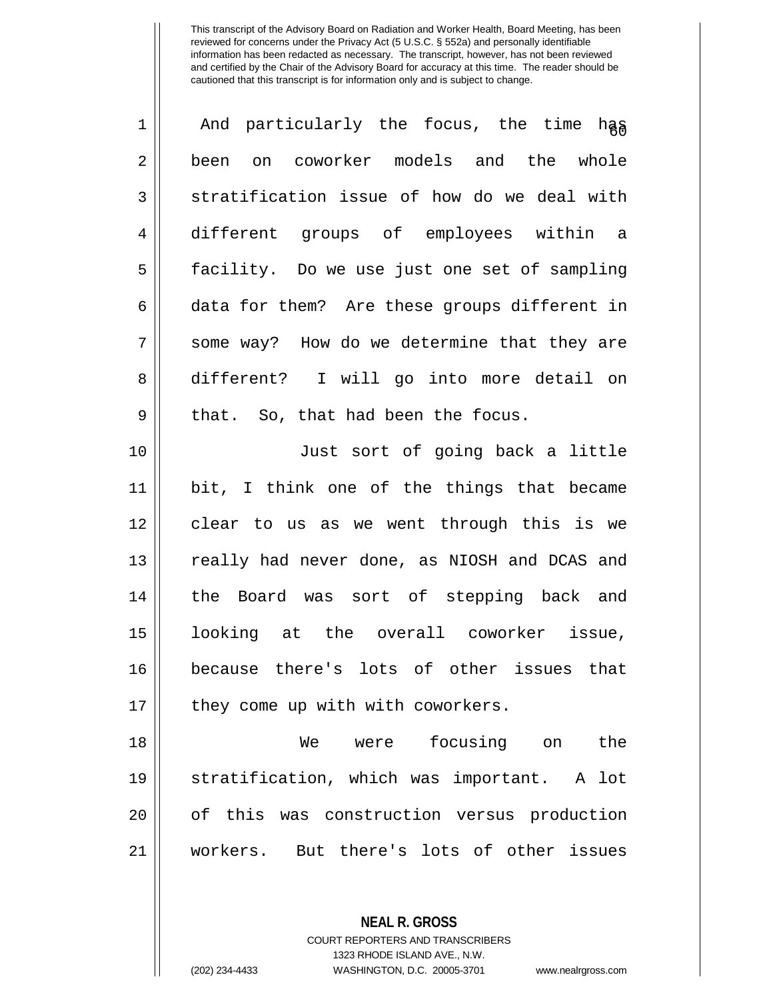| $\mathbf 1$ | And particularly the focus, the time has     |
|-------------|----------------------------------------------|
| 2           | on coworker models and the whole<br>been     |
| 3           | stratification issue of how do we deal with  |
| 4           | different groups of employees within a       |
| 5           | facility. Do we use just one set of sampling |
| 6           | data for them? Are these groups different in |
| 7           | some way? How do we determine that they are  |
| 8           | different? I will go into more detail on     |
| 9           | that. So, that had been the focus.           |
| 10          | Just sort of going back a little             |
| 11          | bit, I think one of the things that became   |
| 12          | clear to us as we went through this is we    |
| 13          | really had never done, as NIOSH and DCAS and |
| 14          | the Board was sort of stepping back and      |
| 15          | looking at the overall coworker issue,       |
| 16          | because there's lots of other issues that    |
| 17          | they come up with with coworkers.            |
| 18          | focusing on<br>We<br>were<br>the             |
| 19          | stratification, which was important. A lot   |
| 20          | of this was construction versus production   |
| 21          | workers. But there's lots of other issues    |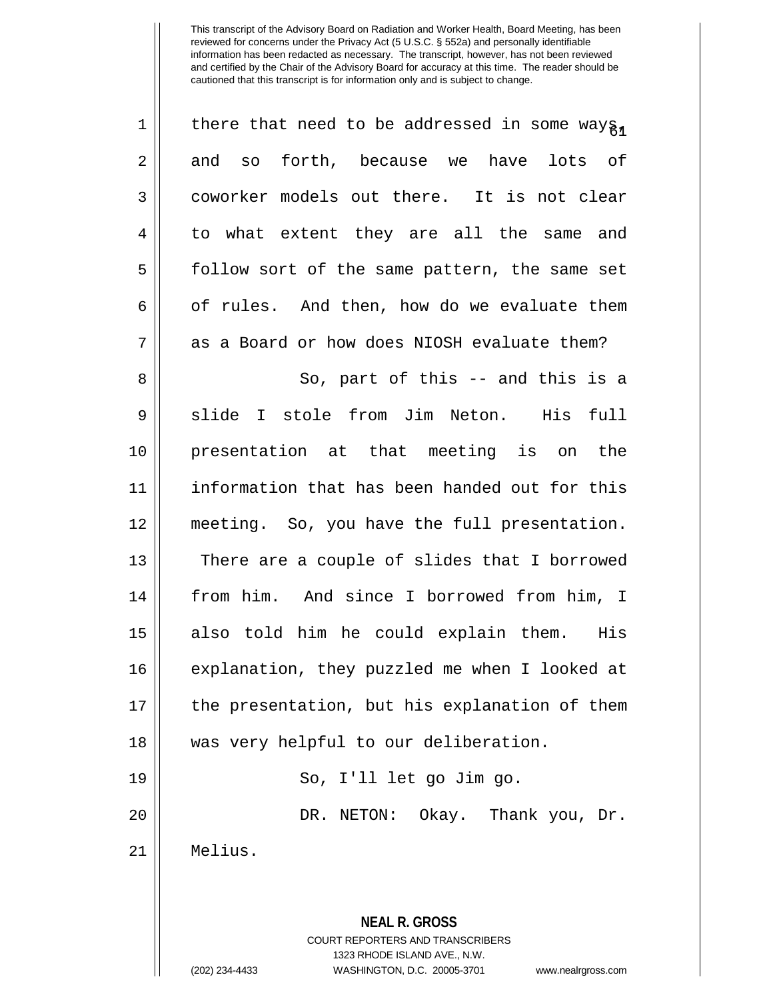| $\mathbf 1$    | there that need to be addressed in some ways,                                                                                                                          |
|----------------|------------------------------------------------------------------------------------------------------------------------------------------------------------------------|
| 2              | forth, because we have lots of<br>and so                                                                                                                               |
| 3              | coworker models out there. It is not clear                                                                                                                             |
| $\overline{4}$ | to what extent they are all the same and                                                                                                                               |
| 5              | follow sort of the same pattern, the same set                                                                                                                          |
| 6              | of rules. And then, how do we evaluate them                                                                                                                            |
| 7              | as a Board or how does NIOSH evaluate them?                                                                                                                            |
| 8              | So, part of this -- and this is a                                                                                                                                      |
| 9              | I stole from Jim Neton. His<br>slide<br>full                                                                                                                           |
| 10             | presentation at that meeting is on the                                                                                                                                 |
| 11             | information that has been handed out for this                                                                                                                          |
| 12             | meeting. So, you have the full presentation.                                                                                                                           |
| 13             | There are a couple of slides that I borrowed                                                                                                                           |
| 14             | from him. And since I borrowed from him, I                                                                                                                             |
| 15             | also told him he could explain them. His                                                                                                                               |
| 16             | explanation, they puzzled me when I looked at                                                                                                                          |
| 17             | the presentation, but his explanation of them                                                                                                                          |
| 18             | was very helpful to our deliberation.                                                                                                                                  |
| 19             | So, I'll let go Jim go.                                                                                                                                                |
| 20             | DR. NETON: Okay. Thank you, Dr.                                                                                                                                        |
| 21             | Melius.                                                                                                                                                                |
|                |                                                                                                                                                                        |
|                | <b>NEAL R. GROSS</b><br><b>COURT REPORTERS AND TRANSCRIBERS</b><br>1323 RHODE ISLAND AVE., N.W.<br>(202) 234-4433<br>WASHINGTON, D.C. 20005-3701<br>www.nealrgross.com |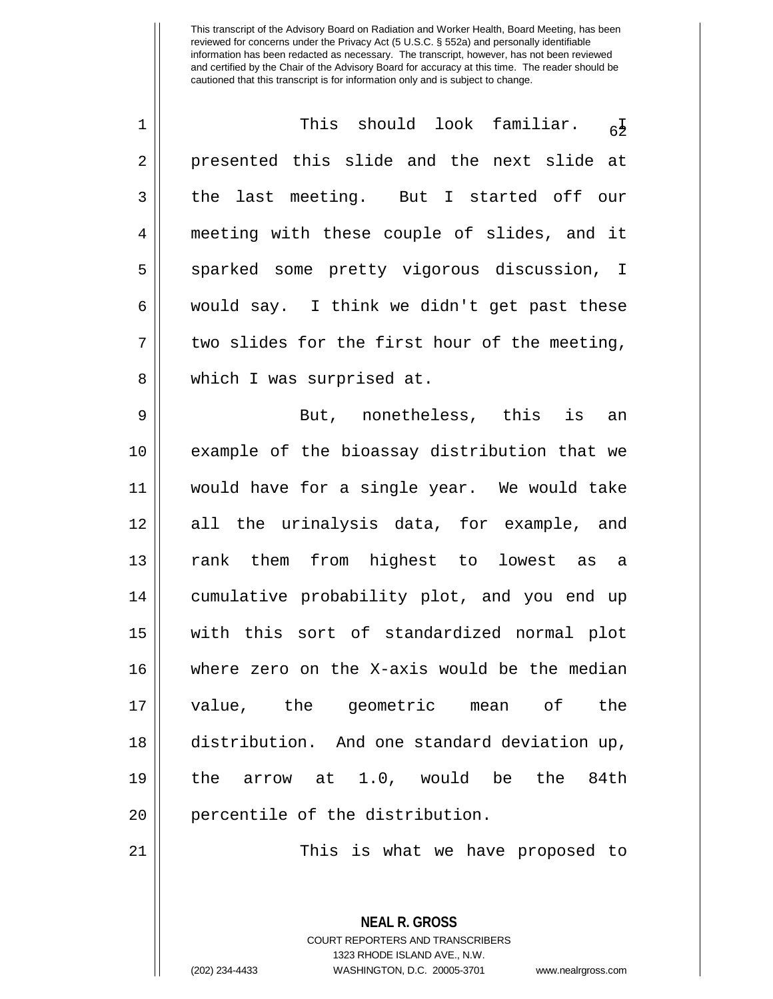| $\mathbf 1$    | This should look familiar.<br>$6\overline{2}$ |
|----------------|-----------------------------------------------|
| $\overline{2}$ | presented this slide and the next slide at    |
| 3              | the last meeting. But I started off our       |
| 4              | meeting with these couple of slides, and it   |
| 5              | sparked some pretty vigorous discussion, I    |
| 6              | would say. I think we didn't get past these   |
| 7              | two slides for the first hour of the meeting, |
| 8              | which I was surprised at.                     |
| 9              | But, nonetheless, this is<br>an               |
| 10             | example of the bioassay distribution that we  |
| 11             | would have for a single year. We would take   |
| 12             | all the urinalysis data, for example, and     |
| 13             | rank them from highest to lowest as a         |
| 14             | cumulative probability plot, and you end up   |
| 15             | with this sort of standardized normal plot    |
| 16             | where zero on the X-axis would be the median  |
| 17             | value, the geometric mean of<br>the           |
| 18             | distribution. And one standard deviation up,  |
| 19             | the arrow at 1.0, would be<br>the 84th        |
| 20             | percentile of the distribution.               |

21 | This is what we have proposed to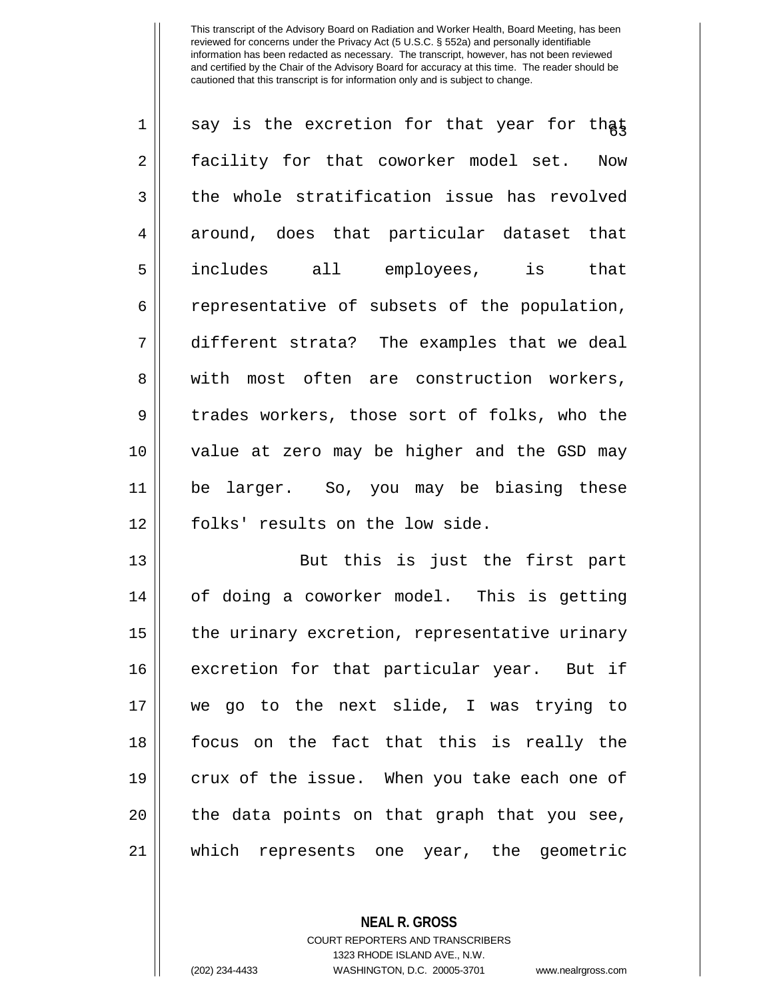| 1              | say is the excretion for that year for that         |
|----------------|-----------------------------------------------------|
| $\overline{2}$ | facility for that coworker model set.<br><b>Now</b> |
| 3              | the whole stratification issue has revolved         |
| 4              | around, does that particular dataset that           |
| 5              | includes all employees, is that                     |
| 6              | representative of subsets of the population,        |
| 7              | different strata? The examples that we deal         |
| 8              | with most often are construction workers,           |
| 9              | trades workers, those sort of folks, who the        |
| 10             | value at zero may be higher and the GSD may         |
| 11             | be larger. So, you may be biasing these             |
| 12             | folks' results on the low side.                     |
| 13             | But this is just the first part                     |
| 14             | of doing a coworker model. This is getting          |
| 15             | the urinary excretion, representative urinary       |
| 16             | excretion for that particular year. But if          |
| 17             | we go to the next slide, I was trying to            |
| 18             | focus on the fact that this is really the           |
| 19             | crux of the issue. When you take each one of        |
| 20             | the data points on that graph that you see,         |
|                |                                                     |

21 || which represents one year, the geometric

**NEAL R. GROSS**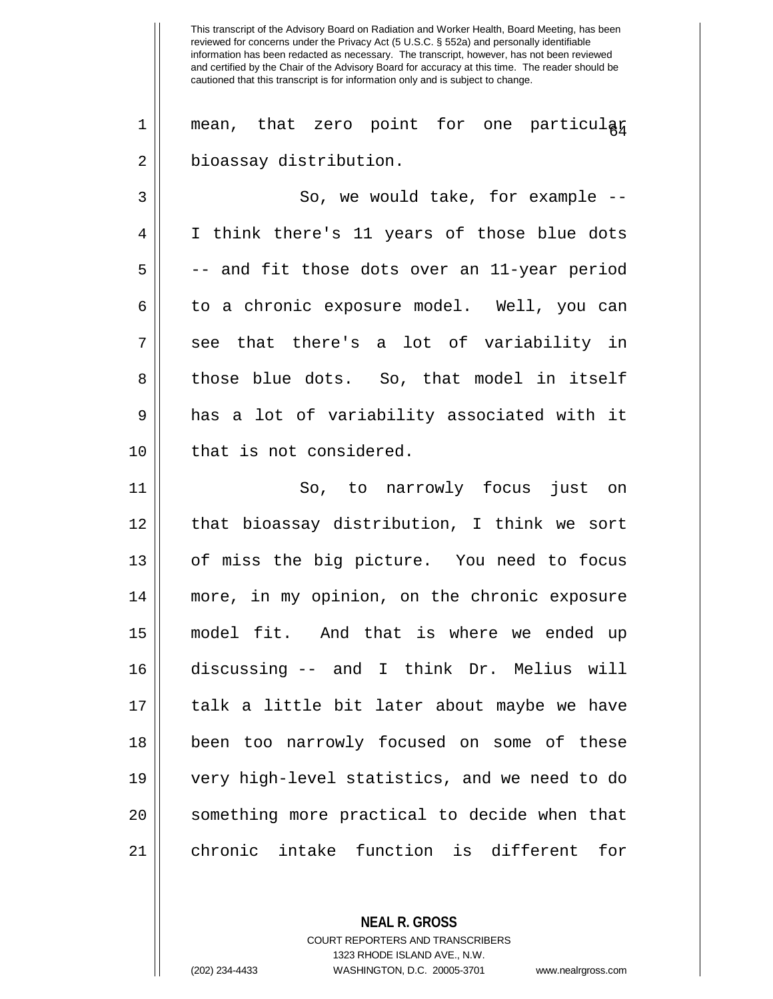$1 ||$  mean, that zero point for one particular 2 || bioassay distribution.

3 || So, we would take, for example --4 I think there's 11 years of those blue dots  $5 \parallel$  -- and fit those dots over an 11-year period 6 || to a chronic exposure model. Well, you can 7 see that there's a lot of variability in 8 || those blue dots. So, that model in itself 9 || has a lot of variability associated with it 10 || that is not considered.

 So, to narrowly focus just on that bioassay distribution, I think we sort 13 || of miss the big picture. You need to focus more, in my opinion, on the chronic exposure model fit. And that is where we ended up discussing -- and I think Dr. Melius will 17 || talk a little bit later about maybe we have been too narrowly focused on some of these very high-level statistics, and we need to do 20 || something more practical to decide when that chronic intake function is different for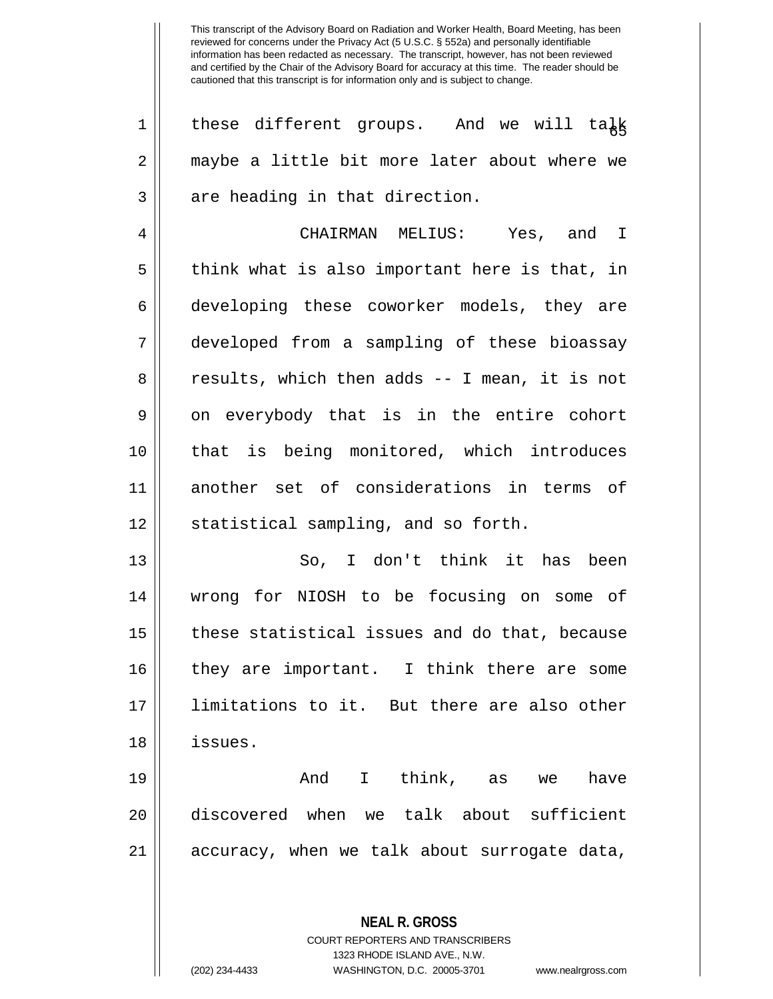1 || these different groups. And we will ta<sub>k</sub> 2 || maybe a little bit more later about where we  $3$  | are heading in that direction.

4 CHAIRMAN MELIUS: Yes, and I  $5 \parallel$  think what is also important here is that, in 6 developing these coworker models, they are 7 developed from a sampling of these bioassay 8 || results, which then adds -- I mean, it is not  $9 \parallel$  on everybody that is in the entire cohort 10 that is being monitored, which introduces 11 another set of considerations in terms of 12 || statistical sampling, and so forth.

 So, I don't think it has been wrong for NIOSH to be focusing on some of these statistical issues and do that, because they are important. I think there are some limitations to it. But there are also other 18 issues.

19 And I think, as we have 20 discovered when we talk about sufficient 21 accuracy, when we talk about surrogate data,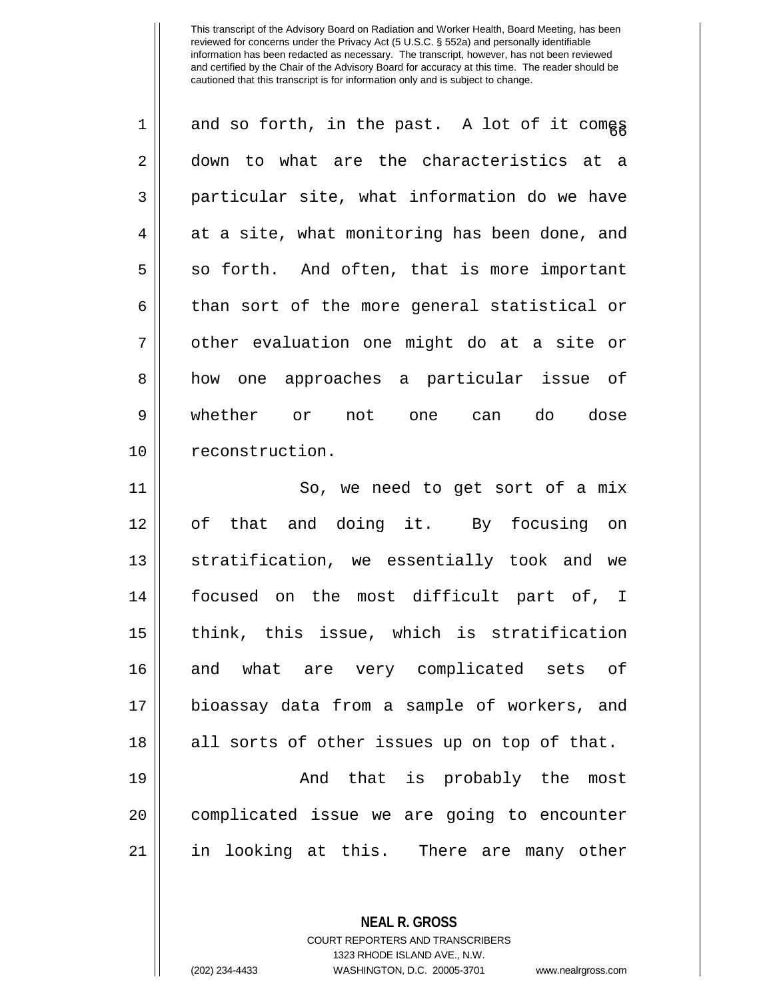| 1           | and so forth, in the past. A lot of it comes  |
|-------------|-----------------------------------------------|
| 2           | down to what are the characteristics at a     |
| 3           | particular site, what information do we have  |
| 4           | at a site, what monitoring has been done, and |
| 5           | so forth. And often, that is more important   |
| 6           | than sort of the more general statistical or  |
| 7           | other evaluation one might do at a site or    |
| 8           | how one approaches a particular issue of      |
| $\mathsf 9$ | whether or<br>not one can do dose             |
| 10          | reconstruction.                               |
| 11          | So, we need to get sort of a mix              |
|             |                                               |
| 12          | of that and doing it. By focusing on          |
| 13          | stratification, we essentially took and we    |
| 14          | focused on the most difficult part of, I      |
| 15          | think, this issue, which is stratification    |
| 16          | and what are very complicated sets of         |
| 17          | bioassay data from a sample of workers, and   |
| 18          | all sorts of other issues up on top of that.  |
| 19          | And that is probably the most                 |
| 20          | complicated issue we are going to encounter   |
| 21          | in looking at this. There are many other      |

**NEAL R. GROSS** COURT REPORTERS AND TRANSCRIBERS 1323 RHODE ISLAND AVE., N.W.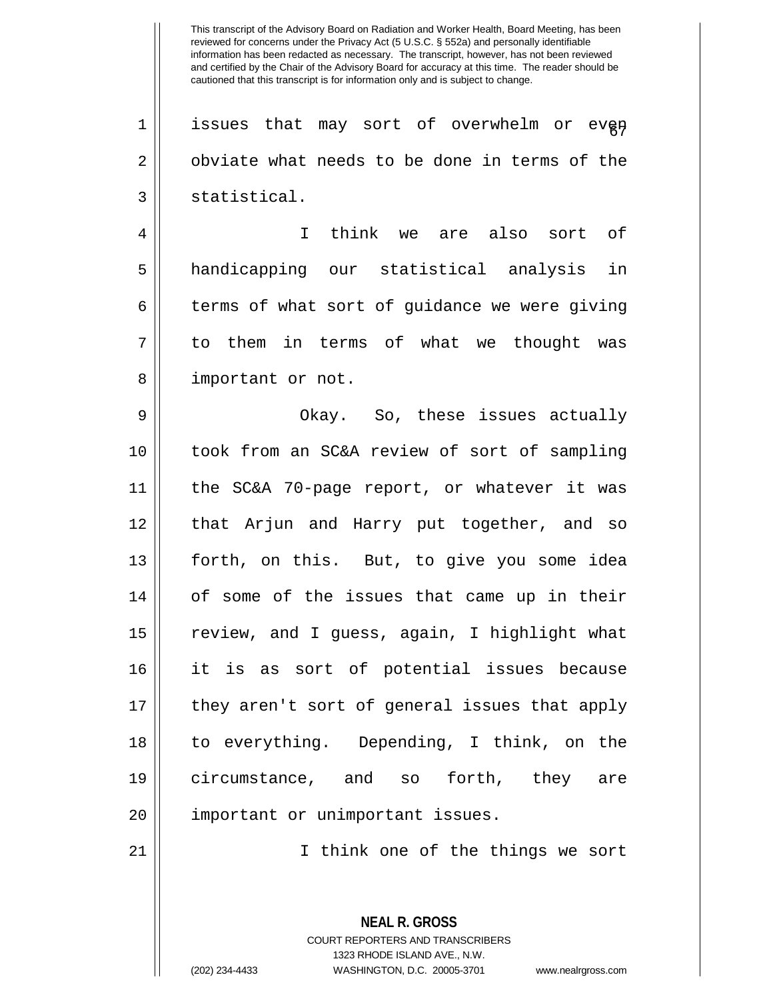$1$  | issues that may sort of overwhelm or even 2 | obviate what needs to be done in terms of the  $3 \parallel$  statistical.

4 || I think we are also sort of 5 handicapping our statistical analysis in 6 | terms of what sort of guidance we were giving 7 to them in terms of what we thought was 8 || important or not.

 Okay. So, these issues actually took from an SC&A review of sort of sampling the SC&A 70-page report, or whatever it was that Arjun and Harry put together, and so forth, on this. But, to give you some idea 14 || of some of the issues that came up in their review, and I guess, again, I highlight what it is as sort of potential issues because 17 || they aren't sort of general issues that apply to everything. Depending, I think, on the circumstance, and so forth, they are 20 || important or unimportant issues.

21 I think one of the things we sort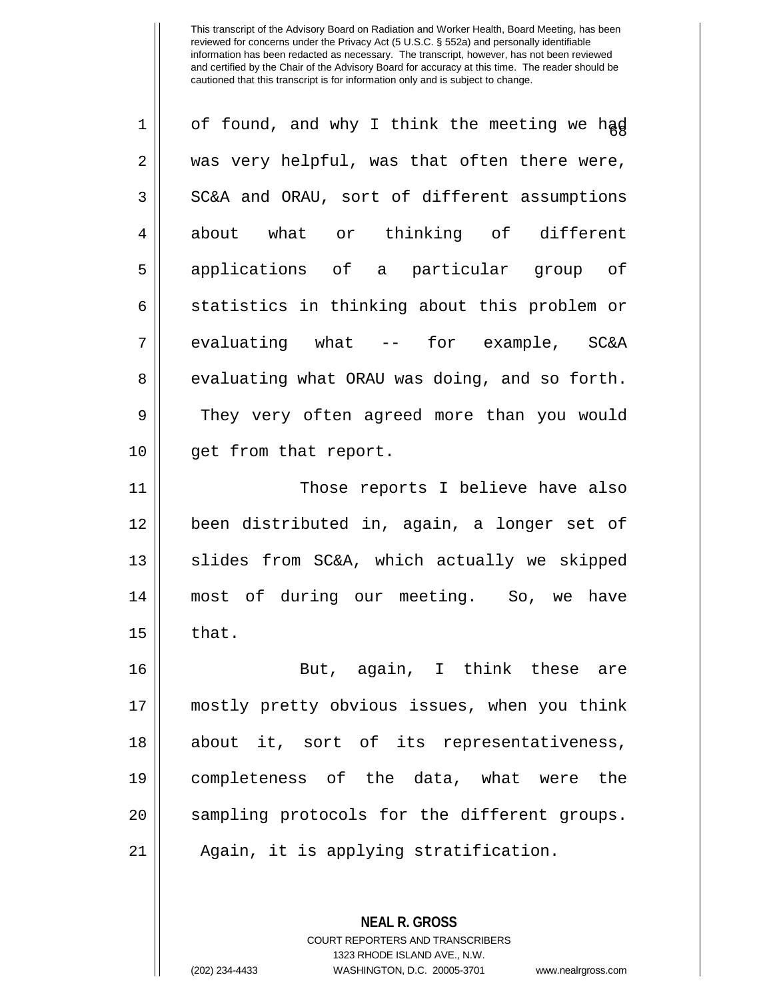| $\mathbf 1$    | of found, and why I think the meeting we had  |
|----------------|-----------------------------------------------|
| $\overline{2}$ | was very helpful, was that often there were,  |
| 3              | SC&A and ORAU, sort of different assumptions  |
| 4              | about what or thinking of different           |
| 5              | applications of a particular group of         |
| 6              | statistics in thinking about this problem or  |
| 7              | evaluating what -- for example, SC&A          |
| 8              | evaluating what ORAU was doing, and so forth. |
| 9              | They very often agreed more than you would    |
| 10             | get from that report.                         |
| 11             | Those reports I believe have also             |
| 12             | been distributed in, again, a longer set of   |
| 13             | slides from SC&A, which actually we skipped   |
| 14             | most of during our meeting. So, we have       |
| 15             | that.                                         |
| 16             | But, again, I think these are                 |
| 17             | mostly pretty obvious issues, when you think  |
| 18             | about it, sort of its representativeness,     |
| 19             | completeness of the data, what were the       |
| 20             | sampling protocols for the different groups.  |
| 21             | Again, it is applying stratification.         |
|                |                                               |

**NEAL R. GROSS** COURT REPORTERS AND TRANSCRIBERS 1323 RHODE ISLAND AVE., N.W.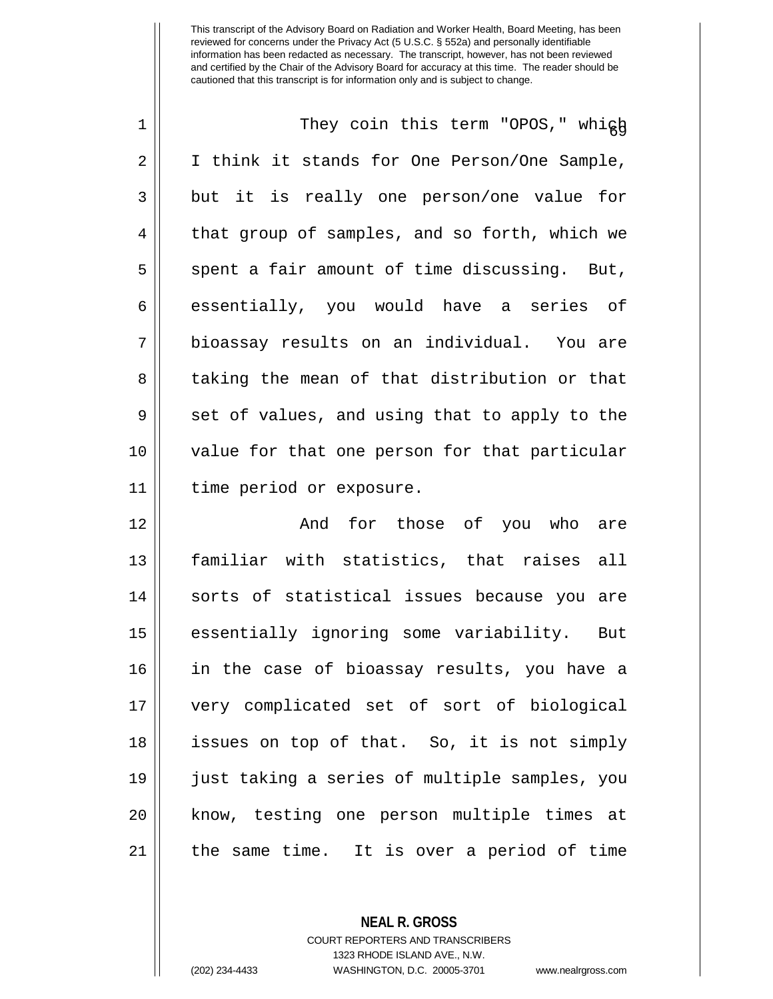| $\mathbf 1$    | They coin this term "OPOS," whigh             |
|----------------|-----------------------------------------------|
| $\overline{2}$ | I think it stands for One Person/One Sample,  |
| 3              | but it is really one person/one value for     |
| 4              | that group of samples, and so forth, which we |
| 5              | spent a fair amount of time discussing. But,  |
| 6              | essentially, you would have a series of       |
| 7              | bioassay results on an individual. You are    |
| 8              | taking the mean of that distribution or that  |
| 9              | set of values, and using that to apply to the |
| 10             | value for that one person for that particular |
| 11             | time period or exposure.                      |
| 12             | And for those of you who are                  |
| 13             | familiar with statistics, that raises all     |
| 14             | sorts of statistical issues because you are   |
| 15             | essentially ignoring some variability. But    |
| 16             | in the case of bioassay results, you have a   |
| 17             | very complicated set of sort of biological    |
| 18             | issues on top of that. So, it is not simply   |
| 19             | just taking a series of multiple samples, you |
| 20             | know, testing one person multiple times at    |
| 21             | the same time. It is over a period of time    |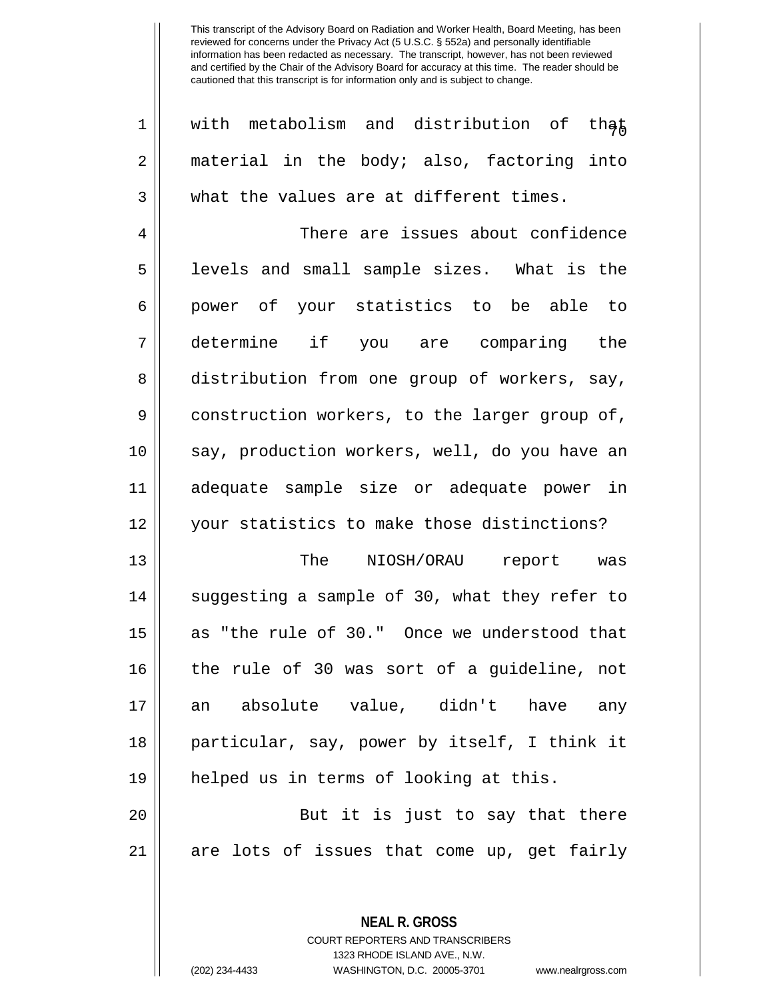$1$  | with metabolism and distribution of that 2 || material in the body; also, factoring into  $3 \parallel$  what the values are at different times. 4 There are issues about confidence 5 || levels and small sample sizes. What is the 6 || power of your statistics to be able to 7 determine if you are comparing the 8 distribution from one group of workers, say, 9 | construction workers, to the larger group of, 10 say, production workers, well, do you have an 11 adequate sample size or adequate power in 12 your statistics to make those distinctions? 13 The NIOSH/ORAU report was 14 || suggesting a sample of 30, what they refer to 15 as "the rule of 30." Once we understood that 16 the rule of 30 was sort of a guideline, not 17 || an absolute value, didn't have any 18 particular, say, power by itself, I think it 19 helped us in terms of looking at this. 20 || But it is just to say that there 21 || are lots of issues that come up, get fairly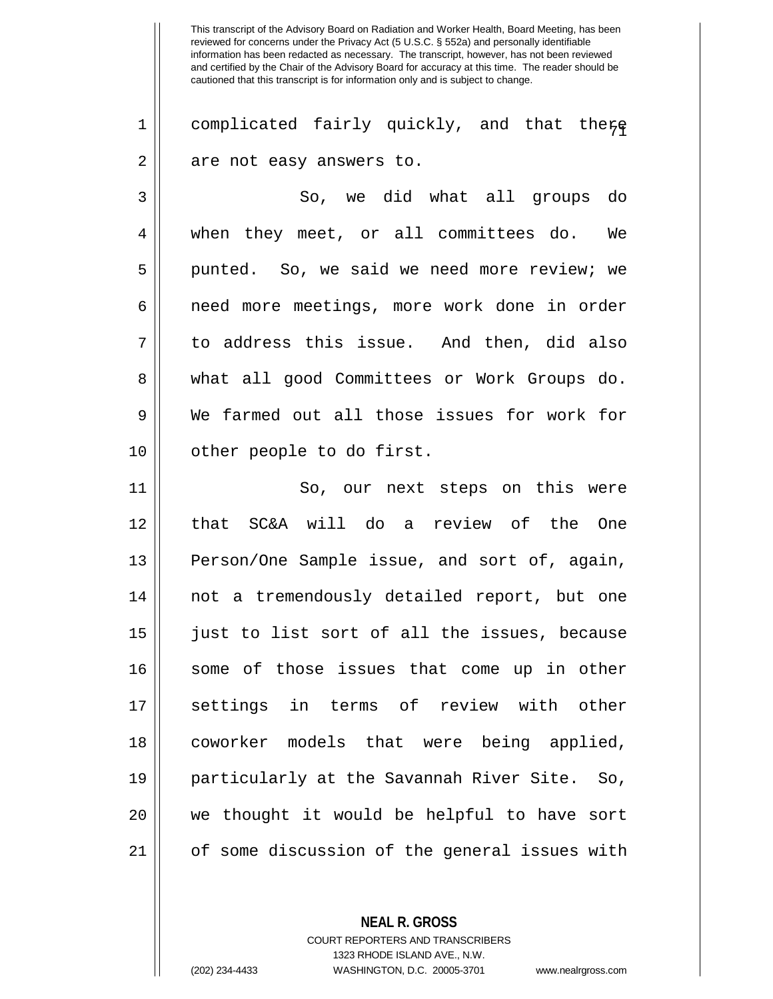$1$  | complicated fairly quickly, and that there 2 || are not easy answers to.

3 So, we did what all groups do 4 when they meet, or all committees do. We 5 || punted. So, we said we need more review; we 6 || need more meetings, more work done in order 7 to address this issue. And then, did also 8 || what all good Committees or Work Groups do. 9 We farmed out all those issues for work for 10 || other people to do first.

11 || So, our next steps on this were 12 that SC&A will do a review of the One 13 || Person/One Sample issue, and sort of, again, 14 not a tremendously detailed report, but one 15 just to list sort of all the issues, because 16 || some of those issues that come up in other 17 || settings in terms of review with other 18 coworker models that were being applied, 19 particularly at the Savannah River Site. So, 20 we thought it would be helpful to have sort 21 | of some discussion of the general issues with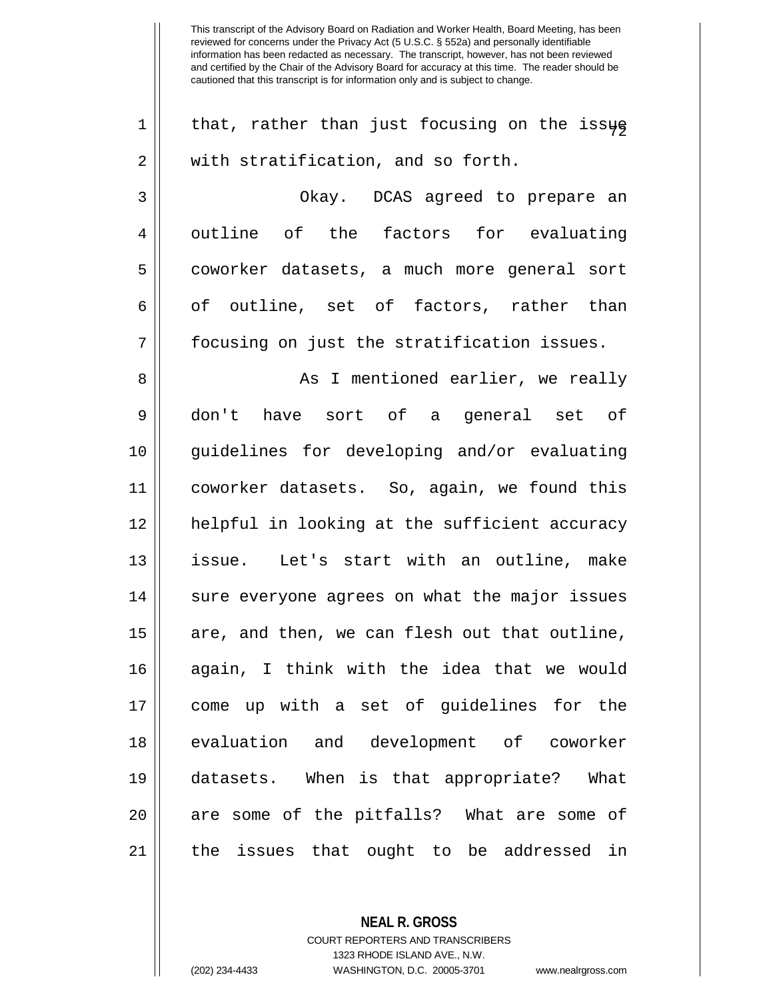$1$  | that, rather than just focusing on the issue 2 | with stratification, and so forth. 3 Okay. DCAS agreed to prepare an  $4 \parallel$  outline of the factors for evaluating 5 | coworker datasets, a much more general sort  $6 \parallel$  of outline, set of factors, rather than 7 focusing on just the stratification issues. 8 || As I mentioned earlier, we really 9 don't have sort of a general set of 10 guidelines for developing and/or evaluating 11 coworker datasets. So, again, we found this 12 helpful in looking at the sufficient accuracy 13 || issue. Let's start with an outline, make 14 || sure everyone agrees on what the major issues 15 || are, and then, we can flesh out that outline, 16 again, I think with the idea that we would 17 come up with a set of guidelines for the 18 evaluation and development of coworker 19 datasets. When is that appropriate? What 20 || are some of the pitfalls? What are some of 21 the issues that ought to be addressed in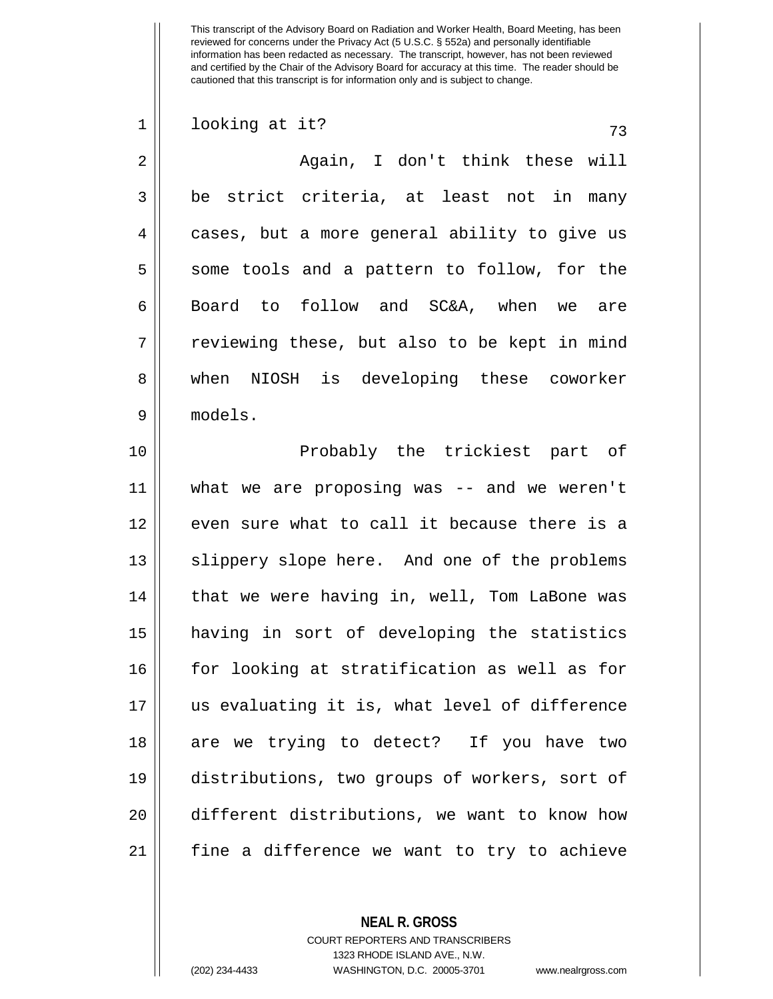$1 \parallel$  looking at it?  $73$ 2 Again, I don't think these will 3 be strict criteria, at least not in many 4 cases, but a more general ability to give us 5 || some tools and a pattern to follow, for the 6 || Board to follow and SC&A, when we are 7 || reviewing these, but also to be kept in mind 8 || when NIOSH is developing these coworker 9 models. 10 Probably the trickiest part of 11 what we are proposing was -- and we weren't 12 || even sure what to call it because there is a 13 || slippery slope here. And one of the problems 14 || that we were having in, well, Tom LaBone was 15 having in sort of developing the statistics 16 for looking at stratification as well as for 17 us evaluating it is, what level of difference 18 are we trying to detect? If you have two 19 distributions, two groups of workers, sort of 20 different distributions, we want to know how

21 || fine a difference we want to try to achieve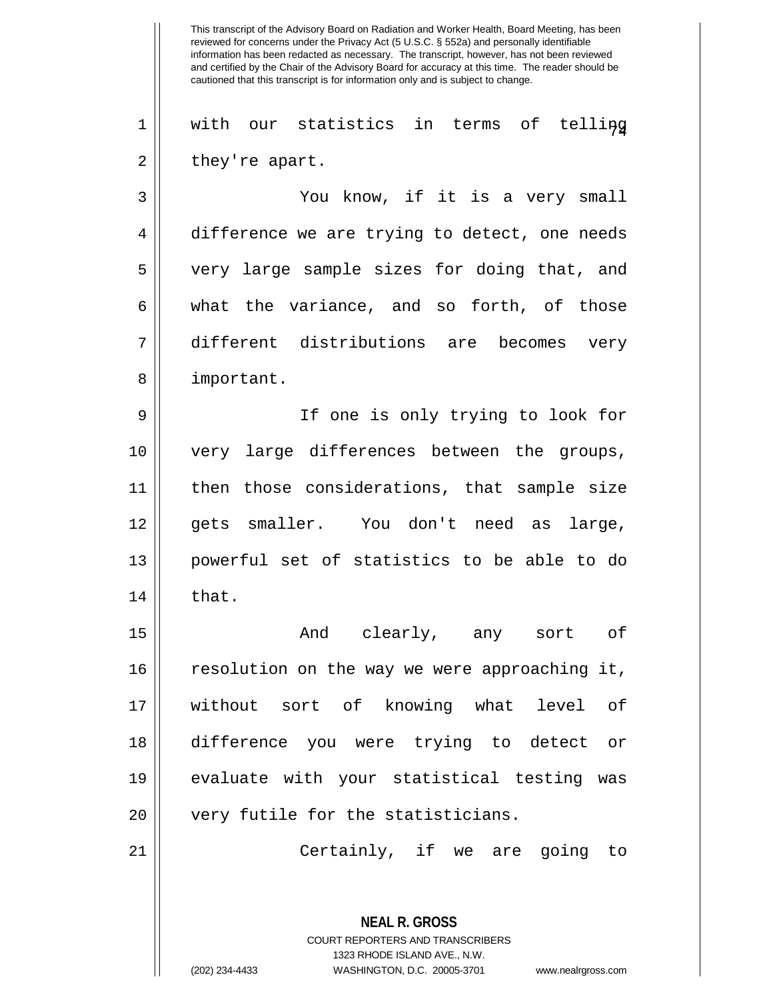$1 \parallel$  with our statistics in terms of telling  $2 \parallel$  they're apart.

3 You know, if it is a very small 4 difference we are trying to detect, one needs 5 very large sample sizes for doing that, and  $6 \parallel$  what the variance, and so forth, of those 7 different distributions are becomes very 8 | important.

9 || If one is only trying to look for very large differences between the groups, then those considerations, that sample size gets smaller. You don't need as large, powerful set of statistics to be able to do  $\parallel$  that.

 And clearly, any sort of 16 || resolution on the way we were approaching it, without sort of knowing what level of difference you were trying to detect or evaluate with your statistical testing was 20 || very futile for the statisticians.

21 Certainly, if we are going to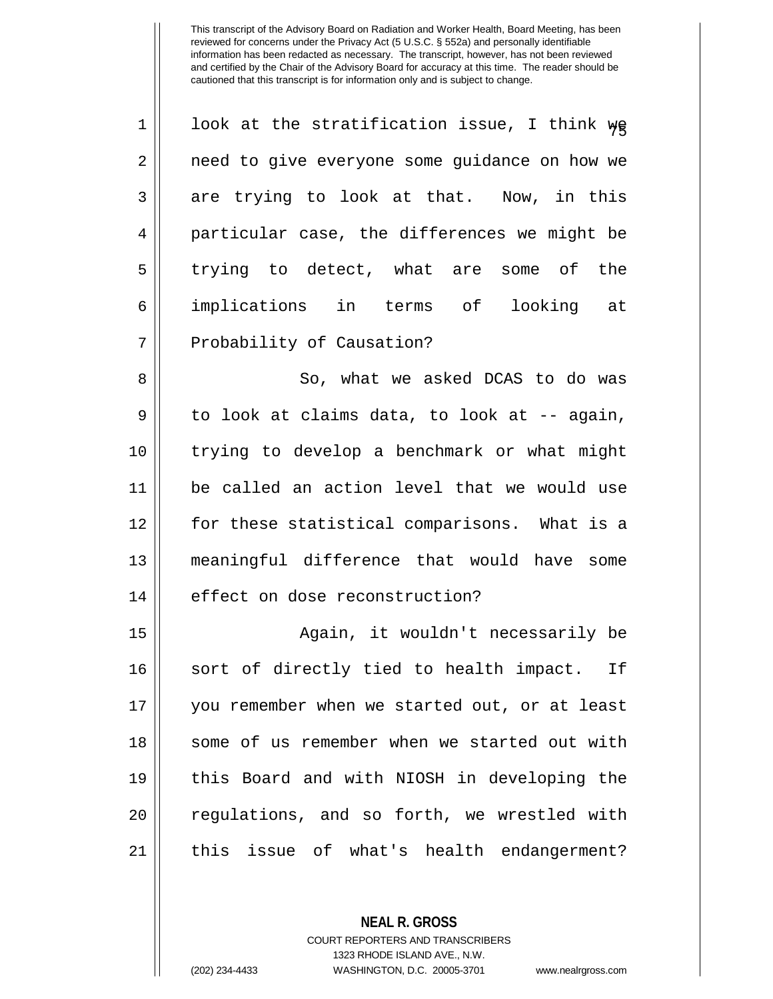| $\mathbf 1$    | look at the stratification issue, I think we  |
|----------------|-----------------------------------------------|
| $\overline{2}$ | need to give everyone some guidance on how we |
| $\mathfrak{Z}$ | are trying to look at that. Now, in this      |
| $\overline{4}$ | particular case, the differences we might be  |
| 5              | trying to detect, what are some of the        |
| 6              | implications in terms of looking at           |
| 7              | Probability of Causation?                     |
| 8              | So, what we asked DCAS to do was              |
| $\mathsf 9$    | to look at claims data, to look at -- again,  |
| 10             | trying to develop a benchmark or what might   |
| 11             | be called an action level that we would use   |
| 12             | for these statistical comparisons. What is a  |
| 13             | meaningful difference that would have some    |
| 14             | effect on dose reconstruction?                |
| 15             | Again, it wouldn't necessarily be             |
| 16             | sort of directly tied to health impact. If    |
| 17             | you remember when we started out, or at least |
| 18             | some of us remember when we started out with  |
| 19             | this Board and with NIOSH in developing the   |
| 20             | regulations, and so forth, we wrestled with   |
| 21             | this issue of what's health endangerment?     |

**NEAL R. GROSS** COURT REPORTERS AND TRANSCRIBERS 1323 RHODE ISLAND AVE., N.W.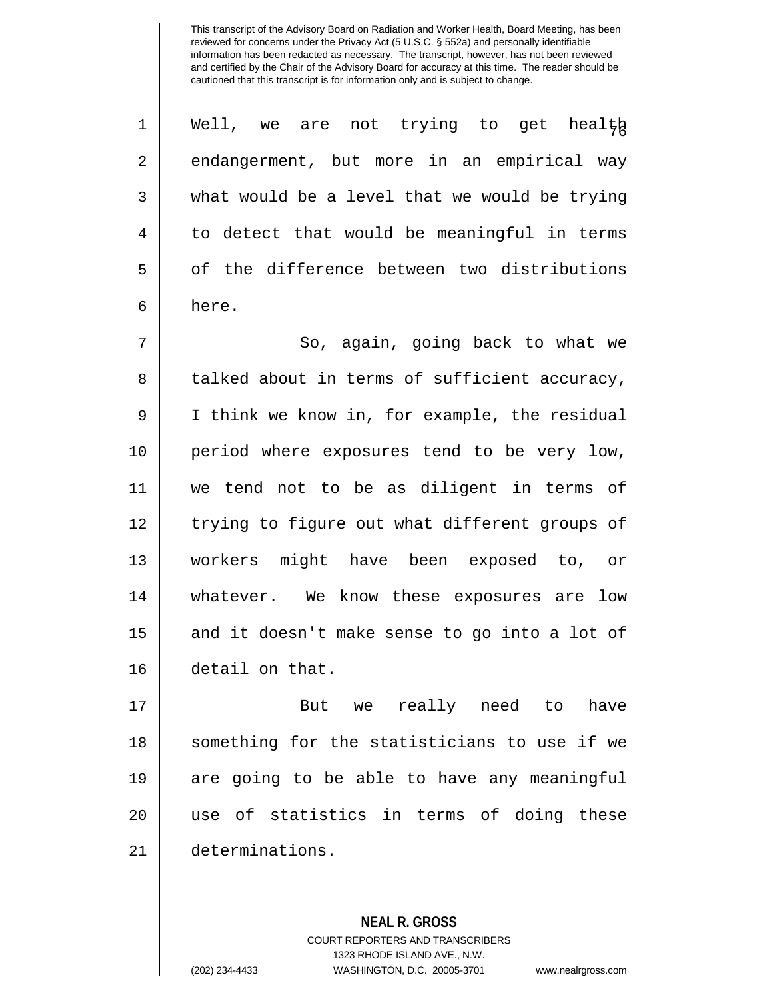$1 \parallel$  Well, we are not trying to get heal $\frac{1}{6}$ 2 || endangerment, but more in an empirical way  $3 \parallel$  what would be a level that we would be trying  $4 \parallel$  to detect that would be meaningful in terms 5 | of the difference between two distributions 6 here.

 So, again, going back to what we 8 || talked about in terms of sufficient accuracy,  $9 \parallel$  I think we know in, for example, the residual period where exposures tend to be very low, we tend not to be as diligent in terms of 12 || trying to figure out what different groups of workers might have been exposed to, or whatever. We know these exposures are low and it doesn't make sense to go into a lot of detail on that.

17 || But we really need to have 18 || something for the statisticians to use if we 19 || are going to be able to have any meaningful 20 || use of statistics in terms of doing these 21 determinations.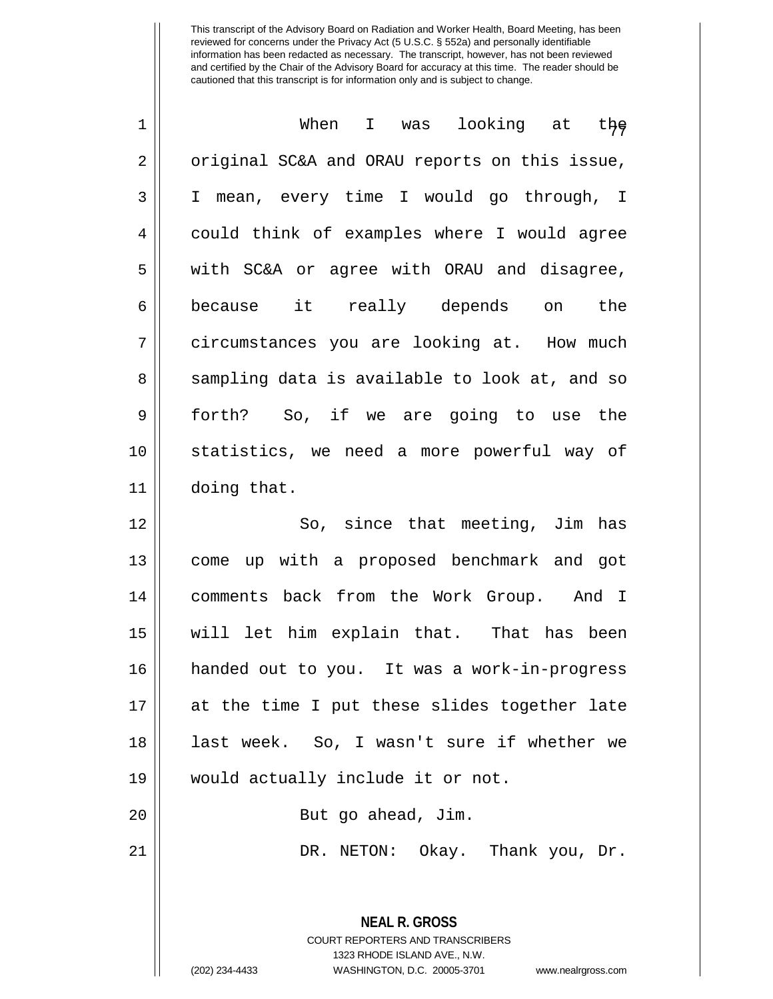| $\mathbf 1$    | I was looking at the<br>When                                                             |
|----------------|------------------------------------------------------------------------------------------|
| $\overline{2}$ | original SC&A and ORAU reports on this issue,                                            |
| 3              | I mean, every time I would go through, I                                                 |
| 4              | could think of examples where I would agree                                              |
| 5              | with SC&A or agree with ORAU and disagree,                                               |
| 6              | because it really depends on the                                                         |
| 7              | circumstances you are looking at. How much                                               |
| 8              | sampling data is available to look at, and so                                            |
| 9              | forth? So, if we are going to use the                                                    |
| 10             | statistics, we need a more powerful way of                                               |
| 11             | doing that.                                                                              |
| 12             | So, since that meeting, Jim has                                                          |
| 13             | come up with a proposed benchmark and got                                                |
| 14             | comments back from the Work Group. And I                                                 |
| 15             | will let him explain that. That has been                                                 |
| 16             | handed out to you. It was a work-in-progress                                             |
| 17             | at the time I put these slides together late                                             |
| 18             | last week. So, I wasn't sure if whether we                                               |
| 19             | would actually include it or not.                                                        |
| 20             | But go ahead, Jim.                                                                       |
| 21             | DR. NETON: Okay. Thank you, Dr.                                                          |
|                | <b>NEAL R. GROSS</b><br>COURT REPORTERS AND TRANSCRIBERS<br>1323 RHODE ISLAND AVE., N.W. |
|                | (202) 234-4433<br>WASHINGTON, D.C. 20005-3701<br>www.nealrgross.com                      |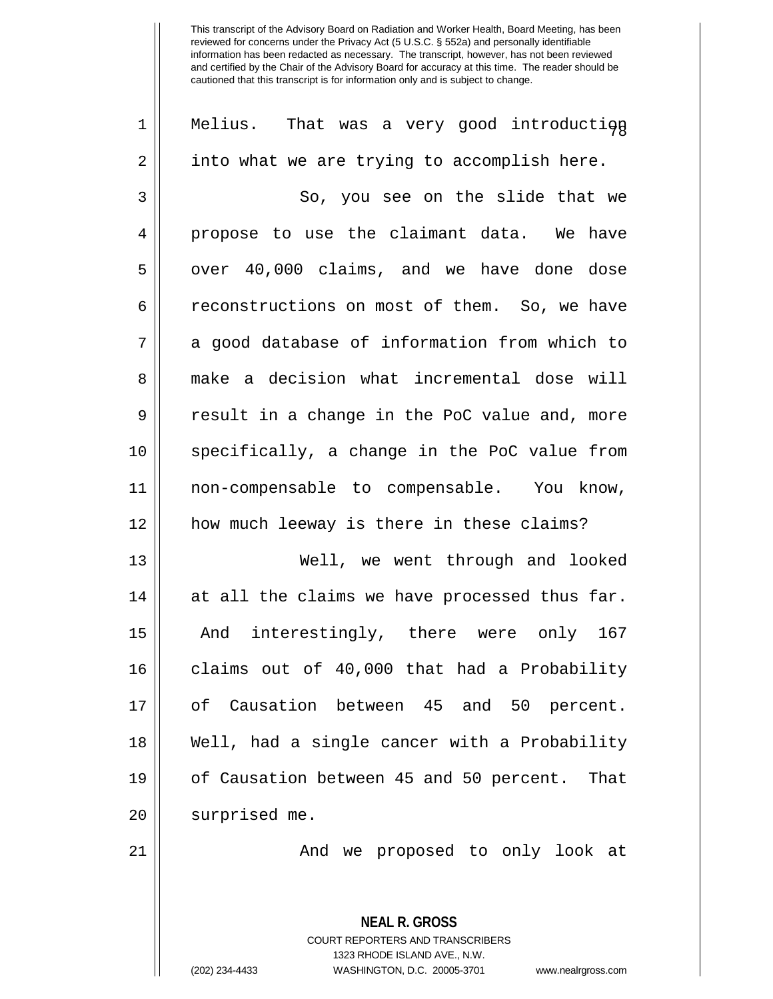| $\mathbf 1$ | Melius. That was a very good introductiqg     |
|-------------|-----------------------------------------------|
| 2           | into what we are trying to accomplish here.   |
| 3           | So, you see on the slide that we              |
| 4           | propose to use the claimant data. We have     |
| 5           | over 40,000 claims, and we have done dose     |
| 6           | reconstructions on most of them. So, we have  |
| 7           | a good database of information from which to  |
| 8           | make a decision what incremental dose will    |
| 9           | result in a change in the PoC value and, more |
| 10          | specifically, a change in the PoC value from  |
| 11          | non-compensable to compensable. You know,     |
| 12          | how much leeway is there in these claims?     |
| 13          | Well, we went through and looked              |
| 14          | at all the claims we have processed thus far. |
| 15          | And interestingly, there were only 167        |
| 16          | claims out of 40,000 that had a Probability   |
| 17          | of Causation between 45 and 50 percent.       |
| 18          | Well, had a single cancer with a Probability  |
| 19          | of Causation between 45 and 50 percent. That  |
| 20          | surprised me.                                 |
| 21          | And we proposed to only look at               |
|             |                                               |
|             | <b>NEAL R. GROSS</b>                          |

COURT REPORTERS AND TRANSCRIBERS 1323 RHODE ISLAND AVE., N.W.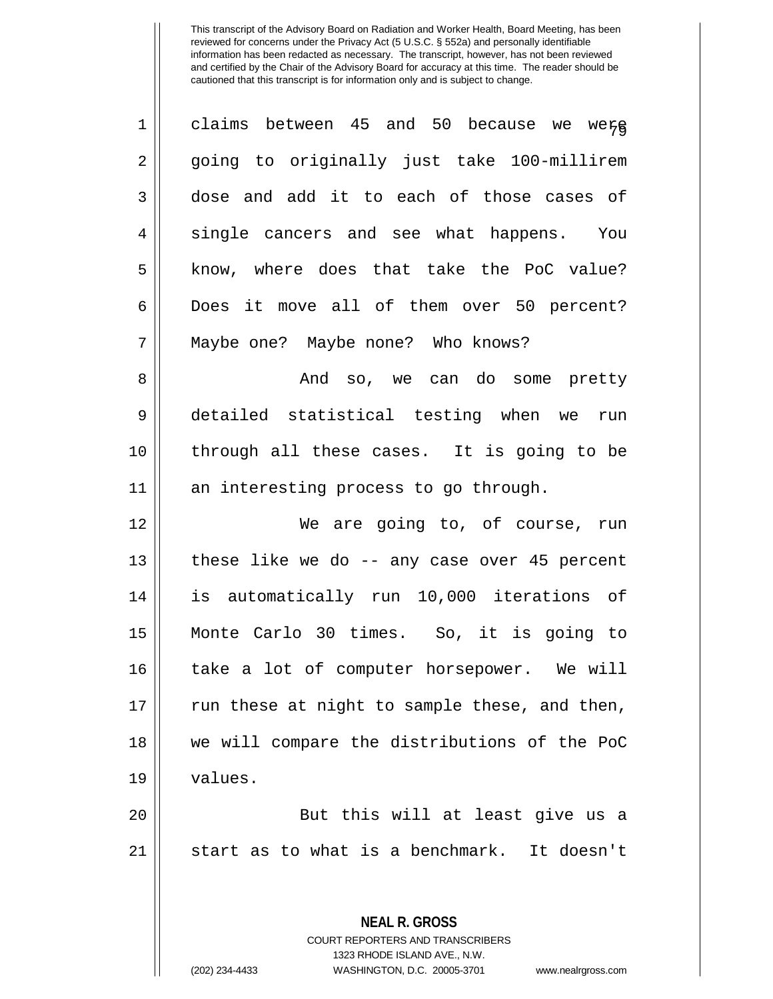| $\mathbf 1$ | claims between 45 and 50 because we werg                                                        |
|-------------|-------------------------------------------------------------------------------------------------|
| 2           | going to originally just take 100-millirem                                                      |
| 3           | dose and add it to each of those cases of                                                       |
| 4           | single cancers and see what happens. You                                                        |
| 5           | know, where does that take the PoC value?                                                       |
| 6           | Does it move all of them over 50 percent?                                                       |
| 7           | Maybe one? Maybe none? Who knows?                                                               |
| 8           | And so, we can do some pretty                                                                   |
| 9           | detailed statistical testing when we run                                                        |
| 10          | through all these cases. It is going to be                                                      |
| 11          | an interesting process to go through.                                                           |
| 12          | We are going to, of course, run                                                                 |
| 13          | these like we do $-$ any case over 45 percent                                                   |
| 14          | is automatically run 10,000 iterations of                                                       |
| 15          | Monte Carlo 30 times. So, it is going to                                                        |
| 16          | take a lot of computer horsepower. We will                                                      |
| 17          | run these at night to sample these, and then,                                                   |
| 18          | we will compare the distributions of the PoC                                                    |
| 19          | values.                                                                                         |
| 20          | But this will at least give us a                                                                |
| 21          | start as to what is a benchmark. It doesn't                                                     |
|             |                                                                                                 |
|             | <b>NEAL R. GROSS</b><br><b>COURT REPORTERS AND TRANSCRIBERS</b><br>1323 RHODE ISLAND AVE., N.W. |

 $\prod_{i=1}^{n}$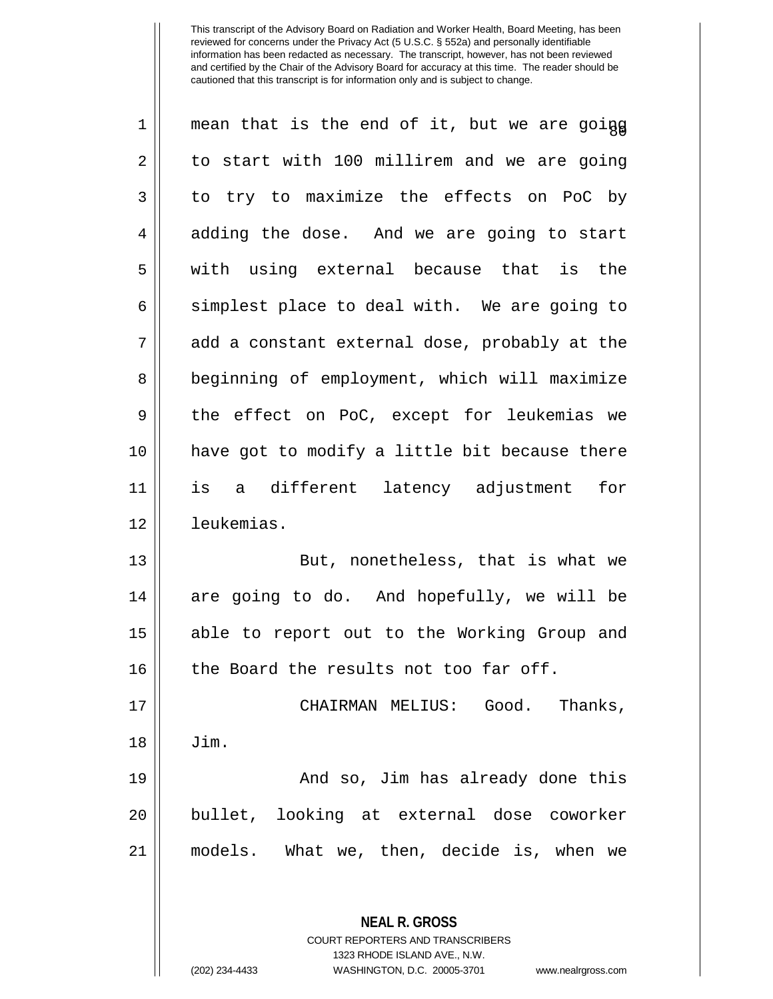| $\mathbf 1$ | mean that is the end of it, but we are going             |
|-------------|----------------------------------------------------------|
| 2           | to start with 100 millirem and we are going              |
| 3           | to try to maximize the effects on PoC by                 |
| 4           | adding the dose. And we are going to start               |
| 5           | with using external because that is the                  |
| 6           | simplest place to deal with. We are going to             |
| 7           | add a constant external dose, probably at the            |
| 8           | beginning of employment, which will maximize             |
| 9           | the effect on PoC, except for leukemias we               |
| 10          | have got to modify a little bit because there            |
| 11          | is a different latency adjustment for                    |
| 12          | leukemias.                                               |
| 13          | But, nonetheless, that is what we                        |
| 14          | are going to do. And hopefully, we will be               |
| 15          | able to report out to the Working Group and              |
| 16          | the Board the results not too far off.                   |
| 17          | CHAIRMAN MELIUS: Good.<br>Thanks,                        |
| 18          | Jim.                                                     |
| 19          | And so, Jim has already done this                        |
| 20          | bullet, looking at external dose coworker                |
| 21          | models. What we, then, decide is, when we                |
|             | <b>NEAL R. GROSS</b><br>COURT REPORTERS AND TRANSCRIBERS |

1323 RHODE ISLAND AVE., N.W.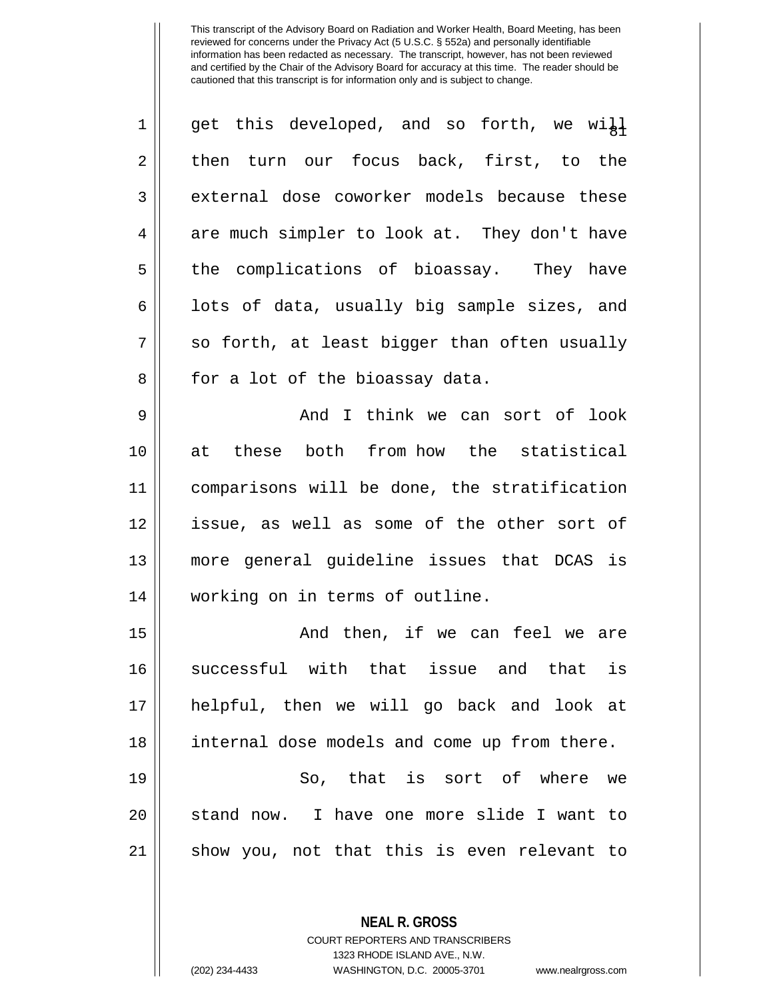| 1  | get this developed, and so forth, we will    |
|----|----------------------------------------------|
| 2  | then turn our focus back, first, to the      |
| 3  | external dose coworker models because these  |
| 4  | are much simpler to look at. They don't have |
| 5  | the complications of bioassay. They have     |
| 6  | lots of data, usually big sample sizes, and  |
| 7  | so forth, at least bigger than often usually |
| 8  | for a lot of the bioassay data.              |
| 9  | And I think we can sort of look              |
| 10 | at these both from how the statistical       |
| 11 | comparisons will be done, the stratification |
| 12 | issue, as well as some of the other sort of  |
| 13 | more general guideline issues that DCAS is   |
| 14 | working on in terms of outline.              |
| 15 | And then, if we can feel we are              |
| 16 | successful with that issue and that is       |
| 17 | helpful, then we will go back and look at    |
| 18 | internal dose models and come up from there. |
| 19 | So, that is sort of where<br>we              |
| 20 | stand now. I have one more slide I want to   |
| 21 | show you, not that this is even relevant to  |
|    |                                              |

**NEAL R. GROSS** COURT REPORTERS AND TRANSCRIBERS 1323 RHODE ISLAND AVE., N.W.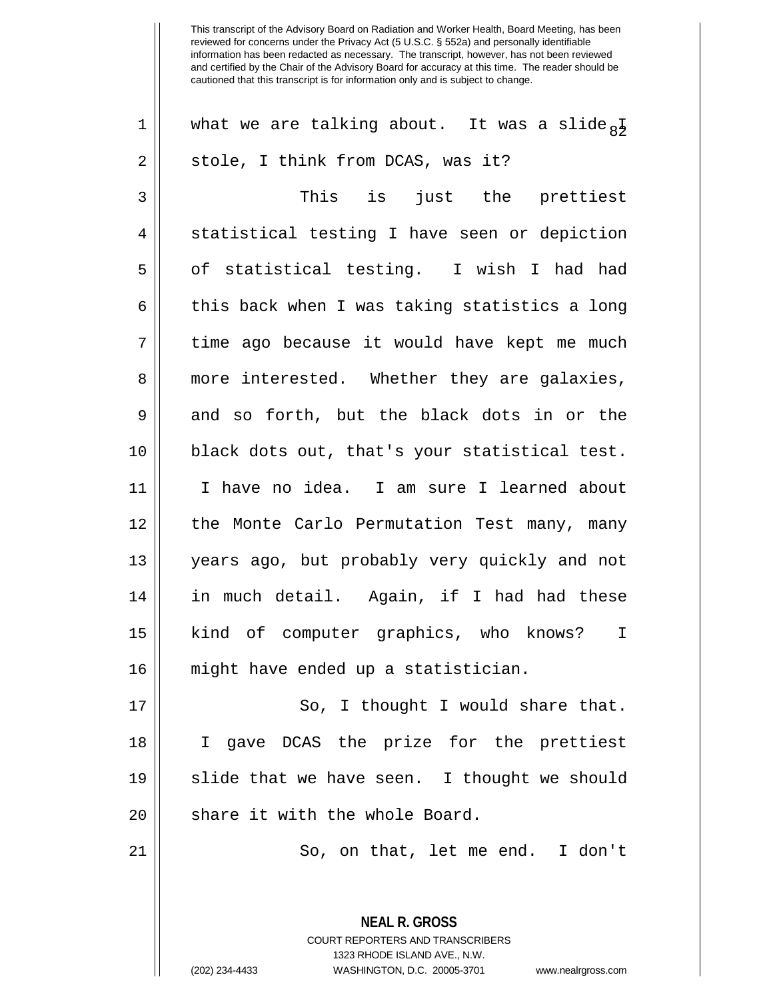1 || what we are talking about. It was a slide  $_8$ I  $2 \parallel$  stole, I think from DCAS, was it? 3 This is just the prettiest  $4 \parallel$  statistical testing I have seen or depiction  $5 \parallel$  of statistical testing. I wish I had had  $6 \parallel$  this back when I was taking statistics a long 7 || time ago because it would have kept me much 8 || more interested. Whether they are galaxies,  $9 \parallel$  and so forth, but the black dots in or the 10 black dots out, that's your statistical test. 11 I have no idea. I am sure I learned about 12 the Monte Carlo Permutation Test many, many 13 years ago, but probably very quickly and not 14 in much detail. Again, if I had had these 15 || kind of computer graphics, who knows? I 16 might have ended up a statistician. 17 || So, I thought I would share that. 18 I gave DCAS the prize for the prettiest  $19$  slide that we have seen. I thought we should

20 || share it with the whole Board.

21 || So, on that, let me end. I don't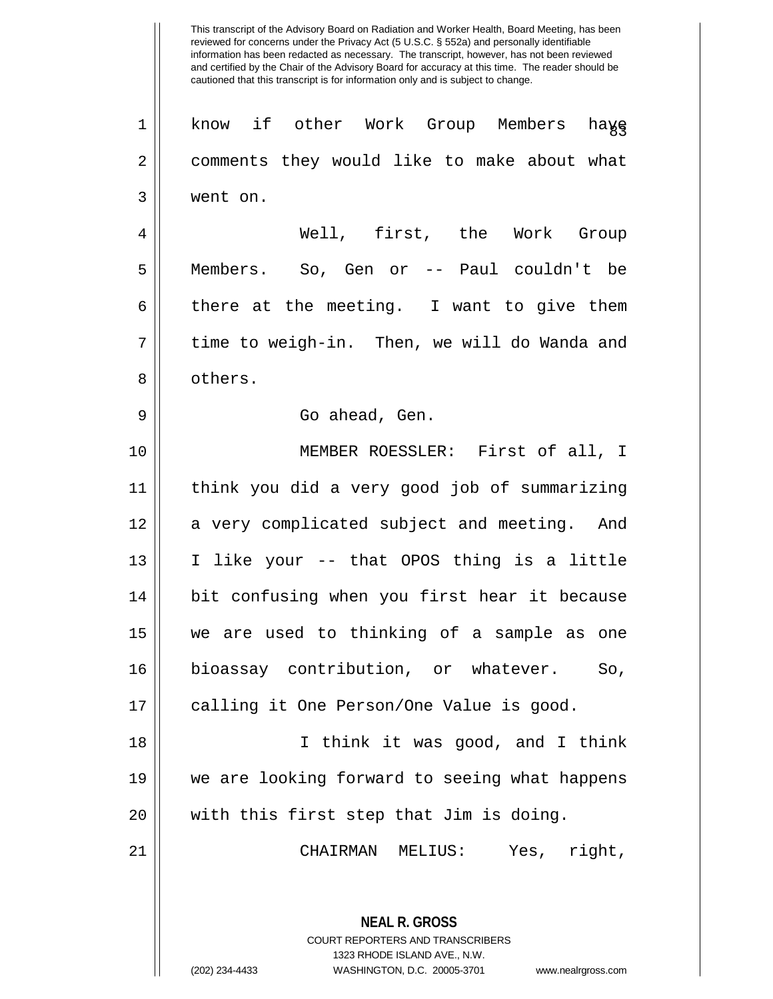**NEAL R. GROSS** COURT REPORTERS AND TRANSCRIBERS 1323 RHODE ISLAND AVE., N.W. 1 || know if other Work Group Members hay<del>g</del> 2 || comments they would like to make about what 3 went on. 4 Well, first, the Work Group 5 Members. So, Gen or -- Paul couldn't be 6 | there at the meeting. I want to give them  $7 \parallel$  time to weigh-in. Then, we will do Wanda and 8 l others. 9 Go ahead, Gen. 10 MEMBER ROESSLER: First of all, I 11 think you did a very good job of summarizing 12 || a very complicated subject and meeting. And 13 I like your -- that OPOS thing is a little 14 || bit confusing when you first hear it because 15 we are used to thinking of a sample as one 16 bioassay contribution, or whatever. So, 17 || calling it One Person/One Value is good. 18 I think it was good, and I think 19 we are looking forward to seeing what happens 20 || with this first step that Jim is doing. 21 CHAIRMAN MELIUS: Yes, right,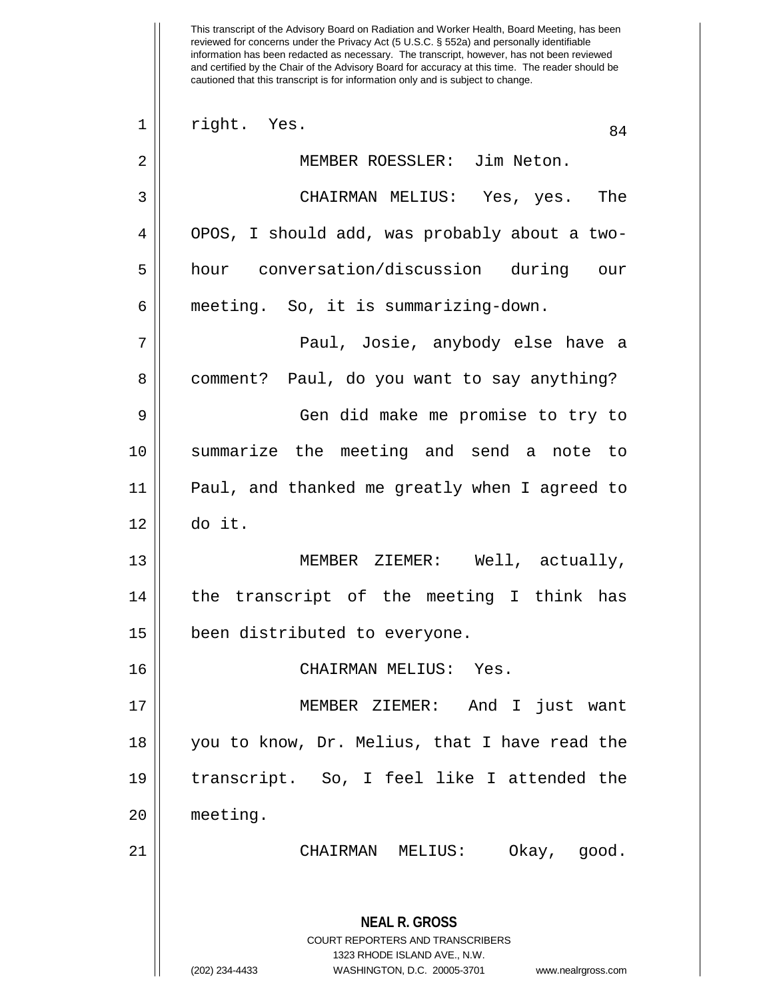This transcript of the Advisory Board on Radiation and Worker Health, Board Meeting, has been reviewed for concerns under the Privacy Act (5 U.S.C. § 552a) and personally identifiable information has been redacted as necessary. The transcript, however, has not been reviewed and certified by the Chair of the Advisory Board for accuracy at this time. The reader should be cautioned that this transcript is for information only and is subject to change. **NEAL R. GROSS** COURT REPORTERS AND TRANSCRIBERS 1323 RHODE ISLAND AVE., N.W. (202) 234-4433 WASHINGTON, D.C. 20005-3701 www.nealrgross.com 1 || right. Yes. 34 MEMBER ROESSLER: Jim Neton. CHAIRMAN MELIUS: Yes, yes. The OPOS, I should add, was probably about a two- hour conversation/discussion during our meeting. So, it is summarizing-down. Paul, Josie, anybody else have a 8 | comment? Paul, do you want to say anything? Gen did make me promise to try to summarize the meeting and send a note to Paul, and thanked me greatly when I agreed to do it. MEMBER ZIEMER: Well, actually, | the transcript of the meeting I think has been distributed to everyone. CHAIRMAN MELIUS: Yes. MEMBER ZIEMER: And I just want you to know, Dr. Melius, that I have read the transcript. So, I feel like I attended the meeting. CHAIRMAN MELIUS: Okay, good.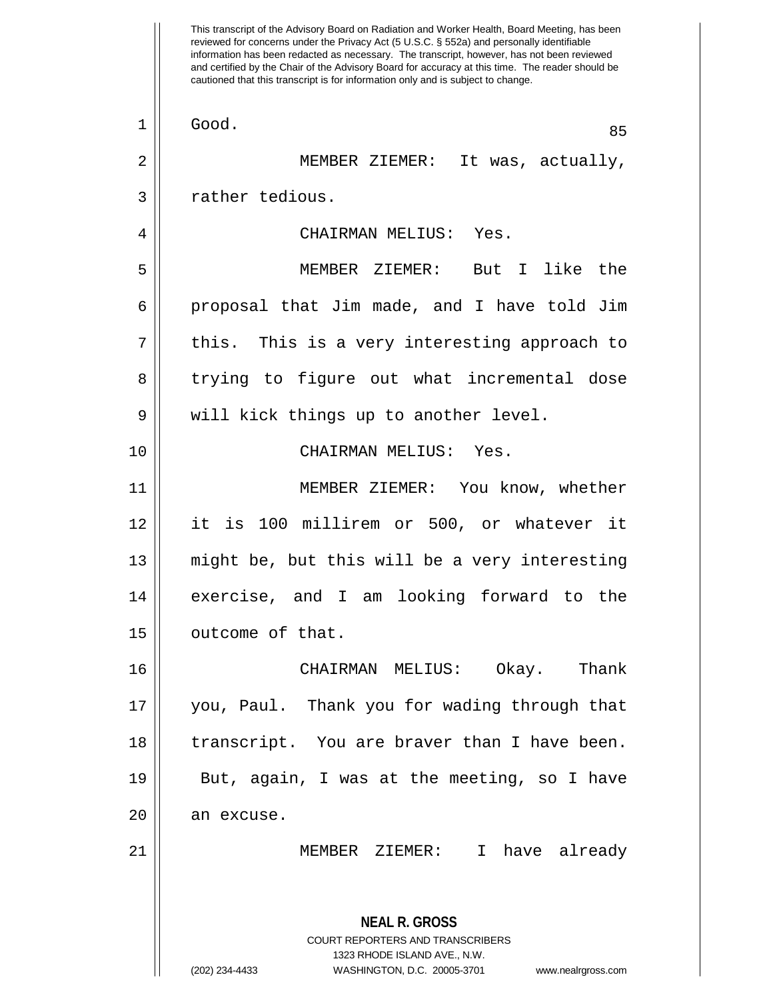This transcript of the Advisory Board on Radiation and Worker Health, Board Meeting, has been reviewed for concerns under the Privacy Act (5 U.S.C. § 552a) and personally identifiable information has been redacted as necessary. The transcript, however, has not been reviewed and certified by the Chair of the Advisory Board for accuracy at this time. The reader should be cautioned that this transcript is for information only and is subject to change. **NEAL R. GROSS** COURT REPORTERS AND TRANSCRIBERS 1323 RHODE ISLAND AVE., N.W. (202) 234-4433 WASHINGTON, D.C. 20005-3701 www.nealrgross.com 1 Good. 85 2 || MEMBER ZIEMER: It was, actually, 3 | rather tedious. 4 CHAIRMAN MELIUS: Yes. 5 MEMBER ZIEMER: But I like the 6 || proposal that Jim made, and I have told Jim  $7 ||$  this. This is a very interesting approach to 8 || trying to figure out what incremental dose  $9 \parallel$  will kick things up to another level. 10 CHAIRMAN MELIUS: Yes. 11 || MEMBER ZIEMER: You know, whether 12 it is 100 millirem or 500, or whatever it 13  $\parallel$  might be, but this will be a very interesting 14 exercise, and I am looking forward to the 15 | outcome of that. 16 CHAIRMAN MELIUS: Okay. Thank 17 you, Paul. Thank you for wading through that 18 || transcript. You are braver than I have been. 19 || But, again, I was at the meeting, so I have 20 || an excuse. 21 MEMBER ZIEMER: I have already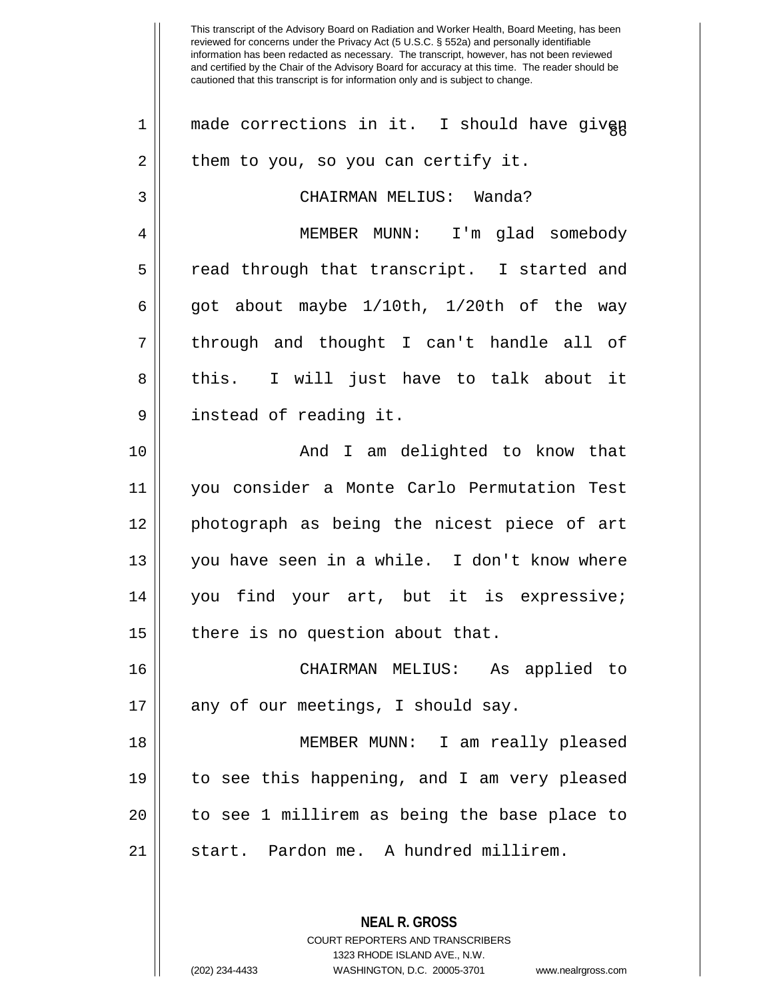This transcript of the Advisory Board on Radiation and Worker Health, Board Meeting, has been reviewed for concerns under the Privacy Act (5 U.S.C. § 552a) and personally identifiable information has been redacted as necessary. The transcript, however, has not been reviewed and certified by the Chair of the Advisory Board for accuracy at this time. The reader should be cautioned that this transcript is for information only and is subject to change.  $1 ||$  made corrections in it. I should have given  $2 \parallel$  them to you, so you can certify it. 3 CHAIRMAN MELIUS: Wanda? 4 MEMBER MUNN: I'm glad somebody 5 || read through that transcript. I started and 6 || got about maybe  $1/10$ th,  $1/20$ th of the way 7 || through and thought I can't handle all of 8 || this. I will just have to talk about it 9 | instead of reading it. 10 And I am delighted to know that 11 you consider a Monte Carlo Permutation Test 12 photograph as being the nicest piece of art 13 || you have seen in a while. I don't know where 14 you find your art, but it is expressive; 15 | there is no question about that. 16 CHAIRMAN MELIUS: As applied to 17 || any of our meetings, I should say. 18 MEMBER MUNN: I am really pleased 19 to see this happening, and I am very pleased 20 || to see 1 millirem as being the base place to 21 || start. Pardon me. A hundred millirem.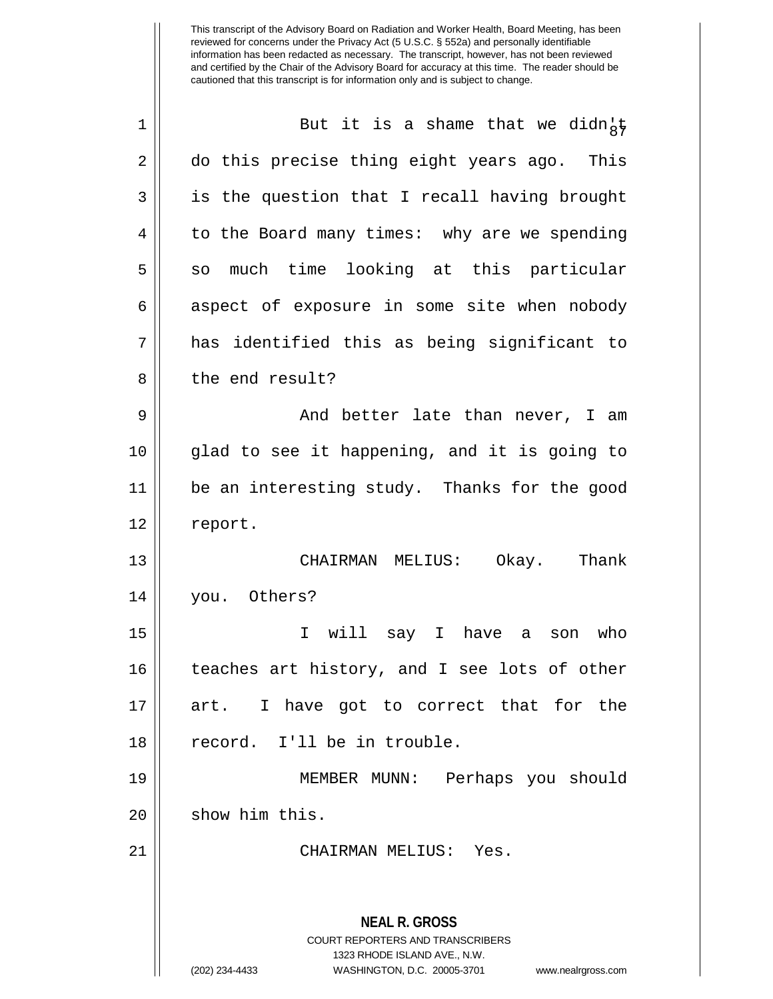| $\mathbf 1$ | But it is a shame that we didn <sub>k</sub> t                                                                                                                          |
|-------------|------------------------------------------------------------------------------------------------------------------------------------------------------------------------|
| 2           | do this precise thing eight years ago. This                                                                                                                            |
| 3           | is the question that I recall having brought                                                                                                                           |
| 4           | to the Board many times: why are we spending                                                                                                                           |
| 5           | so much time looking at this particular                                                                                                                                |
| 6           | aspect of exposure in some site when nobody                                                                                                                            |
| 7           | has identified this as being significant to                                                                                                                            |
| 8           | the end result?                                                                                                                                                        |
| 9           | And better late than never, I am                                                                                                                                       |
| 10          | glad to see it happening, and it is going to                                                                                                                           |
| 11          | be an interesting study. Thanks for the good                                                                                                                           |
| 12          | report.                                                                                                                                                                |
| 13          | CHAIRMAN MELIUS: Okay. Thank                                                                                                                                           |
| 14          | you. Others?                                                                                                                                                           |
| 15          | will say I have a<br>who<br>I.<br>son                                                                                                                                  |
| 16          | teaches art history, and I see lots of other                                                                                                                           |
| 17          | I have got to correct that for the<br>art.                                                                                                                             |
| 18          | record. I'll be in trouble.                                                                                                                                            |
| 19          | MEMBER MUNN: Perhaps you should                                                                                                                                        |
| 20          | show him this.                                                                                                                                                         |
| 21          | CHAIRMAN MELIUS: Yes.                                                                                                                                                  |
|             | <b>NEAL R. GROSS</b><br><b>COURT REPORTERS AND TRANSCRIBERS</b><br>1323 RHODE ISLAND AVE., N.W.<br>(202) 234-4433<br>WASHINGTON, D.C. 20005-3701<br>www.nealrgross.com |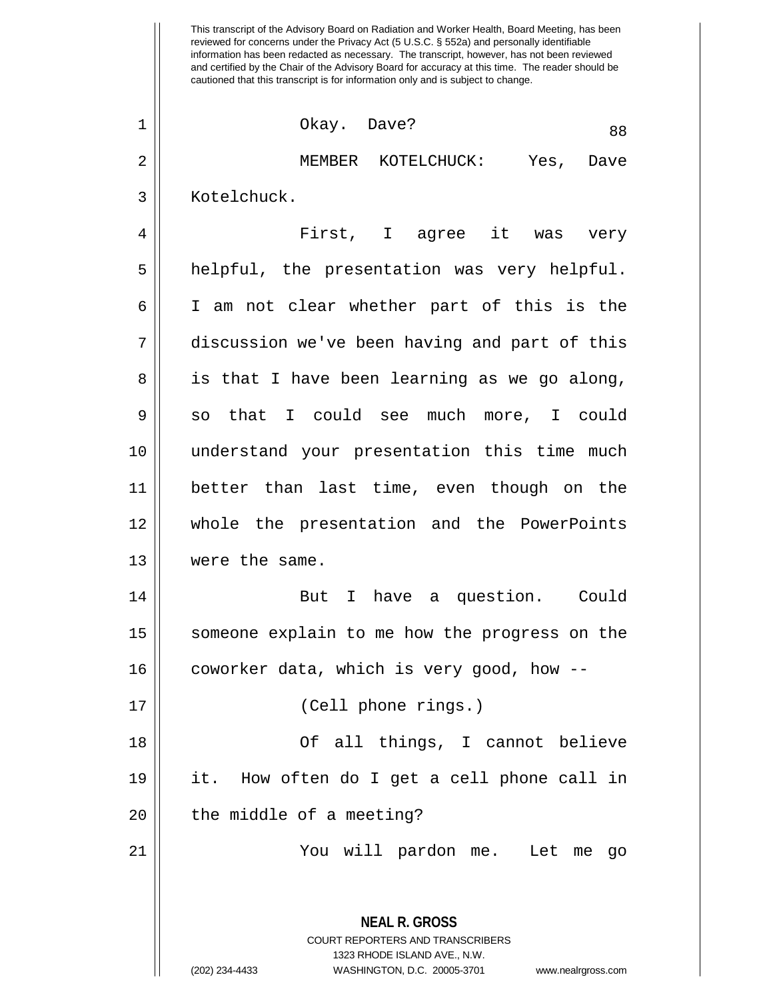This transcript of the Advisory Board on Radiation and Worker Health, Board Meeting, has been reviewed for concerns under the Privacy Act (5 U.S.C. § 552a) and personally identifiable information has been redacted as necessary. The transcript, however, has not been reviewed and certified by the Chair of the Advisory Board for accuracy at this time. The reader should be cautioned that this transcript is for information only and is subject to change. **NEAL R. GROSS** COURT REPORTERS AND TRANSCRIBERS 1323 RHODE ISLAND AVE., N.W. (202) 234-4433 WASHINGTON, D.C. 20005-3701 www.nealrgross.com <sup>88</sup> <sup>1</sup> Okay. Dave? 2 MEMBER KOTELCHUCK: Yes, Dave 3 || Kotelchuck. 4 First, I agree it was very 5 helpful, the presentation was very helpful. 6 I am not clear whether part of this is the 7 discussion we've been having and part of this  $8 \parallel$  is that I have been learning as we go along, 9 so that I could see much more, I could 10 understand your presentation this time much 11 better than last time, even though on the 12 whole the presentation and the PowerPoints 13 were the same. 14 || But I have a question. Could 15 || someone explain to me how the progress on the 16 | coworker data, which is very good, how --17 (Cell phone rings.) 18 || Of all things, I cannot believe 19 it. How often do I get a cell phone call in  $20$  || the middle of a meeting? 21 You will pardon me. Let me go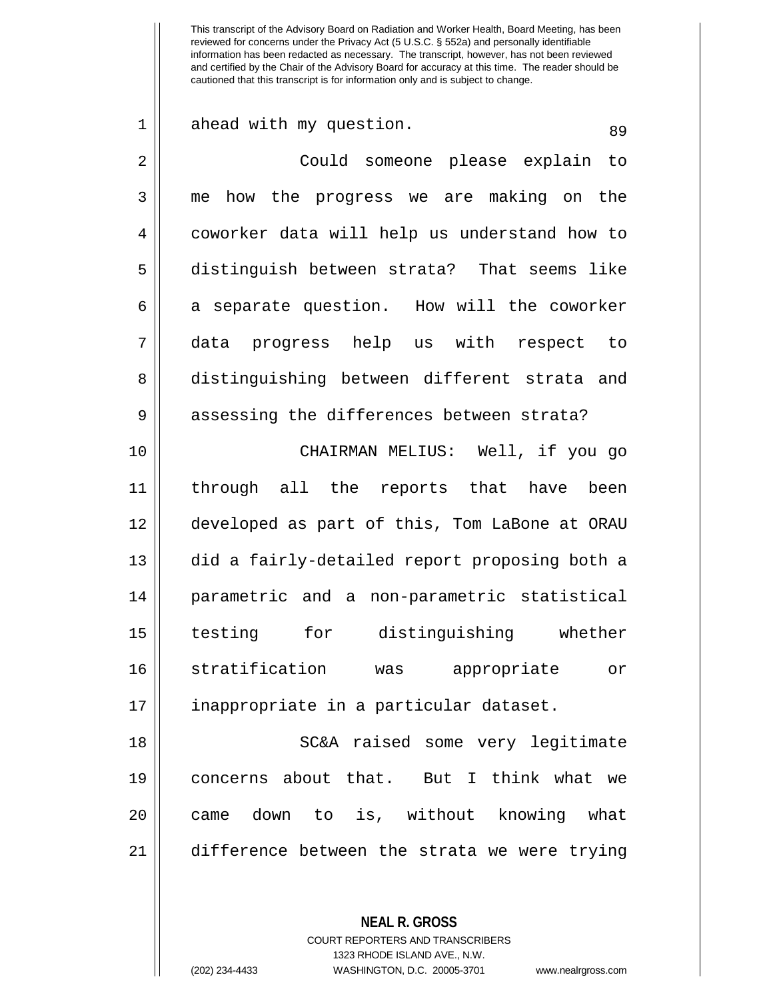1 ahead with my question. 89 2 || Could someone please explain to me how the progress we are making on the 4 coworker data will help us understand how to distinguish between strata? That seems like  $6 \parallel$  a separate question. How will the coworker data progress help us with respect to 8 distinguishing between different strata and 9 || assessing the differences between strata? CHAIRMAN MELIUS: Well, if you go through all the reports that have been developed as part of this, Tom LaBone at ORAU 13 || did a fairly-detailed report proposing both a parametric and a non-parametric statistical testing for distinguishing whether stratification was appropriate or inappropriate in a particular dataset. SC&A raised some very legitimate concerns about that. But I think what we 20 Game down to is, without knowing what difference between the strata we were trying

> COURT REPORTERS AND TRANSCRIBERS 1323 RHODE ISLAND AVE., N.W. (202) 234-4433 WASHINGTON, D.C. 20005-3701 www.nealrgross.com

**NEAL R. GROSS**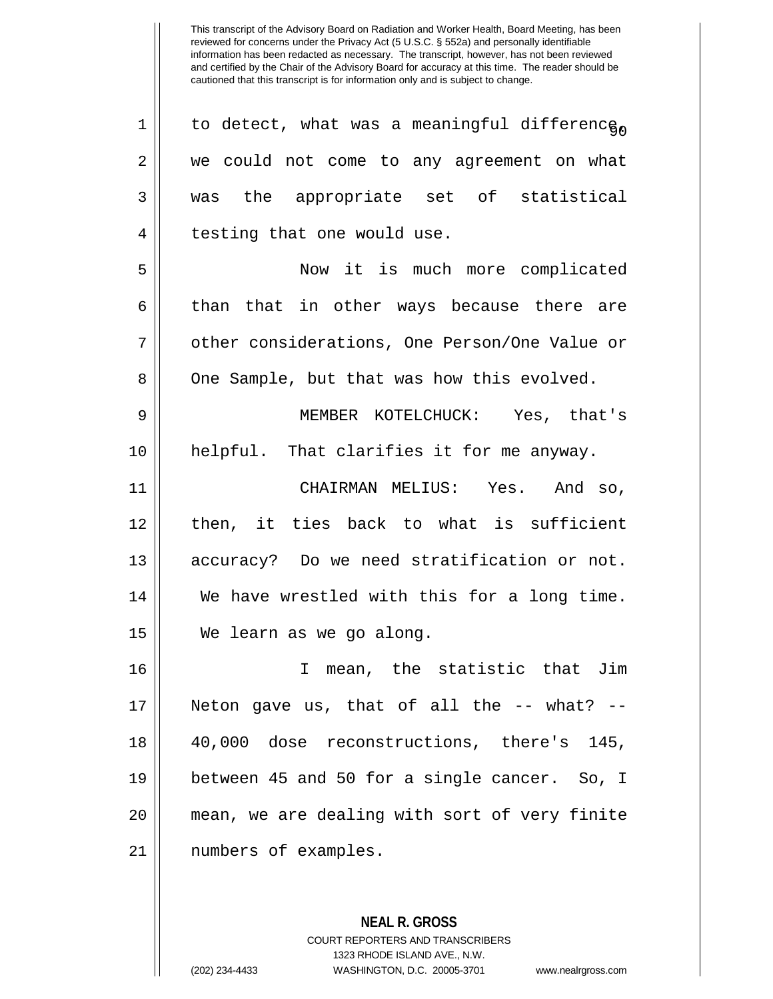1 | to detect, what was a meaningful difference we could not come to any agreement on what was the appropriate set of statistical 4 || testing that one would use. Now it is much more complicated  $6 \parallel$  than that in other ways because there are 7 || other considerations, One Person/One Value or 8 One Sample, but that was how this evolved. MEMBER KOTELCHUCK: Yes, that's helpful. That clarifies it for me anyway. CHAIRMAN MELIUS: Yes. And so, then, it ties back to what is sufficient 13 || accuracy? Do we need stratification or not. 14 We have wrestled with this for a long time. We learn as we go along. I mean, the statistic that Jim || Neton gave us, that of all the -- what? -- 40,000 dose reconstructions, there's 145, between 45 and 50 for a single cancer. So, I mean, we are dealing with sort of very finite 21 || numbers of examples.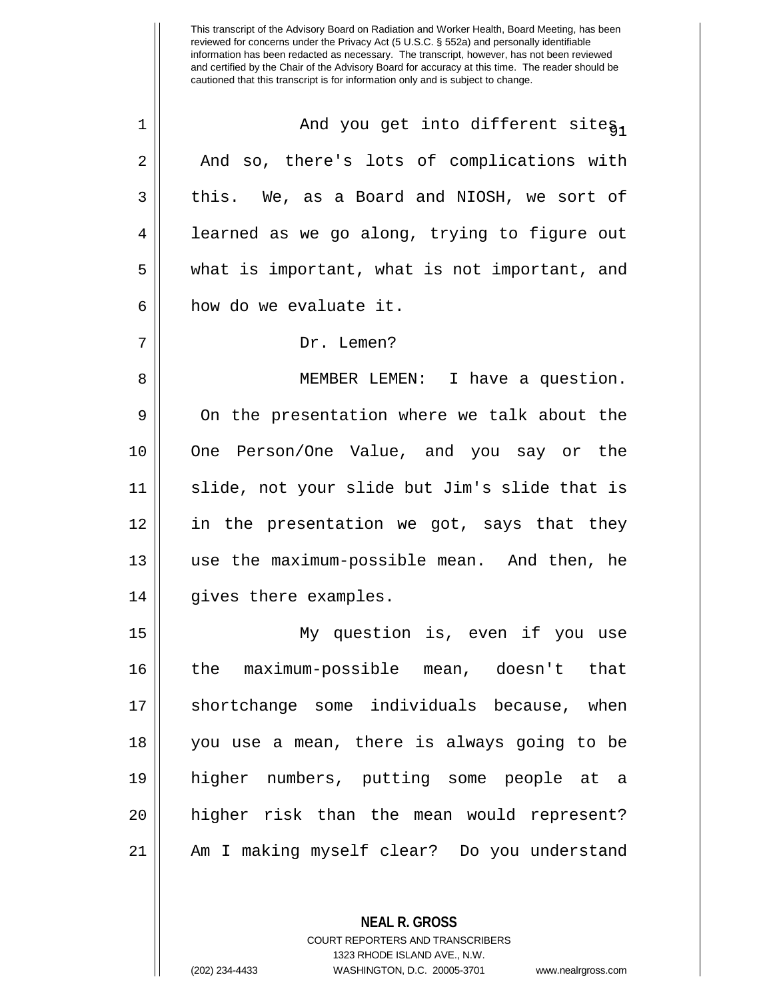1 ||  $\blacksquare$  And you get into different sites, 2 | And so, there's lots of complications with  $3 \parallel$  this. We, as a Board and NIOSH, we sort of 4 | learned as we go along, trying to figure out 5 | what is important, what is not important, and 6 how do we evaluate it. 7 Dr. Lemen? 8 MEMBER LEMEN: I have a question. 9 On the presentation where we talk about the 10 One Person/One Value, and you say or the 11 || slide, not your slide but Jim's slide that is 12 in the presentation we got, says that they 13 use the maximum-possible mean. And then, he

 My question is, even if you use the maximum-possible mean, doesn't that 17 || shortchange some individuals because, when you use a mean, there is always going to be higher numbers, putting some people at a higher risk than the mean would represent? Am I making myself clear? Do you understand

> **NEAL R. GROSS** COURT REPORTERS AND TRANSCRIBERS 1323 RHODE ISLAND AVE., N.W. (202) 234-4433 WASHINGTON, D.C. 20005-3701 www.nealrgross.com

14 | gives there examples.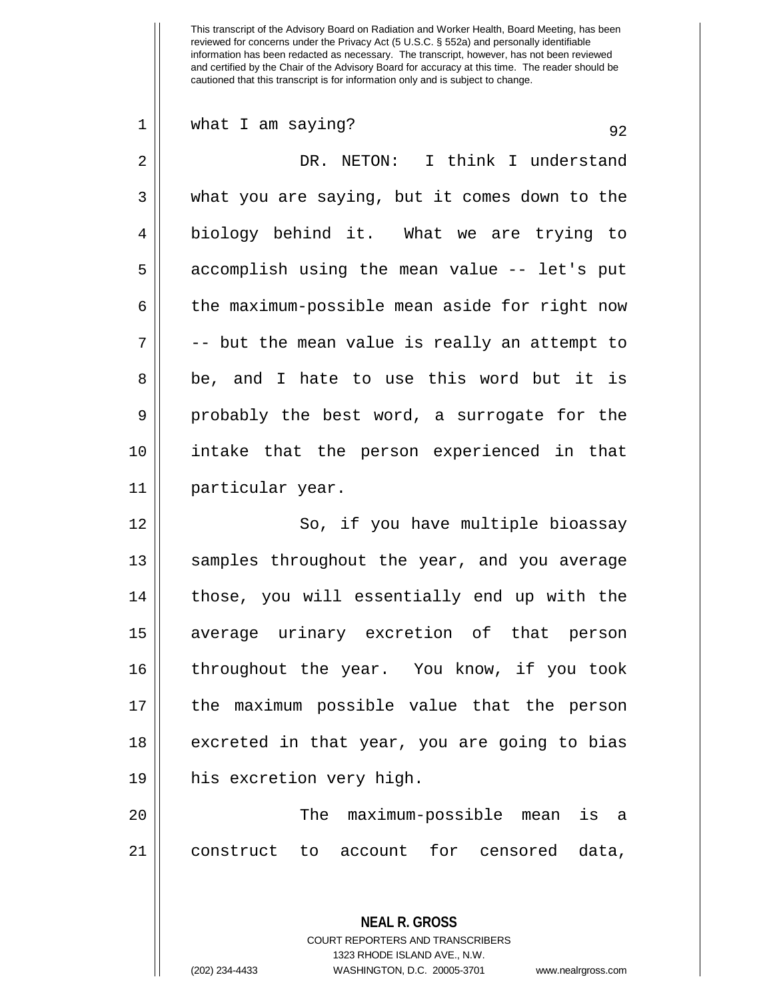$1 \parallel$  what I am saying? 92 2 DR. NETON: I think I understand 3 what you are saying, but it comes down to the 4 biology behind it. What we are trying to 5 || accomplish using the mean value -- let's put 6 | the maximum-possible mean aside for right now  $7 \parallel$  -- but the mean value is really an attempt to 8 || be, and I hate to use this word but it is  $9 \parallel$  probably the best word, a surrogate for the 10 intake that the person experienced in that 11 particular year. 12 || So, if you have multiple bioassay 13 || samples throughout the year, and you average 14 || those, you will essentially end up with the 15 average urinary excretion of that person 16 throughout the year. You know, if you took 17 the maximum possible value that the person 18 || excreted in that year, you are going to bias 19 his excretion very high. 20 The maximum-possible mean is a 21 construct to account for censored data,

> **NEAL R. GROSS** COURT REPORTERS AND TRANSCRIBERS 1323 RHODE ISLAND AVE., N.W.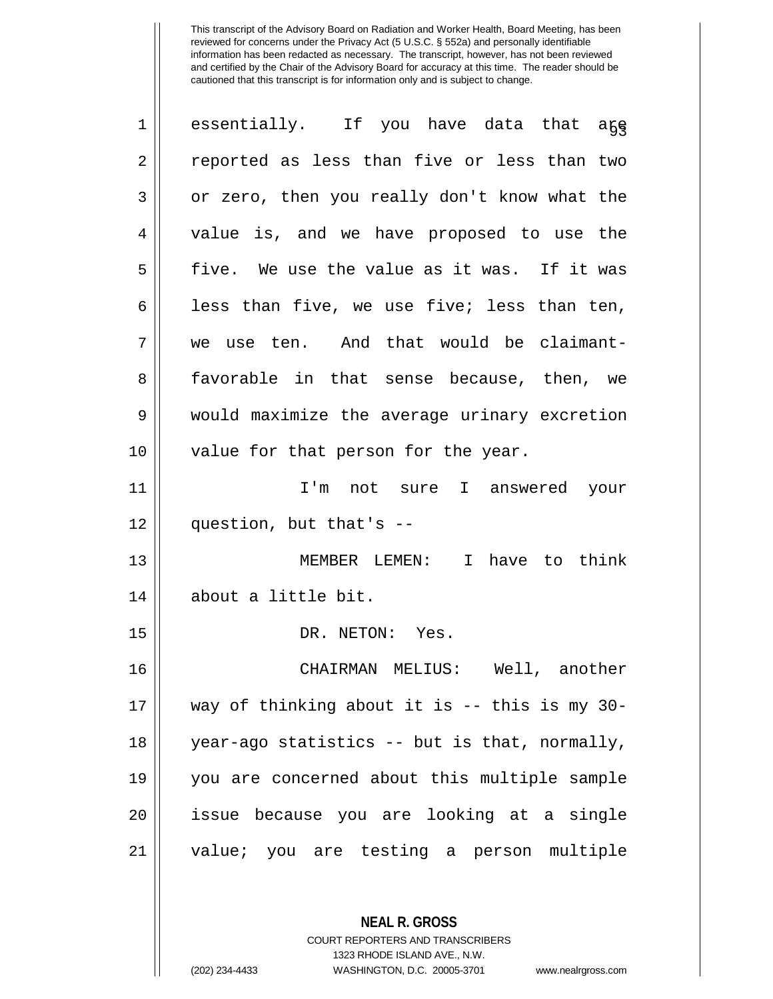| $\mathbf 1$ | essentially. If you have data that age        |
|-------------|-----------------------------------------------|
| 2           | reported as less than five or less than two   |
| 3           | or zero, then you really don't know what the  |
| 4           | value is, and we have proposed to use the     |
| 5           | five. We use the value as it was. If it was   |
| 6           | less than five, we use five; less than ten,   |
| 7           | we use ten. And that would be claimant-       |
| 8           | favorable in that sense because, then, we     |
| 9           | would maximize the average urinary excretion  |
| 10          | value for that person for the year.           |
| 11          | I'm not sure I answered your                  |
| 12          | question, but that's --                       |
| 13          | MEMBER LEMEN: I have to think                 |
| 14          | about a little bit.                           |
| 15          | DR. NETON: Yes.                               |
| 16          | CHAIRMAN MELIUS: Well, another                |
| 17          | way of thinking about it is -- this is my 30- |
| 18          | year-ago statistics -- but is that, normally, |
| 19          | you are concerned about this multiple sample  |
| 20          | issue because you are looking at a single     |
| 21          | value; you are testing a person multiple      |
|             |                                               |
|             |                                               |

**NEAL R. GROSS** COURT REPORTERS AND TRANSCRIBERS

1323 RHODE ISLAND AVE., N.W.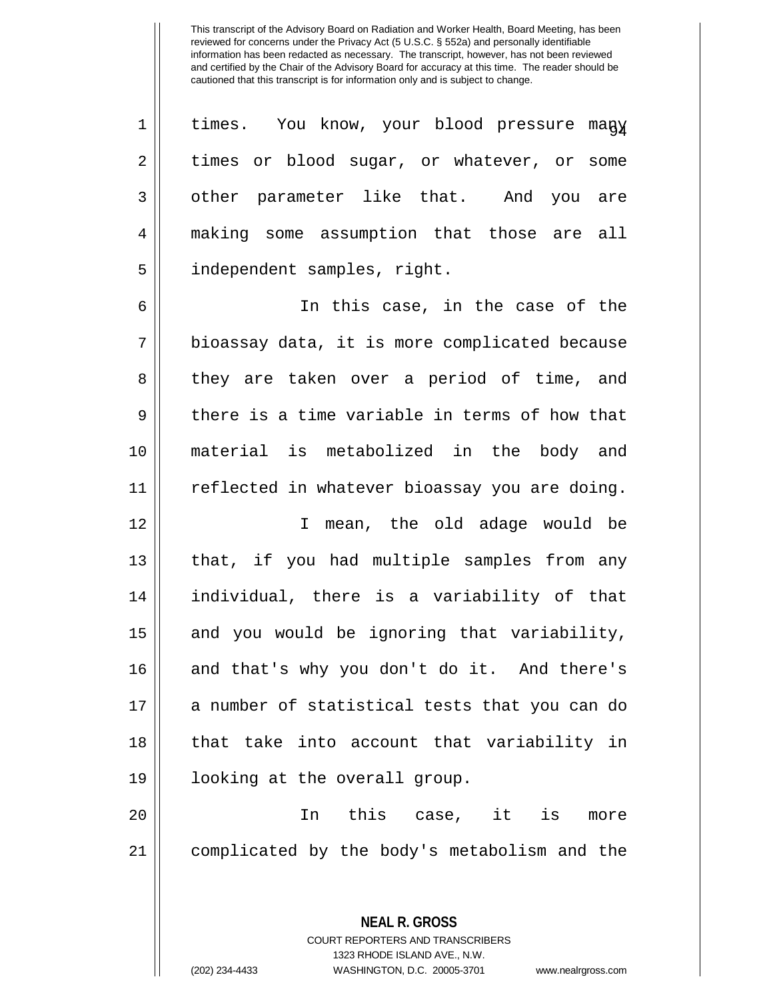1 || times. You know, your blood pressure many 2 || times or blood sugar, or whatever, or some 3 || other parameter like that. And you are 4 || making some assumption that those are all 5 | independent samples, right. 6 In this case, in the case of the 7 bioassay data, it is more complicated because 8 || they are taken over a period of time, and  $9 \parallel$  there is a time variable in terms of how that 10 material is metabolized in the body and 11 reflected in whatever bioassay you are doing. 12 I mean, the old adage would be 13 that, if you had multiple samples from any 14 individual, there is a variability of that 15 || and you would be ignoring that variability, 16 || and that's why you don't do it. And there's 17 || a number of statistical tests that you can do 18 that take into account that variability in 19 looking at the overall group. 20 || In this case, it is more

21 complicated by the body's metabolism and the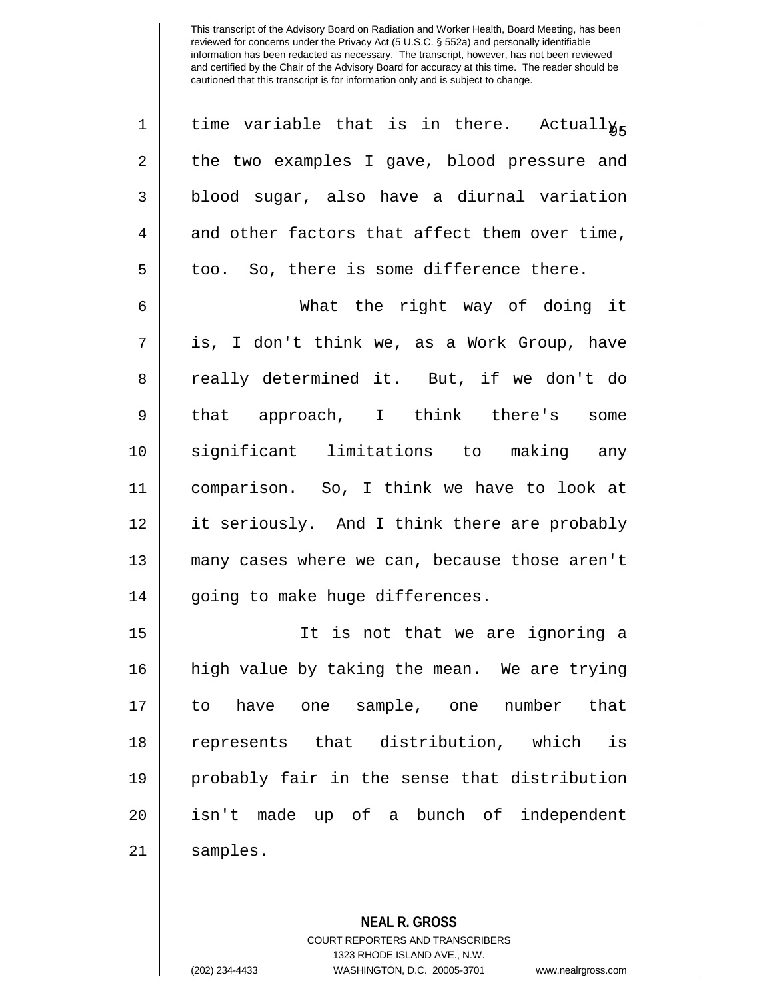| $\mathbf 1$ | time variable that is in there. Actuall $y_{\xi}$ |
|-------------|---------------------------------------------------|
| 2           | the two examples I gave, blood pressure and       |
| 3           | blood sugar, also have a diurnal variation        |
| 4           | and other factors that affect them over time,     |
| 5           | too. So, there is some difference there.          |
| 6           | What the right way of doing it                    |
| 7           | is, I don't think we, as a Work Group, have       |
| 8           | really determined it. But, if we don't do         |
| 9           | that approach, I think there's some               |
| 10          | significant limitations to making any             |
| 11          | comparison. So, I think we have to look at        |
| 12          | it seriously. And I think there are probably      |
| 13          | many cases where we can, because those aren't     |
| 14          | going to make huge differences.                   |
| 15          | It is not that we are ignoring a                  |
| 16          | high value by taking the mean. We are trying      |
| 17          | have one sample, one number that<br>to            |
| 18          | represents that distribution, which<br>is         |
| 19          | probably fair in the sense that distribution      |
| 20          | isn't made up of a bunch of independent           |
| 21          | samples.                                          |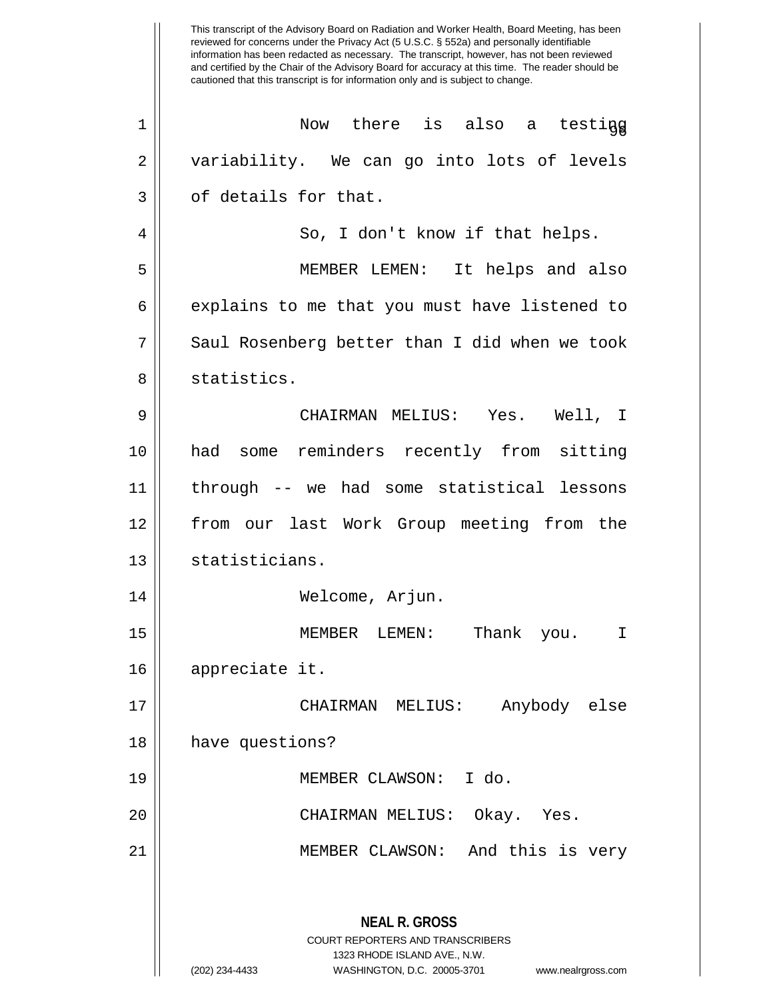This transcript of the Advisory Board on Radiation and Worker Health, Board Meeting, has been reviewed for concerns under the Privacy Act (5 U.S.C. § 552a) and personally identifiable information has been redacted as necessary. The transcript, however, has not been reviewed and certified by the Chair of the Advisory Board for accuracy at this time. The reader should be cautioned that this transcript is for information only and is subject to change. **NEAL R. GROSS** COURT REPORTERS AND TRANSCRIBERS 1323 RHODE ISLAND AVE., N.W. (202) 234-4433 WASHINGTON, D.C. 20005-3701 www.nealrgross.com  $\begin{array}{c|cccc} 1 & \hspace{1.5cm} & \hspace{1.5cm} & \hspace{1.5cm} & \hspace{1.5cm} & \hspace{1.5cm} & \hspace{1.5cm} & \hspace{1.5cm} & \hspace{1.5cm} & \hspace{1.5cm} & \hspace{1.5cm} & \hspace{1.5cm} & \hspace{1.5cm} & \hspace{1.5cm} & \hspace{1.5cm} & \hspace{1.5cm} & \hspace{1.5cm} & \hspace{1.5cm} & \hspace{1.5cm} & \hspace{1.5cm} & \hspace{1.5cm} & \hspace{1.5cm$ 2 variability. We can go into lots of levels 3 || of details for that. 4 || So, I don't know if that helps. 5 MEMBER LEMEN: It helps and also  $6 \parallel$  explains to me that you must have listened to 7 || Saul Rosenberg better than I did when we took 8 || statistics. 9 CHAIRMAN MELIUS: Yes. Well, I 10 had some reminders recently from sitting 11 through -- we had some statistical lessons 12 from our last Work Group meeting from the 13 | statisticians. 14 | Welcome, Arjun. 15 MEMBER LEMEN: Thank you. I 16 appreciate it. 17 CHAIRMAN MELIUS: Anybody else 18 || have questions? 19 MEMBER CLAWSON: I do. 20 CHAIRMAN MELIUS: Okay. Yes. 21 MEMBER CLAWSON: And this is very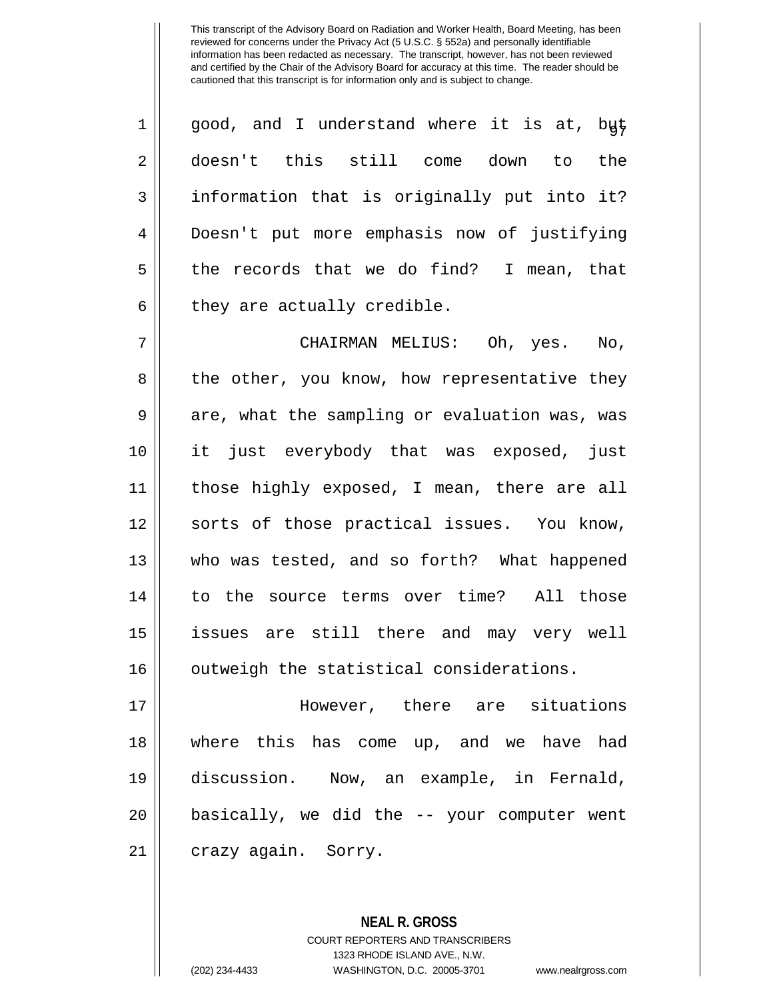| $\mathbf 1$ | good, and I understand where it is at, but    |
|-------------|-----------------------------------------------|
| 2           | doesn't this still come down to the           |
| 3           | information that is originally put into it?   |
| 4           | Doesn't put more emphasis now of justifying   |
| 5           | the records that we do find? I mean, that     |
| 6           | they are actually credible.                   |
| 7           | CHAIRMAN MELIUS: Oh, yes. No,                 |
| 8           | the other, you know, how representative they  |
| 9           | are, what the sampling or evaluation was, was |
| 10          | it just everybody that was exposed, just      |
| 11          | those highly exposed, I mean, there are all   |

12 || sorts of those practical issues. You know, 13 || who was tested, and so forth? What happened 14 || to the source terms over time? All those 15 issues are still there and may very well 16 | outweigh the statistical considerations.

 However, there are situations where this has come up, and we have had discussion. Now, an example, in Fernald, || basically, we did the  $-$ - your computer went 21 | crazy again. Sorry.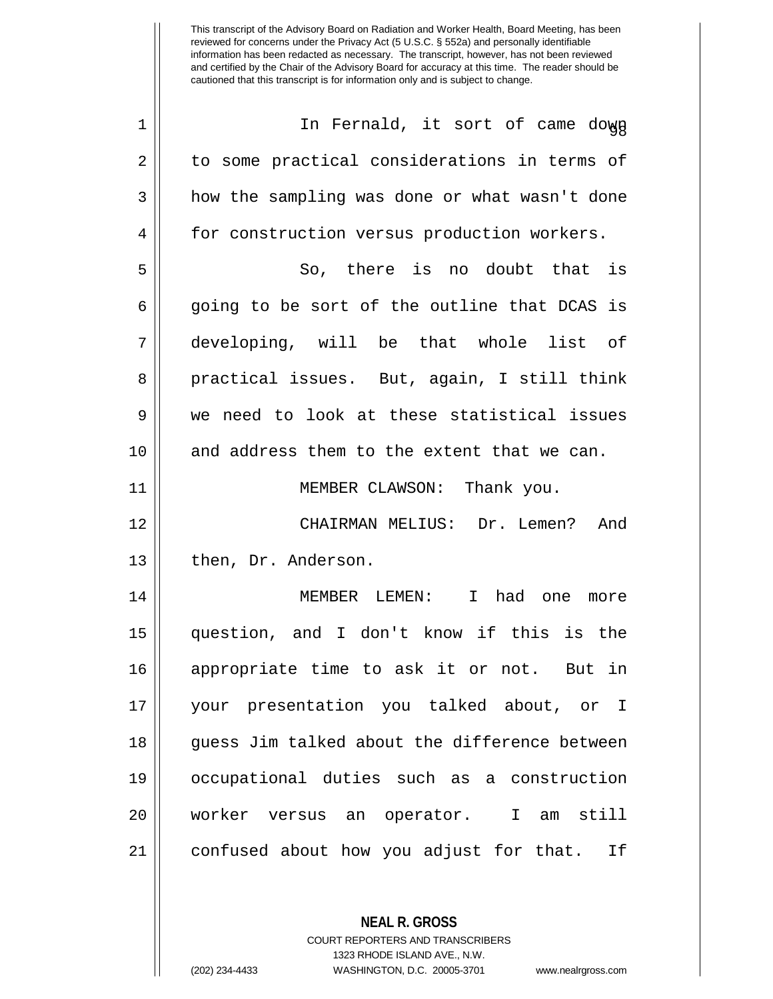| $\mathbf 1$ | In Fernald, it sort of came down              |
|-------------|-----------------------------------------------|
| 2           | to some practical considerations in terms of  |
| 3           | how the sampling was done or what wasn't done |
| 4           | for construction versus production workers.   |
|             |                                               |
| 5           | So, there is no doubt that is                 |
| 6           | going to be sort of the outline that DCAS is  |
| 7           | developing, will be that whole list of        |
| 8           | practical issues. But, again, I still think   |
| 9           | we need to look at these statistical issues   |
| 10          | and address them to the extent that we can.   |
| 11          | MEMBER CLAWSON: Thank you.                    |
| 12          | CHAIRMAN MELIUS: Dr. Lemen?<br>And            |
| 13          | then, Dr. Anderson.                           |
|             |                                               |
|             |                                               |
| 14          | MEMBER LEMEN:<br>I had one<br>more            |
| 15          | question, and I don't know if this is the     |
|             | appropriate time to ask it or not. But in     |
| 16<br>17    | your presentation you talked about, or I      |
| 18          | guess Jim talked about the difference between |
| 19          | occupational duties such as a construction    |
| 20          | worker versus an operator. I am still         |
|             |                                               |
| 21          | confused about how you adjust for that. If    |

**NEAL R. GROSS** COURT REPORTERS AND TRANSCRIBERS 1323 RHODE ISLAND AVE., N.W.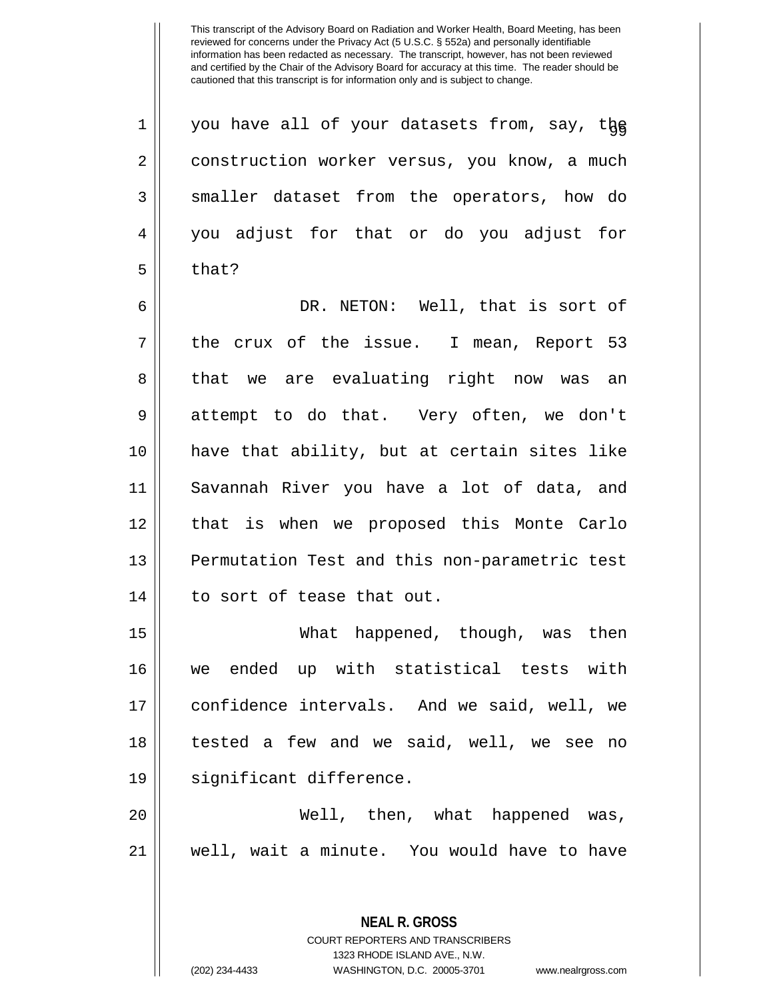$1 ||$  you have all of your datasets from, say, the 2 | construction worker versus, you know, a much 3 smaller dataset from the operators, how do 4 you adjust for that or do you adjust for  $5 \parallel$  that?

6 DR. NETON: Well, that is sort of 7 || the crux of the issue. I mean, Report 53 8 || that we are evaluating right now was an 9 attempt to do that. Very often, we don't 10 have that ability, but at certain sites like 11 Savannah River you have a lot of data, and 12 that is when we proposed this Monte Carlo 13 || Permutation Test and this non-parametric test 14 | to sort of tease that out.

 What happened, though, was then we ended up with statistical tests with confidence intervals. And we said, well, we tested a few and we said, well, we see no significant difference.

20 Well, then, what happened was, 21 well, wait a minute. You would have to have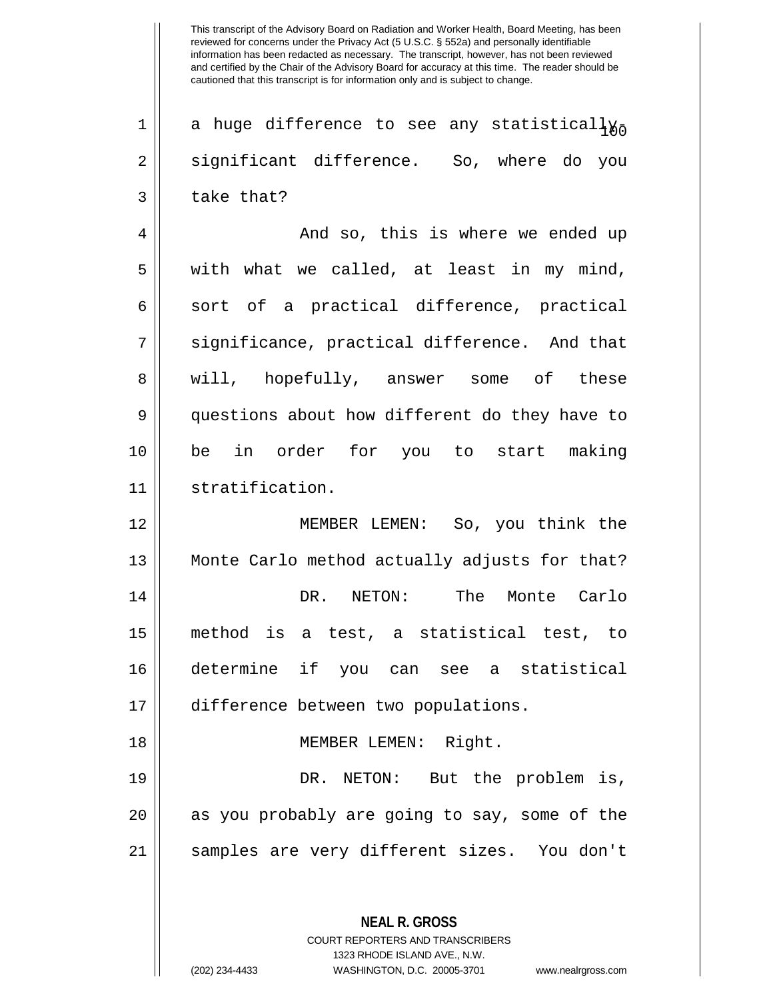**NEAL R. GROSS** COURT REPORTERS AND TRANSCRIBERS 1 || a huge difference to see any statisticall $\frac{1}{4}$ 2 Significant difference. So, where do you 3 l take that? 4 And so, this is where we ended up  $5 \parallel$  with what we called, at least in my mind, 6 || sort of a practical difference, practical 7 || significance, practical difference. And that 8 || will, hopefully, answer some of these 9 | questions about how different do they have to 10 be in order for you to start making 11 stratification. 12 MEMBER LEMEN: So, you think the 13 || Monte Carlo method actually adjusts for that? 14 DR. NETON: The Monte Carlo 15 method is a test, a statistical test, to 16 determine if you can see a statistical 17 difference between two populations. 18 || MEMBER LEMEN: Right. 19 DR. NETON: But the problem is,  $20$  || as you probably are going to say, some of the 21 || samples are very different sizes. You don't

1323 RHODE ISLAND AVE., N.W.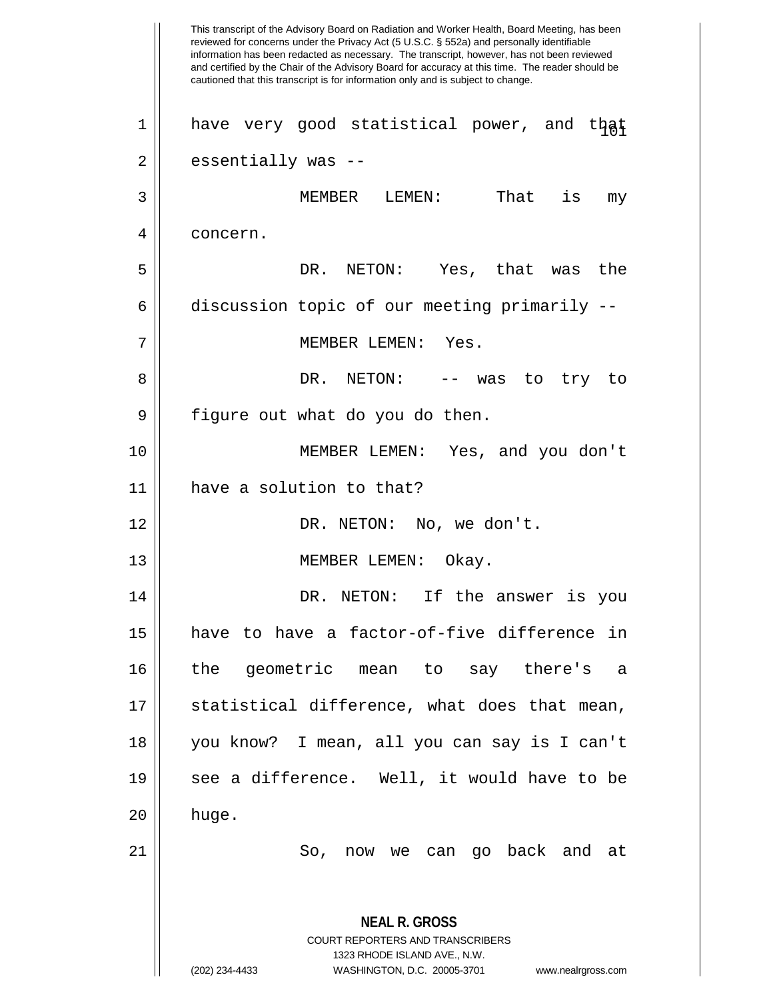This transcript of the Advisory Board on Radiation and Worker Health, Board Meeting, has been reviewed for concerns under the Privacy Act (5 U.S.C. § 552a) and personally identifiable information has been redacted as necessary. The transcript, however, has not been reviewed and certified by the Chair of the Advisory Board for accuracy at this time. The reader should be cautioned that this transcript is for information only and is subject to change. **NEAL R. GROSS** COURT REPORTERS AND TRANSCRIBERS 1323 RHODE ISLAND AVE., N.W. (202) 234-4433 WASHINGTON, D.C. 20005-3701 www.nealrgross.com  $1$  | have very good statistical power, and that  $2 \parallel$  essentially was --3 MEMBER LEMEN: That is my 4 concern. 5 DR. NETON: Yes, that was the 6 discussion topic of our meeting primarily --7 MEMBER LEMEN: Yes. 8 DR. NETON: -- was to try to 9 | figure out what do you do then. 10 MEMBER LEMEN: Yes, and you don't 11 have a solution to that? 12 || DR. NETON: No, we don't. 13 || MEMBER LEMEN: Okay. 14 DR. NETON: If the answer is you 15 have to have a factor-of-five difference in 16 the geometric mean to say there's a 17 || statistical difference, what does that mean, 18 you know? I mean, all you can say is I can't 19 || see a difference. Well, it would have to be  $20 \parallel$  huge. 21 So, now we can go back and at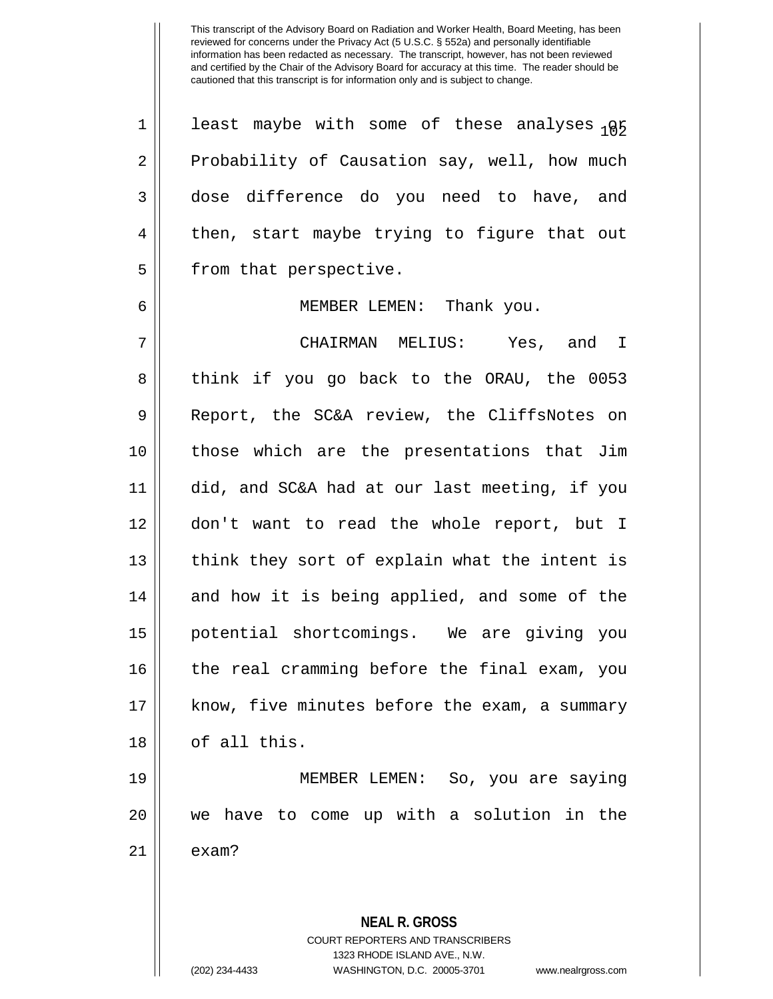1 || least maybe with some of these analyses  $_{1}$ q $_{5}$ 2 | Probability of Causation say, well, how much dose difference do you need to have, and  $4 \parallel$  then, start maybe trying to figure that out 5 | from that perspective. 6 || MEMBER LEMEN: Thank you. CHAIRMAN MELIUS: Yes, and I 8 || think if you go back to the ORAU, the 0053 Report, the SC&A review, the CliffsNotes on those which are the presentations that Jim did, and SC&A had at our last meeting, if you don't want to read the whole report, but I || think they sort of explain what the intent is and how it is being applied, and some of the potential shortcomings. We are giving you the real cramming before the final exam, you 17 || know, five minutes before the exam, a summary 18 | of all this. MEMBER LEMEN: So, you are saying we have to come up with a solution in the  $\parallel$  exam?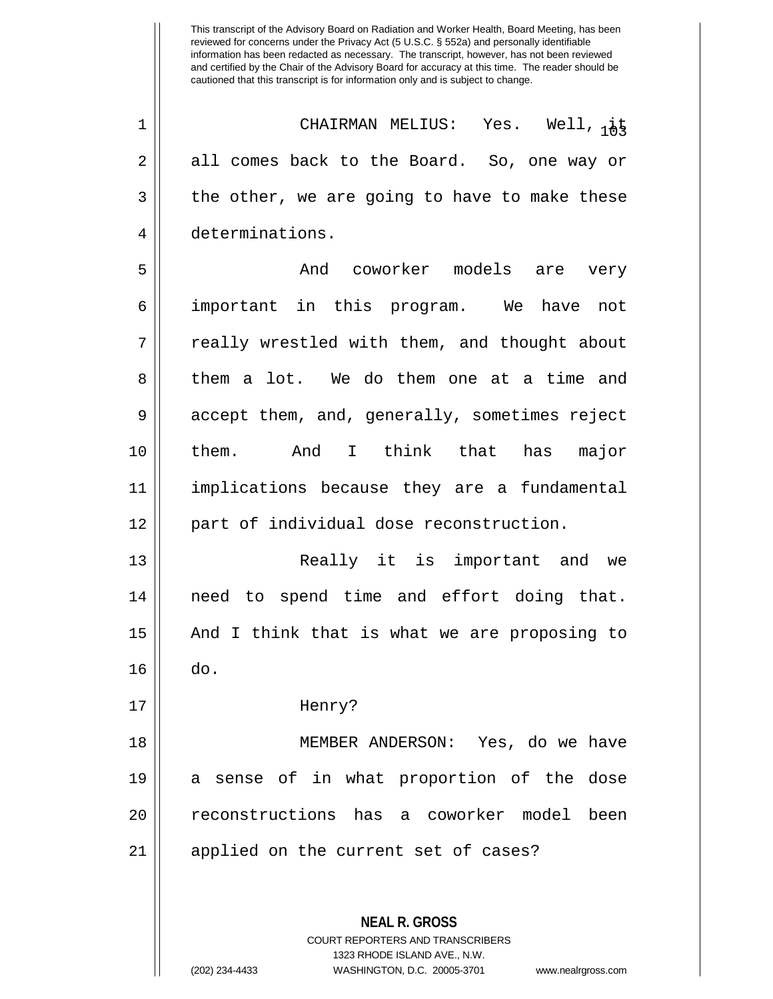<sup>103</sup> <sup>1</sup> CHAIRMAN MELIUS: Yes. Well, it 2 || all comes back to the Board. So, one way or  $3 \parallel$  the other, we are going to have to make these 4 determinations.

5 And coworker models are very 6 || important in this program. We have not 7 || really wrestled with them, and thought about 8 them a lot. We do them one at a time and 9 accept them, and, generally, sometimes reject 10 them. And I think that has major 11 implications because they are a fundamental 12 || part of individual dose reconstruction.

13 Really it is important and we 14 || need to spend time and effort doing that. 15 And I think that is what we are proposing to  $16 \parallel$  do.

17 Henry?

 MEMBER ANDERSON: Yes, do we have a sense of in what proportion of the dose reconstructions has a coworker model been 21 || applied on the current set of cases?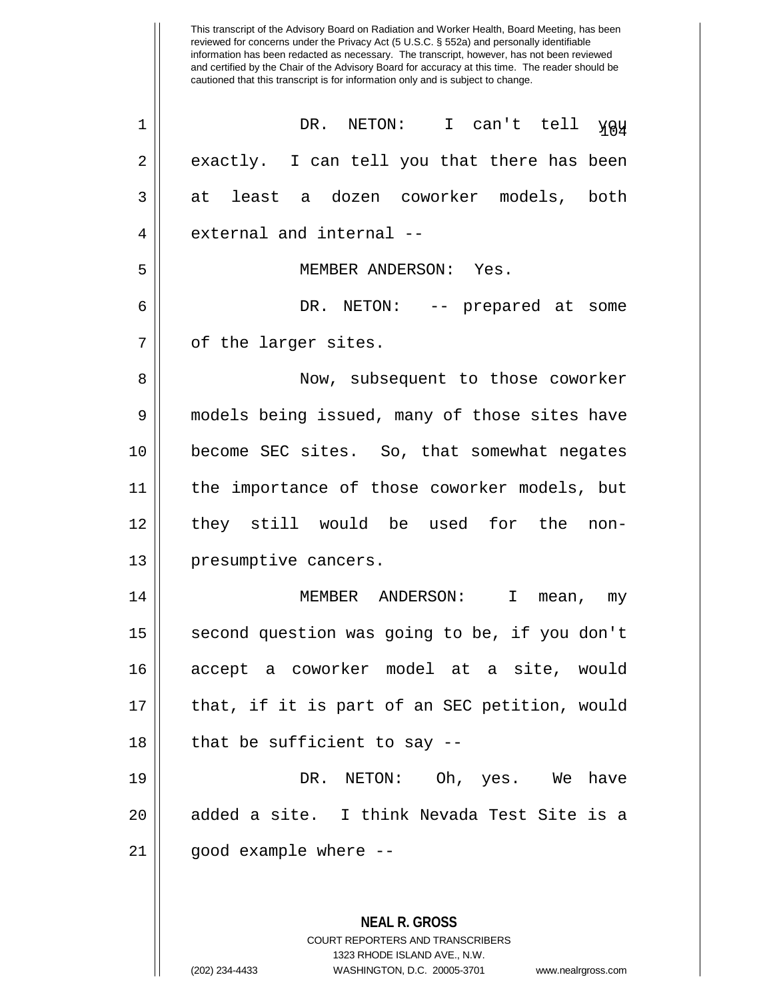This transcript of the Advisory Board on Radiation and Worker Health, Board Meeting, has been reviewed for concerns under the Privacy Act (5 U.S.C. § 552a) and personally identifiable information has been redacted as necessary. The transcript, however, has not been reviewed and certified by the Chair of the Advisory Board for accuracy at this time. The reader should be cautioned that this transcript is for information only and is subject to change. **NEAL R. GROSS** COURT REPORTERS AND TRANSCRIBERS 1323 RHODE ISLAND AVE., N.W. (202) 234-4433 WASHINGTON, D.C. 20005-3701 www.nealrgross.com <sup>104</sup> <sup>1</sup> DR. NETON: I can't tell you  $2 \parallel$  exactly. I can tell you that there has been 3 at least a dozen coworker models, both 4 external and internal --5 MEMBER ANDERSON: Yes. 6 DR. NETON: -- prepared at some 7 || of the larger sites. 8 Now, subsequent to those coworker 9 | models being issued, many of those sites have 10 become SEC sites. So, that somewhat negates 11 the importance of those coworker models, but 12 || they still would be used for the non-13 | presumptive cancers. 14 || MEMBER ANDERSON: I mean, my 15 || second question was going to be, if you don't 16 accept a coworker model at a site, would 17 || that, if it is part of an SEC petition, would  $18$  || that be sufficient to say  $-$ -19 DR. NETON: Oh, yes. We have 20 || added a site. I think Nevada Test Site is a 21 good example where --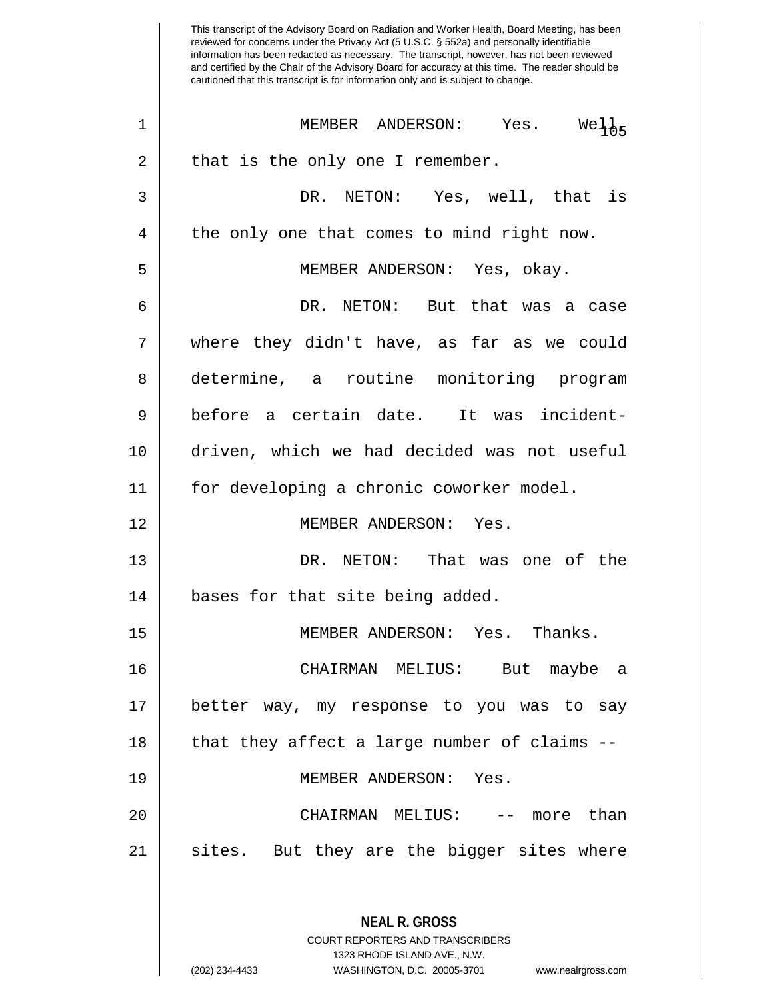This transcript of the Advisory Board on Radiation and Worker Health, Board Meeting, has been reviewed for concerns under the Privacy Act (5 U.S.C. § 552a) and personally identifiable information has been redacted as necessary. The transcript, however, has not been reviewed and certified by the Chair of the Advisory Board for accuracy at this time. The reader should be cautioned that this transcript is for information only and is subject to change. **NEAL R. GROSS** COURT REPORTERS AND TRANSCRIBERS 1323 RHODE ISLAND AVE., N.W. <sup>105</sup> <sup>1</sup> MEMBER ANDERSON: Yes. Well,  $2 \parallel$  that is the only one I remember. 3 DR. NETON: Yes, well, that is  $4 \parallel$  the only one that comes to mind right now. 5 MEMBER ANDERSON: Yes, okay. 6 DR. NETON: But that was a case 7 where they didn't have, as far as we could 8 determine, a routine monitoring program 9 before a certain date. It was incident-10 driven, which we had decided was not useful 11 for developing a chronic coworker model. 12 MEMBER ANDERSON: Yes. 13 DR. NETON: That was one of the 14 || bases for that site being added. 15 MEMBER ANDERSON: Yes. Thanks. 16 CHAIRMAN MELIUS: But maybe a 17 better way, my response to you was to say 18 || that they affect a large number of claims --19 MEMBER ANDERSON: Yes. 20 CHAIRMAN MELIUS: -- more than 21 || sites. But they are the bigger sites where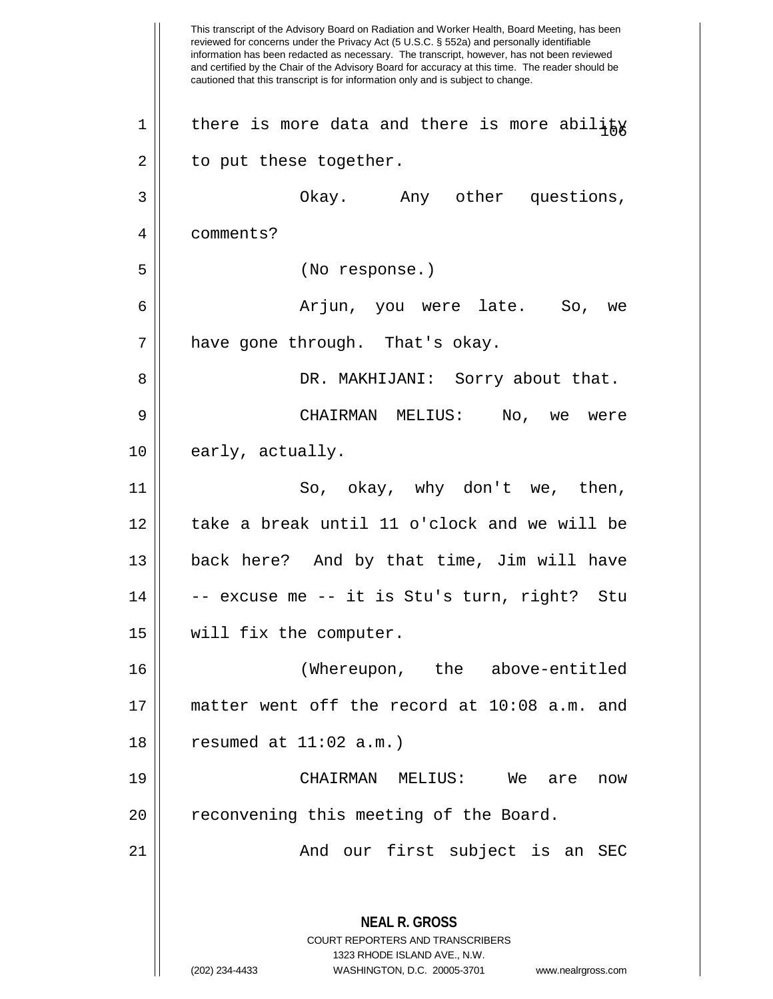This transcript of the Advisory Board on Radiation and Worker Health, Board Meeting, has been reviewed for concerns under the Privacy Act (5 U.S.C. § 552a) and personally identifiable information has been redacted as necessary. The transcript, however, has not been reviewed and certified by the Chair of the Advisory Board for accuracy at this time. The reader should be cautioned that this transcript is for information only and is subject to change. **NEAL R. GROSS** COURT REPORTERS AND TRANSCRIBERS 1323 RHODE ISLAND AVE., N.W. (202) 234-4433 WASHINGTON, D.C. 20005-3701 www.nealrgross.com  $1 \parallel$  there is more data and there is more ability 2 || to put these together. 3 Okay. Any other questions, 4 comments? 5 (No response.) 6 Arjun, you were late. So, we  $7 \parallel$  have gone through. That's okay. 8 DR. MAKHIJANI: Sorry about that. 9 CHAIRMAN MELIUS: No, we were 10 || early, actually. 11 || So, okay, why don't we, then, 12 || take a break until 11 o'clock and we will be 13 || back here? And by that time, Jim will have 14 || -- excuse me -- it is Stu's turn, right? Stu 15 will fix the computer. 16 (Whereupon, the above-entitled 17 matter went off the record at 10:08 a.m. and  $18$  | resumed at  $11:02$  a.m.) 19 CHAIRMAN MELIUS: We are now 20 || reconvening this meeting of the Board. 21 And our first subject is an SEC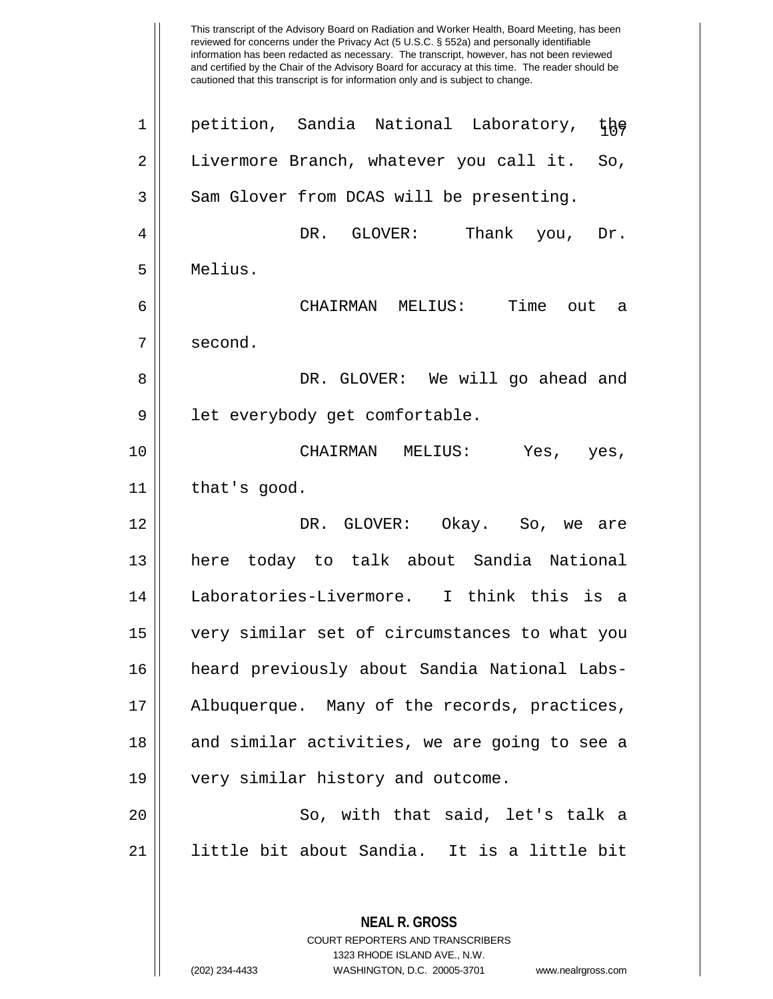This transcript of the Advisory Board on Radiation and Worker Health, Board Meeting, has been reviewed for concerns under the Privacy Act (5 U.S.C. § 552a) and personally identifiable information has been redacted as necessary. The transcript, however, has not been reviewed and certified by the Chair of the Advisory Board for accuracy at this time. The reader should be cautioned that this transcript is for information only and is subject to change. **NEAL R. GROSS** COURT REPORTERS AND TRANSCRIBERS 1323 RHODE ISLAND AVE., N.W. 1 || petition, Sandia National Laboratory, the 2 | Livermore Branch, whatever you call it. So, 3 || Sam Glover from DCAS will be presenting. 4 DR. GLOVER: Thank you, Dr. 5 Melius. 6 CHAIRMAN MELIUS: Time out a 7 | second. 8 DR. GLOVER: We will go ahead and 9 | let everybody get comfortable. 10 CHAIRMAN MELIUS: Yes, yes,  $11$  | that's good. 12 DR. GLOVER: Okay. So, we are 13 here today to talk about Sandia National 14 Laboratories-Livermore. I think this is a 15 very similar set of circumstances to what you 16 heard previously about Sandia National Labs-17 || Albuquerque. Many of the records, practices, 18 || and similar activities, we are going to see a 19 || very similar history and outcome. 20 So, with that said, let's talk a 21 little bit about Sandia. It is a little bit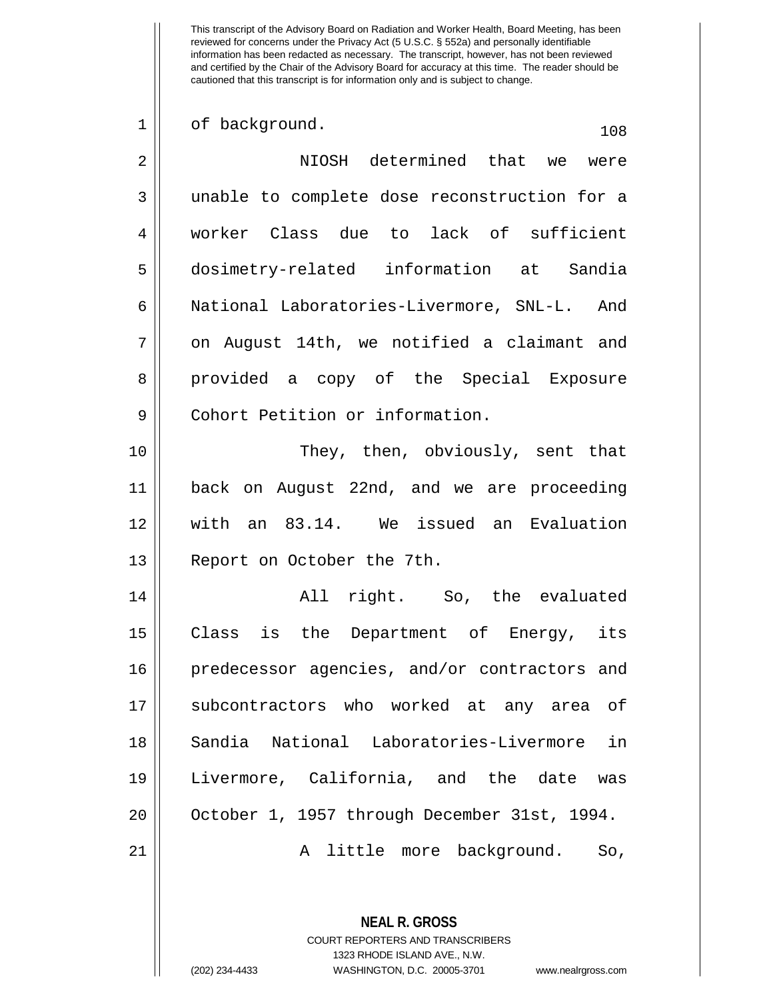1 of background. 108

 NIOSH determined that we were 3 || unable to complete dose reconstruction for a worker Class due to lack of sufficient dosimetry-related information at Sandia National Laboratories-Livermore, SNL-L. And 7 || on August 14th, we notified a claimant and 8 || provided a copy of the Special Exposure 9 Cohort Petition or information. They, then, obviously, sent that back on August 22nd, and we are proceeding with an 83.14. We issued an Evaluation Report on October the 7th. All right. So, the evaluated Class is the Department of Energy, its predecessor agencies, and/or contractors and 17 || subcontractors who worked at any area of Sandia National Laboratories-Livermore in Livermore, California, and the date was 20 || October 1, 1957 through December 31st, 1994. 21 || A little more background. So,

> **NEAL R. GROSS** COURT REPORTERS AND TRANSCRIBERS 1323 RHODE ISLAND AVE., N.W.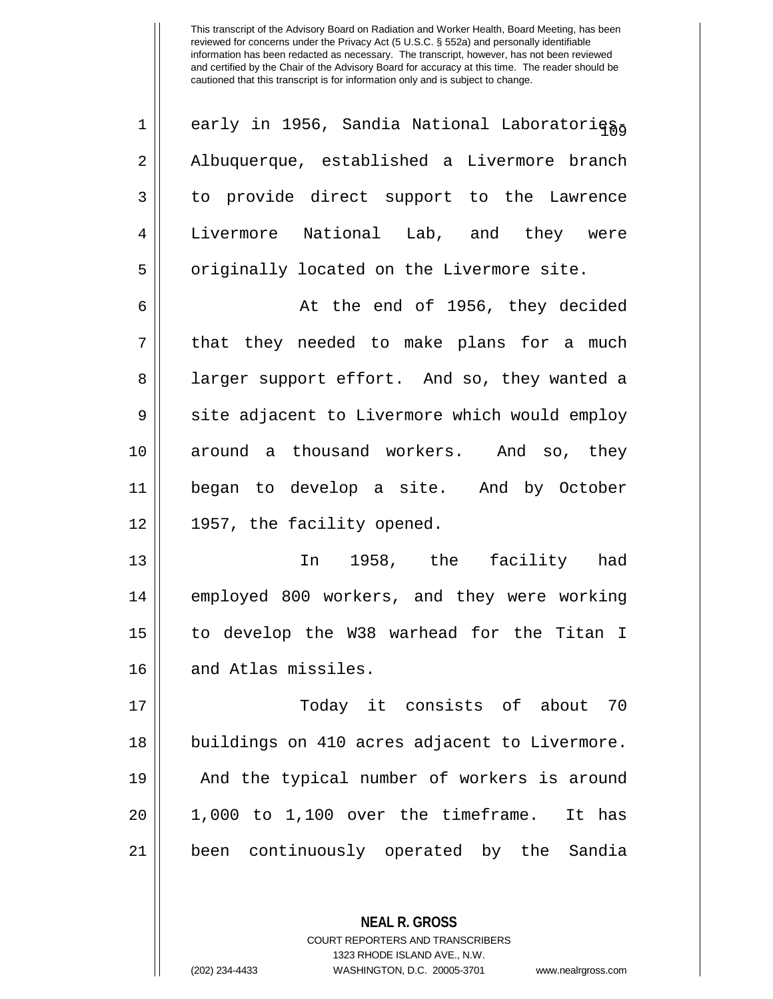| $\mathbf 1$    | early in 1956, Sandia National Laboratorieg <sub>o</sub> |
|----------------|----------------------------------------------------------|
| 2              | Albuquerque, established a Livermore branch              |
| 3              | to provide direct support to the Lawrence                |
| $\overline{4}$ | Livermore National Lab, and they were                    |
| 5              | originally located on the Livermore site.                |
| 6              | At the end of 1956, they decided                         |
| 7              | that they needed to make plans for a much                |
| $\,8\,$        | larger support effort. And so, they wanted a             |
| $\mathsf 9$    | site adjacent to Livermore which would employ            |
| 10             | around a thousand workers. And so, they                  |
| 11             | began to develop a site. And by October                  |
| 12             | 1957, the facility opened.                               |
| 13             | In 1958, the facility had                                |
| 14             | employed 800 workers, and they were working              |
| 15             | to develop the W38 warhead for the Titan I               |
| 16             | and Atlas missiles.                                      |
| 17             | Today it consists of about 70                            |
| 18             | buildings on 410 acres adjacent to Livermore.            |
| 19             | And the typical number of workers is around              |
| 20             | 1,000 to 1,100 over the timeframe. It has                |
| 21             | been continuously operated by the Sandia                 |
|                |                                                          |

**NEAL R. GROSS** COURT REPORTERS AND TRANSCRIBERS 1323 RHODE ISLAND AVE., N.W.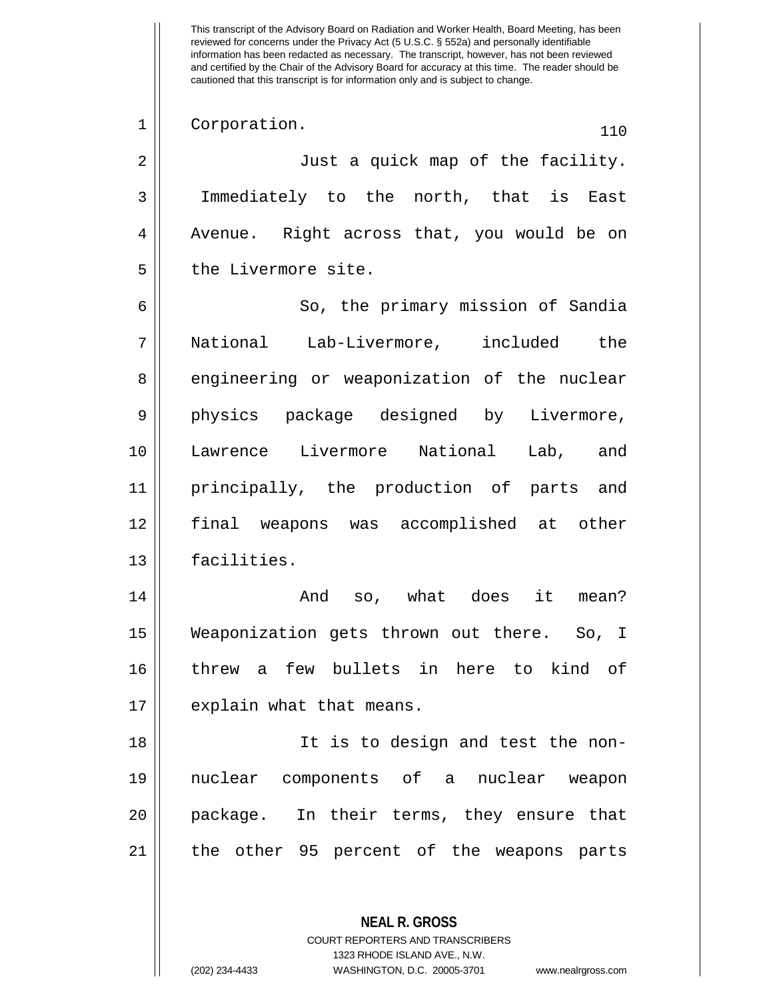## 1 | Corporation. 110

2 || Just a quick map of the facility. 3 Immediately to the north, that is East  $4 \parallel$  Avenue. Right across that, you would be on 5 | the Livermore site.

6 || So, the primary mission of Sandia National Lab-Livermore, included the 8 engineering or weaponization of the nuclear 9 || physics package designed by Livermore, Lawrence Livermore National Lab, and principally, the production of parts and final weapons was accomplished at other facilities.

 And so, what does it mean? Weaponization gets thrown out there. So, I threw a few bullets in here to kind of 17 | explain what that means.

18 || The is to design and test the non- nuclear components of a nuclear weapon package. In their terms, they ensure that the other 95 percent of the weapons parts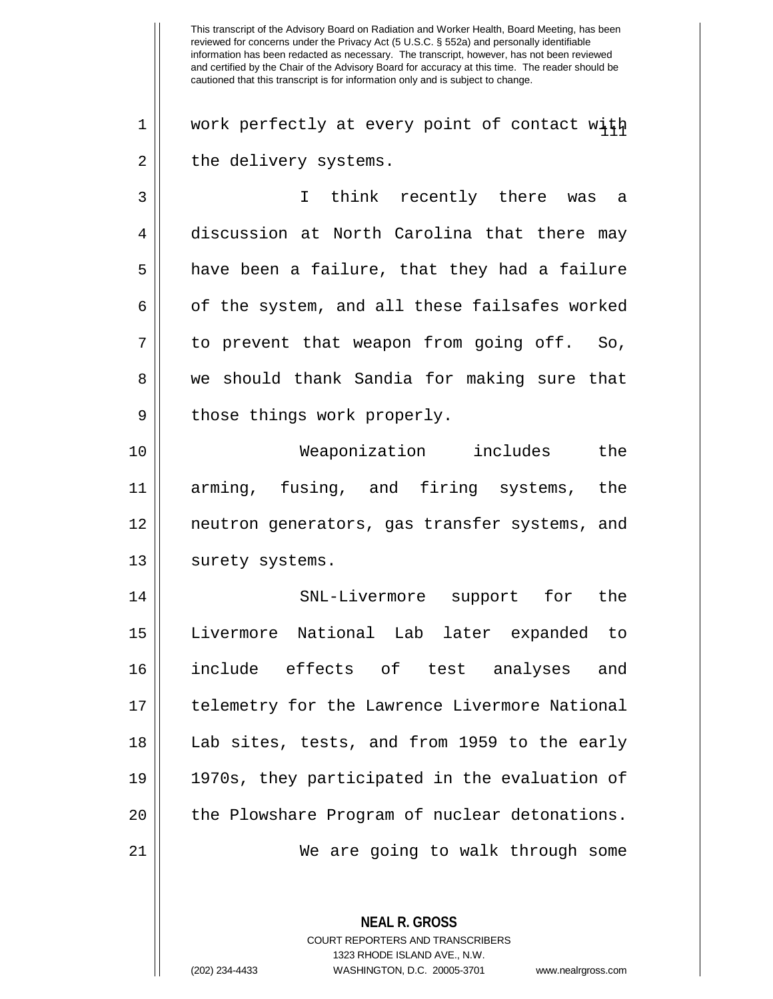This transcript of the Advisory Board on Radiation and Worker Health, Board Meeting, has been reviewed for concerns under the Privacy Act (5 U.S.C. § 552a) and personally identifiable information has been redacted as necessary. The transcript, however, has not been reviewed and certified by the Chair of the Advisory Board for accuracy at this time. The reader should be cautioned that this transcript is for information only and is subject to change. **NEAL R. GROSS** COURT REPORTERS AND TRANSCRIBERS 1323 RHODE ISLAND AVE., N.W.  $1$ | work perfectly at every point of contact with 2 || the delivery systems. 3 I think recently there was a 4 discussion at North Carolina that there may  $5 \parallel$  have been a failure, that they had a failure  $6 \parallel$  of the system, and all these failsafes worked 7 || to prevent that weapon from going off. So, 8 we should thank Sandia for making sure that  $9$  | those things work properly. 10 Weaponization includes the 11 arming, fusing, and firing systems, the 12 neutron generators, gas transfer systems, and 13 || surety systems. 14 || SNL-Livermore support for the 15 Livermore National Lab later expanded to 16 include effects of test analyses and 17 | telemetry for the Lawrence Livermore National 18 Lab sites, tests, and from 1959 to the early 19 1970s, they participated in the evaluation of 20 || the Plowshare Program of nuclear detonations. 21 We are going to walk through some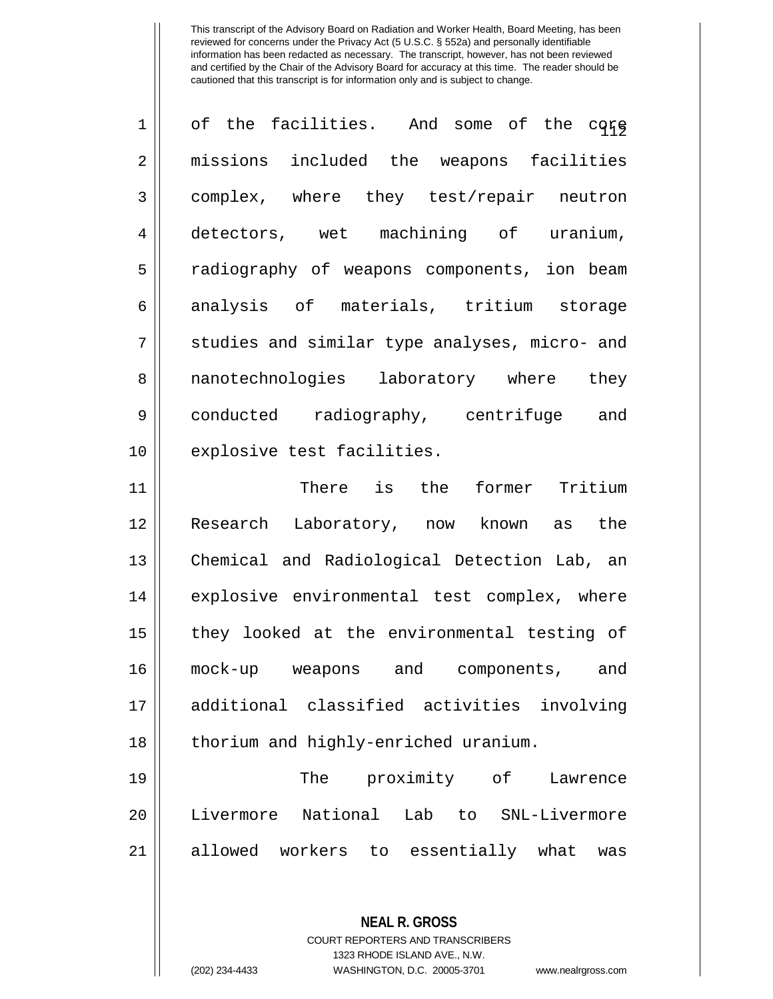| $\mathbf 1$    | of the facilities. And some of the<br><b>CQIS</b> |
|----------------|---------------------------------------------------|
| $\overline{2}$ | missions included the weapons facilities          |
| $\overline{3}$ | complex, where they test/repair neutron           |
| $\overline{4}$ | detectors, wet machining of uranium,              |
| 5              | radiography of weapons components, ion beam       |
| 6              | analysis of materials, tritium storage            |
| 7              | studies and similar type analyses, micro- and     |
| 8              | nanotechnologies laboratory where<br>they         |
| 9              | conducted radiography, centrifuge and             |
| 10             | explosive test facilities.                        |

11 There is the former Tritium 12 Research Laboratory, now known as the 13 || Chemical and Radiological Detection Lab, an 14 || explosive environmental test complex, where 15 || they looked at the environmental testing of 16 mock-up weapons and components, and 17 additional classified activities involving 18 | thorium and highly-enriched uranium.

19 The proximity of Lawrence 20 Livermore National Lab to SNL-Livermore 21 || allowed workers to essentially what was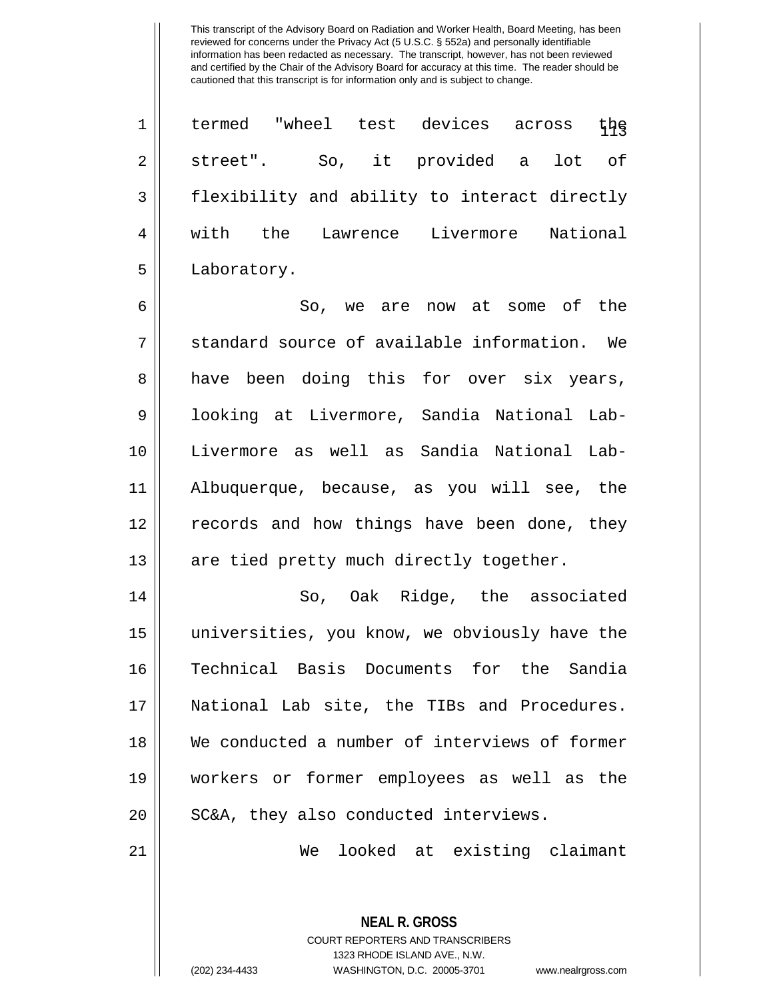$\begin{array}{ccc} 1 & \text{termed} & \text{wheel} & \text{test} & \text{devices} & \text{across} & \text{the} \end{array}$ 2 || street". So, it provided a lot of 3 || flexibility and ability to interact directly 4 with the Lawrence Livermore National 5 | Laboratory.

 So, we are now at some of the 7 || standard source of available information. We 8 || have been doing this for over six years, looking at Livermore, Sandia National Lab- Livermore as well as Sandia National Lab- Albuquerque, because, as you will see, the records and how things have been done, they  $\parallel$  are tied pretty much directly together.

 So, Oak Ridge, the associated universities, you know, we obviously have the Technical Basis Documents for the Sandia 17 || National Lab site, the TIBs and Procedures. We conducted a number of interviews of former workers or former employees as well as the 20 || SC&A, they also conducted interviews.

21 We looked at existing claimant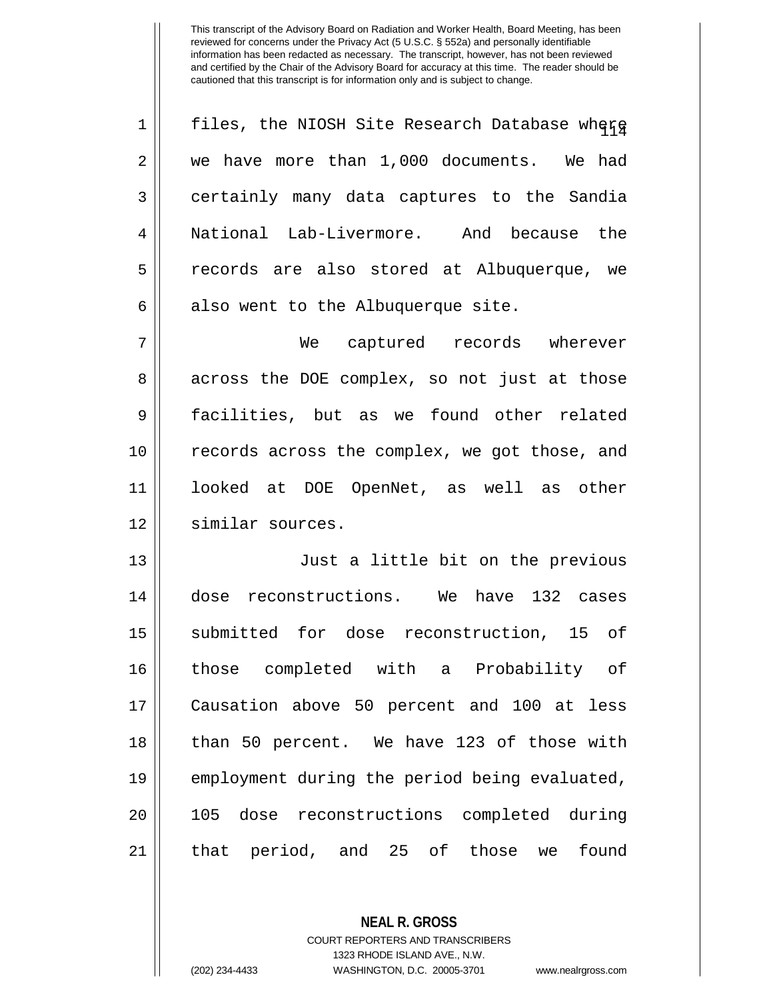1 || files, the NIOSH Site Research Database where 2 we have more than 1,000 documents. We had 3 certainly many data captures to the Sandia 4 National Lab-Livermore. And because the 5 records are also stored at Albuquerque, we  $6 \parallel$  also went to the Albuquerque site.

 We captured records wherever 8 across the DOE complex, so not just at those facilities, but as we found other related records across the complex, we got those, and looked at DOE OpenNet, as well as other 12 || similar sources.

13 || Just a little bit on the previous dose reconstructions. We have 132 cases submitted for dose reconstruction, 15 of 16 || those completed with a Probability of Causation above 50 percent and 100 at less 18 || than 50 percent. We have 123 of those with employment during the period being evaluated, 105 dose reconstructions completed during that period, and 25 of those we found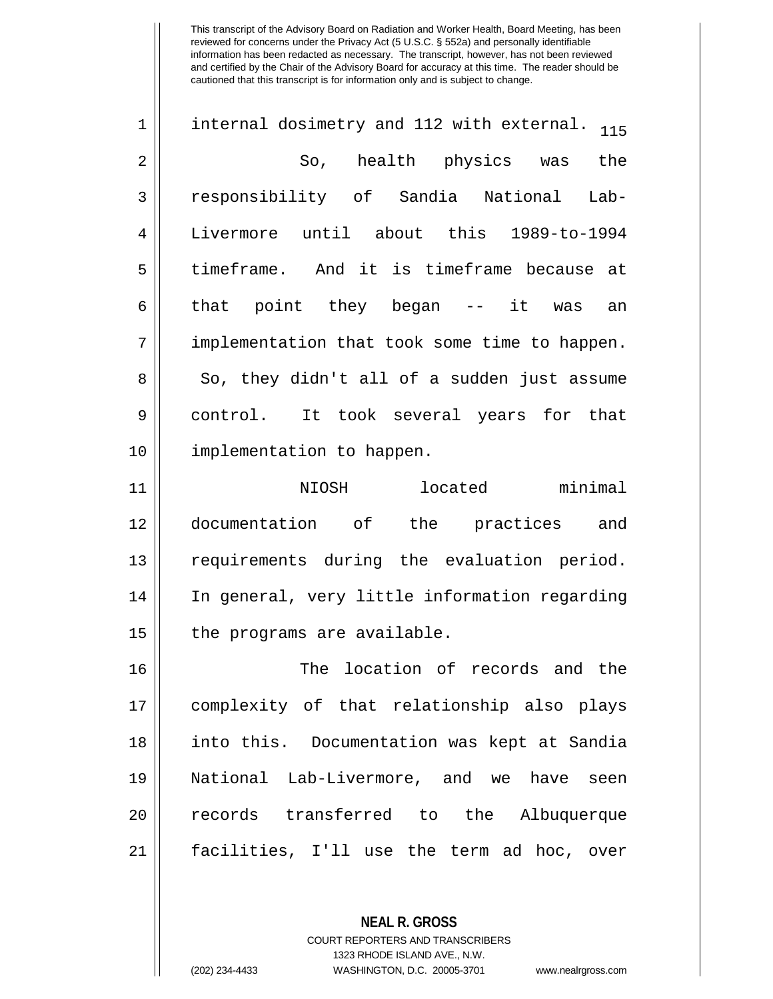| $\mathbf 1$    | internal dosimetry and 112 with external.<br>115 |
|----------------|--------------------------------------------------|
| $\overline{2}$ | So, health physics was the                       |
| 3              | responsibility of Sandia National<br>$Lab-$      |
| $\overline{4}$ | Livermore until about this 1989-to-1994          |
| 5              | timeframe. And it is timeframe because at        |
| $\overline{6}$ | that point they began -- it was an               |
| 7              | implementation that took some time to happen.    |
| 8              | So, they didn't all of a sudden just assume      |
| 9              | control. It took several years for that          |
| 10             | implementation to happen.                        |
|                |                                                  |

 NIOSH located minimal documentation of the practices and 13 || requirements during the evaluation period. In general, very little information regarding | the programs are available.

 The location of records and the complexity of that relationship also plays 18 || into this. Documentation was kept at Sandia National Lab-Livermore, and we have seen 20 || records transferred to the Albuquerque facilities, I'll use the term ad hoc, over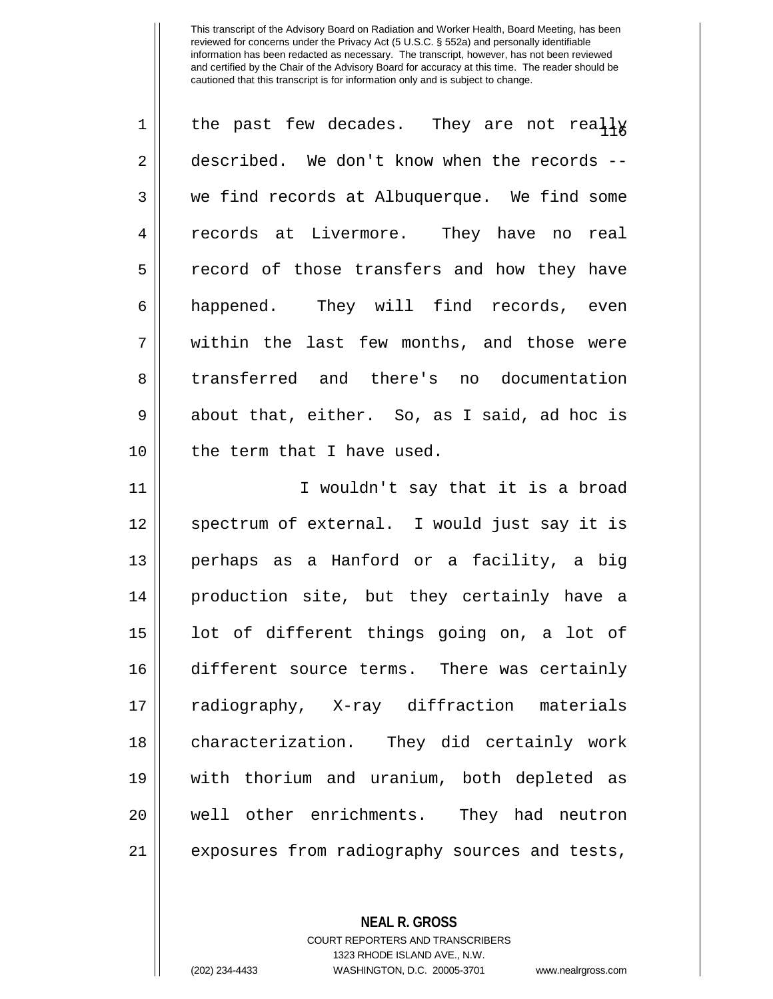| 1              | the past few decades. They are not really     |
|----------------|-----------------------------------------------|
| $\overline{2}$ | described. We don't know when the records --  |
| 3              | we find records at Albuquerque. We find some  |
| $\overline{4}$ | records at Livermore. They have no real       |
| 5              | record of those transfers and how they have   |
| 6              | happened. They will find records, even        |
| 7              | within the last few months, and those were    |
| 8              | transferred and there's no documentation      |
| 9              | about that, either. So, as I said, ad hoc is  |
| 10             | the term that I have used.                    |
| 11             | I wouldn't say that it is a broad             |
| 12             | spectrum of external. I would just say it is  |
| 13             | perhaps as a Hanford or a facility, a big     |
| 14             | production site, but they certainly have a    |
| 15             | lot of different things going on, a lot of    |
| 16             | different source terms. There was certainly   |
| 17             | radiography, X-ray diffraction materials      |
| 18             | characterization. They did certainly work     |
| 19             | with thorium and uranium, both depleted as    |
| 20             | well other enrichments. They had neutron      |
| 21             | exposures from radiography sources and tests, |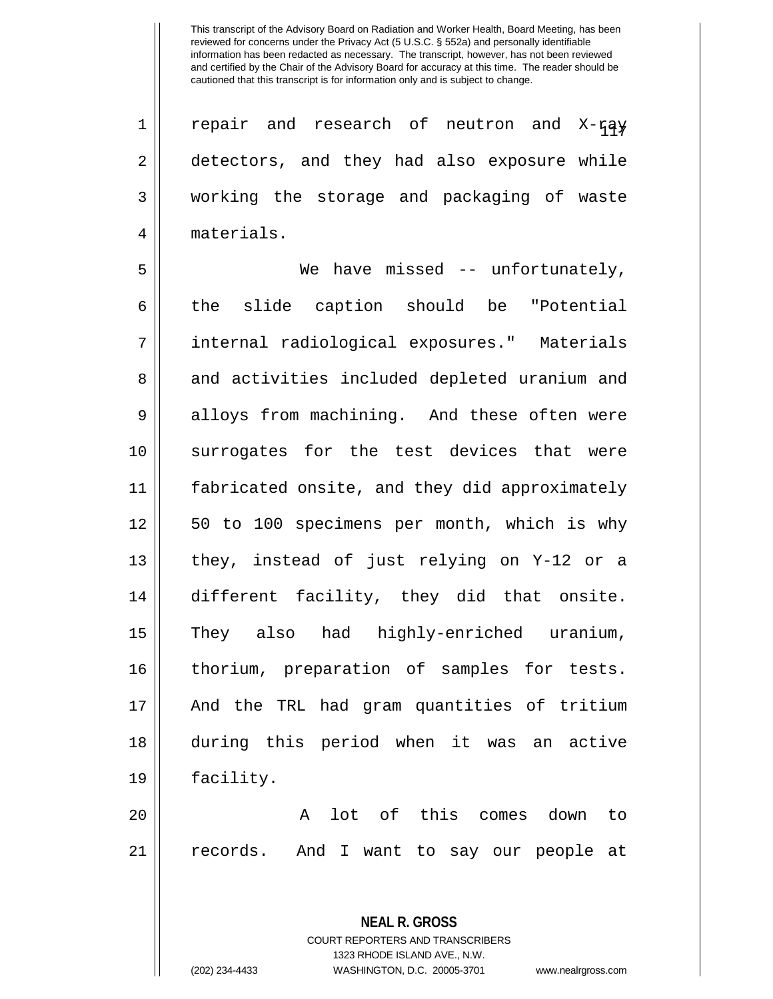1 || repair and research of neutron and X-ray detectors, and they had also exposure while working the storage and packaging of waste materials.

 We have missed -- unfortunately, 6 || the slide caption should be "Potential internal radiological exposures." Materials 8 || and activities included depleted uranium and 9 alloys from machining. And these often were surrogates for the test devices that were fabricated onsite, and they did approximately 50 to 100 specimens per month, which is why || they, instead of just relying on Y-12 or a 14 different facility, they did that onsite. They also had highly-enriched uranium, thorium, preparation of samples for tests. 17 || And the TRL had gram quantities of tritium during this period when it was an active facility.

20 A lot of this comes down to 21 || records. And I want to say our people at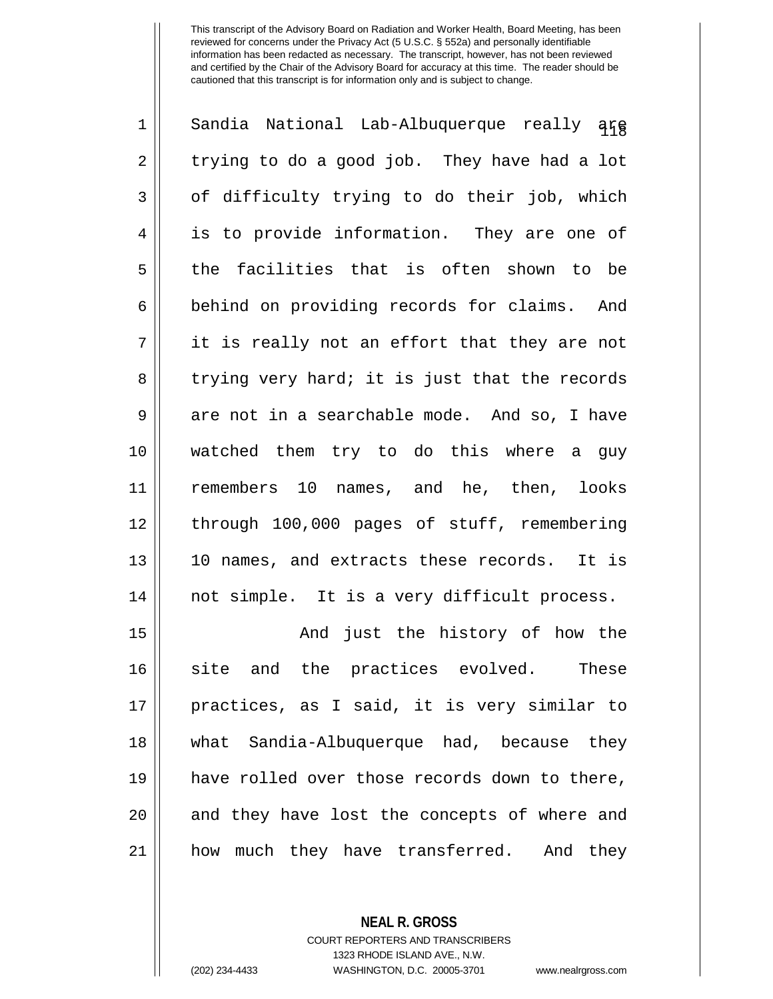| $\mathbf 1$ | Sandia National Lab-Albuquerque really are    |
|-------------|-----------------------------------------------|
| $\sqrt{2}$  | trying to do a good job. They have had a lot  |
| 3           | of difficulty trying to do their job, which   |
| 4           | is to provide information. They are one of    |
| 5           | the facilities that is often shown to be      |
| 6           | behind on providing records for claims. And   |
| 7           | it is really not an effort that they are not  |
| 8           | trying very hard; it is just that the records |
| 9           | are not in a searchable mode. And so, I have  |
| 10          | watched them try to do this where a guy       |
| 11          | remembers 10 names, and he, then, looks       |
| 12          | through 100,000 pages of stuff, remembering   |
| 13          | 10 names, and extracts these records. It is   |
| 14          | not simple. It is a very difficult process.   |
| 15          | And just the history of how the               |
| 16          | site and the practices evolved. These         |
| 17          | practices, as I said, it is very similar to   |
| 18          | what Sandia-Albuquerque had, because they     |
| 19          | have rolled over those records down to there, |
| 20          | and they have lost the concepts of where and  |
| 21          | how much they have transferred. And they      |

**NEAL R. GROSS**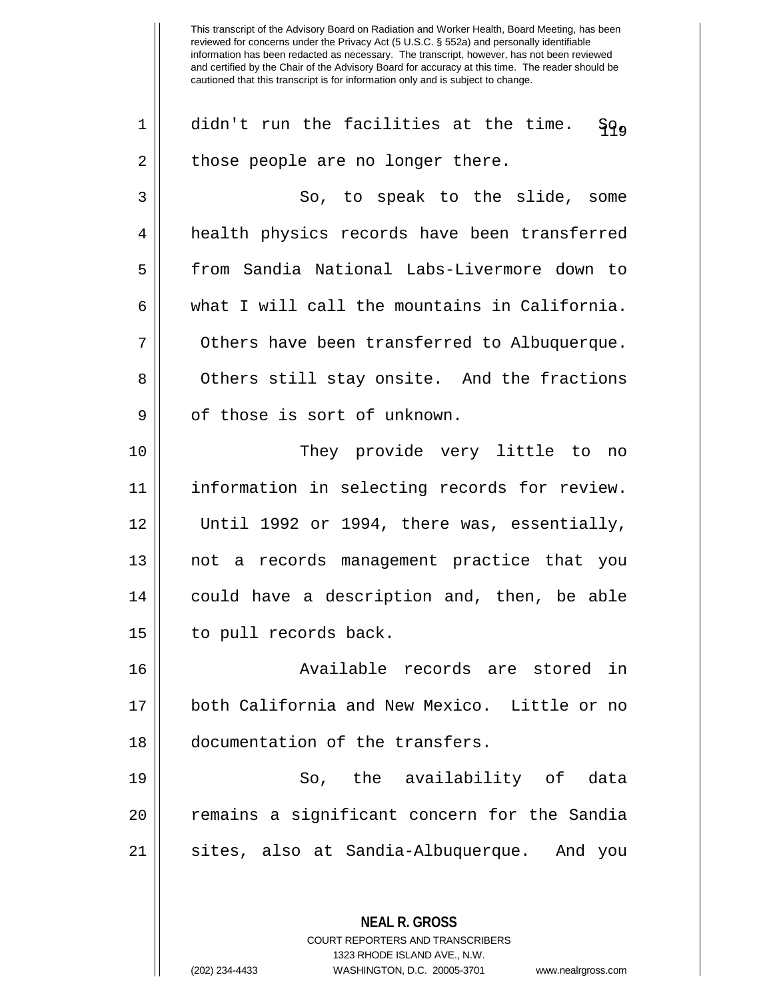1 || didn't run the facilities at the time.  $S_{\varphi_{\mathcal{G}}}$  $2 \parallel$  those people are no longer there.

 $3 \parallel$  So, to speak to the slide, some 4 || health physics records have been transferred 5 from Sandia National Labs-Livermore down to  $6 \parallel$  what I will call the mountains in California. 7 || Others have been transferred to Albuquerque. 8 | Others still stay onsite. And the fractions 9 | of those is sort of unknown.

 They provide very little to no information in selecting records for review. Until 1992 or 1994, there was, essentially, not a records management practice that you 14 || could have a description and, then, be able 15 | to pull records back.

16 Available records are stored in 17 both California and New Mexico. Little or no 18 || documentation of the transfers.

19 So, the availability of data 20 || remains a significant concern for the Sandia 21 || sites, also at Sandia-Albuquerque. And you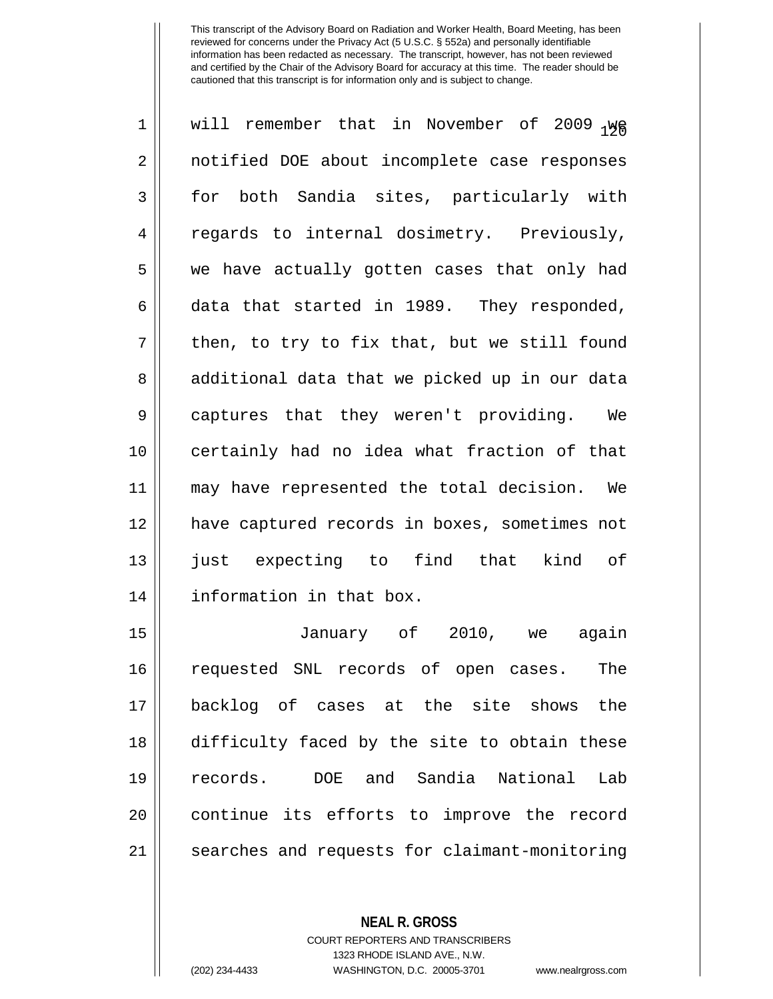| $\mathbf 1$    | will remember that in November of 2009 1998   |
|----------------|-----------------------------------------------|
| $\overline{2}$ | notified DOE about incomplete case responses  |
| 3              | for both Sandia sites, particularly with      |
| $\overline{4}$ | regards to internal dosimetry. Previously,    |
| 5              | we have actually gotten cases that only had   |
| 6              | data that started in 1989. They responded,    |
| 7              | then, to try to fix that, but we still found  |
| 8              | additional data that we picked up in our data |
| 9              | captures that they weren't providing. We      |
| 10             | certainly had no idea what fraction of that   |
| 11             | may have represented the total decision. We   |
| 12             | have captured records in boxes, sometimes not |
| 13             | just expecting to find that kind of           |
| 14             | information in that box.                      |
| 15             | January of 2010, we<br>aqain                  |
| 16             | requested SNL records of open cases.<br>The   |
| 17             | backlog of cases at the site shows<br>the     |
| 18             | difficulty faced by the site to obtain these  |
| 19             | records.<br>DOE and Sandia National<br>Lab    |
| 20             | continue its efforts to improve the record    |

21 | searches and requests for claimant-monitoring

**NEAL R. GROSS** COURT REPORTERS AND TRANSCRIBERS

1323 RHODE ISLAND AVE., N.W.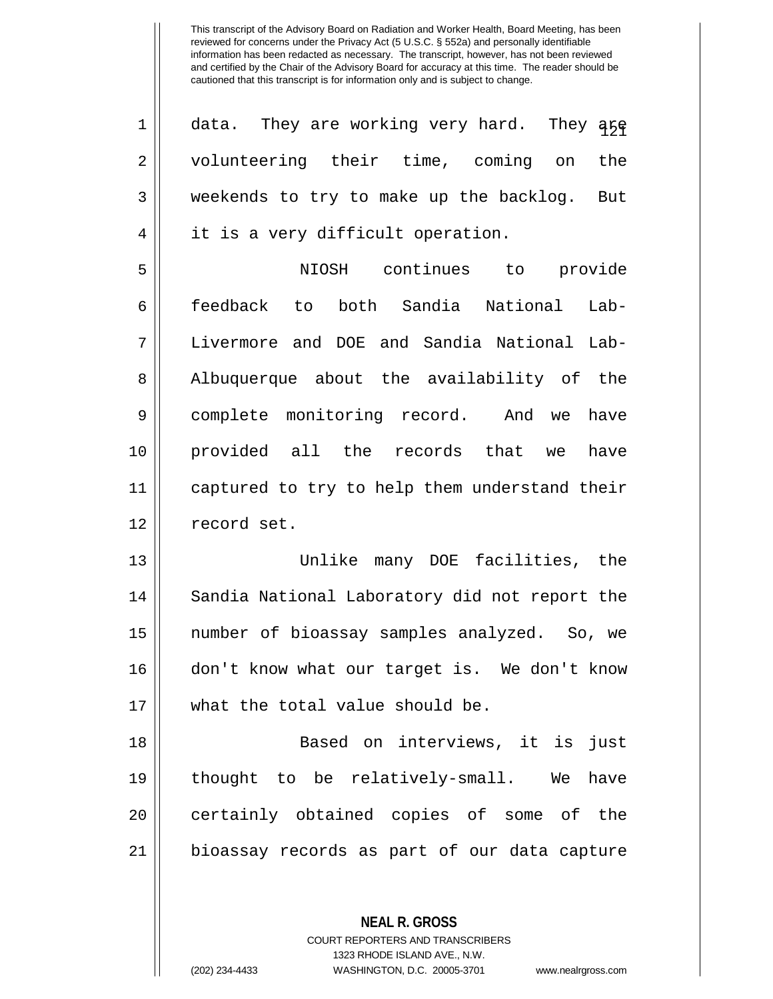| $\mathbf 1$    | data. They are working very hard.<br>They ase  |
|----------------|------------------------------------------------|
| $\overline{2}$ | volunteering their time, coming on<br>the      |
| 3              | weekends to try to make up the backlog.<br>But |
| 4              | it is a very difficult operation.              |
| 5              | NIOSH continues to<br>provide                  |
| 6              | feedback to<br>both Sandia National<br>Lab-    |
| 7              | Livermore and DOE and Sandia National Lab-     |
| 8              | Albuquerque about the availability of the      |
| 9              | complete monitoring record. And we<br>have     |
| 10             | provided all the records that we<br>have       |
| 11             | captured to try to help them understand their  |
| 12             | record set.                                    |
| 13             | Unlike many DOE facilities, the                |
| 14             | Sandia National Laboratory did not report the  |
| 15             | number of bioassay samples analyzed. So, we    |
| 16             | don't know what our target is. We don't know   |
| 17             | what the total value should be.                |
| 18             | Based on interviews, it is just                |
| 19             | thought to be relatively-small. We<br>have     |
| 20             | certainly obtained copies of some of the       |
| 21             | bioassay records as part of our data capture   |
|                |                                                |
|                | <b>NEAL R. GROSS</b>                           |

COURT REPORTERS AND TRANSCRIBERS 1323 RHODE ISLAND AVE., N.W.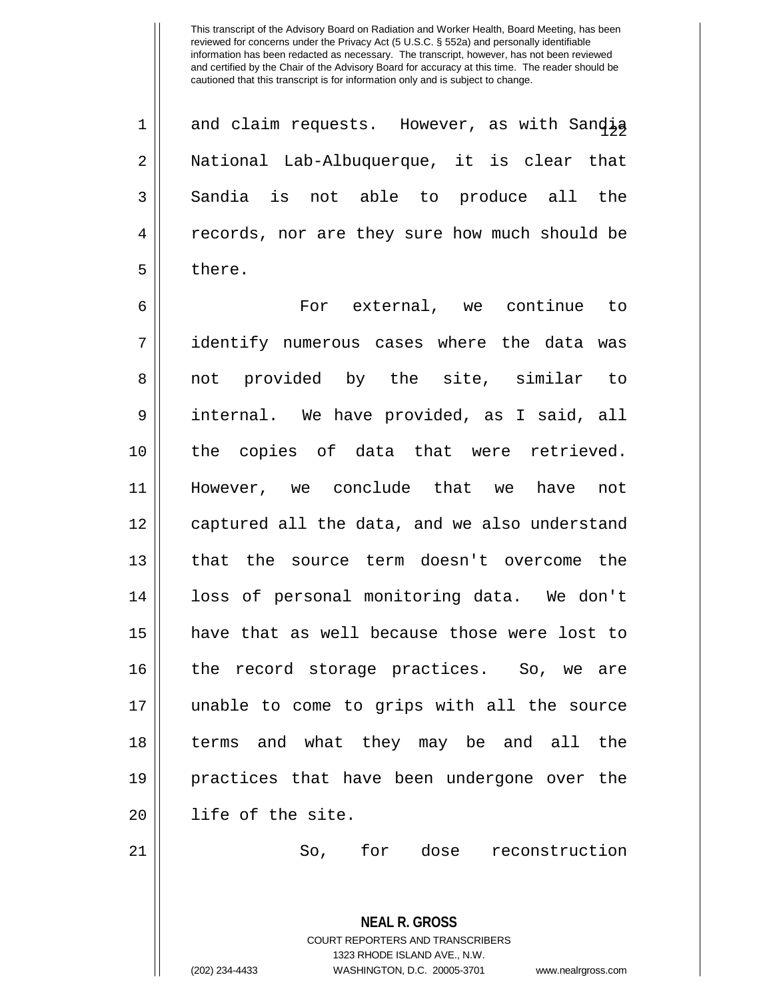$1$  | and claim requests. However, as with Sandia 2 || National Lab-Albuquerque, it is clear that 3 Sandia is not able to produce all the 4 || records, nor are they sure how much should be  $5 \parallel$  there.

 For external, we continue to identify numerous cases where the data was 8 || not provided by the site, similar to internal. We have provided, as I said, all the copies of data that were retrieved. However, we conclude that we have not 12 || captured all the data, and we also understand 13 || that the source term doesn't overcome the 14 || loss of personal monitoring data. We don't have that as well because those were lost to the record storage practices. So, we are unable to come to grips with all the source terms and what they may be and all the practices that have been undergone over the 20 || life of the site.

21 || So, for dose reconstruction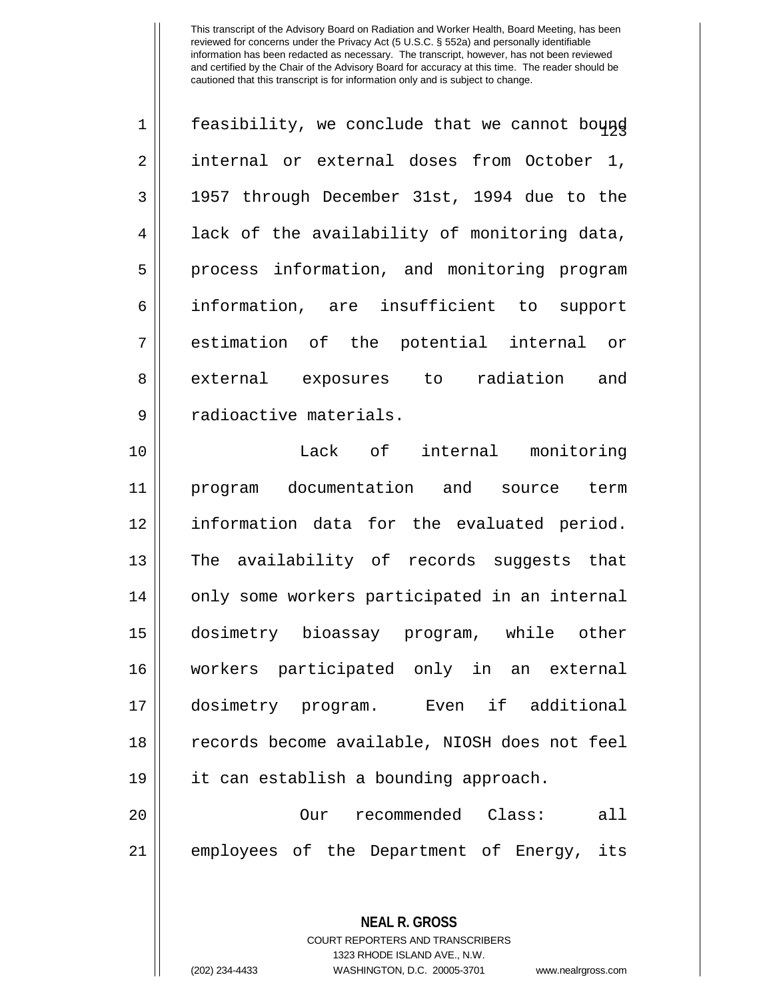| $\mathbf{1}$   | feasibility, we conclude that we cannot bound |
|----------------|-----------------------------------------------|
| 2              | internal or external doses from October 1,    |
| $\overline{3}$ | 1957 through December 31st, 1994 due to the   |
| $\overline{4}$ | lack of the availability of monitoring data,  |
| 5              | process information, and monitoring program   |
| 6              | information, are insufficient to support      |
| 7              | estimation of the potential internal or       |
| 8              | external exposures to radiation and           |
| 9              | radioactive materials.                        |

 Lack of internal monitoring program documentation and source term information data for the evaluated period. 13 || The availability of records suggests that 14 || only some workers participated in an internal dosimetry bioassay program, while other workers participated only in an external dosimetry program. Even if additional 18 || records become available, NIOSH does not feel it can establish a bounding approach.

20 Our recommended Class: all 21 || employees of the Department of Energy, its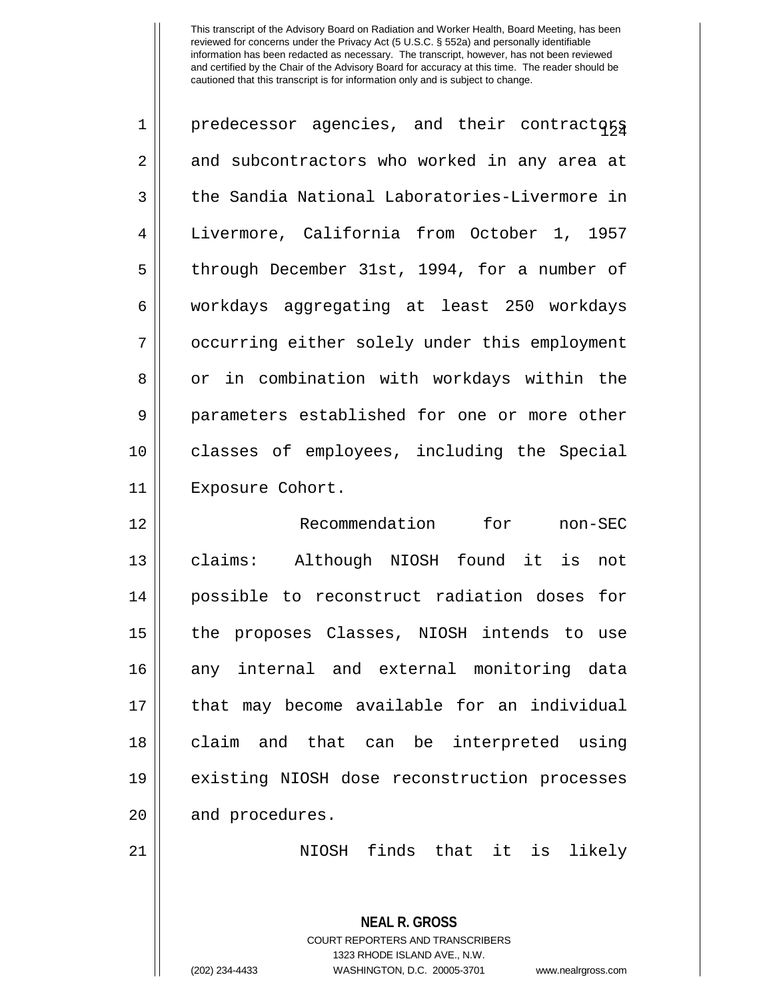| $\mathbf 1$    | predecessor agencies, and their contractogs   |
|----------------|-----------------------------------------------|
| $\overline{2}$ | and subcontractors who worked in any area at  |
| 3              | the Sandia National Laboratories-Livermore in |
| 4              | Livermore, California from October 1, 1957    |
| 5              | through December 31st, 1994, for a number of  |
| 6              | workdays aggregating at least 250 workdays    |
| 7              | occurring either solely under this employment |
| 8              | or in combination with workdays within the    |
| 9              | parameters established for one or more other  |
| 10             | classes of employees, including the Special   |
| 11             | Exposure Cohort.                              |
|                |                                               |

12 Recommendation for non-SEC 13 claims: Although NIOSH found it is not 14 possible to reconstruct radiation doses for 15 || the proposes Classes, NIOSH intends to use 16 any internal and external monitoring data 17 || that may become available for an individual 18 || claim and that can be interpreted using 19 existing NIOSH dose reconstruction processes 20 || and procedures.

21 NIOSH finds that it is likely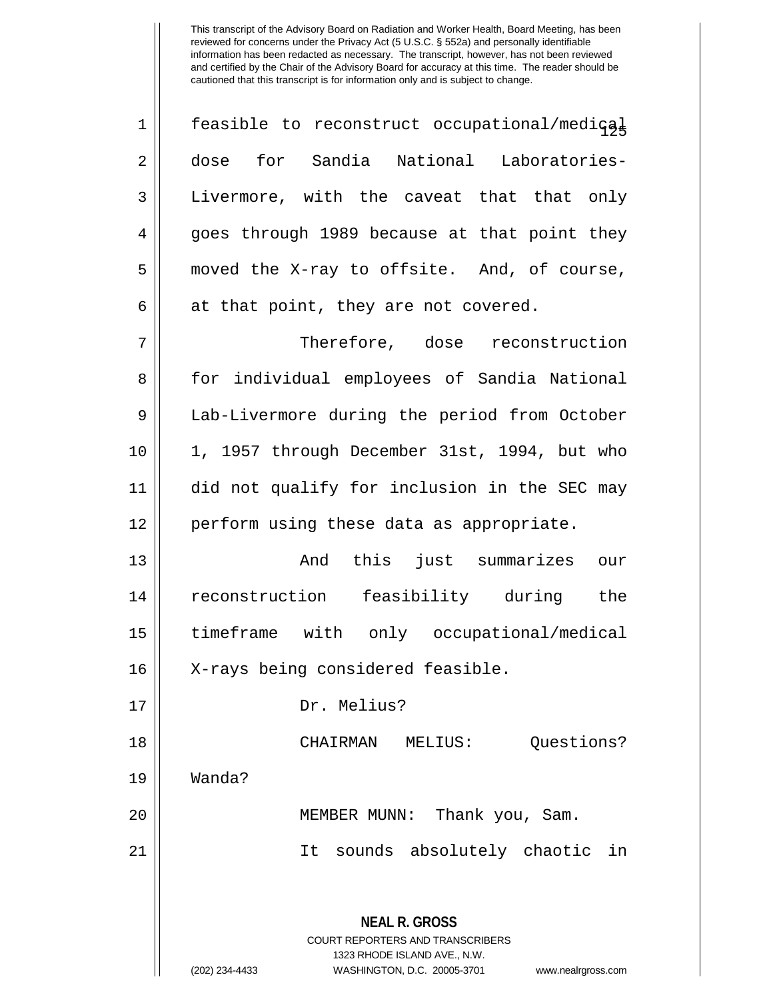| $\mathbf 1$ | feasible to reconstruct occupational/medical                                                                                                                           |
|-------------|------------------------------------------------------------------------------------------------------------------------------------------------------------------------|
| 2           | dose for Sandia National Laboratories-                                                                                                                                 |
| 3           | Livermore, with the caveat that that only                                                                                                                              |
| 4           | goes through 1989 because at that point they                                                                                                                           |
| 5           | moved the X-ray to offsite. And, of course,                                                                                                                            |
| 6           | at that point, they are not covered.                                                                                                                                   |
| 7           | Therefore, dose reconstruction                                                                                                                                         |
| 8           | for individual employees of Sandia National                                                                                                                            |
| 9           | Lab-Livermore during the period from October                                                                                                                           |
| 10          | 1, 1957 through December 31st, 1994, but who                                                                                                                           |
| 11          | did not qualify for inclusion in the SEC may                                                                                                                           |
| 12          | perform using these data as appropriate.                                                                                                                               |
| 13          | And this just summarizes our                                                                                                                                           |
| 14          | reconstruction feasibility during the                                                                                                                                  |
| 15          | timeframe with only occupational/medical                                                                                                                               |
| 16          | X-rays being considered feasible.                                                                                                                                      |
| 17          | Dr. Melius?                                                                                                                                                            |
| 18          | Questions?<br>CHAIRMAN<br>MELIUS:                                                                                                                                      |
| 19          | Wanda?                                                                                                                                                                 |
| 20          | MEMBER MUNN: Thank you, Sam.                                                                                                                                           |
| 21          | It sounds absolutely chaotic in                                                                                                                                        |
|             | <b>NEAL R. GROSS</b><br><b>COURT REPORTERS AND TRANSCRIBERS</b><br>1323 RHODE ISLAND AVE., N.W.<br>(202) 234-4433<br>WASHINGTON, D.C. 20005-3701<br>www.nealrgross.com |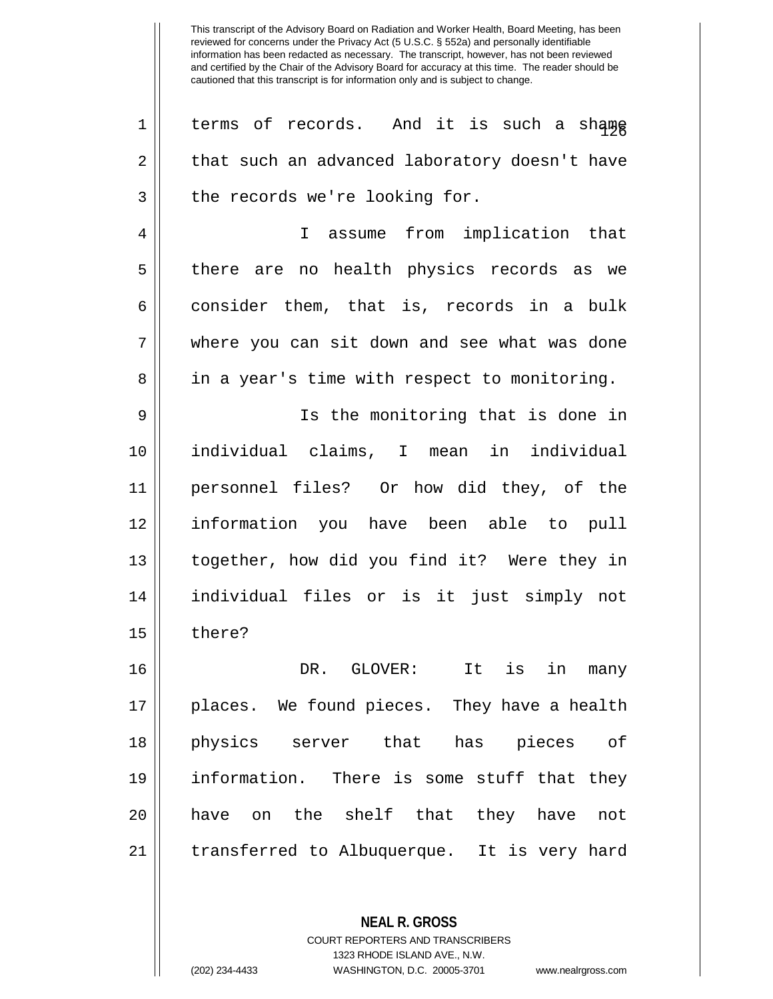$1$  | terms of records. And it is such a shame 2 | that such an advanced laboratory doesn't have  $3 \parallel$  the records we're looking for.

4 I assume from implication that 5 || there are no health physics records as we 6 consider them, that is, records in a bulk 7 where you can sit down and see what was done 8 || in a year's time with respect to monitoring.

9 || South State monitoring that is done in individual claims, I mean in individual personnel files? Or how did they, of the information you have been able to pull together, how did you find it? Were they in individual files or is it just simply not 15 || there?

 DR. GLOVER: It is in many places. We found pieces. They have a health physics server that has pieces of information. There is some stuff that they 20 || have on the shelf that they have not 21 || transferred to Albuquerque. It is very hard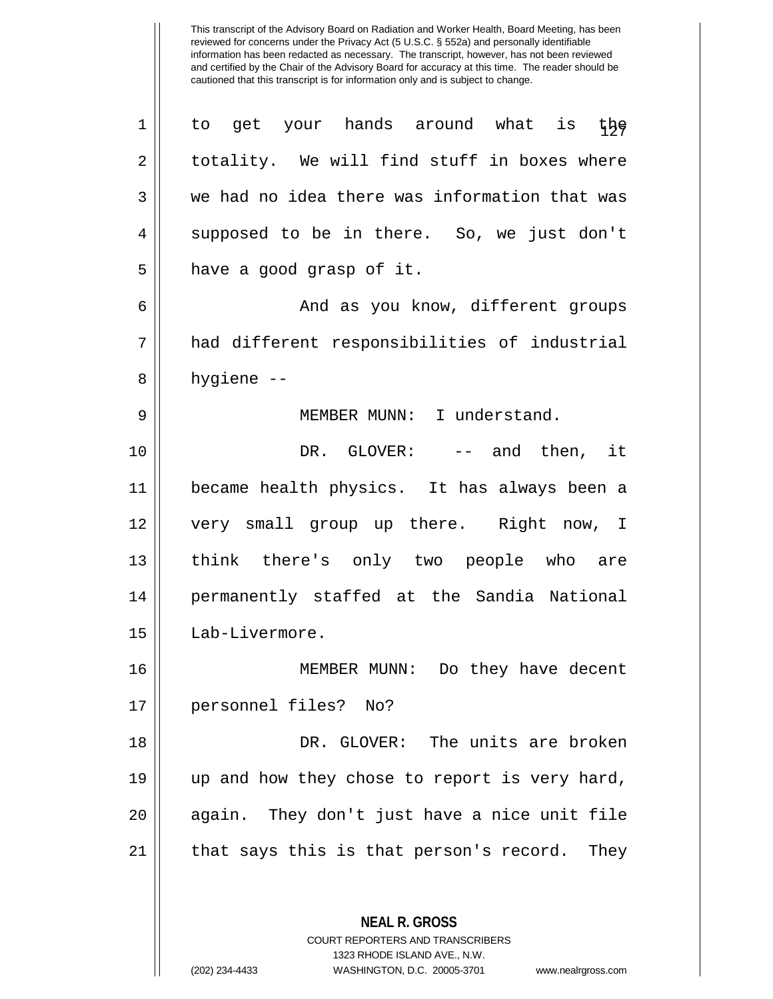**NEAL R. GROSS** COURT REPORTERS AND TRANSCRIBERS <sup>127</sup> <sup>1</sup> to get your hands around what is the  $2 \parallel$  totality. We will find stuff in boxes where  $3 \parallel$  we had no idea there was information that was 4 supposed to be in there. So, we just don't 5 || have a good grasp of it. 6 And as you know, different groups 7 had different responsibilities of industrial 8 | hygiene --9 MEMBER MUNN: I understand. 10 DR. GLOVER: -- and then, it 11 became health physics. It has always been a 12 very small group up there. Right now, I 13 think there's only two people who are 14 permanently staffed at the Sandia National 15 Lab-Livermore. 16 MEMBER MUNN: Do they have decent 17 personnel files? No? 18 || DR. GLOVER: The units are broken 19 || up and how they chose to report is very hard, 20 || again. They don't just have a nice unit file 21 || that says this is that person's record. They

1323 RHODE ISLAND AVE., N.W.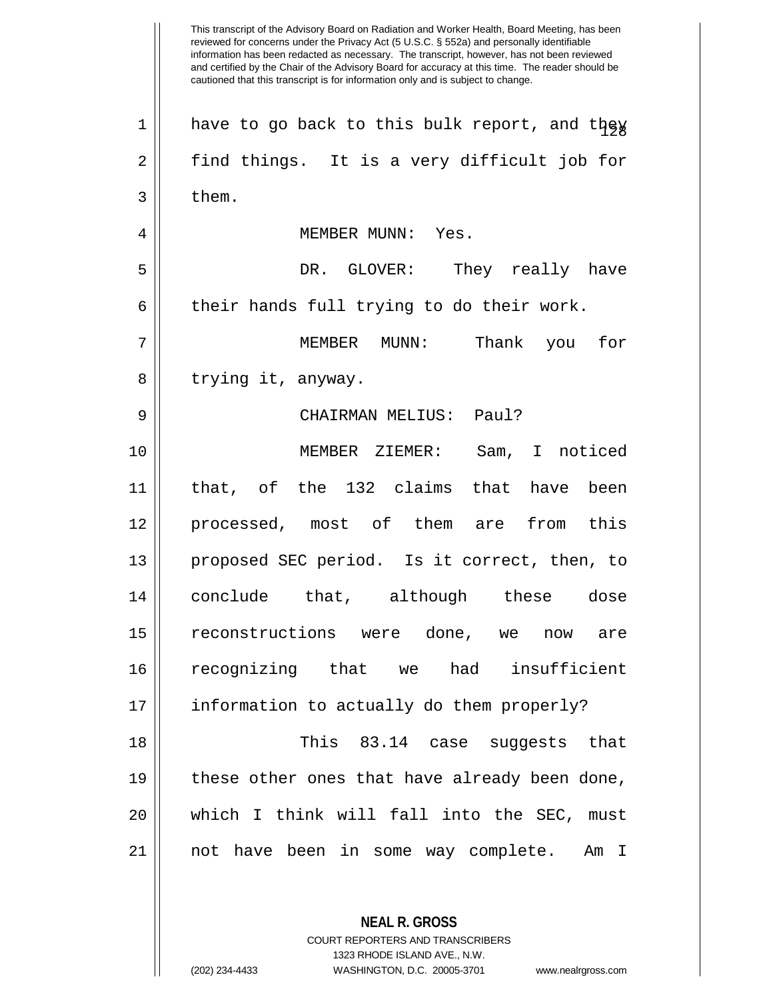This transcript of the Advisory Board on Radiation and Worker Health, Board Meeting, has been reviewed for concerns under the Privacy Act (5 U.S.C. § 552a) and personally identifiable information has been redacted as necessary. The transcript, however, has not been reviewed and certified by the Chair of the Advisory Board for accuracy at this time. The reader should be cautioned that this transcript is for information only and is subject to change. **NEAL R. GROSS**  $1$  | have to go back to this bulk report, and they 2 || find things. It is a very difficult job for  $3 \parallel$  them. 4 MEMBER MUNN: Yes. 5 DR. GLOVER: They really have  $6 \parallel$  their hands full trying to do their work. 7 MEMBER MUNN: Thank you for 8 || trying it, anyway. 9 CHAIRMAN MELIUS: Paul? 10 MEMBER ZIEMER: Sam, I noticed 11 that, of the 132 claims that have been 12 processed, most of them are from this 13 proposed SEC period. Is it correct, then, to 14 conclude that, although these dose 15 reconstructions were done, we now are 16 recognizing that we had insufficient 17 || information to actually do them properly? 18 This 83.14 case suggests that 19 these other ones that have already been done, 20 which I think will fall into the SEC, must 21 not have been in some way complete. Am I

> COURT REPORTERS AND TRANSCRIBERS 1323 RHODE ISLAND AVE., N.W.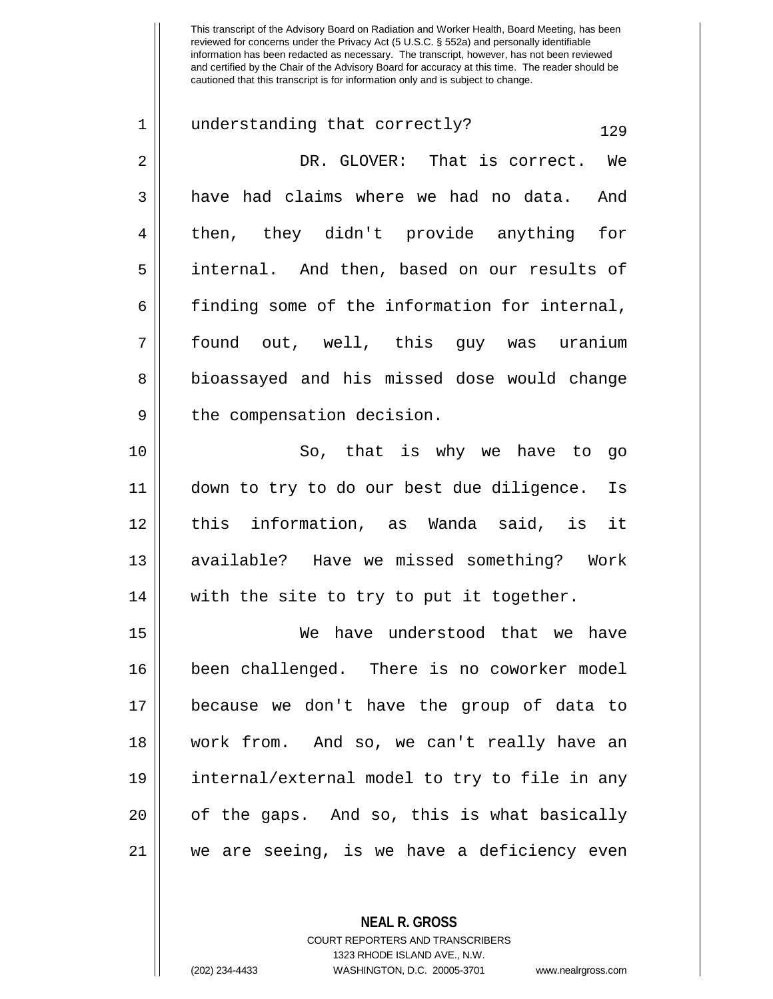$1 \parallel$  understanding that correctly?  $129$ 2 DR. GLOVER: That is correct. We  $3 \parallel$  have had claims where we had no data. And  $4 \parallel$  then, they didn't provide anything for 5 || internal. And then, based on our results of  $6 \parallel$  finding some of the information for internal, 7 found out, well, this guy was uranium 8 || bioassayed and his missed dose would change  $9$  | the compensation decision. 10 || So, that is why we have to go 11 down to try to do our best due diligence. Is 12 this information, as Wanda said, is it 13 || available? Have we missed something? Work  $14$  | with the site to try to put it together. 15 We have understood that we have 16 been challenged. There is no coworker model 17 because we don't have the group of data to 18 work from. And so, we can't really have an 19 internal/external model to try to file in any 20 || of the gaps. And so, this is what basically 21 we are seeing, is we have a deficiency even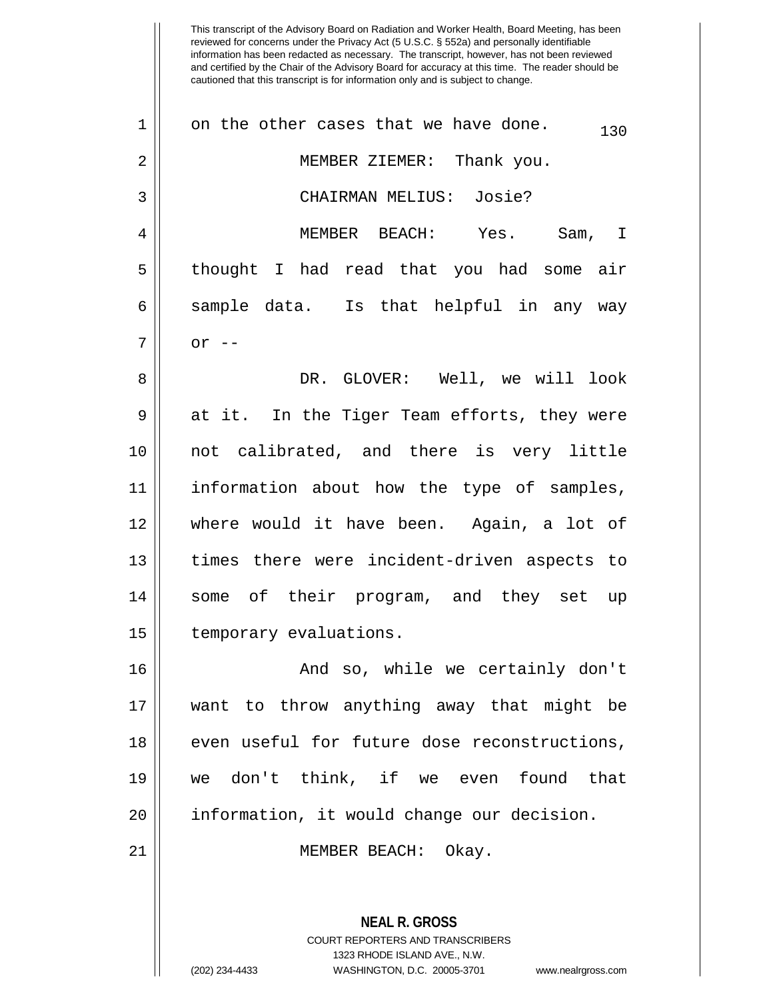This transcript of the Advisory Board on Radiation and Worker Health, Board Meeting, has been reviewed for concerns under the Privacy Act (5 U.S.C. § 552a) and personally identifiable information has been redacted as necessary. The transcript, however, has not been reviewed and certified by the Chair of the Advisory Board for accuracy at this time. The reader should be cautioned that this transcript is for information only and is subject to change. **NEAL R. GROSS** COURT REPORTERS AND TRANSCRIBERS 1323 RHODE ISLAND AVE., N.W.  $1 \parallel$  on the other cases that we have done.  $130$ 2 || MEMBER ZIEMER: Thank you. 3 CHAIRMAN MELIUS: Josie? 4 MEMBER BEACH: Yes. Sam, I 5 thought I had read that you had some air  $6 \parallel$  sample data. Is that helpful in any way  $7 \parallel$  or  $-$ 8 DR. GLOVER: Well, we will look  $9 \parallel$  at it. In the Tiger Team efforts, they were 10 not calibrated, and there is very little 11 information about how the type of samples, 12 where would it have been. Again, a lot of 13 || times there were incident-driven aspects to 14 || some of their program, and they set up 15 | temporary evaluations. 16 And so, while we certainly don't 17 want to throw anything away that might be 18 || even useful for future dose reconstructions, 19 we don't think, if we even found that 20 || information, it would change our decision. 21 || MEMBER BEACH: Okay.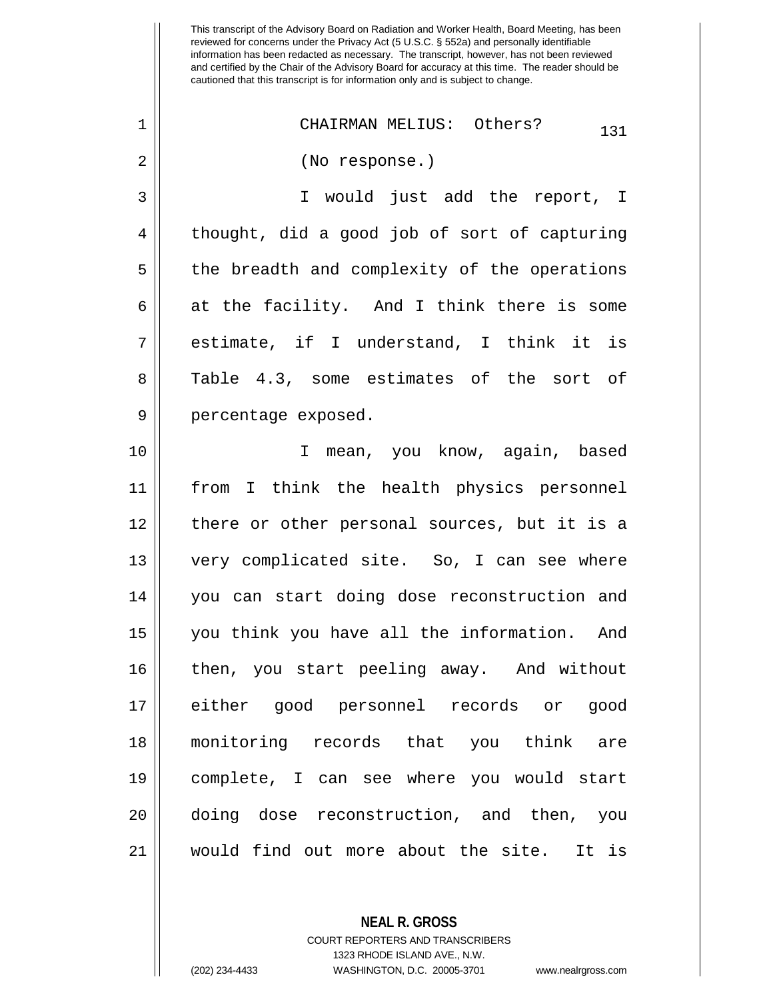This transcript of the Advisory Board on Radiation and Worker Health, Board Meeting, has been reviewed for concerns under the Privacy Act (5 U.S.C. § 552a) and personally identifiable information has been redacted as necessary. The transcript, however, has not been reviewed and certified by the Chair of the Advisory Board for accuracy at this time. The reader should be cautioned that this transcript is for information only and is subject to change. 1 || CHAIRMAN MELIUS: Others? 131 2 || (No response.) 3 I would just add the report, I  $4 \parallel$  thought, did a good job of sort of capturing 5 || the breadth and complexity of the operations  $6 \parallel$  at the facility. And I think there is some 7 estimate, if I understand, I think it is 8 Table 4.3, some estimates of the sort of 9 | percentage exposed. 10 I mean, you know, again, based 11 from I think the health physics personnel 12 || there or other personal sources, but it is a 13 very complicated site. So, I can see where 14 you can start doing dose reconstruction and 15 you think you have all the information. And 16 then, you start peeling away. And without 17 either good personnel records or good 18 monitoring records that you think are 19 complete, I can see where you would start 20 doing dose reconstruction, and then, you 21 would find out more about the site. It is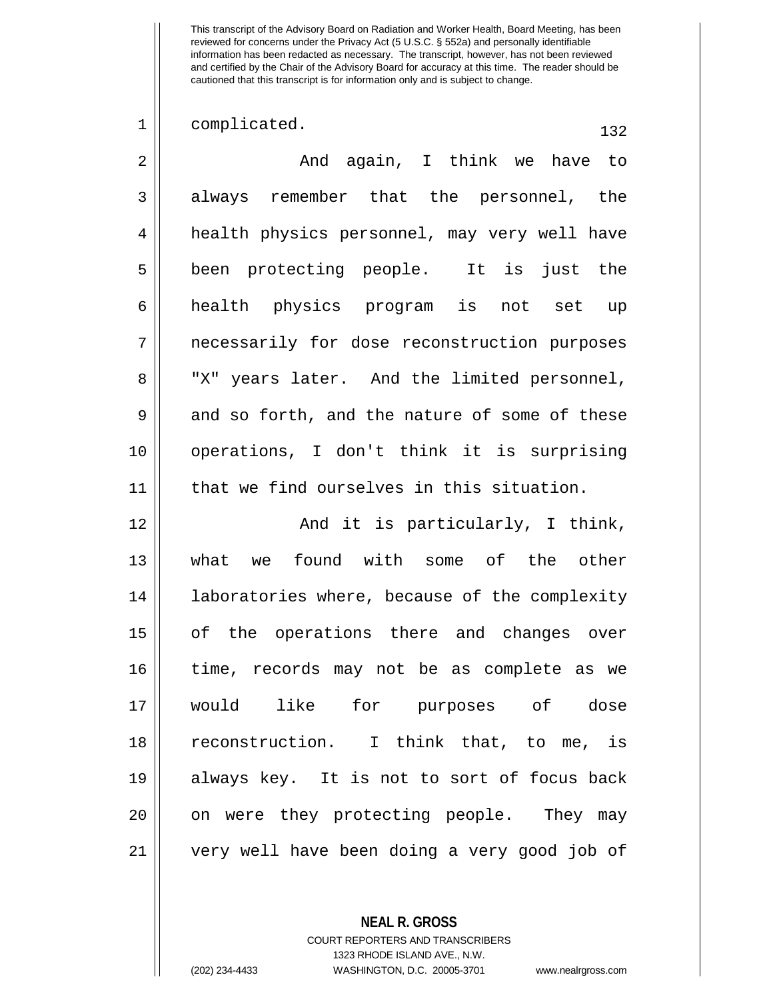$1 \parallel$  complicated. 132

| $\overline{2}$ | And again, I think we have to                 |
|----------------|-----------------------------------------------|
| 3              | always remember that the personnel, the       |
| 4              | health physics personnel, may very well have  |
| 5              | been protecting people. It is just the        |
| $\epsilon$     | health physics program is not set up          |
| 7              | necessarily for dose reconstruction purposes  |
| 8              | "X" years later. And the limited personnel,   |
| $\mathsf 9$    | and so forth, and the nature of some of these |
| 10             | operations, I don't think it is surprising    |
| 11             | that we find ourselves in this situation.     |
| 12             | And it is particularly, I think,              |
| 13             | what we found with some of the other          |
| 14             | laboratories where, because of the complexity |
| 15             | of the operations there and changes over      |
| 16             | time, records may not be as complete as we    |
| 17             | would like for purposes of dose               |
| 18             | reconstruction. I think that, to me, is       |
| 19             | always key. It is not to sort of focus back   |
|                |                                               |
| 20             | on were they protecting people. They may      |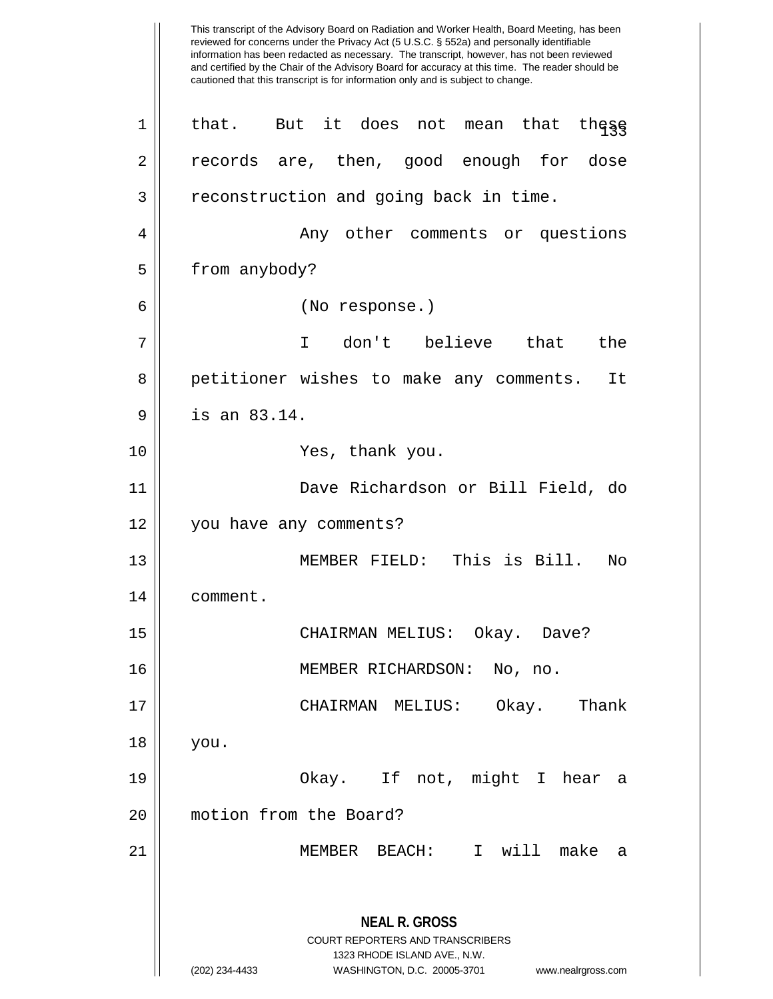This transcript of the Advisory Board on Radiation and Worker Health, Board Meeting, has been reviewed for concerns under the Privacy Act (5 U.S.C. § 552a) and personally identifiable information has been redacted as necessary. The transcript, however, has not been reviewed and certified by the Chair of the Advisory Board for accuracy at this time. The reader should be cautioned that this transcript is for information only and is subject to change. **NEAL R. GROSS** COURT REPORTERS AND TRANSCRIBERS 1323 RHODE ISLAND AVE., N.W. (202) 234-4433 WASHINGTON, D.C. 20005-3701 www.nealrgross.com  $1 \parallel$  that. But it does not mean that thes 2 || records are, then, good enough for dose  $3 \parallel$  reconstruction and going back in time. 4 Any other comments or questions 5 | from anybody? 6 (No response.) 7 I don't believe that the 8 || petitioner wishes to make any comments. It  $9 \parallel$  is an 83.14. 10 Yes, thank you. 11 Dave Richardson or Bill Field, do 12 you have any comments? 13 MEMBER FIELD: This is Bill. No 14 comment. 15 CHAIRMAN MELIUS: Okay. Dave? 16 || MEMBER RICHARDSON: No, no. 17 CHAIRMAN MELIUS: Okay. Thank 18 you. 19 Okay. If not, might I hear a 20 motion from the Board? 21 MEMBER BEACH: I will make a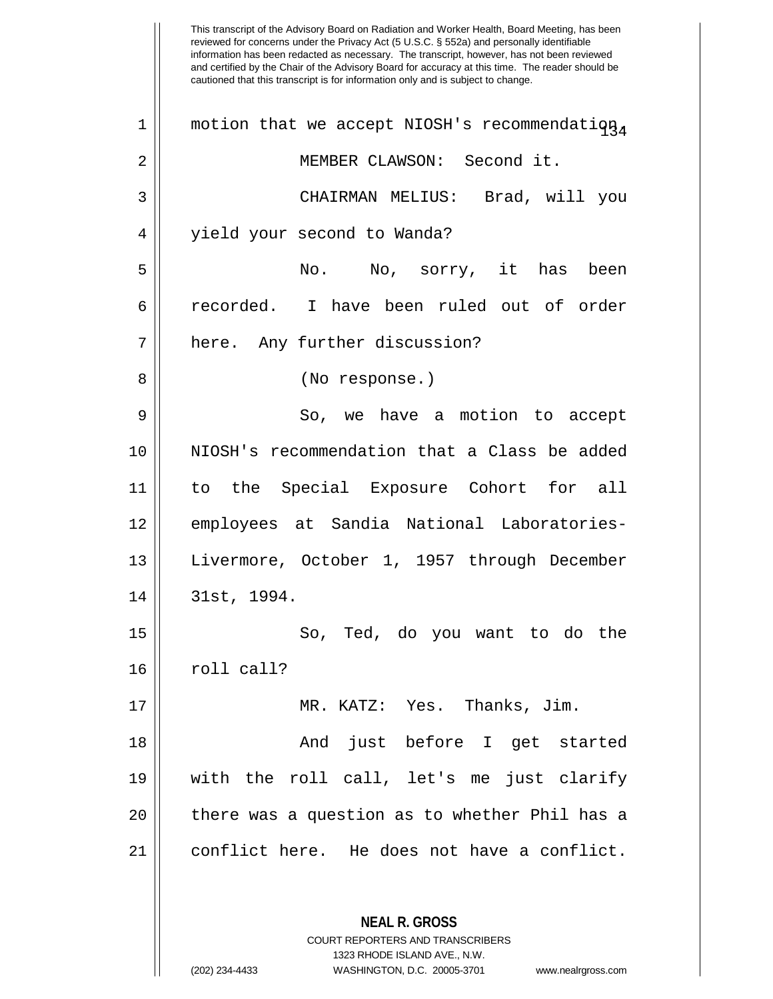This transcript of the Advisory Board on Radiation and Worker Health, Board Meeting, has been reviewed for concerns under the Privacy Act (5 U.S.C. § 552a) and personally identifiable information has been redacted as necessary. The transcript, however, has not been reviewed and certified by the Chair of the Advisory Board for accuracy at this time. The reader should be cautioned that this transcript is for information only and is subject to change. **NEAL R. GROSS** COURT REPORTERS AND TRANSCRIBERS 1 | motion that we accept NIOSH's recommendation. 2 MEMBER CLAWSON: Second it. 3 CHAIRMAN MELIUS: Brad, will you 4 || yield your second to Wanda? 5 No. No, sorry, it has been 6 recorded. I have been ruled out of order 7 || here. Any further discussion? 8 || (No response.) 9 So, we have a motion to accept 10 NIOSH's recommendation that a Class be added 11 to the Special Exposure Cohort for all 12 employees at Sandia National Laboratories-13 | Livermore, October 1, 1957 through December  $14 \parallel 31$ st, 1994. 15 So, Ted, do you want to do the 16 || roll call? 17 MR. KATZ: Yes. Thanks, Jim. 18 And just before I get started 19 with the roll call, let's me just clarify 20 || there was a question as to whether Phil has a 21 conflict here. He does not have a conflict.

1323 RHODE ISLAND AVE., N.W.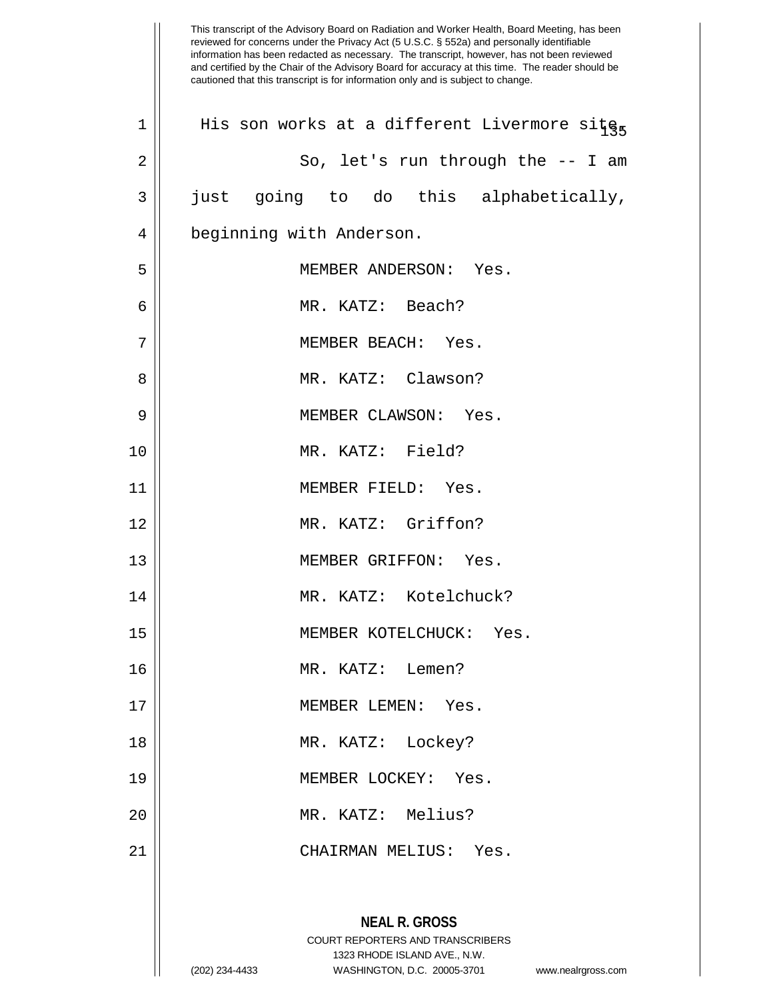This transcript of the Advisory Board on Radiation and Worker Health, Board Meeting, has been reviewed for concerns under the Privacy Act (5 U.S.C. § 552a) and personally identifiable information has been redacted as necessary. The transcript, however, has not been reviewed and certified by the Chair of the Advisory Board for accuracy at this time. The reader should be cautioned that this transcript is for information only and is subject to change. **NEAL R. GROSS** COURT REPORTERS AND TRANSCRIBERS 1323 RHODE ISLAND AVE., N.W. (202) 234-4433 WASHINGTON, D.C. 20005-3701 www.nealrgross.com 1 || His son works at a different Livermore site.  $2 \parallel$  So, let's run through the -- I am 3 || just going to do this alphabetically, 4 | beginning with Anderson. 5 | MEMBER ANDERSON: Yes. 6 MR. KATZ: Beach? 7 MEMBER BEACH: Yes. 8 MR. KATZ: Clawson? 9 MEMBER CLAWSON: Yes. 10 MR. KATZ: Field? 11 MEMBER FIELD: Yes. 12 MR. KATZ: Griffon? 13 || MEMBER GRIFFON: Yes. 14 MR. KATZ: Kotelchuck? 15 MEMBER KOTELCHUCK: Yes. 16 MR. KATZ: Lemen? 17 || **MEMBER LEMEN:** Yes. 18 || MR. KATZ: Lockey? 19 MEMBER LOCKEY: Yes. 20 MR. KATZ: Melius? 21 CHAIRMAN MELIUS: Yes.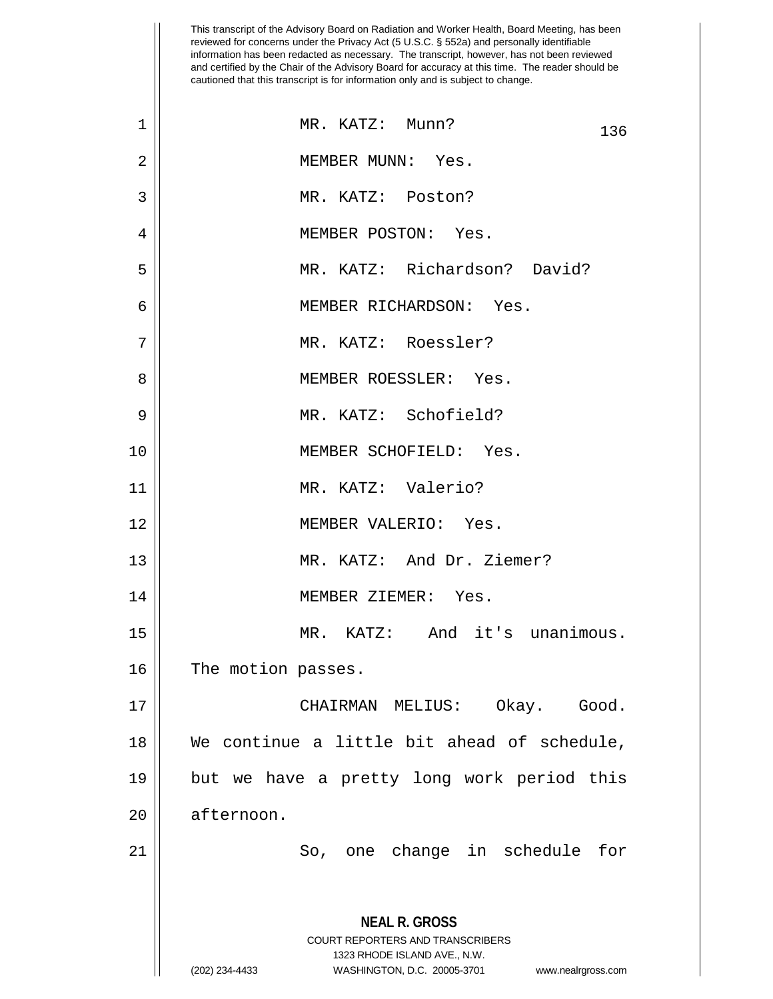This transcript of the Advisory Board on Radiation and Worker Health, Board Meeting, has been reviewed for concerns under the Privacy Act (5 U.S.C. § 552a) and personally identifiable information has been redacted as necessary. The transcript, however, has not been reviewed and certified by the Chair of the Advisory Board for accuracy at this time. The reader should be cautioned that this transcript is for information only and is subject to change. **NEAL R. GROSS** COURT REPORTERS AND TRANSCRIBERS 1323 RHODE ISLAND AVE., N.W. (202) 234-4433 WASHINGTON, D.C. 20005-3701 www.nealrgross.com <sup>136</sup> <sup>1</sup> MR. KATZ: Munn? 2 MEMBER MUNN: Yes. 3 MR. KATZ: Poston? 4 MEMBER POSTON: Yes. 5 MR. KATZ: Richardson? David? 6 MEMBER RICHARDSON: Yes. 7 MR. KATZ: Roessler? 8 || MEMBER ROESSLER: Yes. 9 || MR. KATZ: Schofield? 10 || **MEMBER SCHOFIELD:** Yes. 11 MR. KATZ: Valerio? 12 MEMBER VALERIO: Yes. 13 MR. KATZ: And Dr. Ziemer? 14 MEMBER ZIEMER: Yes. 15 MR. KATZ: And it's unanimous. 16 || The motion passes. 17 CHAIRMAN MELIUS: Okay. Good. 18 We continue a little bit ahead of schedule, 19 but we have a pretty long work period this 20 | afternoon. 21 So, one change in schedule for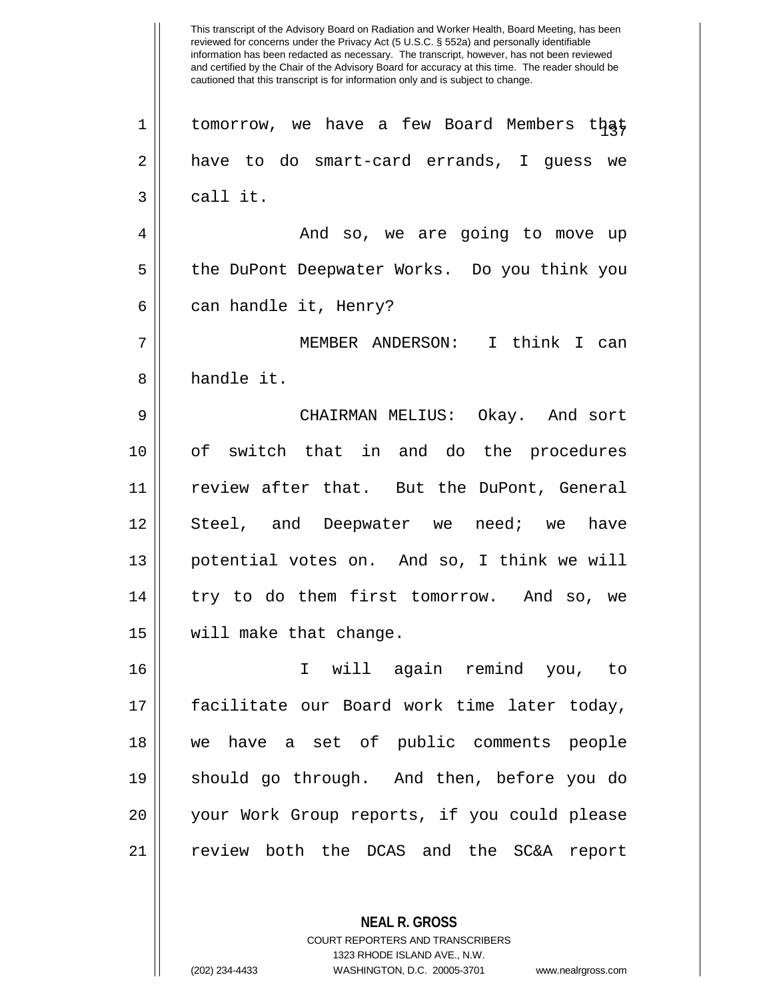This transcript of the Advisory Board on Radiation and Worker Health, Board Meeting, has been reviewed for concerns under the Privacy Act (5 U.S.C. § 552a) and personally identifiable information has been redacted as necessary. The transcript, however, has not been reviewed and certified by the Chair of the Advisory Board for accuracy at this time. The reader should be cautioned that this transcript is for information only and is subject to change. **NEAL R. GROSS** 1 || tomorrow, we have a few Board Members that 2 || have to do smart-card errands, I quess we 3 call it. 4 And so, we are going to move up 5 the DuPont Deepwater Works. Do you think you  $6 \parallel$  can handle it, Henry? 7 MEMBER ANDERSON: I think I can 8 ll handle it. 9 CHAIRMAN MELIUS: Okay. And sort 10 of switch that in and do the procedures 11 review after that. But the DuPont, General 12 Steel, and Deepwater we need; we have 13 potential votes on. And so, I think we will 14 || try to do them first tomorrow. And so, we 15 will make that change. 16 I will again remind you, to 17 facilitate our Board work time later today, 18 we have a set of public comments people 19 should go through. And then, before you do 20 your Work Group reports, if you could please 21 || review both the DCAS and the SC&A report

> COURT REPORTERS AND TRANSCRIBERS 1323 RHODE ISLAND AVE., N.W.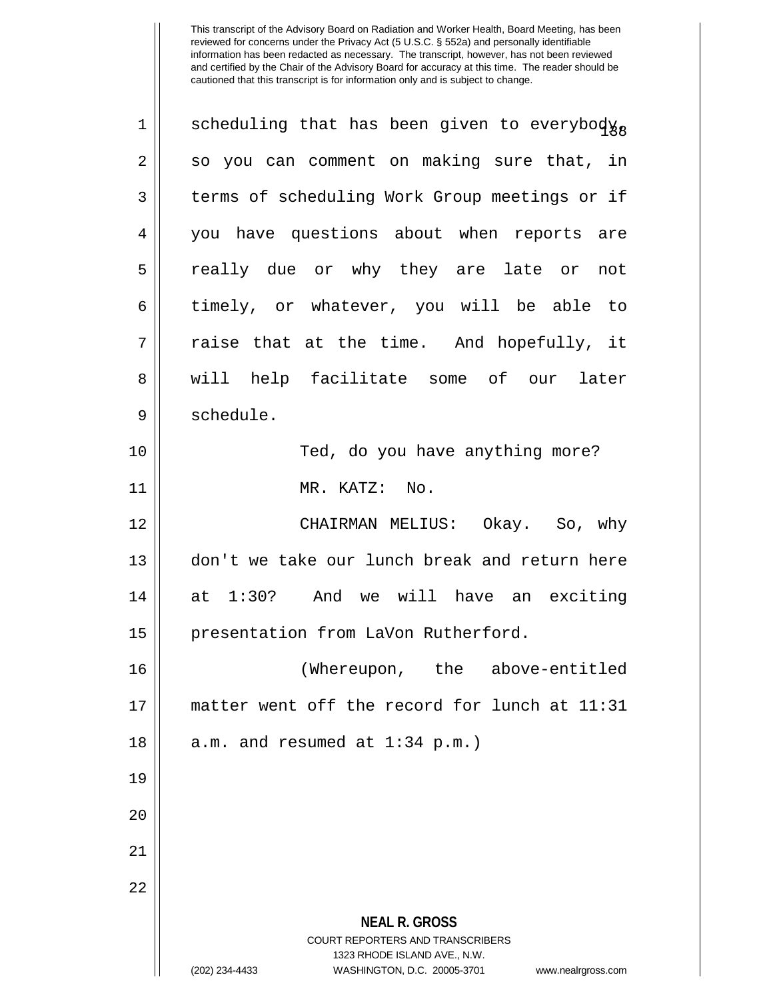| $\mathbf 1$    | scheduling that has been given to everybody,                                                                                                                    |
|----------------|-----------------------------------------------------------------------------------------------------------------------------------------------------------------|
| 2              | so you can comment on making sure that, in                                                                                                                      |
| 3              | terms of scheduling Work Group meetings or if                                                                                                                   |
| $\overline{4}$ | you have questions about when reports are                                                                                                                       |
| 5              | really due or why they are late or not                                                                                                                          |
| 6              | timely, or whatever, you will be able to                                                                                                                        |
| 7              | raise that at the time. And hopefully, it                                                                                                                       |
| 8              | will help facilitate some of our later                                                                                                                          |
| 9              | schedule.                                                                                                                                                       |
| 10             | Ted, do you have anything more?                                                                                                                                 |
| 11             | MR. KATZ: No.                                                                                                                                                   |
| 12             | CHAIRMAN MELIUS: Okay. So, why                                                                                                                                  |
| 13             | don't we take our lunch break and return here                                                                                                                   |
| 14             | at 1:30? And we will have an exciting                                                                                                                           |
| 15             | presentation from LaVon Rutherford.                                                                                                                             |
| 16             | (Whereupon, the above-entitled                                                                                                                                  |
| 17             | matter went off the record for lunch at 11:31                                                                                                                   |
| 18             | a.m. and resumed at $1:34$ p.m.)                                                                                                                                |
| 19             |                                                                                                                                                                 |
| 20             |                                                                                                                                                                 |
| 21             |                                                                                                                                                                 |
| 22             |                                                                                                                                                                 |
|                | <b>NEAL R. GROSS</b><br>COURT REPORTERS AND TRANSCRIBERS<br>1323 RHODE ISLAND AVE., N.W.<br>WASHINGTON, D.C. 20005-3701<br>(202) 234-4433<br>www.nealrgross.com |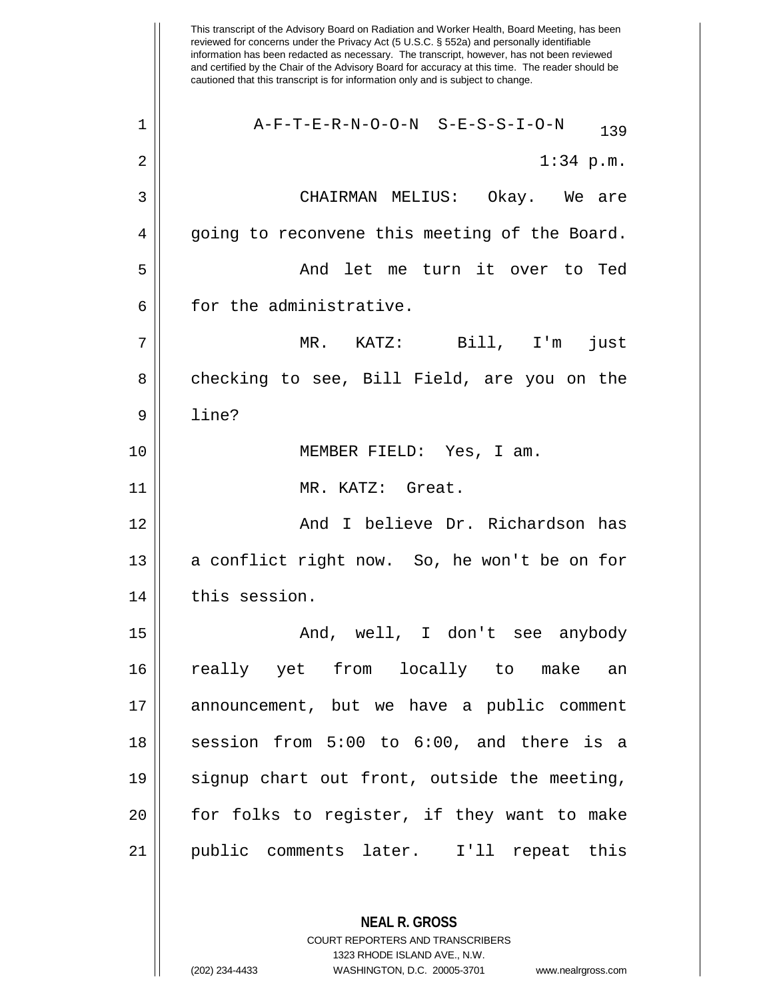This transcript of the Advisory Board on Radiation and Worker Health, Board Meeting, has been reviewed for concerns under the Privacy Act (5 U.S.C. § 552a) and personally identifiable information has been redacted as necessary. The transcript, however, has not been reviewed and certified by the Chair of the Advisory Board for accuracy at this time. The reader should be cautioned that this transcript is for information only and is subject to change. **NEAL R. GROSS** COURT REPORTERS AND TRANSCRIBERS 1323 RHODE ISLAND AVE., N.W.  $1$  |  $A-F-T-E-R-N-O-O-N$   $S-E-S-S-I-O-N$   $139$  $2 \parallel$  1:34 p.m. 3 CHAIRMAN MELIUS: Okay. We are  $4 \parallel$  going to reconvene this meeting of the Board. 5 And let me turn it over to Ted 6 for the administrative. 7 MR. KATZ: Bill, I'm just 8 checking to see, Bill Field, are you on the 9 line? 10 MEMBER FIELD: Yes, I am. 11 MR. KATZ: Great. 12 And I believe Dr. Richardson has 13  $\parallel$  a conflict right now. So, he won't be on for 14 this session. 15 And, well, I don't see anybody 16 really yet from locally to make an 17 announcement, but we have a public comment  $18$  session from 5:00 to 6:00, and there is a 19 signup chart out front, outside the meeting, 20 || for folks to register, if they want to make 21 public comments later. I'll repeat this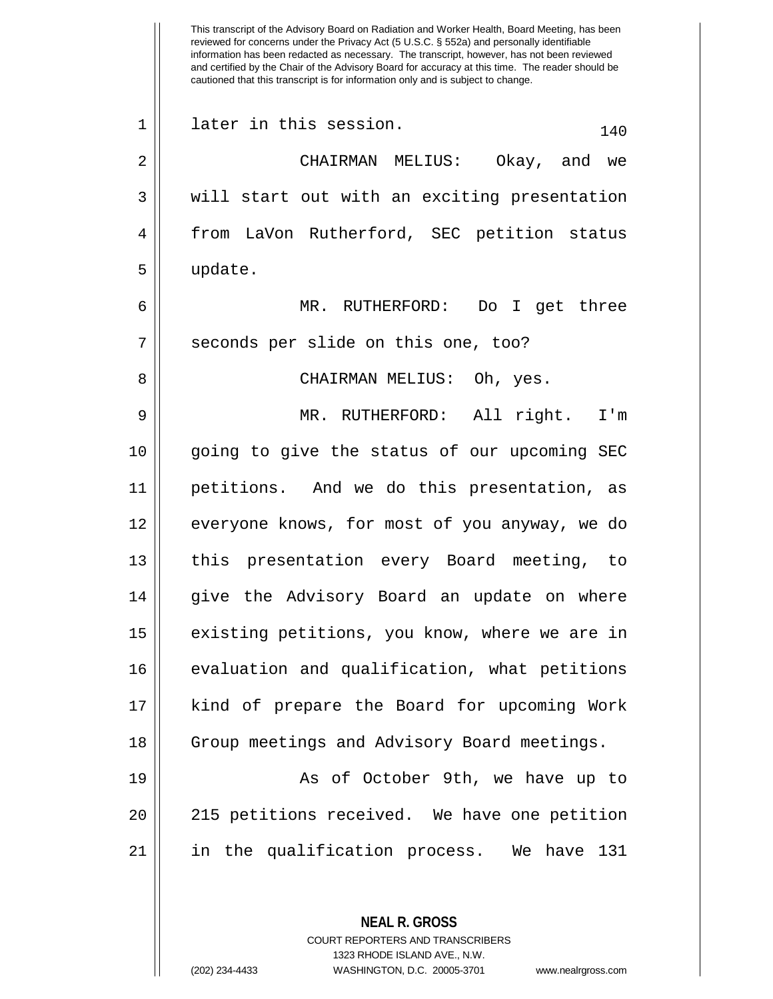reviewed for concerns under the Privacy Act (5 U.S.C. § 552a) and personally identifiable information has been redacted as necessary. The transcript, however, has not been reviewed and certified by the Chair of the Advisory Board for accuracy at this time. The reader should be cautioned that this transcript is for information only and is subject to change. **NEAL R. GROSS** COURT REPORTERS AND TRANSCRIBERS 1323 RHODE ISLAND AVE., N.W.  $1 \parallel$  later in this session.  $140$ 2 CHAIRMAN MELIUS: Okay, and we  $3 \parallel$  will start out with an exciting presentation 4 | from LaVon Rutherford, SEC petition status 5 update. 6 MR. RUTHERFORD: Do I get three 7 || seconds per slide on this one, too? 8 CHAIRMAN MELIUS: Oh, yes. 9 MR. RUTHERFORD: All right. I'm 10 going to give the status of our upcoming SEC 11 petitions. And we do this presentation, as 12 everyone knows, for most of you anyway, we do 13 || this presentation every Board meeting, to 14 || give the Advisory Board an update on where 15 || existing petitions, you know, where we are in 16 || evaluation and qualification, what petitions 17 || kind of prepare the Board for upcoming Work 18 || Group meetings and Advisory Board meetings. 19 || As of October 9th, we have up to 20 | 215 petitions received. We have one petition 21 in the qualification process. We have 131

This transcript of the Advisory Board on Radiation and Worker Health, Board Meeting, has been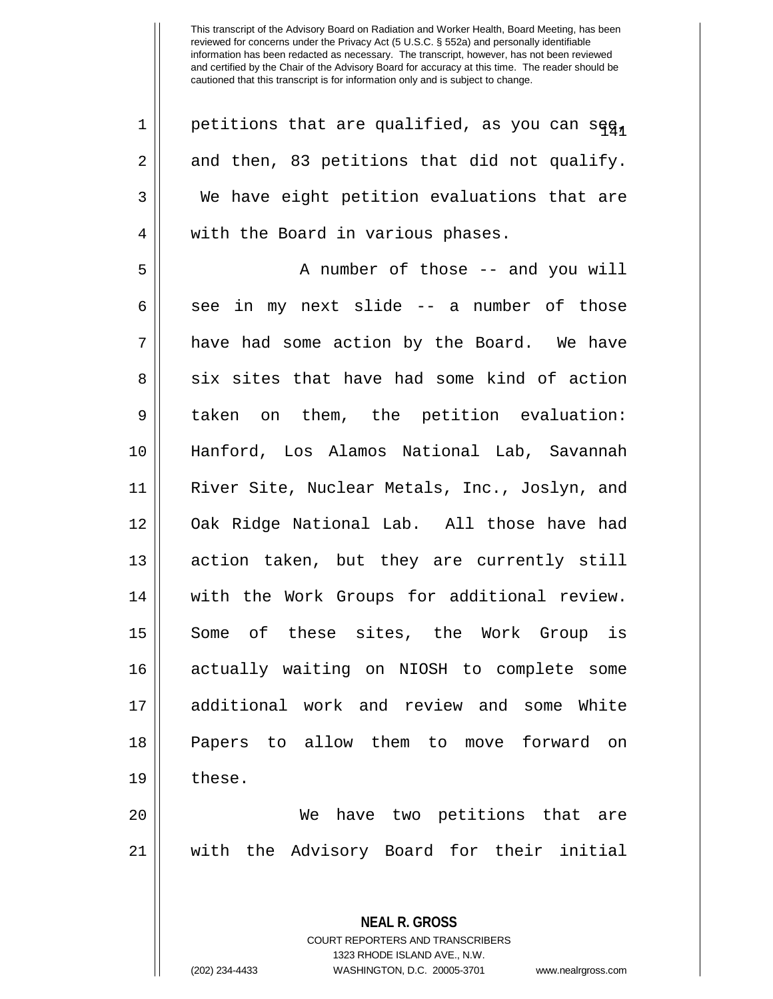1 | petitions that are qualified, as you can seg,  $2 \parallel$  and then, 83 petitions that did not qualify. 3 We have eight petition evaluations that are 4 || with the Board in various phases. 5 || A number of those -- and you will  $6 \parallel$  see in my next slide -- a number of those 7 || have had some action by the Board. We have 8 || six sites that have had some kind of action 9 taken on them, the petition evaluation: 10 Hanford, Los Alamos National Lab, Savannah 11 River Site, Nuclear Metals, Inc., Joslyn, and 12 Oak Ridge National Lab. All those have had 13 action taken, but they are currently still 14 || with the Work Groups for additional review. 15 Some of these sites, the Work Group is 16 actually waiting on NIOSH to complete some 17 additional work and review and some White 18 Papers to allow them to move forward on  $19 \parallel$  these. 20 We have two petitions that are

21 with the Advisory Board for their initial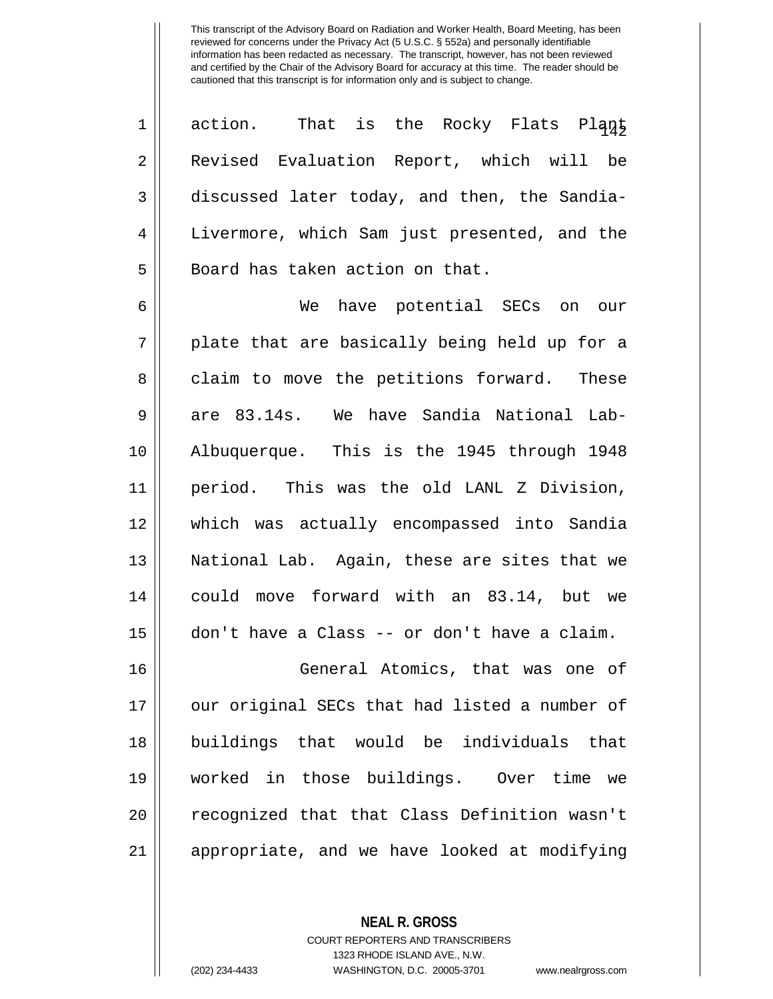$\begin{array}{ccc} 1 & \text{ action.} \end{array}$  That is the Rocky Flats Plants 2 Revised Evaluation Report, which will be 3 discussed later today, and then, the Sandia-4 Livermore, which Sam just presented, and the 5 || Board has taken action on that.

6 We have potential SECs on our  $7 \parallel$  plate that are basically being held up for a 8 | claim to move the petitions forward. These 9 are 83.14s. We have Sandia National Lab-10 Albuquerque. This is the 1945 through 1948 11 period. This was the old LANL Z Division, 12 which was actually encompassed into Sandia 13 || National Lab. Again, these are sites that we 14 || could move forward with an 83.14, but we 15 don't have a Class -- or don't have a claim.

 General Atomics, that was one of 17 || our original SECs that had listed a number of buildings that would be individuals that worked in those buildings. Over time we 20 || recognized that that Class Definition wasn't appropriate, and we have looked at modifying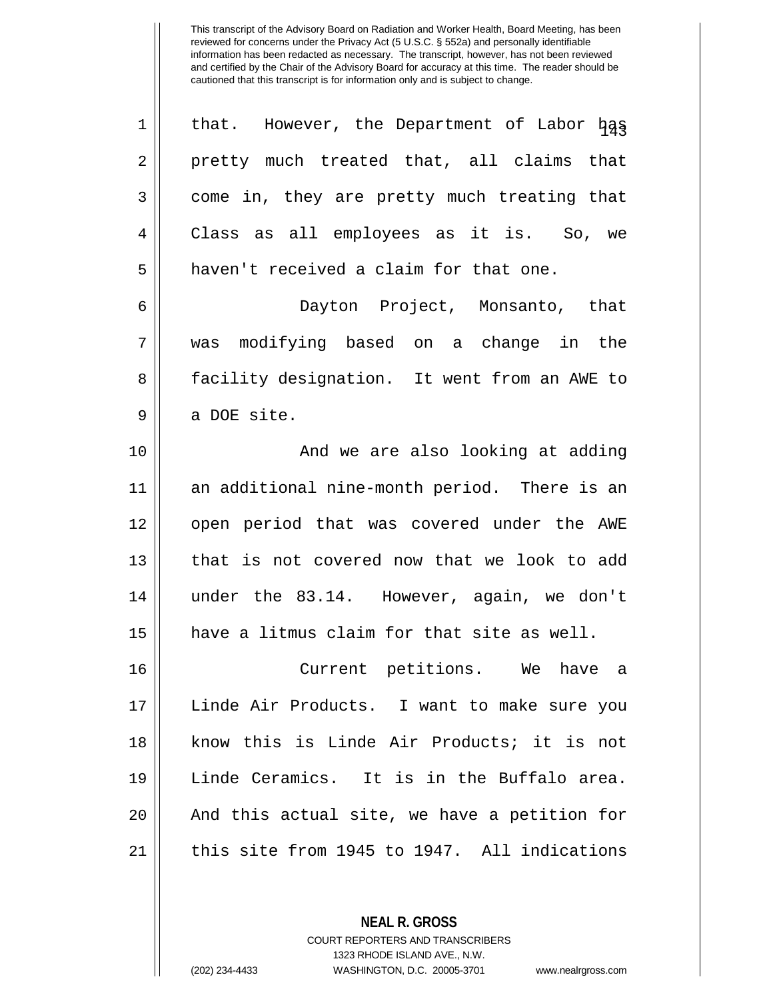| $\mathbf 1$    | that. However, the Department of Labor has   |
|----------------|----------------------------------------------|
| $\overline{2}$ | pretty much treated that, all claims that    |
| 3              | come in, they are pretty much treating that  |
| 4              | Class as all employees as it is. So, we      |
| 5              | haven't received a claim for that one.       |
| 6              | Dayton Project, Monsanto, that               |
| 7              | was modifying based on a change in the       |
| 8              | facility designation. It went from an AWE to |
| 9              | a DOE site.                                  |
| 10             | And we are also looking at adding            |
| 11             | an additional nine-month period. There is an |
| 12             | open period that was covered under the AWE   |
| 13             | that is not covered now that we look to add  |
| 14             | under the 83.14. However, again, we don't    |
| 15             | have a litmus claim for that site as well.   |
| 16             | Current petitions. We have<br>- a            |
| 17             | Linde Air Products. I want to make sure you  |
| 18             | know this is Linde Air Products; it is not   |
| 19             | Linde Ceramics. It is in the Buffalo area.   |
| 20             | And this actual site, we have a petition for |
| 21             | this site from 1945 to 1947. All indications |

**NEAL R. GROSS** COURT REPORTERS AND TRANSCRIBERS 1323 RHODE ISLAND AVE., N.W.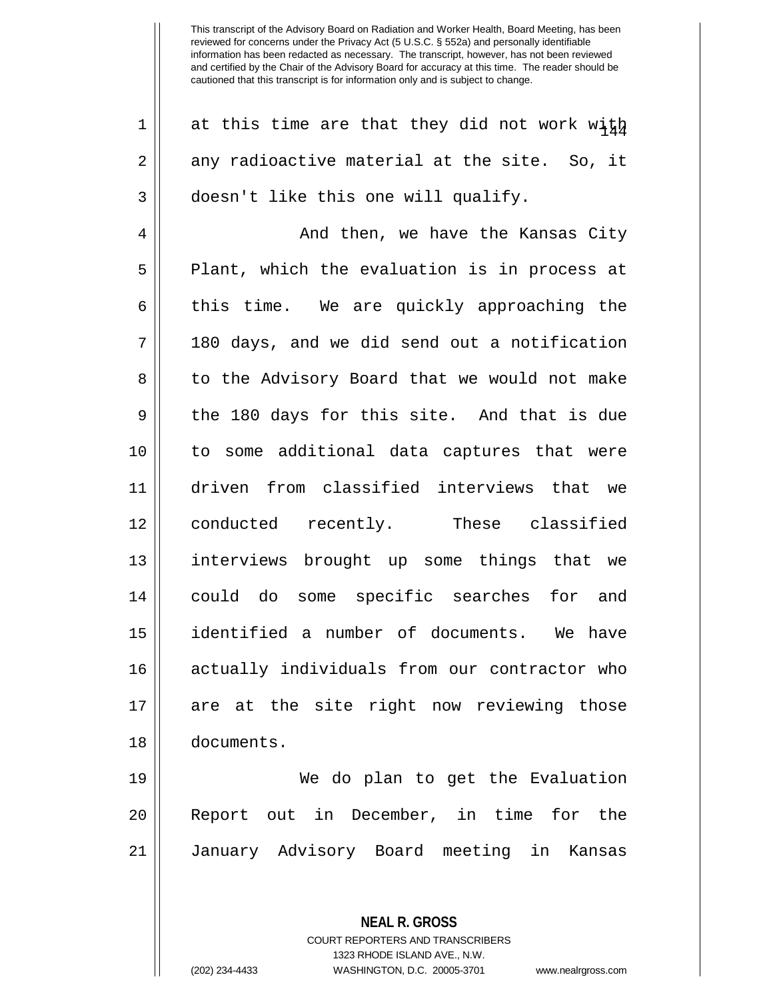| $\mathbf 1$    | at this time are that they did not work with                                                    |
|----------------|-------------------------------------------------------------------------------------------------|
| $\overline{2}$ | any radioactive material at the site. So, it                                                    |
| 3              | doesn't like this one will qualify.                                                             |
| 4              | And then, we have the Kansas City                                                               |
| 5              | Plant, which the evaluation is in process at                                                    |
| 6              | this time. We are quickly approaching the                                                       |
| 7              | 180 days, and we did send out a notification                                                    |
| 8              | to the Advisory Board that we would not make                                                    |
| 9              | the 180 days for this site. And that is due                                                     |
| 10             | to some additional data captures that were                                                      |
| 11             | driven from classified interviews that we                                                       |
| 12             | conducted recently. These classified                                                            |
| 13             | interviews brought up some things that we                                                       |
| 14             | could do some specific searches<br>for and                                                      |
| 15             | identified a number of documents. We have                                                       |
| 16             | actually individuals from our contractor who                                                    |
| 17             | are at the site right now reviewing those                                                       |
| 18             | documents.                                                                                      |
| 19             | We do plan to get the Evaluation                                                                |
| 20             | Report out in December, in time for the                                                         |
| 21             | January Advisory Board meeting in Kansas                                                        |
|                |                                                                                                 |
|                | <b>NEAL R. GROSS</b><br><b>COURT REPORTERS AND TRANSCRIBERS</b><br>1323 RHODE ISLAND AVE., N.W. |

 $\mathop{||}$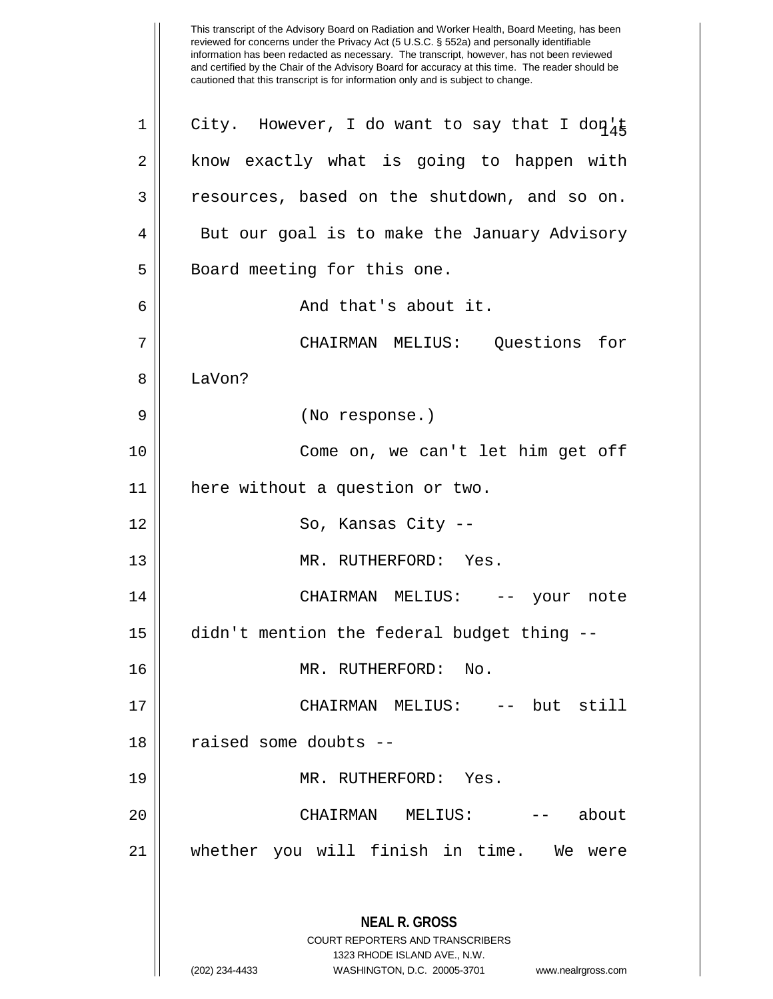This transcript of the Advisory Board on Radiation and Worker Health, Board Meeting, has been reviewed for concerns under the Privacy Act (5 U.S.C. § 552a) and personally identifiable information has been redacted as necessary. The transcript, however, has not been reviewed and certified by the Chair of the Advisory Board for accuracy at this time. The reader should be cautioned that this transcript is for information only and is subject to change. **NEAL R. GROSS** 1 || City. However, I do want to say that I don't 2 || know exactly what is going to happen with 3 resources, based on the shutdown, and so on. 4 || But our goal is to make the January Advisory 5 || Board meeting for this one. 6 And that's about it. 7 CHAIRMAN MELIUS: Questions for 8 ll LaVon? 9 (No response.) 10 || Come on, we can't let him get off 11 here without a question or two. 12 So, Kansas City -- 13 || MR. RUTHERFORD: Yes. 14 CHAIRMAN MELIUS: -- your note 15 didn't mention the federal budget thing -- 16 MR. RUTHERFORD: No. 17 CHAIRMAN MELIUS: -- but still 18 || raised some doubts --19 MR. RUTHERFORD: Yes. 20 CHAIRMAN MELIUS: -- about 21 whether you will finish in time. We were

> COURT REPORTERS AND TRANSCRIBERS 1323 RHODE ISLAND AVE., N.W.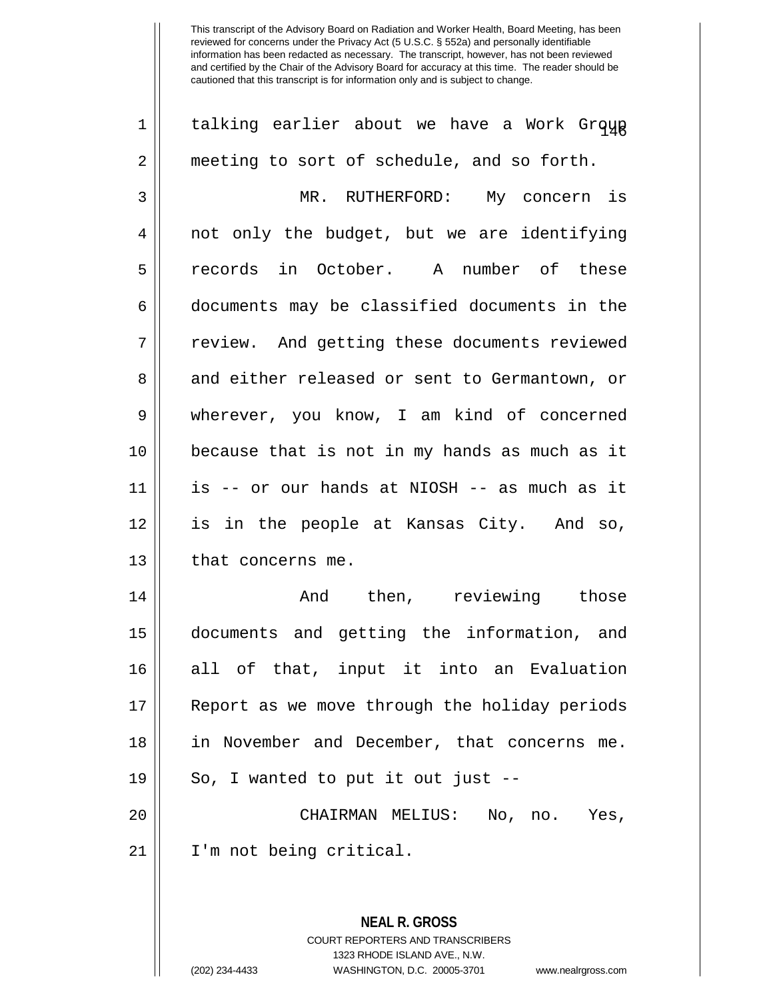| $\mathbf 1$ | talking earlier about we have a Work Group                                                      |
|-------------|-------------------------------------------------------------------------------------------------|
| $\sqrt{2}$  | meeting to sort of schedule, and so forth.                                                      |
| 3           | MR. RUTHERFORD: My concern is                                                                   |
| 4           | not only the budget, but we are identifying                                                     |
| 5           | records in October. A number of these                                                           |
| 6           | documents may be classified documents in the                                                    |
| 7           | review. And getting these documents reviewed                                                    |
| 8           | and either released or sent to Germantown, or                                                   |
| 9           | wherever, you know, I am kind of concerned                                                      |
| 10          | because that is not in my hands as much as it                                                   |
| 11          | is -- or our hands at NIOSH -- as much as it                                                    |
| 12          | is in the people at Kansas City. And so,                                                        |
| 13          | that concerns me.                                                                               |
| 14          | And then, reviewing those                                                                       |
| 15          | documents and getting the information, and                                                      |
| 16          | all of that, input it into an Evaluation                                                        |
| 17          | Report as we move through the holiday periods                                                   |
| 18          | in November and December, that concerns<br>me.                                                  |
| 19          | So, I wanted to put it out just --                                                              |
| 20          | CHAIRMAN MELIUS: No, no. Yes,                                                                   |
| 21          | I'm not being critical.                                                                         |
|             | <b>NEAL R. GROSS</b><br><b>COURT REPORTERS AND TRANSCRIBERS</b><br>1323 RHODE ISLAND AVE., N.W. |
|             | (202) 234-4433<br>WASHINGTON, D.C. 20005-3701<br>www.nealrgross.com                             |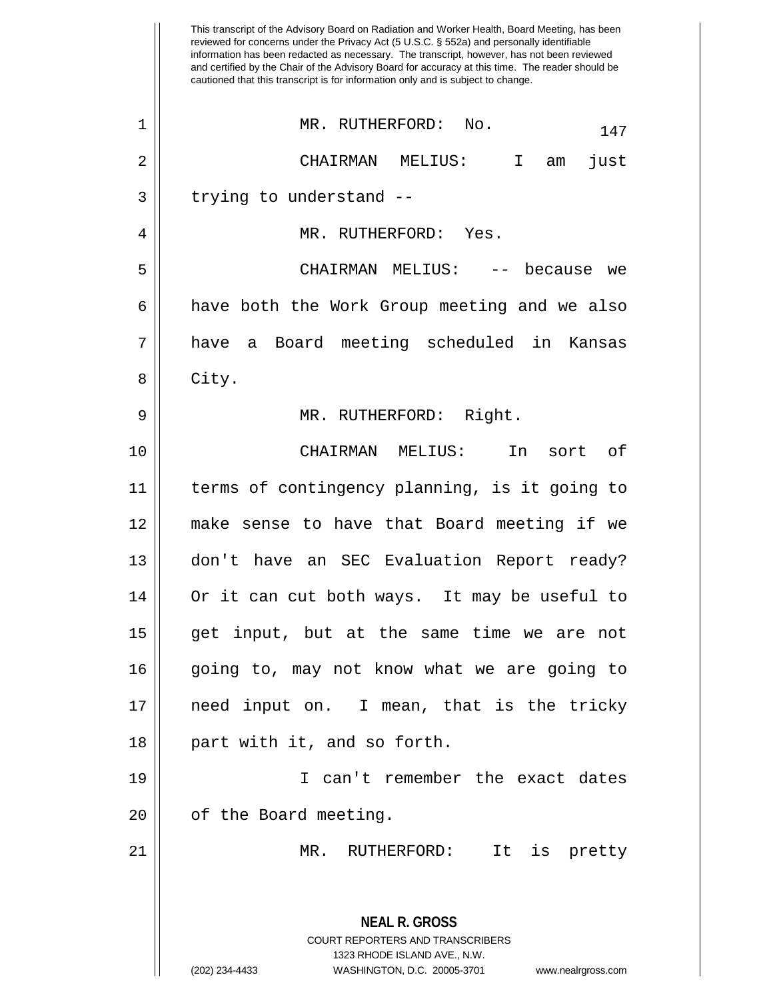This transcript of the Advisory Board on Radiation and Worker Health, Board Meeting, has been reviewed for concerns under the Privacy Act (5 U.S.C. § 552a) and personally identifiable information has been redacted as necessary. The transcript, however, has not been reviewed and certified by the Chair of the Advisory Board for accuracy at this time. The reader should be cautioned that this transcript is for information only and is subject to change. **NEAL R. GROSS** COURT REPORTERS AND TRANSCRIBERS 1323 RHODE ISLAND AVE., N.W. (202) 234-4433 WASHINGTON, D.C. 20005-3701 www.nealrgross.com 1 || MR. RUTHERFORD: No. 147 2 CHAIRMAN MELIUS: I am just  $3 \parallel$  trying to understand --4 MR. RUTHERFORD: Yes. 5 CHAIRMAN MELIUS: -- because we 6 | have both the Work Group meeting and we also 7 have a Board meeting scheduled in Kansas 8 | City. 9 | MR. RUTHERFORD: Right. 10 CHAIRMAN MELIUS: In sort of 11 terms of contingency planning, is it going to 12 make sense to have that Board meeting if we 13 don't have an SEC Evaluation Report ready? 14 Or it can cut both ways. It may be useful to 15 get input, but at the same time we are not 16 going to, may not know what we are going to 17 need input on. I mean, that is the tricky 18 || part with it, and so forth. 19 I can't remember the exact dates 20 || of the Board meeting. 21 MR. RUTHERFORD: It is pretty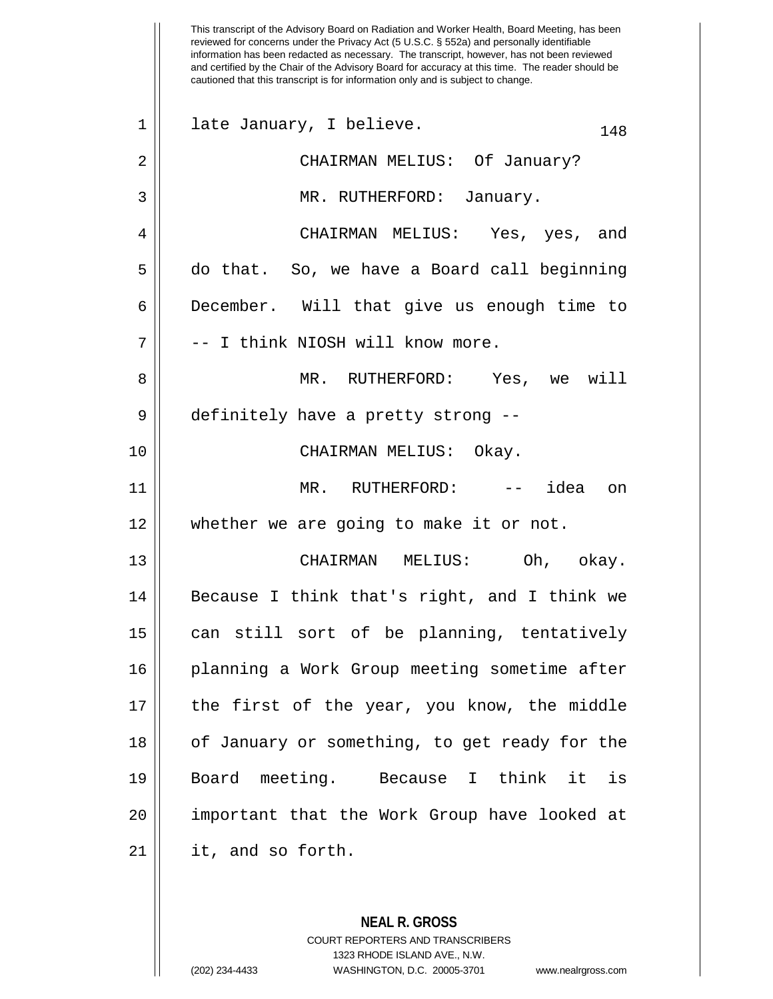This transcript of the Advisory Board on Radiation and Worker Health, Board Meeting, has been reviewed for concerns under the Privacy Act (5 U.S.C. § 552a) and personally identifiable information has been redacted as necessary. The transcript, however, has not been reviewed and certified by the Chair of the Advisory Board for accuracy at this time. The reader should be cautioned that this transcript is for information only and is subject to change. **NEAL R. GROSS**  $1 \parallel$  late January, I believe.  $148$ 2 CHAIRMAN MELIUS: Of January? 3 || MR. RUTHERFORD: January. 4 CHAIRMAN MELIUS: Yes, yes, and 5 | do that. So, we have a Board call beginning 6 | December. Will that give us enough time to 7 || || || -- I think NIOSH will know more. 8 MR. RUTHERFORD: Yes, we will 9 definitely have a pretty strong --10 CHAIRMAN MELIUS: Okay. 11 MR. RUTHERFORD: -- idea on 12 whether we are going to make it or not. 13 CHAIRMAN MELIUS: Oh, okay. 14 || Because I think that's right, and I think we 15 || can still sort of be planning, tentatively 16 planning a Work Group meeting sometime after 17 || the first of the year, you know, the middle 18 || of January or something, to get ready for the 19 Board meeting. Because I think it is 20 || important that the Work Group have looked at 21 it, and so forth.

COURT REPORTERS AND TRANSCRIBERS 1323 RHODE ISLAND AVE., N.W. (202) 234-4433 WASHINGTON, D.C. 20005-3701 www.nealrgross.com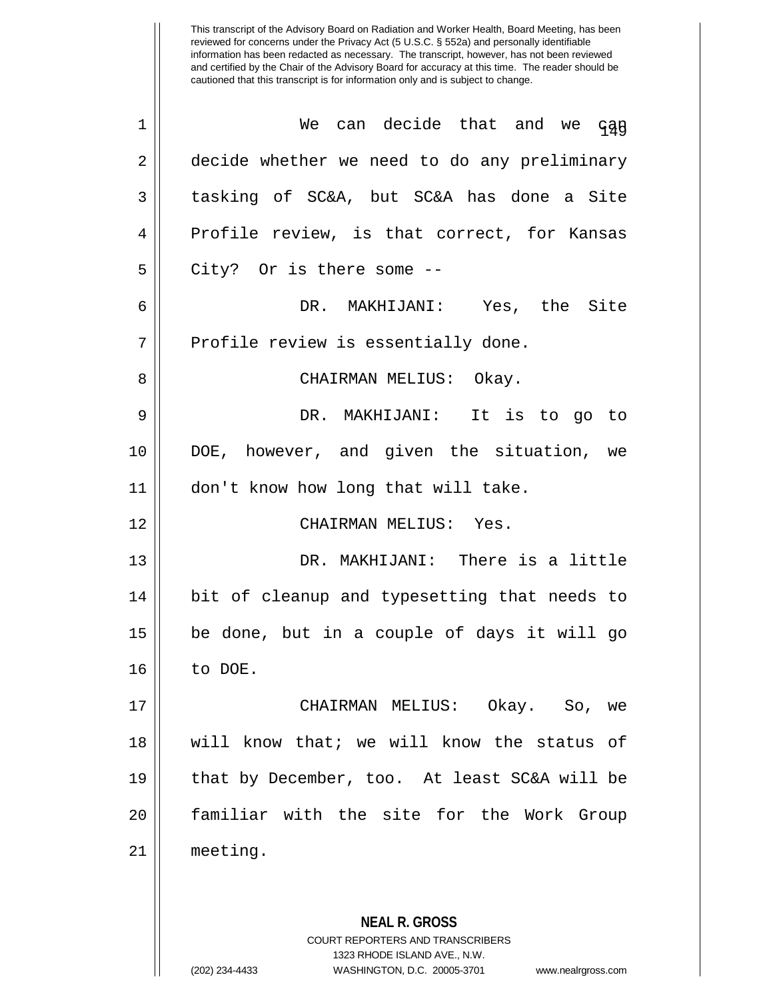This transcript of the Advisory Board on Radiation and Worker Health, Board Meeting, has been reviewed for concerns under the Privacy Act (5 U.S.C. § 552a) and personally identifiable information has been redacted as necessary. The transcript, however, has not been reviewed and certified by the Chair of the Advisory Board for accuracy at this time. The reader should be cautioned that this transcript is for information only and is subject to change.  $1 \parallel$  We can decide that and we  $q\bar{q}q$ 2 decide whether we need to do any preliminary 3 tasking of SC&A, but SC&A has done a Site 4 Profile review, is that correct, for Kansas  $5 \parallel$  City? Or is there some --6 DR. MAKHIJANI: Yes, the Site 7 || Profile review is essentially done. 8 CHAIRMAN MELIUS: Okay. 9 DR. MAKHIJANI: It is to go to 10 DOE, however, and given the situation, we 11 don't know how long that will take. 12 CHAIRMAN MELIUS: Yes. 13 DR. MAKHIJANI: There is a little 14 bit of cleanup and typesetting that needs to 15 be done, but in a couple of days it will go  $16 \parallel$  to DOE. 17 CHAIRMAN MELIUS: Okay. So, we 18 will know that; we will know the status of 19 that by December, too. At least SC&A will be 20 familiar with the site for the Work Group 21 meeting.

> **NEAL R. GROSS** COURT REPORTERS AND TRANSCRIBERS 1323 RHODE ISLAND AVE., N.W.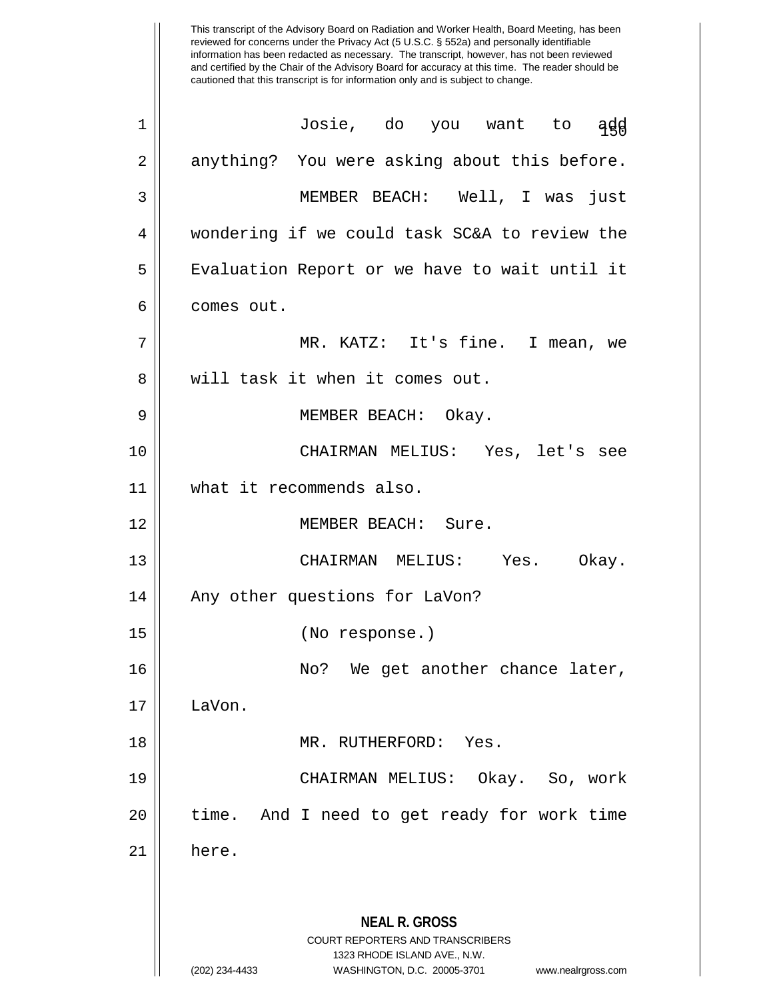This transcript of the Advisory Board on Radiation and Worker Health, Board Meeting, has been reviewed for concerns under the Privacy Act (5 U.S.C. § 552a) and personally identifiable information has been redacted as necessary. The transcript, however, has not been reviewed and certified by the Chair of the Advisory Board for accuracy at this time. The reader should be cautioned that this transcript is for information only and is subject to change. **NEAL R. GROSS** COURT REPORTERS AND TRANSCRIBERS 1323 RHODE ISLAND AVE., N.W. (202) 234-4433 WASHINGTON, D.C. 20005-3701 www.nealrgross.com 1 || Josie, do you want to add 2 || anything? You were asking about this before. 3 MEMBER BEACH: Well, I was just 4 wondering if we could task SC&A to review the 5 || Evaluation Report or we have to wait until it 6 | comes out. 7 MR. KATZ: It's fine. I mean, we 8 || will task it when it comes out. 9 MEMBER BEACH: Okay. 10 CHAIRMAN MELIUS: Yes, let's see 11 what it recommends also. 12 || MEMBER BEACH: Sure. 13 CHAIRMAN MELIUS: Yes. Okay. 14 || Any other questions for LaVon? 15 (No response.) 16 || No? We get another chance later, 17 LaVon. 18 MR. RUTHERFORD: Yes. 19 CHAIRMAN MELIUS: Okay. So, work 20 || time. And I need to get ready for work time 21 here.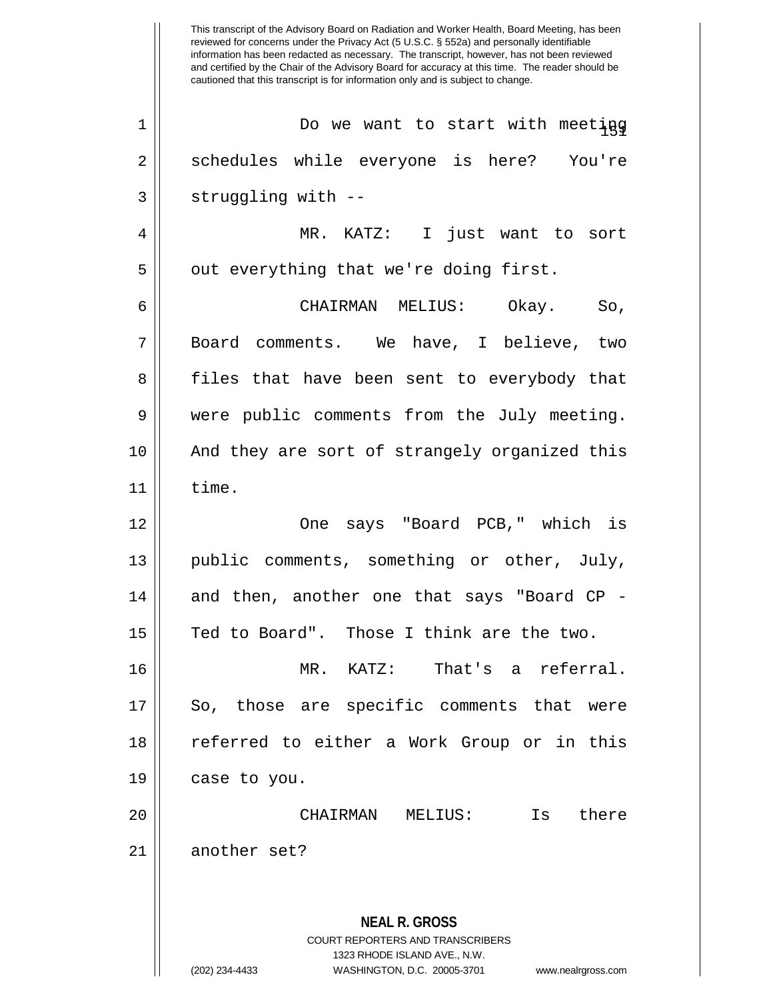This transcript of the Advisory Board on Radiation and Worker Health, Board Meeting, has been reviewed for concerns under the Privacy Act (5 U.S.C. § 552a) and personally identifiable information has been redacted as necessary. The transcript, however, has not been reviewed and certified by the Chair of the Advisory Board for accuracy at this time. The reader should be cautioned that this transcript is for information only and is subject to change. **NEAL R. GROSS** COURT REPORTERS AND TRANSCRIBERS 1323 RHODE ISLAND AVE., N.W. (202) 234-4433 WASHINGTON, D.C. 20005-3701 www.nealrgross.com 1 || Do we want to start with meeting 2 || schedules while everyone is here? You're  $3 \parallel$  struggling with  $-$ 4 MR. KATZ: I just want to sort  $5$  || out everything that we're doing first. 6 CHAIRMAN MELIUS: Okay. So, 7 Board comments. We have, I believe, two 8 || files that have been sent to everybody that 9 were public comments from the July meeting. 10 And they are sort of strangely organized this 11 time. 12 One says "Board PCB," which is 13 public comments, something or other, July, 14 || and then, another one that says "Board CP -15 || Ted to Board". Those I think are the two. 16 MR. KATZ: That's a referral.  $17 \parallel$  So, those are specific comments that were 18 || referred to either a Work Group or in this  $19 \parallel$  case to you. 20 CHAIRMAN MELIUS: Is there 21 | another set?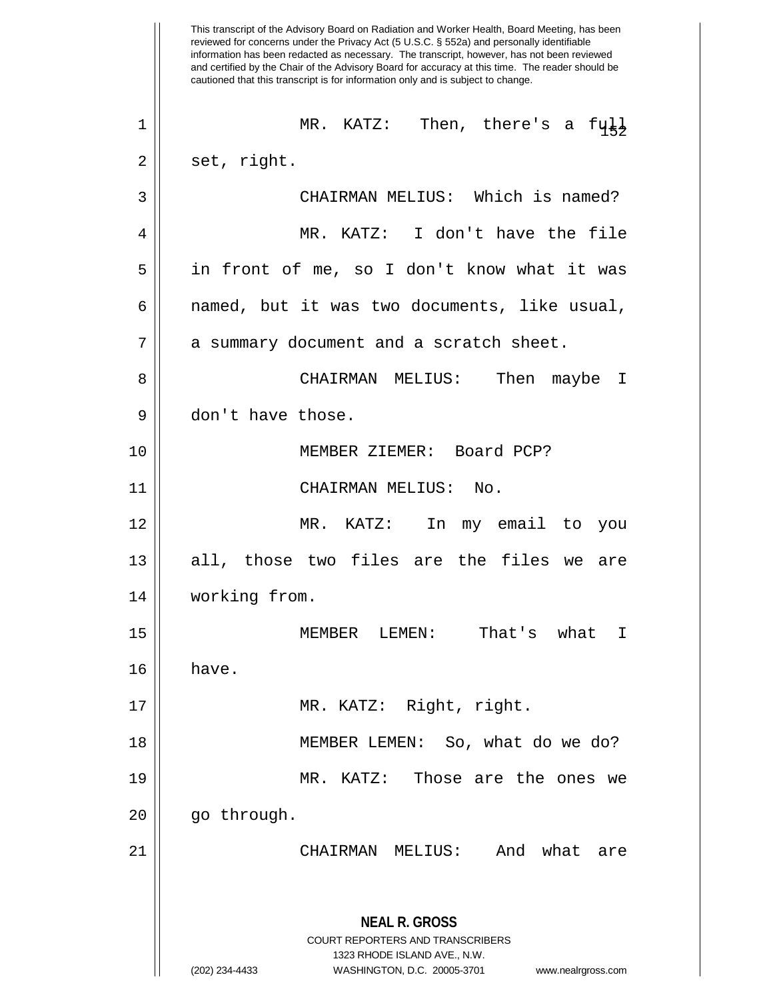This transcript of the Advisory Board on Radiation and Worker Health, Board Meeting, has been reviewed for concerns under the Privacy Act (5 U.S.C. § 552a) and personally identifiable information has been redacted as necessary. The transcript, however, has not been reviewed and certified by the Chair of the Advisory Board for accuracy at this time. The reader should be cautioned that this transcript is for information only and is subject to change. **NEAL R. GROSS** COURT REPORTERS AND TRANSCRIBERS 1323 RHODE ISLAND AVE., N.W. (202) 234-4433 WASHINGTON, D.C. 20005-3701 www.nealrgross.com 1 || MR. KATZ: Then, there's a full  $2 \parallel$  set, right. 3 CHAIRMAN MELIUS: Which is named? 4 MR. KATZ: I don't have the file 5 || in front of me, so I don't know what it was  $6 \parallel$  named, but it was two documents, like usual, 7 || a summary document and a scratch sheet. 8 CHAIRMAN MELIUS: Then maybe I 9 || don't have those. 10 MEMBER ZIEMER: Board PCP? 11 CHAIRMAN MELIUS: No. 12 MR. KATZ: In my email to you  $13$  || all, those two files are the files we are 14 working from. 15 MEMBER LEMEN: That's what I 16 have. 17 || MR. KATZ: Right, right. 18 MEMBER LEMEN: So, what do we do? 19 MR. KATZ: Those are the ones we 20 | go through. 21 CHAIRMAN MELIUS: And what are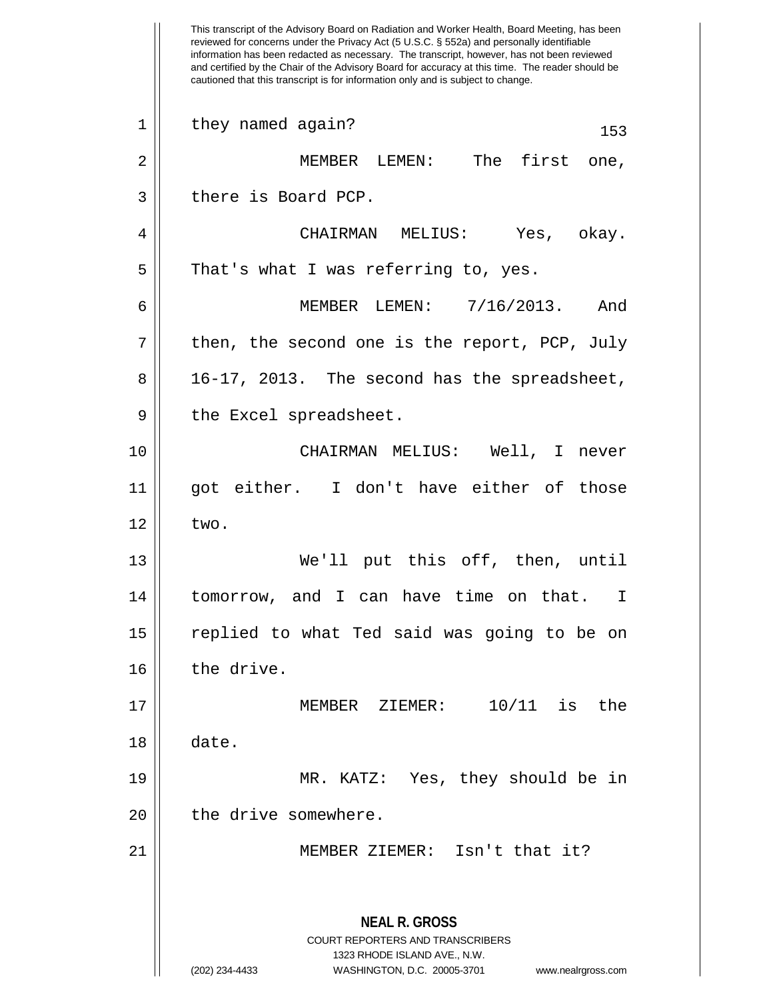This transcript of the Advisory Board on Radiation and Worker Health, Board Meeting, has been reviewed for concerns under the Privacy Act (5 U.S.C. § 552a) and personally identifiable information has been redacted as necessary. The transcript, however, has not been reviewed and certified by the Chair of the Advisory Board for accuracy at this time. The reader should be cautioned that this transcript is for information only and is subject to change. **NEAL R. GROSS** COURT REPORTERS AND TRANSCRIBERS 1323 RHODE ISLAND AVE., N.W. (202) 234-4433 WASHINGTON, D.C. 20005-3701 www.nealrgross.com  $1 \parallel$  they named again? 153 2 | MEMBER LEMEN: The first one, 3 || there is Board PCP. 4 CHAIRMAN MELIUS: Yes, okay.  $5$  | That's what I was referring to, yes. 6 MEMBER LEMEN: 7/16/2013. And  $7 ||$  then, the second one is the report, PCP, July  $8 \parallel$  16-17, 2013. The second has the spreadsheet, 9 | the Excel spreadsheet. 10 CHAIRMAN MELIUS: Well, I never 11 got either. I don't have either of those  $12 \parallel$  two. 13 We'll put this off, then, until 14 tomorrow, and I can have time on that. I 15 replied to what Ted said was going to be on 16 || the drive. 17 MEMBER ZIEMER: 10/11 is the 18 date. 19 MR. KATZ: Yes, they should be in 20 | the drive somewhere. 21 MEMBER ZIEMER: Isn't that it?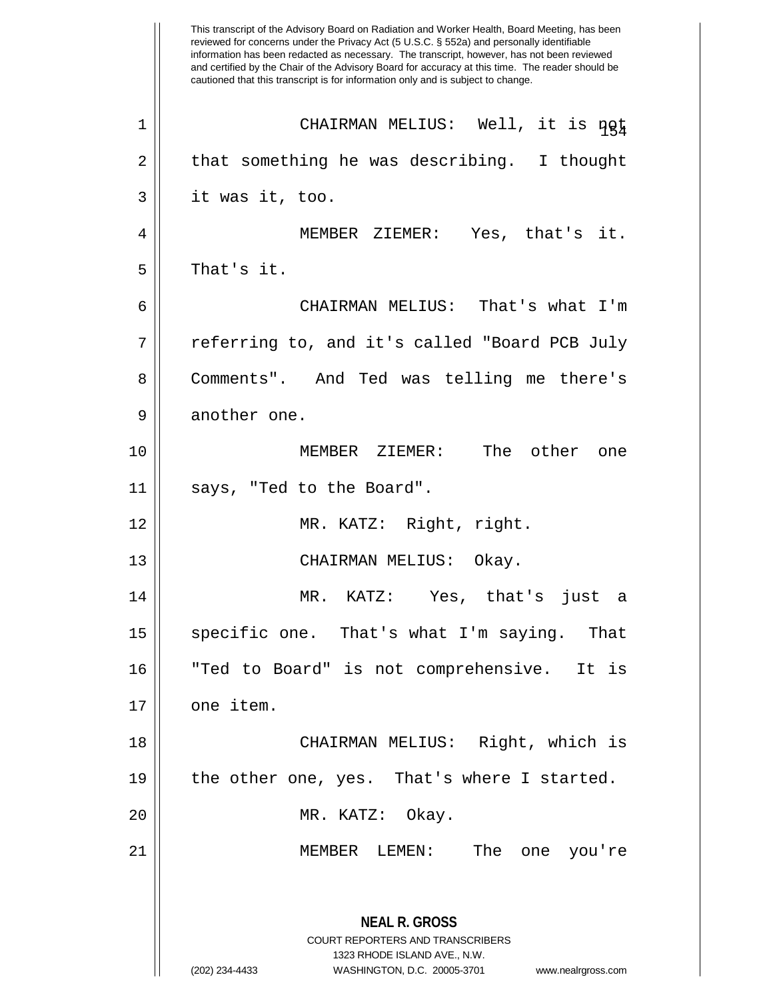This transcript of the Advisory Board on Radiation and Worker Health, Board Meeting, has been reviewed for concerns under the Privacy Act (5 U.S.C. § 552a) and personally identifiable information has been redacted as necessary. The transcript, however, has not been reviewed and certified by the Chair of the Advisory Board for accuracy at this time. The reader should be cautioned that this transcript is for information only and is subject to change. **NEAL R. GROSS** COURT REPORTERS AND TRANSCRIBERS 1323 RHODE ISLAND AVE., N.W. (202) 234-4433 WASHINGTON, D.C. 20005-3701 www.nealrgross.com <sup>154</sup> <sup>1</sup> CHAIRMAN MELIUS: Well, it is not  $2 \parallel$  that something he was describing. I thought  $3 \parallel$  it was it, too. 4 || MEMBER ZIEMER: Yes, that's it.  $5 \parallel$  That's it. 6 CHAIRMAN MELIUS: That's what I'm 7 || referring to, and it's called "Board PCB July 8 Comments". And Ted was telling me there's 9 | another one. 10 MEMBER ZIEMER: The other one 11 || says, "Ted to the Board". 12 MR. KATZ: Right, right. 13 CHAIRMAN MELIUS: Okay. 14 MR. KATZ: Yes, that's just a 15 || specific one. That's what I'm saying. That 16 "Ted to Board" is not comprehensive. It is 17 one item. 18 CHAIRMAN MELIUS: Right, which is 19 || the other one, yes. That's where I started. 20 MR. KATZ: Okay. 21 MEMBER LEMEN: The one you're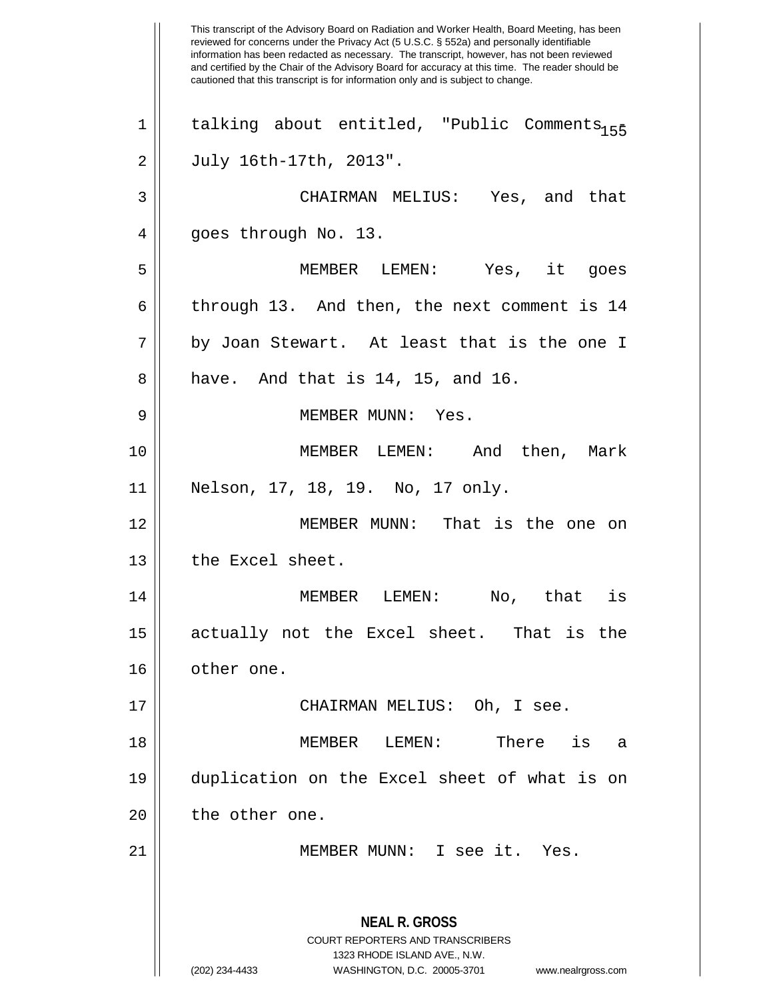This transcript of the Advisory Board on Radiation and Worker Health, Board Meeting, has been reviewed for concerns under the Privacy Act (5 U.S.C. § 552a) and personally identifiable information has been redacted as necessary. The transcript, however, has not been reviewed and certified by the Chair of the Advisory Board for accuracy at this time. The reader should be cautioned that this transcript is for information only and is subject to change. **NEAL R. GROSS** COURT REPORTERS AND TRANSCRIBERS 1323 RHODE ISLAND AVE., N.W. (202) 234-4433 WASHINGTON, D.C. 20005-3701 www.nealrgross.com 1 || talking about entitled, "Public Comments<sub>155</sub> 2 July 16th-17th, 2013". 3 CHAIRMAN MELIUS: Yes, and that 4 | goes through No. 13. 5 MEMBER LEMEN: Yes, it goes  $6 \parallel$  through 13. And then, the next comment is 14 7 || by Joan Stewart. At least that is the one I  $8 \parallel$  have. And that is 14, 15, and 16. 9 MEMBER MUNN: Yes. 10 MEMBER LEMEN: And then, Mark 11 Nelson, 17, 18, 19. No, 17 only. 12 MEMBER MUNN: That is the one on  $13$  | the Excel sheet. 14 MEMBER LEMEN: No, that is 15 actually not the Excel sheet. That is the 16 || other one. 17 CHAIRMAN MELIUS: Oh, I see. 18 MEMBER LEMEN: There is a 19 duplication on the Excel sheet of what is on 20 || the other one. 21 MEMBER MUNN: I see it. Yes.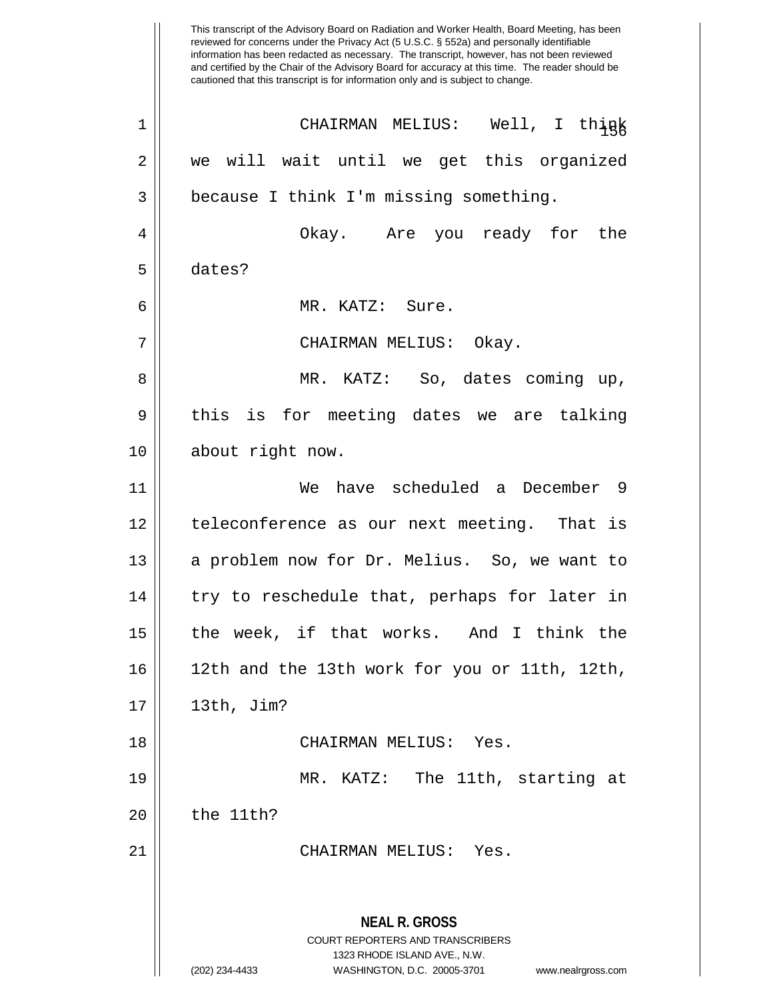This transcript of the Advisory Board on Radiation and Worker Health, Board Meeting, has been reviewed for concerns under the Privacy Act (5 U.S.C. § 552a) and personally identifiable information has been redacted as necessary. The transcript, however, has not been reviewed and certified by the Chair of the Advisory Board for accuracy at this time. The reader should be cautioned that this transcript is for information only and is subject to change. **NEAL R. GROSS** COURT REPORTERS AND TRANSCRIBERS 1323 RHODE ISLAND AVE., N.W. (202) 234-4433 WASHINGTON, D.C. 20005-3701 www.nealrgross.com <sup>156</sup> <sup>1</sup> CHAIRMAN MELIUS: Well, I think 2 we will wait until we get this organized 3 | because I think I'm missing something. 4 Okay. Are you ready for the 5 dates? 6 || MR. KATZ: Sure. 7 CHAIRMAN MELIUS: Okay. 8 MR. KATZ: So, dates coming up,  $9 \parallel$  this is for meeting dates we are talking 10 about right now. 11 We have scheduled a December 9 12 || teleconference as our next meeting. That is 13 || a problem now for Dr. Melius. So, we want to 14 || try to reschedule that, perhaps for later in 15 the week, if that works. And I think the 16 12th and the 13th work for you or 11th, 12th, 17 | 13th, Jim? 18 CHAIRMAN MELIUS: Yes. 19 MR. KATZ: The 11th, starting at  $20$  || the 11th? 21 CHAIRMAN MELIUS: Yes.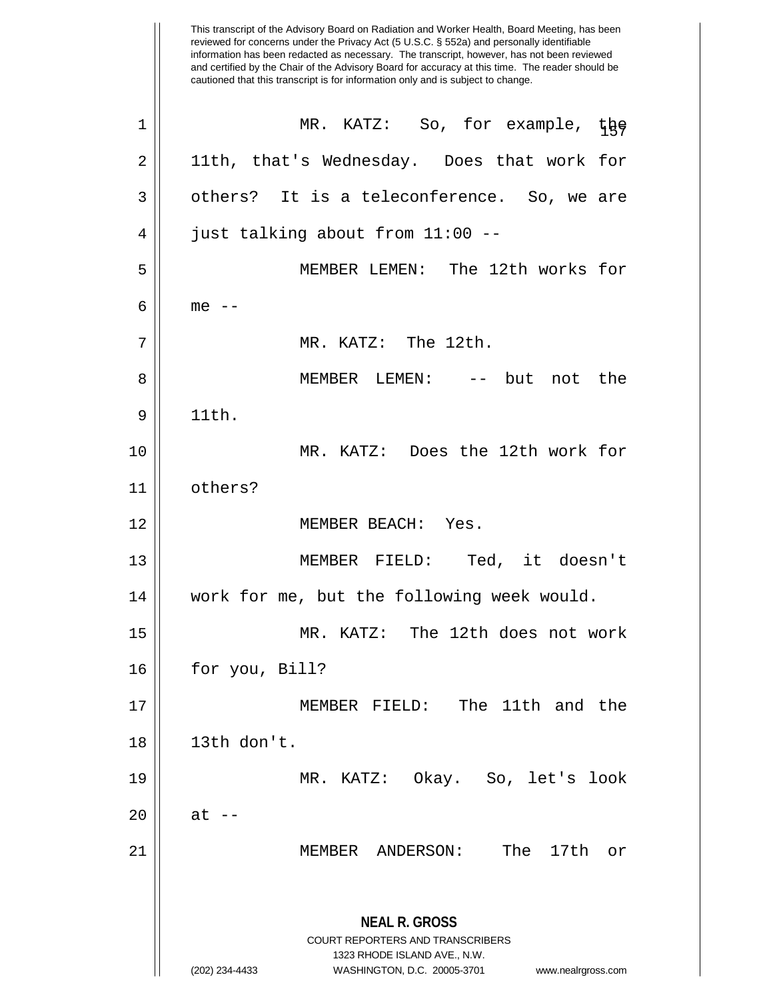This transcript of the Advisory Board on Radiation and Worker Health, Board Meeting, has been reviewed for concerns under the Privacy Act (5 U.S.C. § 552a) and personally identifiable information has been redacted as necessary. The transcript, however, has not been reviewed and certified by the Chair of the Advisory Board for accuracy at this time. The reader should be cautioned that this transcript is for information only and is subject to change. **NEAL R. GROSS** COURT REPORTERS AND TRANSCRIBERS 1323 RHODE ISLAND AVE., N.W. (202) 234-4433 WASHINGTON, D.C. 20005-3701 www.nealrgross.com <sup>157</sup> <sup>1</sup> MR. KATZ: So, for example, the 2 || 11th, that's Wednesday. Does that work for 3 || others? It is a teleconference. So, we are  $4 \parallel$  just talking about from 11:00 --5 MEMBER LEMEN: The 12th works for 6 | me  $-$ 7 MR. KATZ: The 12th. 8 MEMBER LEMEN: -- but not the  $9 \parallel 11$ th. 10 MR. KATZ: Does the 12th work for 11 others? 12 MEMBER BEACH: Yes. 13 MEMBER FIELD: Ted, it doesn't 14 || work for me, but the following week would. 15 MR. KATZ: The 12th does not work 16 || for you, Bill? 17 MEMBER FIELD: The 11th and the 18 13th don't. 19 MR. KATZ: Okay. So, let's look  $20 \parallel$  at  $-$ 21 MEMBER ANDERSON: The 17th or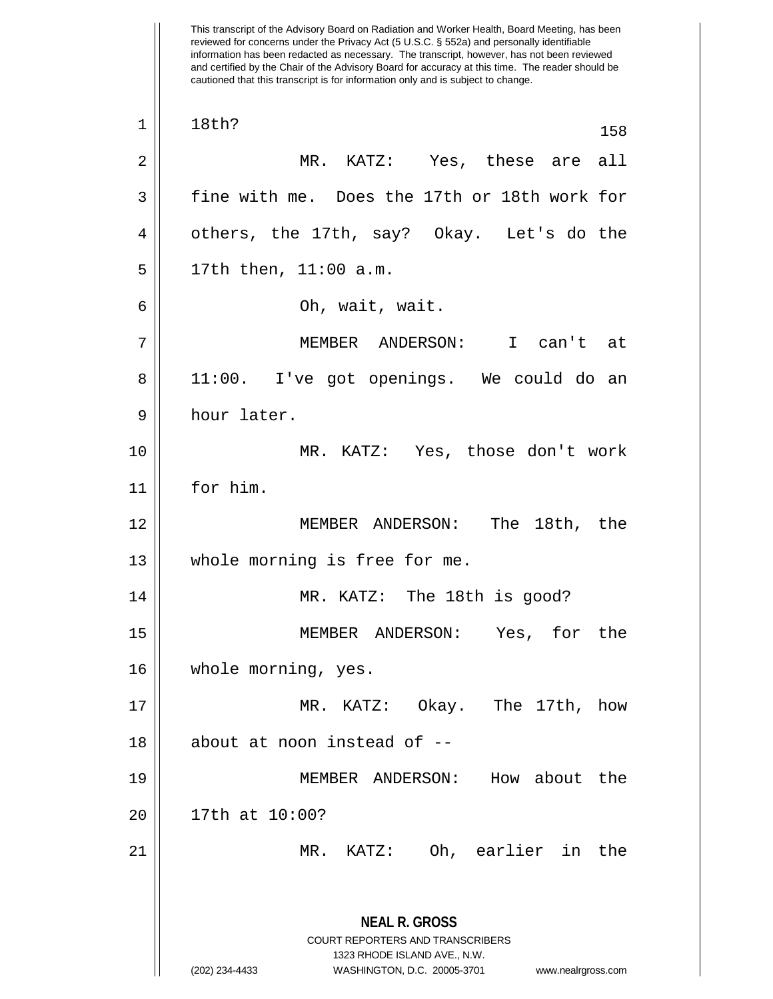This transcript of the Advisory Board on Radiation and Worker Health, Board Meeting, has been reviewed for concerns under the Privacy Act (5 U.S.C. § 552a) and personally identifiable information has been redacted as necessary. The transcript, however, has not been reviewed and certified by the Chair of the Advisory Board for accuracy at this time. The reader should be cautioned that this transcript is for information only and is subject to change. **NEAL R. GROSS** COURT REPORTERS AND TRANSCRIBERS 1323 RHODE ISLAND AVE., N.W. (202) 234-4433 WASHINGTON, D.C. 20005-3701 www.nealrgross.com  $\frac{1}{1}$  18th? 158 2 MR. KATZ: Yes, these are all 3 | fine with me. Does the 17th or 18th work for 4 || others, the 17th, say? Okay. Let's do the  $5 \parallel 17$ th then, 11:00 a.m. 6 Oh, wait, wait. 7 MEMBER ANDERSON: I can't at 8 || 11:00. I've got openings. We could do an 9 | hour later. 10 MR. KATZ: Yes, those don't work 11 for him. 12 MEMBER ANDERSON: The 18th, the 13 || whole morning is free for me. 14 || MR. KATZ: The 18th is good? 15 MEMBER ANDERSON: Yes, for the 16 whole morning, yes. 17 MR. KATZ: Okay. The 17th, how 18 about at noon instead of -- 19 MEMBER ANDERSON: How about the 20 17th at 10:00? 21 MR. KATZ: Oh, earlier in the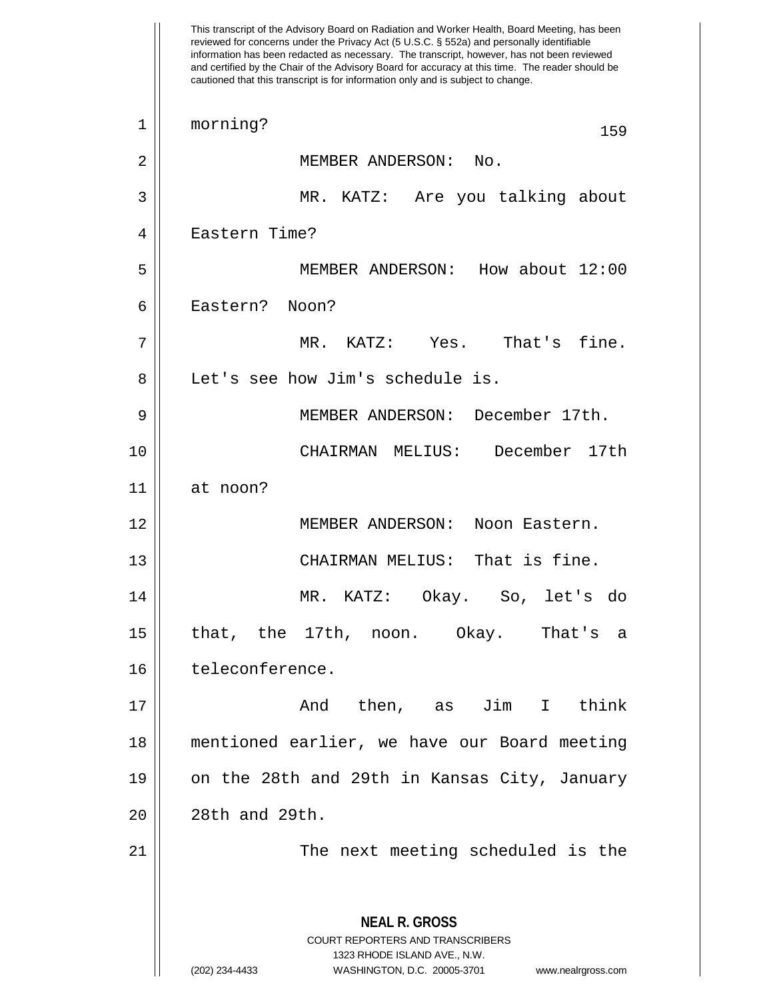This transcript of the Advisory Board on Radiation and Worker Health, Board Meeting, has been reviewed for concerns under the Privacy Act (5 U.S.C. § 552a) and personally identifiable information has been redacted as necessary. The transcript, however, has not been reviewed and certified by the Chair of the Advisory Board for accuracy at this time. The reader should be cautioned that this transcript is for information only and is subject to change. **NEAL R. GROSS** COURT REPORTERS AND TRANSCRIBERS 1323 RHODE ISLAND AVE., N.W. (202) 234-4433 WASHINGTON, D.C. 20005-3701 www.nealrgross.com <sup>159</sup> <sup>1</sup> morning? 2 MEMBER ANDERSON: No. 3 MR. KATZ: Are you talking about 4 | Eastern Time? 5 MEMBER ANDERSON: How about 12:00 6 Eastern? Noon? 7 MR. KATZ: Yes. That's fine. 8 || Let's see how Jim's schedule is. 9 MEMBER ANDERSON: December 17th. 10 CHAIRMAN MELIUS: December 17th 11 at noon? 12 MEMBER ANDERSON: Noon Eastern. 13 || CHAIRMAN MELIUS: That is fine. 14 MR. KATZ: Okay. So, let's do 15 that, the 17th, noon. Okay. That's a 16 | teleconference. 17 And then, as Jim I think 18 mentioned earlier, we have our Board meeting 19 on the 28th and 29th in Kansas City, January 20 28th and 29th. 21 The next meeting scheduled is the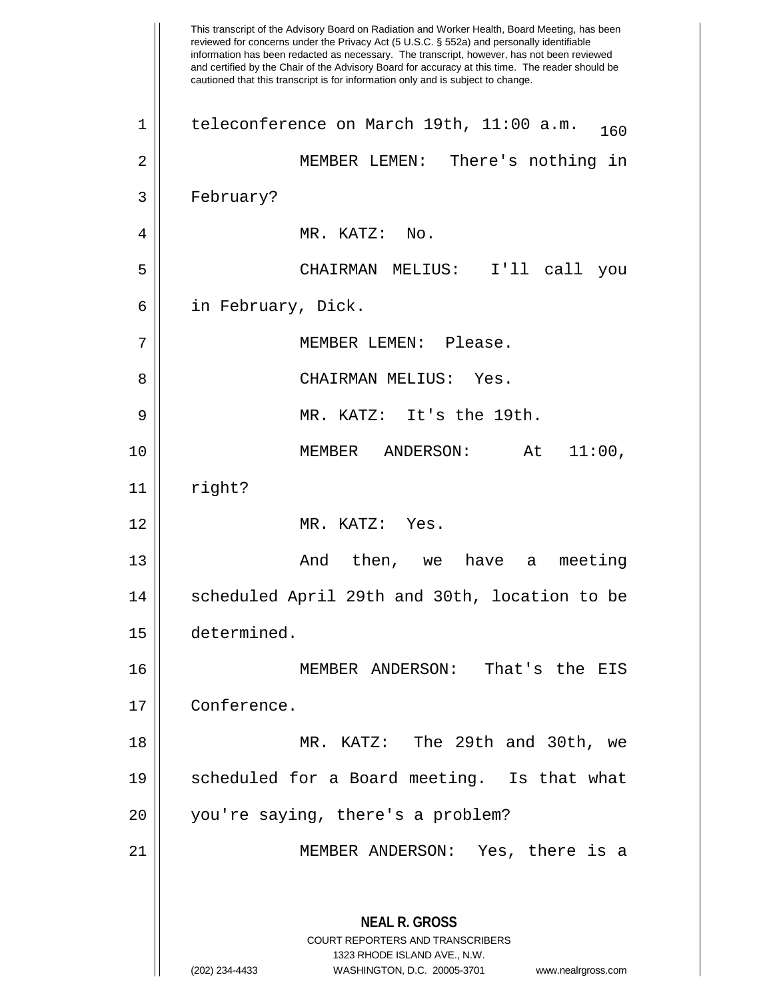This transcript of the Advisory Board on Radiation and Worker Health, Board Meeting, has been reviewed for concerns under the Privacy Act (5 U.S.C. § 552a) and personally identifiable information has been redacted as necessary. The transcript, however, has not been reviewed and certified by the Chair of the Advisory Board for accuracy at this time. The reader should be cautioned that this transcript is for information only and is subject to change. **NEAL R. GROSS** COURT REPORTERS AND TRANSCRIBERS 1323 RHODE ISLAND AVE., N.W. (202) 234-4433 WASHINGTON, D.C. 20005-3701 www.nealrgross.com 1 | teleconference on March 19th, 11:00 a.m.  $_{160}$ 2 MEMBER LEMEN: There's nothing in 3 | February? 4 MR. KATZ: No. 5 CHAIRMAN MELIUS: I'll call you 6 || in February, Dick. 7 MEMBER LEMEN: Please. 8 CHAIRMAN MELIUS: Yes. 9 MR. KATZ: It's the 19th. 10 MEMBER ANDERSON: At 11:00,  $11$  right? 12 MR. KATZ: Yes. 13 || The Rind then, we have a meeting 14 | scheduled April 29th and 30th, location to be 15 determined. 16 MEMBER ANDERSON: That's the EIS 17 | Conference. 18 MR. KATZ: The 29th and 30th, we 19 || scheduled for a Board meeting. Is that what 20 you're saying, there's a problem? 21 MEMBER ANDERSON: Yes, there is a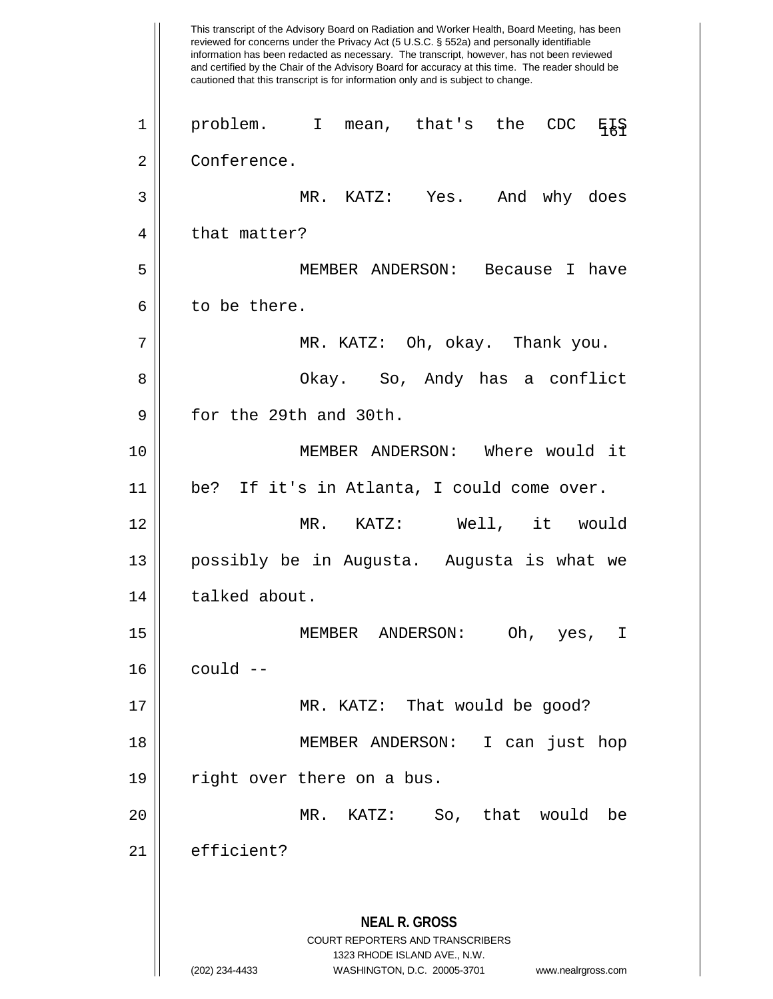This transcript of the Advisory Board on Radiation and Worker Health, Board Meeting, has been reviewed for concerns under the Privacy Act (5 U.S.C. § 552a) and personally identifiable information has been redacted as necessary. The transcript, however, has not been reviewed and certified by the Chair of the Advisory Board for accuracy at this time. The reader should be cautioned that this transcript is for information only and is subject to change. **NEAL R. GROSS** COURT REPORTERS AND TRANSCRIBERS 1323 RHODE ISLAND AVE., N.W. (202) 234-4433 WASHINGTON, D.C. 20005-3701 www.nealrgross.com  $\begin{array}{ccccccc} 1 & \text{normal} & \text{normal} & \text{mean} & \text{that's} & \text{the} & \text{CDC} & \frac{175}{161} \end{array}$ 2 | Conference. 3 MR. KATZ: Yes. And why does 4 l that matter? 5 MEMBER ANDERSON: Because I have 6 l to be there. 7 MR. KATZ: Oh, okay. Thank you. 8 Okay. So, Andy has a conflict 9 | for the 29th and 30th. 10 MEMBER ANDERSON: Where would it 11 be? If it's in Atlanta, I could come over. 12 MR. KATZ: Well, it would 13 possibly be in Augusta. Augusta is what we 14 || talked about. 15 MEMBER ANDERSON: Oh, yes, I  $16 \parallel$  could  $-$ 17 MR. KATZ: That would be good? 18 MEMBER ANDERSON: I can just hop 19 right over there on a bus. 20 MR. KATZ: So, that would be 21 | efficient?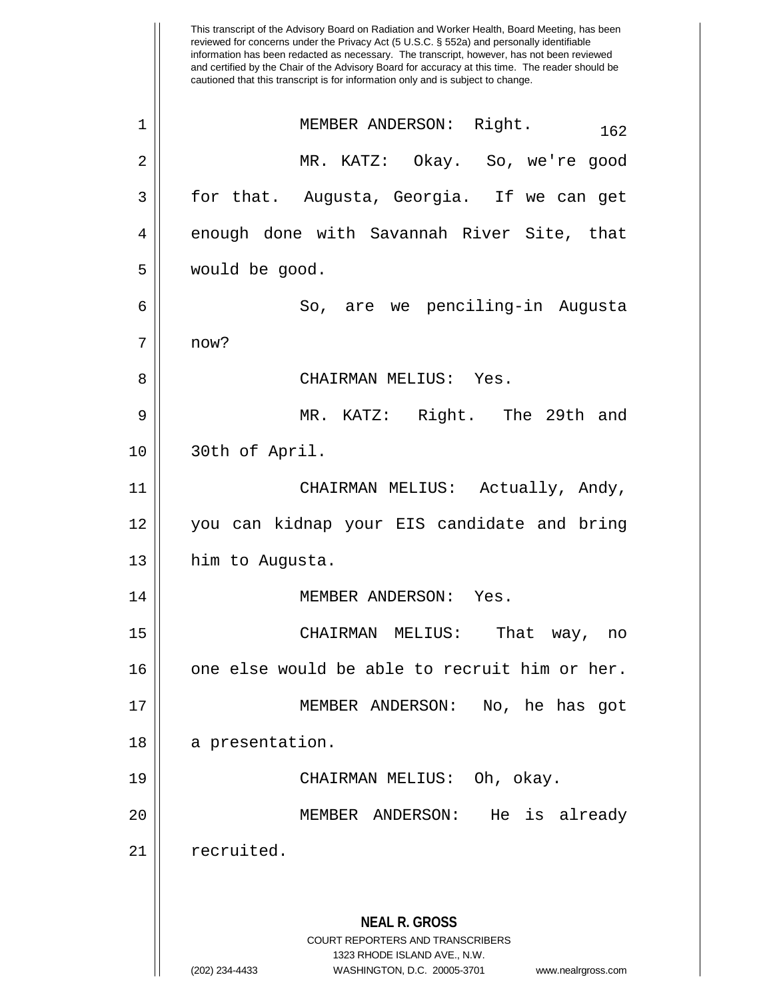This transcript of the Advisory Board on Radiation and Worker Health, Board Meeting, has been reviewed for concerns under the Privacy Act (5 U.S.C. § 552a) and personally identifiable information has been redacted as necessary. The transcript, however, has not been reviewed and certified by the Chair of the Advisory Board for accuracy at this time. The reader should be cautioned that this transcript is for information only and is subject to change. **NEAL R. GROSS** COURT REPORTERS AND TRANSCRIBERS 1323 RHODE ISLAND AVE., N.W. (202) 234-4433 WASHINGTON, D.C. 20005-3701 www.nealrgross.com 1 || MEMBER ANDERSON: Right. 162 2 MR. KATZ: Okay. So, we're good 3 for that. Augusta, Georgia. If we can get 4 enough done with Savannah River Site, that 5 would be good. 6 So, are we penciling-in Augusta 7 now? 8 CHAIRMAN MELIUS: Yes. 9 MR. KATZ: Right. The 29th and 10 30th of April. 11 CHAIRMAN MELIUS: Actually, Andy, 12 you can kidnap your EIS candidate and bring 13 || him to Augusta. 14 MEMBER ANDERSON: Yes. 15 CHAIRMAN MELIUS: That way, no 16 || one else would be able to recruit him or her. 17 MEMBER ANDERSON: No, he has got 18 | a presentation. 19 CHAIRMAN MELIUS: Oh, okay. 20 MEMBER ANDERSON: He is already 21 || recruited.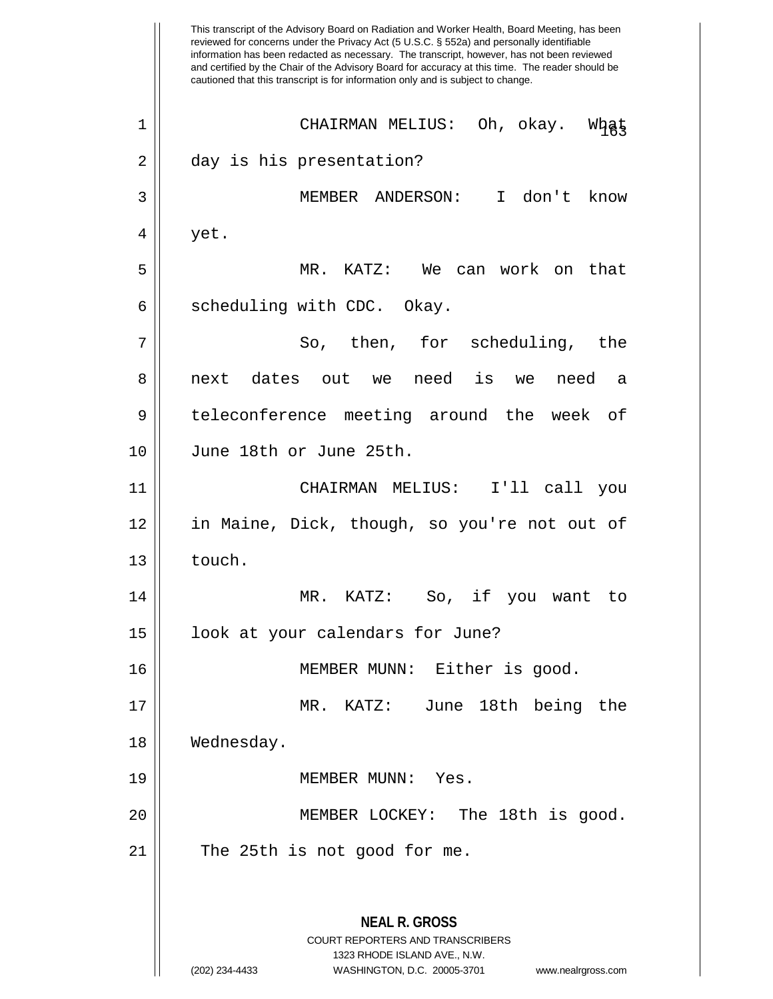This transcript of the Advisory Board on Radiation and Worker Health, Board Meeting, has been reviewed for concerns under the Privacy Act (5 U.S.C. § 552a) and personally identifiable information has been redacted as necessary. The transcript, however, has not been reviewed and certified by the Chair of the Advisory Board for accuracy at this time. The reader should be cautioned that this transcript is for information only and is subject to change. **NEAL R. GROSS** COURT REPORTERS AND TRANSCRIBERS 1323 RHODE ISLAND AVE., N.W. (202) 234-4433 WASHINGTON, D.C. 20005-3701 www.nealrgross.com <sup>163</sup> <sup>1</sup> CHAIRMAN MELIUS: Oh, okay. What 2 || day is his presentation? 3 MEMBER ANDERSON: I don't know  $4 \parallel$  yet. 5 MR. KATZ: We can work on that  $6 \parallel$  scheduling with CDC. Okay. 7 So, then, for scheduling, the 8|| next dates out we need is we need a 9 || teleconference meeting around the week of 10 June 18th or June 25th. 11 CHAIRMAN MELIUS: I'll call you 12 in Maine, Dick, though, so you're not out of 13 | touch. 14 MR. KATZ: So, if you want to 15 || look at your calendars for June? 16 MEMBER MUNN: Either is good. 17 MR. KATZ: June 18th being the 18 Wednesday. 19 MEMBER MUNN: Yes. 20 MEMBER LOCKEY: The 18th is good.  $21$  | The 25th is not good for me.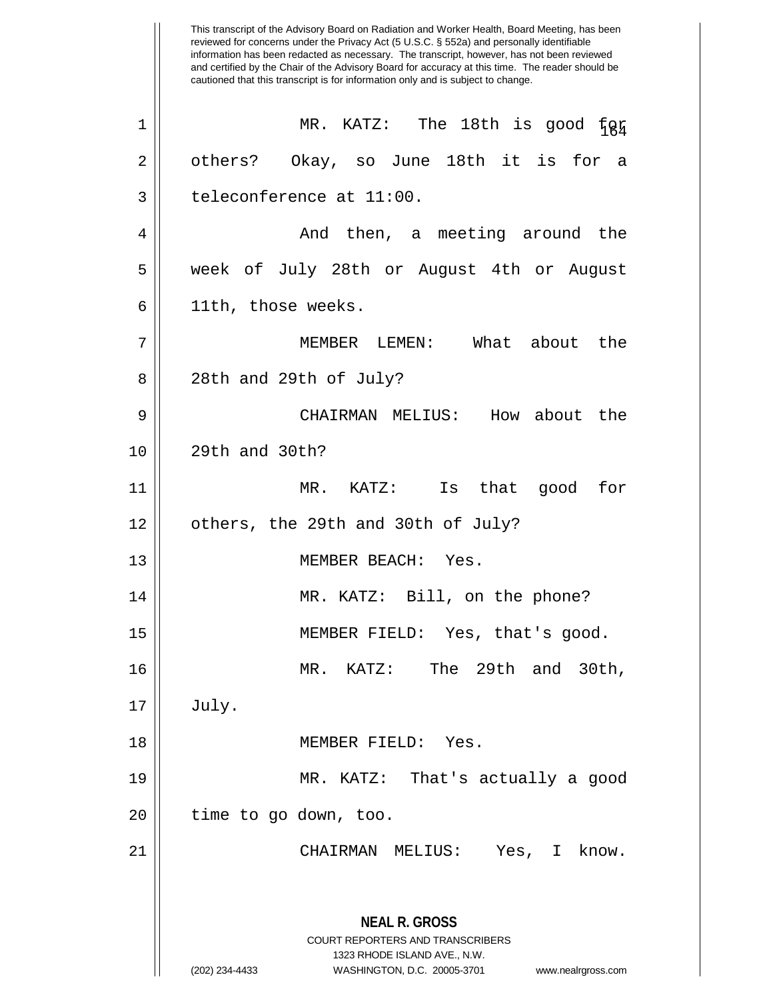This transcript of the Advisory Board on Radiation and Worker Health, Board Meeting, has been reviewed for concerns under the Privacy Act (5 U.S.C. § 552a) and personally identifiable information has been redacted as necessary. The transcript, however, has not been reviewed and certified by the Chair of the Advisory Board for accuracy at this time. The reader should be cautioned that this transcript is for information only and is subject to change. **NEAL R. GROSS** COURT REPORTERS AND TRANSCRIBERS 1323 RHODE ISLAND AVE., N.W. (202) 234-4433 WASHINGTON, D.C. 20005-3701 www.nealrgross.com 1 || MR. KATZ: The 18th is good for 2 || others? Okay, so June 18th it is for a  $3$  || teleconference at 11:00. 4 And then, a meeting around the 5 | week of July 28th or August 4th or August 6 || 11th, those weeks. 7 MEMBER LEMEN: What about the 8 || 28th and 29th of July? 9 CHAIRMAN MELIUS: How about the 10 29th and 30th? 11 MR. KATZ: Is that good for 12 others, the 29th and 30th of July? 13 || MEMBER BEACH: Yes. 14 || MR. KATZ: Bill, on the phone? 15 MEMBER FIELD: Yes, that's good. 16 MR. KATZ: The 29th and 30th,  $17$  | July. 18 MEMBER FIELD: Yes. 19 MR. KATZ: That's actually a good 20 || time to go down, too. 21 CHAIRMAN MELIUS: Yes, I know.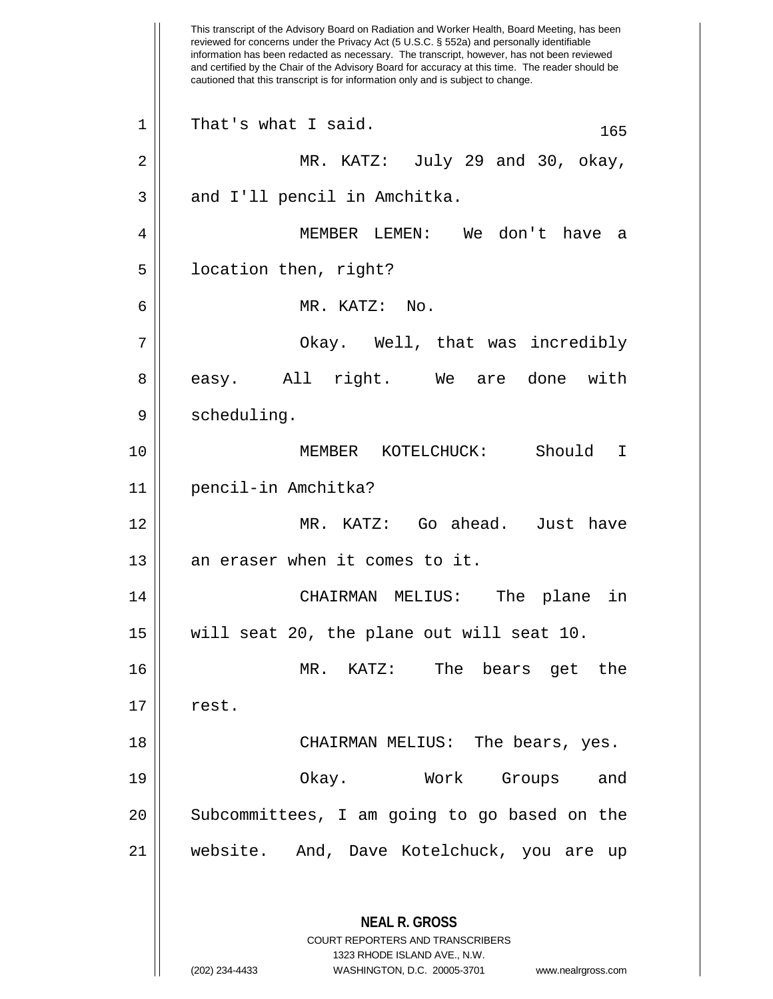This transcript of the Advisory Board on Radiation and Worker Health, Board Meeting, has been reviewed for concerns under the Privacy Act (5 U.S.C. § 552a) and personally identifiable information has been redacted as necessary. The transcript, however, has not been reviewed and certified by the Chair of the Advisory Board for accuracy at this time. The reader should be cautioned that this transcript is for information only and is subject to change. **NEAL R. GROSS** COURT REPORTERS AND TRANSCRIBERS 1323 RHODE ISLAND AVE., N.W. (202) 234-4433 WASHINGTON, D.C. 20005-3701 www.nealrgross.com  $1 \parallel$  That's what I said.  $165$ 2 MR. KATZ: July 29 and 30, okay, 3 || and I'll pencil in Amchitka. 4 MEMBER LEMEN: We don't have a 5 | location then, right? 6 MR. KATZ: No. 7 Okay. Well, that was incredibly 8 easy. All right. We are done with  $9 \parallel$  scheduling. 10 MEMBER KOTELCHUCK: Should I 11 pencil-in Amchitka? 12 MR. KATZ: Go ahead. Just have  $13$  || an eraser when it comes to it. 14 CHAIRMAN MELIUS: The plane in 15 will seat 20, the plane out will seat 10. 16 MR. KATZ: The bears get the  $17 \parallel$  rest. 18 CHAIRMAN MELIUS: The bears, yes. 19 Okay. Work Groups and 20 || Subcommittees, I am going to go based on the 21 website. And, Dave Kotelchuck, you are up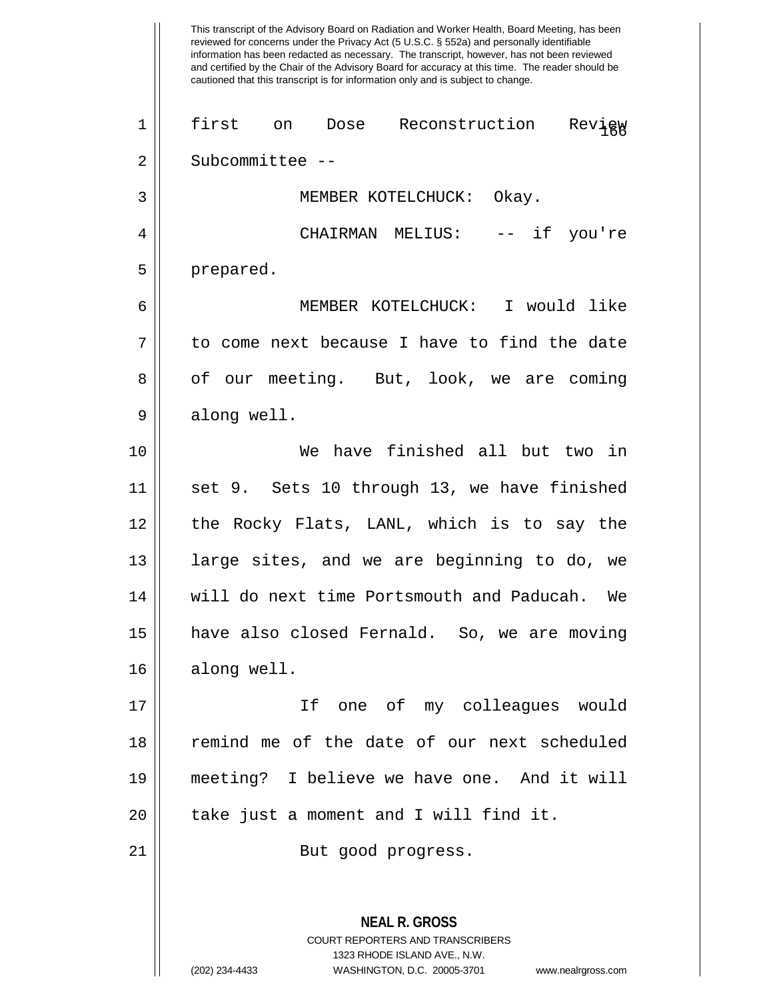This transcript of the Advisory Board on Radiation and Worker Health, Board Meeting, has been reviewed for concerns under the Privacy Act (5 U.S.C. § 552a) and personally identifiable information has been redacted as necessary. The transcript, however, has not been reviewed and certified by the Chair of the Advisory Board for accuracy at this time. The reader should be cautioned that this transcript is for information only and is subject to change. **NEAL R. GROSS** COURT REPORTERS AND TRANSCRIBERS 1323 RHODE ISLAND AVE., N.W. 1 || first on Dose Reconstruction Review 2 || Subcommittee --3 MEMBER KOTELCHUCK: Okay. 4 CHAIRMAN MELIUS: -- if you're 5 | prepared. 6 MEMBER KOTELCHUCK: I would like  $7 \parallel$  to come next because I have to find the date 8 || of our meeting. But, look, we are coming  $9 \parallel$  along well. 10 We have finished all but two in 11 set 9. Sets 10 through 13, we have finished 12 the Rocky Flats, LANL, which is to say the 13 || large sites, and we are beginning to do, we 14 will do next time Portsmouth and Paducah. We 15 have also closed Fernald. So, we are moving 16 along well. 17 If one of my colleagues would 18 remind me of the date of our next scheduled 19 meeting? I believe we have one. And it will 20 || take just a moment and I will find it. 21 || But good progress.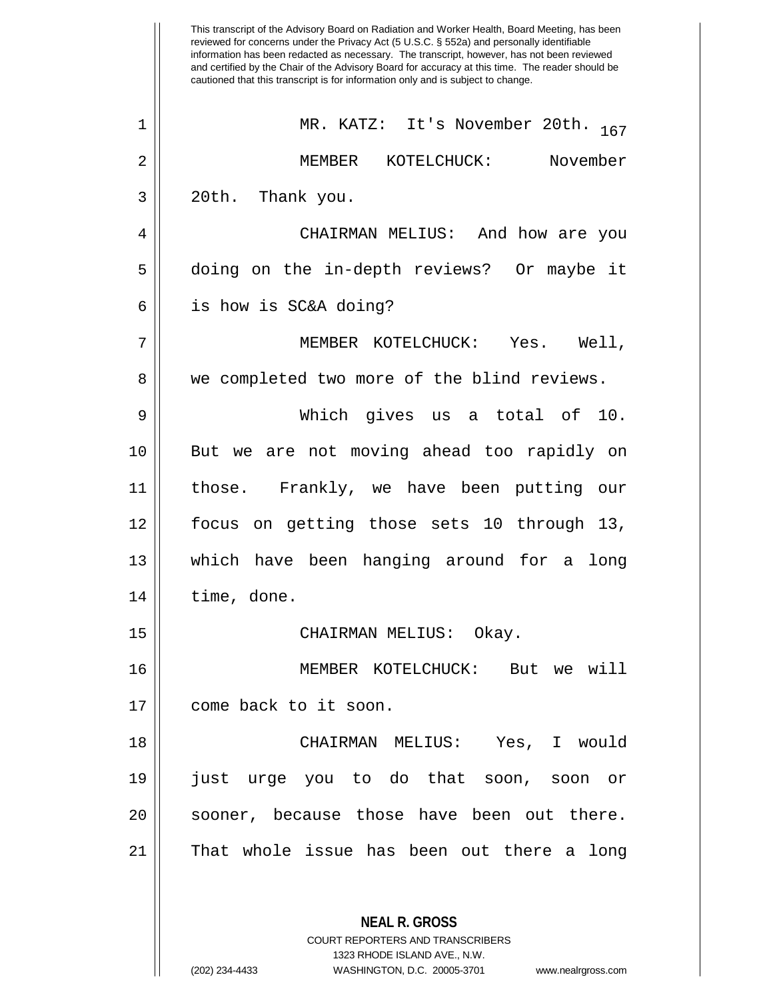This transcript of the Advisory Board on Radiation and Worker Health, Board Meeting, has been reviewed for concerns under the Privacy Act (5 U.S.C. § 552a) and personally identifiable information has been redacted as necessary. The transcript, however, has not been reviewed and certified by the Chair of the Advisory Board for accuracy at this time. The reader should be cautioned that this transcript is for information only and is subject to change. **NEAL R. GROSS** COURT REPORTERS AND TRANSCRIBERS 1323 RHODE ISLAND AVE., N.W. <sup>167</sup> <sup>1</sup> MR. KATZ: It's November 20th. 2 MEMBER KOTELCHUCK: November  $3 \parallel 20$ th. Thank you. 4 CHAIRMAN MELIUS: And how are you 5 | doing on the in-depth reviews? Or maybe it 6 is how is SC&A doing? 7 MEMBER KOTELCHUCK: Yes. Well, 8 || we completed two more of the blind reviews. 9 Which gives us a total of 10. 10 But we are not moving ahead too rapidly on 11 those. Frankly, we have been putting our 12 focus on getting those sets 10 through 13, 13 which have been hanging around for a long  $14$  | time, done. 15 CHAIRMAN MELIUS: Okay. 16 MEMBER KOTELCHUCK: But we will 17 | come back to it soon. 18 CHAIRMAN MELIUS: Yes, I would 19 just urge you to do that soon, soon or 20 || sooner, because those have been out there. 21 That whole issue has been out there a long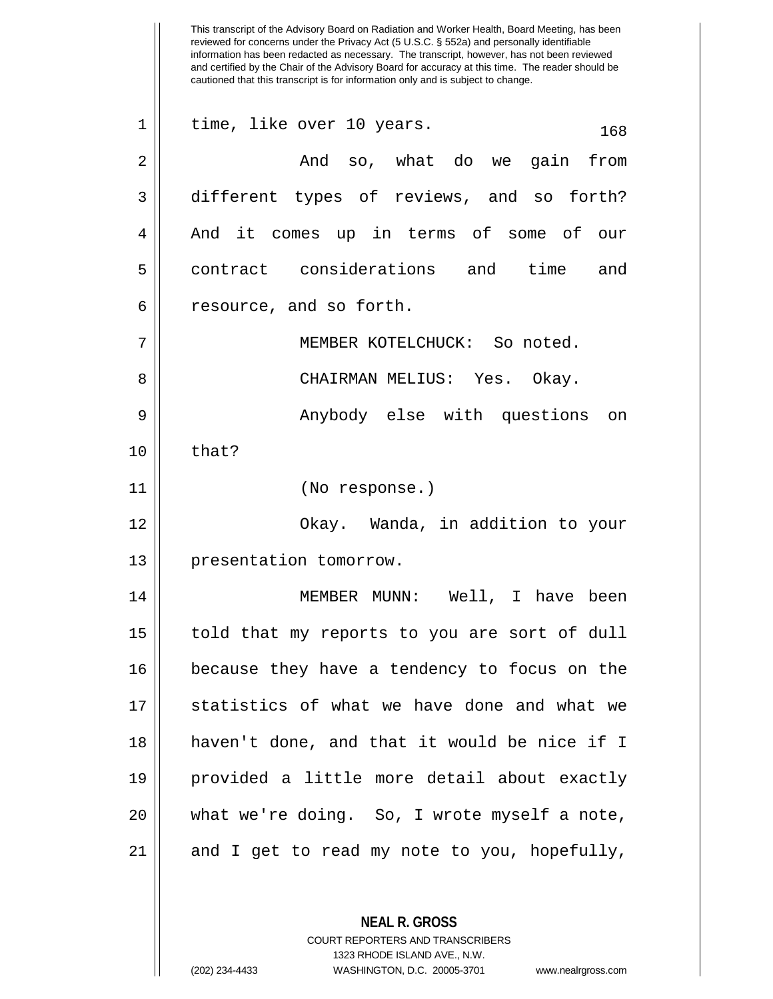This transcript of the Advisory Board on Radiation and Worker Health, Board Meeting, has been reviewed for concerns under the Privacy Act (5 U.S.C. § 552a) and personally identifiable information has been redacted as necessary. The transcript, however, has not been reviewed and certified by the Chair of the Advisory Board for accuracy at this time. The reader should be cautioned that this transcript is for information only and is subject to change. **NEAL R. GROSS**  $1 \parallel$  time, like over 10 years.  $168$ 2 And so, what do we gain from 3 different types of reviews, and so forth? 4 || And it comes up in terms of some of our 5 || contract considerations and time and  $6 \parallel$  resource, and so forth. 7 MEMBER KOTELCHUCK: So noted. 8 CHAIRMAN MELIUS: Yes. Okay. 9 Anybody else with questions on  $10 \parallel$  that? 11 (No response.) 12 Okay. Wanda, in addition to your 13 || presentation tomorrow. 14 MEMBER MUNN: Well, I have been 15 told that my reports to you are sort of dull 16 because they have a tendency to focus on the 17 || statistics of what we have done and what we 18 haven't done, and that it would be nice if I 19 provided a little more detail about exactly 20 what we're doing. So, I wrote myself a note,  $21$  || and I get to read my note to you, hopefully,

> COURT REPORTERS AND TRANSCRIBERS 1323 RHODE ISLAND AVE., N.W.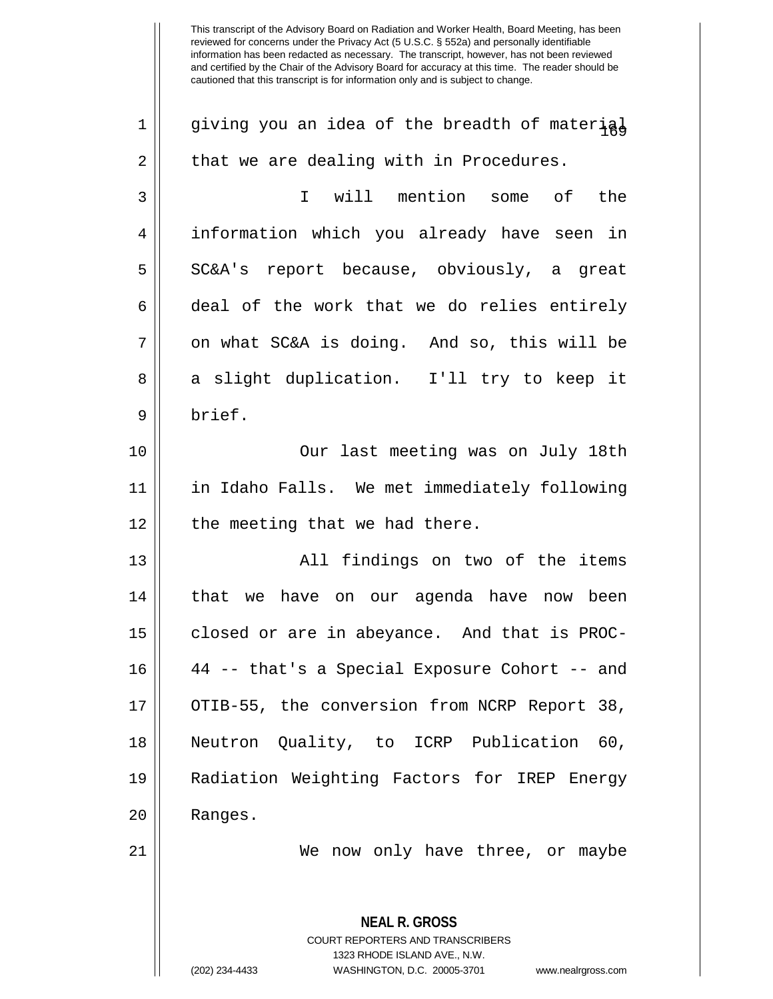**NEAL R. GROSS** COURT REPORTERS AND TRANSCRIBERS 1323 RHODE ISLAND AVE., N.W.  $1\parallel$  giving you an idea of the breadth of material  $2 \parallel$  that we are dealing with in Procedures. 3 I will mention some of the 4 information which you already have seen in 5 || SC&A's report because, obviously, a great  $6 \parallel$  deal of the work that we do relies entirely  $7 ||$  on what SC&A is doing. And so, this will be 8 || a slight duplication. I'll try to keep it 9 brief. 10 Our last meeting was on July 18th 11 in Idaho Falls. We met immediately following  $12$  || the meeting that we had there. 13 || All findings on two of the items 14 || that we have on our agenda have now been 15 closed or are in abeyance. And that is PROC-16 44 -- that's a Special Exposure Cohort -- and 17 || OTIB-55, the conversion from NCRP Report 38, 18 Neutron Quality, to ICRP Publication 60, 19 Radiation Weighting Factors for IREP Energy 20 || Ranges. 21 We now only have three, or maybe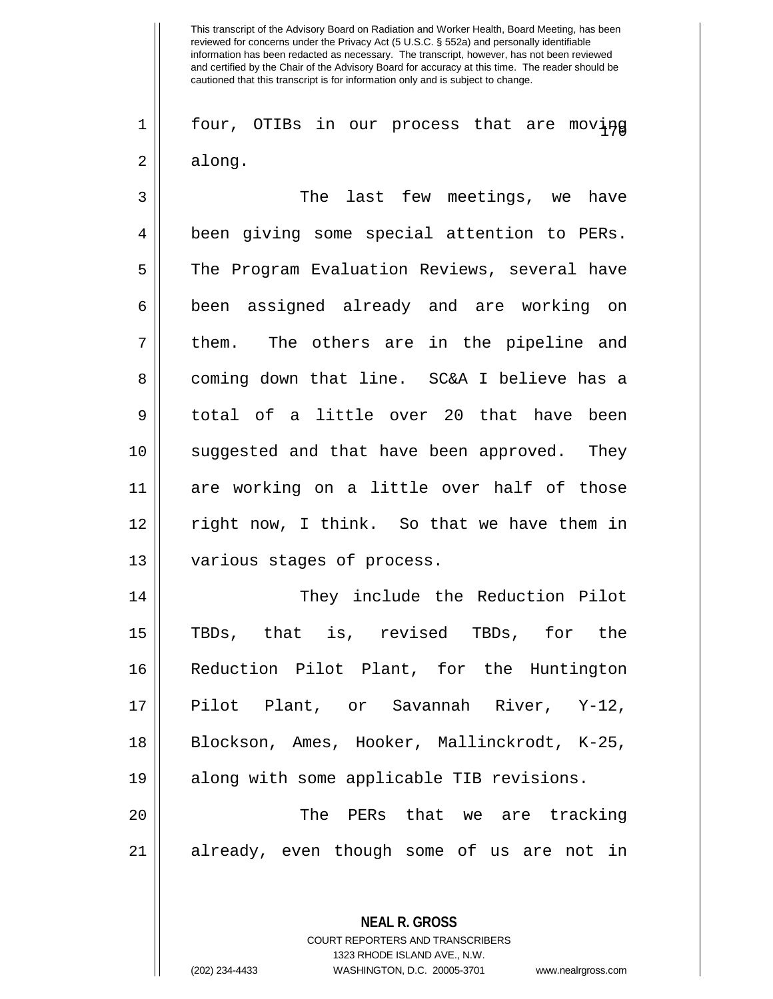$1 \parallel$  four, OTIBs in our process that are moving  $2 \parallel$  along.

3 The last few meetings, we have 4 | been giving some special attention to PERs. 5 | The Program Evaluation Reviews, several have 6 been assigned already and are working on 7 || them. The others are in the pipeline and 8 || coming down that line. SC&A I believe has a 9 total of a little over 20 that have been 10 suggested and that have been approved. They 11 are working on a little over half of those 12 right now, I think. So that we have them in 13 || various stages of process. 14 || They include the Reduction Pilot

 TBDs, that is, revised TBDs, for the Reduction Pilot Plant, for the Huntington Pilot Plant, or Savannah River, Y-12, Blockson, Ames, Hooker, Mallinckrodt, K-25, 19 || along with some applicable TIB revisions. The PERs that we are tracking

21 || already, even though some of us are not in

**NEAL R. GROSS** COURT REPORTERS AND TRANSCRIBERS 1323 RHODE ISLAND AVE., N.W. (202) 234-4433 WASHINGTON, D.C. 20005-3701 www.nealrgross.com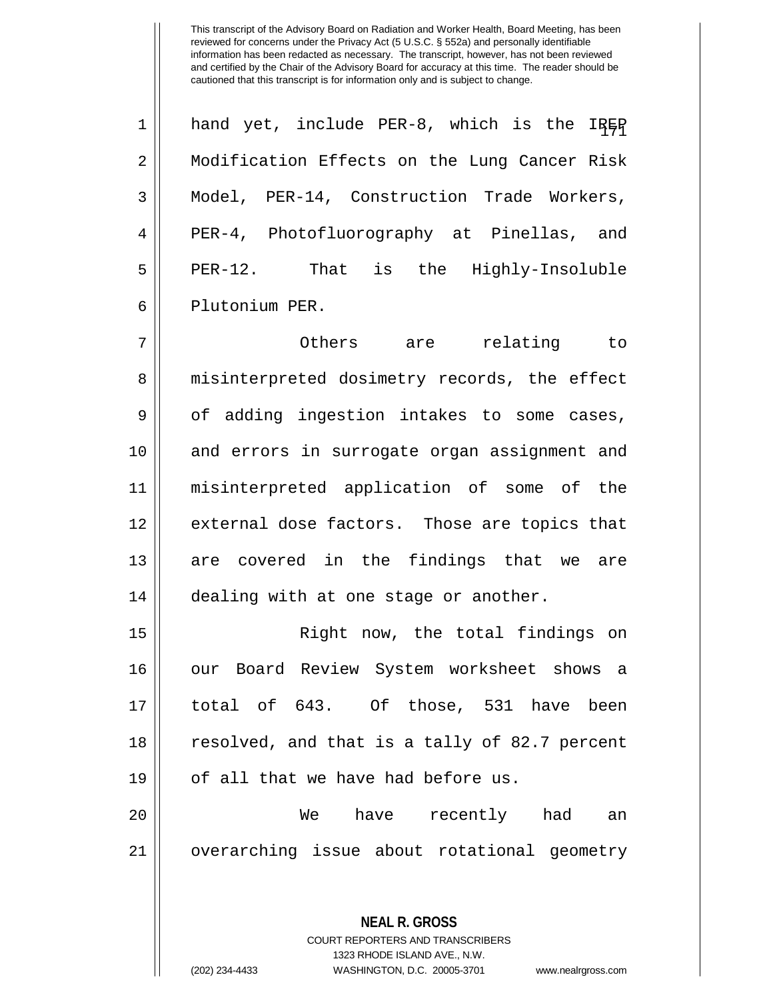1 || hand yet, include PER-8, which is the IREP 2 || Modification Effects on the Lung Cancer Risk 3 || Model, PER-14, Construction Trade Workers, 4 PER-4, Photofluorography at Pinellas, and 5 || PER-12. That is the Highly-Insoluble 6 Plutonium PER.

 Others are relating to 8 || misinterpreted dosimetry records, the effect  $9 \parallel$  of adding ingestion intakes to some cases, and errors in surrogate organ assignment and misinterpreted application of some of the external dose factors. Those are topics that are covered in the findings that we are 14 | dealing with at one stage or another.

 Right now, the total findings on 16 || our Board Review System worksheet shows a total of 643. Of those, 531 have been 18 || resolved, and that is a tally of 82.7 percent  $\parallel$  of all that we have had before us. We have recently had an

21 overarching issue about rotational geometry

**NEAL R. GROSS** COURT REPORTERS AND TRANSCRIBERS 1323 RHODE ISLAND AVE., N.W. (202) 234-4433 WASHINGTON, D.C. 20005-3701 www.nealrgross.com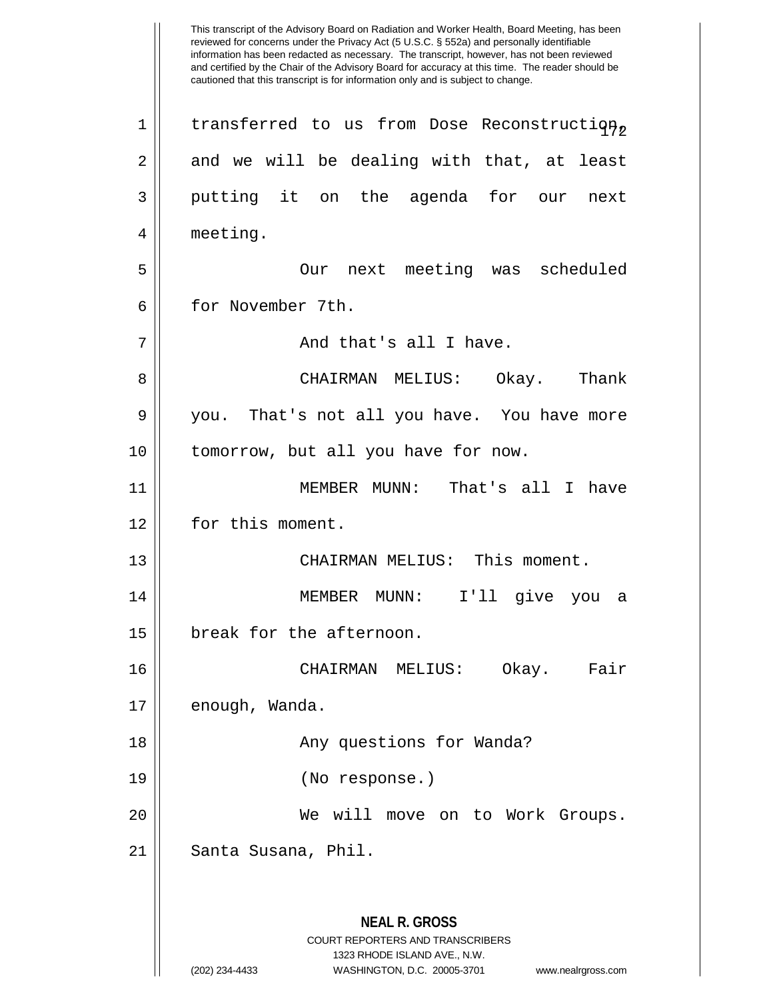This transcript of the Advisory Board on Radiation and Worker Health, Board Meeting, has been reviewed for concerns under the Privacy Act (5 U.S.C. § 552a) and personally identifiable information has been redacted as necessary. The transcript, however, has not been reviewed and certified by the Chair of the Advisory Board for accuracy at this time. The reader should be cautioned that this transcript is for information only and is subject to change. **NEAL R. GROSS** COURT REPORTERS AND TRANSCRIBERS 1323 RHODE ISLAND AVE., N.W. (202) 234-4433 WASHINGTON, D.C. 20005-3701 www.nealrgross.com 1 | transferred to us from Dose Reconstruction,  $2 \parallel$  and we will be dealing with that, at least 3 putting it on the agenda for our next 4 | meeting. 5 Our next meeting was scheduled 6 for November 7th. 7 || And that's all I have. 8 CHAIRMAN MELIUS: Okay. Thank 9 you. That's not all you have. You have more 10 tomorrow, but all you have for now. 11 MEMBER MUNN: That's all I have 12 | for this moment. 13 || CHAIRMAN MELIUS: This moment. 14 MEMBER MUNN: I'll give you a 15 || break for the afternoon. 16 CHAIRMAN MELIUS: Okay. Fair 17 | enough, Wanda. 18 || Any questions for Wanda? 19 (No response.) 20 We will move on to Work Groups. 21 | Santa Susana, Phil.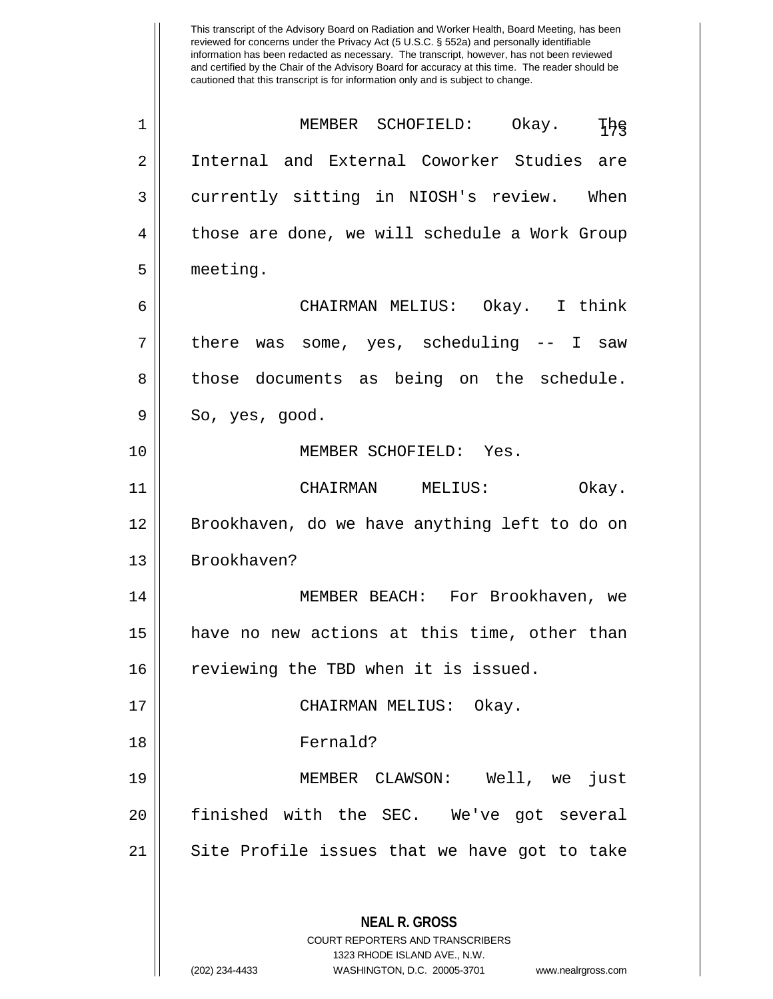This transcript of the Advisory Board on Radiation and Worker Health, Board Meeting, has been reviewed for concerns under the Privacy Act (5 U.S.C. § 552a) and personally identifiable information has been redacted as necessary. The transcript, however, has not been reviewed and certified by the Chair of the Advisory Board for accuracy at this time. The reader should be cautioned that this transcript is for information only and is subject to change. **NEAL R. GROSS** COURT REPORTERS AND TRANSCRIBERS 1323 RHODE ISLAND AVE., N.W. (202) 234-4433 WASHINGTON, D.C. 20005-3701 www.nealrgross.com <sup>173</sup> <sup>1</sup> MEMBER SCHOFIELD: Okay. The 2 Internal and External Coworker Studies are 3 || currently sitting in NIOSH's review. When  $4 \parallel$  those are done, we will schedule a Work Group 5 meeting. 6 CHAIRMAN MELIUS: Okay. I think  $7 \parallel$  there was some, yes, scheduling -- I saw 8 || those documents as being on the schedule.  $9 \parallel$  So, yes, good. 10 || **MEMBER SCHOFIELD:** Yes. 11 CHAIRMAN MELIUS: Okay. 12 Brookhaven, do we have anything left to do on 13 || Brookhaven? 14 MEMBER BEACH: For Brookhaven, we 15 have no new actions at this time, other than 16 || reviewing the TBD when it is issued. 17 CHAIRMAN MELIUS: Okay. 18 Fernald? 19 MEMBER CLAWSON: Well, we just 20 finished with the SEC. We've got several  $21$  || Site Profile issues that we have got to take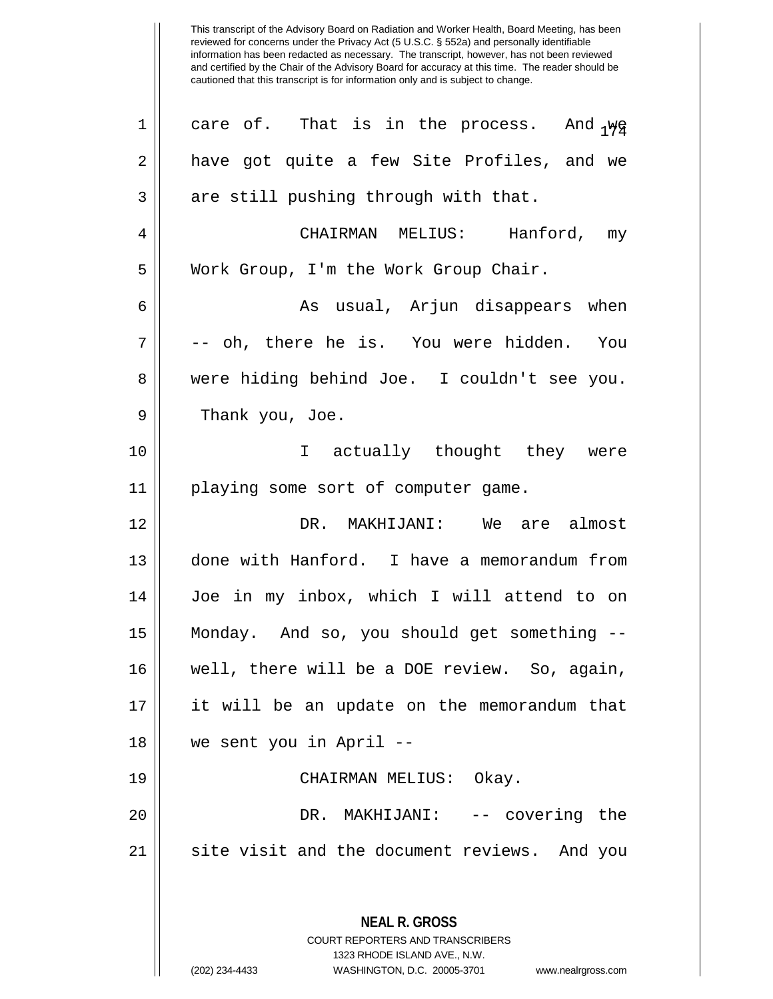This transcript of the Advisory Board on Radiation and Worker Health, Board Meeting, has been reviewed for concerns under the Privacy Act (5 U.S.C. § 552a) and personally identifiable information has been redacted as necessary. The transcript, however, has not been reviewed and certified by the Chair of the Advisory Board for accuracy at this time. The reader should be cautioned that this transcript is for information only and is subject to change. 1 || care of. That is in the process. And  $_{1}\psi_{\hat{x}}$ 2 || have got quite a few Site Profiles, and we  $3 \parallel$  are still pushing through with that. 4 CHAIRMAN MELIUS: Hanford, my 5 || Work Group, I'm the Work Group Chair. 6 As usual, Arjun disappears when 7 -- oh, there he is. You were hidden. You 8 || were hiding behind Joe. I couldn't see you.  $9 \parallel$  Thank you, Joe. 10 I actually thought they were 11 playing some sort of computer game. 12 DR. MAKHIJANI: We are almost 13 done with Hanford. I have a memorandum from 14 Joe in my inbox, which I will attend to on 15 Monday. And so, you should get something -- 16 well, there will be a DOE review. So, again,

17 it will be an update on the memorandum that 18 we sent you in April --

## 19 CHAIRMAN MELIUS: Okay. 20 DR. MAKHIJANI: -- covering the 21 | site visit and the document reviews. And you

**NEAL R. GROSS** COURT REPORTERS AND TRANSCRIBERS 1323 RHODE ISLAND AVE., N.W. (202) 234-4433 WASHINGTON, D.C. 20005-3701 www.nealrgross.com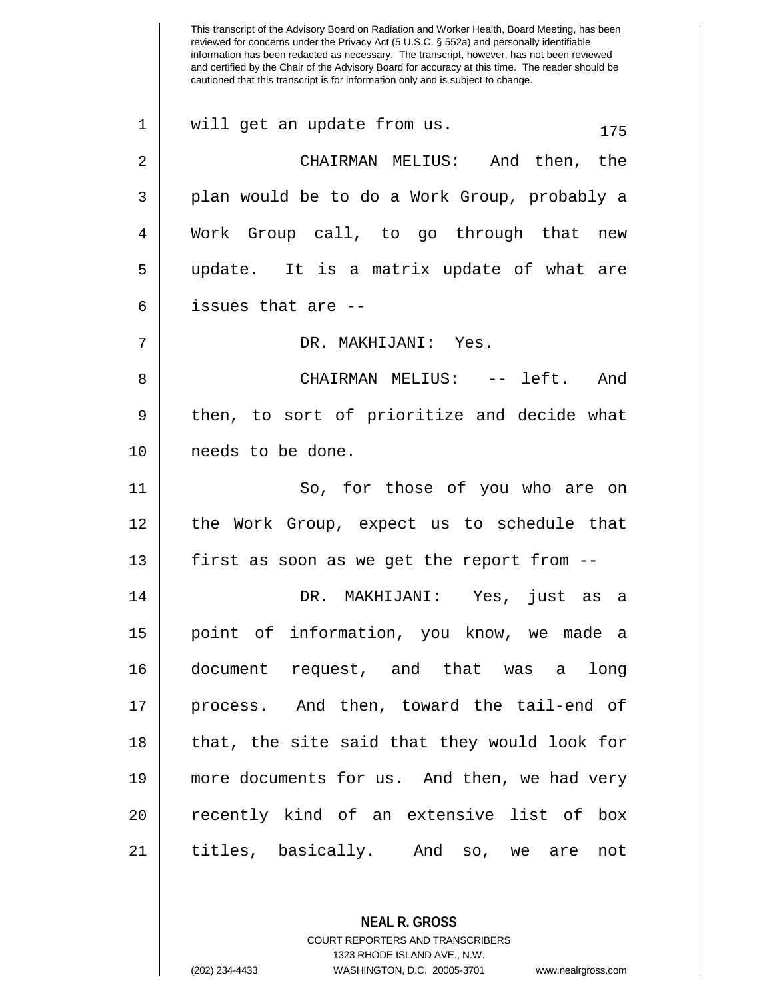This transcript of the Advisory Board on Radiation and Worker Health, Board Meeting, has been reviewed for concerns under the Privacy Act (5 U.S.C. § 552a) and personally identifiable information has been redacted as necessary. The transcript, however, has not been reviewed and certified by the Chair of the Advisory Board for accuracy at this time. The reader should be cautioned that this transcript is for information only and is subject to change.  $1 \parallel$  will get an update from us.  $175$ 2 CHAIRMAN MELIUS: And then, the 3 || plan would be to do a Work Group, probably a 4 Work Group call, to go through that new 5 update. It is a matrix update of what are  $6$  || issues that are  $-$ 7 DR. MAKHIJANI: Yes. 8 CHAIRMAN MELIUS: -- left. And  $9 \parallel$  then, to sort of prioritize and decide what 10 || needs to be done. 11 || So, for those of you who are on 12 the Work Group, expect us to schedule that  $13$  || first as soon as we get the report from  $-$ -14 DR. MAKHIJANI: Yes, just as a 15 point of information, you know, we made a 16 document request, and that was a long 17 || process. And then, toward the tail-end of 18 || that, the site said that they would look for 19 more documents for us. And then, we had very 20 || recently kind of an extensive list of box 21 titles, basically. And so, we are not

> COURT REPORTERS AND TRANSCRIBERS 1323 RHODE ISLAND AVE., N.W. (202) 234-4433 WASHINGTON, D.C. 20005-3701 www.nealrgross.com

**NEAL R. GROSS**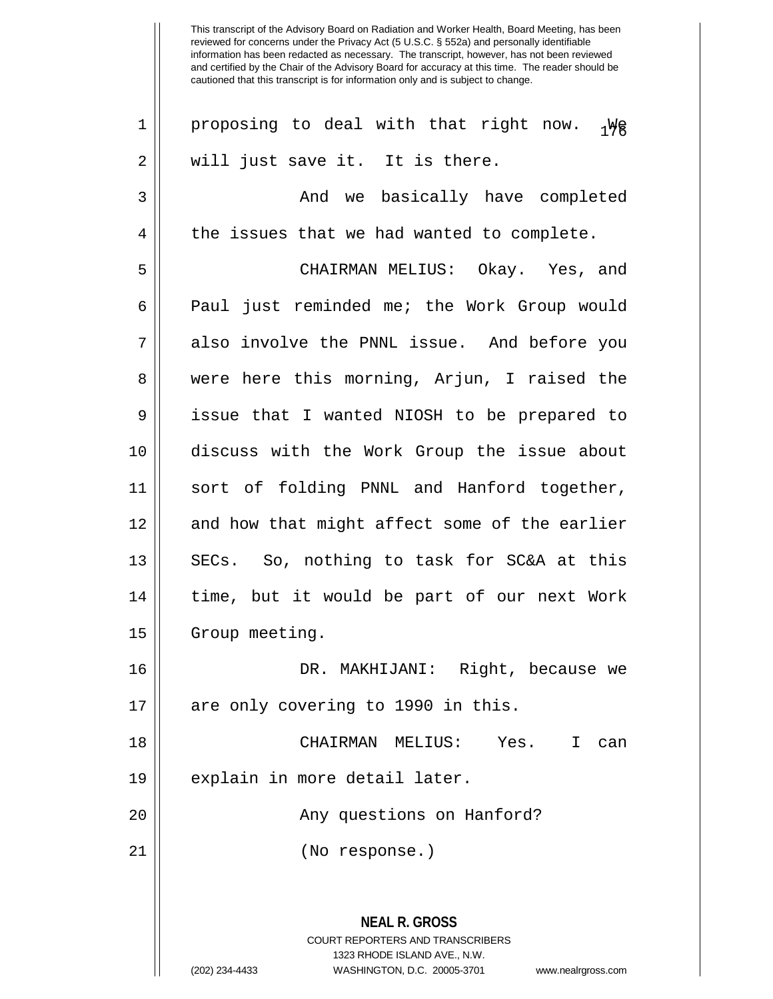| $\mathbf 1$    | proposing to deal with that right now. $_{1}\frac{1}{1}\theta_{0}$                                                                                                     |
|----------------|------------------------------------------------------------------------------------------------------------------------------------------------------------------------|
| 2              | will just save it. It is there.                                                                                                                                        |
| 3              | And we basically have completed                                                                                                                                        |
| $\overline{4}$ | the issues that we had wanted to complete.                                                                                                                             |
| 5              | CHAIRMAN MELIUS: Okay. Yes, and                                                                                                                                        |
| 6              | Paul just reminded me; the Work Group would                                                                                                                            |
| 7              | also involve the PNNL issue. And before you                                                                                                                            |
| 8              | were here this morning, Arjun, I raised the                                                                                                                            |
| 9              | issue that I wanted NIOSH to be prepared to                                                                                                                            |
| 10             | discuss with the Work Group the issue about                                                                                                                            |
| 11             | sort of folding PNNL and Hanford together,                                                                                                                             |
| 12             | and how that might affect some of the earlier                                                                                                                          |
| 13             | SECs. So, nothing to task for SC&A at this                                                                                                                             |
| 14             | time, but it would be part of our next Work                                                                                                                            |
| 15             | Group meeting.                                                                                                                                                         |
| 16             | DR. MAKHIJANI: Right, because we                                                                                                                                       |
| 17             | are only covering to 1990 in this.                                                                                                                                     |
| 18             | Yes.<br>CHAIRMAN MELIUS:<br>I.<br>can                                                                                                                                  |
| 19             | explain in more detail later.                                                                                                                                          |
| 20             | Any questions on Hanford?                                                                                                                                              |
| 21             | (No response.)                                                                                                                                                         |
|                |                                                                                                                                                                        |
|                | <b>NEAL R. GROSS</b><br><b>COURT REPORTERS AND TRANSCRIBERS</b><br>1323 RHODE ISLAND AVE., N.W.<br>WASHINGTON, D.C. 20005-3701<br>(202) 234-4433<br>www.nealrgross.com |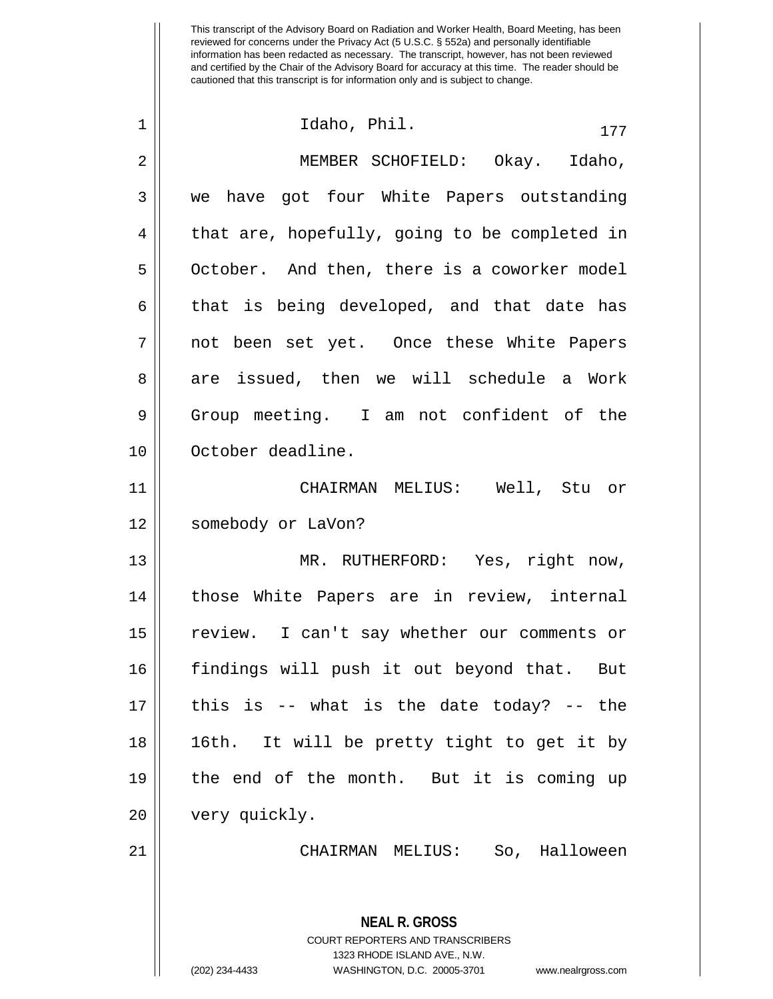| $\mathbf 1$    | Idaho, Phil.<br>177                                                                                                                                                    |
|----------------|------------------------------------------------------------------------------------------------------------------------------------------------------------------------|
| $\overline{2}$ | MEMBER SCHOFIELD: Okay. Idaho,                                                                                                                                         |
| 3              | we have got four White Papers outstanding                                                                                                                              |
| $\overline{4}$ | that are, hopefully, going to be completed in                                                                                                                          |
| 5              | October. And then, there is a coworker model                                                                                                                           |
| 6              | that is being developed, and that date has                                                                                                                             |
| 7              | not been set yet. Once these White Papers                                                                                                                              |
| 8              | are issued, then we will schedule a Work                                                                                                                               |
| 9              | Group meeting. I am not confident of the                                                                                                                               |
| 10             | October deadline.                                                                                                                                                      |
| 11             | CHAIRMAN MELIUS: Well, Stu or                                                                                                                                          |
| 12             | somebody or LaVon?                                                                                                                                                     |
| 13             | MR. RUTHERFORD: Yes, right now,                                                                                                                                        |
| 14             | those White Papers are in review, internal                                                                                                                             |
| 15             | review. I can't say whether our comments or                                                                                                                            |
| 16             | findings will push it out beyond that.<br><b>But</b>                                                                                                                   |
| 17             | this is $-$ what is the date today? $-$ the                                                                                                                            |
| 18             | It will be pretty tight to get it by<br>16th.                                                                                                                          |
| 19             | the end of the month. But it is coming up                                                                                                                              |
| 20             | very quickly.                                                                                                                                                          |
| 21             | So, Halloween<br>CHAIRMAN MELIUS:                                                                                                                                      |
|                | <b>NEAL R. GROSS</b><br><b>COURT REPORTERS AND TRANSCRIBERS</b><br>1323 RHODE ISLAND AVE., N.W.<br>(202) 234-4433<br>WASHINGTON, D.C. 20005-3701<br>www.nealrgross.com |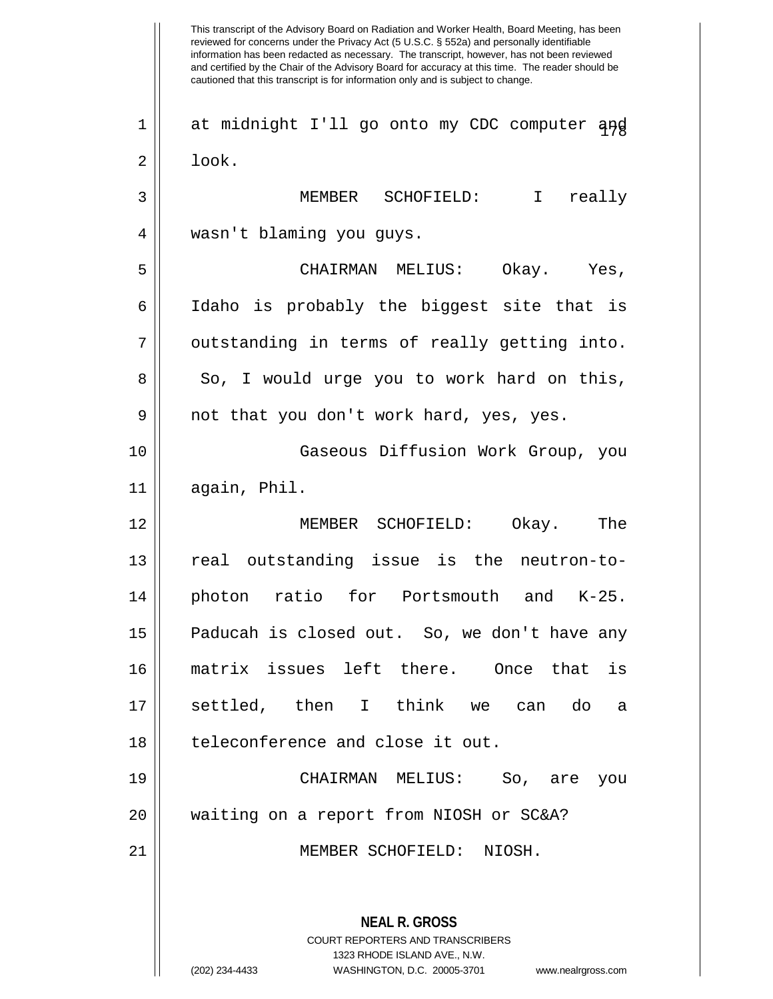This transcript of the Advisory Board on Radiation and Worker Health, Board Meeting, has been reviewed for concerns under the Privacy Act (5 U.S.C. § 552a) and personally identifiable information has been redacted as necessary. The transcript, however, has not been reviewed and certified by the Chair of the Advisory Board for accuracy at this time. The reader should be cautioned that this transcript is for information only and is subject to change. **NEAL R. GROSS** COURT REPORTERS AND TRANSCRIBERS 1323 RHODE ISLAND AVE., N.W. (202) 234-4433 WASHINGTON, D.C. 20005-3701 www.nealrgross.com  $1$  at midnight I'll go onto my CDC computer and  $2 \parallel$  look. 3 MEMBER SCHOFIELD: I really 4 || wasn't blaming you guys. 5 CHAIRMAN MELIUS: Okay. Yes, 6 Idaho is probably the biggest site that is  $7 \parallel$  outstanding in terms of really getting into. 8 || So, I would urge you to work hard on this,  $9 \parallel$  not that you don't work hard, yes, yes. 10 Gaseous Diffusion Work Group, you 11 again, Phil. 12 MEMBER SCHOFIELD: Okay. The 13 || real outstanding issue is the neutron-to-14 photon ratio for Portsmouth and K-25. 15 Paducah is closed out. So, we don't have any 16 matrix issues left there. Once that is 17 settled, then I think we can do a 18 || teleconference and close it out. 19 CHAIRMAN MELIUS: So, are you 20 waiting on a report from NIOSH or SC&A? 21 MEMBER SCHOFIELD: NIOSH.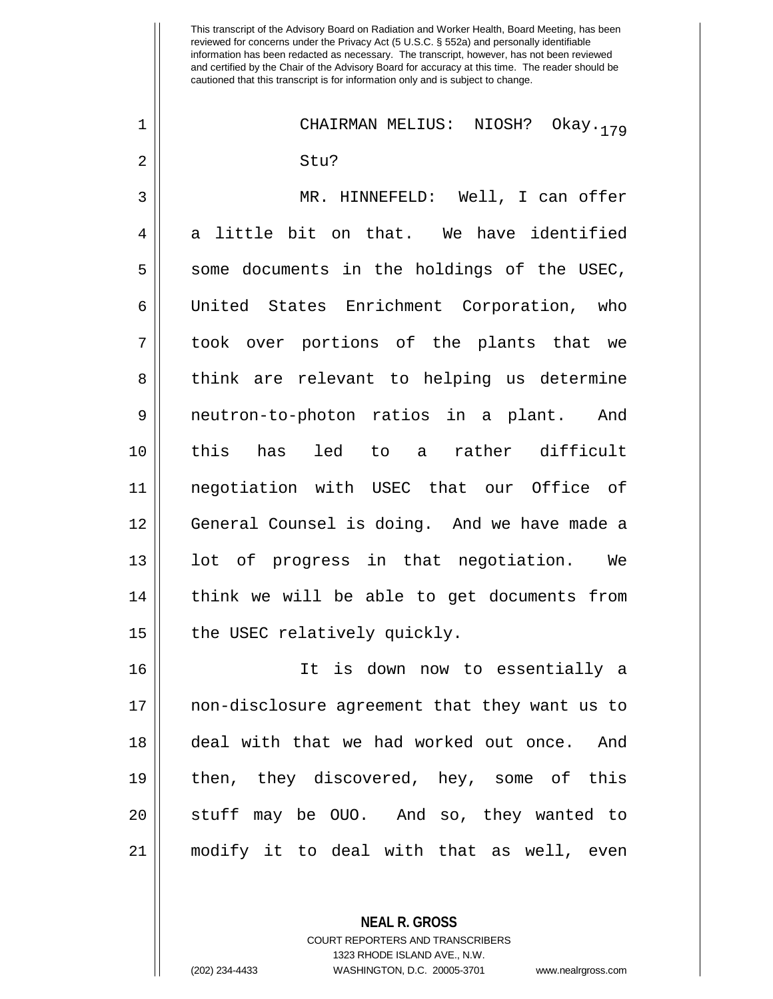<sup>179</sup> <sup>1</sup> CHAIRMAN MELIUS: NIOSH? Okay. 2 || Stu?

 MR. HINNEFELD: Well, I can offer  $4 \parallel$  a little bit on that. We have identified some documents in the holdings of the USEC, United States Enrichment Corporation, who took over portions of the plants that we 8 || think are relevant to helping us determine neutron-to-photon ratios in a plant. And this has led to a rather difficult negotiation with USEC that our Office of 12 || General Counsel is doing. And we have made a 13 || lot of progress in that negotiation. We 14 || think we will be able to get documents from | the USEC relatively quickly.

 It is down now to essentially a non-disclosure agreement that they want us to deal with that we had worked out once. And then, they discovered, hey, some of this stuff may be OUO. And so, they wanted to modify it to deal with that as well, even

> **NEAL R. GROSS** COURT REPORTERS AND TRANSCRIBERS 1323 RHODE ISLAND AVE., N.W. (202) 234-4433 WASHINGTON, D.C. 20005-3701 www.nealrgross.com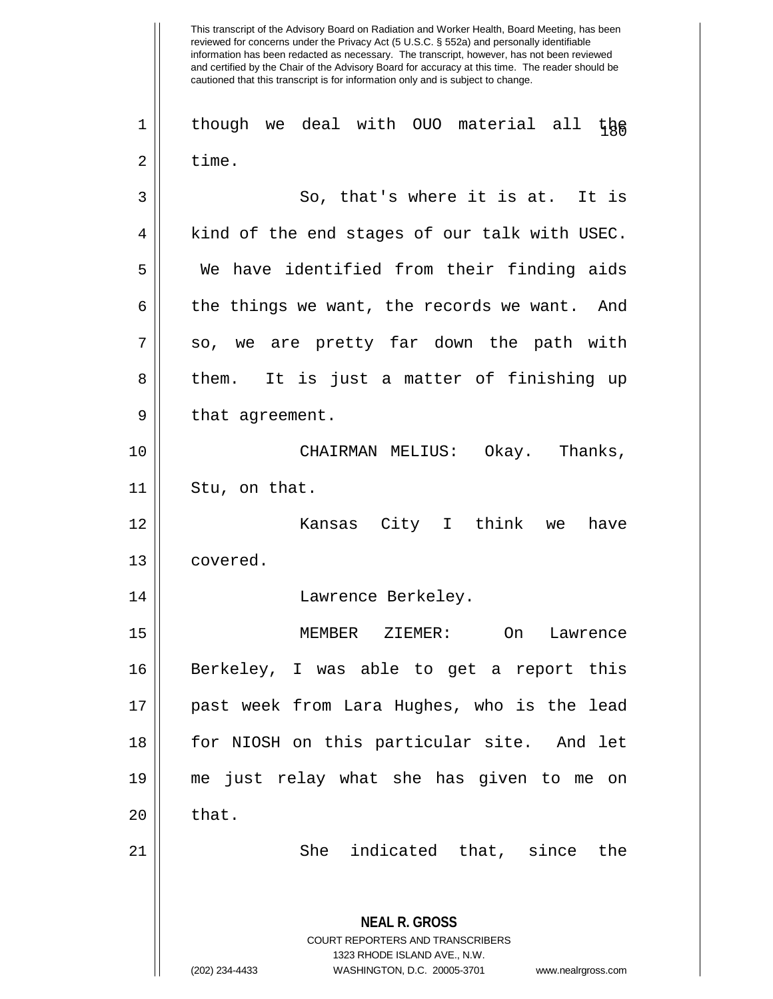This transcript of the Advisory Board on Radiation and Worker Health, Board Meeting, has been reviewed for concerns under the Privacy Act (5 U.S.C. § 552a) and personally identifiable information has been redacted as necessary. The transcript, however, has not been reviewed and certified by the Chair of the Advisory Board for accuracy at this time. The reader should be cautioned that this transcript is for information only and is subject to change. **NEAL R. GROSS** COURT REPORTERS AND TRANSCRIBERS 1323 RHODE ISLAND AVE., N.W. (202) 234-4433 WASHINGTON, D.C. 20005-3701 www.nealrgross.com  $1$ || though we deal with OUO material all the  $2 \parallel$  time.  $3 \parallel$  So, that's where it is at. It is  $4 \parallel$  kind of the end stages of our talk with USEC. 5 We have identified from their finding aids  $6 \parallel$  the things we want, the records we want. And 7 || so, we are pretty far down the path with 8 || them. It is just a matter of finishing up  $9 \parallel$  that agreement. 10 CHAIRMAN MELIUS: Okay. Thanks, 11 | Stu, on that. 12 Kansas City I think we have 13 | covered. 14 || Lawrence Berkeley. 15 MEMBER ZIEMER: On Lawrence 16 Berkeley, I was able to get a report this 17 past week from Lara Hughes, who is the lead 18 for NIOSH on this particular site. And let 19 me just relay what she has given to me on  $20 \parallel$  that. 21 She indicated that, since the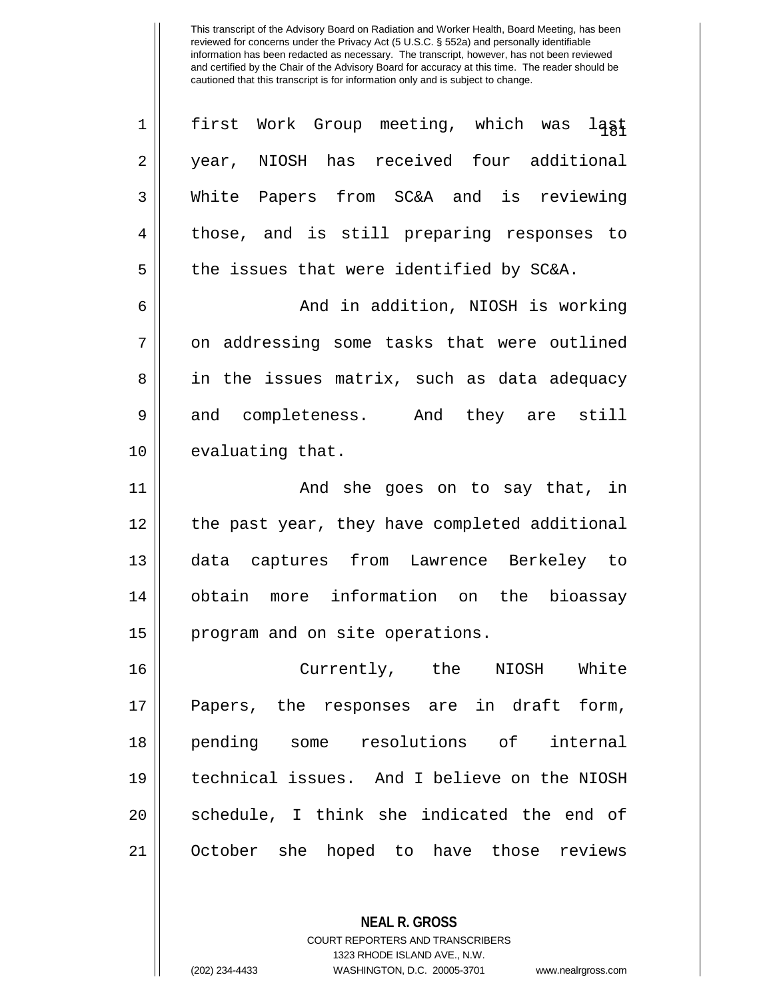| $\mathbf 1$ | first Work Group meeting, which was<br>laşt   |
|-------------|-----------------------------------------------|
| 2           | year, NIOSH has received four additional      |
| 3           | White Papers from SC&A and is reviewing       |
| 4           | those, and is still preparing responses to    |
| 5           | the issues that were identified by SC&A.      |
| 6           | And in addition, NIOSH is working             |
| 7           | on addressing some tasks that were outlined   |
| 8           | in the issues matrix, such as data adequacy   |
| $\mathsf 9$ | and completeness. And they are still          |
| 10          | evaluating that.                              |
| 11          | And she goes on to say that, in               |
| 12          | the past year, they have completed additional |
| 13          | data captures from Lawrence Berkeley to       |
| 14          | obtain more information on the bioassay       |
| 15          | program and on site operations.               |
| 16          | Currently, the NIOSH<br>White                 |
| 17          | Papers, the responses are in draft form,      |
| 18          | pending some resolutions of<br>internal       |
| 19          | technical issues. And I believe on the NIOSH  |
| 20          | schedule, I think she indicated the end of    |
|             |                                               |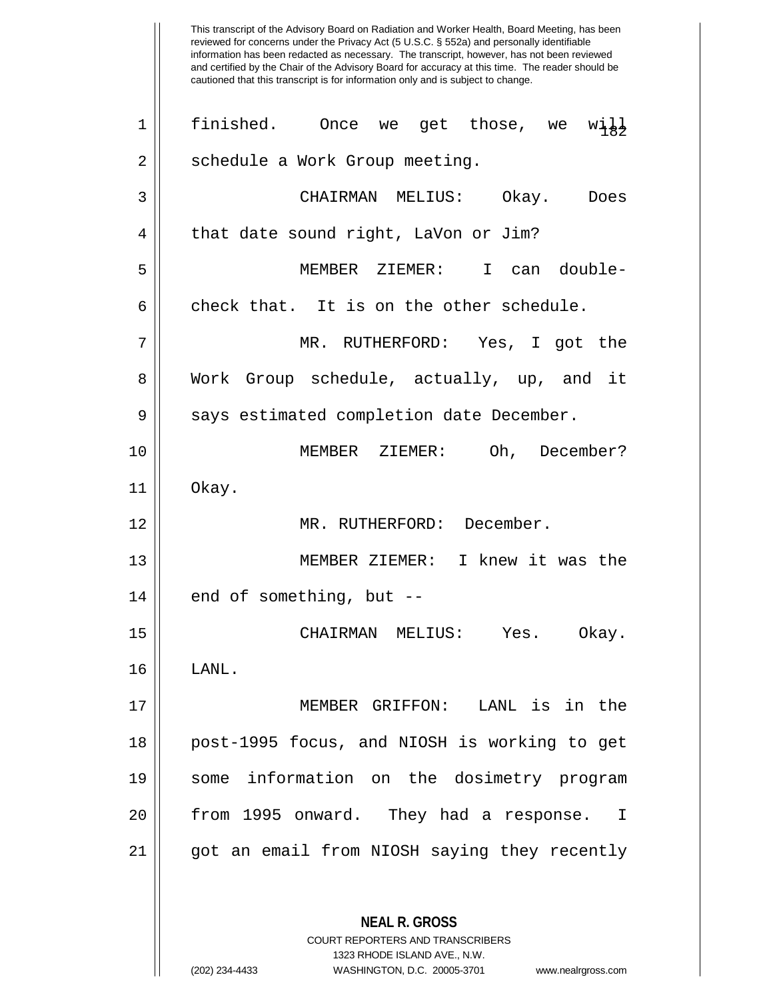This transcript of the Advisory Board on Radiation and Worker Health, Board Meeting, has been reviewed for concerns under the Privacy Act (5 U.S.C. § 552a) and personally identifiable information has been redacted as necessary. The transcript, however, has not been reviewed and certified by the Chair of the Advisory Board for accuracy at this time. The reader should be cautioned that this transcript is for information only and is subject to change. **NEAL R. GROSS** COURT REPORTERS AND TRANSCRIBERS 1323 RHODE ISLAND AVE., N.W. (202) 234-4433 WASHINGTON, D.C. 20005-3701 www.nealrgross.com  $\begin{array}{c} 1 \parallel 1 \end{array}$  finished. Once we get those, we will 2 | schedule a Work Group meeting. 3 CHAIRMAN MELIUS: Okay. Does 4 | that date sound right, LaVon or Jim? 5 MEMBER ZIEMER: I can double- $6 \parallel$  check that. It is on the other schedule. 7 MR. RUTHERFORD: Yes, I got the 8 Work Group schedule, actually, up, and it  $9 \parallel$  says estimated completion date December. 10 MEMBER ZIEMER: Oh, December? 11 Okay. 12 || MR. RUTHERFORD: December. 13 MEMBER ZIEMER: I knew it was the  $14$  | end of something, but --15 CHAIRMAN MELIUS: Yes. Okay. 16 LANL. 17 MEMBER GRIFFON: LANL is in the 18 post-1995 focus, and NIOSH is working to get 19 some information on the dosimetry program 20 from 1995 onward. They had a response. I 21 got an email from NIOSH saying they recently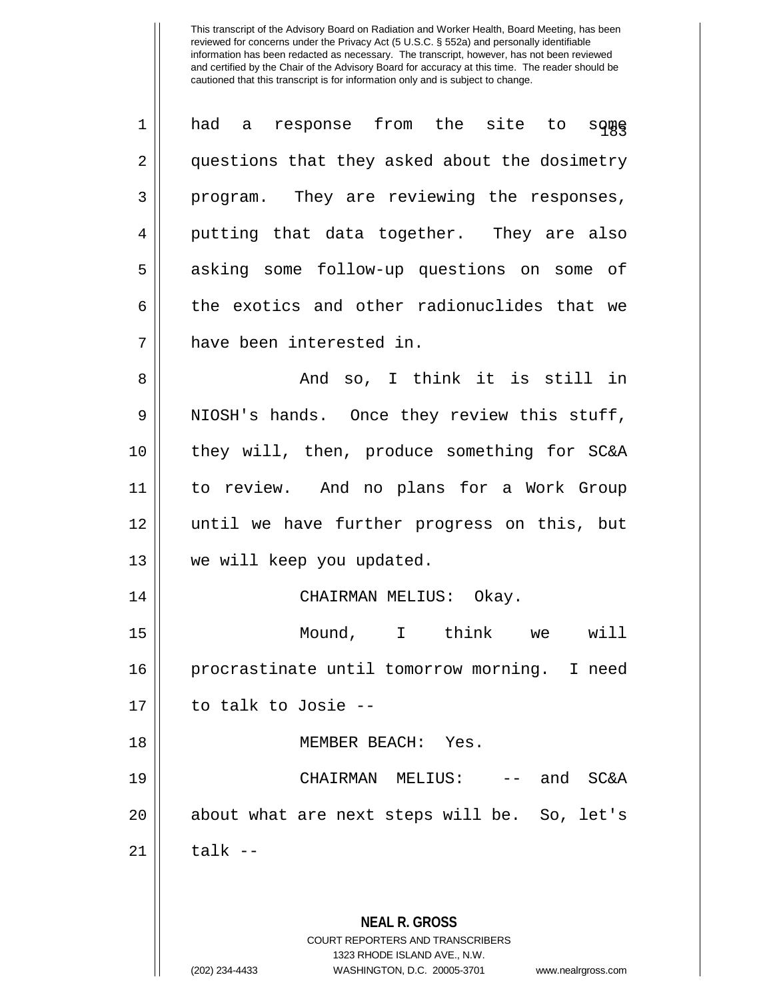**NEAL R. GROSS** COURT REPORTERS AND TRANSCRIBERS 1323 RHODE ISLAND AVE., N.W. (202) 234-4433 WASHINGTON, D.C. 20005-3701 www.nealrgross.com  $\begin{array}{c|cccc} 1 & \text{had} & \text{a} & \text{response} & \text{from} & \text{the} & \text{site} & \text{to} & \text{sgg} \ \end{array}$ 2 | questions that they asked about the dosimetry 3 program. They are reviewing the responses, 4 || putting that data together. They are also 5 | asking some follow-up questions on some of  $6 \parallel$  the exotics and other radionuclides that we 7 have been interested in. 8 And so, I think it is still in  $9 \parallel$  NIOSH's hands. Once they review this stuff, 10 || they will, then, produce something for SC&A 11 to review. And no plans for a Work Group 12 until we have further progress on this, but 13 || we will keep you updated. 14 CHAIRMAN MELIUS: Okay. 15 Mound, I think we will 16 procrastinate until tomorrow morning. I need  $17 \parallel$  to talk to Josie --18 MEMBER BEACH: Yes. 19 CHAIRMAN MELIUS: -- and SC&A 20 || about what are next steps will be. So, let's  $21$  | talk --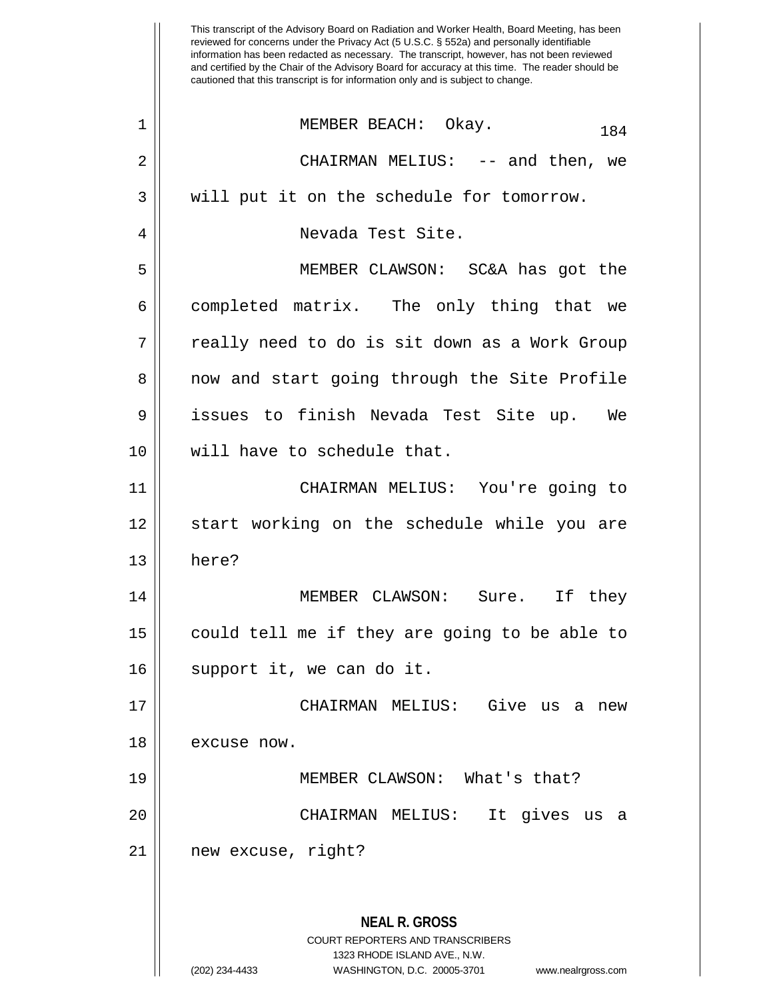This transcript of the Advisory Board on Radiation and Worker Health, Board Meeting, has been reviewed for concerns under the Privacy Act (5 U.S.C. § 552a) and personally identifiable information has been redacted as necessary. The transcript, however, has not been reviewed and certified by the Chair of the Advisory Board for accuracy at this time. The reader should be cautioned that this transcript is for information only and is subject to change. **NEAL R. GROSS** COURT REPORTERS AND TRANSCRIBERS 1323 RHODE ISLAND AVE., N.W. (202) 234-4433 WASHINGTON, D.C. 20005-3701 www.nealrgross.com <sup>184</sup> <sup>1</sup> MEMBER BEACH: Okay. 2 CHAIRMAN MELIUS: -- and then, we 3 || will put it on the schedule for tomorrow. 4 Nevada Test Site. 5 MEMBER CLAWSON: SC&A has got the 6 completed matrix. The only thing that we 7 || really need to do is sit down as a Work Group 8 || now and start going through the Site Profile 9 || issues to finish Nevada Test Site up. We 10 will have to schedule that. 11 CHAIRMAN MELIUS: You're going to 12 || start working on the schedule while you are 13 here? 14 || MEMBER CLAWSON: Sure. If they 15 || could tell me if they are going to be able to 16 || support it, we can do it. 17 CHAIRMAN MELIUS: Give us a new 18 **excuse** now. 19 MEMBER CLAWSON: What's that? 20 CHAIRMAN MELIUS: It gives us a 21 new excuse, right?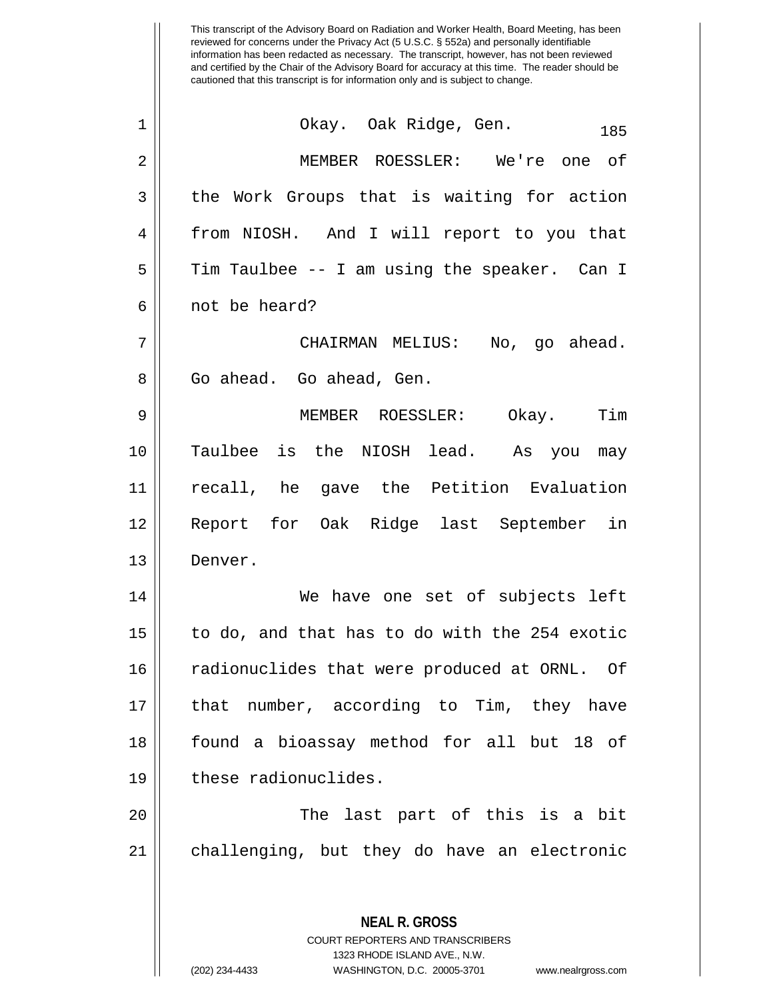This transcript of the Advisory Board on Radiation and Worker Health, Board Meeting, has been reviewed for concerns under the Privacy Act (5 U.S.C. § 552a) and personally identifiable information has been redacted as necessary. The transcript, however, has not been reviewed and certified by the Chair of the Advisory Board for accuracy at this time. The reader should be cautioned that this transcript is for information only and is subject to change. **NEAL R. GROSS** COURT REPORTERS AND TRANSCRIBERS 1323 RHODE ISLAND AVE., N.W.  $\begin{array}{ccc} 1 & 0 & 0 & 0 \end{array}$  Okay. Oak Ridge, Gen.  $\begin{array}{ccc} 185 & 10 & 0 \end{array}$ 2 MEMBER ROESSLER: We're one of 3 || the Work Groups that is waiting for action 4 from NIOSH. And I will report to you that  $5 \parallel$  Tim Taulbee -- I am using the speaker. Can I 6 || not be heard? 7 CHAIRMAN MELIUS: No, go ahead. 8 || Go ahead. Go ahead, Gen. 9 MEMBER ROESSLER: Okay. Tim 10 Taulbee is the NIOSH lead. As you may 11 recall, he gave the Petition Evaluation 12 Report for Oak Ridge last September in 13 Denver. 14 || We have one set of subjects left 15 to do, and that has to do with the 254 exotic 16 || radionuclides that were produced at ORNL. Of 17 that number, according to Tim, they have 18 found a bioassay method for all but 18 of 19 l these radionuclides. 20 The last part of this is a bit 21 challenging, but they do have an electronic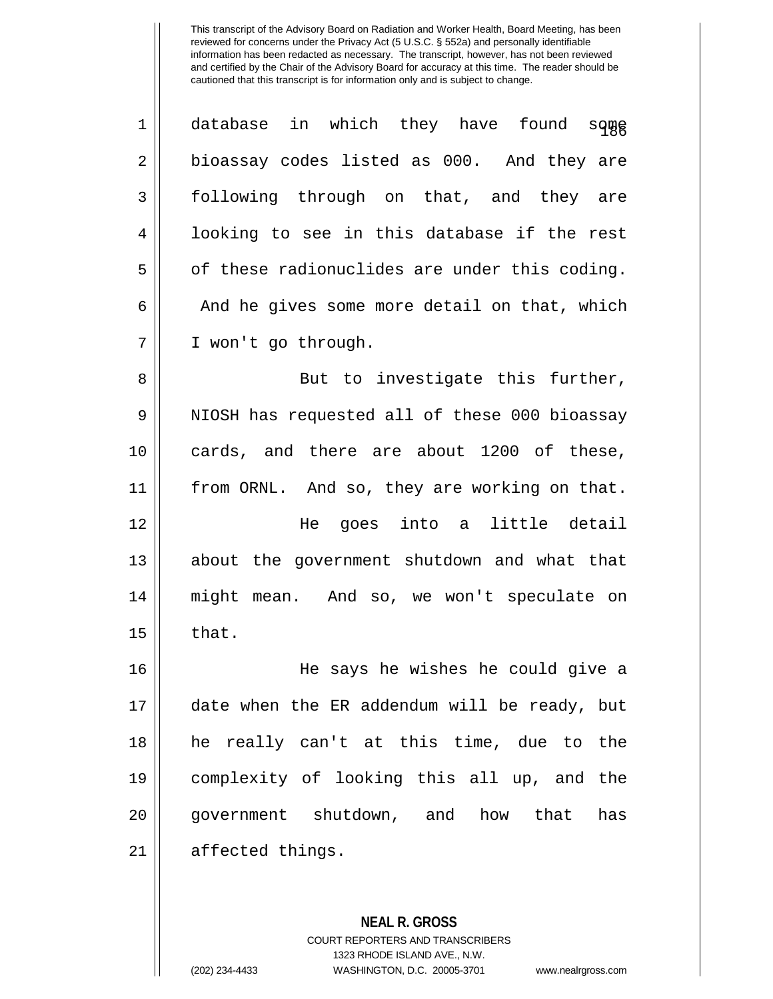| $\mathbf 1$    | database in which they have found sqme        |
|----------------|-----------------------------------------------|
| $\overline{2}$ | bioassay codes listed as 000. And they are    |
| 3              | following through on that, and they are       |
| 4              | looking to see in this database if the rest   |
| 5              | of these radionuclides are under this coding. |
| 6              | And he gives some more detail on that, which  |
| 7              | I won't go through.                           |
| 8              | But to investigate this further,              |
| 9              | NIOSH has requested all of these 000 bioassay |
| 10             | cards, and there are about 1200 of these,     |
| 11             | from ORNL. And so, they are working on that.  |
| 12             | into a little detail<br>He goes               |
| 13             | about the government shutdown and what that   |
| 14             | might mean. And so, we won't speculate on     |
| 15             | that.                                         |
| 16             | He says he wishes he could give a             |
| 17             | date when the ER addendum will be ready, but  |
| 18             | he really can't at this time, due to the      |
| 19             | complexity of looking this all up, and the    |
| 20             | government shutdown, and how that<br>has      |
| 21             | affected things.                              |
|                |                                               |
|                |                                               |

**NEAL R. GROSS** COURT REPORTERS AND TRANSCRIBERS 1323 RHODE ISLAND AVE., N.W.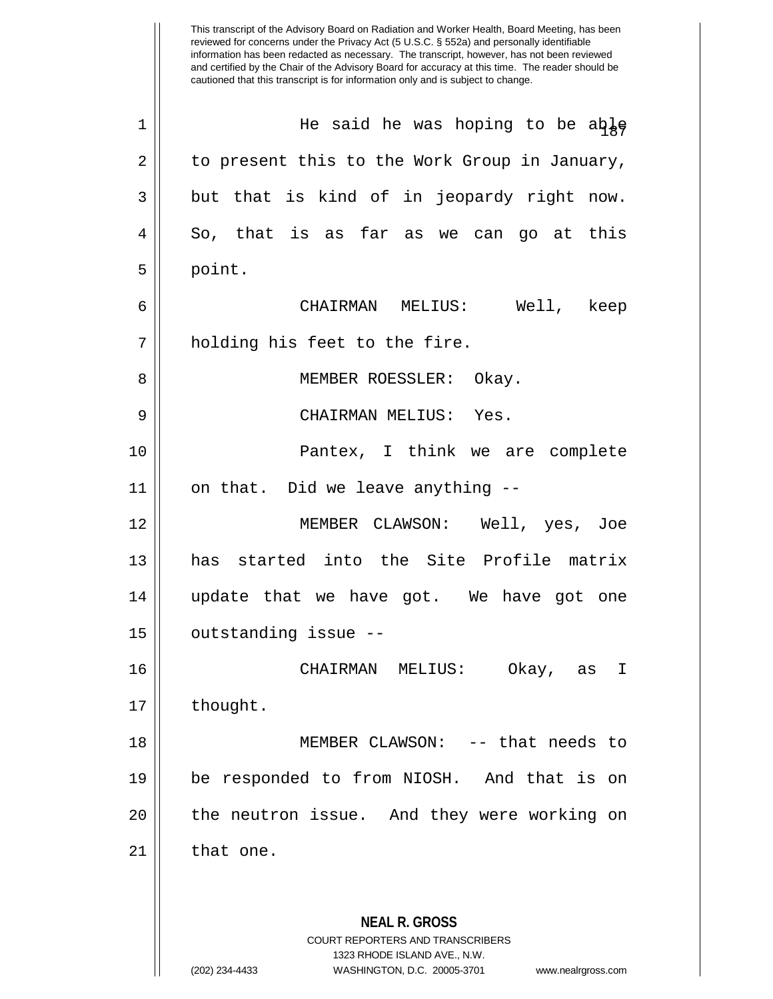This transcript of the Advisory Board on Radiation and Worker Health, Board Meeting, has been reviewed for concerns under the Privacy Act (5 U.S.C. § 552a) and personally identifiable information has been redacted as necessary. The transcript, however, has not been reviewed and certified by the Chair of the Advisory Board for accuracy at this time. The reader should be cautioned that this transcript is for information only and is subject to change. **NEAL R. GROSS** COURT REPORTERS AND TRANSCRIBERS 1323 RHODE ISLAND AVE., N.W. (202) 234-4433 WASHINGTON, D.C. 20005-3701 www.nealrgross.com <sup>187</sup> <sup>1</sup> He said he was hoping to be able  $2 \parallel$  to present this to the Work Group in January,  $3 \parallel$  but that is kind of in jeopardy right now.  $4 \parallel$  So, that is as far as we can go at this  $5 \parallel$  point. 6 CHAIRMAN MELIUS: Well, keep 7 || holding his feet to the fire. 8 || MEMBER ROESSLER: Okay. 9 CHAIRMAN MELIUS: Yes. 10 Pantex, I think we are complete 11 on that. Did we leave anything -- 12 MEMBER CLAWSON: Well, yes, Joe 13 has started into the Site Profile matrix 14 update that we have got. We have got one 15 outstanding issue -- 16 CHAIRMAN MELIUS: Okay, as I  $17 \parallel$  thought. 18 || MEMBER CLAWSON: -- that needs to 19 be responded to from NIOSH. And that is on 20 || the neutron issue. And they were working on  $21$  | that one.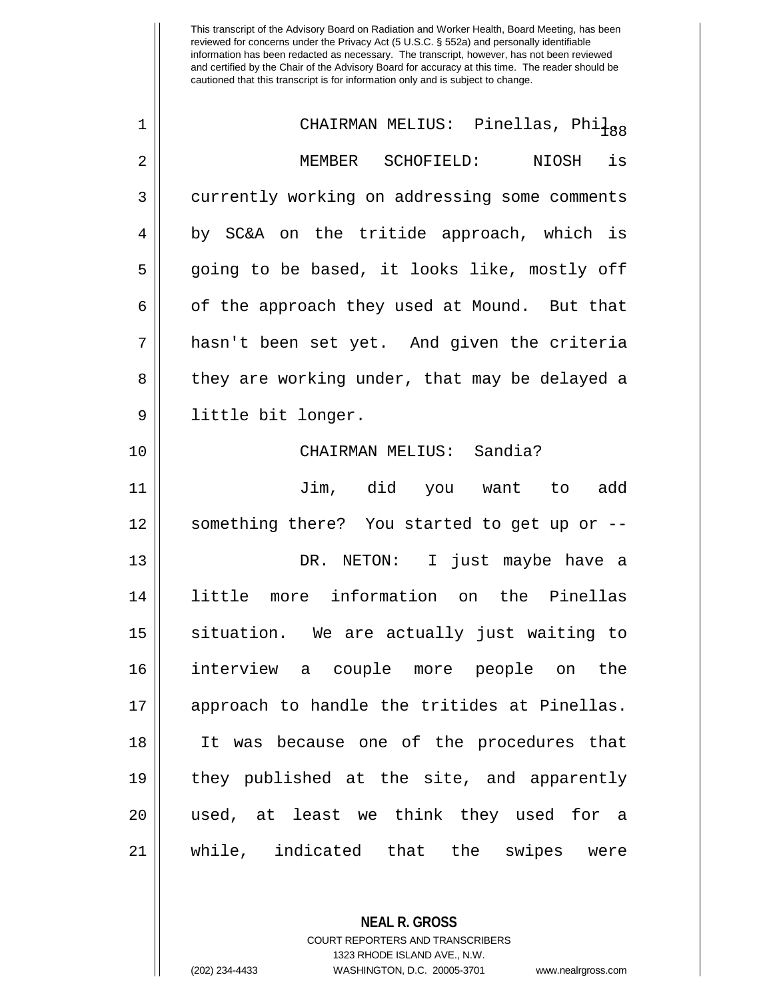| $\mathbf 1$    | CHAIRMAN MELIUS: Pinellas, Phi <sub>188</sub> |
|----------------|-----------------------------------------------|
| $\overline{2}$ | MEMBER SCHOFIELD: NIOSH<br>is                 |
| 3              | currently working on addressing some comments |
| 4              | by SC&A on the tritide approach, which is     |
| 5              | going to be based, it looks like, mostly off  |
| 6              | of the approach they used at Mound. But that  |
| 7              | hasn't been set yet. And given the criteria   |
| 8              | they are working under, that may be delayed a |
| 9              | little bit longer.                            |
| 10             | CHAIRMAN MELIUS: Sandia?                      |
| 11             | Jim, did you want to<br>add                   |
| 12             | something there? You started to get up or --  |
| 13             | DR. NETON: I just maybe have a                |
| 14             | little more information on the Pinellas       |
| 15             | situation. We are actually just waiting to    |
| 16             | interview a couple more people on the         |
| 17             | approach to handle the tritides at Pinellas.  |
| 18             | It was because one of the procedures that     |
| 19             | they published at the site, and apparently    |
| 20             | used, at least we think they used for a       |
| 21             | while, indicated that the swipes were         |

COURT REPORTERS AND TRANSCRIBERS 1323 RHODE ISLAND AVE., N.W. (202) 234-4433 WASHINGTON, D.C. 20005-3701 www.nealrgross.com

**NEAL R. GROSS**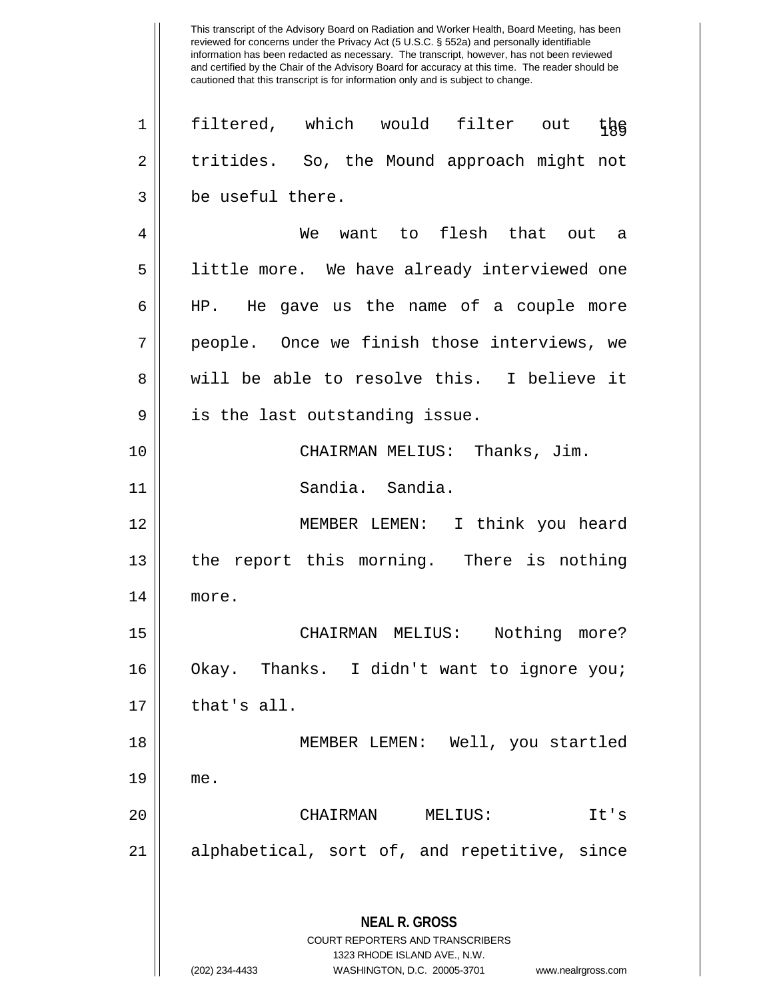**NEAL R. GROSS** COURT REPORTERS AND TRANSCRIBERS 1323 RHODE ISLAND AVE., N.W. (202) 234-4433 WASHINGTON, D.C. 20005-3701 www.nealrgross.com  $\begin{array}{ccc} 1 & \text{filtered,} & \text{which} & \text{would} & \text{filter} & \text{out} & \frac{1}{2} \end{array}$ 2 || tritides. So, the Mound approach might not 3 || be useful there. 4 We want to flesh that out a 5 || little more. We have already interviewed one 6 HP. He gave us the name of a couple more 7 people. Once we finish those interviews, we 8 will be able to resolve this. I believe it 9 || is the last outstanding issue. 10 CHAIRMAN MELIUS: Thanks, Jim. 11 | Sandia. Sandia. 12 MEMBER LEMEN: I think you heard 13 || the report this morning. There is nothing 14 more. 15 CHAIRMAN MELIUS: Nothing more? 16 || Okay. Thanks. I didn't want to ignore you;  $17$  | that's all. 18 MEMBER LEMEN: Well, you startled  $19 \parallel$  me. 20 CHAIRMAN MELIUS: It's 21 alphabetical, sort of, and repetitive, since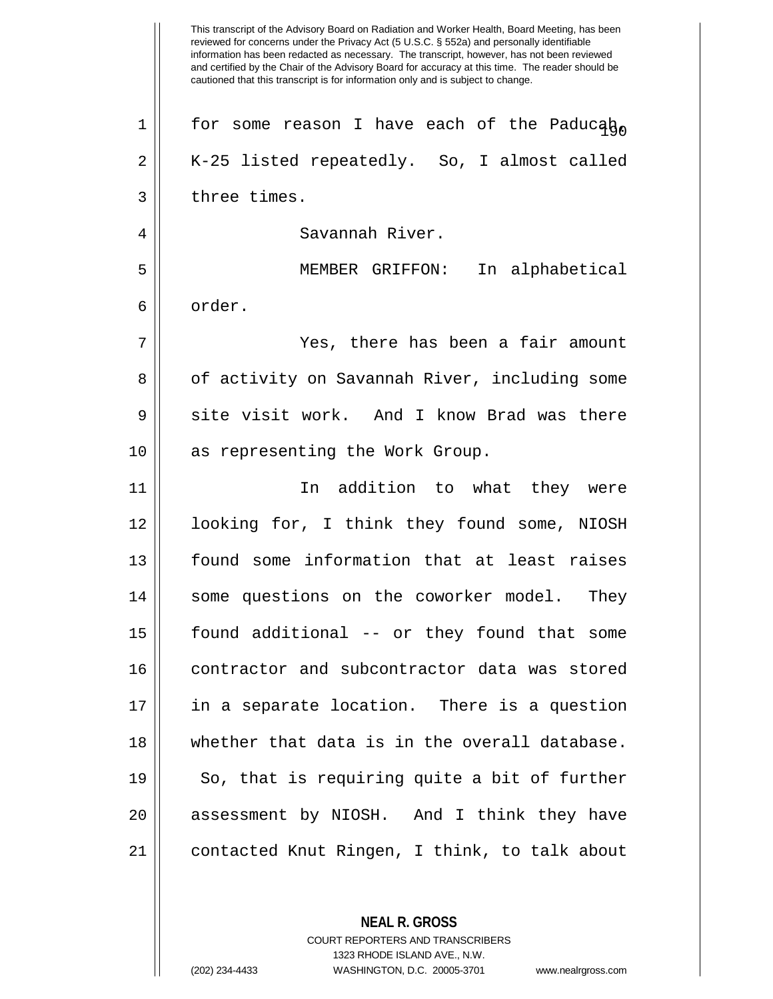This transcript of the Advisory Board on Radiation and Worker Health, Board Meeting, has been reviewed for concerns under the Privacy Act (5 U.S.C. § 552a) and personally identifiable information has been redacted as necessary. The transcript, however, has not been reviewed and certified by the Chair of the Advisory Board for accuracy at this time. The reader should be cautioned that this transcript is for information only and is subject to change. 1 | for some reason I have each of the Paduca $a_{\alpha}$ 2 || K-25 listed repeatedly. So, I almost called  $3$   $\parallel$  three times. 4 Savannah River. 5 MEMBER GRIFFON: In alphabetical 6 order. 7 Yes, there has been a fair amount 8 | of activity on Savannah River, including some 9 Site visit work. And I know Brad was there 10 as representing the Work Group. 11 In addition to what they were 12 looking for, I think they found some, NIOSH 13 found some information that at least raises 14 || some questions on the coworker model. They 15 found additional -- or they found that some 16 | contractor and subcontractor data was stored 17 in a separate location. There is a question 18 whether that data is in the overall database.  $19$   $\parallel$  So, that is requiring quite a bit of further 20 || assessment by NIOSH. And I think they have 21 contacted Knut Ringen, I think, to talk about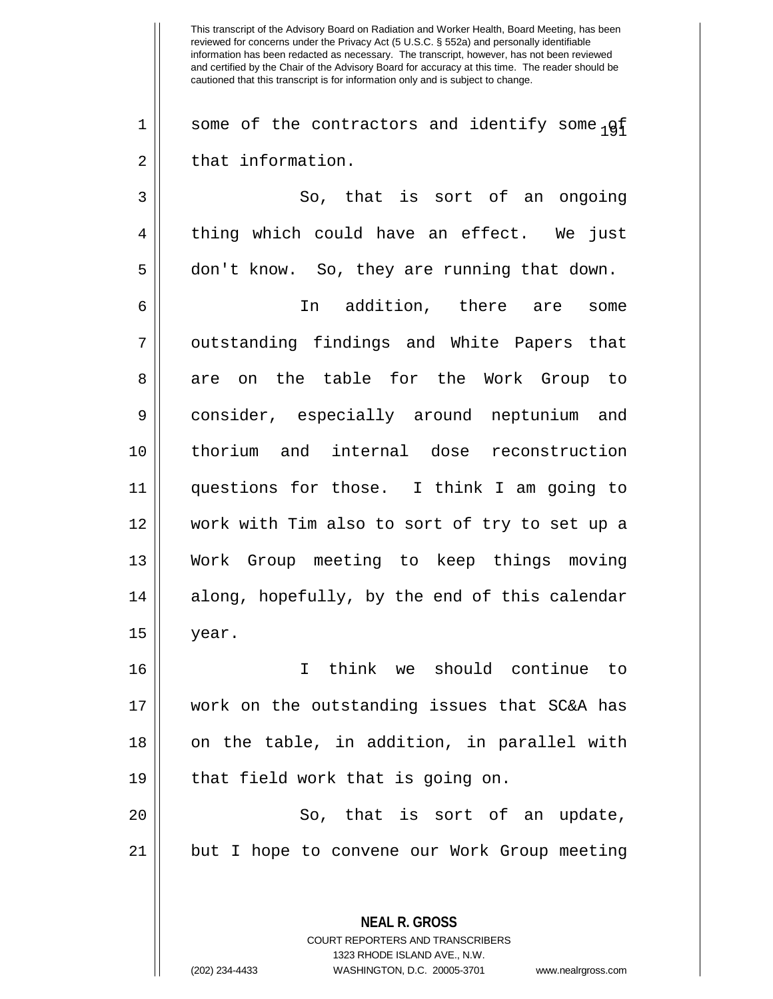1 || some of the contractors and identify some  $_{1}Q_{1}$ 2 | that information.

 $3 \parallel$  So, that is sort of an ongoing 4 thing which could have an effect. We just 5 | don't know. So, they are running that down. 6 In addition, there are some 7 || outstanding findings and White Papers that 8 are on the table for the Work Group to 9 consider, especially around neptunium and 10 thorium and internal dose reconstruction 11 questions for those. I think I am going to 12 work with Tim also to sort of try to set up a 13 Work Group meeting to keep things moving  $14$  || along, hopefully, by the end of this calendar  $15 \parallel$  year. 16 I think we should continue to

17 work on the outstanding issues that SC&A has  $18$  || on the table, in addition, in parallel with  $19$  | that field work that is going on.

20 So, that is sort of an update, 21 || but I hope to convene our Work Group meeting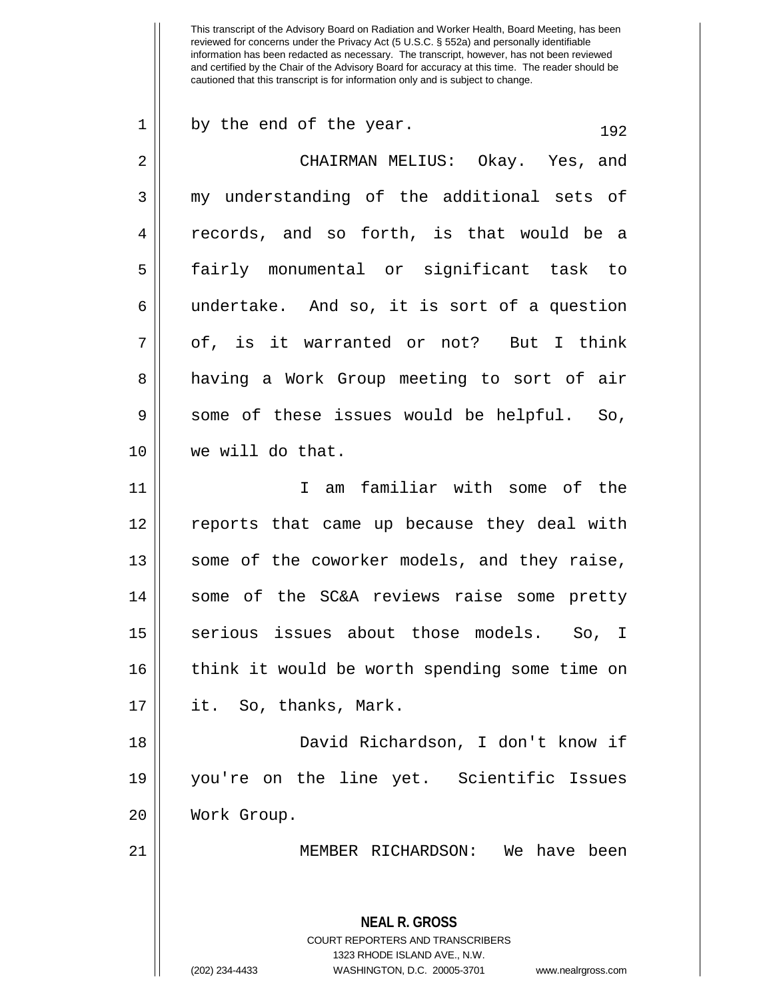**NEAL R. GROSS** COURT REPORTERS AND TRANSCRIBERS 1323 RHODE ISLAND AVE., N.W. (202) 234-4433 WASHINGTON, D.C. 20005-3701 www.nealrgross.com  $1 \parallel$  by the end of the year.  $192$ 2 CHAIRMAN MELIUS: Okay. Yes, and 3 my understanding of the additional sets of 4 || records, and so forth, is that would be a 5 || fairly monumental or significant task to  $6 \parallel$  undertake. And so, it is sort of a question 7 of, is it warranted or not? But I think 8 || having a Work Group meeting to sort of air  $9 \parallel$  some of these issues would be helpful. So, 10 we will do that. 11 I am familiar with some of the 12 reports that came up because they deal with  $13$  some of the coworker models, and they raise, 14 || some of the SC&A reviews raise some pretty 15 || serious issues about those models. So, I 16 || think it would be worth spending some time on 17 it. So, thanks, Mark. 18 David Richardson, I don't know if 19 you're on the line yet. Scientific Issues 20 Work Group. 21 MEMBER RICHARDSON: We have been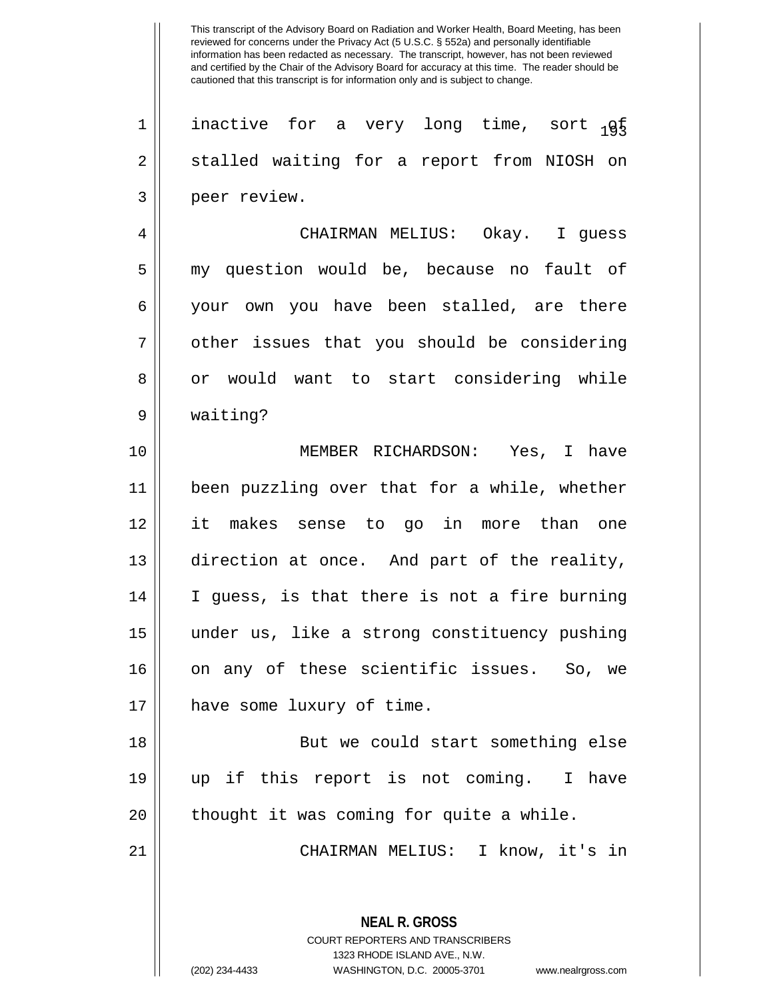1 || inactive for a very long time, sort  ${}_{1}Q_{5}$ 2 || stalled waiting for a report from NIOSH on 3 || peer review.

4 CHAIRMAN MELIUS: Okay. I guess 5 my question would be, because no fault of 6 your own you have been stalled, are there 7 || other issues that you should be considering 8 || or would want to start considering while 9 waiting?

 MEMBER RICHARDSON: Yes, I have been puzzling over that for a while, whether it makes sense to go in more than one direction at once. And part of the reality, I guess, is that there is not a fire burning under us, like a strong constituency pushing 16 || on any of these scientific issues. So, we 17 || have some luxury of time.

18 || But we could start something else 19 up if this report is not coming. I have  $20$  || thought it was coming for quite a while.

21 CHAIRMAN MELIUS: I know, it's in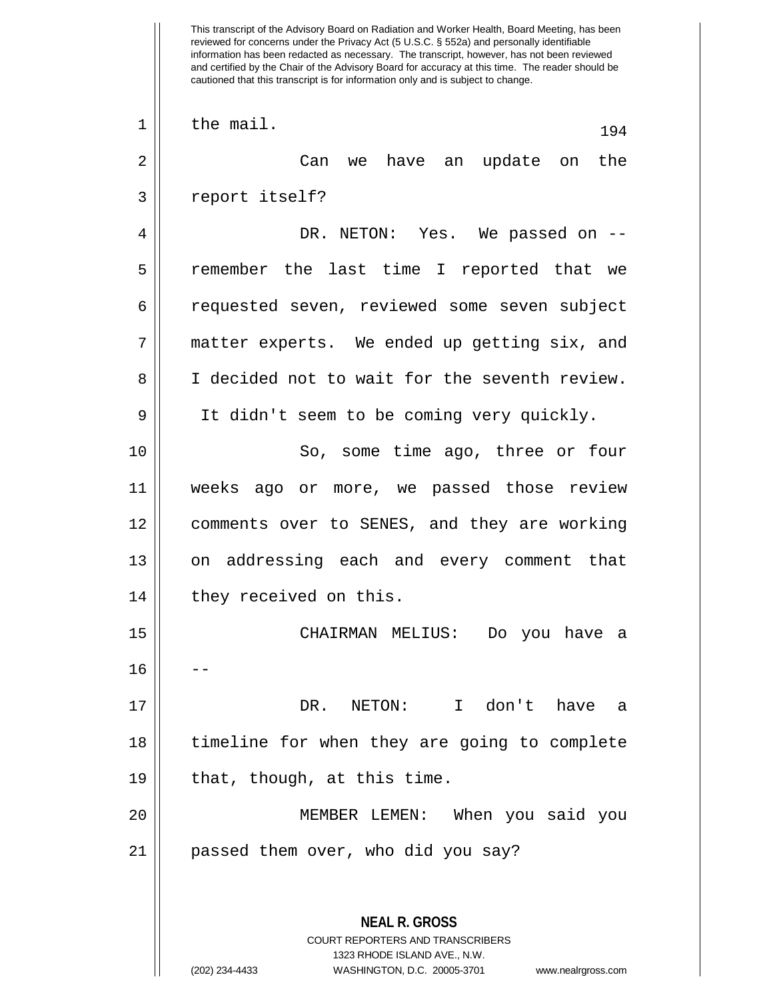This transcript of the Advisory Board on Radiation and Worker Health, Board Meeting, has been reviewed for concerns under the Privacy Act (5 U.S.C. § 552a) and personally identifiable information has been redacted as necessary. The transcript, however, has not been reviewed and certified by the Chair of the Advisory Board for accuracy at this time. The reader should be cautioned that this transcript is for information only and is subject to change. **NEAL R. GROSS** COURT REPORTERS AND TRANSCRIBERS 1323 RHODE ISLAND AVE., N.W.  $\begin{array}{c|c} 1 & \text{the mail.} \end{array}$  194 2 Can we have an update on the 3 || report itself? 4 DR. NETON: Yes. We passed on -- 5 || remember the last time I reported that we 6 | requested seven, reviewed some seven subject 7 matter experts. We ended up getting six, and 8 || I decided not to wait for the seventh review. 9 | It didn't seem to be coming very quickly. 10 || So, some time ago, three or four 11 weeks ago or more, we passed those review 12 comments over to SENES, and they are working 13 on addressing each and every comment that 14 | they received on this. 15 CHAIRMAN MELIUS: Do you have a 16 17 DR. NETON: I don't have a 18 timeline for when they are going to complete  $19$  | that, though, at this time. 20 MEMBER LEMEN: When you said you 21 passed them over, who did you say?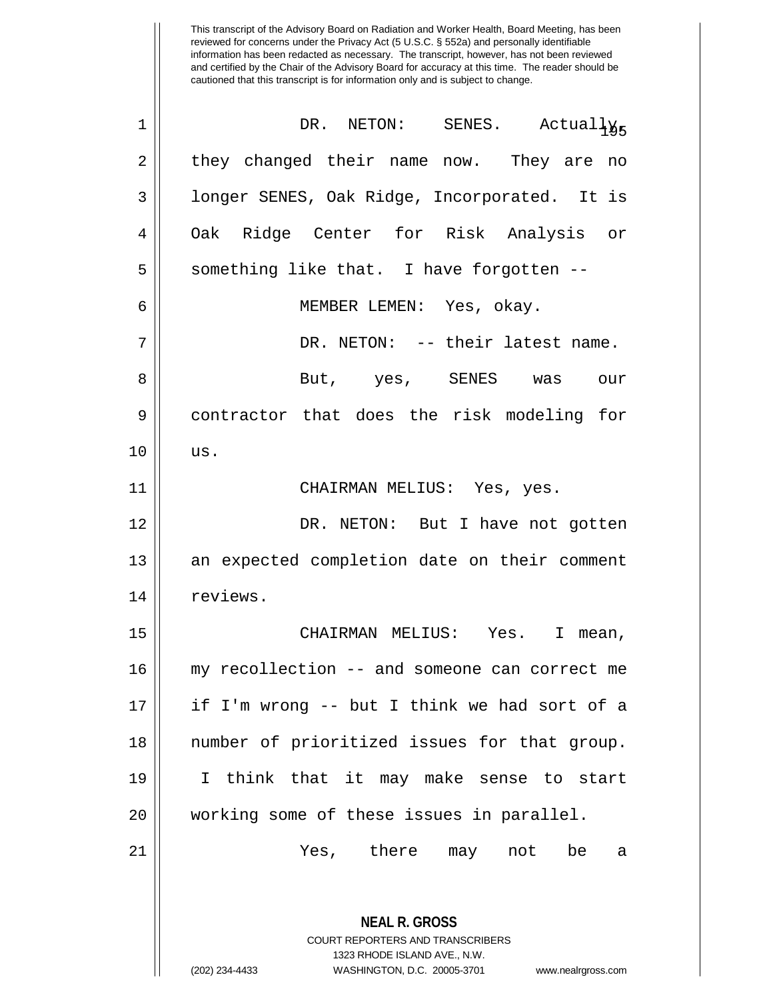This transcript of the Advisory Board on Radiation and Worker Health, Board Meeting, has been reviewed for concerns under the Privacy Act (5 U.S.C. § 552a) and personally identifiable information has been redacted as necessary. The transcript, however, has not been reviewed and certified by the Chair of the Advisory Board for accuracy at this time. The reader should be cautioned that this transcript is for information only and is subject to change. 1 || DR. NETON: SENES. Actuall<sub>i</sub>y<sub>g</sub> 2 || they changed their name now. They are no 3 || Ionger SENES, Oak Ridge, Incorporated. It is 4 Oak Ridge Center for Risk Analysis or  $5$  || something like that. I have forgotten --6 MEMBER LEMEN: Yes, okay. 7 DR. NETON: -- their latest name. 8 But, yes, SENES was our 9 contractor that does the risk modeling for  $10 \parallel$  us. 11 CHAIRMAN MELIUS: Yes, yes.

12 DR. NETON: But I have not gotten 13 || an expected completion date on their comment 14 reviews.

 CHAIRMAN MELIUS: Yes. I mean, my recollection -- and someone can correct me if I'm wrong -- but I think we had sort of a number of prioritized issues for that group. I think that it may make sense to start working some of these issues in parallel. Yes, there may not be a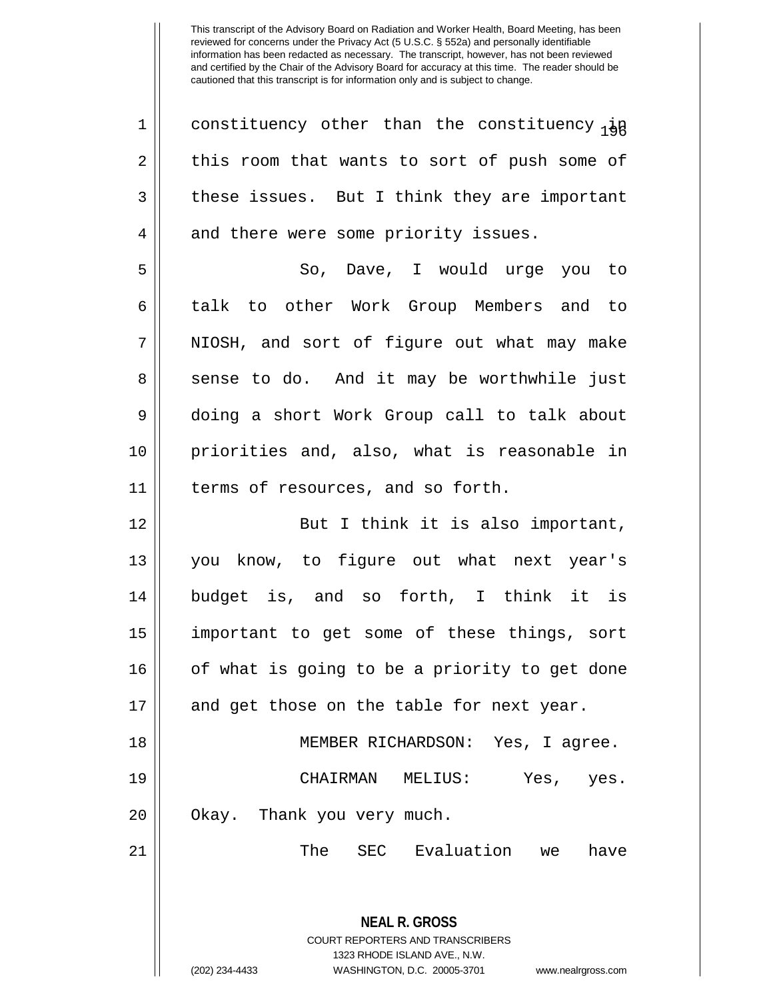**NEAL R. GROSS** COURT REPORTERS AND TRANSCRIBERS 1323 RHODE ISLAND AVE., N.W. (202) 234-4433 WASHINGTON, D.C. 20005-3701 www.nealrgross.com 1 || constituency other than the constituency  $\frac{1}{16}$ 2 || this room that wants to sort of push some of  $3 \parallel$  these issues. But I think they are important 4 and there were some priority issues. 5 So, Dave, I would urge you to 6 talk to other Work Group Members and to 7 || NIOSH, and sort of figure out what may make 8 || sense to do. And it may be worthwhile just 9 doing a short Work Group call to talk about 10 priorities and, also, what is reasonable in 11 || terms of resources, and so forth. 12 || But I think it is also important, 13 you know, to figure out what next year's 14 budget is, and so forth, I think it is 15 important to get some of these things, sort 16 || of what is going to be a priority to get done 17 || and get those on the table for next year. 18 MEMBER RICHARDSON: Yes, I agree. 19 CHAIRMAN MELIUS: Yes, yes. 20 || Okay. Thank you very much. 21 The SEC Evaluation we have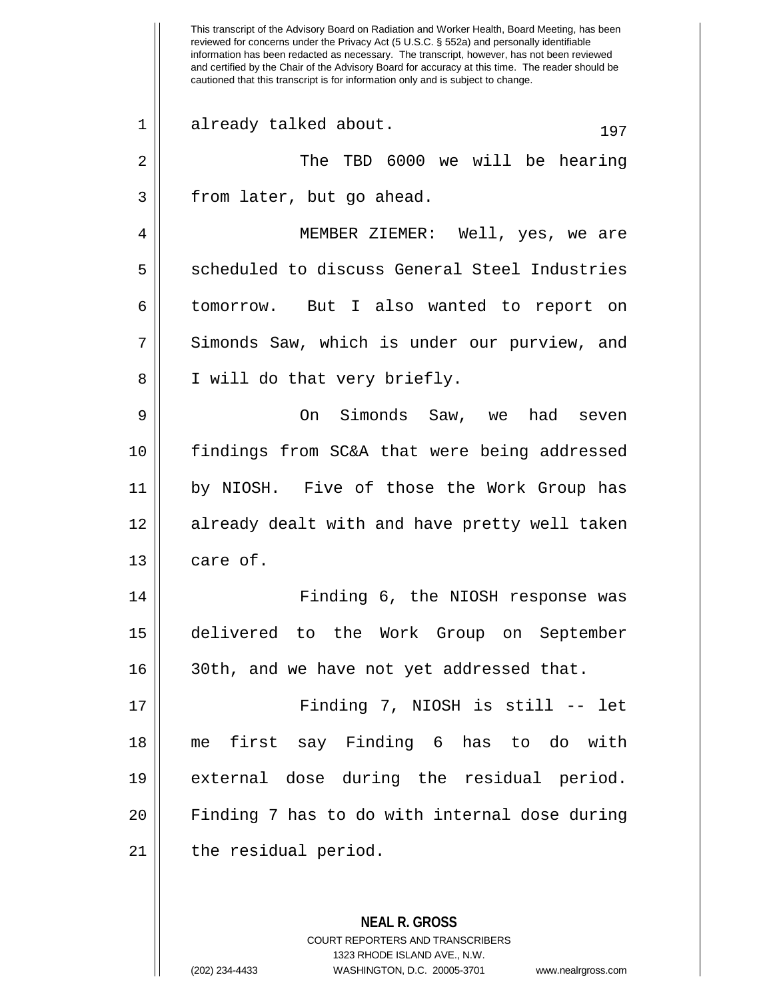This transcript of the Advisory Board on Radiation and Worker Health, Board Meeting, has been reviewed for concerns under the Privacy Act (5 U.S.C. § 552a) and personally identifiable information has been redacted as necessary. The transcript, however, has not been reviewed and certified by the Chair of the Advisory Board for accuracy at this time. The reader should be cautioned that this transcript is for information only and is subject to change. **NEAL R. GROSS**  $1 \parallel$  already talked about.  $197$ 2 The TBD 6000 we will be hearing  $3 \parallel$  from later, but go ahead. 4 MEMBER ZIEMER: Well, yes, we are 5 || scheduled to discuss General Steel Industries 6 tomorrow. But I also wanted to report on 7 Simonds Saw, which is under our purview, and 8 || I will do that very briefly. 9 On Simonds Saw, we had seven 10 findings from SC&A that were being addressed 11 by NIOSH. Five of those the Work Group has 12 || already dealt with and have pretty well taken  $13$  care of. 14 || Finding 6, the NIOSH response was 15 delivered to the Work Group on September 16 || 30th, and we have not yet addressed that. 17 Finding 7, NIOSH is still -- let 18 me first say Finding 6 has to do with 19 external dose during the residual period. 20 Finding 7 has to do with internal dose during  $21$  | the residual period.

> COURT REPORTERS AND TRANSCRIBERS 1323 RHODE ISLAND AVE., N.W.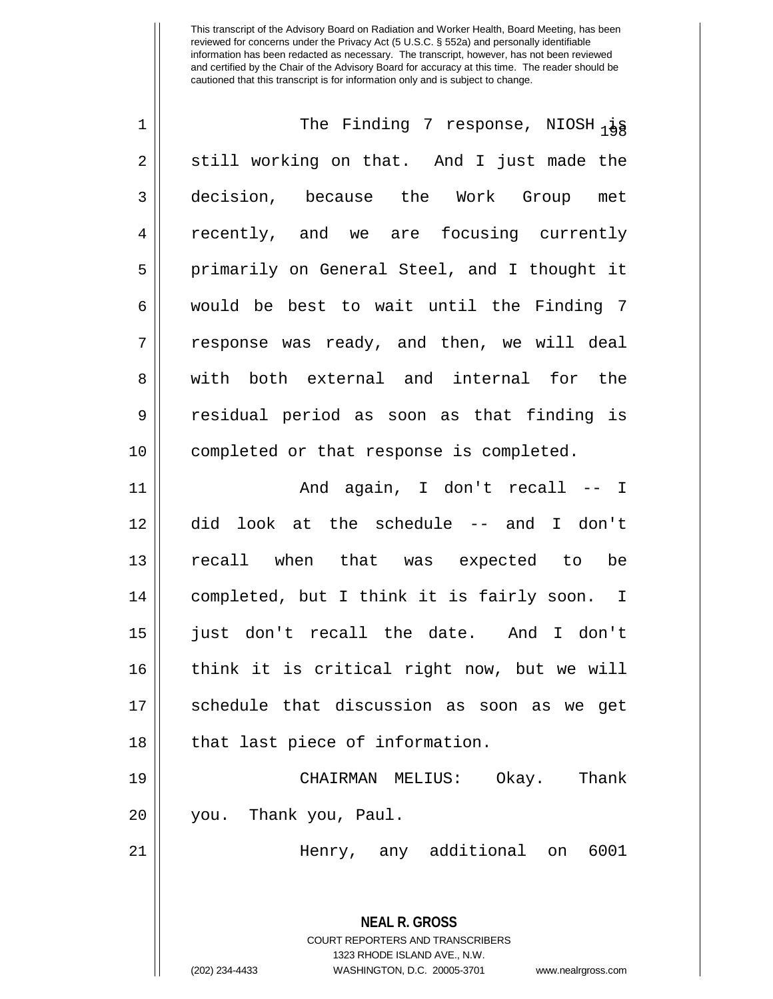| $1\,$          | The Finding 7 response, NIOSH 198                                                                                                                                      |
|----------------|------------------------------------------------------------------------------------------------------------------------------------------------------------------------|
| $\overline{2}$ | still working on that. And I just made the                                                                                                                             |
| 3              | decision, because the Work Group met                                                                                                                                   |
| $\overline{4}$ | recently, and we are focusing currently                                                                                                                                |
| 5              | primarily on General Steel, and I thought it                                                                                                                           |
| 6              | would be best to wait until the Finding 7                                                                                                                              |
| 7              | response was ready, and then, we will deal                                                                                                                             |
| 8              | with both external and internal for the                                                                                                                                |
| 9              | residual period as soon as that finding is                                                                                                                             |
| 10             | completed or that response is completed.                                                                                                                               |
| 11             | And again, I don't recall -- I                                                                                                                                         |
| 12             | look at the schedule -- and I don't<br>did                                                                                                                             |
| 13             | recall when that was expected to be                                                                                                                                    |
| 14             | completed, but I think it is fairly soon. I                                                                                                                            |
| 15             | just don't recall the date. And I don't                                                                                                                                |
| 16             | think it is critical right now, but we will                                                                                                                            |
| 17             | schedule that discussion as soon as we get                                                                                                                             |
| 18             | that last piece of information.                                                                                                                                        |
| 19             | CHAIRMAN MELIUS:<br>Okay.<br>Thank                                                                                                                                     |
| 20             | you. Thank you, Paul.                                                                                                                                                  |
| 21             | Henry, any additional on 6001                                                                                                                                          |
|                | <b>NEAL R. GROSS</b><br><b>COURT REPORTERS AND TRANSCRIBERS</b><br>1323 RHODE ISLAND AVE., N.W.<br>WASHINGTON, D.C. 20005-3701<br>(202) 234-4433<br>www.nealrgross.com |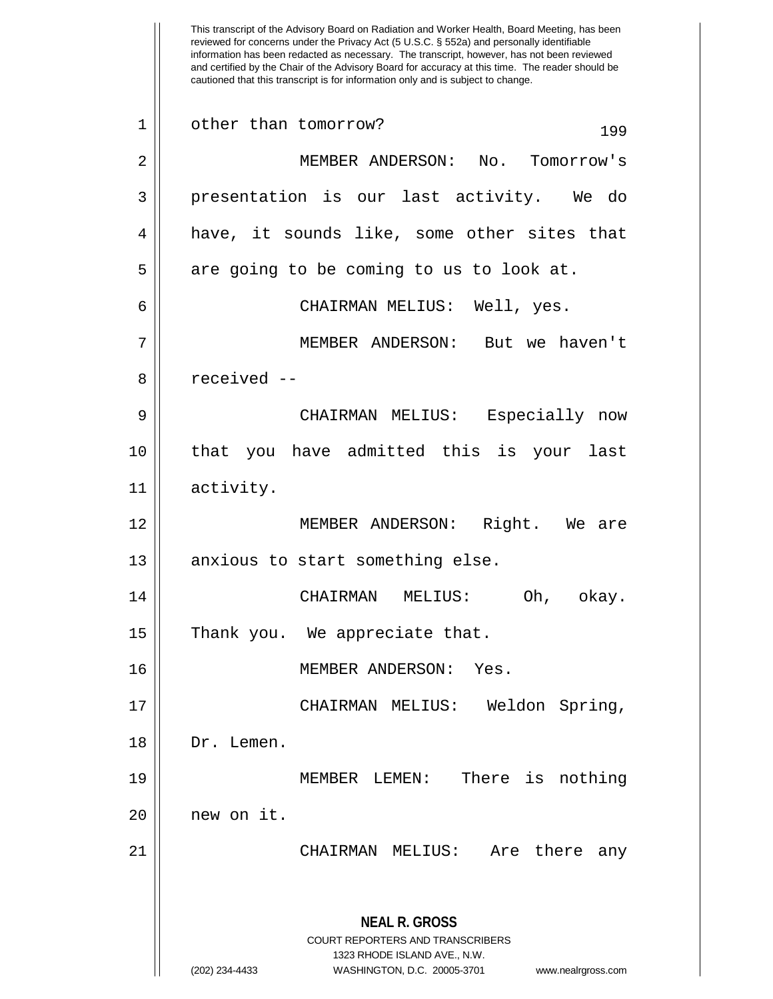This transcript of the Advisory Board on Radiation and Worker Health, Board Meeting, has been reviewed for concerns under the Privacy Act (5 U.S.C. § 552a) and personally identifiable information has been redacted as necessary. The transcript, however, has not been reviewed and certified by the Chair of the Advisory Board for accuracy at this time. The reader should be cautioned that this transcript is for information only and is subject to change. **NEAL R. GROSS** COURT REPORTERS AND TRANSCRIBERS 1323 RHODE ISLAND AVE., N.W. (202) 234-4433 WASHINGTON, D.C. 20005-3701 www.nealrgross.com 1 | other than tomorrow? 199 2 MEMBER ANDERSON: No. Tomorrow's 3 || presentation is our last activity. We do 4 have, it sounds like, some other sites that  $5 \parallel$  are going to be coming to us to look at. 6 CHAIRMAN MELIUS: Well, yes. 7 MEMBER ANDERSON: But we haven't 8 ll received --9 CHAIRMAN MELIUS: Especially now 10 that you have admitted this is your last 11 activity. 12 MEMBER ANDERSON: Right. We are 13 || anxious to start something else. 14 CHAIRMAN MELIUS: Oh, okay. 15 || Thank you. We appreciate that. 16 MEMBER ANDERSON: Yes. 17 CHAIRMAN MELIUS: Weldon Spring, 18 Dr. Lemen. 19 MEMBER LEMEN: There is nothing 20 new on it. 21 CHAIRMAN MELIUS: Are there any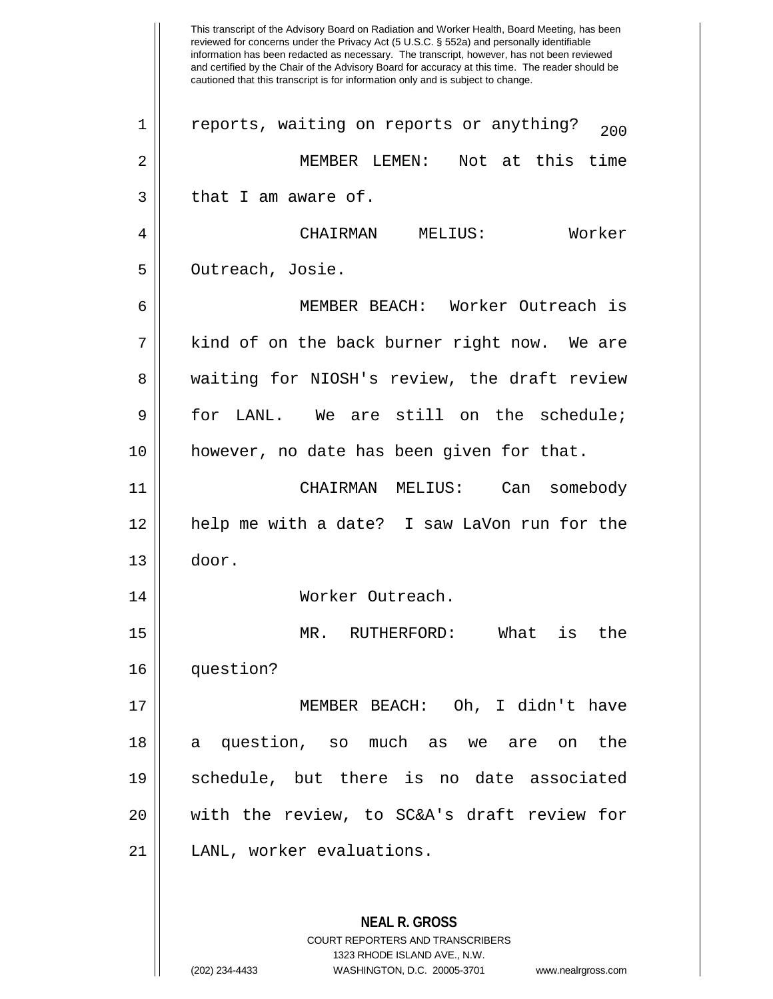This transcript of the Advisory Board on Radiation and Worker Health, Board Meeting, has been reviewed for concerns under the Privacy Act (5 U.S.C. § 552a) and personally identifiable information has been redacted as necessary. The transcript, however, has not been reviewed and certified by the Chair of the Advisory Board for accuracy at this time. The reader should be cautioned that this transcript is for information only and is subject to change. **NEAL R. GROSS** COURT REPORTERS AND TRANSCRIBERS 1323 RHODE ISLAND AVE., N.W.  $1$  || reports, waiting on reports or anything?  $200$ 2 MEMBER LEMEN: Not at this time  $3 \parallel$  that I am aware of. 4 CHAIRMAN MELIUS: Worker 5 | Outreach, Josie. 6 MEMBER BEACH: Worker Outreach is 7 || kind of on the back burner right now. We are 8 We waiting for NIOSH's review, the draft review 9 for LANL. We are still on the schedule; 10 however, no date has been given for that. 11 CHAIRMAN MELIUS: Can somebody 12 help me with a date? I saw LaVon run for the  $13 \parallel$  door. 14 || Worker Outreach. 15 MR. RUTHERFORD: What is the 16 question? 17 MEMBER BEACH: Oh, I didn't have 18 a question, so much as we are on the 19 schedule, but there is no date associated 20 || with the review, to SC&A's draft review for 21 || LANL, worker evaluations.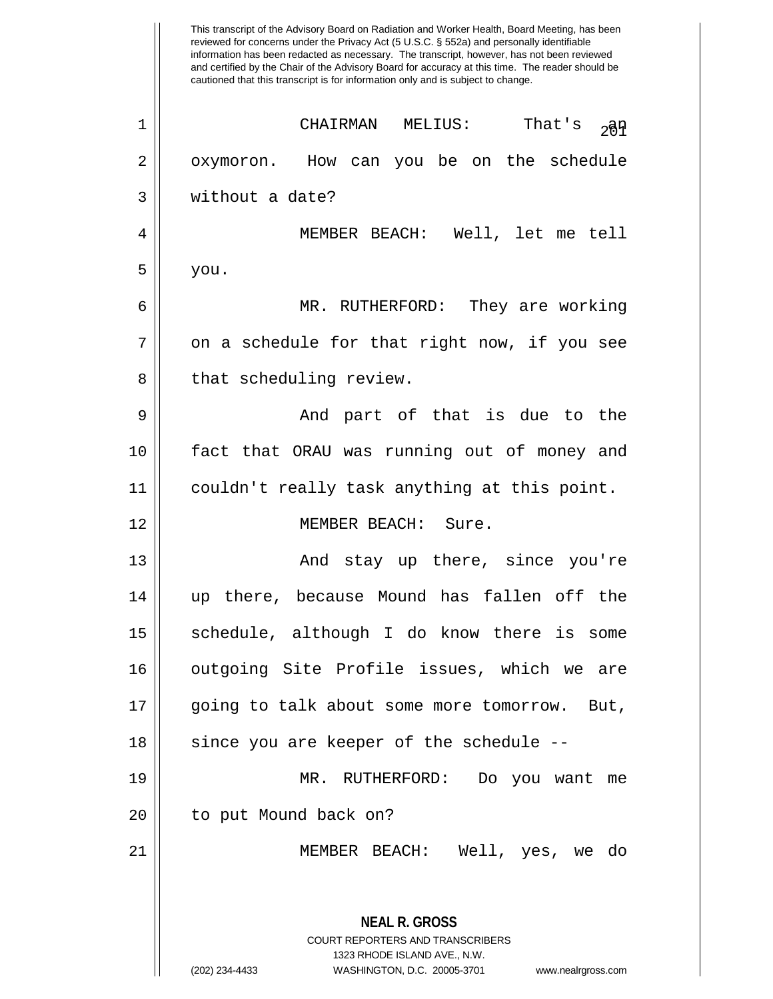This transcript of the Advisory Board on Radiation and Worker Health, Board Meeting, has been reviewed for concerns under the Privacy Act (5 U.S.C. § 552a) and personally identifiable information has been redacted as necessary. The transcript, however, has not been reviewed and certified by the Chair of the Advisory Board for accuracy at this time. The reader should be cautioned that this transcript is for information only and is subject to change. **NEAL R. GROSS** COURT REPORTERS AND TRANSCRIBERS 1323 RHODE ISLAND AVE., N.W. (202) 234-4433 WASHINGTON, D.C. 20005-3701 www.nealrgross.com  $\begin{array}{ccc} \texttt{1} & \texttt{CHAIRMAN} & \texttt{MELIUS:} & \texttt{That's} & \texttt{20P} \end{array}$ 2 | oxymoron. How can you be on the schedule 3 without a date? 4 MEMBER BEACH: Well, let me tell  $5 \mid y$ ou. 6 MR. RUTHERFORD: They are working  $7 \parallel$  on a schedule for that right now, if you see 8 || that scheduling review. 9 || The Read part of that is due to the 10 fact that ORAU was running out of money and 11 couldn't really task anything at this point. 12 || MEMBER BEACH: Sure. 13 And stay up there, since you're 14 up there, because Mound has fallen off the 15 || schedule, although I do know there is some 16 || outgoing Site Profile issues, which we are 17 going to talk about some more tomorrow. But,  $18$  || since you are keeper of the schedule --19 MR. RUTHERFORD: Do you want me 20 || to put Mound back on? 21 MEMBER BEACH: Well, yes, we do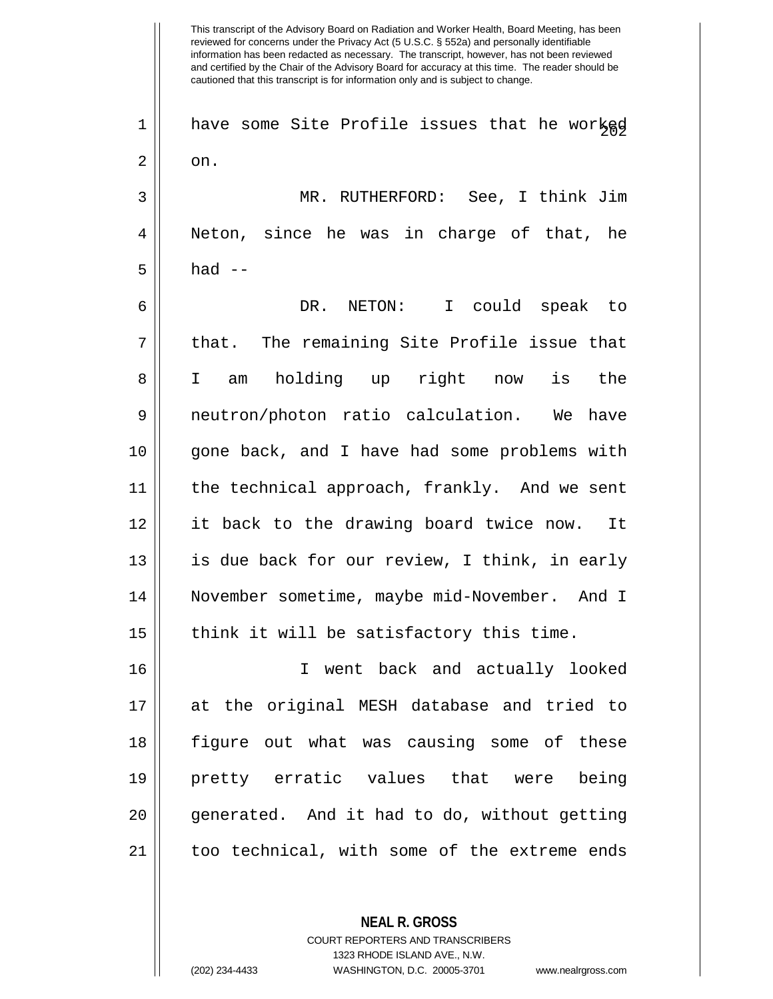This transcript of the Advisory Board on Radiation and Worker Health, Board Meeting, has been reviewed for concerns under the Privacy Act (5 U.S.C. § 552a) and personally identifiable information has been redacted as necessary. The transcript, however, has not been reviewed and certified by the Chair of the Advisory Board for accuracy at this time. The reader should be cautioned that this transcript is for information only and is subject to change. | have some Site Profile issues that he worked  $2 \parallel$  on. MR. RUTHERFORD: See, I think Jim Neton, since he was in charge of that, he  $5 \parallel$  had  $-$  DR. NETON: I could speak to  $7 ||$  that. The remaining Site Profile issue that I am holding up right now is the neutron/photon ratio calculation. We have gone back, and I have had some problems with the technical approach, frankly. And we sent it back to the drawing board twice now. It  $\parallel$  is due back for our review, I think, in early 14 | November sometime, maybe mid-November. And I || think it will be satisfactory this time. I went back and actually looked at the original MESH database and tried to figure out what was causing some of these pretty erratic values that were being generated. And it had to do, without getting 21 || too technical, with some of the extreme ends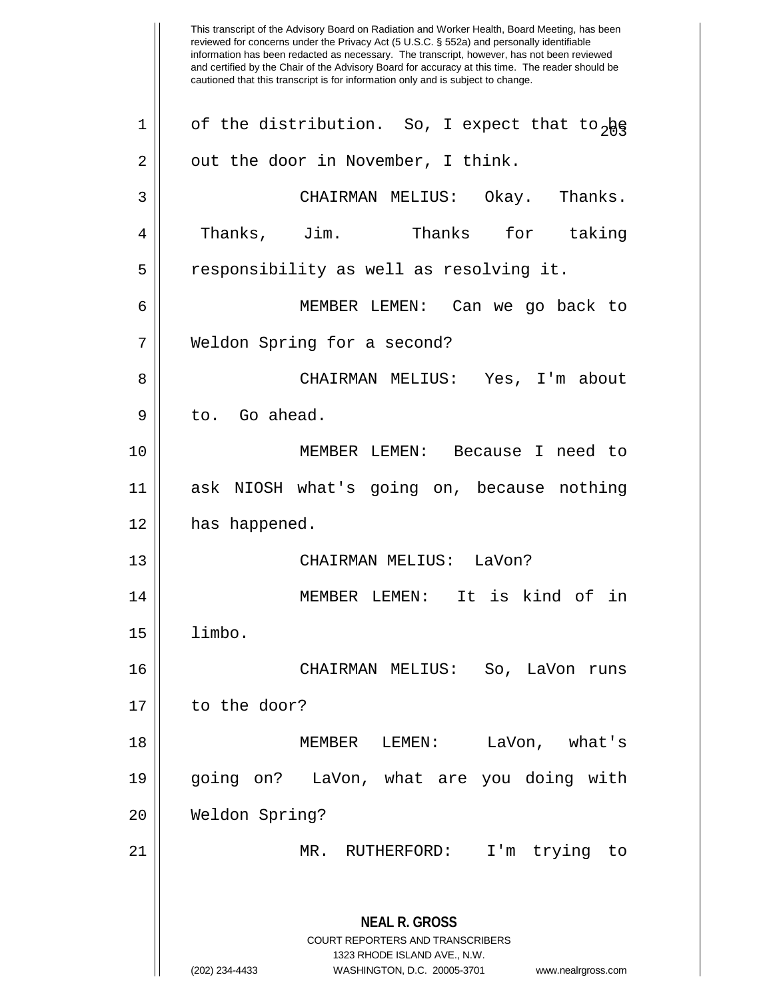This transcript of the Advisory Board on Radiation and Worker Health, Board Meeting, has been reviewed for concerns under the Privacy Act (5 U.S.C. § 552a) and personally identifiable information has been redacted as necessary. The transcript, however, has not been reviewed and certified by the Chair of the Advisory Board for accuracy at this time. The reader should be cautioned that this transcript is for information only and is subject to change. **NEAL R. GROSS** COURT REPORTERS AND TRANSCRIBERS 1323 RHODE ISLAND AVE., N.W. (202) 234-4433 WASHINGTON, D.C. 20005-3701 www.nealrgross.com 1 | of the distribution. So, I expect that to  $\frac{1}{2}$  $2 \parallel$  out the door in November, I think. 3 CHAIRMAN MELIUS: Okay. Thanks. 4 Thanks, Jim. Thanks for taking 5 || responsibility as well as resolving it. 6 MEMBER LEMEN: Can we go back to 7 || Weldon Spring for a second? 8 CHAIRMAN MELIUS: Yes, I'm about 9 l to. Go ahead. 10 MEMBER LEMEN: Because I need to 11 ask NIOSH what's going on, because nothing 12 | has happened. 13 CHAIRMAN MELIUS: LaVon? 14 MEMBER LEMEN: It is kind of in  $15$   $\parallel$   $1 \text{imbo.}$ 16 CHAIRMAN MELIUS: So, LaVon runs 17 | to the door? 18 MEMBER LEMEN: LaVon, what's 19 going on? LaVon, what are you doing with 20 Weldon Spring? 21 MR. RUTHERFORD: I'm trying to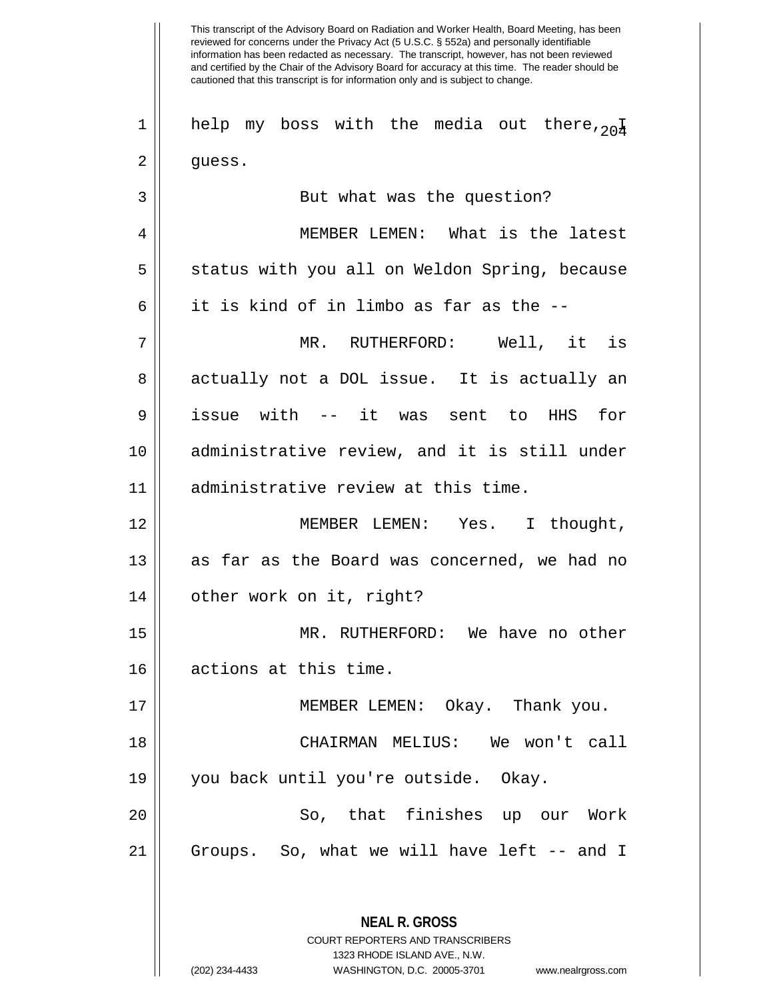This transcript of the Advisory Board on Radiation and Worker Health, Board Meeting, has been reviewed for concerns under the Privacy Act (5 U.S.C. § 552a) and personally identifiable information has been redacted as necessary. The transcript, however, has not been reviewed and certified by the Chair of the Advisory Board for accuracy at this time. The reader should be cautioned that this transcript is for information only and is subject to change. **NEAL R. GROSS** COURT REPORTERS AND TRANSCRIBERS 1 || help my boss with the media out there,  $20\frac{1}{4}$  $2 \parallel$  guess. 3 || But what was the question? 4 MEMBER LEMEN: What is the latest 5 | status with you all on Weldon Spring, because  $6 \parallel$  it is kind of in limbo as far as the --7 MR. RUTHERFORD: Well, it is 8 || actually not a DOL issue. It is actually an 9 issue with -- it was sent to HHS for 10 administrative review, and it is still under 11 administrative review at this time. 12 MEMBER LEMEN: Yes. I thought, 13 || as far as the Board was concerned, we had no 14 | other work on it, right? 15 MR. RUTHERFORD: We have no other 16 actions at this time. 17 MEMBER LEMEN: Okay. Thank you. 18 CHAIRMAN MELIUS: We won't call 19 you back until you're outside. Okay. 20 So, that finishes up our Work 21 Groups. So, what we will have left -- and I

1323 RHODE ISLAND AVE., N.W.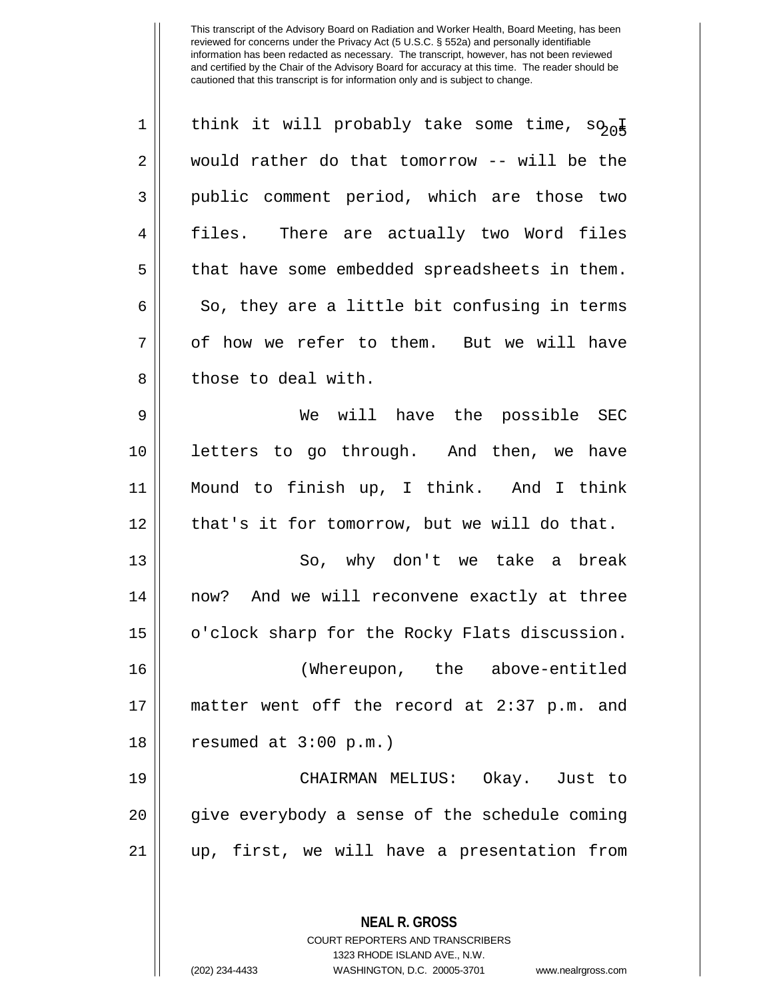| 1              | think it will probably take some time, $so_{0}$ <sub>5</sub> |
|----------------|--------------------------------------------------------------|
| 2              | would rather do that tomorrow -- will be the                 |
| 3              | public comment period, which are those two                   |
| $\overline{4}$ | files. There are actually two Word files                     |
| 5              | that have some embedded spreadsheets in them.                |
| 6              | So, they are a little bit confusing in terms                 |
| 7              | of how we refer to them. But we will have                    |
| 8              | those to deal with.                                          |
| 9              | We will have the possible SEC                                |
| 10             | letters to go through. And then, we have                     |
| 11             | Mound to finish up, I think. And I think                     |
| 12             | that's it for tomorrow, but we will do that.                 |
| 13             | So, why don't we take a break                                |
| 14             | And we will reconvene exactly at three<br>now?               |
| 15             | o'clock sharp for the Rocky Flats discussion.                |
| 16             | (Whereupon, the above-entitled                               |
| 17             | matter went off the record at 2:37 p.m. and                  |
| 18             | resumed at $3:00$ p.m.)                                      |
| 19             | CHAIRMAN MELIUS: Okay. Just to                               |
| 20             | give everybody a sense of the schedule coming                |
| 21             | up, first, we will have a presentation from                  |
|                |                                                              |
|                | <b>NEAL R. GROSS</b><br>COURT REPORTERS AND TRANSCRIBERS     |

1323 RHODE ISLAND AVE., N.W.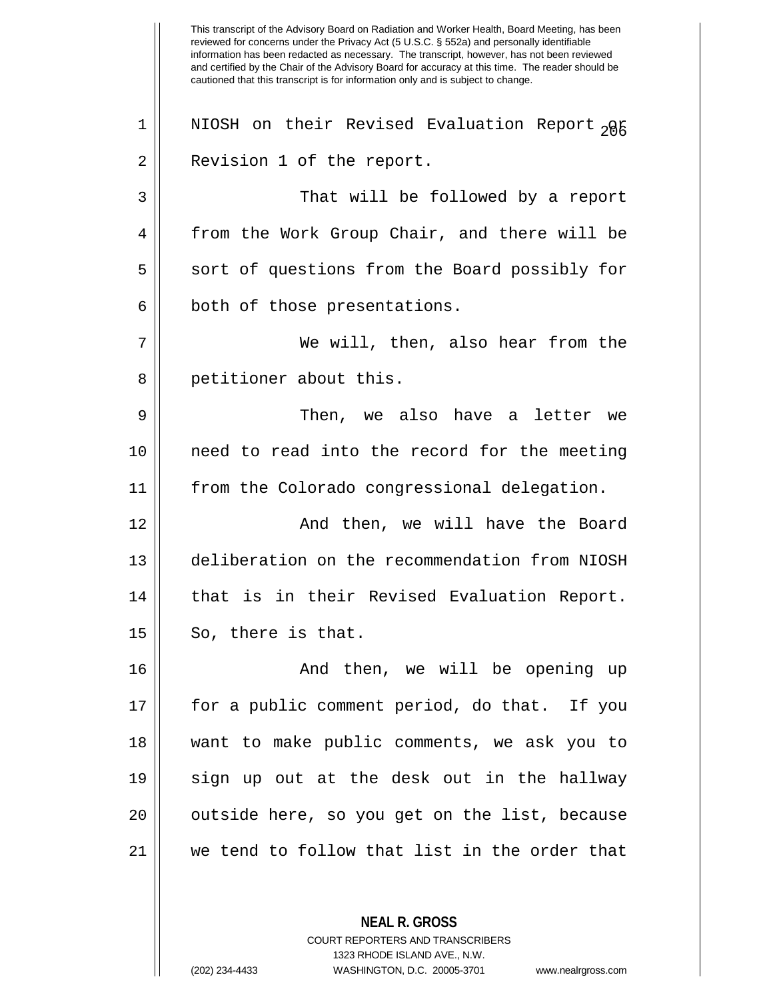This transcript of the Advisory Board on Radiation and Worker Health, Board Meeting, has been reviewed for concerns under the Privacy Act (5 U.S.C. § 552a) and personally identifiable information has been redacted as necessary. The transcript, however, has not been reviewed and certified by the Chair of the Advisory Board for accuracy at this time. The reader should be cautioned that this transcript is for information only and is subject to change. 1 || NIOSH on their Revised Evaluation Report  $_{2}Q_{E}$ 2 || Revision 1 of the report. 3 || That will be followed by a report 4 | from the Work Group Chair, and there will be 5 || sort of questions from the Board possibly for  $6 \parallel$  both of those presentations. 7 We will, then, also hear from the 8 || petitioner about this. 9 Then, we also have a letter we 10 need to read into the record for the meeting 11 from the Colorado congressional delegation. 12 And then, we will have the Board 13 deliberation on the recommendation from NIOSH 14 || that is in their Revised Evaluation Report.  $15 \parallel$  So, there is that. 16 And then, we will be opening up 17 for a public comment period, do that. If you 18 want to make public comments, we ask you to 19 || sign up out at the desk out in the hallway 20 || outside here, so you get on the list, because 21 we tend to follow that list in the order that

> **NEAL R. GROSS** COURT REPORTERS AND TRANSCRIBERS 1323 RHODE ISLAND AVE., N.W.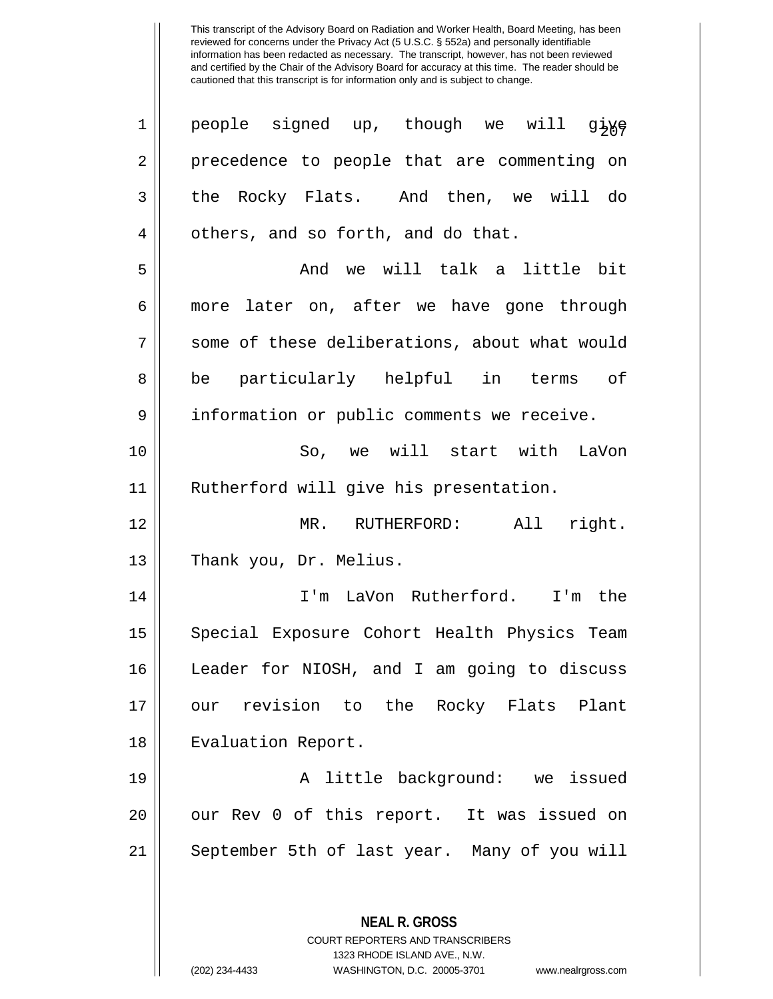| $\mathbf 1$    | people signed up, though we will ging                                                                                                                                  |
|----------------|------------------------------------------------------------------------------------------------------------------------------------------------------------------------|
| $\overline{2}$ | precedence to people that are commenting on                                                                                                                            |
| 3              | the Rocky Flats. And then, we will do                                                                                                                                  |
| 4              | others, and so forth, and do that.                                                                                                                                     |
| 5              | And we will talk a little bit                                                                                                                                          |
| 6              | more later on, after we have gone through                                                                                                                              |
| 7              | some of these deliberations, about what would                                                                                                                          |
| 8              | particularly helpful in terms of<br>be                                                                                                                                 |
| 9              | information or public comments we receive.                                                                                                                             |
| 10             | So, we will start with LaVon                                                                                                                                           |
| 11             | Rutherford will give his presentation.                                                                                                                                 |
| 12             | MR. RUTHERFORD:<br>All right.                                                                                                                                          |
| 13             | Thank you, Dr. Melius.                                                                                                                                                 |
| 14             | I'm LaVon Rutherford. I'm the                                                                                                                                          |
| 15             | Special Exposure Cohort Health Physics Team                                                                                                                            |
| 16             | Leader for NIOSH, and I am going to discuss                                                                                                                            |
| 17             | our revision to the Rocky Flats Plant                                                                                                                                  |
| 18             | Evaluation Report.                                                                                                                                                     |
| 19             | A little background: we issued                                                                                                                                         |
| 20             | our Rev 0 of this report. It was issued on                                                                                                                             |
| 21             | September 5th of last year. Many of you will                                                                                                                           |
|                | <b>NEAL R. GROSS</b><br><b>COURT REPORTERS AND TRANSCRIBERS</b><br>1323 RHODE ISLAND AVE., N.W.<br>(202) 234-4433<br>WASHINGTON, D.C. 20005-3701<br>www.nealrgross.com |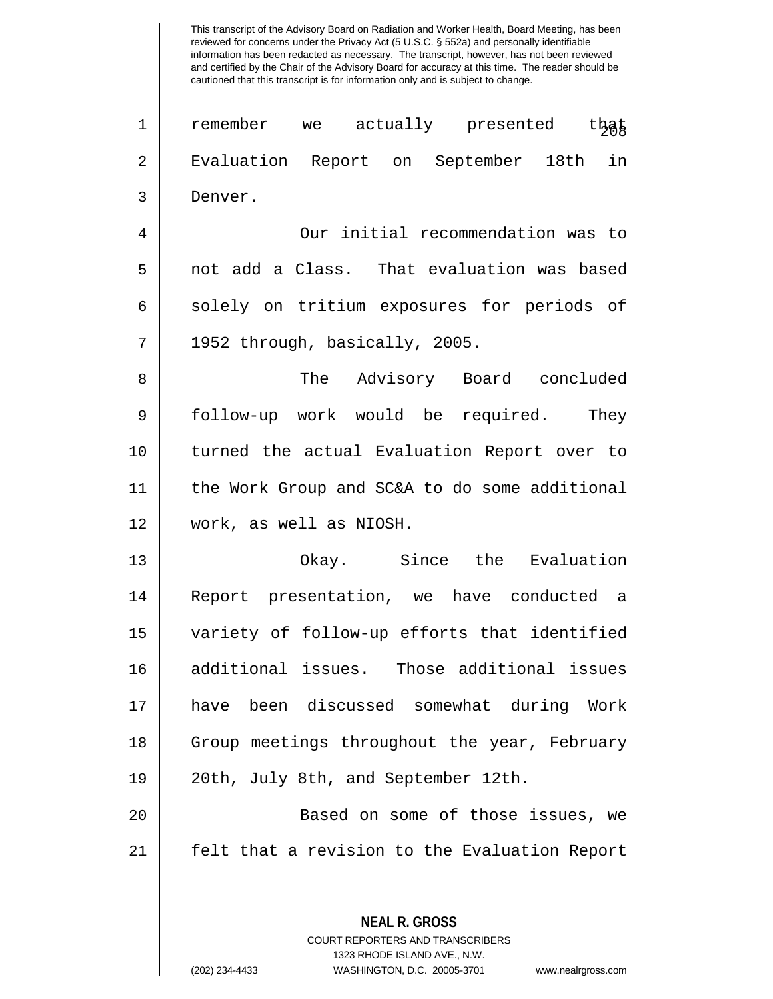**NEAL R. GROSS** COURT REPORTERS AND TRANSCRIBERS 1323 RHODE ISLAND AVE., N.W. (202) 234-4433 WASHINGTON, D.C. 20005-3701 www.nealrgross.com  $\begin{array}{ccc} 1 & \text{remember} & \text{we} & \text{actually} & \text{presented} & \text{th}_3\text{b} \end{array}$ 2 | Evaluation Report on September 18th in 3 Denver. 4 Our initial recommendation was to 5 || not add a Class. That evaluation was based 6 || solely on tritium exposures for periods of 7 1952 through, basically, 2005. 8 The Advisory Board concluded 9 follow-up work would be required. They 10 turned the actual Evaluation Report over to 11 the Work Group and SC&A to do some additional 12 work, as well as NIOSH. 13 Okay. Since the Evaluation 14 Report presentation, we have conducted a 15 variety of follow-up efforts that identified 16 additional issues. Those additional issues 17 have been discussed somewhat during Work 18 || Group meetings throughout the year, February 19 20th, July 8th, and September 12th. 20 || Based on some of those issues, we 21 felt that a revision to the Evaluation Report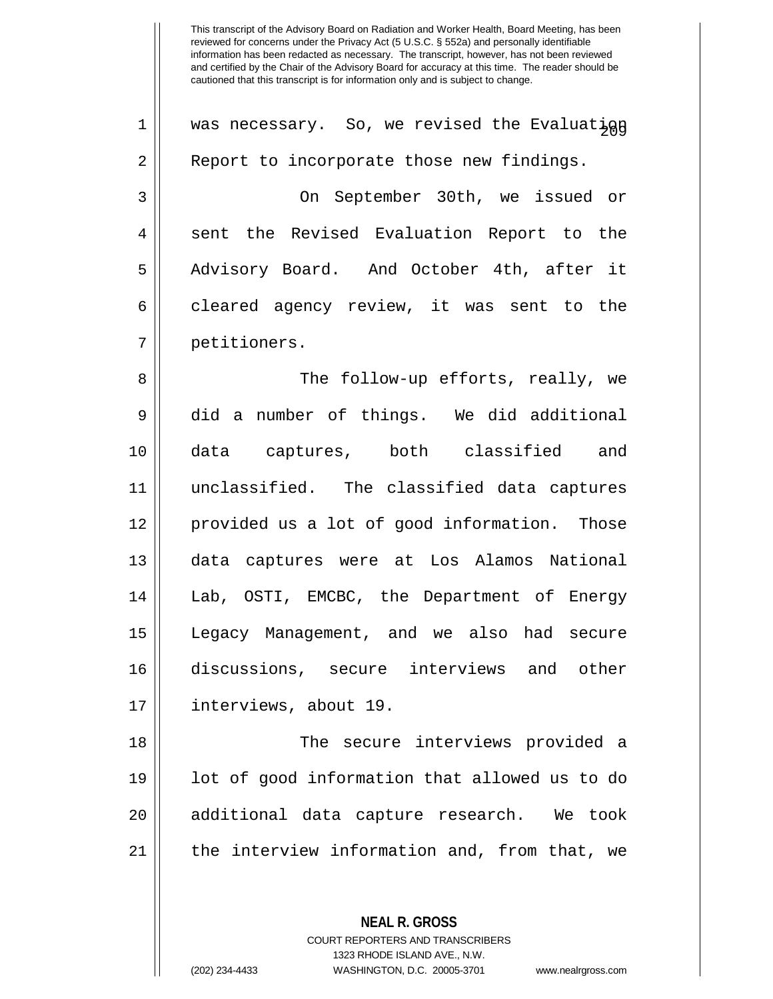$1$  | was necessary. So, we revised the Evaluation 2 || Report to incorporate those new findings. 3 On September 30th, we issued or 4 || sent the Revised Evaluation Report to the 5 || Advisory Board. And October 4th, after it  $6 \parallel$  cleared agency review, it was sent to the 7 petitioners.

 The follow-up efforts, really, we did a number of things. We did additional data captures, both classified and unclassified. The classified data captures provided us a lot of good information. Those data captures were at Los Alamos National Lab, OSTI, EMCBC, the Department of Energy Legacy Management, and we also had secure discussions, secure interviews and other 17 || interviews, about 19.

18 || The secure interviews provided a 19 lot of good information that allowed us to do 20 || additional data capture research. We took 21 | the interview information and, from that, we

> COURT REPORTERS AND TRANSCRIBERS 1323 RHODE ISLAND AVE., N.W. (202) 234-4433 WASHINGTON, D.C. 20005-3701 www.nealrgross.com

**NEAL R. GROSS**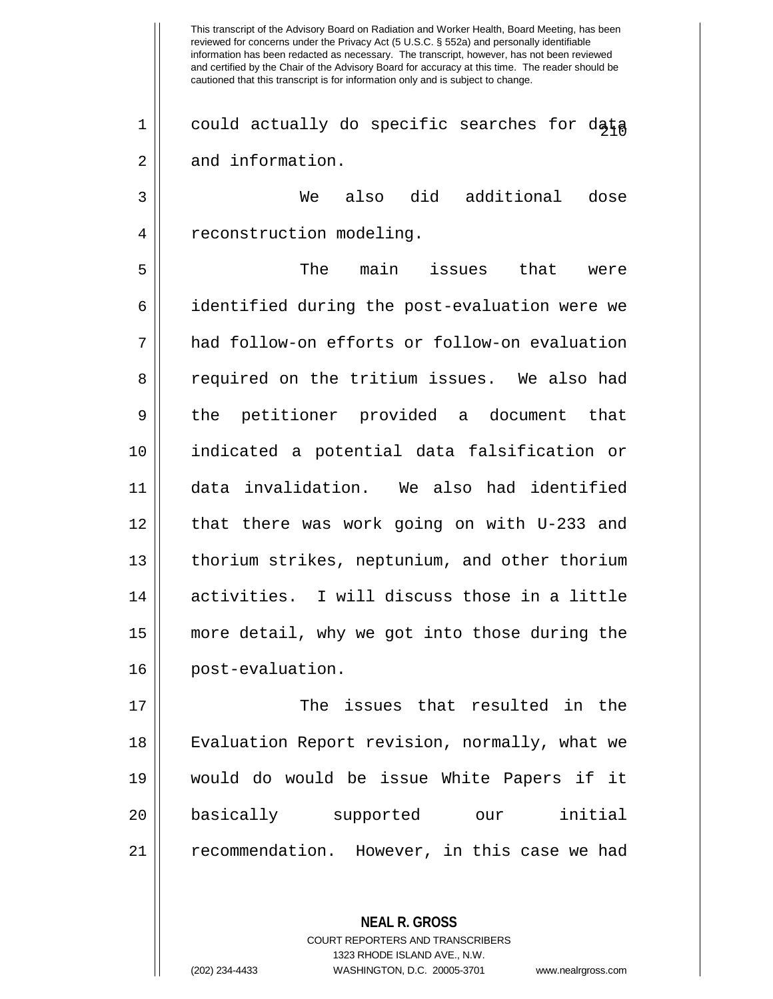$21$  could actually do specific searches for data 2 | and information.

3 We also did additional dose 4 | reconstruction modeling.

5 The main issues that were 6 | identified during the post-evaluation were we 7 had follow-on efforts or follow-on evaluation 8 || required on the tritium issues. We also had 9 || the petitioner provided a document that 10 indicated a potential data falsification or 11 data invalidation. We also had identified 12 || that there was work going on with U-233 and 13 | thorium strikes, neptunium, and other thorium 14 activities. I will discuss those in a little 15 more detail, why we got into those during the 16 || post-evaluation.

 The issues that resulted in the Evaluation Report revision, normally, what we would do would be issue White Papers if it basically supported our initial 21 | recommendation. However, in this case we had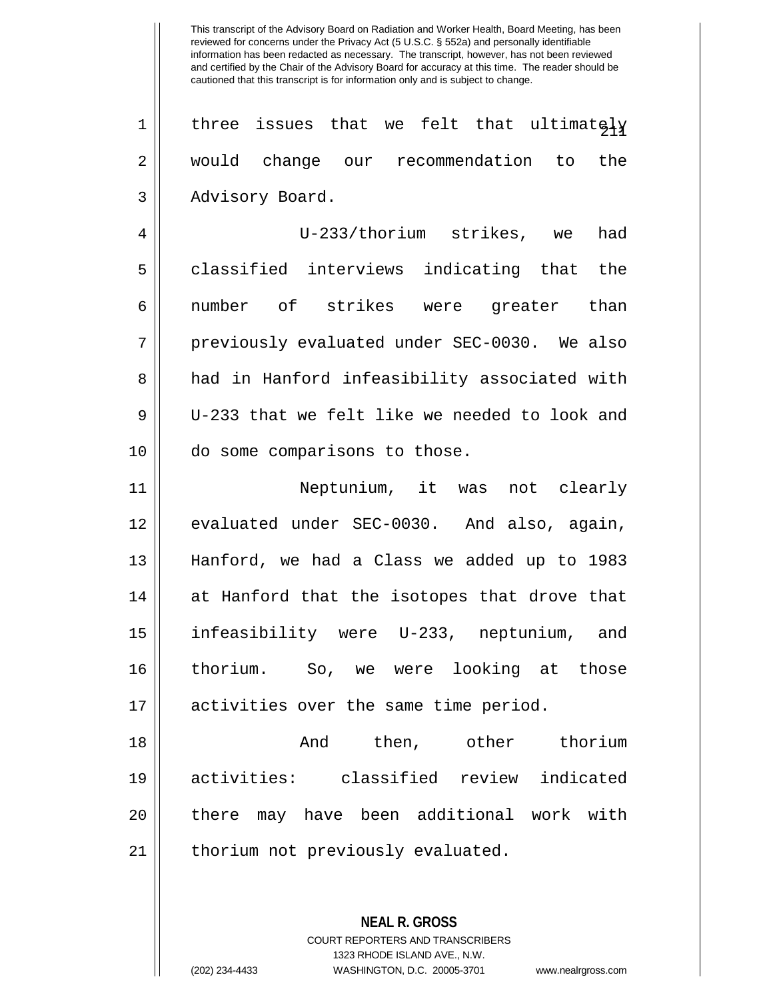1 || three issues that we felt that ultimately 2 would change our recommendation to the 3 | Advisory Board.

4 U-233/thorium strikes, we had 5 || classified interviews indicating that the 6|| number of strikes were greater than 7 || previously evaluated under SEC-0030. We also 8 || had in Hanford infeasibility associated with 9 U-233 that we felt like we needed to look and 10 do some comparisons to those.

 Neptunium, it was not clearly evaluated under SEC-0030. And also, again, Hanford, we had a Class we added up to 1983 || at Hanford that the isotopes that drove that infeasibility were U-233, neptunium, and 16 || thorium. So, we were looking at those activities over the same time period.

18 And then, other thorium 19 activities: classified review indicated 20 || there may have been additional work with 21 | thorium not previously evaluated.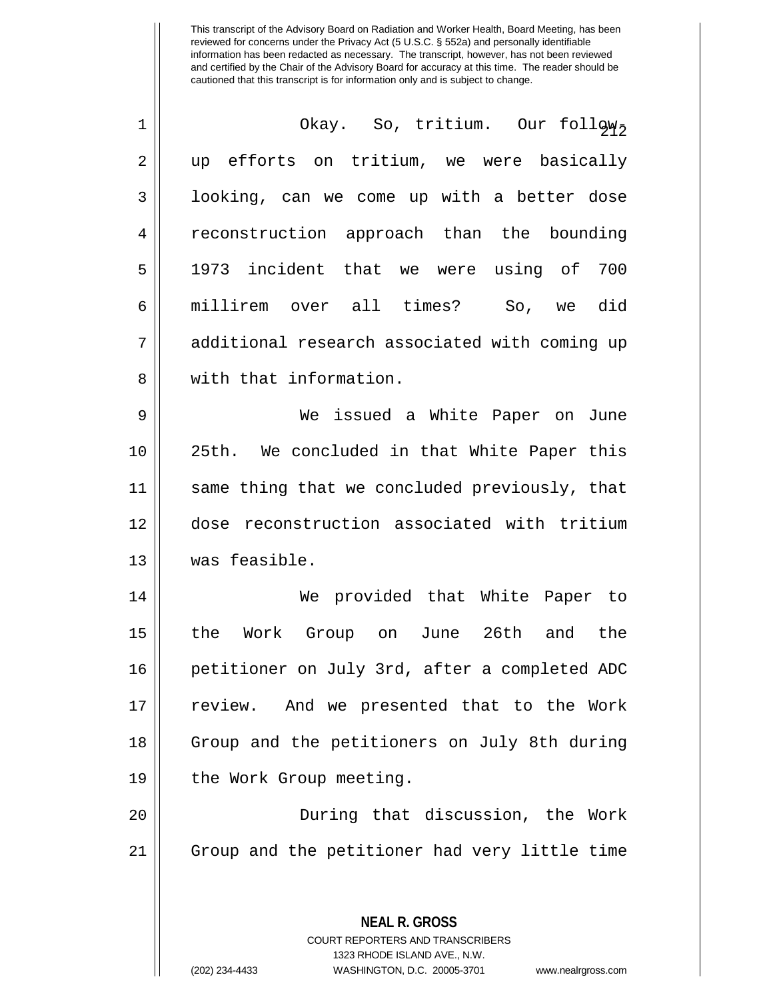| $\mathbf 1$    | Okay. So, tritium. Our follgw <sub>7</sub>                                                                                                                             |
|----------------|------------------------------------------------------------------------------------------------------------------------------------------------------------------------|
| $\overline{2}$ | up efforts on tritium, we were basically                                                                                                                               |
| 3              | looking, can we come up with a better dose                                                                                                                             |
| $\overline{4}$ | reconstruction approach than the bounding                                                                                                                              |
| 5              | 1973 incident that we were using of 700                                                                                                                                |
| 6              | millirem over all times? So, we<br>did                                                                                                                                 |
| 7              | additional research associated with coming up                                                                                                                          |
| 8              | with that information.                                                                                                                                                 |
| 9              | We issued a White Paper on June                                                                                                                                        |
| 10             | 25th. We concluded in that White Paper this                                                                                                                            |
| 11             | same thing that we concluded previously, that                                                                                                                          |
| 12             | dose reconstruction associated with tritium                                                                                                                            |
| 13             | was feasible.                                                                                                                                                          |
| 14             | We provided that White Paper to                                                                                                                                        |
| 15             | the Work Group on June 26th and the                                                                                                                                    |
| 16             | petitioner on July 3rd, after a completed ADC                                                                                                                          |
| 17             | And we presented that to the Work<br>review.                                                                                                                           |
| 18             | Group and the petitioners on July 8th during                                                                                                                           |
| 19             | the Work Group meeting.                                                                                                                                                |
| 20             | During that discussion, the Work                                                                                                                                       |
| 21             | Group and the petitioner had very little time                                                                                                                          |
|                | <b>NEAL R. GROSS</b><br><b>COURT REPORTERS AND TRANSCRIBERS</b><br>1323 RHODE ISLAND AVE., N.W.<br>(202) 234-4433<br>WASHINGTON, D.C. 20005-3701<br>www.nealrgross.com |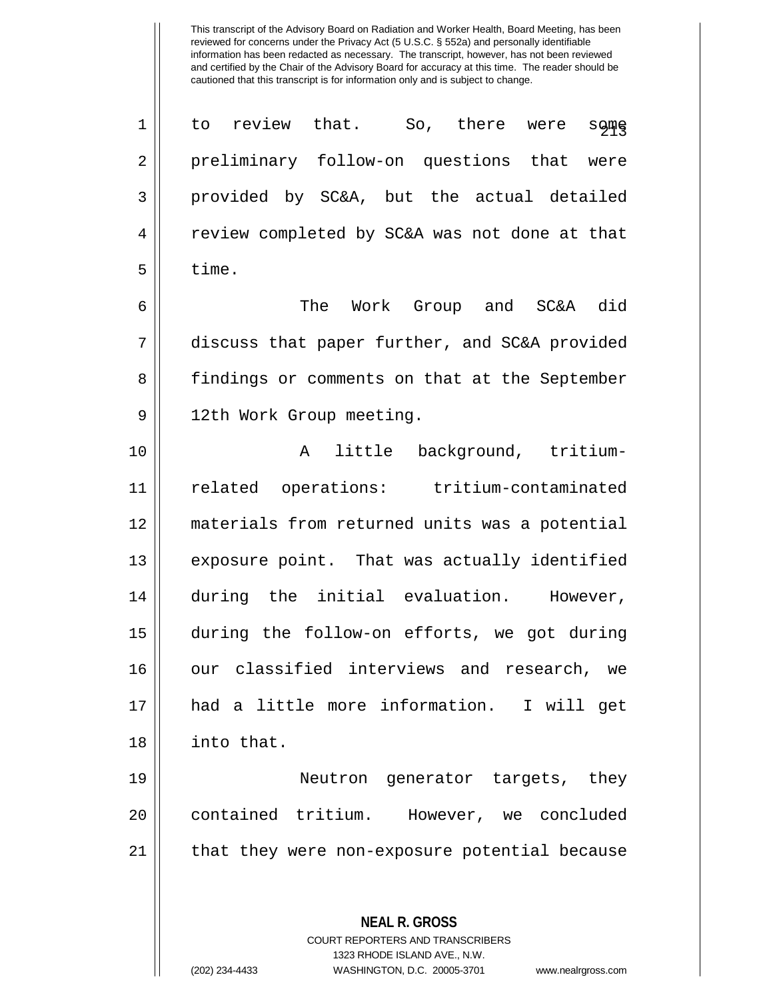$\begin{array}{ccc} 1 & \quad \text{to} \quad \text{review} \quad \text{that.} \qquad \text{So,} \quad \text{there} \quad \text{were} \quad \text{sgm} \text{g} \end{array}$ 2 || preliminary follow-on questions that were 3 provided by SC&A, but the actual detailed 4 Teview completed by SC&A was not done at that  $5 \parallel$  time.

6 The Work Group and SC&A did 7 discuss that paper further, and SC&A provided 8 | findings or comments on that at the September 9 | 12th Work Group meeting.

 A little background, tritium- related operations: tritium-contaminated materials from returned units was a potential 13 | exposure point. That was actually identified 14 || during the initial evaluation. However, during the follow-on efforts, we got during our classified interviews and research, we had a little more information. I will get into that.

19 Neutron generator targets, they 20 contained tritium. However, we concluded 21 || that they were non-exposure potential because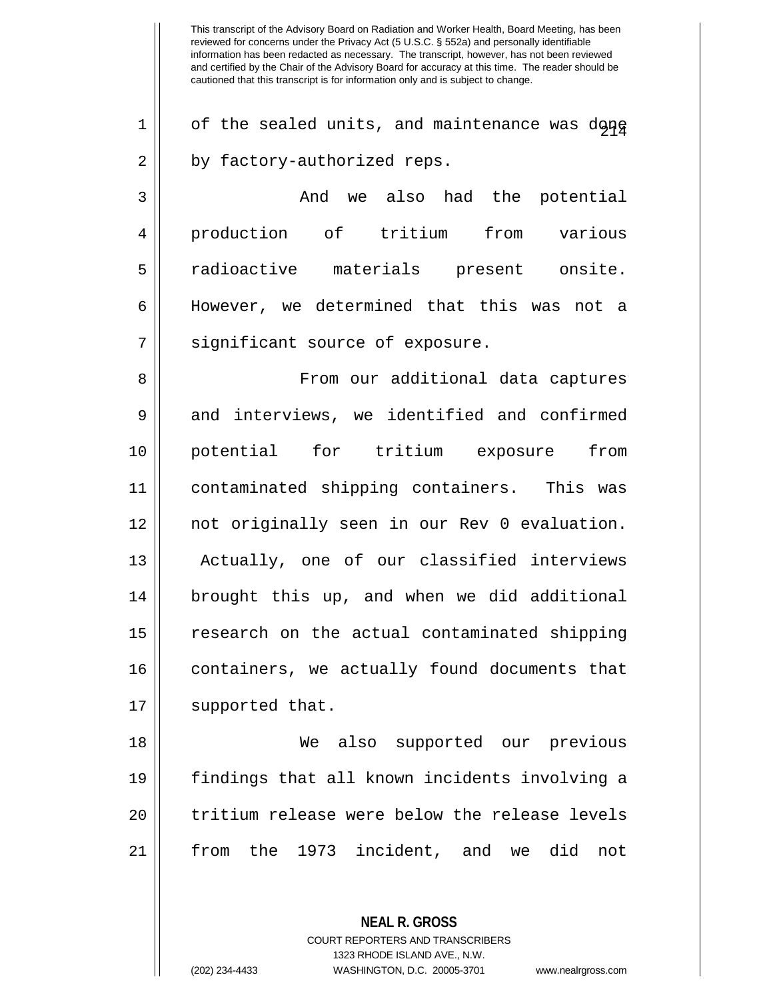$1$  | of the sealed units, and maintenance was dong 2 || by factory-authorized reps.

3 And we also had the potential 4 production of tritium from various 5 || radioactive materials present onsite. 6 However, we determined that this was not a 7 || significant source of exposure.

8 From our additional data captures 9 and interviews, we identified and confirmed 10 potential for tritium exposure from 11 contaminated shipping containers. This was 12 not originally seen in our Rev 0 evaluation. 13 || Actually, one of our classified interviews 14 brought this up, and when we did additional 15 research on the actual contaminated shipping 16 | containers, we actually found documents that 17 || supported that.

 We also supported our previous findings that all known incidents involving a 20 || tritium release were below the release levels from the 1973 incident, and we did not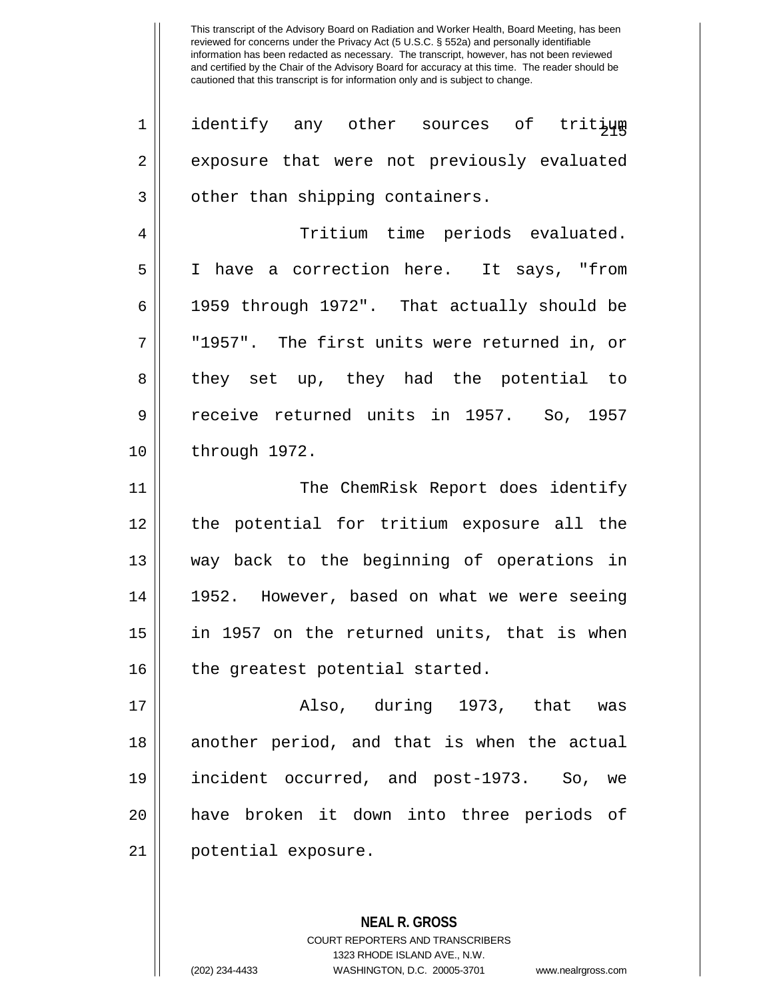| $\mathbf 1$    | identify any other sources of tritiyum       |
|----------------|----------------------------------------------|
| $\overline{2}$ | exposure that were not previously evaluated  |
| 3              | other than shipping containers.              |
| 4              | Tritium time periods evaluated.              |
| 5              | I have a correction here. It says, "from     |
| 6              | 1959 through 1972". That actually should be  |
| 7              | "1957". The first units were returned in, or |
| 8              | they set up, they had the potential to       |
| 9              | receive returned units in 1957. So, 1957     |
| 10             | through 1972.                                |
| 11             | The ChemRisk Report does identify            |
| 12             | the potential for tritium exposure all the   |
| 13             | way back to the beginning of operations in   |
| 14             | 1952. However, based on what we were seeing  |
| 15             | in 1957 on the returned units, that is when  |
| 16             | the greatest potential started.              |
| 17             | Also, during 1973, that was                  |
| 18             | another period, and that is when the actual  |
| 19             | incident occurred, and post-1973. So, we     |
| 20             | have broken it down into three periods of    |
| 21             | potential exposure.                          |
|                |                                              |

**NEAL R. GROSS** COURT REPORTERS AND TRANSCRIBERS 1323 RHODE ISLAND AVE., N.W.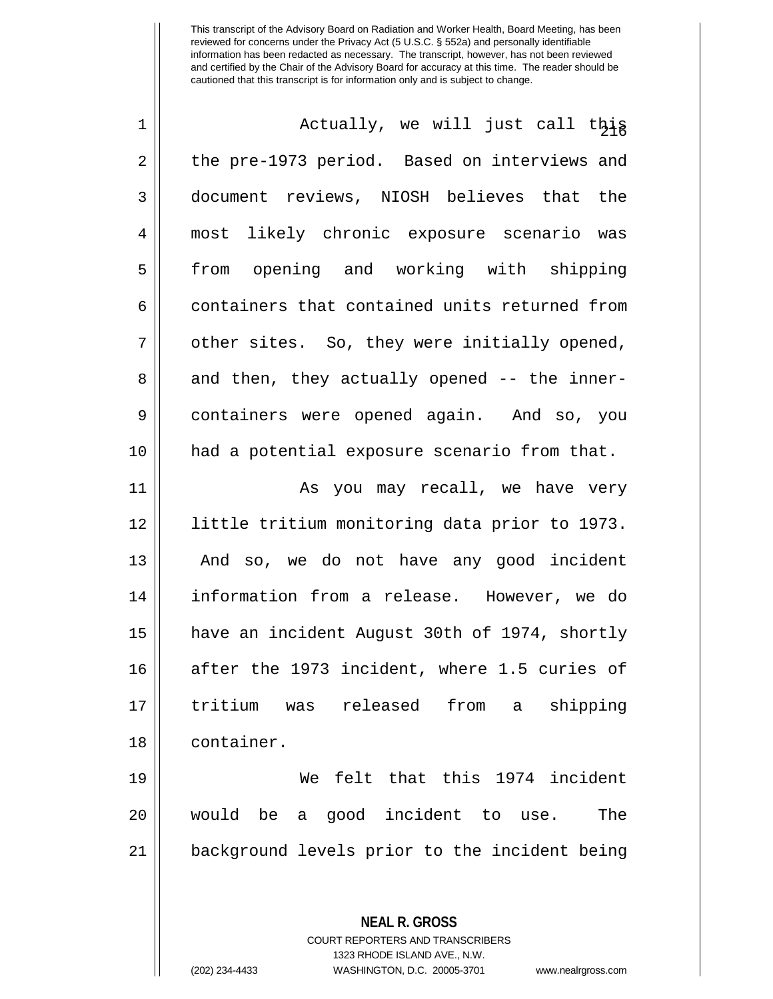| $\mathbf 1$ | Actually, we will just call this                                                                                                                                       |
|-------------|------------------------------------------------------------------------------------------------------------------------------------------------------------------------|
| 2           | the pre-1973 period. Based on interviews and                                                                                                                           |
| 3           | document reviews, NIOSH believes that the                                                                                                                              |
| 4           | most likely chronic exposure scenario was                                                                                                                              |
| 5           | from opening and working with shipping                                                                                                                                 |
| 6           | containers that contained units returned from                                                                                                                          |
| 7           | other sites. So, they were initially opened,                                                                                                                           |
| 8           | and then, they actually opened -- the inner-                                                                                                                           |
| $\mathsf 9$ | containers were opened again. And so, you                                                                                                                              |
| 10          | had a potential exposure scenario from that.                                                                                                                           |
| 11          | As you may recall, we have very                                                                                                                                        |
| 12          | little tritium monitoring data prior to 1973.                                                                                                                          |
| 13          | And so, we do not have any good incident                                                                                                                               |
| 14          | information from a release. However, we do                                                                                                                             |
| 15          | have an incident August 30th of 1974, shortly                                                                                                                          |
| 16          | after the 1973 incident, where 1.5 curies of                                                                                                                           |
| 17          | tritium<br>released from<br>shipping<br>was<br>a l                                                                                                                     |
| 18          | container.                                                                                                                                                             |
| 19          | We felt that this 1974 incident                                                                                                                                        |
| 20          | good incident to use.<br>would<br>be<br>The<br>a                                                                                                                       |
| 21          | background levels prior to the incident being                                                                                                                          |
|             | <b>NEAL R. GROSS</b><br><b>COURT REPORTERS AND TRANSCRIBERS</b><br>1323 RHODE ISLAND AVE., N.W.<br>(202) 234-4433<br>WASHINGTON, D.C. 20005-3701<br>www.nealrgross.com |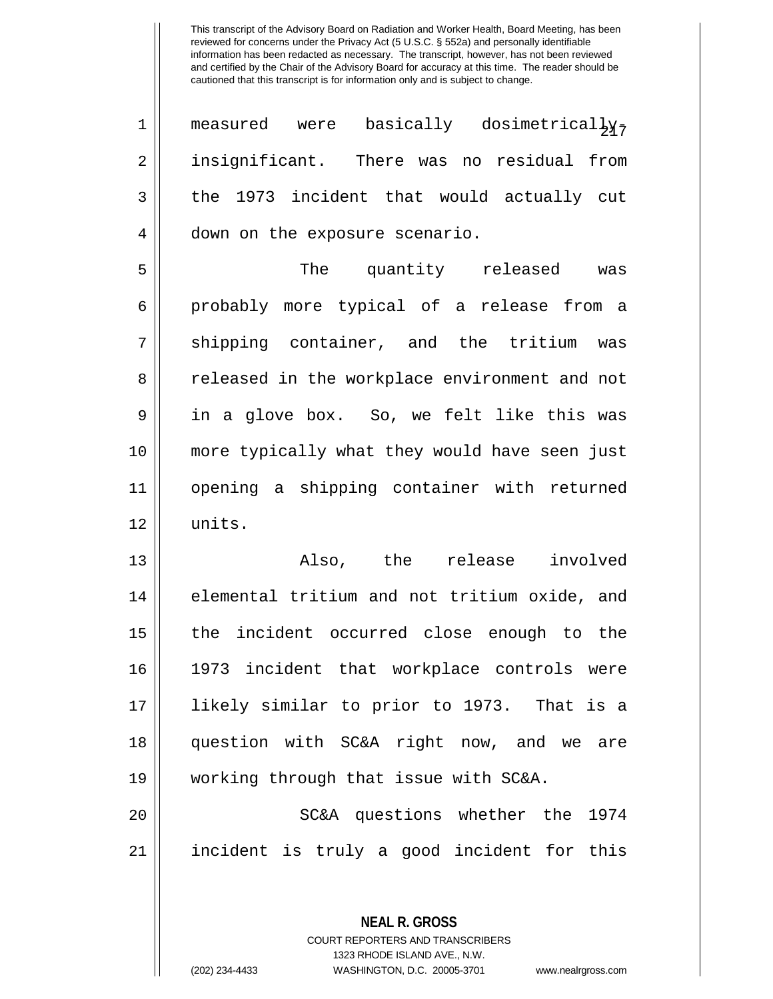| 1    measured were basically dosimetrically $_{\frac{1}{7}}$ |
|--------------------------------------------------------------|
| $2 \parallel$ insignificant. There was no residual from      |
| 3 the 1973 incident that would actually cut                  |
| $4 \parallel$ down on the exposure scenario.                 |
|                                                              |

5 The quantity released was 6 || probably more typical of a release from a 7 || shipping container, and the tritium was 8 || released in the workplace environment and not  $9 \parallel$  in a glove box. So, we felt like this was 10 more typically what they would have seen just 11 opening a shipping container with returned 12 units.

 Also, the release involved 14 | elemental tritium and not tritium oxide, and the incident occurred close enough to the 1973 incident that workplace controls were likely similar to prior to 1973. That is a question with SC&A right now, and we are working through that issue with SC&A.

20 SC&A questions whether the 1974 21 incident is truly a good incident for this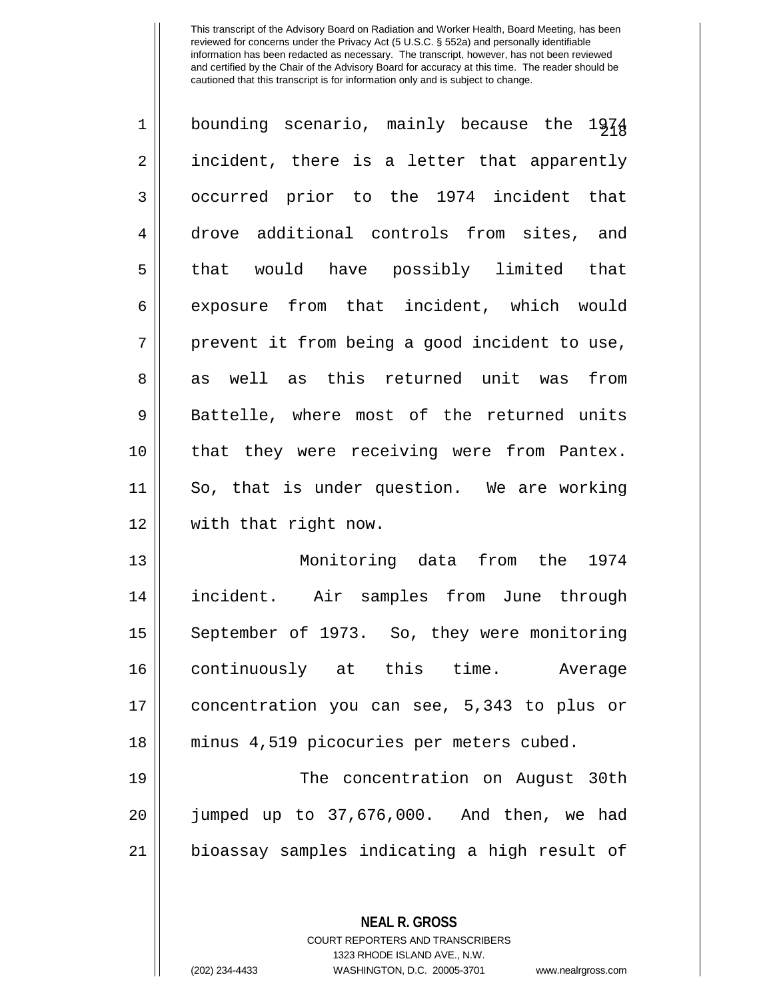| $\mathbf 1$    | bounding scenario, mainly because the 1974    |
|----------------|-----------------------------------------------|
| $\overline{2}$ | incident, there is a letter that apparently   |
| 3              | occurred prior to the 1974 incident that      |
| 4              | drove additional controls from sites, and     |
| 5              | that would have possibly limited that         |
| 6              | exposure from that incident, which would      |
| 7              | prevent it from being a good incident to use, |
| 8              | as well as this returned unit was<br>from     |
| 9              | Battelle, where most of the returned units    |
| 10             | that they were receiving were from Pantex.    |
| 11             | So, that is under question. We are working    |
| 12             | with that right now.                          |
| 13             | Monitoring data from the 1974                 |
| 14             | incident. Air samples from June through       |
| 15             | September of 1973. So, they were monitoring   |
| 16             | continuously at this time. Average            |
| 17             | concentration you can see, 5,343 to plus or   |
| 18             | minus 4,519 picocuries per meters cubed.      |
| 19             | The concentration on August 30th              |
| 20             | jumped up to 37,676,000. And then, we had     |
| 21             | bioassay samples indicating a high result of  |
|                |                                               |
|                | <b>NEAL R. GROSS</b>                          |

COURT REPORTERS AND TRANSCRIBERS 1323 RHODE ISLAND AVE., N.W.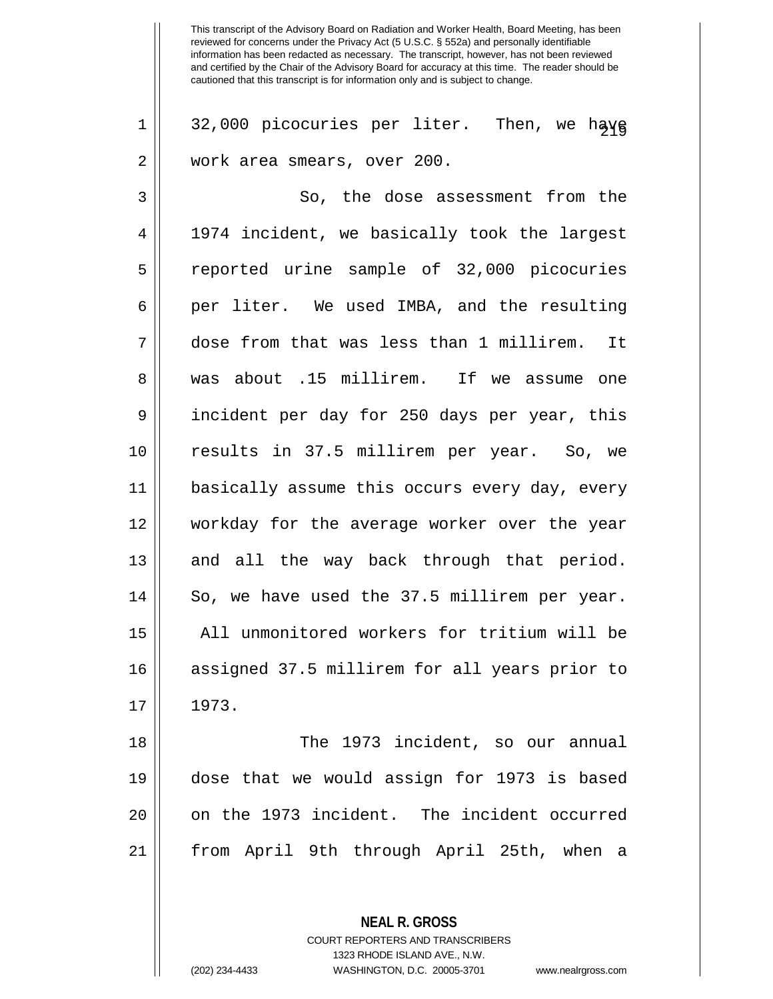1 || 32,000 picocuries per liter. Then, we haye 2 work area smears, over 200.

3 So, the dose assessment from the 4 || 1974 incident, we basically took the largest 5 || reported urine sample of 32,000 picocuries  $6$  || per liter. We used IMBA, and the resulting 7 dose from that was less than 1 millirem. It 8 was about .15 millirem. If we assume one 9 incident per day for 250 days per year, this 10 results in 37.5 millirem per year. So, we 11 basically assume this occurs every day, every 12 workday for the average worker over the year 13 || and all the way back through that period.  $14 \parallel$  So, we have used the 37.5 millirem per year. 15 All unmonitored workers for tritium will be 16 assigned 37.5 millirem for all years prior to  $17 \parallel 1973.$ 

18 || The 1973 incident, so our annual 19 dose that we would assign for 1973 is based 20 || on the 1973 incident. The incident occurred 21 from April 9th through April 25th, when a

> COURT REPORTERS AND TRANSCRIBERS 1323 RHODE ISLAND AVE., N.W. (202) 234-4433 WASHINGTON, D.C. 20005-3701 www.nealrgross.com

**NEAL R. GROSS**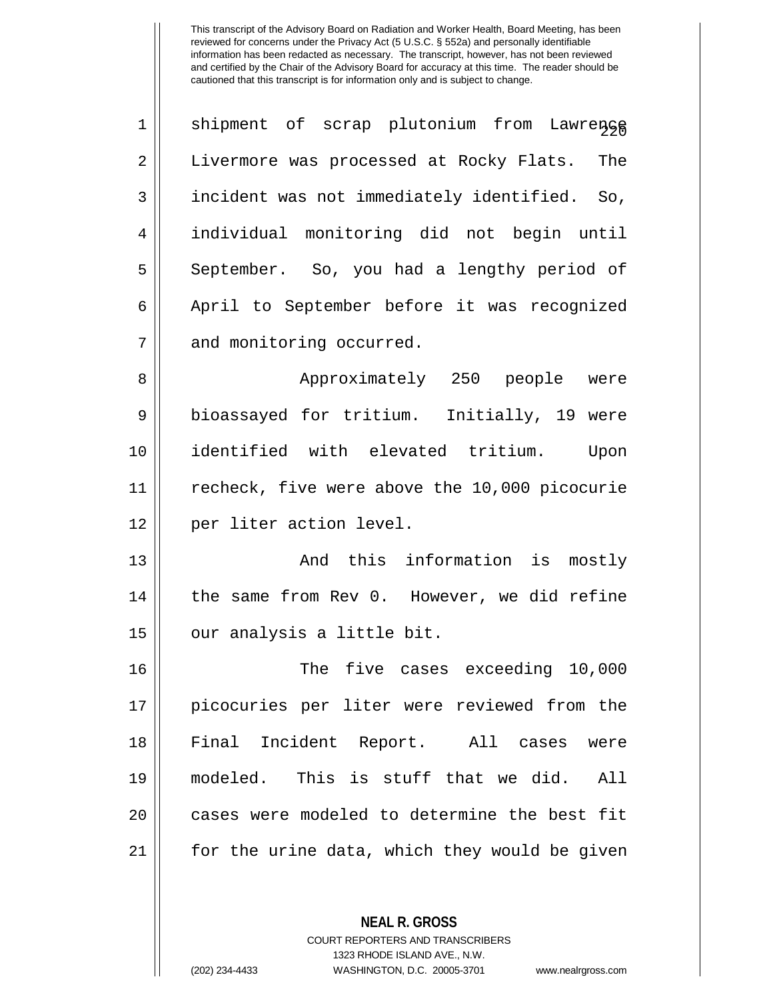| $\mathbf{1}$   | shipment of scrap plutonium from Lawrengg       |
|----------------|-------------------------------------------------|
| 2              | Livermore was processed at Rocky Flats. The     |
| 3              | incident was not immediately identified.<br>So, |
| $\overline{4}$ | individual monitoring did not begin until       |
| 5              | September. So, you had a lengthy period of      |
| 6              | April to September before it was recognized     |
| 7              | and monitoring occurred.                        |
|                |                                                 |

8 Approximately 250 people were 9 || bioassayed for tritium. Initially, 19 were 10 identified with elevated tritium. Upon 11 recheck, five were above the 10,000 picocurie 12 || per liter action level.

13 || The Contraction is mostly  $14$  | the same from Rev 0. However, we did refine  $15 \parallel$  our analysis a little bit.

 The five cases exceeding 10,000 picocuries per liter were reviewed from the Final Incident Report. All cases were modeled. This is stuff that we did. All 20 | cases were modeled to determine the best fit | for the urine data, which they would be given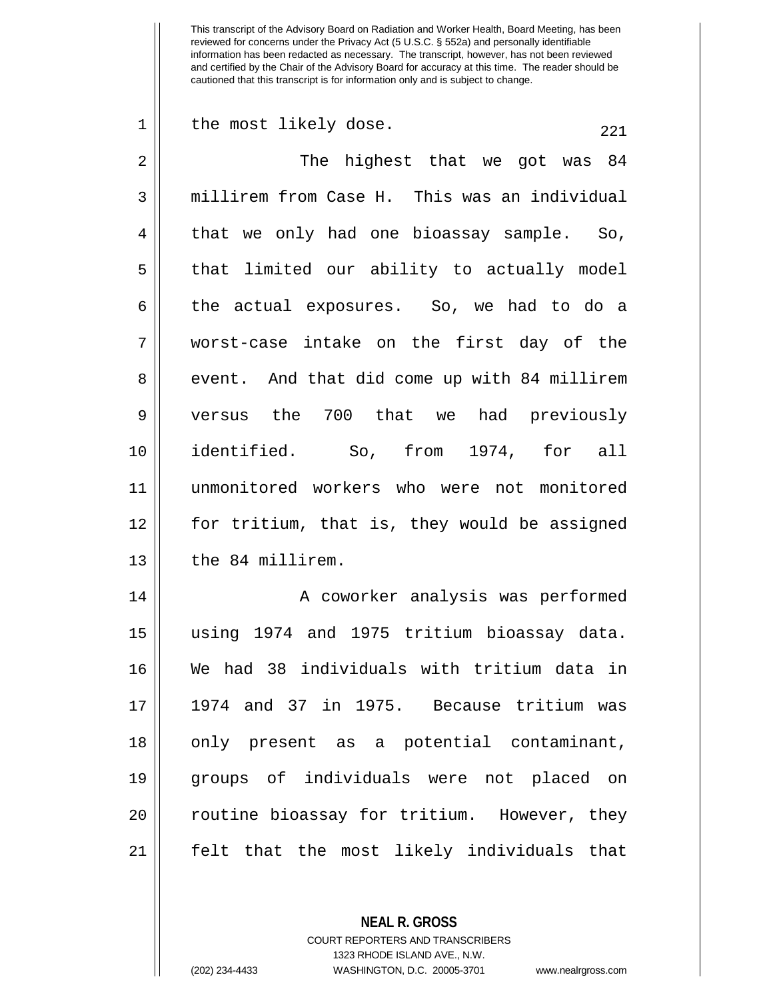| $\mathbf 1$    | the most likely dose.<br>221                 |
|----------------|----------------------------------------------|
| $\overline{2}$ | The highest that we got was 84               |
| 3              | millirem from Case H. This was an individual |
| 4              | that we only had one bioassay sample. So,    |
| 5              | that limited our ability to actually model   |
| 6              | the actual exposures. So, we had to do a     |
| 7              | worst-case intake on the first day of the    |
| 8              | event. And that did come up with 84 millirem |
| 9              | versus the 700 that we had previously        |
| 10             | identified. So, from 1974, for all           |
| 11             | unmonitored workers who were not monitored   |
| 12             | for tritium, that is, they would be assigned |
| 13             | the 84 millirem.                             |
| 14             | A coworker analysis was performed            |
| 15             | using 1974 and 1975 tritium bioassay data.   |
| 16             | We had 38 individuals with tritium data in   |
| 17             | 1974 and 37 in 1975. Because tritium was     |
| 18             | only present as a potential contaminant,     |
| 19             | groups of individuals were not placed on     |
| 20             | routine bioassay for tritium. However, they  |
| 21             | felt that the most likely individuals that   |
|                |                                              |

COURT REPORTERS AND TRANSCRIBERS 1323 RHODE ISLAND AVE., N.W.

**NEAL R. GROSS**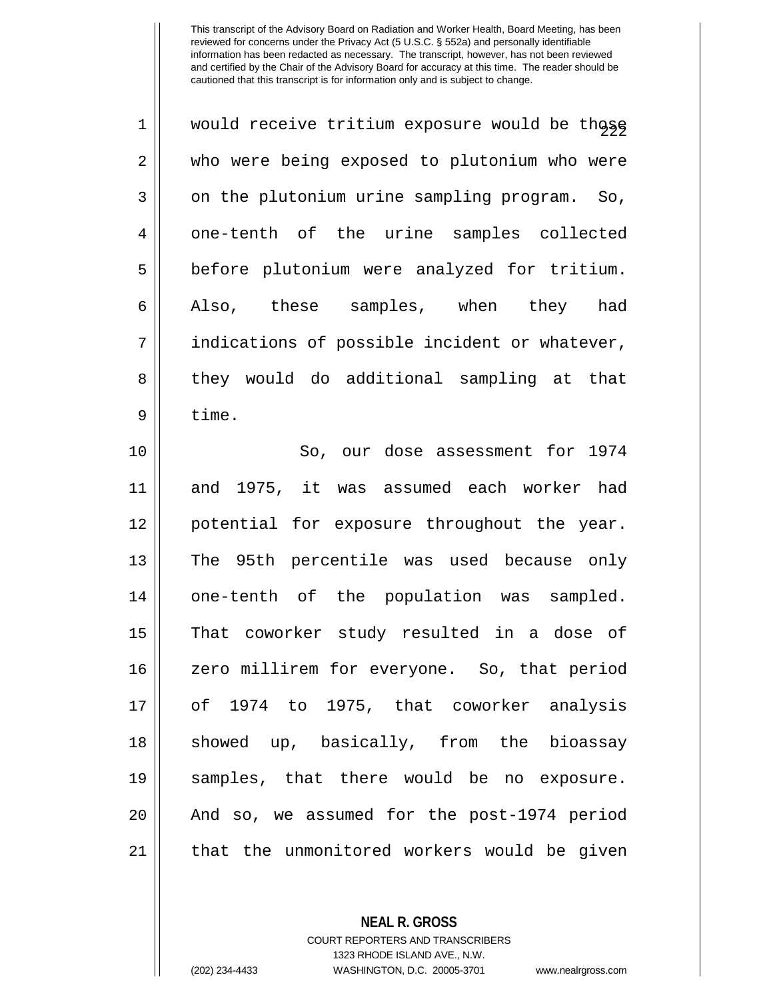| $\mathbf 1$    | would receive tritium exposure would be those |
|----------------|-----------------------------------------------|
| 2              | who were being exposed to plutonium who were  |
| 3              | on the plutonium urine sampling program. So,  |
| $\overline{4}$ | one-tenth of the urine samples collected      |
| 5              | before plutonium were analyzed for tritium.   |
| 6              | Also, these samples, when they had            |
| 7              | indications of possible incident or whatever, |
| 8              | they would do additional sampling at that     |
| 9              | time.                                         |
| 10             | So, our dose assessment for 1974              |
| 11             | and 1975, it was assumed each worker had      |
| 12             | potential for exposure throughout the year.   |
| 13             | The 95th percentile was used because only     |
| 14             | one-tenth of the population was sampled.      |
| 15             | That coworker study resulted in a dose of     |
| 16             | zero millirem for everyone. So, that period   |
| 17             | of 1974 to 1975, that coworker analysis       |
| 18             | showed up, basically, from the bioassay       |
| 19             | samples, that there would be no exposure.     |
| 20             | And so, we assumed for the post-1974 period   |
| 21             | that the unmonitored workers would be given   |

COURT REPORTERS AND TRANSCRIBERS 1323 RHODE ISLAND AVE., N.W.

**NEAL R. GROSS**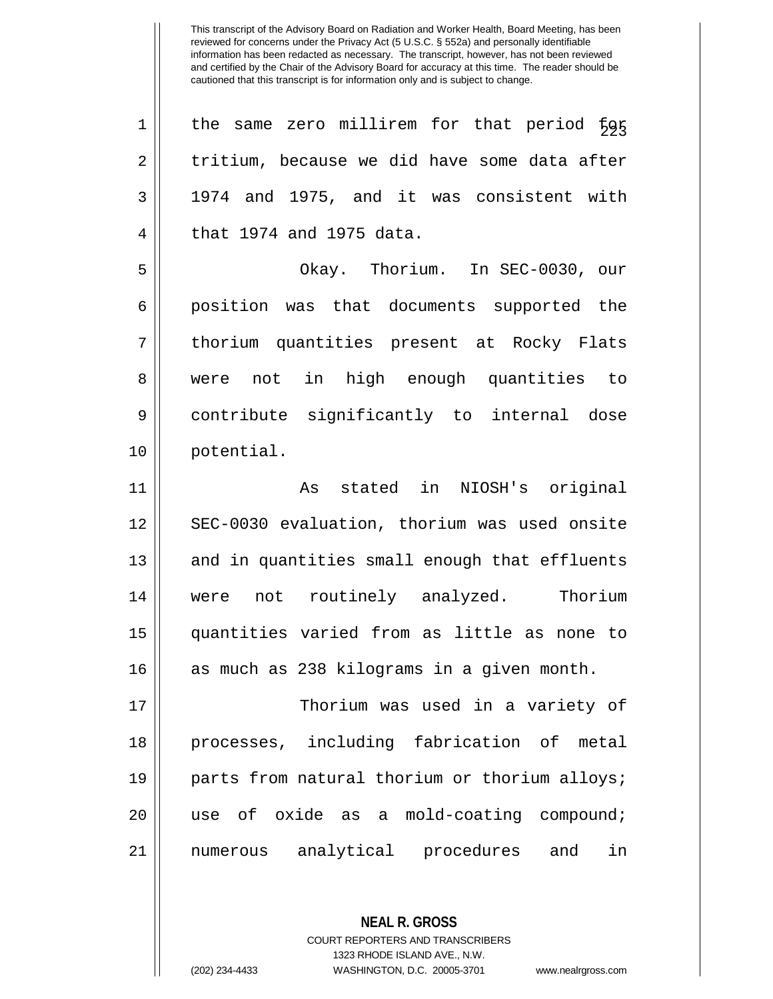| $\mathbf 1$    | the same zero millirem for that period $f_{9}g$ |
|----------------|-------------------------------------------------|
| $\overline{2}$ | tritium, because we did have some data after    |
| 3              | 1974 and 1975, and it was consistent with       |
| 4              | that 1974 and 1975 data.                        |
| 5              | Okay. Thorium. In SEC-0030, our                 |
| $\epsilon$     | position was that documents supported the       |
| 7              | thorium quantities present at Rocky Flats       |
| 8              | were not in high enough quantities to           |
| 9              | contribute significantly to internal dose       |
| 10             | potential.                                      |
| 11             | As stated in NIOSH's original                   |
| 12             | SEC-0030 evaluation, thorium was used onsite    |
| 13             | and in quantities small enough that effluents   |
| 14             | were not routinely analyzed. Thorium            |
| 15             | quantities varied from as little as none to     |
| 16             | as much as 238 kilograms in a given month.      |
| 17             | Thorium was used in a variety of                |
| 18             | processes, including fabrication of metal       |
| 19             | parts from natural thorium or thorium alloys;   |
| 20             | use of oxide as a mold-coating compound;        |
| 21             | numerous analytical procedures and<br>in        |
|                |                                                 |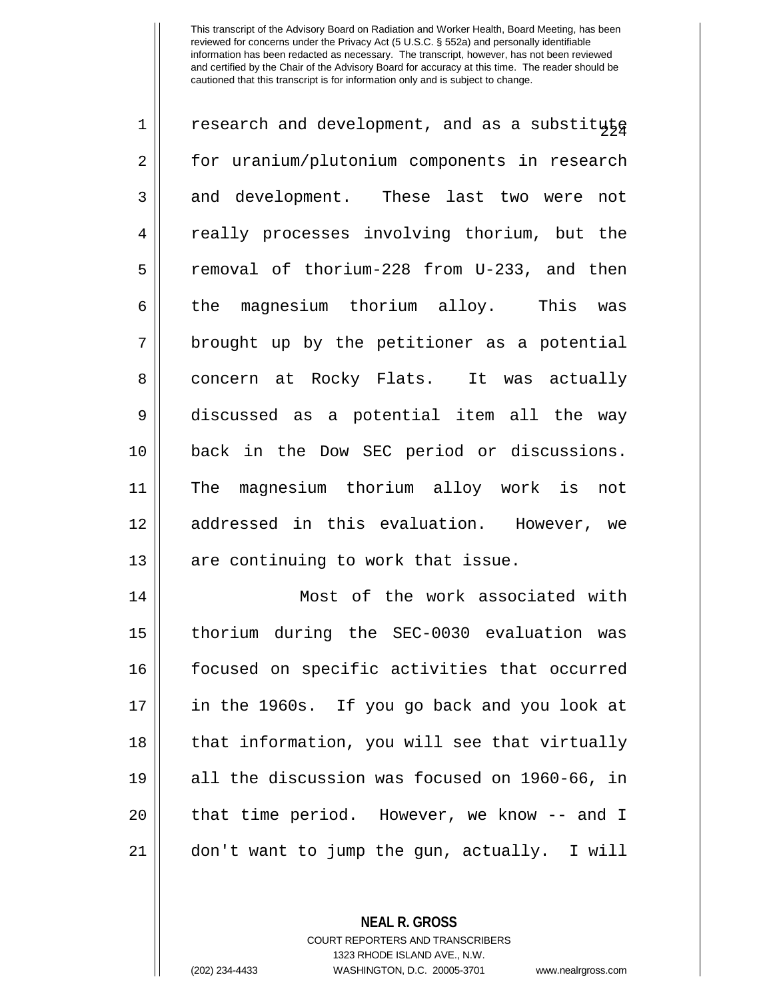| $\mathbf 1$    | research and development, and as a substitute |
|----------------|-----------------------------------------------|
| $\overline{2}$ | for uranium/plutonium components in research  |
| 3              | and development. These last two were<br>not   |
| 4              | really processes involving thorium, but the   |
| 5              | removal of thorium-228 from U-233, and then   |
| $\epsilon$     | the magnesium thorium alloy. This was         |
| 7              | brought up by the petitioner as a potential   |
| 8              | concern at Rocky Flats. It was actually       |
| 9              | discussed as a potential item all the way     |
| 10             | back in the Dow SEC period or discussions.    |
| 11             | The magnesium thorium alloy work is<br>not    |
| 12             | addressed in this evaluation. However, we     |
| 13             | are continuing to work that issue.            |
| 14             | Most of the work associated with              |
| 15             | thorium during the SEC-0030 evaluation was    |
| 16             | focused on specific activities that occurred  |
| 17             | in the 1960s. If you go back and you look at  |
| 18             | that information, you will see that virtually |
| 19             | all the discussion was focused on 1960-66, in |
| 20             | that time period. However, we know -- and I   |
| 21             | don't want to jump the gun, actually. I will  |

**NEAL R. GROSS** COURT REPORTERS AND TRANSCRIBERS 1323 RHODE ISLAND AVE., N.W.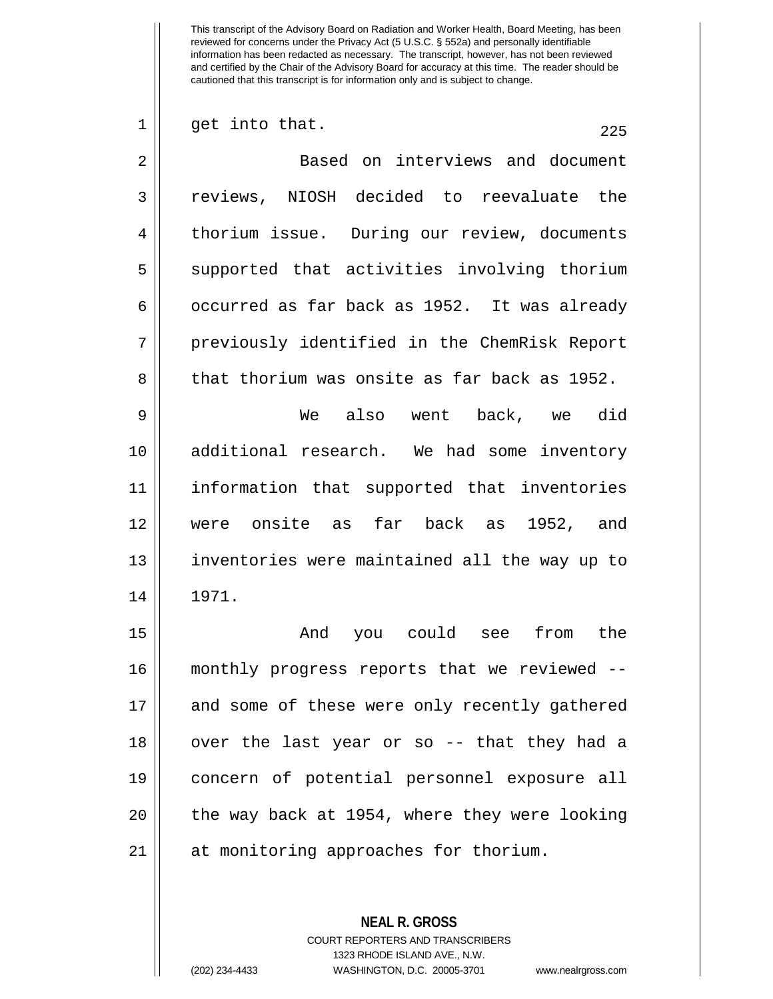$\begin{array}{|c|c|c|c|c|}\n1 & \text{get into that.} & & & & & & 225 \\
\end{array}$ 

2 || Based on interviews and document 3 reviews, NIOSH decided to reevaluate the 4 | thorium issue. During our review, documents 5 || supported that activities involving thorium 6 |  $\vert$  occurred as far back as 1952. It was already 7 previously identified in the ChemRisk Report 8 decrit that thorium was onsite as far back as 1952. 9 We also went back, we did 10 additional research. We had some inventory 11 information that supported that inventories 12 were onsite as far back as 1952, and 13 || inventories were maintained all the way up to 14 | 1971. 15 And you could see from the 16 monthly progress reports that we reviewed -- 17 || and some of these were only recently gathered 18 || over the last year or so -- that they had a 19 concern of potential personnel exposure all 20 || the way back at 1954, where they were looking 21 at monitoring approaches for thorium.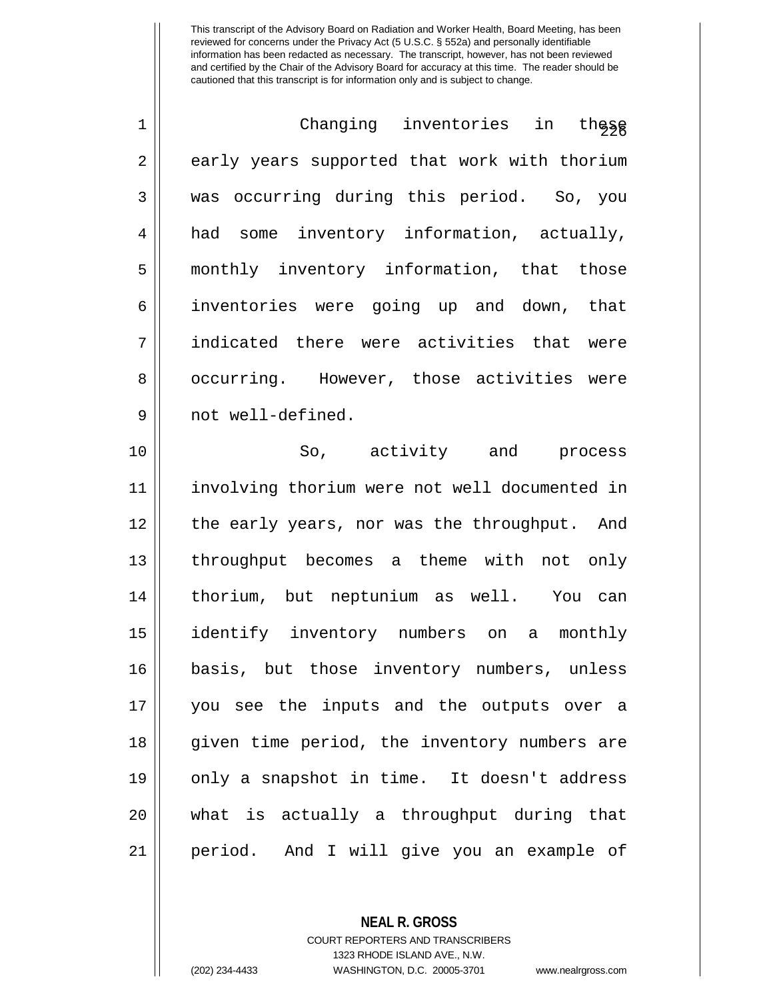| $\mathbf 1$    | Changing inventories in these                 |
|----------------|-----------------------------------------------|
| $\overline{2}$ | early years supported that work with thorium  |
| 3              | was occurring during this period. So, you     |
| $\overline{4}$ | had some inventory information, actually,     |
| 5              | monthly inventory information, that those     |
| 6              | inventories were going up and down, that      |
| 7              | indicated there were activities that were     |
| 8              | occurring. However, those activities were     |
| 9              | not well-defined.                             |
| 10             | So, activity and process                      |
| 11             | involving thorium were not well documented in |
| 12             | the early years, nor was the throughput. And  |
| 13             | throughput becomes a theme with not only      |
| 14             | thorium, but neptunium as well. You can       |
| 15             | identify inventory numbers on a monthly       |
| 16             | basis, but those inventory numbers, unless    |
| 17             | you see the inputs and the outputs over a     |
| 18             | given time period, the inventory numbers are  |
| 19             | only a snapshot in time. It doesn't address   |
| 20             | what is actually a throughput during that     |
| 21             | period. And I will give you an example of     |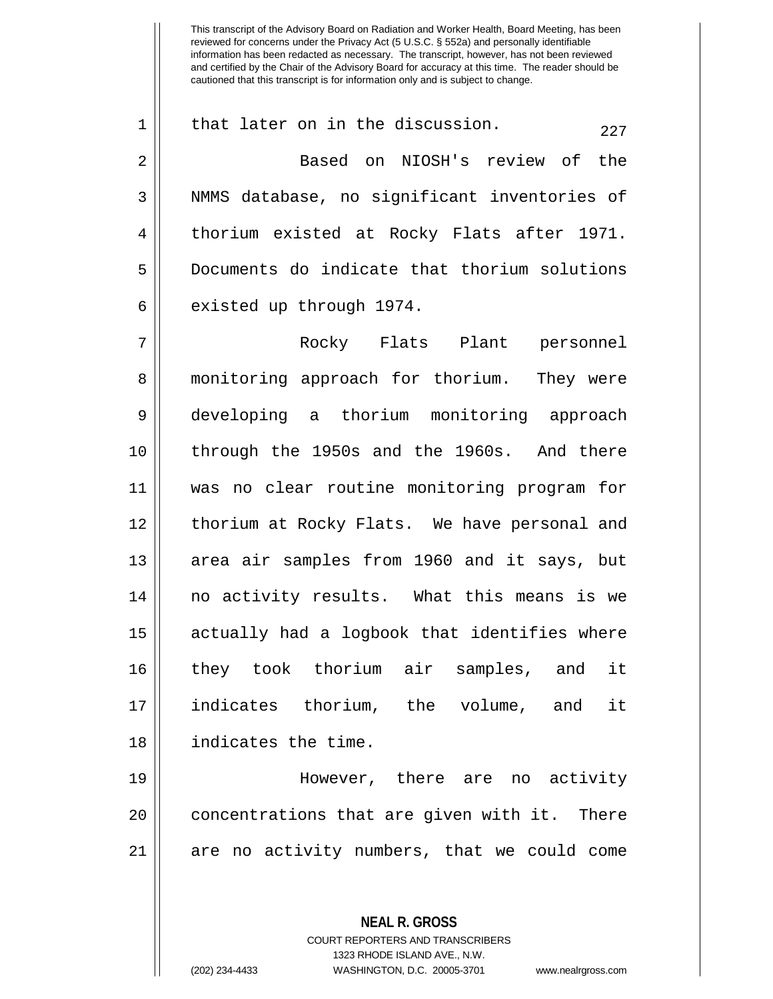1 || that later on in the discussion. Based on NIOSH's review of the NMMS database, no significant inventories of 4 thorium existed at Rocky Flats after 1971. Documents do indicate that thorium solutions  $6 \parallel$  existed up through 1974.

 Rocky Flats Plant personnel 8 || monitoring approach for thorium. They were developing a thorium monitoring approach through the 1950s and the 1960s. And there was no clear routine monitoring program for 12 || thorium at Rocky Flats. We have personal and 13 || area air samples from 1960 and it says, but no activity results. What this means is we actually had a logbook that identifies where they took thorium air samples, and it indicates thorium, the volume, and it indicates the time.

19 However, there are no activity 20 || concentrations that are given with it. There 21 || are no activity numbers, that we could come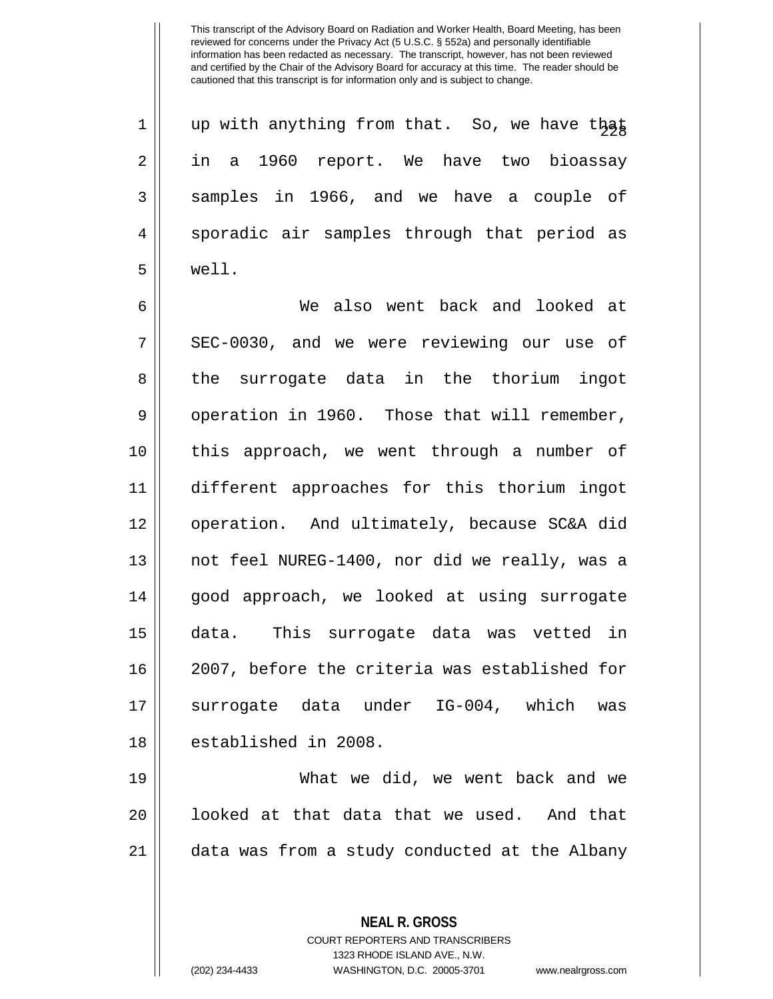|   | 1    up with anything from that. So, we have that    |
|---|------------------------------------------------------|
|   | $2 \parallel$ in a 1960 report. We have two bioassay |
| 3 | samples in 1966, and we have a couple of             |
| 4 | sporadic air samples through that period as          |
|   | 5 $\parallel$ well.                                  |

 We also went back and looked at 7 SEC-0030, and we were reviewing our use of 8 the surrogate data in the thorium ingot  $9 \parallel$  operation in 1960. Those that will remember, this approach, we went through a number of different approaches for this thorium ingot operation. And ultimately, because SC&A did not feel NUREG-1400, nor did we really, was a 14 || good approach, we looked at using surrogate data. This surrogate data was vetted in 2007, before the criteria was established for 17 || surrogate data under IG-004, which was established in 2008.

19 What we did, we went back and we 20 | looked at that data that we used. And that 21 data was from a study conducted at the Albany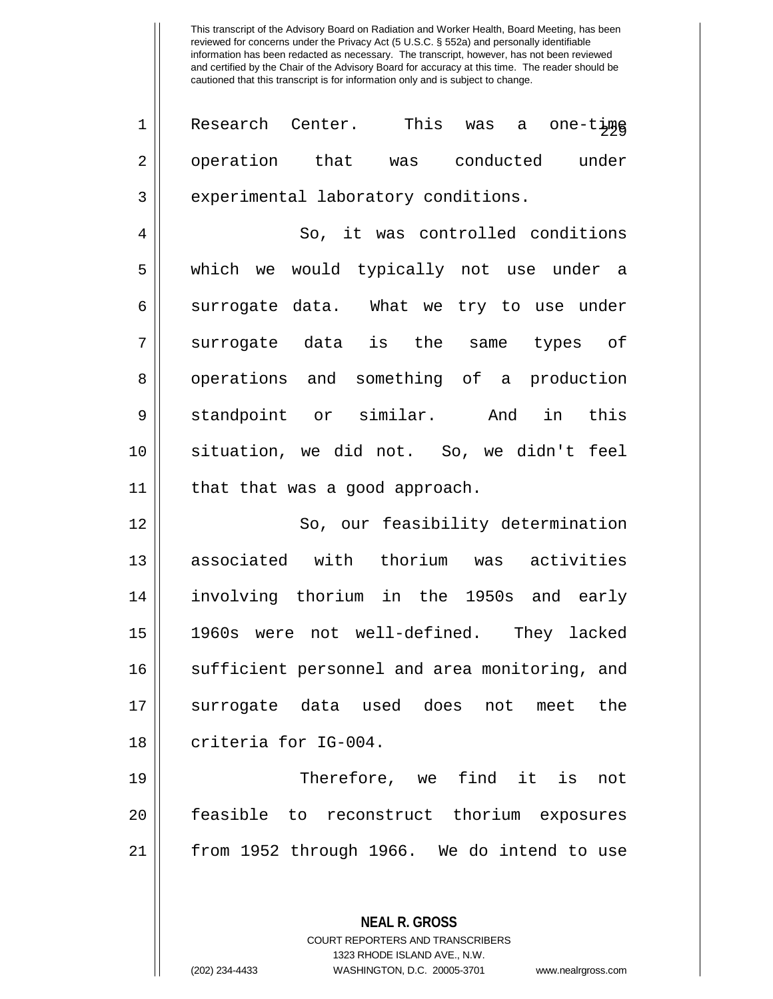$\begin{array}{ccc} 1 & \text{Research} & \text{Center.} \end{array}$  . This was a one-times 2 || operation that was conducted under 3 | experimental laboratory conditions. 4 So, it was controlled conditions 5 || which we would typically not use under a  $6 \parallel$  surrogate data. What we try to use under 7 || surrogate data is the same types of 8 || operations and something of a production 9 standpoint or similar. And in this 10 situation, we did not. So, we didn't feel 11 || that that was a good approach.

 So, our feasibility determination 13 || associated with thorium was activities involving thorium in the 1950s and early 1960s were not well-defined. They lacked 16 || sufficient personnel and area monitoring, and surrogate data used does not meet the criteria for IG-004.

19 Therefore, we find it is not 20 || feasible to reconstruct thorium exposures 21 from 1952 through 1966. We do intend to use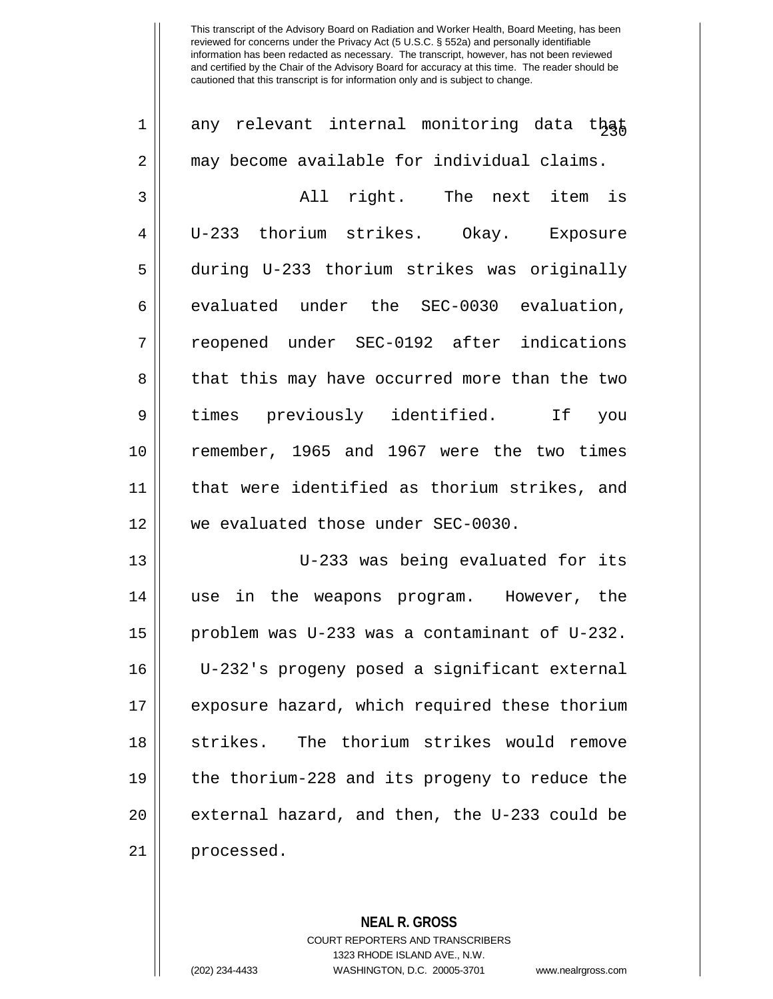| $\mathbf 1$    | any relevant internal monitoring data that    |
|----------------|-----------------------------------------------|
| 2              | may become available for individual claims.   |
| 3              | All right. The next item is                   |
| $\overline{4}$ | U-233 thorium strikes. Okay. Exposure         |
| 5              | during U-233 thorium strikes was originally   |
| 6              | evaluated under the SEC-0030 evaluation,      |
| 7              | reopened under SEC-0192 after indications     |
| 8              | that this may have occurred more than the two |
| 9              | times previously identified. If<br>you        |
| 10             | remember, 1965 and 1967 were the two times    |
| 11             | that were identified as thorium strikes, and  |
| 12             | we evaluated those under SEC-0030.            |
| 13             | U-233 was being evaluated for its             |
| 14             | use in the weapons program. However, the      |
| 15             | problem was U-233 was a contaminant of U-232. |
| 16             | U-232's progeny posed a significant external  |
| 17             | exposure hazard, which required these thorium |
| 18             | The thorium strikes would remove<br>strikes.  |
| 19             | the thorium-228 and its progeny to reduce the |
| 20             | external hazard, and then, the U-233 could be |
| 21             | processed.                                    |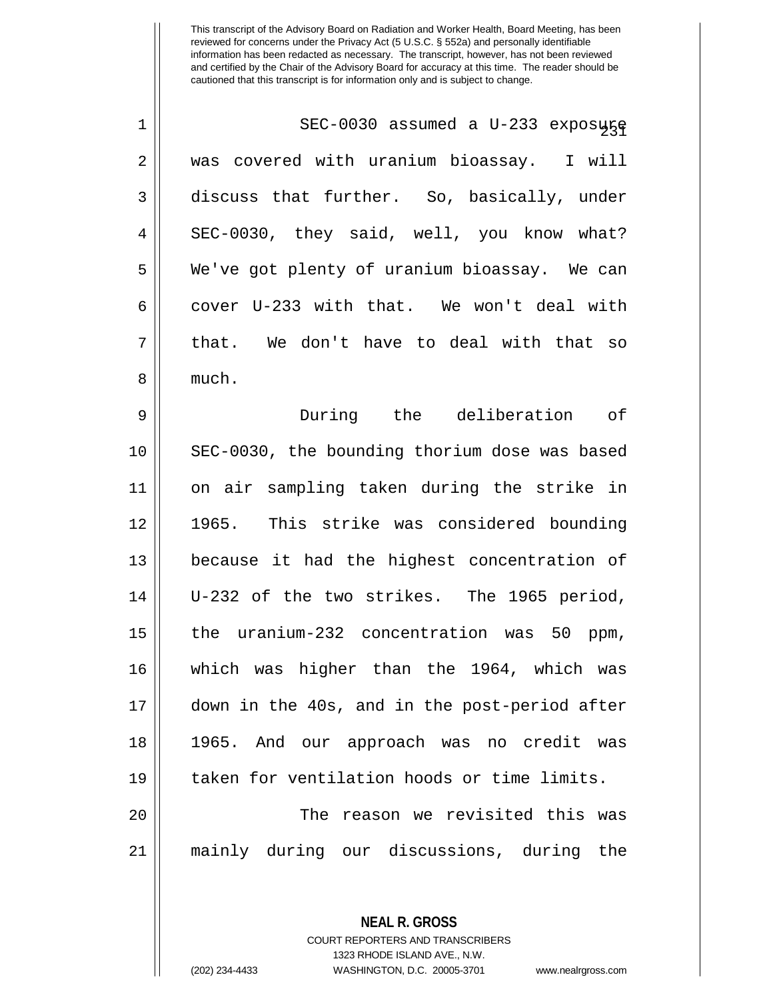| $\mathbf 1$ | SEC-0030 assumed a U-233 exposuge             |
|-------------|-----------------------------------------------|
| 2           | was covered with uranium bioassay. I will     |
| 3           | discuss that further. So, basically, under    |
| 4           | SEC-0030, they said, well, you know what?     |
| 5           | We've got plenty of uranium bioassay. We can  |
| 6           | cover U-233 with that. We won't deal with     |
| 7           | that. We don't have to deal with that so      |
| 8           | much.                                         |
| 9           | During the deliberation of                    |
| 10          | SEC-0030, the bounding thorium dose was based |
| 11          | on air sampling taken during the strike in    |
| 12          | 1965. This strike was considered bounding     |
| 13          | because it had the highest concentration of   |
| 14          | U-232 of the two strikes. The 1965 period,    |
| 15          | the uranium-232 concentration was 50 ppm,     |
| 16          | which was higher than the 1964, which was     |
| 17          | down in the 40s, and in the post-period after |
| 18          | 1965. And our approach was no credit was      |
| 19          | taken for ventilation hoods or time limits.   |
| 20          | The reason we revisited this was              |
| 21          | mainly during our discussions, during the     |

COURT REPORTERS AND TRANSCRIBERS 1323 RHODE ISLAND AVE., N.W. (202) 234-4433 WASHINGTON, D.C. 20005-3701 www.nealrgross.com

**NEAL R. GROSS**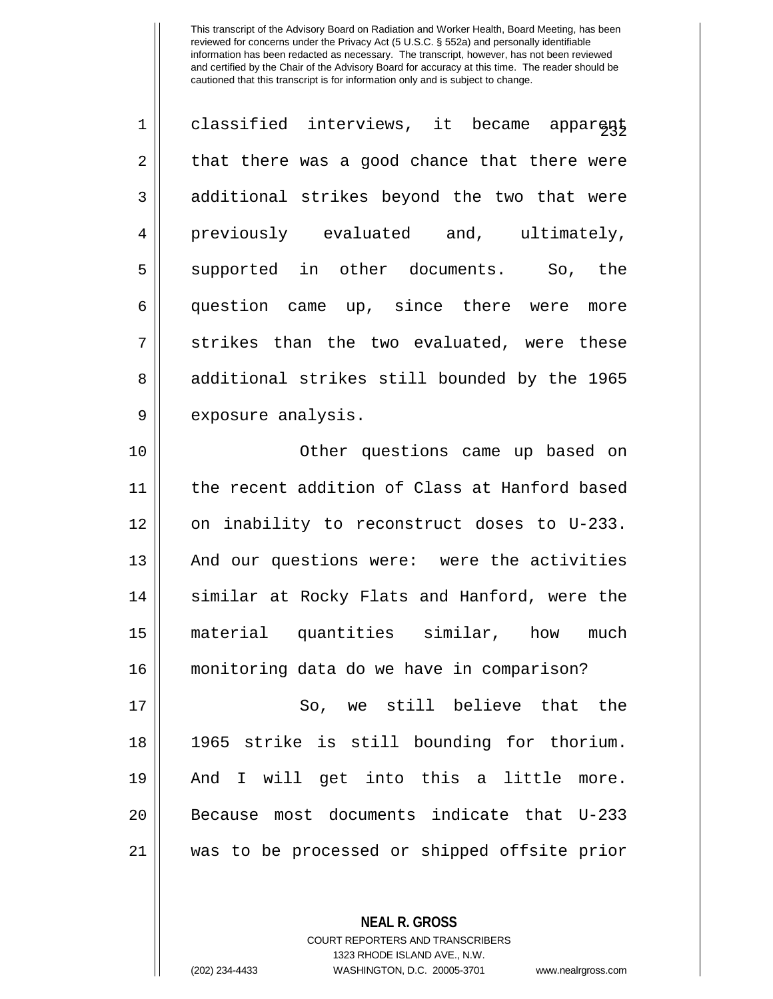| $\mathbf 1$    | classified interviews, it became apparent     |
|----------------|-----------------------------------------------|
| $\overline{2}$ | that there was a good chance that there were  |
| $\overline{3}$ | additional strikes beyond the two that were   |
| $\overline{4}$ | previously evaluated and, ultimately,         |
| 5              | supported in other documents. So, the         |
| 6              | question came up, since there were<br>more    |
| 7              | strikes than the two evaluated, were these    |
| 8              | additional strikes still bounded by the 1965  |
| 9              | exposure analysis.                            |
| 10             | Other questions came up based on              |
| 11             | the recent addition of Class at Hanford based |
| 12             | on inability to reconstruct doses to U-233.   |
| 13             | And our questions were: were the activities   |
| 1 <sub>1</sub> | $a+m+1$ are $a+m+1$ at $a$ and $H$ and $m+1$  |

14 || similar at Rocky Flats and Hanford, were the material quantities similar, how much monitoring data do we have in comparison?

 So, we still believe that the 1965 strike is still bounding for thorium. And I will get into this a little more. Because most documents indicate that U-233 was to be processed or shipped offsite prior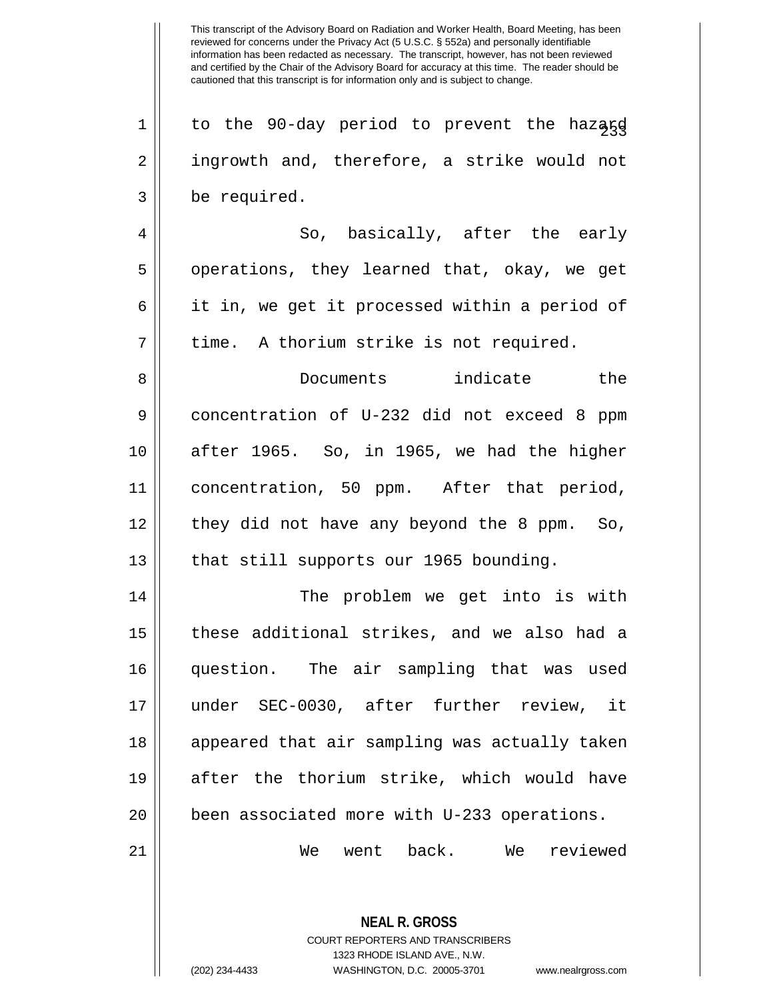**NEAL R. GROSS** to the 90-day period to prevent the hazard 2 || ingrowth and, therefore, a strike would not be required. So, basically, after the early 5 || operations, they learned that, okay, we get it in, we get it processed within a period of 7 || time. A thorium strike is not required. Documents indicate the 9 concentration of U-232 did not exceed 8 ppm after 1965. So, in 1965, we had the higher concentration, 50 ppm. After that period, they did not have any beyond the 8 ppm. So,  $\parallel$  that still supports our 1965 bounding. The problem we get into is with these additional strikes, and we also had a question. The air sampling that was used under SEC-0030, after further review, it 18 || appeared that air sampling was actually taken 19 || after the thorium strike, which would have 20 || been associated more with U-233 operations. We went back. We reviewed

> COURT REPORTERS AND TRANSCRIBERS 1323 RHODE ISLAND AVE., N.W.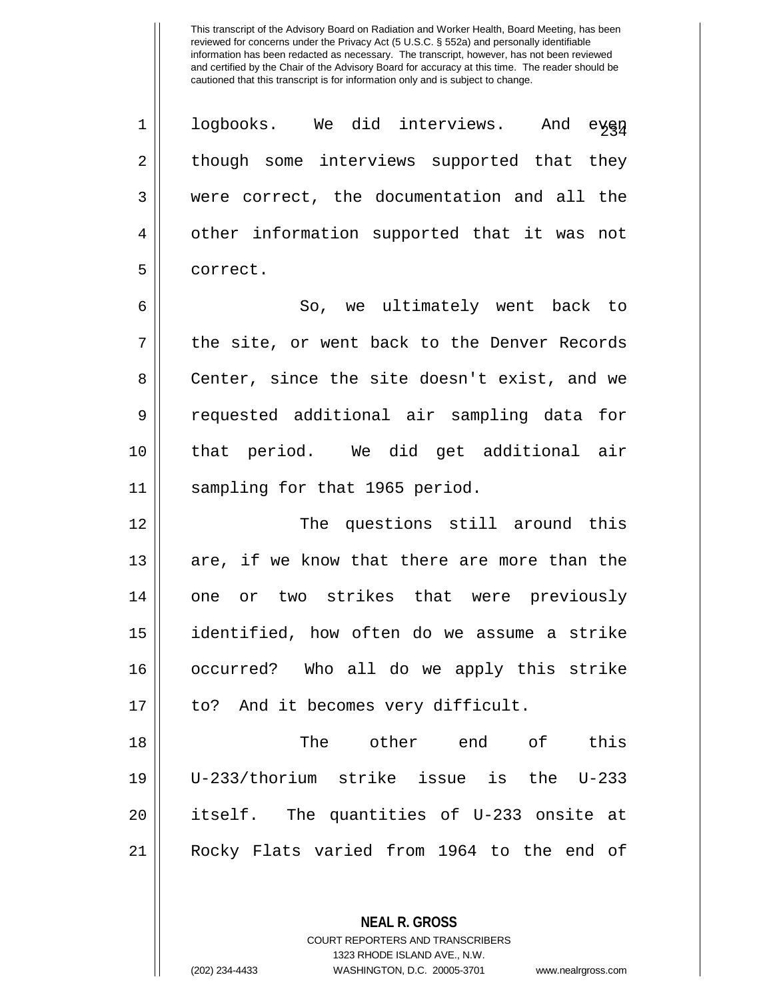$1 \parallel$  logbooks. We did interviews. And eyequently 2 || though some interviews supported that they were correct, the documentation and all the 4 | other information supported that it was not 5 correct. So, we ultimately went back to 7 || the site, or went back to the Denver Records 8 Center, since the site doesn't exist, and we requested additional air sampling data for that period. We did get additional air sampling for that 1965 period. The questions still around this  $\parallel$  are, if we know that there are more than the 14 || one or two strikes that were previously identified, how often do we assume a strike occurred? Who all do we apply this strike 17 || to? And it becomes very difficult. The other end of this U-233/thorium strike issue is the U-233 itself. The quantities of U-233 onsite at Rocky Flats varied from 1964 to the end of

> **NEAL R. GROSS** COURT REPORTERS AND TRANSCRIBERS 1323 RHODE ISLAND AVE., N.W.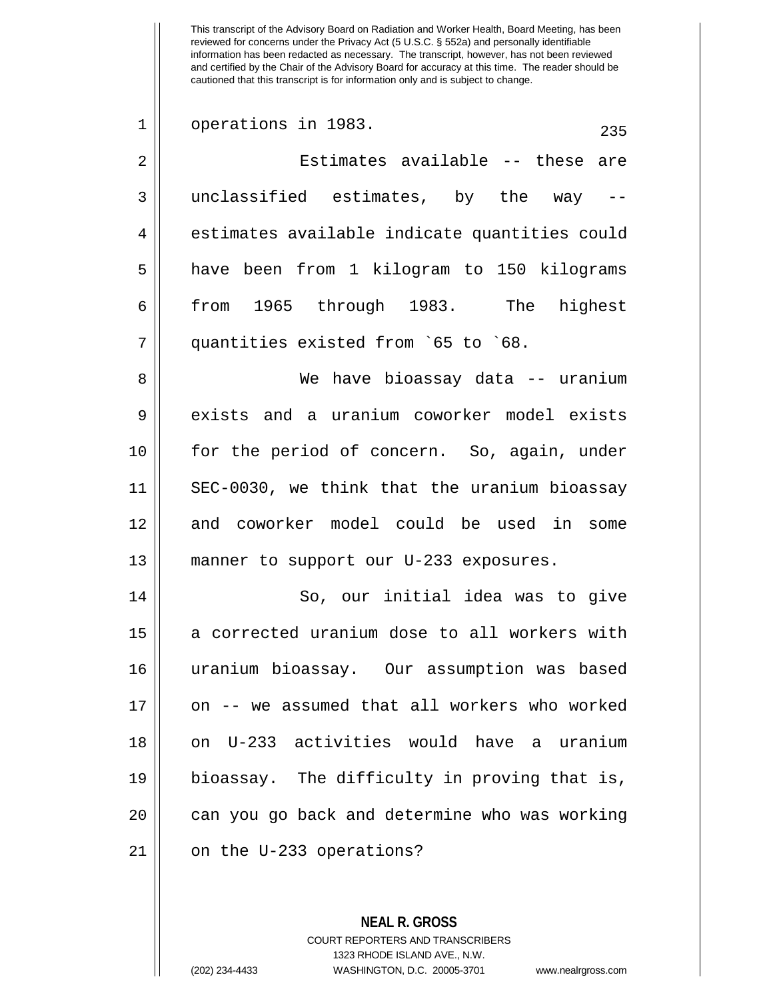$\begin{array}{c|c|c|c|c} 1 & \text{operations in } 1983. \end{array}$  235 2 Estimates available -- these are 3 || unclassified estimates, by the way --4 estimates available indicate quantities could 5 || have been from 1 kilogram to 150 kilograms 6|| from 1965 through 1983. The highest 7 quantities existed from `65 to `68. 8 We have bioassay data -- uranium 9 exists and a uranium coworker model exists 10 || for the period of concern. So, again, under 11 SEC-0030, we think that the uranium bioassay 12 and coworker model could be used in some 13 || manner to support our U-233 exposures. 14 || So, our initial idea was to give 15 a corrected uranium dose to all workers with 16 uranium bioassay. Our assumption was based 17 || on -- we assumed that all workers who worked 18 on U-233 activities would have a uranium 19 bioassay. The difficulty in proving that is, 20 || can you go back and determine who was working  $21$  | on the U-233 operations?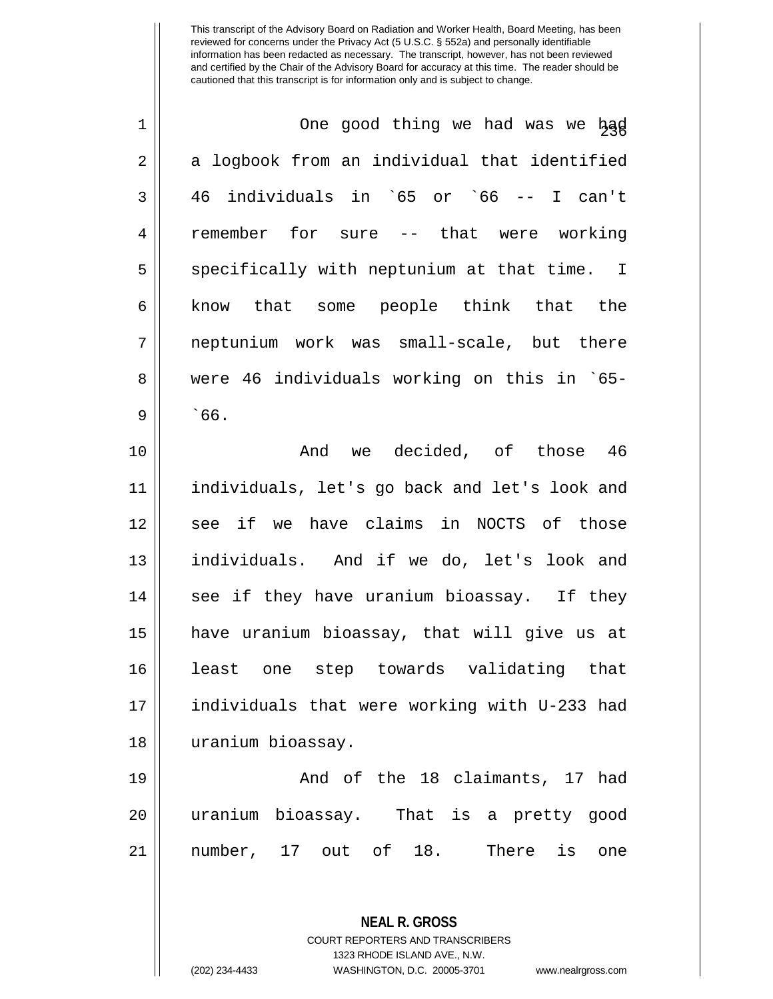| 1              | One good thing we had was we bag              |
|----------------|-----------------------------------------------|
| 2              | a logbook from an individual that identified  |
| 3              | 46 individuals in `65 or `66 -- I can't       |
| $\overline{4}$ | remember for sure -- that were working        |
| 5              | specifically with neptunium at that time. I   |
| 6              | know that some people think that the          |
| 7              | neptunium work was small-scale, but there     |
| 8              | were 46 individuals working on this in `65-   |
| 9              | $\degree$ 66.                                 |
| 10             | And we decided, of those 46                   |
| 11             | individuals, let's go back and let's look and |
| 12             | see if we have claims in NOCTS of those       |
| 13             | individuals. And if we do, let's look and     |
| 14             | see if they have uranium bioassay. If they    |
| 15             | have uranium bioassay, that will give us at   |
| 16             | least one step towards validating that        |
| 17             | individuals that were working with U-233 had  |
| 18             | uranium bioassay.                             |
| 19             | And of the 18 claimants, 17 had               |
| 20             | uranium bioassay. That is a pretty good       |
| 21             | number, 17 out of 18. There is one            |
|                |                                               |
|                | <b>NEAL R. GROSS</b>                          |

COURT REPORTERS AND TRANSCRIBERS 1323 RHODE ISLAND AVE., N.W.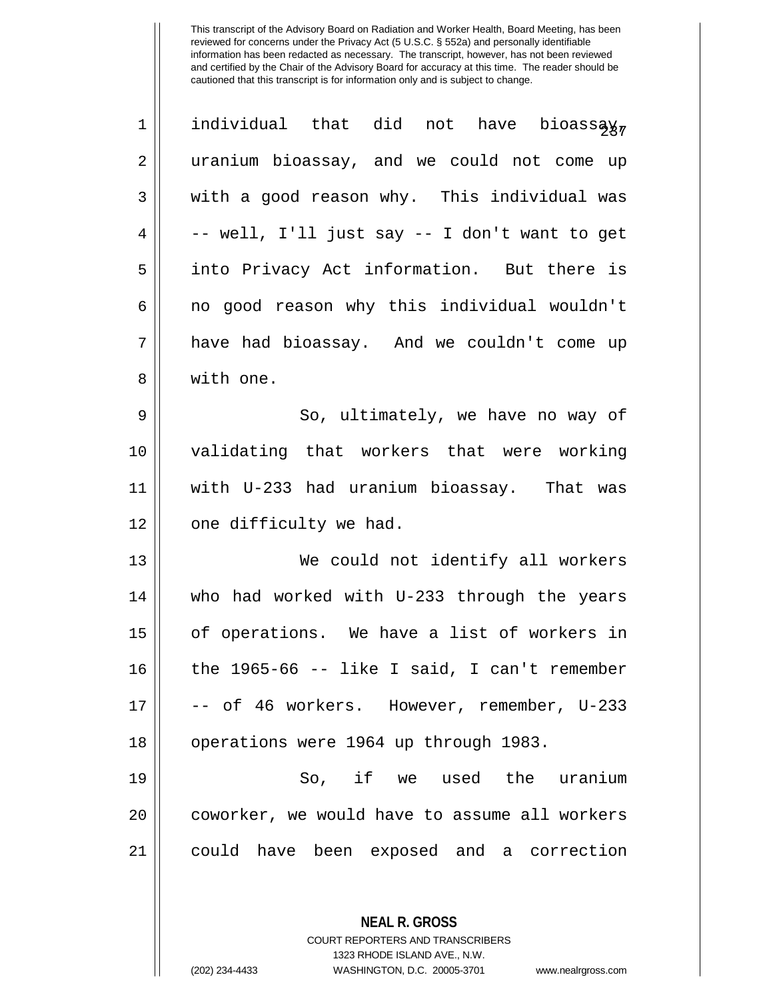| 1              | individual that did not have bioassay                           |
|----------------|-----------------------------------------------------------------|
| 2              | uranium bioassay, and we could not come up                      |
| $\mathfrak{Z}$ | with a good reason why. This individual was                     |
| 4              | -- well, I'll just say -- I don't want to get                   |
| 5              | into Privacy Act information. But there is                      |
| 6              | no good reason why this individual wouldn't                     |
| 7              | have had bioassay. And we couldn't come up                      |
| 8              | with one.                                                       |
| 9              | So, ultimately, we have no way of                               |
| 10             | validating that workers that were working                       |
| 11             | with U-233 had uranium bioassay. That was                       |
| 12             | one difficulty we had.                                          |
| 13             | We could not identify all workers                               |
| 14             | who had worked with U-233 through the years                     |
| 15             | of operations. We have a list of workers in                     |
| 16             | the 1965-66 -- like I said, I can't remember                    |
| 17             | -- of 46 workers. However, remember, U-233                      |
| 18             | operations were 1964 up through 1983.                           |
| 19             | So, if we used the uranium                                      |
| 20             | coworker, we would have to assume all workers                   |
| 21             | could have been exposed and a correction                        |
|                |                                                                 |
|                | <b>NEAL R. GROSS</b><br><b>COURT REPORTERS AND TRANSCRIBERS</b> |

1323 RHODE ISLAND AVE., N.W.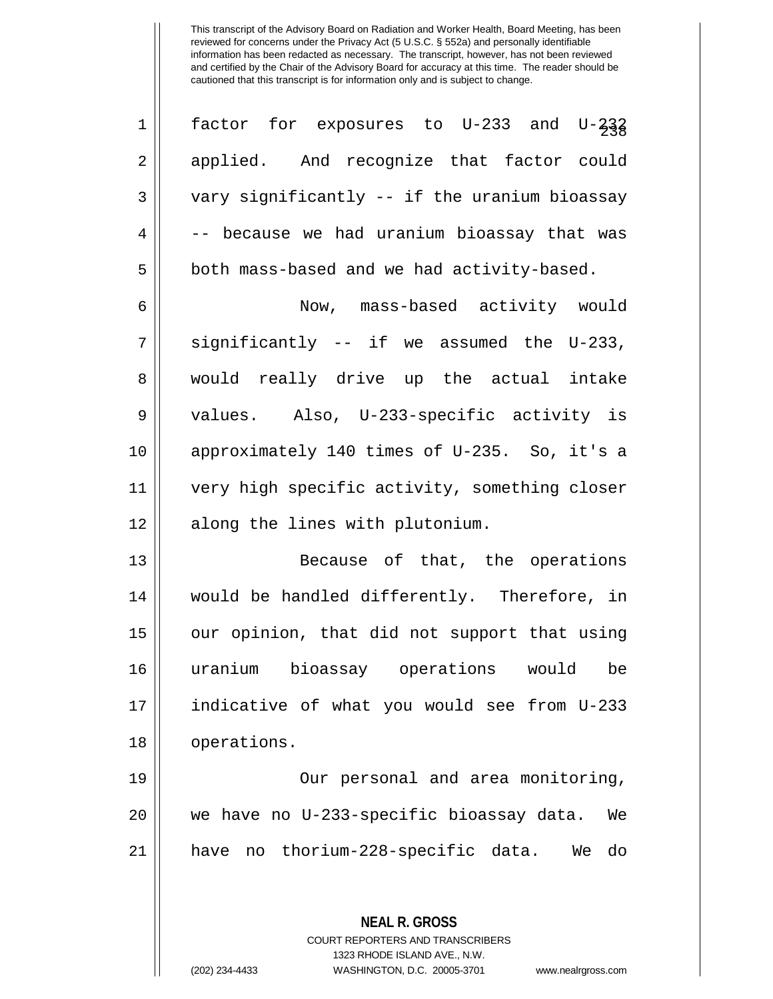| $\mathbf 1$ | factor for exposures to U-233 and U-232                                                         |
|-------------|-------------------------------------------------------------------------------------------------|
| $\sqrt{2}$  | applied. And recognize that factor could                                                        |
| 3           | vary significantly -- if the uranium bioassay                                                   |
| 4           | -- because we had uranium bioassay that was                                                     |
| 5           | both mass-based and we had activity-based.                                                      |
| 6           | Now, mass-based activity would                                                                  |
| 7           | significantly -- if we assumed the U-233,                                                       |
| 8           | would really drive up the actual intake                                                         |
| 9           | values. Also, U-233-specific activity is                                                        |
| 10          | approximately 140 times of U-235. So, it's a                                                    |
| 11          | very high specific activity, something closer                                                   |
| 12          | along the lines with plutonium.                                                                 |
| 13          | Because of that, the operations                                                                 |
| 14          | would be handled differently. Therefore, in                                                     |
| 15          | our opinion, that did not support that using                                                    |
| 16          | uranium bioassay operations would<br>be                                                         |
| 17          | indicative of what you would see from U-233                                                     |
| 18          | operations.                                                                                     |
| 19          | Our personal and area monitoring,                                                               |
| 20          | we have no U-233-specific bioassay data.<br>We                                                  |
| 21          | have no thorium-228-specific data.<br>We<br>do                                                  |
|             | <b>NEAL R. GROSS</b><br><b>COURT REPORTERS AND TRANSCRIBERS</b><br>1323 RHODE ISLAND AVE., N.W. |
|             | WASHINGTON, D.C. 20005-3701<br>(202) 234-4433<br>www.nealrgross.com                             |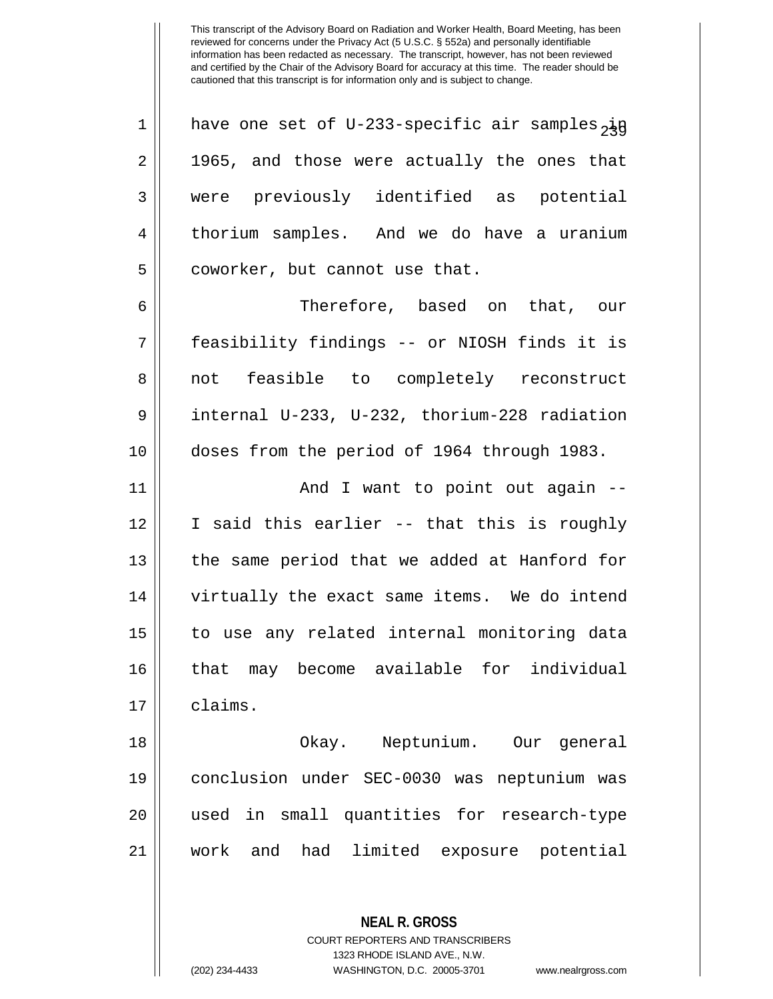| $\mathbf 1$ | have one set of U-233-specific air samples $2\frac{1}{4}$ |
|-------------|-----------------------------------------------------------|
| 2           | 1965, and those were actually the ones that               |
| 3           | were previously identified as potential                   |
| 4           | thorium samples. And we do have a uranium                 |
| 5           | coworker, but cannot use that.                            |
| 6           | Therefore, based on that, our                             |
| 7           | feasibility findings -- or NIOSH finds it is              |
| 8           | not feasible to completely reconstruct                    |
| 9           | internal U-233, U-232, thorium-228 radiation              |
| 10          | doses from the period of 1964 through 1983.               |
| 11          | And I want to point out again --                          |
| 12          | I said this earlier -- that this is roughly               |
| 13          | the same period that we added at Hanford for              |
| 14          | virtually the exact same items. We do intend              |
| 15          | to use any related internal monitoring data               |
| 16          | may become available for<br>individual<br>that            |
| 17          | claims.                                                   |
| 18          | Okay. Neptunium. Our general                              |
| 19          | conclusion under SEC-0030 was neptunium was               |
| 20          | used in small quantities for research-type                |
| 21          | had limited<br>work<br>and<br>exposure potential          |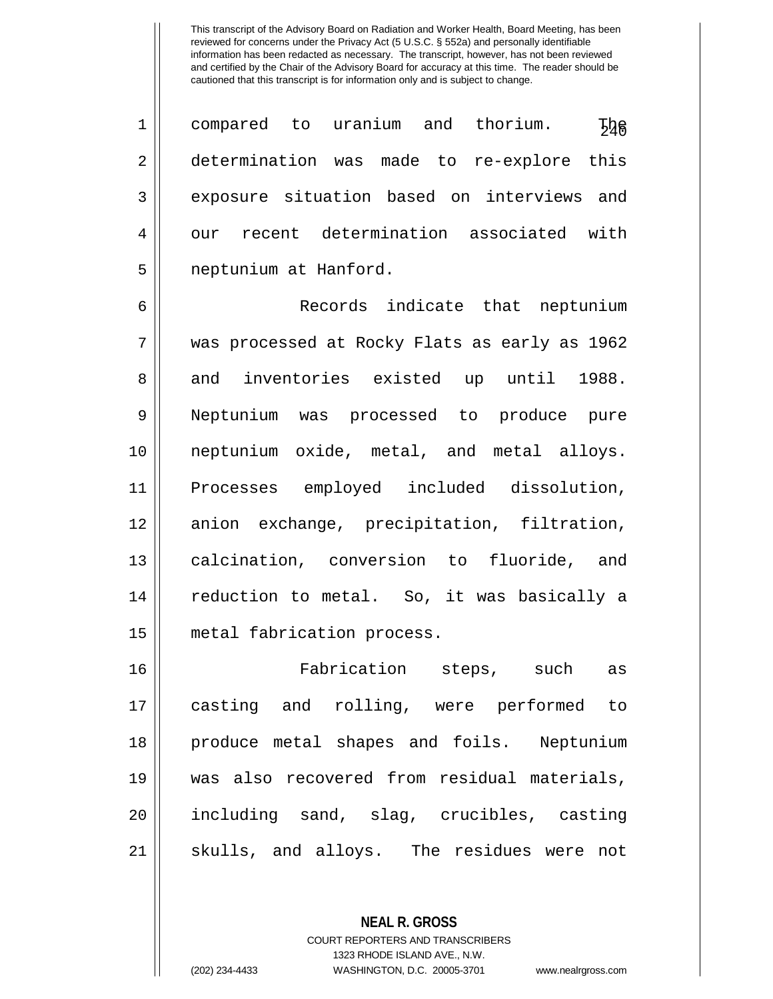$\begin{array}{ccc} 1 & \text{compared} & \text{to} & \text{uranium} & \text{and} & \text{thorium} \end{array} \quad \begin{array}{ccc} \text{246} & \text{276} & \text{288} & \text{296} & \text{296} & \text{296} & \text{296} & \text{296} & \text{296} & \text{296} & \text{206} & \text{216} & \text{226} & \text{216} & \text{226} & \text{226} & \text{236} & \text{246} & \text{256} & \text{266} & \text{$ 2 determination was made to re-explore this 3 exposure situation based on interviews and 4 || our recent determination associated with 5 | neptunium at Hanford.

 Records indicate that neptunium was processed at Rocky Flats as early as 1962 8 and inventories existed up until 1988. Neptunium was processed to produce pure neptunium oxide, metal, and metal alloys. Processes employed included dissolution, anion exchange, precipitation, filtration, 13 || calcination, conversion to fluoride, and 14 || reduction to metal. So, it was basically a metal fabrication process.

 Fabrication steps, such as casting and rolling, were performed to produce metal shapes and foils. Neptunium was also recovered from residual materials, including sand, slag, crucibles, casting 21 || skulls, and alloys. The residues were not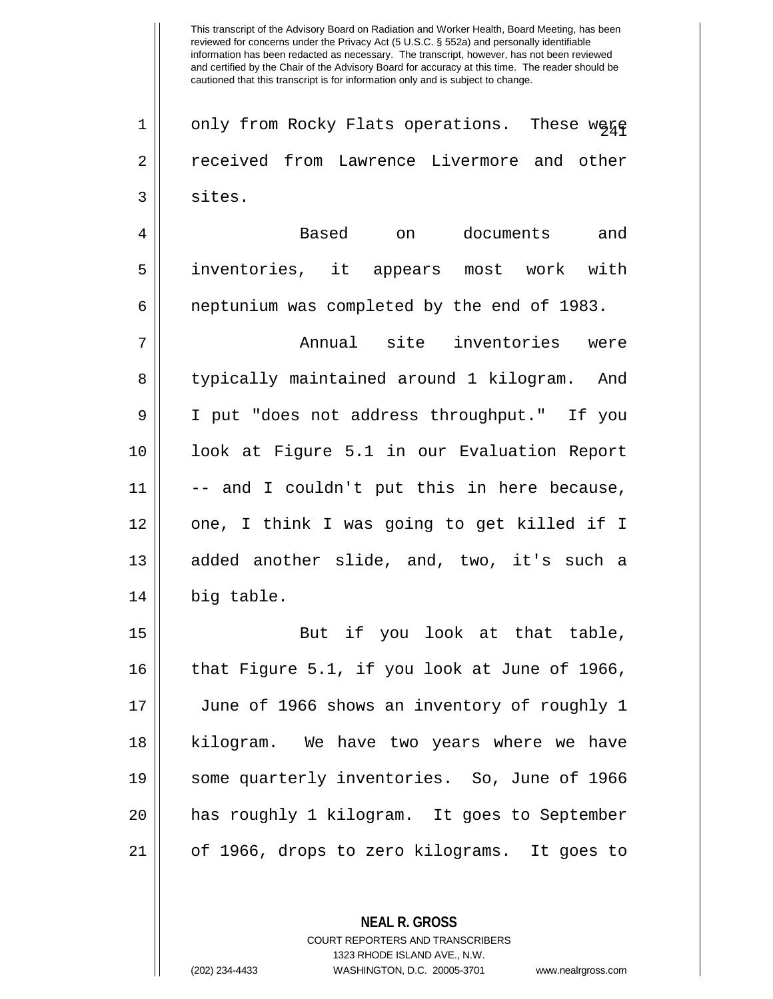$1$  || only from Rocky Flats operations. These were 2 || received from Lawrence Livermore and other  $3 \parallel$  sites.

4 Based on documents and 5 inventories, it appears most work with 6 | neptunium was completed by the end of 1983.

 Annual site inventories were 8 || typically maintained around 1 kilogram. And I put "does not address throughput." If you look at Figure 5.1 in our Evaluation Report -- and I couldn't put this in here because, one, I think I was going to get killed if I 13 || added another slide, and, two, it's such a | big table.

15 || But if you look at that table, 16 || that Figure 5.1, if you look at June of 1966, 17 June of 1966 shows an inventory of roughly 1 18 kilogram. We have two years where we have 19 || some quarterly inventories. So, June of 1966 20 has roughly 1 kilogram. It goes to September 21 of 1966, drops to zero kilograms. It goes to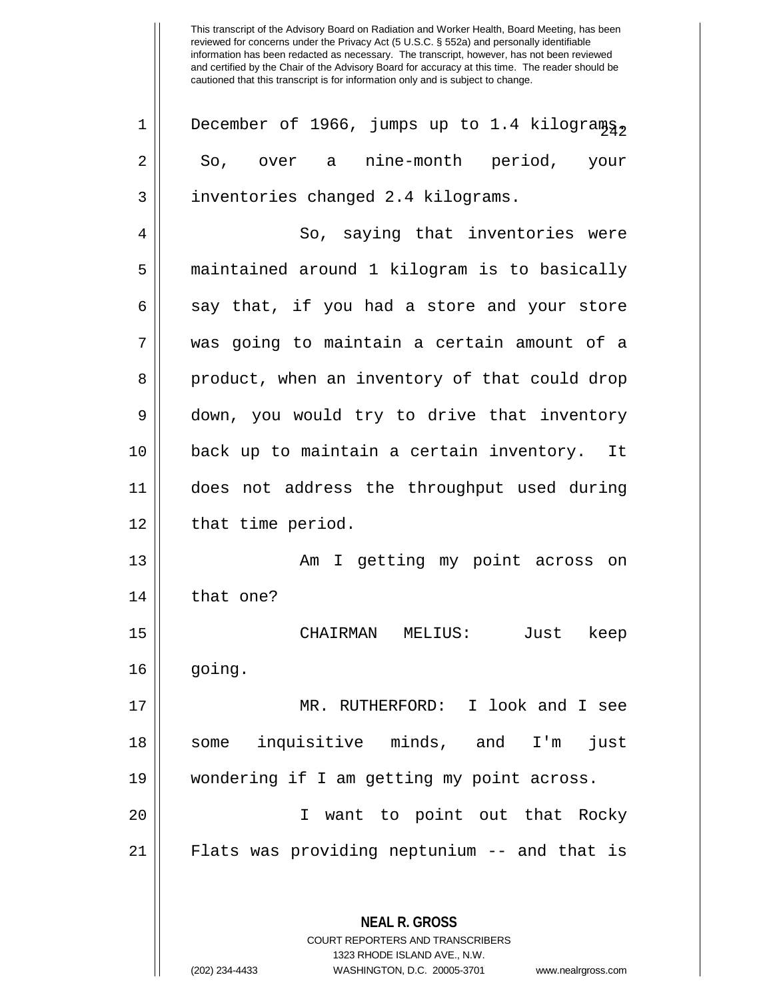| $\mathbf 1$ | December of 1966, jumps up to 1.4 kilograms,                                                                                                                           |
|-------------|------------------------------------------------------------------------------------------------------------------------------------------------------------------------|
| 2           | So, over a nine-month period, your                                                                                                                                     |
| 3           | inventories changed 2.4 kilograms.                                                                                                                                     |
| 4           | So, saying that inventories were                                                                                                                                       |
| 5           | maintained around 1 kilogram is to basically                                                                                                                           |
| 6           | say that, if you had a store and your store                                                                                                                            |
| 7           | was going to maintain a certain amount of a                                                                                                                            |
| 8           | product, when an inventory of that could drop                                                                                                                          |
| 9           | down, you would try to drive that inventory                                                                                                                            |
| 10          | back up to maintain a certain inventory. It                                                                                                                            |
| 11          | does not address the throughput used during                                                                                                                            |
| 12          | that time period.                                                                                                                                                      |
| 13          | Am I getting my point across on                                                                                                                                        |
| 14          | that one?                                                                                                                                                              |
| 15          | Just keep<br>CHAIRMAN MELIUS:                                                                                                                                          |
| 16          | going.                                                                                                                                                                 |
| 17          | MR. RUTHERFORD: I look and I see                                                                                                                                       |
| 18          | inquisitive minds, and I'm<br>just<br>some                                                                                                                             |
| 19          | wondering if I am getting my point across.                                                                                                                             |
| 20          | want to point out that Rocky<br>I.                                                                                                                                     |
| 21          | Flats was providing neptunium -- and that is                                                                                                                           |
|             | <b>NEAL R. GROSS</b><br><b>COURT REPORTERS AND TRANSCRIBERS</b><br>1323 RHODE ISLAND AVE., N.W.<br>(202) 234-4433<br>WASHINGTON, D.C. 20005-3701<br>www.nealrgross.com |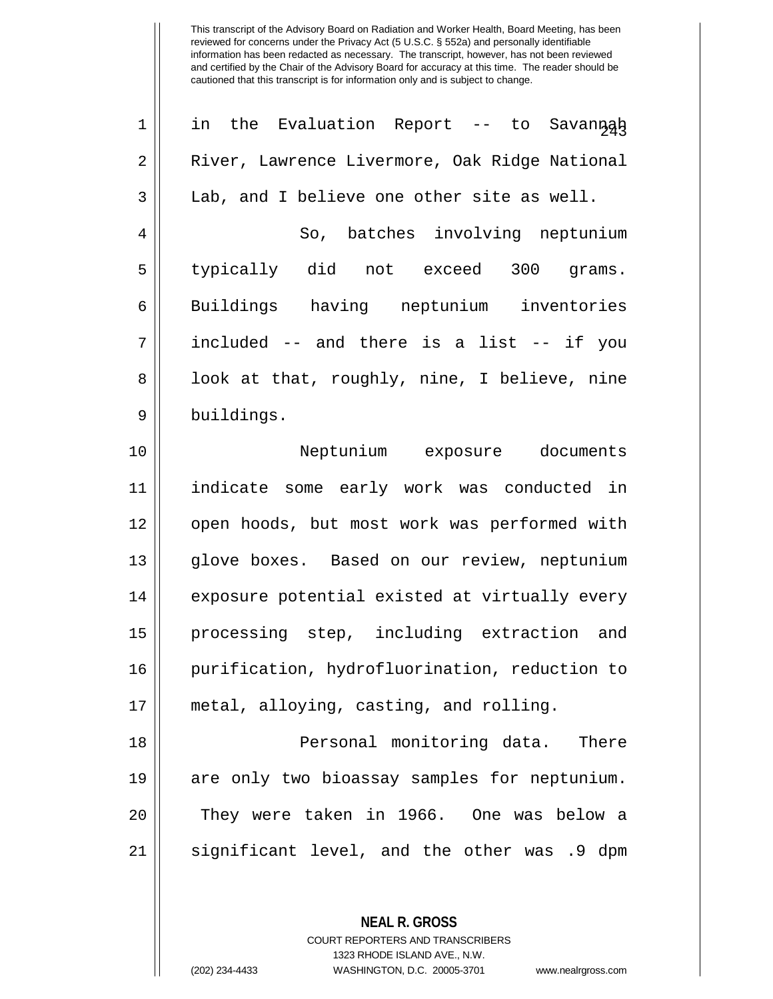| $\mathbf 1$    | in the Evaluation Report -- to Savanngah      |
|----------------|-----------------------------------------------|
| $\overline{2}$ | River, Lawrence Livermore, Oak Ridge National |
| 3              | Lab, and I believe one other site as well.    |
| 4              | So, batches involving neptunium               |
| 5              | typically did not exceed 300 grams.           |
| 6              | Buildings having neptunium inventories        |
| 7              | included -- and there is a list -- if you     |
| 8              | look at that, roughly, nine, I believe, nine  |
| 9              | buildings.                                    |
| 10             | Neptunium exposure documents                  |
| 11             | indicate some early work was conducted in     |
| 12             | open hoods, but most work was performed with  |
| 13             | glove boxes. Based on our review, neptunium   |
| 14             | exposure potential existed at virtually every |
| 15             | processing step, including extraction and     |
| 16             | purification, hydrofluorination, reduction to |
| 17             | metal, alloying, casting, and rolling.        |
| 18             | Personal monitoring data. There               |
| 19             | are only two bioassay samples for neptunium.  |
| 20             | They were taken in 1966. One was below a      |
| 21             | significant level, and the other was .9 dpm   |
|                |                                               |

1323 RHODE ISLAND AVE., N.W. (202) 234-4433 WASHINGTON, D.C. 20005-3701 www.nealrgross.com

**NEAL R. GROSS** COURT REPORTERS AND TRANSCRIBERS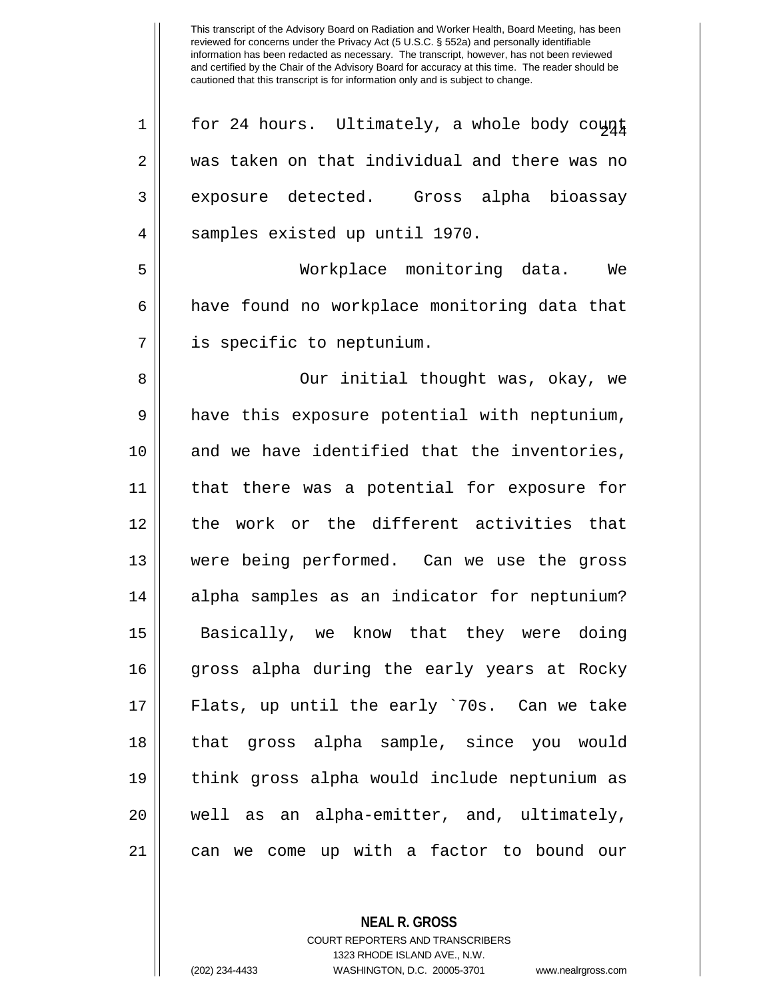| $\mathbf 1$    | for 24 hours. Ultimately, a whole body count  |
|----------------|-----------------------------------------------|
| $\overline{2}$ | was taken on that individual and there was no |
| 3              | exposure detected. Gross alpha bioassay       |
| 4              | samples existed up until 1970.                |
| 5              | Workplace monitoring data. We                 |
| 6              | have found no workplace monitoring data that  |
| 7              | is specific to neptunium.                     |
| 8              | Our initial thought was, okay, we             |
| 9              | have this exposure potential with neptunium,  |
| 10             | and we have identified that the inventories,  |
| 11             | that there was a potential for exposure for   |
| 12             | the work or the different activities that     |
| 13             | were being performed. Can we use the gross    |
| 14             | alpha samples as an indicator for neptunium?  |
| 15             | Basically, we know that they were doing       |
| 16             | gross alpha during the early years at Rocky   |
| 17             | Flats, up until the early `70s. Can we take   |
| 18             | that gross alpha sample, since you would      |
| 19             | think gross alpha would include neptunium as  |
| 20             | well as an alpha-emitter, and, ultimately,    |
| 21             | can we come up with a factor to bound our     |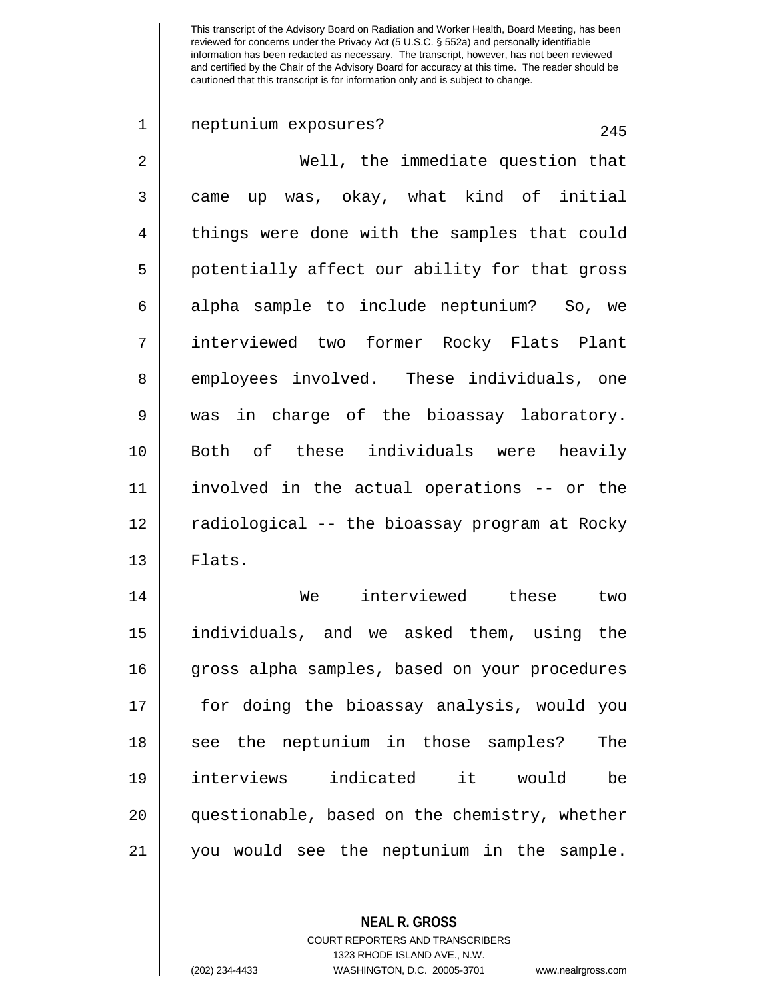1 || neptunium exposures? 245 Well, the immediate question that  $3 \parallel$  came up was, okay, what kind of initial 4 things were done with the samples that could 5 || potentially affect our ability for that gross 6 alpha sample to include neptunium? So, we interviewed two former Rocky Flats Plant 8 employees involved. These individuals, one was in charge of the bioassay laboratory. Both of these individuals were heavily involved in the actual operations -- or the radiological -- the bioassay program at Rocky  $13 \parallel$  Flats. We interviewed these two individuals, and we asked them, using the gross alpha samples, based on your procedures for doing the bioassay analysis, would you 18 || see the neptunium in those samples? The interviews indicated it would be questionable, based on the chemistry, whether you would see the neptunium in the sample.

> **NEAL R. GROSS** COURT REPORTERS AND TRANSCRIBERS 1323 RHODE ISLAND AVE., N.W.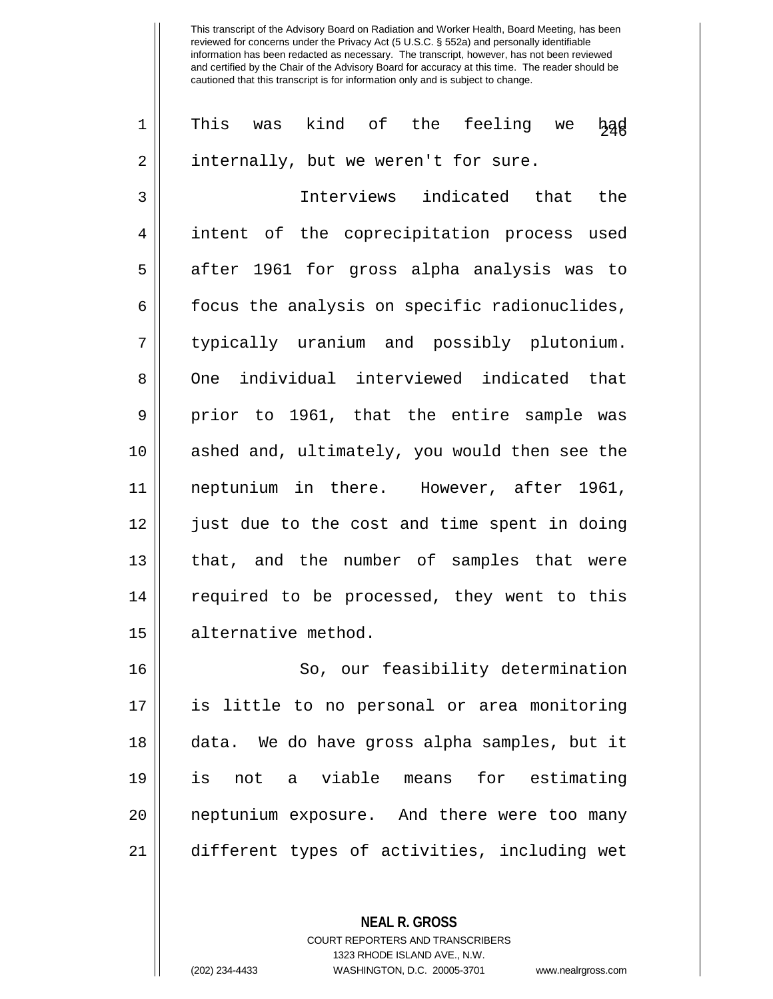$\begin{array}{c}\n 1 \parallel$  This was kind of the feeling we  $\frac{1}{2}$ 2 || internally, but we weren't for sure.

3 Interviews indicated that the 4 intent of the coprecipitation process used 5 || after 1961 for gross alpha analysis was to  $6 \parallel$  focus the analysis on specific radionuclides, 7 || typically uranium and possibly plutonium. 8 One individual interviewed indicated that  $9 \parallel$  prior to 1961, that the entire sample was 10 ashed and, ultimately, you would then see the 11 neptunium in there. However, after 1961, 12 just due to the cost and time spent in doing 13 || that, and the number of samples that were 14 || required to be processed, they went to this 15 alternative method.

16 || So, our feasibility determination is little to no personal or area monitoring data. We do have gross alpha samples, but it is not a viable means for estimating neptunium exposure. And there were too many different types of activities, including wet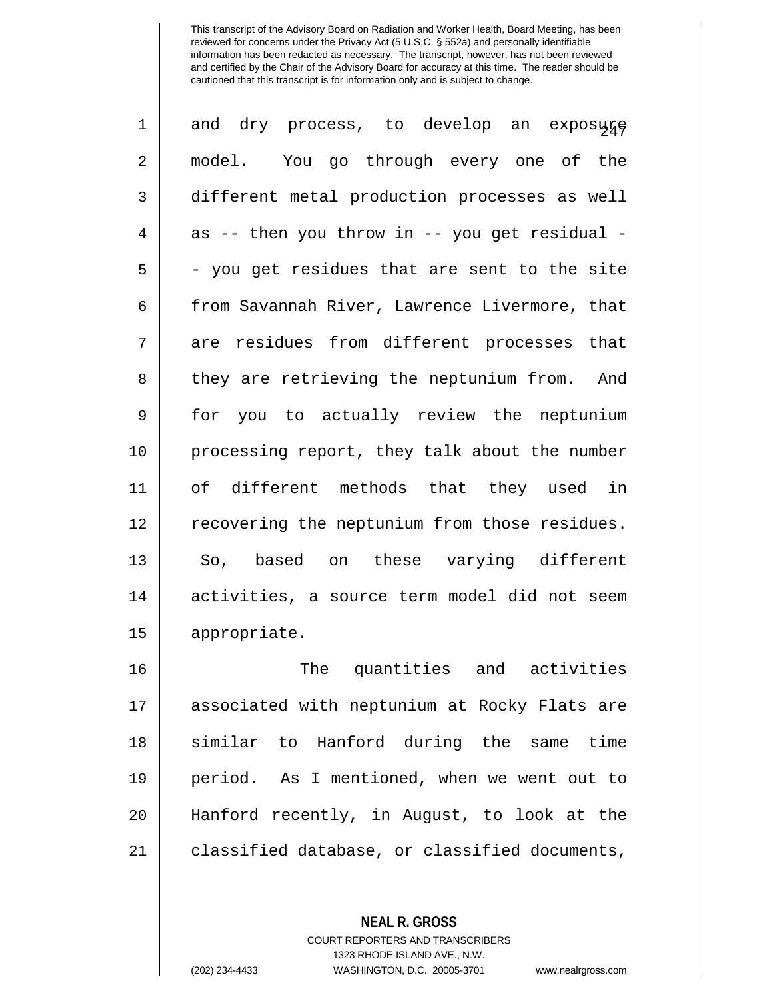| 1  | and dry process, to develop an exposuge       |
|----|-----------------------------------------------|
| 2  | model. You go through every one of the        |
| 3  | different metal production processes as well  |
| 4  | as -- then you throw in -- you get residual - |
| 5  | - you get residues that are sent to the site  |
| 6  | from Savannah River, Lawrence Livermore, that |
| 7  | are residues from different processes that    |
| 8  | they are retrieving the neptunium from. And   |
| 9  | for you to actually review the neptunium      |
| 10 | processing report, they talk about the number |
| 11 | of different methods that they used in        |
| 12 | recovering the neptunium from those residues. |
| 13 | So, based on these varying different          |
| 14 | activities, a source term model did not seem  |
| 15 | appropriate.                                  |
| 16 | The quantities and activities                 |
| 17 | associated with neptunium at Rocky Flats are  |
| 18 | similar to Hanford during the same time       |
| 19 | period. As I mentioned, when we went out to   |
| 20 | Hanford recently, in August, to look at the   |
| 21 | classified database, or classified documents, |

**NEAL R. GROSS** COURT REPORTERS AND TRANSCRIBERS 1323 RHODE ISLAND AVE., N.W.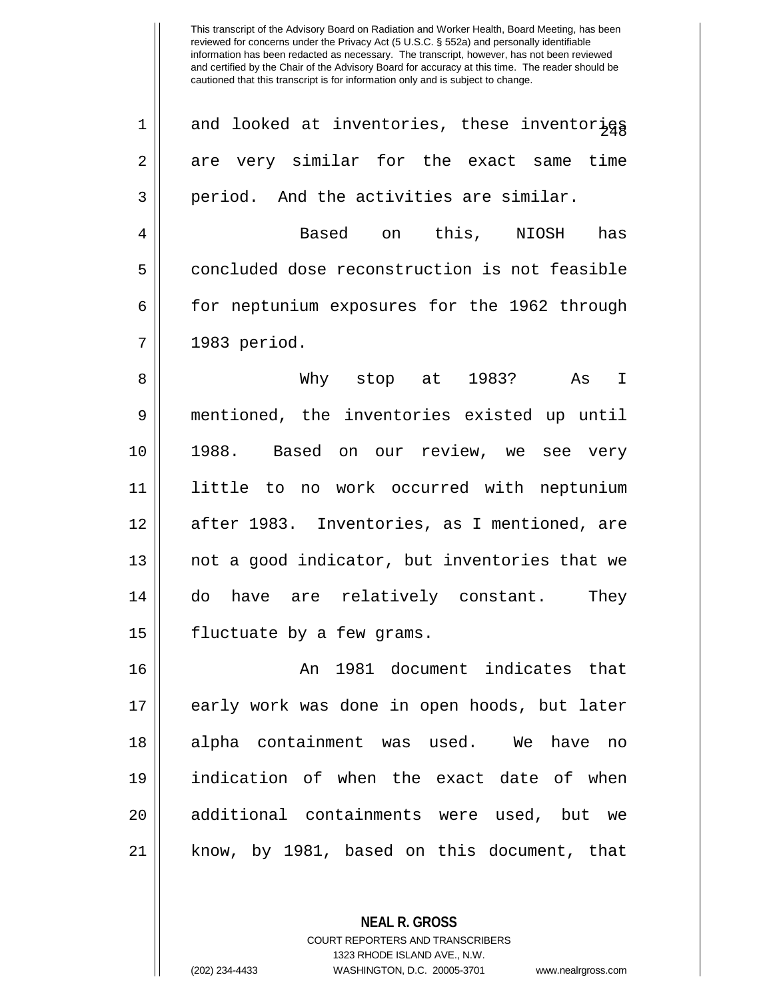|| and looked at inventories, these inventorigg 2 are very similar for the exact same time 3 || period. And the activities are similar. 4 || Based on this, NIOSH has 5 | concluded dose reconstruction is not feasible for neptunium exposures for the 1962 through 1983 period. Why stop at 1983? As I mentioned, the inventories existed up until 1988. Based on our review, we see very little to no work occurred with neptunium after 1983. Inventories, as I mentioned, are | not a good indicator, but inventories that we do have are relatively constant. They fluctuate by a few grams. An 1981 document indicates that early work was done in open hoods, but later 18 alpha containment was used. We have no indication of when the exact date of when 20 || additional containments were used, but we know, by 1981, based on this document, that

> COURT REPORTERS AND TRANSCRIBERS 1323 RHODE ISLAND AVE., N.W. (202) 234-4433 WASHINGTON, D.C. 20005-3701 www.nealrgross.com

**NEAL R. GROSS**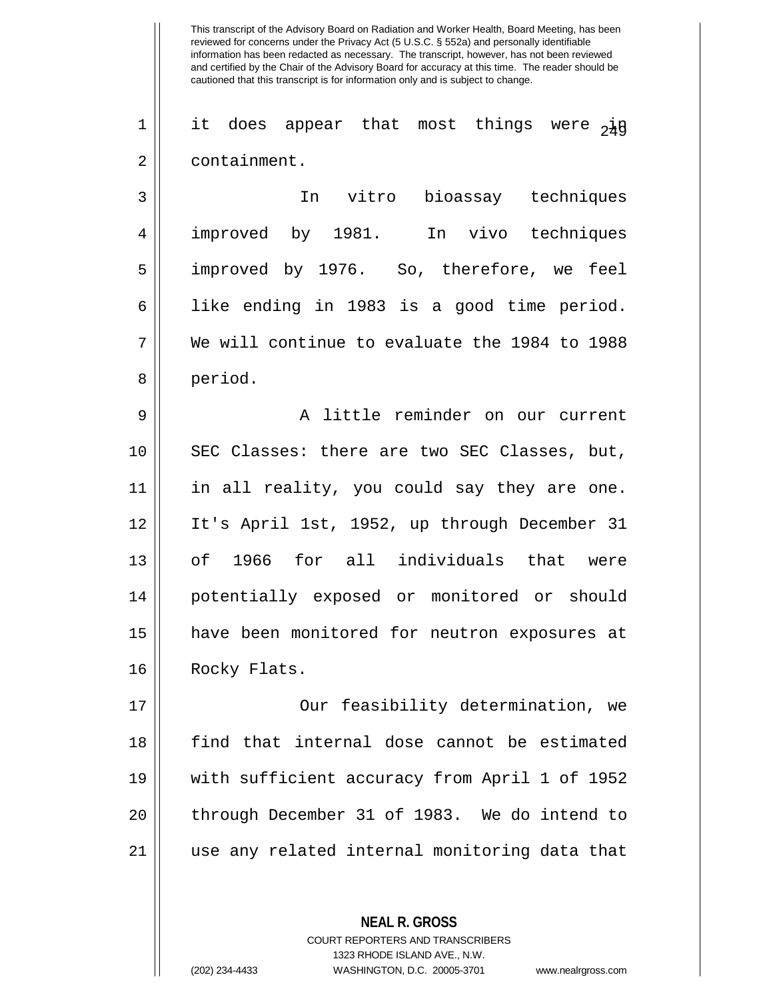1 || it does appear that most things were  $248$ 2 | containment.

 In vitro bioassay techniques improved by 1981. In vivo techniques improved by 1976. So, therefore, we feel 6 || like ending in 1983 is a good time period. We will continue to evaluate the 1984 to 1988 8 period.

 A little reminder on our current SEC Classes: there are two SEC Classes, but, in all reality, you could say they are one. It's April 1st, 1952, up through December 31 of 1966 for all individuals that were potentially exposed or monitored or should have been monitored for neutron exposures at 16 | Rocky Flats.

 Our feasibility determination, we find that internal dose cannot be estimated with sufficient accuracy from April 1 of 1952 20 || through December 31 of 1983. We do intend to use any related internal monitoring data that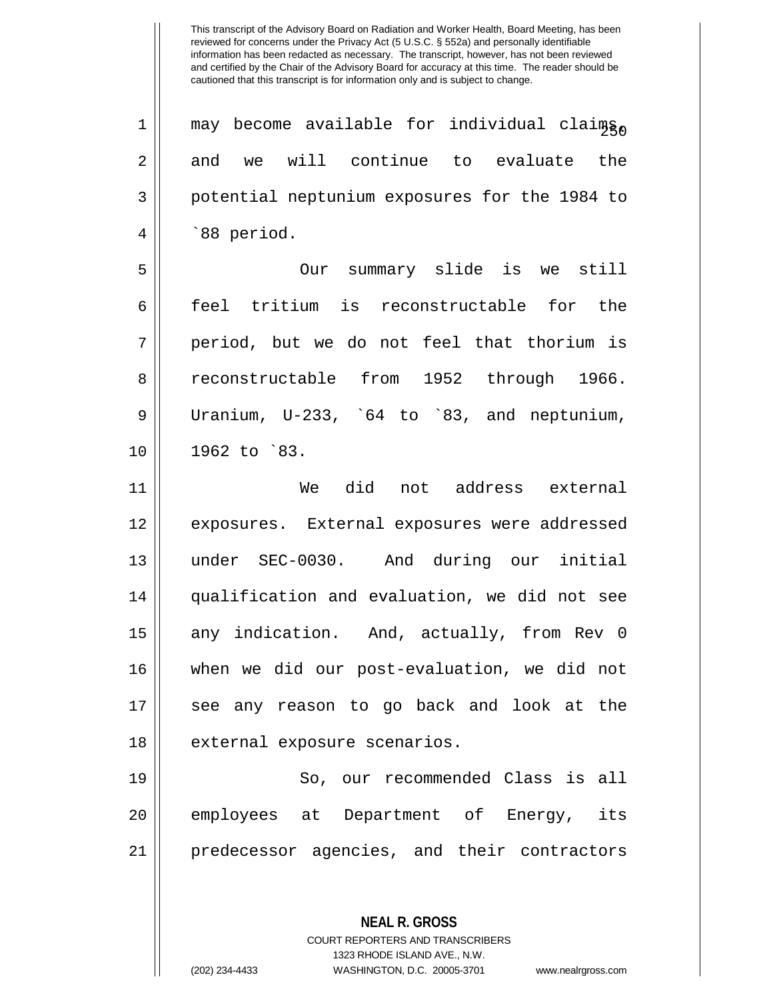1 | may become available for individual claims, 2 || and we will continue to evaluate the 3 potential neptunium exposures for the 1984 to  $4 \parallel$  88 period. 5 Our summary slide is we still 6 feel tritium is reconstructable for the 7 period, but we do not feel that thorium is 8 || reconstructable from 1952 through 1966.  $9 \parallel$  Uranium, U-233, `64 to `83, and neptunium, 10 1962 to `83.

 We did not address external exposures. External exposures were addressed under SEC-0030. And during our initial qualification and evaluation, we did not see 15 || any indication. And, actually, from Rev 0 when we did our post-evaluation, we did not 17 || see any reason to go back and look at the 18 || external exposure scenarios.

19 So, our recommended Class is all 20 || employees at Department of Energy, its 21 predecessor agencies, and their contractors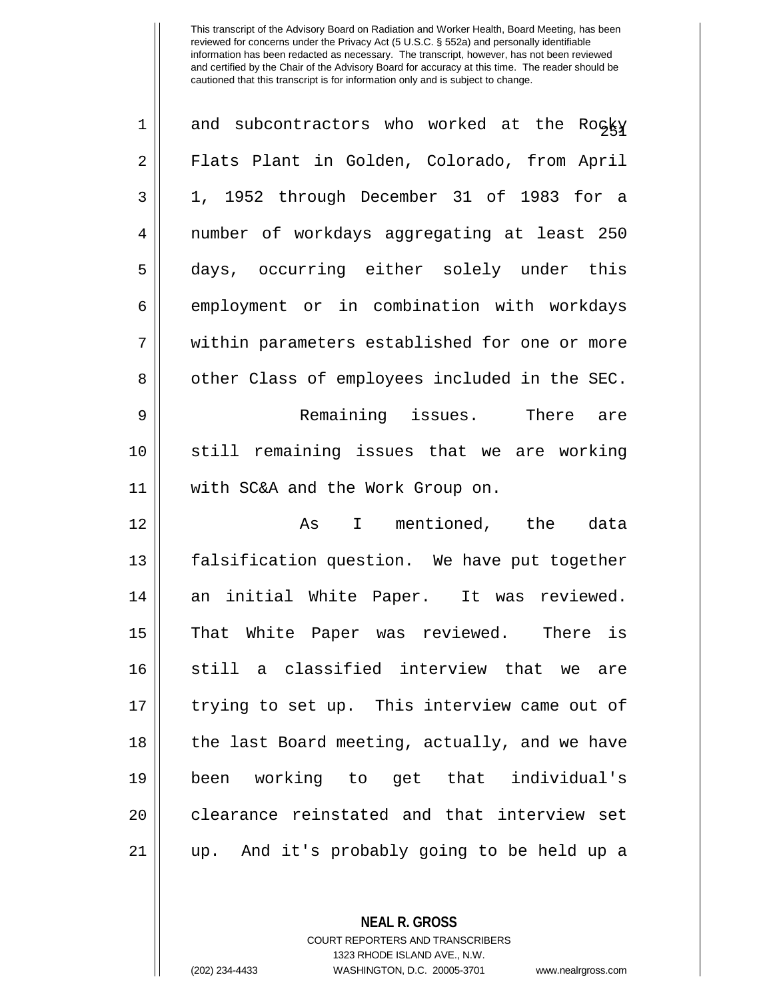| $\mathbf 1$    | and subcontractors who worked at the Rogky    |
|----------------|-----------------------------------------------|
| $\overline{2}$ | Flats Plant in Golden, Colorado, from April   |
| 3              | 1, 1952 through December 31 of 1983 for a     |
| 4              | number of workdays aggregating at least 250   |
| 5              | days, occurring either solely under this      |
| 6              | employment or in combination with workdays    |
| 7              | within parameters established for one or more |
| 8              | other Class of employees included in the SEC. |
| 9              | Remaining issues. There are                   |
| 10             | still remaining issues that we are working    |
| 11             | with SC&A and the Work Group on.              |
| 12             | As I mentioned, the data                      |
| 13             | falsification question. We have put together  |
| 14             | an initial White Paper. It was reviewed.      |
| 15             | That White Paper was reviewed. There is       |
| 16             | still a classified interview that we are      |
| 17             | trying to set up. This interview came out of  |
| 18             | the last Board meeting, actually, and we have |
| 19             | been working to get that individual's         |
| 20             | clearance reinstated and that interview set   |
| 21             | up. And it's probably going to be held up a   |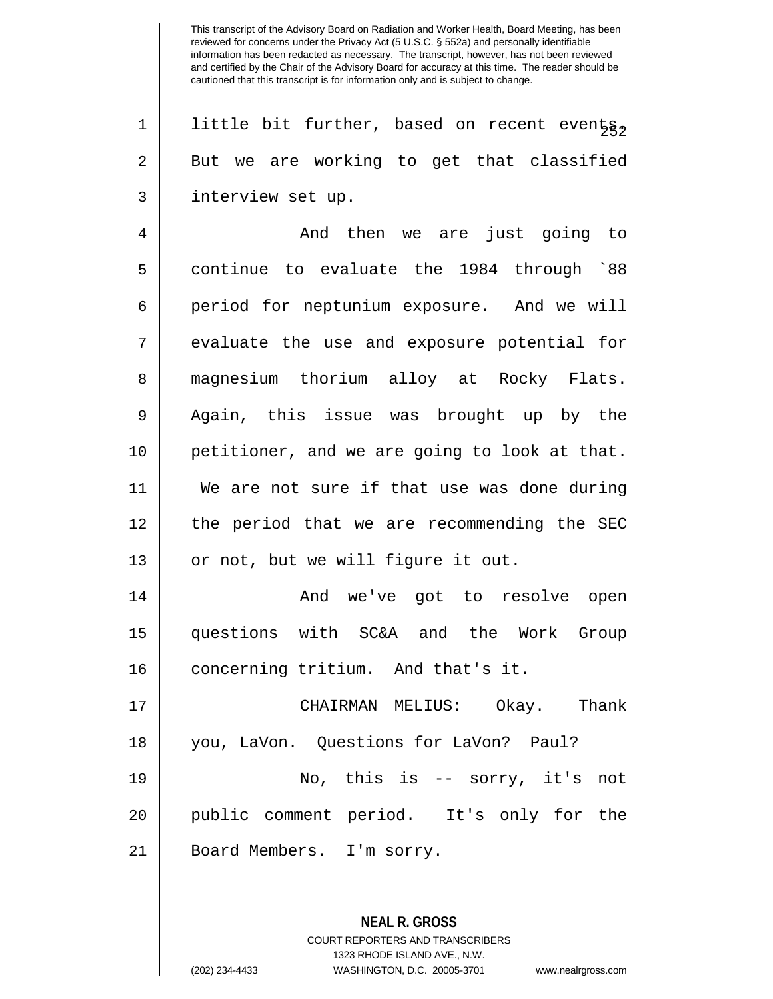1 || little bit further, based on recent events, 2 || But we are working to get that classified 3 | interview set up.

 And then we are just going to 5 || continue to evaluate the 1984 through `88 period for neptunium exposure. And we will 7 || evaluate the use and exposure potential for 8 || magnesium thorium alloy at Rocky Flats. Again, this issue was brought up by the petitioner, and we are going to look at that. We are not sure if that use was done during the period that we are recommending the SEC 13 || or not, but we will figure it out. And we've got to resolve open questions with SC&A and the Work Group 16 || concerning tritium. And that's it. CHAIRMAN MELIUS: Okay. Thank you, LaVon. Questions for LaVon? Paul?

19 No, this is -- sorry, it's not 20 public comment period. It's only for the 21 Board Members. I'm sorry.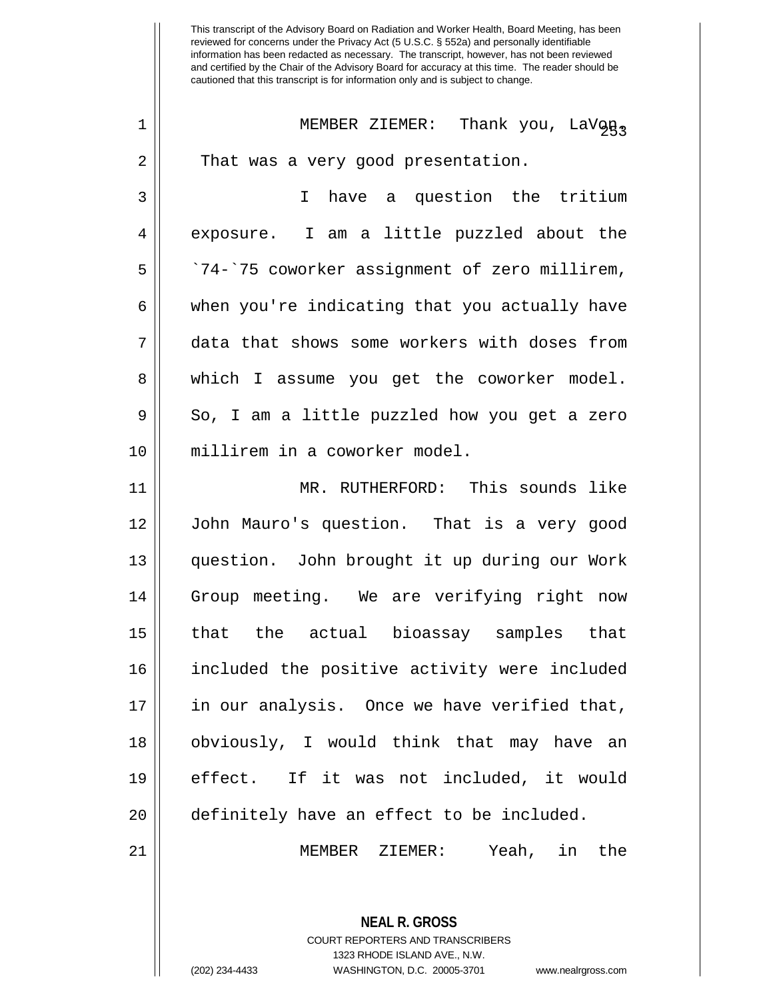This transcript of the Advisory Board on Radiation and Worker Health, Board Meeting, has been reviewed for concerns under the Privacy Act (5 U.S.C. § 552a) and personally identifiable information has been redacted as necessary. The transcript, however, has not been reviewed and certified by the Chair of the Advisory Board for accuracy at this time. The reader should be cautioned that this transcript is for information only and is subject to change. **NEAL R. GROSS** COURT REPORTERS AND TRANSCRIBERS <sup>253</sup> <sup>1</sup> MEMBER ZIEMER: Thank you, LaVon. 2 || That was a very good presentation. 3 I have a question the tritium 4 exposure. I am a little puzzled about the 5 |  $\degree$ 74-`75 coworker assignment of zero millirem,  $6 \parallel$  when you're indicating that you actually have 7 data that shows some workers with doses from 8 || which I assume you get the coworker model.  $9 \parallel$  So, I am a little puzzled how you get a zero 10 millirem in a coworker model. 11 MR. RUTHERFORD: This sounds like 12 John Mauro's question. That is a very good 13 question. John brought it up during our Work 14 || Group meeting. We are verifying right now 15 that the actual bioassay samples that 16 included the positive activity were included 17 || in our analysis. Once we have verified that, 18 obviously, I would think that may have an 19 effect. If it was not included, it would 20 | definitely have an effect to be included. 21 MEMBER ZIEMER: Yeah, in the

1323 RHODE ISLAND AVE., N.W.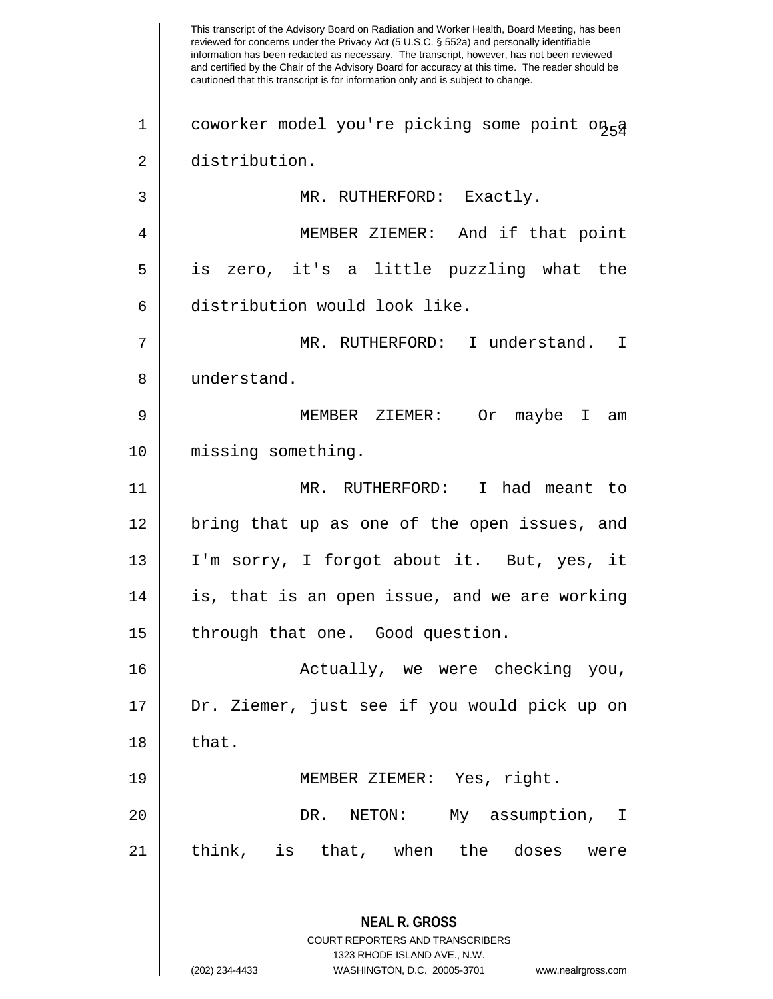This transcript of the Advisory Board on Radiation and Worker Health, Board Meeting, has been reviewed for concerns under the Privacy Act (5 U.S.C. § 552a) and personally identifiable information has been redacted as necessary. The transcript, however, has not been reviewed and certified by the Chair of the Advisory Board for accuracy at this time. The reader should be cautioned that this transcript is for information only and is subject to change. **NEAL R. GROSS** COURT REPORTERS AND TRANSCRIBERS 1323 RHODE ISLAND AVE., N.W. (202) 234-4433 WASHINGTON, D.C. 20005-3701 www.nealrgross.com 1 | coworker model you're picking some point on  $a_5$ 2 distribution. 3 || MR. RUTHERFORD: Exactly. 4 MEMBER ZIEMER: And if that point 5 || is zero, it's a little puzzling what the 6 distribution would look like. 7 MR. RUTHERFORD: I understand. I 8 l understand. 9 MEMBER ZIEMER: Or maybe I am 10 missing something. 11 MR. RUTHERFORD: I had meant to 12 || bring that up as one of the open issues, and 13 || I'm sorry, I forgot about it. But, yes, it 14 || is, that is an open issue, and we are working 15 || through that one. Good question. 16 || Actually, we were checking you, 17 Dr. Ziemer, just see if you would pick up on  $18 \parallel$  that. 19 MEMBER ZIEMER: Yes, right. 20 DR. NETON: My assumption, I 21 || think, is that, when the doses were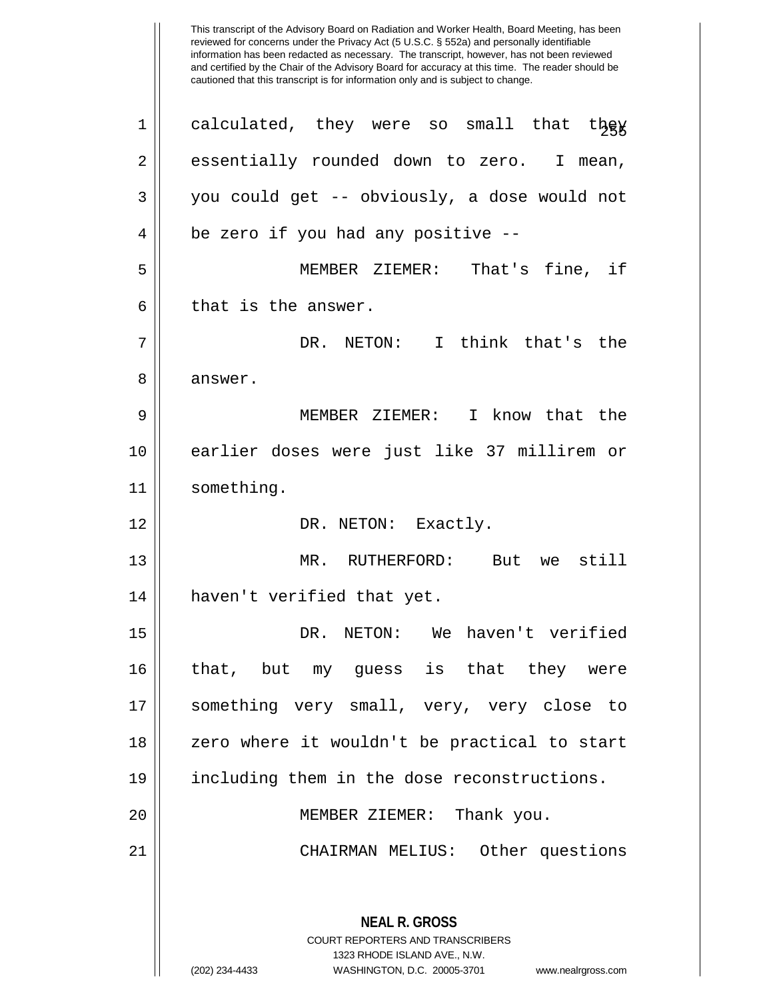This transcript of the Advisory Board on Radiation and Worker Health, Board Meeting, has been reviewed for concerns under the Privacy Act (5 U.S.C. § 552a) and personally identifiable information has been redacted as necessary. The transcript, however, has not been reviewed and certified by the Chair of the Advisory Board for accuracy at this time. The reader should be cautioned that this transcript is for information only and is subject to change. **NEAL R. GROSS** COURT REPORTERS AND TRANSCRIBERS 1323 RHODE ISLAND AVE., N.W. (202) 234-4433 WASHINGTON, D.C. 20005-3701 www.nealrgross.com 1 || calculated, they were so small that they 2 essentially rounded down to zero. I mean, 3 || you could get -- obviously, a dose would not  $4 \parallel$  be zero if you had any positive --5 MEMBER ZIEMER: That's fine, if  $6 \parallel$  that is the answer. 7 DR. NETON: I think that's the 8 | answer. 9 MEMBER ZIEMER: I know that the 10 earlier doses were just like 37 millirem or 11 something. 12 DR. NETON: Exactly. 13 MR. RUTHERFORD: But we still 14 || haven't verified that yet. 15 DR. NETON: We haven't verified 16 that, but my guess is that they were 17 something very small, very, very close to 18 || zero where it wouldn't be practical to start 19 including them in the dose reconstructions. 20 MEMBER ZIEMER: Thank you. 21 CHAIRMAN MELIUS: Other questions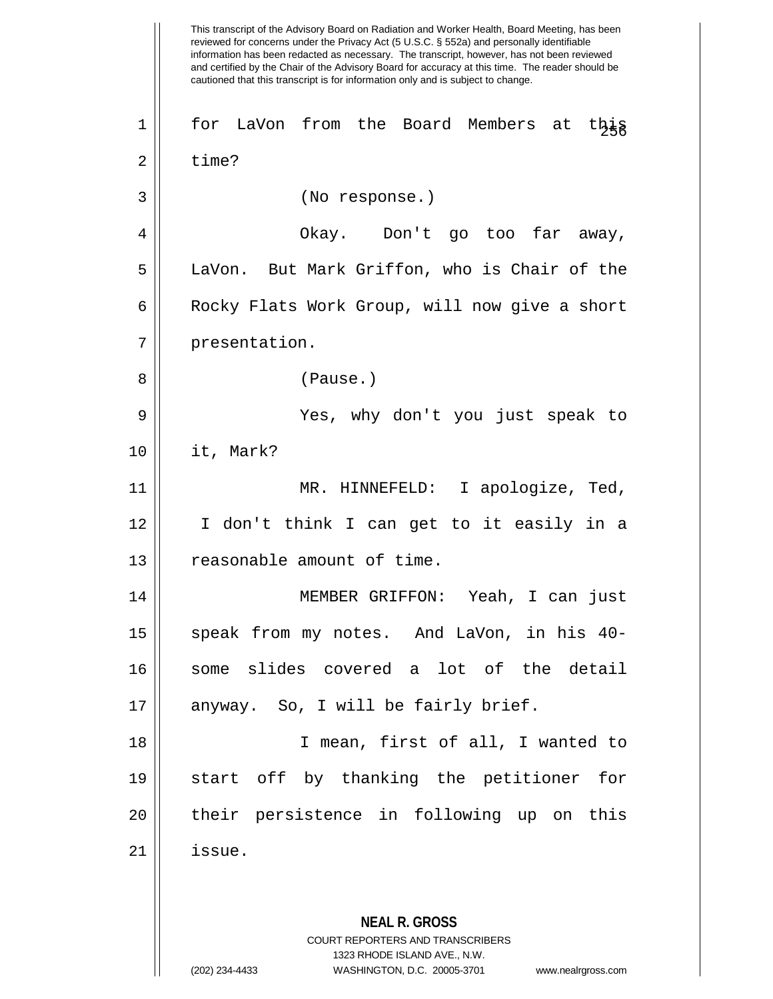This transcript of the Advisory Board on Radiation and Worker Health, Board Meeting, has been reviewed for concerns under the Privacy Act (5 U.S.C. § 552a) and personally identifiable information has been redacted as necessary. The transcript, however, has not been reviewed and certified by the Chair of the Advisory Board for accuracy at this time. The reader should be cautioned that this transcript is for information only and is subject to change. **NEAL R. GROSS** COURT REPORTERS AND TRANSCRIBERS 1323 RHODE ISLAND AVE., N.W. (202) 234-4433 WASHINGTON, D.C. 20005-3701 www.nealrgross.com  $1 \parallel$  for LaVon from the Board Members at this  $2 \parallel$  time? 3 (No response.) 4 Okay. Don't go too far away, 5 | LaVon. But Mark Griffon, who is Chair of the 6 | Rocky Flats Work Group, will now give a short 7 || presentation. 8 (Pause.) 9 Yes, why don't you just speak to 10 it, Mark? 11 MR. HINNEFELD: I apologize, Ted, 12 I don't think I can get to it easily in a 13 | reasonable amount of time. 14 MEMBER GRIFFON: Yeah, I can just 15 || speak from my notes. And LaVon, in his 40-16 some slides covered a lot of the detail 17 || anyway. So, I will be fairly brief. 18 || T mean, first of all, I wanted to 19 start off by thanking the petitioner for 20 their persistence in following up on this  $21$  | issue.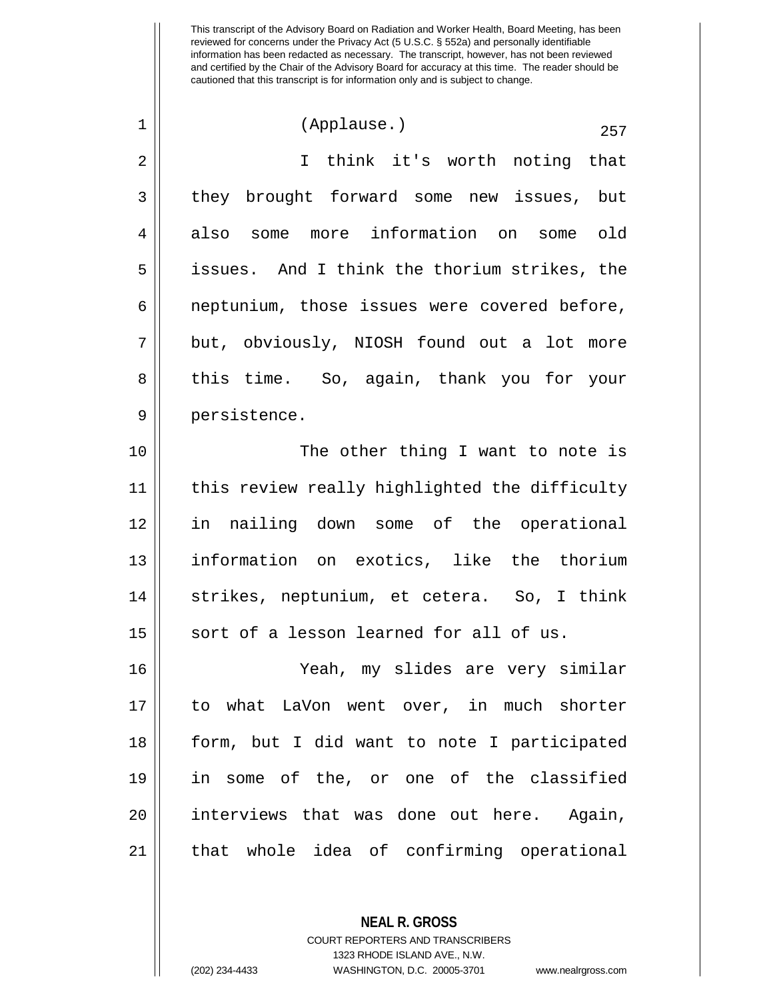| 1              | (Applause.)<br>257                            |
|----------------|-----------------------------------------------|
| $\overline{2}$ | I think it's worth noting that                |
| 3              | they brought forward some new issues, but     |
|                |                                               |
| 4              | also some more information on some old        |
| 5              | issues. And I think the thorium strikes, the  |
| 6              | neptunium, those issues were covered before,  |
| 7              | but, obviously, NIOSH found out a lot more    |
| 8              | this time. So, again, thank you for your      |
| 9              | persistence.                                  |
| 10             | The other thing I want to note is             |
| 11             | this review really highlighted the difficulty |
| 12             | in nailing down some of the operational       |
| 13             | information on exotics, like the thorium      |
| 14             | strikes, neptunium, et cetera. So, I think    |
| 15             | sort of a lesson learned for all of us.       |
| 16             | Yeah, my slides are very similar              |
| 17             | to what LaVon went over, in much shorter      |
| 18             | form, but I did want to note I participated   |
| 19             | in some of the, or one of the classified      |
| 20             | interviews that was done out here. Again,     |
| 21             | that whole idea of confirming operational     |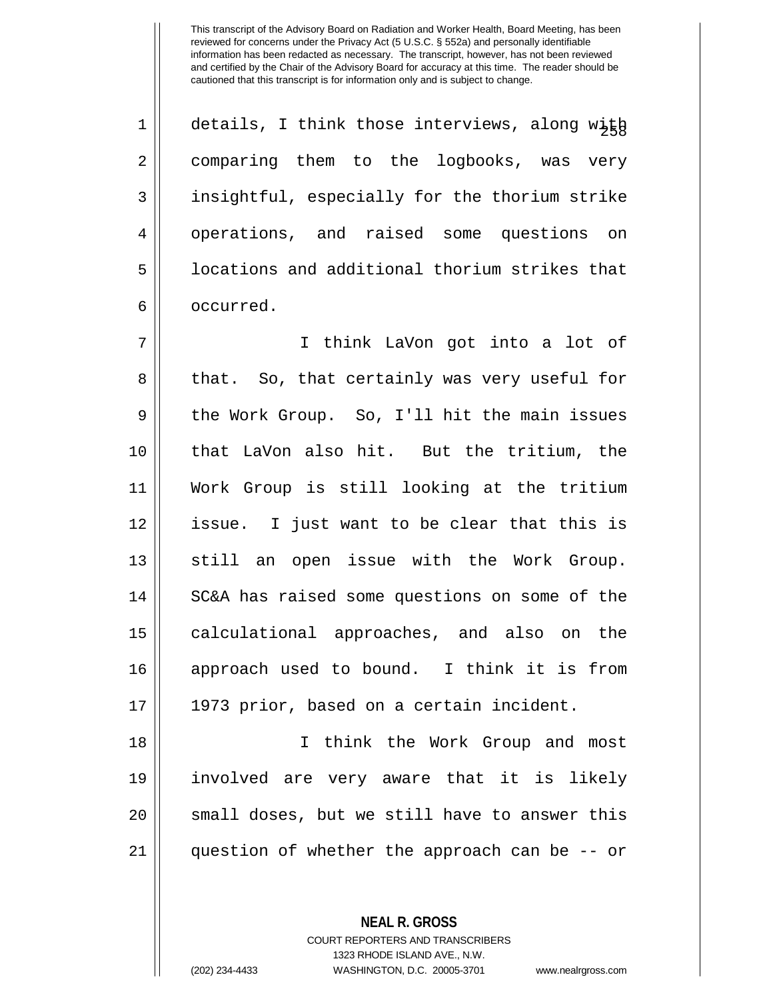1 | details, I think those interviews, along with 2 || comparing them to the logbooks, was very 3 insightful, especially for the thorium strike 4 || operations, and raised some questions on 5 | locations and additional thorium strikes that 6 **b** occurred.

7 I think LaVon got into a lot of 8 || that. So, that certainly was very useful for 9 | the Work Group. So, I'll hit the main issues 10 that LaVon also hit. But the tritium, the 11 Work Group is still looking at the tritium 12 issue. I just want to be clear that this is 13 || still an open issue with the Work Group. 14 || SC&A has raised some questions on some of the 15 || calculational approaches, and also on the 16 approach used to bound. I think it is from 17 || 1973 prior, based on a certain incident.

 I think the Work Group and most involved are very aware that it is likely 20 || small doses, but we still have to answer this question of whether the approach can be -- or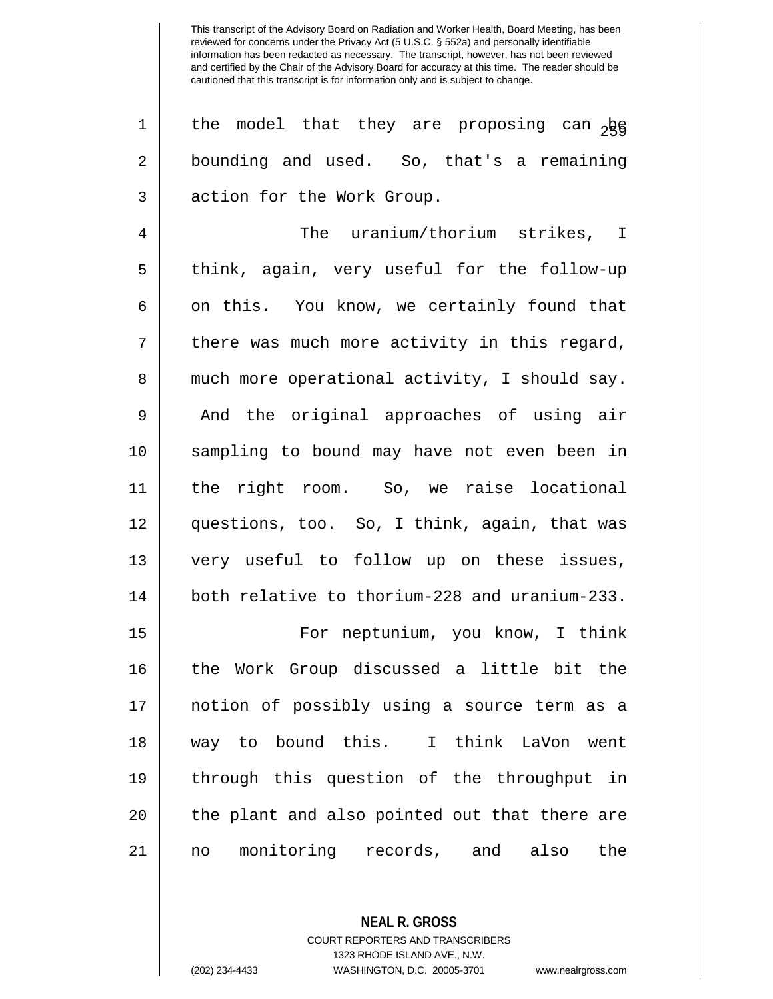1 | the model that they are proposing can  ${}_{2}e_{6}$ 2 | bounding and used. So, that's a remaining 3 || action for the Work Group.

4 The uranium/thorium strikes, I 5 || think, again, very useful for the follow-up  $6 \parallel$  on this. You know, we certainly found that  $7 ||$  there was much more activity in this regard, 8 || much more operational activity, I should say. 9 || And the original approaches of using air 10 sampling to bound may have not even been in 11 the right room. So, we raise locational 12 questions, too. So, I think, again, that was 13 very useful to follow up on these issues, 14 both relative to thorium-228 and uranium-233.

 For neptunium, you know, I think the Work Group discussed a little bit the notion of possibly using a source term as a way to bound this. I think LaVon went through this question of the throughput in 20 || the plant and also pointed out that there are no monitoring records, and also the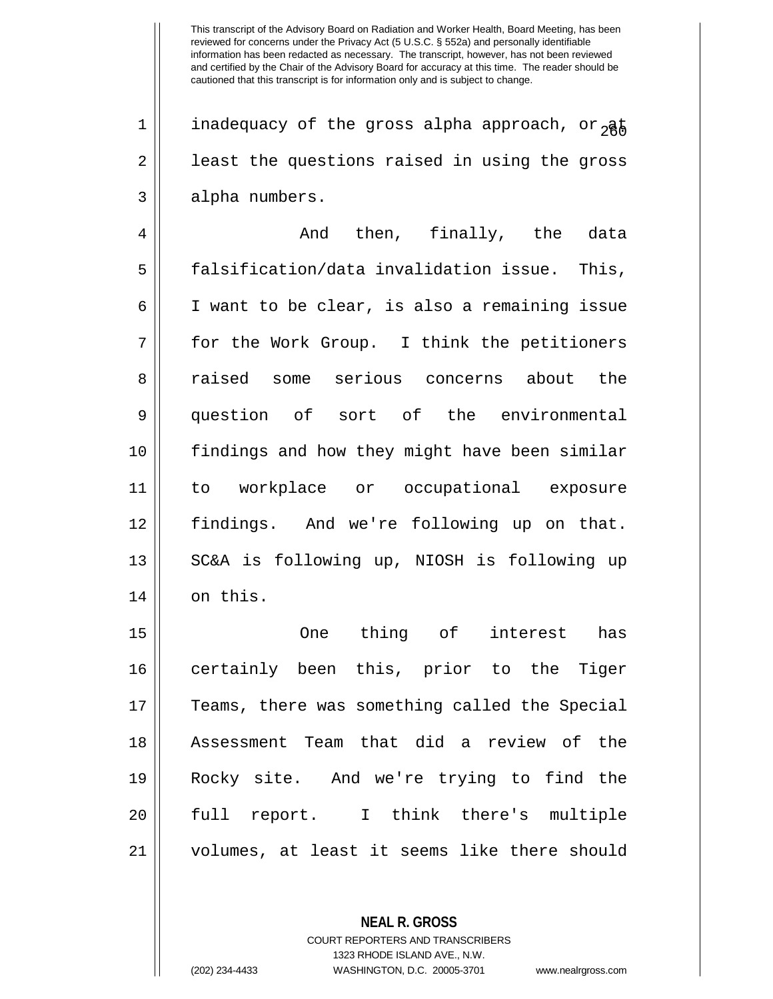1 | inadequacy of the gross alpha approach, or  $a\bar{b}$ 2 | least the questions raised in using the gross 3 || alpha numbers.

 $\parallel$  and then, finally, the data  $5 \parallel$  falsification/data invalidation issue. This, I want to be clear, is also a remaining issue for the Work Group. I think the petitioners 8 || raised some serious concerns about the question of sort of the environmental findings and how they might have been similar to workplace or occupational exposure findings. And we're following up on that. 13 || SC&A is following up, NIOSH is following up 14 on this.

 One thing of interest has 16 || certainly been this, prior to the Tiger 17 || Teams, there was something called the Special Assessment Team that did a review of the Rocky site. And we're trying to find the full report. I think there's multiple volumes, at least it seems like there should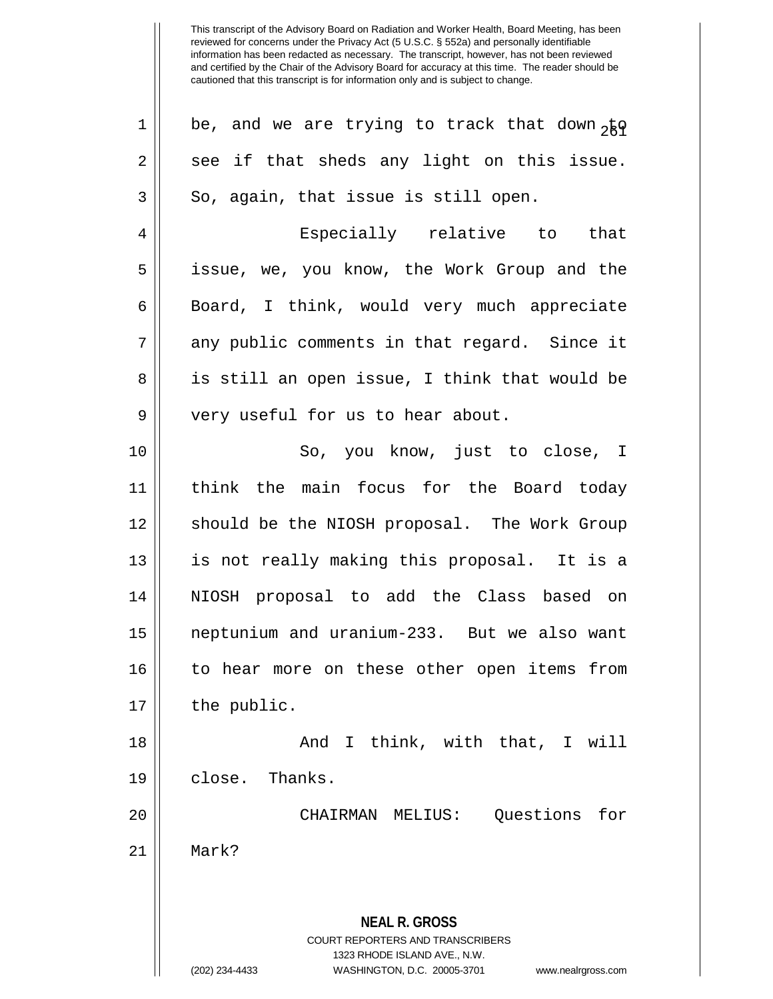| $\mathbf 1$  | be, and we are trying to track that down $_{2}^{1}$                                             |
|--------------|-------------------------------------------------------------------------------------------------|
| 2            | see if that sheds any light on this issue.                                                      |
| $\mathbf{3}$ | So, again, that issue is still open.                                                            |
| 4            | Especially relative to that                                                                     |
| 5            | issue, we, you know, the Work Group and the                                                     |
| 6            | Board, I think, would very much appreciate                                                      |
| 7            | any public comments in that regard. Since it                                                    |
| 8            | is still an open issue, I think that would be                                                   |
| 9            | very useful for us to hear about.                                                               |
| 10           | So, you know, just to close, I                                                                  |
| 11           | think the main focus for the Board today                                                        |
| 12           | should be the NIOSH proposal. The Work Group                                                    |
| 13           | is not really making this proposal. It is a                                                     |
| 14           | NIOSH proposal to add the Class based on                                                        |
| 15           | neptunium and uranium-233. But we also want                                                     |
| 16           | to hear more on these other open items from                                                     |
| 17           | the public.                                                                                     |
| 18           | And I think, with that, I will                                                                  |
| 19           | close. Thanks.                                                                                  |
| 20           | Questions<br>for<br>CHAIRMAN MELIUS:                                                            |
| 21           | Mark?                                                                                           |
|              |                                                                                                 |
|              | <b>NEAL R. GROSS</b><br><b>COURT REPORTERS AND TRANSCRIBERS</b><br>1323 RHODE ISLAND AVE., N.W. |
|              | (202) 234-4433<br>WASHINGTON, D.C. 20005-3701<br>www.nealrgross.com                             |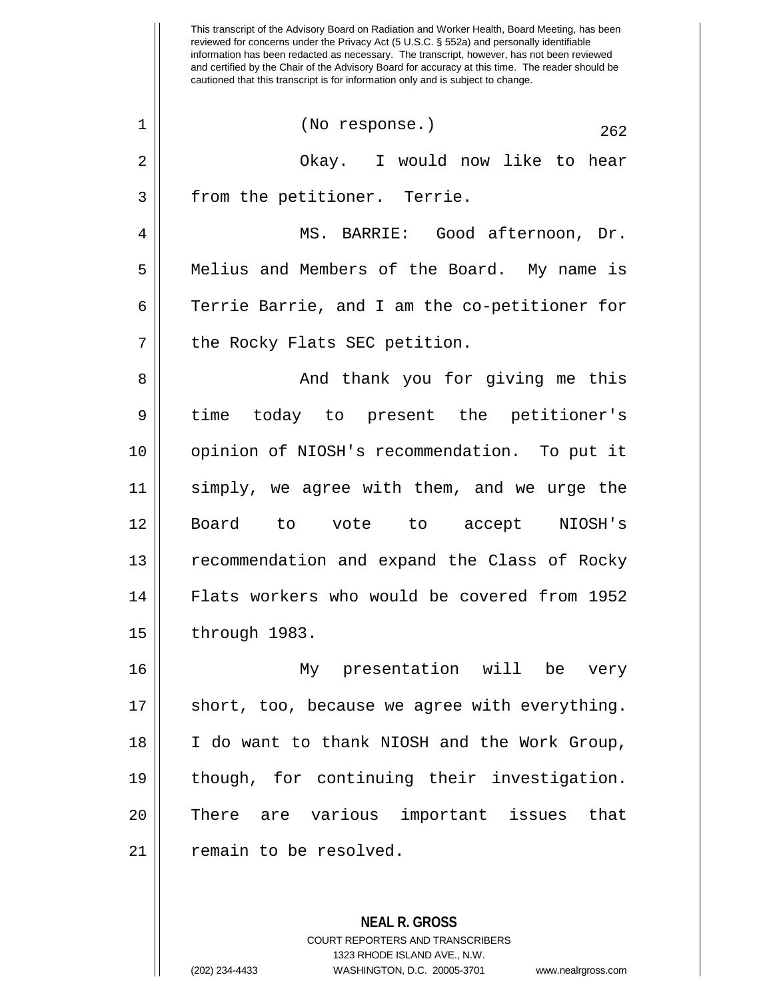This transcript of the Advisory Board on Radiation and Worker Health, Board Meeting, has been reviewed for concerns under the Privacy Act (5 U.S.C. § 552a) and personally identifiable information has been redacted as necessary. The transcript, however, has not been reviewed and certified by the Chair of the Advisory Board for accuracy at this time. The reader should be cautioned that this transcript is for information only and is subject to change.  $\begin{array}{c|c}\n 1 & \text{No response.}\n \end{array}$ 2 Okay. I would now like to hear 3 || from the petitioner. Terrie. 4 MS. BARRIE: Good afternoon, Dr. 5 || Melius and Members of the Board. My name is 6 Terrie Barrie, and I am the co-petitioner for 7 || the Rocky Flats SEC petition. 8 And thank you for giving me this 9 time today to present the petitioner's 10 opinion of NIOSH's recommendation. To put it 11 simply, we agree with them, and we urge the 12 Board to vote to accept NIOSH's 13 || recommendation and expand the Class of Rocky 14 Flats workers who would be covered from 1952 15 | through 1983. 16 My presentation will be very  $17$  || short, too, because we agree with everything. 18 I do want to thank NIOSH and the Work Group, 19 though, for continuing their investigation. 20 There are various important issues that 21 | remain to be resolved.

> **NEAL R. GROSS** COURT REPORTERS AND TRANSCRIBERS 1323 RHODE ISLAND AVE., N.W.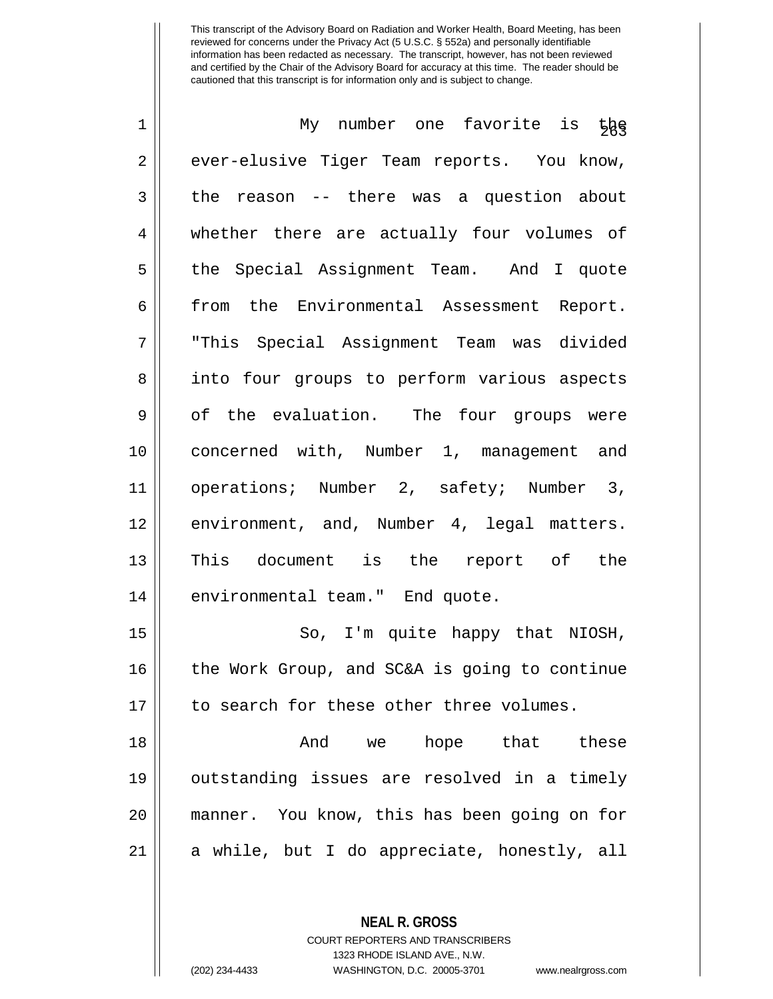| $\mathbf 1$    | My number one favorite is the                 |
|----------------|-----------------------------------------------|
| 2              | ever-elusive Tiger Team reports. You know,    |
| 3              | the reason -- there was a question about      |
| $\overline{4}$ | whether there are actually four volumes of    |
| 5              | the Special Assignment Team. And I quote      |
| 6              | from the Environmental Assessment Report.     |
| 7              | "This Special Assignment Team was divided     |
| 8              | into four groups to perform various aspects   |
| 9              | of the evaluation. The four groups were       |
| 10             | concerned with, Number 1, management and      |
| 11             | operations; Number 2, safety; Number 3,       |
| 12             | environment, and, Number 4, legal matters.    |
| 13             | This document is the report of the            |
| 14             | environmental team." End quote.               |
| 15             | So, I'm quite happy that NIOSH,               |
| 16             | the Work Group, and SC&A is going to continue |
| 17             | to search for these other three volumes.      |
| 18             | hope that these<br>And we                     |
| 19             | outstanding issues are resolved in a timely   |
| 20             | manner. You know, this has been going on for  |
| 21             | a while, but I do appreciate, honestly, all   |

**NEAL R. GROSS** COURT REPORTERS AND TRANSCRIBERS

1323 RHODE ISLAND AVE., N.W.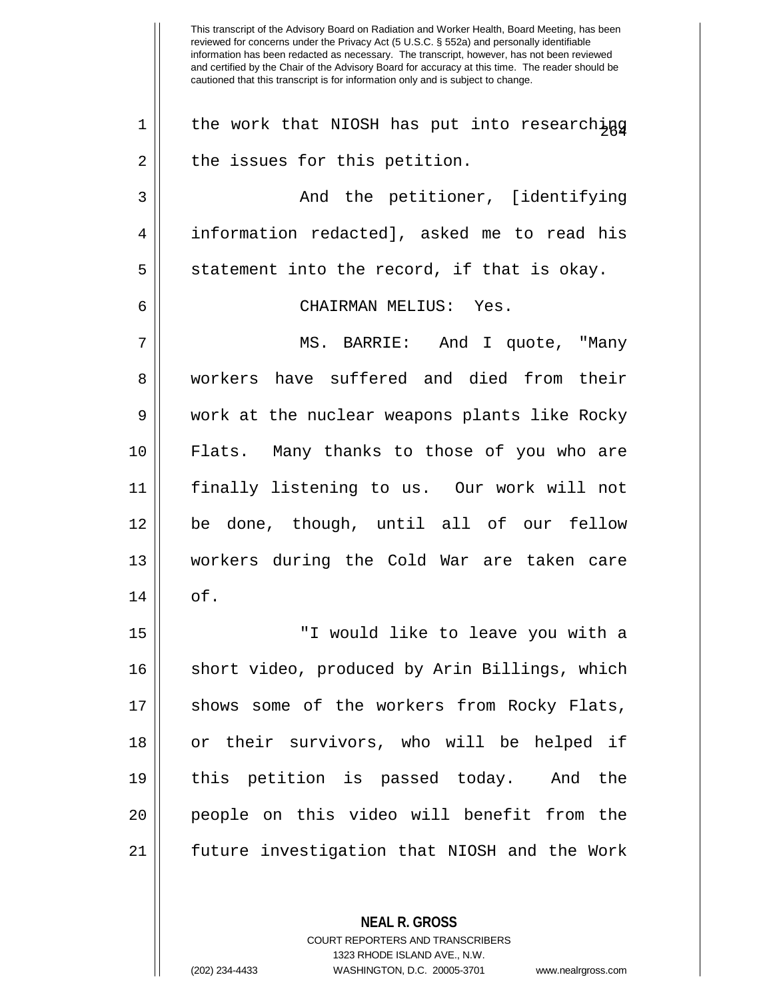This transcript of the Advisory Board on Radiation and Worker Health, Board Meeting, has been reviewed for concerns under the Privacy Act (5 U.S.C. § 552a) and personally identifiable information has been redacted as necessary. The transcript, however, has not been reviewed and certified by the Chair of the Advisory Board for accuracy at this time. The reader should be cautioned that this transcript is for information only and is subject to change.  $1$  | the work that NIOSH has put into researching  $2 \parallel$  the issues for this petition. 3 And the petitioner, [identifying 4 information redacted], asked me to read his  $5 \parallel$  statement into the record, if that is okay. 6 CHAIRMAN MELIUS: Yes. 7 MS. BARRIE: And I quote, "Many 8 workers have suffered and died from their 9 work at the nuclear weapons plants like Rocky 10 Flats. Many thanks to those of you who are 11 finally listening to us. Our work will not 12 be done, though, until all of our fellow 13 workers during the Cold War are taken care  $14 \parallel$  of. 15 "I would like to leave you with a 16 || short video, produced by Arin Billings, which 17 || shows some of the workers from Rocky Flats, 18 or their survivors, who will be helped if 19 this petition is passed today. And the 20 people on this video will benefit from the 21 future investigation that NIOSH and the Work

> COURT REPORTERS AND TRANSCRIBERS 1323 RHODE ISLAND AVE., N.W.

**NEAL R. GROSS**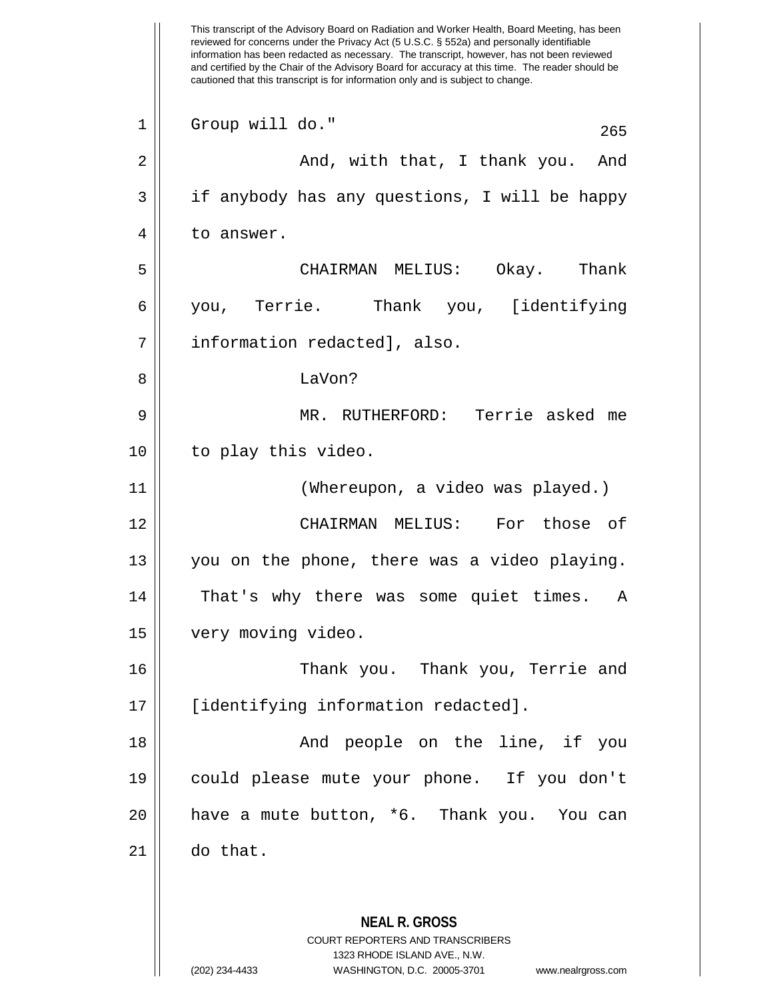This transcript of the Advisory Board on Radiation and Worker Health, Board Meeting, has been reviewed for concerns under the Privacy Act (5 U.S.C. § 552a) and personally identifiable information has been redacted as necessary. The transcript, however, has not been reviewed and certified by the Chair of the Advisory Board for accuracy at this time. The reader should be cautioned that this transcript is for information only and is subject to change. **NEAL R. GROSS** COURT REPORTERS AND TRANSCRIBERS 1323 RHODE ISLAND AVE., N.W. (202) 234-4433 WASHINGTON, D.C. 20005-3701 www.nealrgross.com 1 Group will do." 265 2 And, with that, I thank you. And 3 | if anybody has any questions, I will be happy 4 | to answer. 5 CHAIRMAN MELIUS: Okay. Thank 6 you, Terrie. Thank you, [identifying 7 || information redacted], also. 8 LaVon? 9 MR. RUTHERFORD: Terrie asked me 10 || to play this video. 11 (Whereupon, a video was played.) 12 CHAIRMAN MELIUS: For those of 13 you on the phone, there was a video playing. 14 || That's why there was some quiet times. A 15 | very moving video. 16 Thank you. Thank you, Terrie and 17 | [identifying information redacted]. 18 || The Common Charlotte Change on the line, if you 19 could please mute your phone. If you don't 20 have a mute button, \*6. Thank you. You can 21 do that.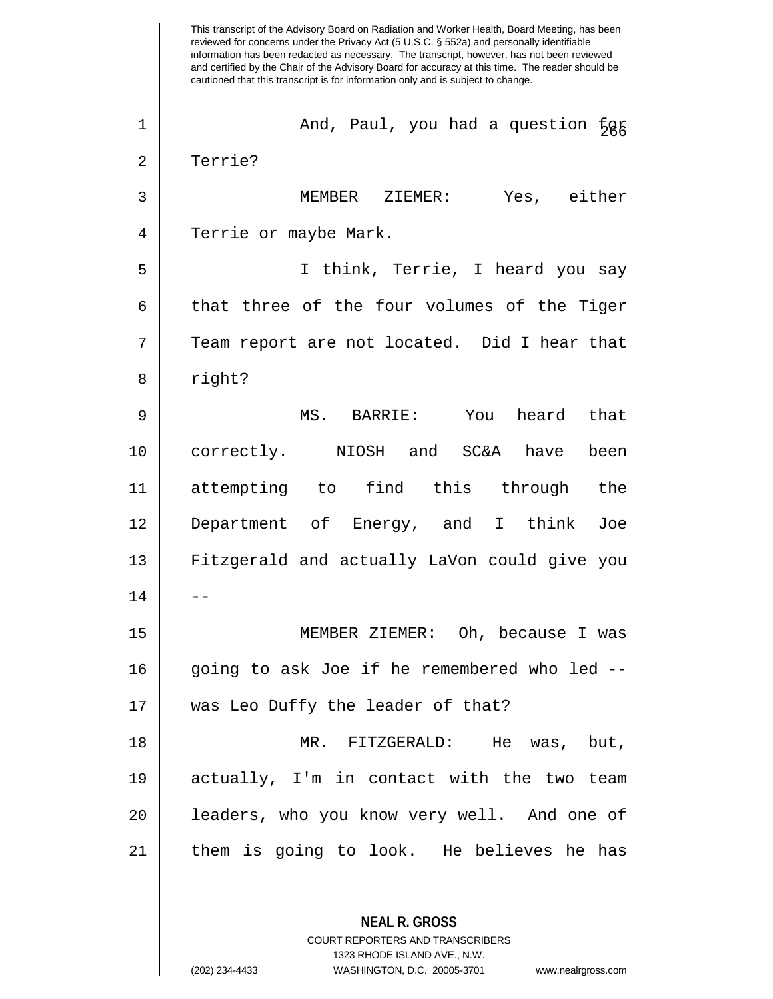This transcript of the Advisory Board on Radiation and Worker Health, Board Meeting, has been reviewed for concerns under the Privacy Act (5 U.S.C. § 552a) and personally identifiable information has been redacted as necessary. The transcript, however, has not been reviewed and certified by the Chair of the Advisory Board for accuracy at this time. The reader should be cautioned that this transcript is for information only and is subject to change. **NEAL R. GROSS** COURT REPORTERS AND TRANSCRIBERS <sup>266</sup> <sup>1</sup> And, Paul, you had a question for 2 Terrie? 3 MEMBER ZIEMER: Yes, either 4 | Terrie or maybe Mark. 5 I think, Terrie, I heard you say  $6 \parallel$  that three of the four volumes of the Tiger 7 || Team report are not located. Did I hear that 8 || right? 9 MS. BARRIE: You heard that 10 correctly. NIOSH and SC&A have been 11 attempting to find this through the 12 Department of Energy, and I think Joe 13 Fitzgerald and actually LaVon could give you  $14$ 15 MEMBER ZIEMER: Oh, because I was 16 going to ask Joe if he remembered who led -- 17 was Leo Duffy the leader of that? 18 MR. FITZGERALD: He was, but, 19 actually, I'm in contact with the two team 20 || leaders, who you know very well. And one of 21 them is going to look. He believes he has

1323 RHODE ISLAND AVE., N.W.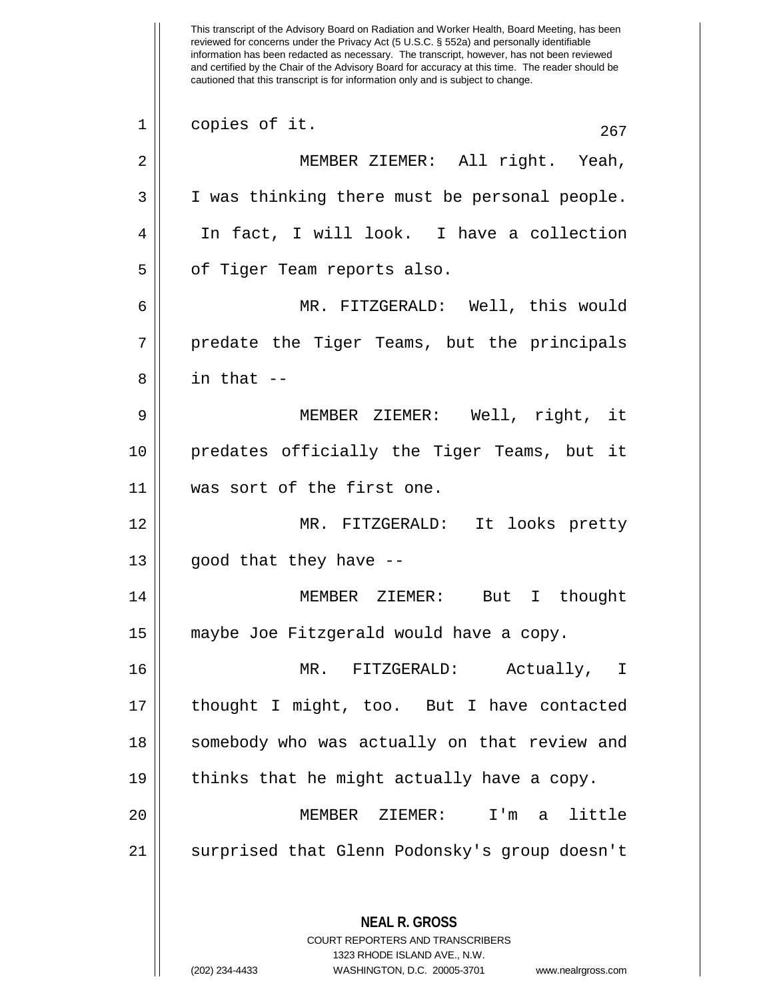This transcript of the Advisory Board on Radiation and Worker Health, Board Meeting, has been reviewed for concerns under the Privacy Act (5 U.S.C. § 552a) and personally identifiable information has been redacted as necessary. The transcript, however, has not been reviewed and certified by the Chair of the Advisory Board for accuracy at this time. The reader should be cautioned that this transcript is for information only and is subject to change. **NEAL R. GROSS** COURT REPORTERS AND TRANSCRIBERS 1323 RHODE ISLAND AVE., N.W.  $\begin{array}{c|c|c|c|c} 1 & \text{copies of it.} \end{array}$  267 2 MEMBER ZIEMER: All right. Yeah, 3 || I was thinking there must be personal people. 4 In fact, I will look. I have a collection 5 | | of Tiger Team reports also. 6 MR. FITZGERALD: Well, this would 7 || predate the Tiger Teams, but the principals 8 in that -- 9 MEMBER ZIEMER: Well, right, it 10 predates officially the Tiger Teams, but it 11 was sort of the first one. 12 || MR. FITZGERALD: It looks pretty  $13$  || good that they have  $-$ 14 MEMBER ZIEMER: But I thought 15 maybe Joe Fitzgerald would have a copy. 16 MR. FITZGERALD: Actually, I 17 thought I might, too. But I have contacted 18 || somebody who was actually on that review and 19  $\parallel$  thinks that he might actually have a copy. 20 MEMBER ZIEMER: I'm a little 21 || surprised that Glenn Podonsky's group doesn't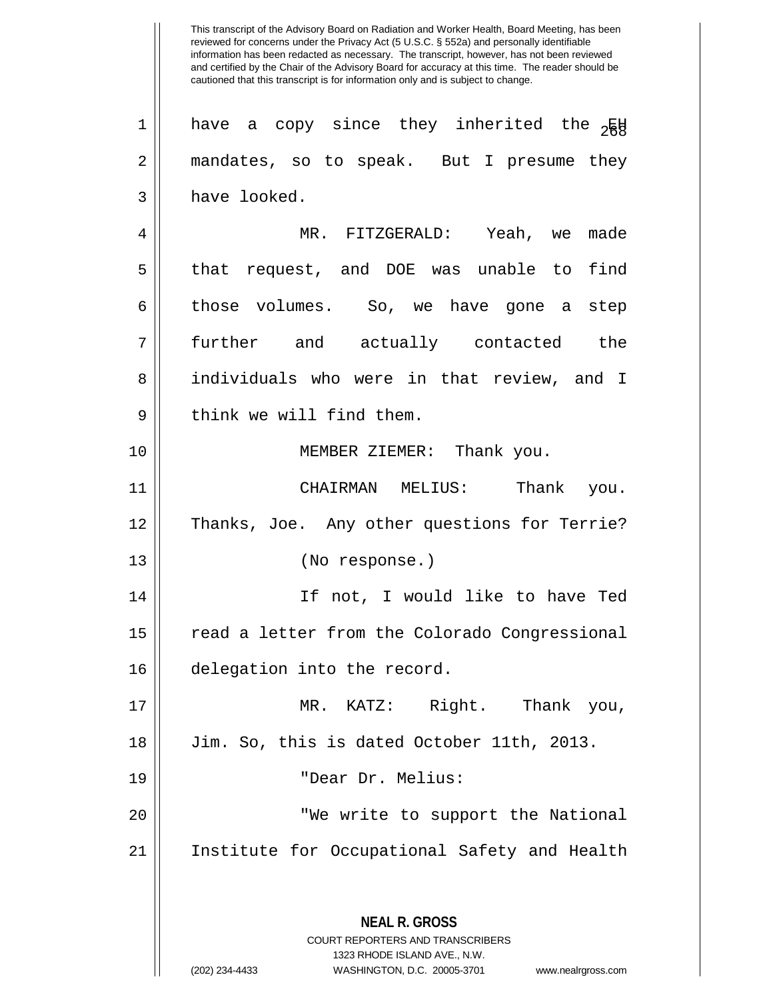This transcript of the Advisory Board on Radiation and Worker Health, Board Meeting, has been reviewed for concerns under the Privacy Act (5 U.S.C. § 552a) and personally identifiable information has been redacted as necessary. The transcript, however, has not been reviewed and certified by the Chair of the Advisory Board for accuracy at this time. The reader should be cautioned that this transcript is for information only and is subject to change. **NEAL R. GROSS** COURT REPORTERS AND TRANSCRIBERS 1323 RHODE ISLAND AVE., N.W. 1 || have a copy since they inherited the  $2\frac{R}{2}$ 2 mandates, so to speak. But I presume they 3 have looked. 4 MR. FITZGERALD: Yeah, we made 5 that request, and DOE was unable to find 6 || those volumes. So, we have gone a step 7 further and actually contacted the 8 | individuals who were in that review, and I  $9$  | think we will find them. 10 MEMBER ZIEMER: Thank you. 11 CHAIRMAN MELIUS: Thank you. 12 Thanks, Joe. Any other questions for Terrie? 13 (No response.) 14 || If not, I would like to have Ted 15 | read a letter from the Colorado Congressional 16 delegation into the record. 17 MR. KATZ: Right. Thank you, 18 Jim. So, this is dated October 11th, 2013. 19 "Dear Dr. Melius: 20 "We write to support the National 21 Institute for Occupational Safety and Health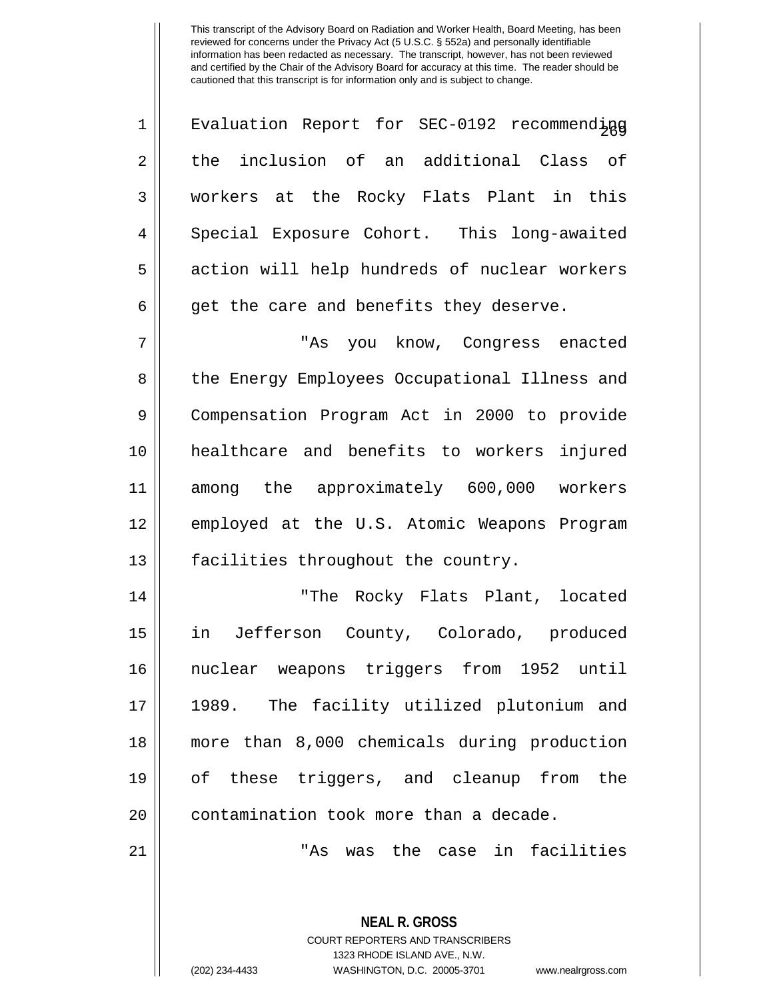| $\mathbf 1$    |                                               |
|----------------|-----------------------------------------------|
|                | Evaluation Report for SEC-0192 recommending   |
| $\sqrt{2}$     | the inclusion of an additional Class of       |
| 3              | workers at the Rocky Flats Plant in this      |
| $\overline{4}$ | Special Exposure Cohort. This long-awaited    |
| 5              | action will help hundreds of nuclear workers  |
| 6              | get the care and benefits they deserve.       |
| 7              | "As you know, Congress enacted                |
| 8              | the Energy Employees Occupational Illness and |
| 9              | Compensation Program Act in 2000 to provide   |
| 10             | healthcare and benefits to workers injured    |
| 11             | among the approximately 600,000 workers       |
| 12             | employed at the U.S. Atomic Weapons Program   |
| 13             | facilities throughout the country.            |
| 14             | "The Rocky Flats Plant, located               |
| 15             | in Jefferson County, Colorado, produced       |
| 16             | nuclear weapons triggers from 1952 until      |
| 17             | 1989. The facility utilized plutonium and     |
| 18             | more than 8,000 chemicals during production   |
| 19             | of these triggers, and cleanup from the       |
| 20             | contamination took more than a decade.        |
| 21             | "As was the case in facilities                |
|                |                                               |
|                | NEAL R. GROSS                                 |

COURT REPORTERS AND TRANSCRIBERS 1323 RHODE ISLAND AVE., N.W.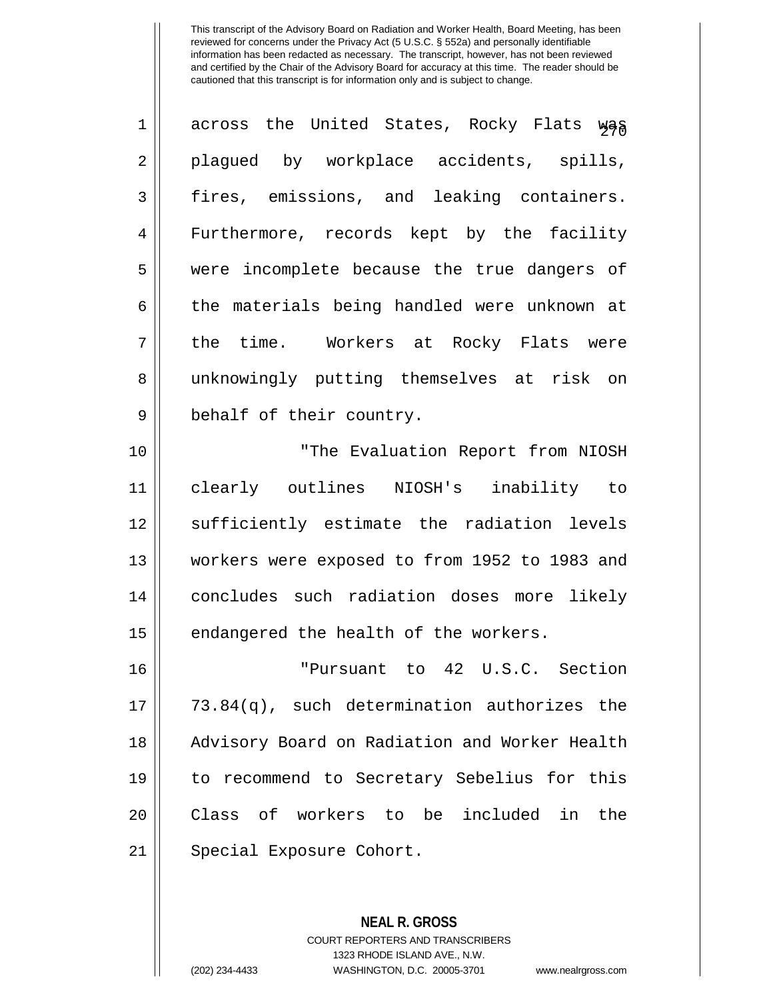| $1\,$          | across the United States, Rocky Flats was     |
|----------------|-----------------------------------------------|
| $\overline{2}$ | plagued by workplace accidents, spills,       |
| 3              | fires, emissions, and leaking containers.     |
| $\overline{4}$ | Furthermore, records kept by the facility     |
| 5              | were incomplete because the true dangers of   |
| 6              | the materials being handled were unknown at   |
| 7              | the time. Workers at Rocky Flats were         |
| 8              | unknowingly putting themselves at risk on     |
| 9              | behalf of their country.                      |
| 10             | "The Evaluation Report from NIOSH             |
| 11             | clearly outlines NIOSH's inability to         |
| 12             | sufficiently estimate the radiation levels    |
| 13             | workers were exposed to from 1952 to 1983 and |
| 14             | concludes such radiation doses more likely    |
| 15             | endangered the health of the workers.         |
| 16             | "Pursuant to 42 U.S.C. Section                |
| 17             | 73.84(q), such determination authorizes the   |
| 18             | Advisory Board on Radiation and Worker Health |
| 19             | to recommend to Secretary Sebelius for this   |
| 20             | Class of workers to be included in<br>the     |
| 21             | Special Exposure Cohort.                      |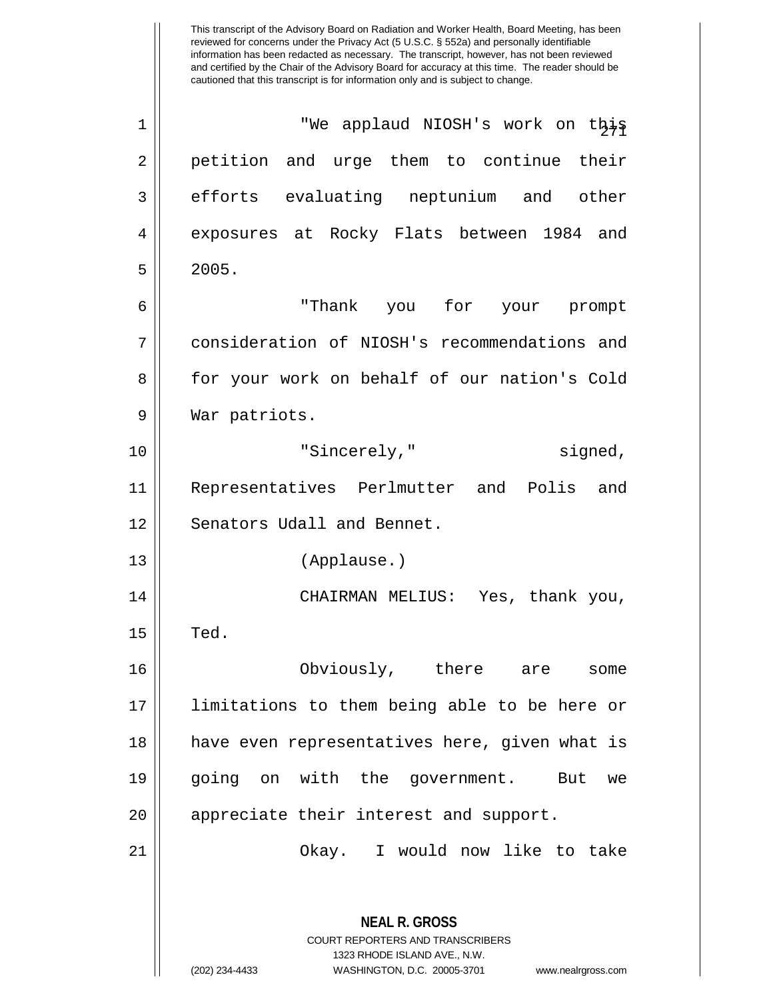This transcript of the Advisory Board on Radiation and Worker Health, Board Meeting, has been reviewed for concerns under the Privacy Act (5 U.S.C. § 552a) and personally identifiable information has been redacted as necessary. The transcript, however, has not been reviewed and certified by the Chair of the Advisory Board for accuracy at this time. The reader should be cautioned that this transcript is for information only and is subject to change. **NEAL R. GROSS** COURT REPORTERS AND TRANSCRIBERS 1323 RHODE ISLAND AVE., N.W. (202) 234-4433 WASHINGTON, D.C. 20005-3701 www.nealrgross.com <sup>271</sup> <sup>1</sup> "We applaud NIOSH's work on this 2 || petition and urge them to continue their 3 efforts evaluating neptunium and other 4 exposures at Rocky Flats between 1984 and  $5 \parallel 2005.$ 6 "Thank you for your prompt 7 consideration of NIOSH's recommendations and 8 || for your work on behalf of our nation's Cold 9 | War patriots. 10 || The signed with signed, signed, signed, 11 Representatives Perlmutter and Polis and 12 || Senators Udall and Bennet. 13 (Applause.) 14 CHAIRMAN MELIUS: Yes, thank you,  $15 \parallel$  Ted. 16 Obviously, there are some 17 limitations to them being able to be here or 18 || have even representatives here, given what is 19 going on with the government. But we 20 || appreciate their interest and support. 21 Okay. I would now like to take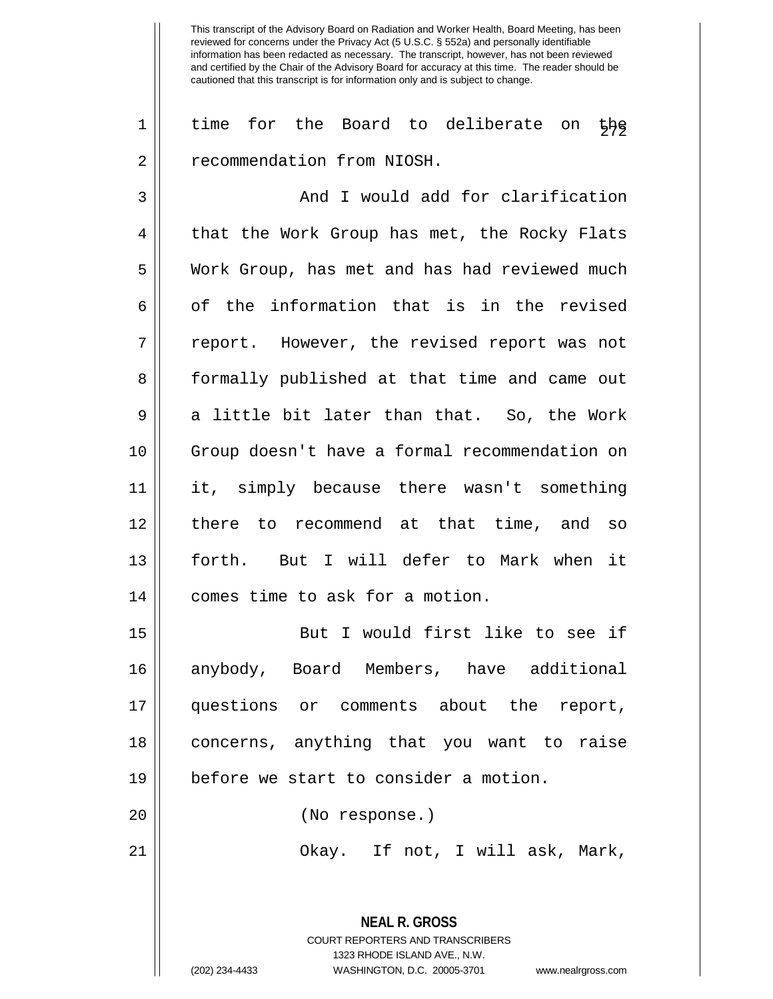$1 \parallel$  time for the Board to deliberate on  $\frac{1}{2}$ 2 | recommendation from NIOSH.

3 | And I would add for clarification  $4 \parallel$  that the Work Group has met, the Rocky Flats 5 | Work Group, has met and has had reviewed much  $6 \parallel$  of the information that is in the revised 7 || report. However, the revised report was not 8 formally published at that time and came out  $9 \parallel$  a little bit later than that. So, the Work 10 Group doesn't have a formal recommendation on 11 it, simply because there wasn't something 12 there to recommend at that time, and so 13 forth. But I will defer to Mark when it 14 | comes time to ask for a motion.

 But I would first like to see if 16 || anybody, Board Members, have additional questions or comments about the report, concerns, anything that you want to raise before we start to consider a motion.

20 (No response.)

21 Okay. If not, I will ask, Mark,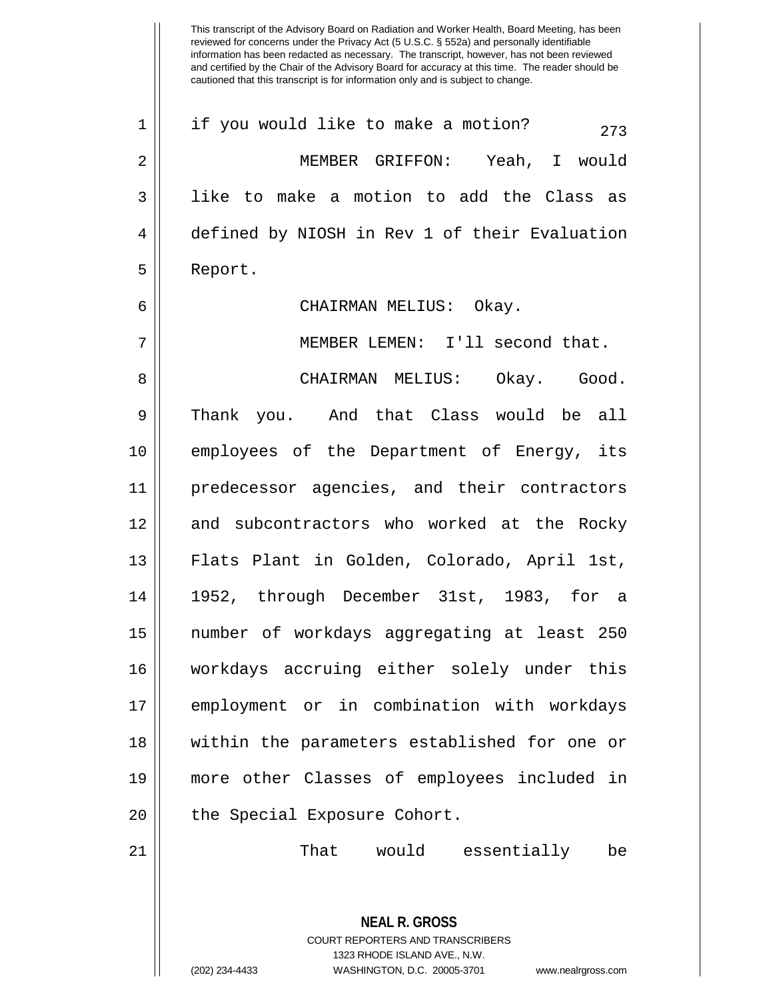reviewed for concerns under the Privacy Act (5 U.S.C. § 552a) and personally identifiable information has been redacted as necessary. The transcript, however, has not been reviewed and certified by the Chair of the Advisory Board for accuracy at this time. The reader should be cautioned that this transcript is for information only and is subject to change. **NEAL R. GROSS** COURT REPORTERS AND TRANSCRIBERS 1323 RHODE ISLAND AVE., N.W.  $1 \parallel$  if you would like to make a motion?  $273$  MEMBER GRIFFON: Yeah, I would like to make a motion to add the Class as defined by NIOSH in Rev 1 of their Evaluation 5 Report. CHAIRMAN MELIUS: Okay. MEMBER LEMEN: I'll second that. CHAIRMAN MELIUS: Okay. Good. Thank you. And that Class would be all employees of the Department of Energy, its predecessor agencies, and their contractors 12 || and subcontractors who worked at the Rocky Flats Plant in Golden, Colorado, April 1st, 1952, through December 31st, 1983, for a number of workdays aggregating at least 250 workdays accruing either solely under this employment or in combination with workdays within the parameters established for one or more other Classes of employees included in 20 | the Special Exposure Cohort. That would essentially be

This transcript of the Advisory Board on Radiation and Worker Health, Board Meeting, has been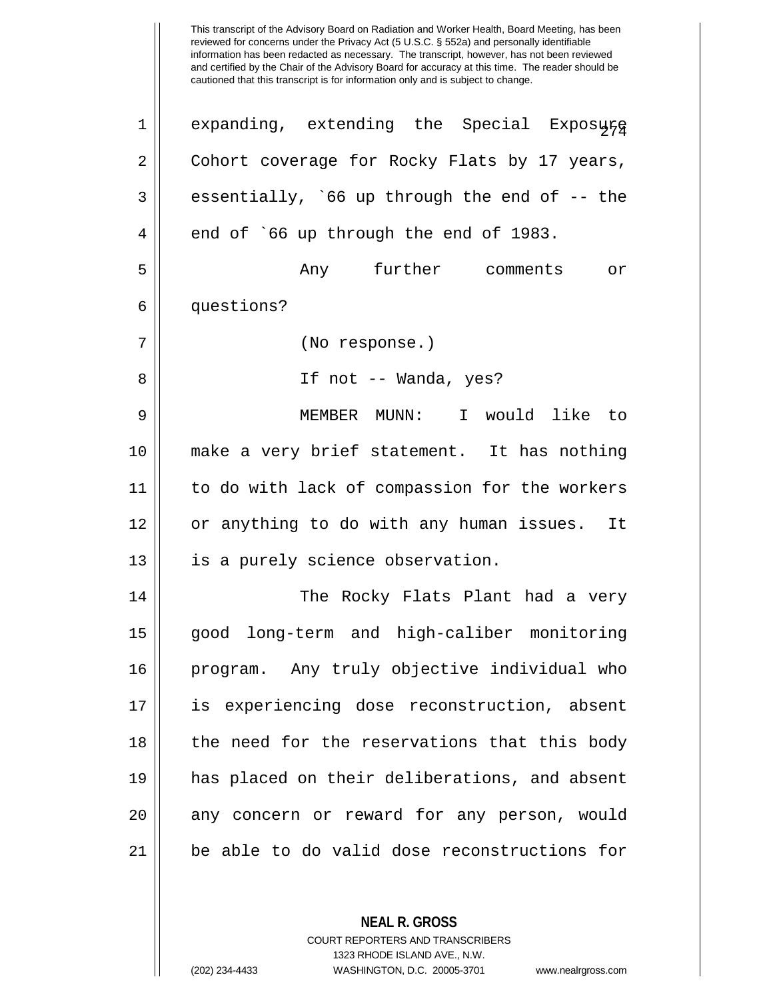reviewed for concerns under the Privacy Act (5 U.S.C. § 552a) and personally identifiable information has been redacted as necessary. The transcript, however, has not been reviewed and certified by the Chair of the Advisory Board for accuracy at this time. The reader should be cautioned that this transcript is for information only and is subject to change. || expanding, extending the Special Exposure 2 Cohort coverage for Rocky Flats by 17 years,  $3 \parallel$  essentially, `66 up through the end of -- the  $4 \parallel$  end of `66 up through the end of 1983. Any further comments or questions? (No response.) If not -- Wanda, yes? MEMBER MUNN: I would like to make a very brief statement. It has nothing to do with lack of compassion for the workers or anything to do with any human issues. It || is a purely science observation. The Rocky Flats Plant had a very good long-term and high-caliber monitoring program. Any truly objective individual who is experiencing dose reconstruction, absent 18 || the need for the reservations that this body has placed on their deliberations, and absent 20 || any concern or reward for any person, would be able to do valid dose reconstructions for

This transcript of the Advisory Board on Radiation and Worker Health, Board Meeting, has been

COURT REPORTERS AND TRANSCRIBERS 1323 RHODE ISLAND AVE., N.W. (202) 234-4433 WASHINGTON, D.C. 20005-3701 www.nealrgross.com

**NEAL R. GROSS**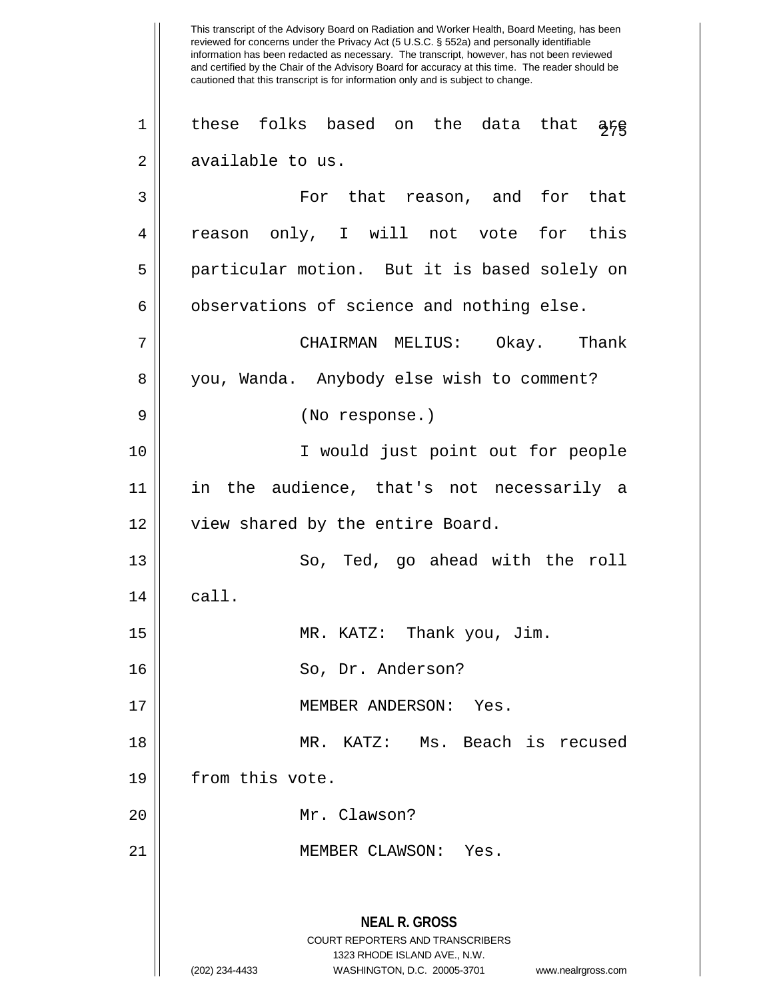This transcript of the Advisory Board on Radiation and Worker Health, Board Meeting, has been reviewed for concerns under the Privacy Act (5 U.S.C. § 552a) and personally identifiable information has been redacted as necessary. The transcript, however, has not been reviewed and certified by the Chair of the Advisory Board for accuracy at this time. The reader should be cautioned that this transcript is for information only and is subject to change. **NEAL R. GROSS** COURT REPORTERS AND TRANSCRIBERS 1323 RHODE ISLAND AVE., N.W.  $1 \parallel$  these folks based on the data that are 2 || available to us. 3 || For that reason, and for that 4 reason only, I will not vote for this 5 || particular motion. But it is based solely on 6 | observations of science and nothing else. 7 CHAIRMAN MELIUS: Okay. Thank 8 | you, Wanda. Anybody else wish to comment? 9 (No response.) 10 I would just point out for people 11 in the audience, that's not necessarily a 12 || view shared by the entire Board. 13 So, Ted, go ahead with the roll  $14 \parallel$  call. 15 MR. KATZ: Thank you, Jim. 16 || So, Dr. Anderson? 17 || MEMBER ANDERSON: Yes. 18 MR. KATZ: Ms. Beach is recused 19 || from this vote. 20 Mr. Clawson? 21 || MEMBER CLAWSON: Yes.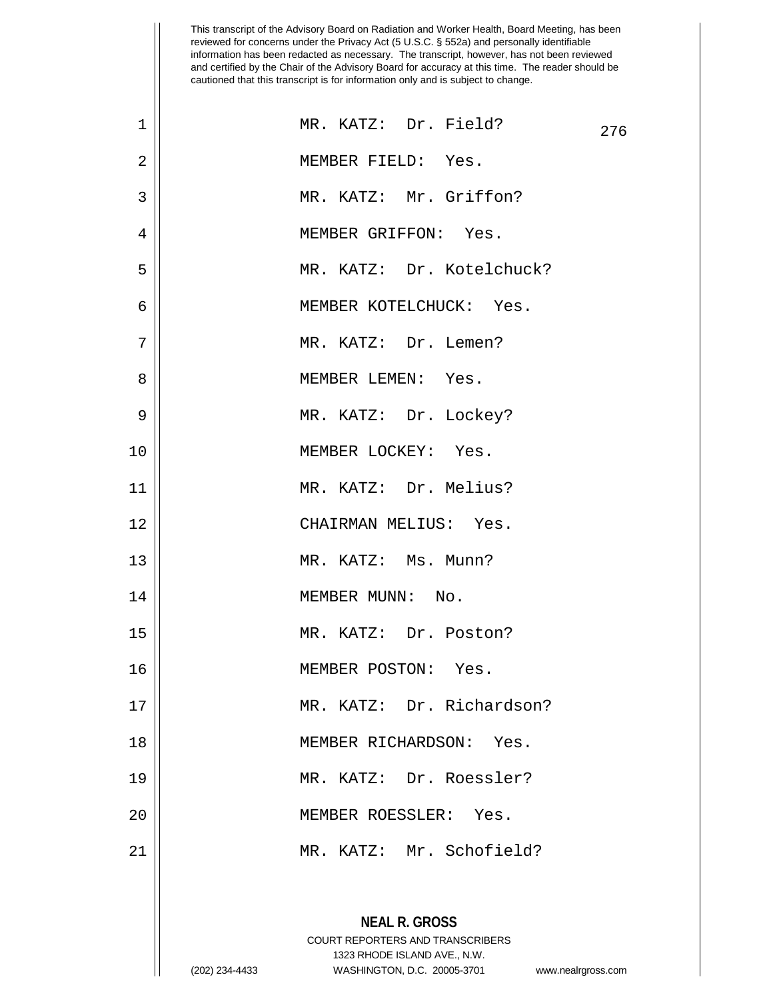This transcript of the Advisory Board on Radiation and Worker Health, Board Meeting, has been reviewed for concerns under the Privacy Act (5 U.S.C. § 552a) and personally identifiable information has been redacted as necessary. The transcript, however, has not been reviewed and certified by the Chair of the Advisory Board for accuracy at this time. The reader should be cautioned that this transcript is for information only and is subject to change. **NEAL R. GROSS** COURT REPORTERS AND TRANSCRIBERS 1323 RHODE ISLAND AVE., N.W. (202) 234-4433 WASHINGTON, D.C. 20005-3701 www.nealrgross.com  $\begin{array}{c|cccc}\n1 & \text{MR. KATZ: Dr. Field?} \end{array}$  276 2 MEMBER FIELD: Yes. 3 || MR. KATZ: Mr. Griffon? 4 MEMBER GRIFFON: Yes. 5 || MR. KATZ: Dr. Kotelchuck? 6 MEMBER KOTELCHUCK: Yes. 7 MR. KATZ: Dr. Lemen? 8 MEMBER LEMEN: Yes. 9 MR. KATZ: Dr. Lockey? 10 || **MEMBER LOCKEY:** Yes. 11 || MR. KATZ: Dr. Melius? 12 CHAIRMAN MELIUS: Yes. 13 MR. KATZ: Ms. Munn? 14 || MEMBER MUNN: No. 15 MR. KATZ: Dr. Poston? 16 MEMBER POSTON: Yes. 17 || MR. KATZ: Dr. Richardson? 18 MEMBER RICHARDSON: Yes. 19 MR. KATZ: Dr. Roessler? 20 || MEMBER ROESSLER: Yes. 21 MR. KATZ: Mr. Schofield?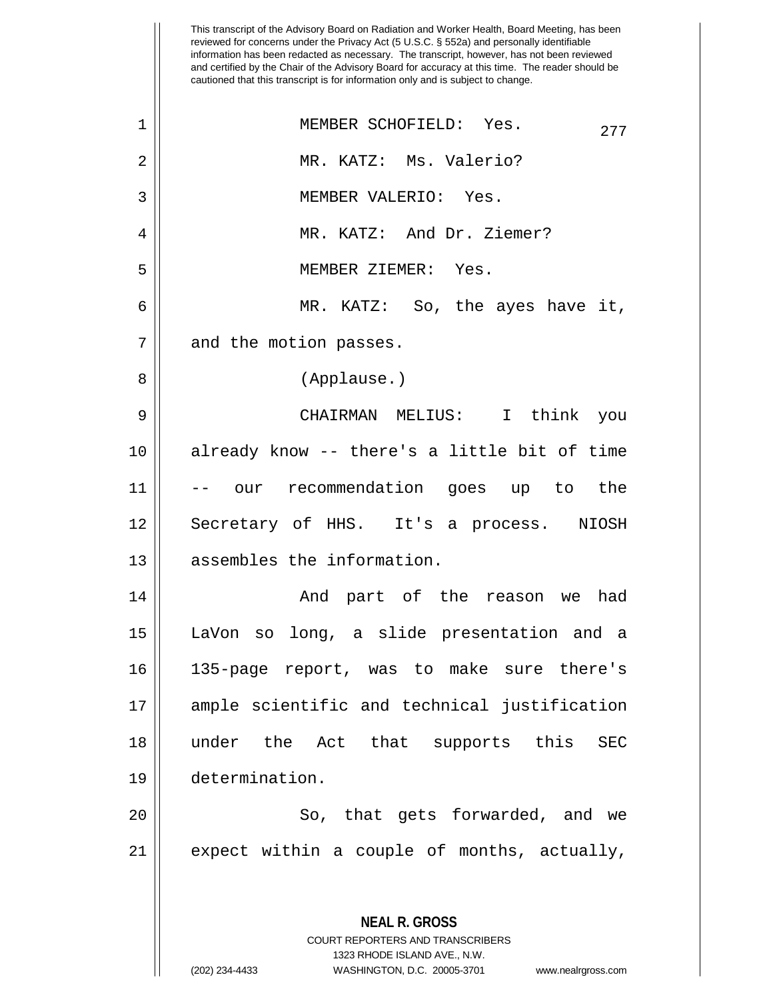|                | This transcript of the Advisory Board on Radiation and Worker Health, Board Meeting, has been<br>reviewed for concerns under the Privacy Act (5 U.S.C. § 552a) and personally identifiable<br>information has been redacted as necessary. The transcript, however, has not been reviewed<br>and certified by the Chair of the Advisory Board for accuracy at this time. The reader should be<br>cautioned that this transcript is for information only and is subject to change. |
|----------------|----------------------------------------------------------------------------------------------------------------------------------------------------------------------------------------------------------------------------------------------------------------------------------------------------------------------------------------------------------------------------------------------------------------------------------------------------------------------------------|
| $\mathbf 1$    | MEMBER SCHOFIELD: Yes.<br>277                                                                                                                                                                                                                                                                                                                                                                                                                                                    |
| $\overline{2}$ | MR. KATZ: Ms. Valerio?                                                                                                                                                                                                                                                                                                                                                                                                                                                           |
| 3              | MEMBER VALERIO: Yes.                                                                                                                                                                                                                                                                                                                                                                                                                                                             |
| 4              | MR. KATZ: And Dr. Ziemer?                                                                                                                                                                                                                                                                                                                                                                                                                                                        |
| 5              | MEMBER ZIEMER:<br>Yes.                                                                                                                                                                                                                                                                                                                                                                                                                                                           |
| 6              | MR. KATZ: So, the ayes have it,                                                                                                                                                                                                                                                                                                                                                                                                                                                  |
| 7              | and the motion passes.                                                                                                                                                                                                                                                                                                                                                                                                                                                           |
| 8              | (Applause.)                                                                                                                                                                                                                                                                                                                                                                                                                                                                      |
| 9              | think<br>CHAIRMAN MELIUS:<br>I.<br>you                                                                                                                                                                                                                                                                                                                                                                                                                                           |
| 10             | already know -- there's a little bit of time                                                                                                                                                                                                                                                                                                                                                                                                                                     |
| 11             | recommendation<br>the<br>goes<br>to<br>up<br>our                                                                                                                                                                                                                                                                                                                                                                                                                                 |
| 12             | Secretary of HHS. It's<br>a process.<br>NIOSH                                                                                                                                                                                                                                                                                                                                                                                                                                    |
| 13             | assembles the information.                                                                                                                                                                                                                                                                                                                                                                                                                                                       |
| 14             | And part of the reason we<br>had                                                                                                                                                                                                                                                                                                                                                                                                                                                 |
| 15             | long, a slide presentation and a<br>LaVon so                                                                                                                                                                                                                                                                                                                                                                                                                                     |
| 16             | 135-page report, was to make sure there's                                                                                                                                                                                                                                                                                                                                                                                                                                        |
| 17             | ample scientific and technical justification                                                                                                                                                                                                                                                                                                                                                                                                                                     |
| 18             | under the Act that supports this<br><b>SEC</b>                                                                                                                                                                                                                                                                                                                                                                                                                                   |
| 19             | determination.                                                                                                                                                                                                                                                                                                                                                                                                                                                                   |
| 20             | So, that gets forwarded, and we                                                                                                                                                                                                                                                                                                                                                                                                                                                  |
| 21             | expect within a couple of months, actually,                                                                                                                                                                                                                                                                                                                                                                                                                                      |
|                | <b>NEAL R. GROSS</b><br><b>COURT REPORTERS AND TRANSCRIBERS</b><br>1323 RHODE ISLAND AVE., N.W.<br>(202) 234-4433<br>WASHINGTON, D.C. 20005-3701<br>www.nealrgross.com                                                                                                                                                                                                                                                                                                           |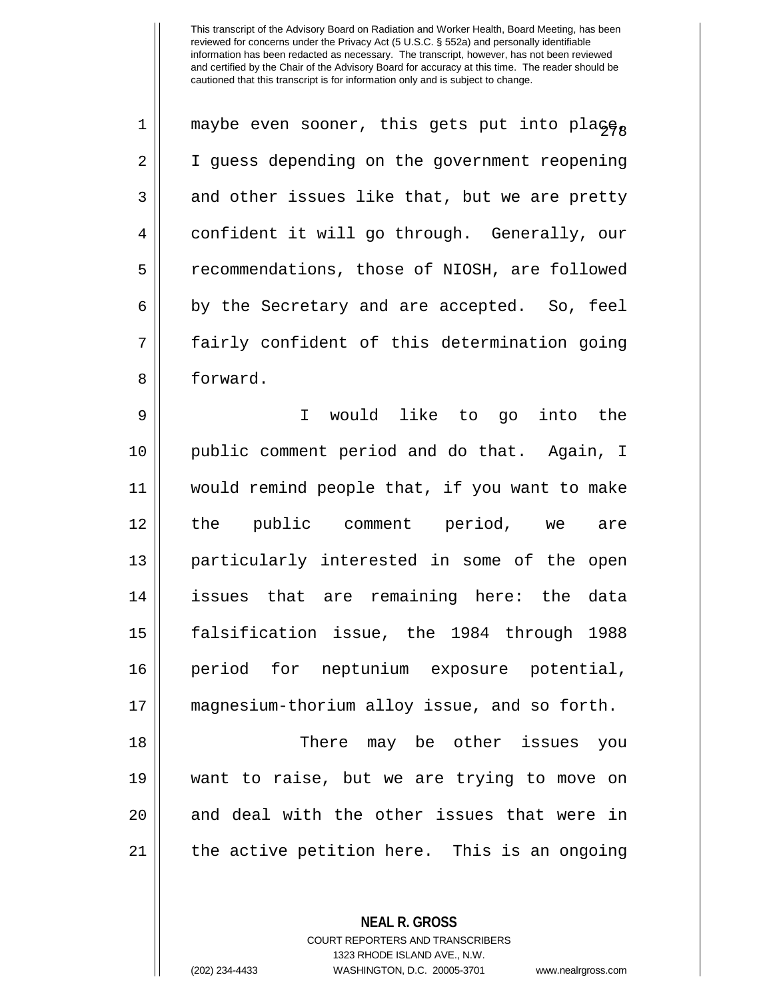| $\mathbf 1$ | maybe even sooner, this gets put into plage <sub>8</sub> |
|-------------|----------------------------------------------------------|
| 2           | I guess depending on the government reopening            |
| 3           | and other issues like that, but we are pretty            |
| 4           | confident it will go through. Generally, our             |
| 5           | recommendations, those of NIOSH, are followed            |
| 6           | by the Secretary and are accepted. So, feel              |
| 7           | fairly confident of this determination going             |
| 8           | forward.                                                 |
| 9           | I would like to go into the                              |
| 10          | public comment period and do that. Again, I              |
| 11          | would remind people that, if you want to make            |
| 12          | the public comment period, we<br>are                     |
| 13          | particularly interested in some of the open              |
| 14          | issues that are remaining here: the data                 |
| 15          | falsification issue, the 1984 through 1988               |
| 16          | period for neptunium exposure potential,                 |
| 17          | magnesium-thorium alloy issue, and so forth.             |
| 18          | There may be other issues you                            |
| 19          | want to raise, but we are trying to move on              |
| 20          | and deal with the other issues that were in              |
| 21          | the active petition here. This is an ongoing             |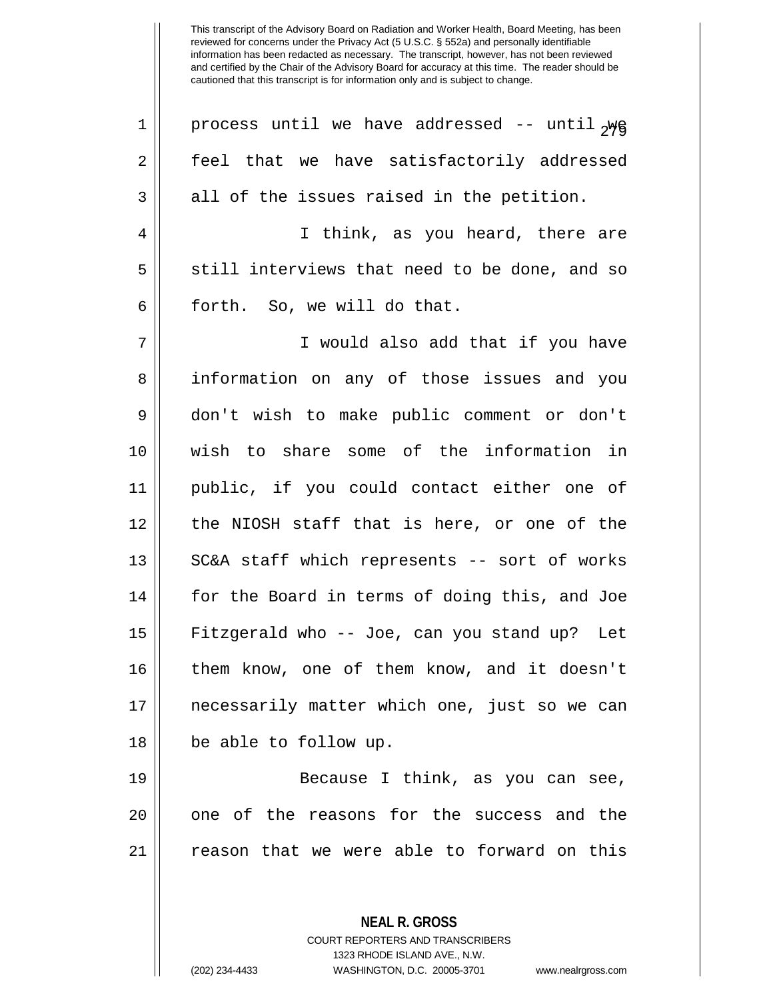| $\mathbf 1$ | process until we have addressed -- until 2WG  |
|-------------|-----------------------------------------------|
| 2           | feel that we have satisfactorily addressed    |
| 3           | all of the issues raised in the petition.     |
| 4           | I think, as you heard, there are              |
| 5           | still interviews that need to be done, and so |
| 6           | forth. So, we will do that.                   |
| 7           | I would also add that if you have             |
| 8           | information on any of those issues and you    |
| 9           | don't wish to make public comment or don't    |
| 10          | wish to share some of the information in      |
| 11          | public, if you could contact either one of    |
| 12          | the NIOSH staff that is here, or one of the   |
| 13          | SC&A staff which represents -- sort of works  |
| 14          | for the Board in terms of doing this, and Joe |
| 15          | Fitzgerald who -- Joe, can you stand up? Let  |
| 16          | them know, one of them know, and it doesn't   |
| 17          | necessarily matter which one, just so we can  |
| 18          | be able to follow up.                         |
| 19          | Because I think, as you can see,              |
| 20          | one of the reasons for the success and the    |
| 21          | reason that we were able to forward on this   |
|             |                                               |
|             | NEAL R. GROSS                                 |

COURT REPORTERS AND TRANSCRIBERS 1323 RHODE ISLAND AVE., N.W.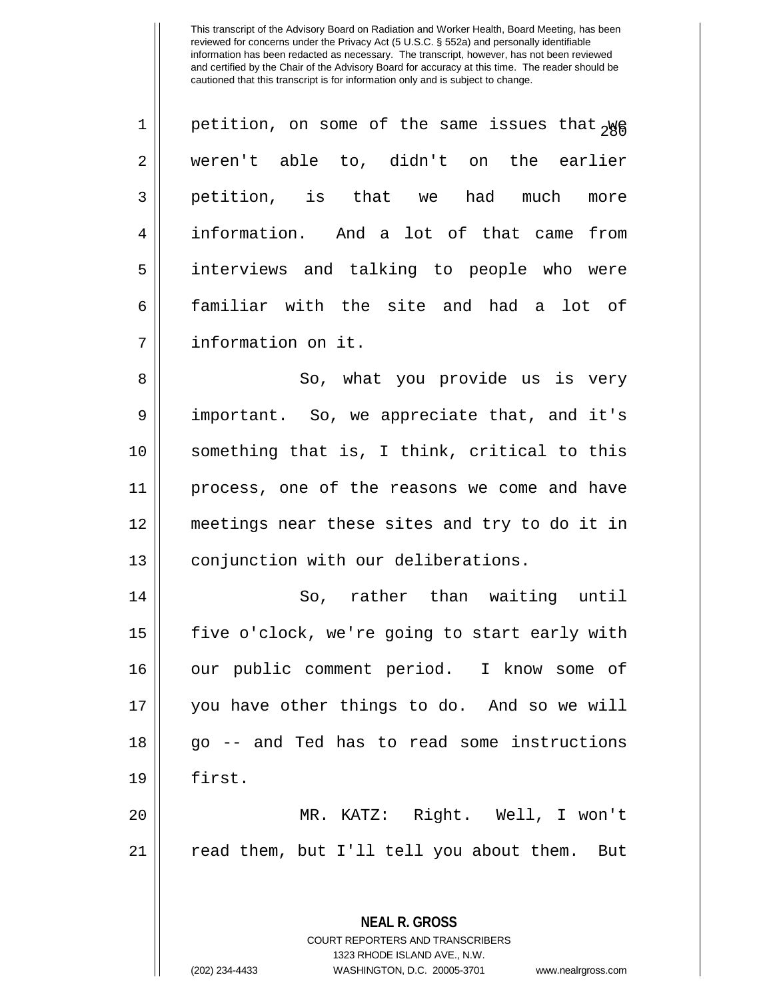| $\mathbf{1}$   | petition, on some of the same issues that yge |
|----------------|-----------------------------------------------|
| 2              | weren't able to, didn't on the earlier        |
| 3              | petition, is that we had<br>much<br>more      |
| $\overline{4}$ | information. And a lot of that came from      |
| 5              | interviews and talking to people who were     |
| 6              | familiar with the site and had a lot of       |
| 7              | information on it.                            |

 So, what you provide us is very 9 | important. So, we appreciate that, and it's something that is, I think, critical to this process, one of the reasons we come and have meetings near these sites and try to do it in 13 | conjunction with our deliberations.

14 || So, rather than waiting until | five o'clock, we're going to start early with our public comment period. I know some of you have other things to do. And so we will go -- and Ted has to read some instructions 19 first.

20 MR. KATZ: Right. Well, I won't 21 || read them, but I'll tell you about them. But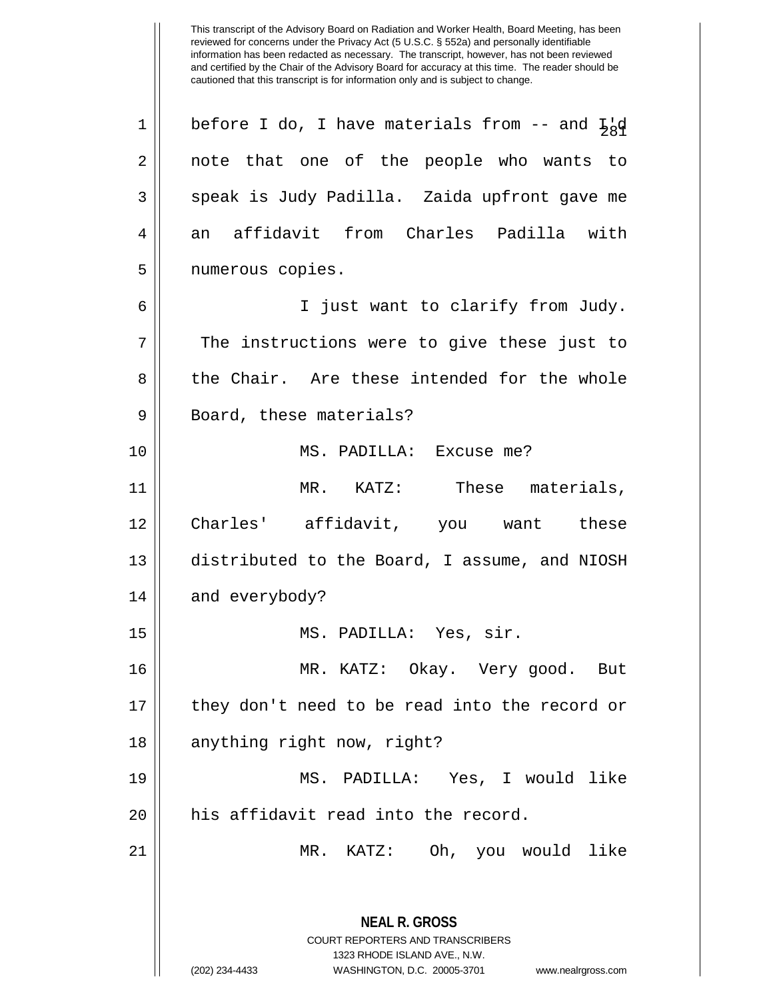This transcript of the Advisory Board on Radiation and Worker Health, Board Meeting, has been reviewed for concerns under the Privacy Act (5 U.S.C. § 552a) and personally identifiable information has been redacted as necessary. The transcript, however, has not been reviewed and certified by the Chair of the Advisory Board for accuracy at this time. The reader should be cautioned that this transcript is for information only and is subject to change. **NEAL R. GROSS** COURT REPORTERS AND TRANSCRIBERS 1323 RHODE ISLAND AVE., N.W. (202) 234-4433 WASHINGTON, D.C. 20005-3701 www.nealrgross.com 1 | before I do, I have materials from -- and  $I_8^1$ d 2 || note that one of the people who wants to 3 || speak is Judy Padilla. Zaida upfront gave me  $4 \parallel$  an affidavit from Charles Padilla with 5 | numerous copies. 6 I just want to clarify from Judy. 7 The instructions were to give these just to 8 the Chair. Are these intended for the whole 9 || Board, these materials? 10 || MS. PADILLA: Excuse me? 11 || **MR. KATZ:** These materials, 12 Charles' affidavit, you want these 13 distributed to the Board, I assume, and NIOSH  $14$  | and everybody? 15 MS. PADILLA: Yes, sir. 16 MR. KATZ: Okay. Very good. But 17 || they don't need to be read into the record or 18 || anything right now, right? 19 MS. PADILLA: Yes, I would like 20 || his affidavit read into the record. 21 MR. KATZ: Oh, you would like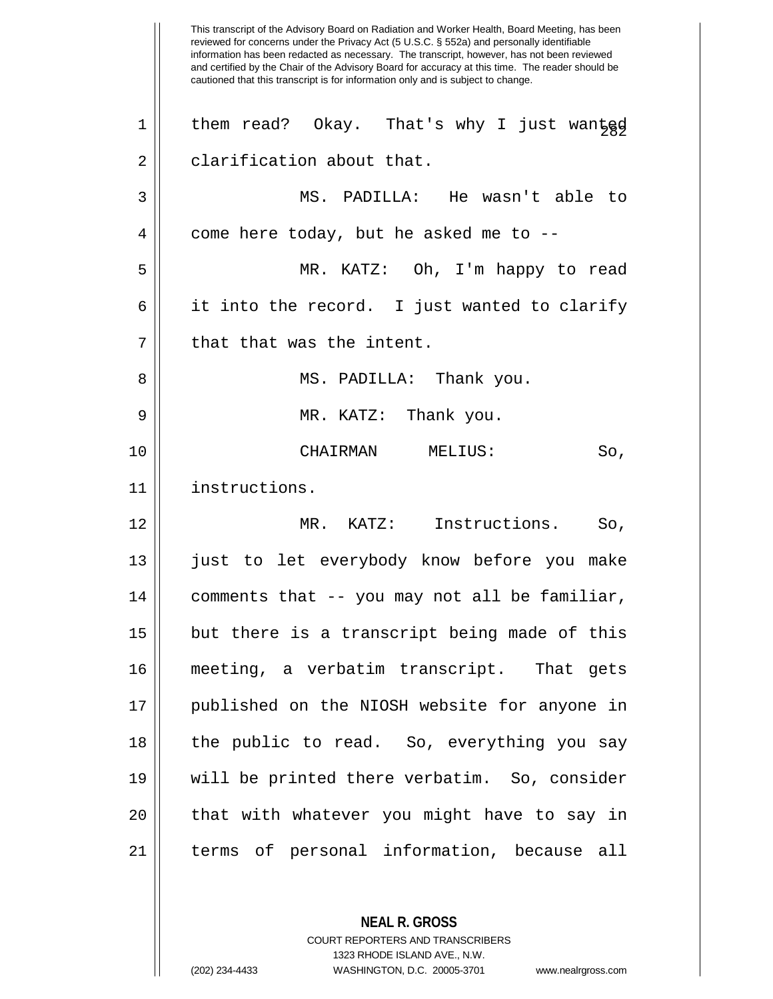This transcript of the Advisory Board on Radiation and Worker Health, Board Meeting, has been reviewed for concerns under the Privacy Act (5 U.S.C. § 552a) and personally identifiable information has been redacted as necessary. The transcript, however, has not been reviewed and certified by the Chair of the Advisory Board for accuracy at this time. The reader should be cautioned that this transcript is for information only and is subject to change.  $1$  | them read? Okay. That's why I just wantgd 2 || clarification about that. 3 MS. PADILLA: He wasn't able to  $4 \parallel$  come here today, but he asked me to --5 MR. KATZ: Oh, I'm happy to read  $6 \parallel$  it into the record. I just wanted to clarify  $7 \parallel$  that that was the intent. 8 MS. PADILLA: Thank you. 9 MR. KATZ: Thank you. 10 CHAIRMAN MELIUS: So, 11 instructions. 12 MR. KATZ: Instructions. So, 13 || just to let everybody know before you make 14  $\parallel$  comments that -- you may not all be familiar,  $15$  || but there is a transcript being made of this 16 meeting, a verbatim transcript. That gets 17 || published on the NIOSH website for anyone in 18 || the public to read. So, everything you say 19 will be printed there verbatim. So, consider 20 || that with whatever you might have to say in 21 terms of personal information, because all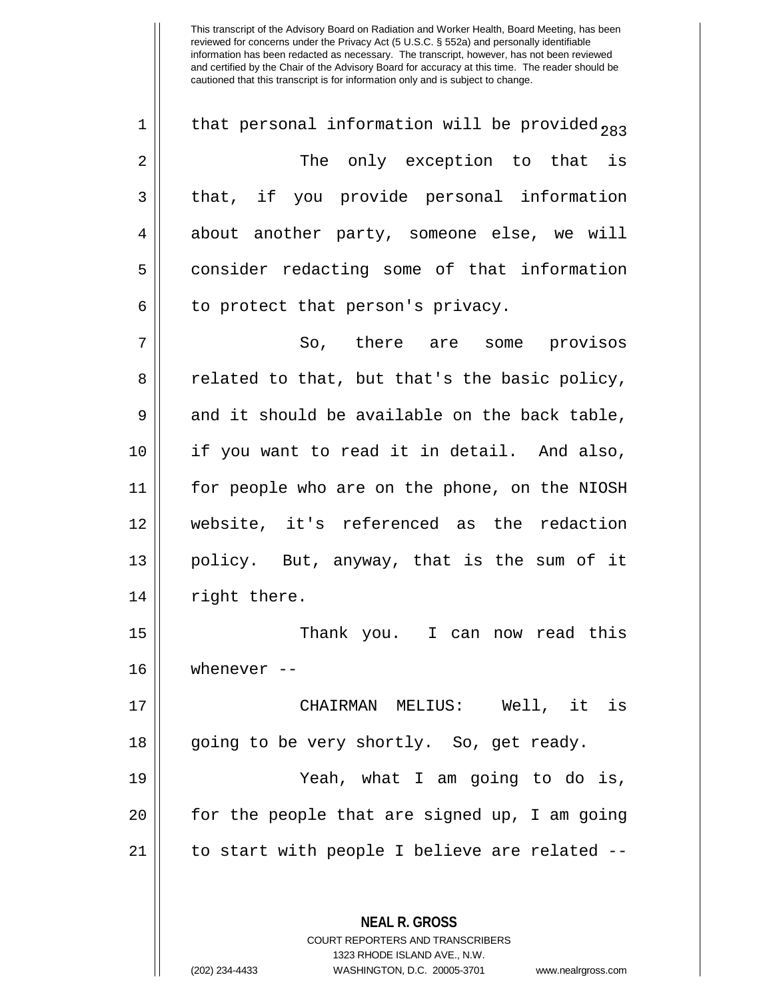1 | that personal information will be provided<sub>283</sub> 2 The only exception to that is 3 || that, if you provide personal information 4 about another party, someone else, we will 5 | consider redacting some of that information  $6 \parallel$  to protect that person's privacy.

 So, there are some provisos  $8 \parallel$  related to that, but that's the basic policy,  $9 \parallel$  and it should be available on the back table, if you want to read it in detail. And also, for people who are on the phone, on the NIOSH website, it's referenced as the redaction policy. But, anyway, that is the sum of it 14 | right there.

15 Thank you. I can now read this 16 whenever --

17 CHAIRMAN MELIUS: Well, it is 18 || going to be very shortly. So, get ready. 19 Yeah, what I am going to do is, 20 || for the people that are signed up, I am going 21 || to start with people I believe are related --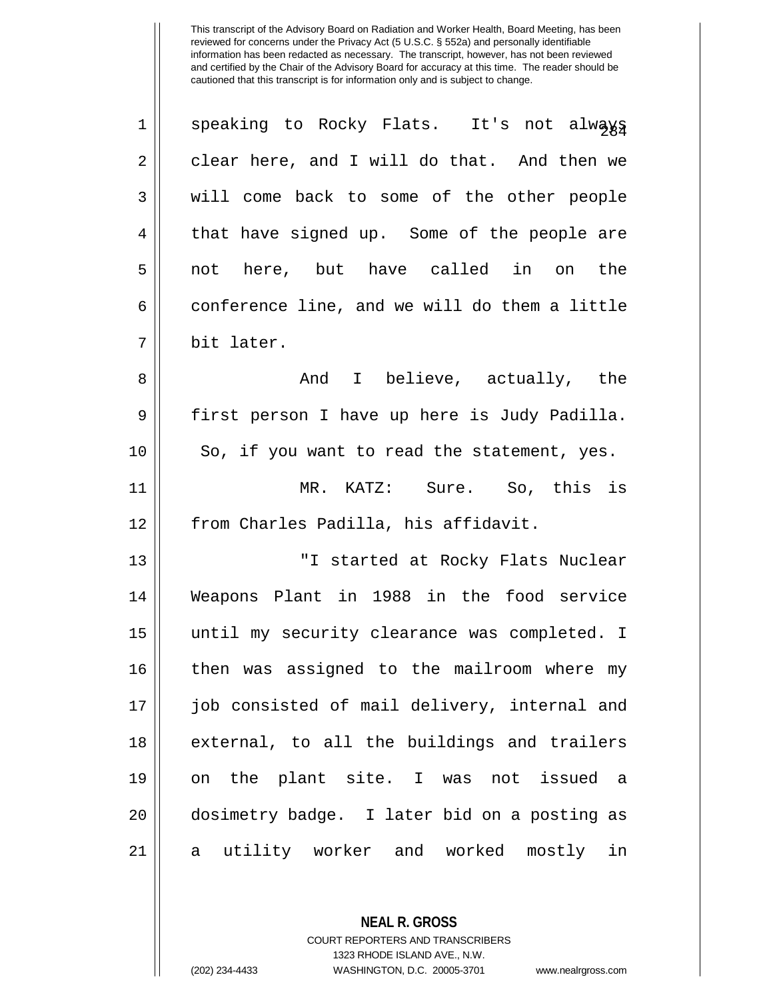| $\mathbf 1$    | speaking to Rocky Flats. It's not always      |
|----------------|-----------------------------------------------|
| $\overline{2}$ | clear here, and I will do that. And then we   |
| 3              | will come back to some of the other people    |
| 4              | that have signed up. Some of the people are   |
| 5              | not here, but have called in on the           |
| 6              | conference line, and we will do them a little |
| 7              | bit later.                                    |
| 8              | And I believe, actually, the                  |
| $\mathsf 9$    | first person I have up here is Judy Padilla.  |
| 10             | So, if you want to read the statement, yes.   |
| 11             | MR. KATZ: Sure. So, this is                   |
| 12             | from Charles Padilla, his affidavit.          |
| 13             | "I started at Rocky Flats Nuclear             |
| 14             | Weapons Plant in 1988 in the food service     |
| 15             | until my security clearance was completed. I  |
| 16             | then was assigned to the mailroom where my    |
| 17             | job consisted of mail delivery, internal and  |
| 18             | external, to all the buildings and trailers   |
| 19             | on the plant site. I was not issued a         |
| 20             | dosimetry badge. I later bid on a posting as  |
| 21             | utility worker and worked mostly in<br>a      |

1323 RHODE ISLAND AVE., N.W.

**NEAL R. GROSS** COURT REPORTERS AND TRANSCRIBERS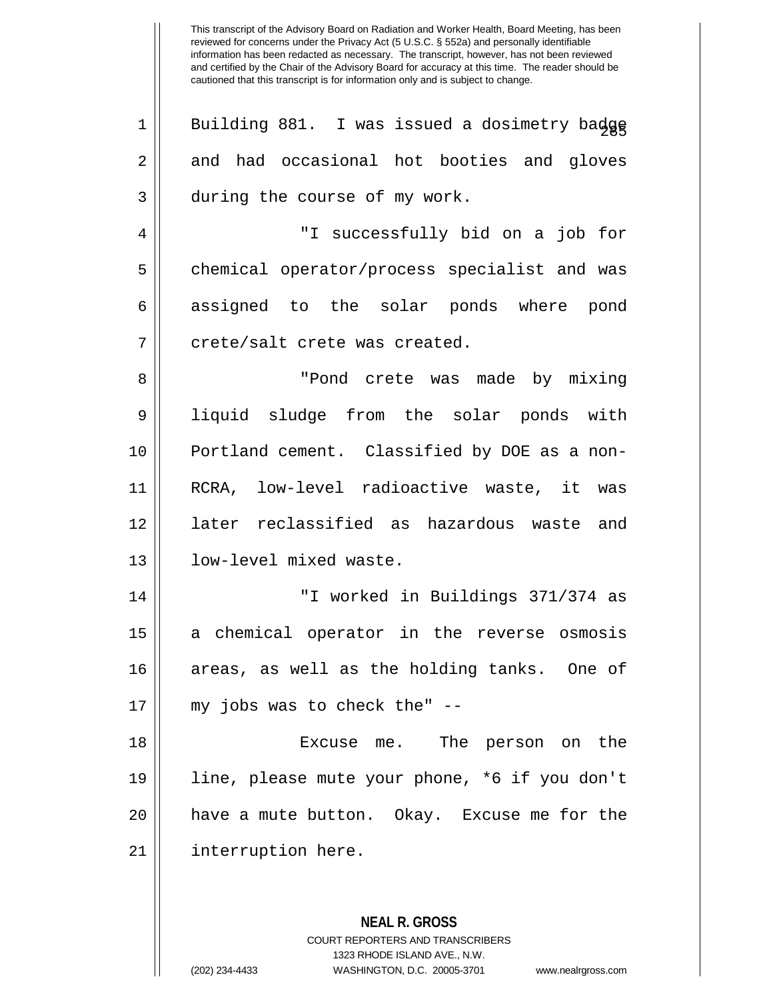1 || Building 881. I was issued a dosimetry badge 2 and had occasional hot booties and gloves 3 | during the course of my work. 4 "I successfully bid on a job for 5 chemical operator/process specialist and was 6 assigned to the solar ponds where pond 7 || crete/salt crete was created. 8 "Pond crete was made by mixing 9 || liquid sludge from the solar ponds with

13 | low-level mixed waste. 14 "I worked in Buildings 371/374 as 15 a chemical operator in the reverse osmosis 16 || areas, as well as the holding tanks. One of  $17 \parallel$  my jobs was to check the" --

10 Portland cement. Classified by DOE as a non-

11 RCRA, low-level radioactive waste, it was

12 later reclassified as hazardous waste and

 Excuse me. The person on the line, please mute your phone, \*6 if you don't have a mute button. Okay. Excuse me for the 21 | interruption here.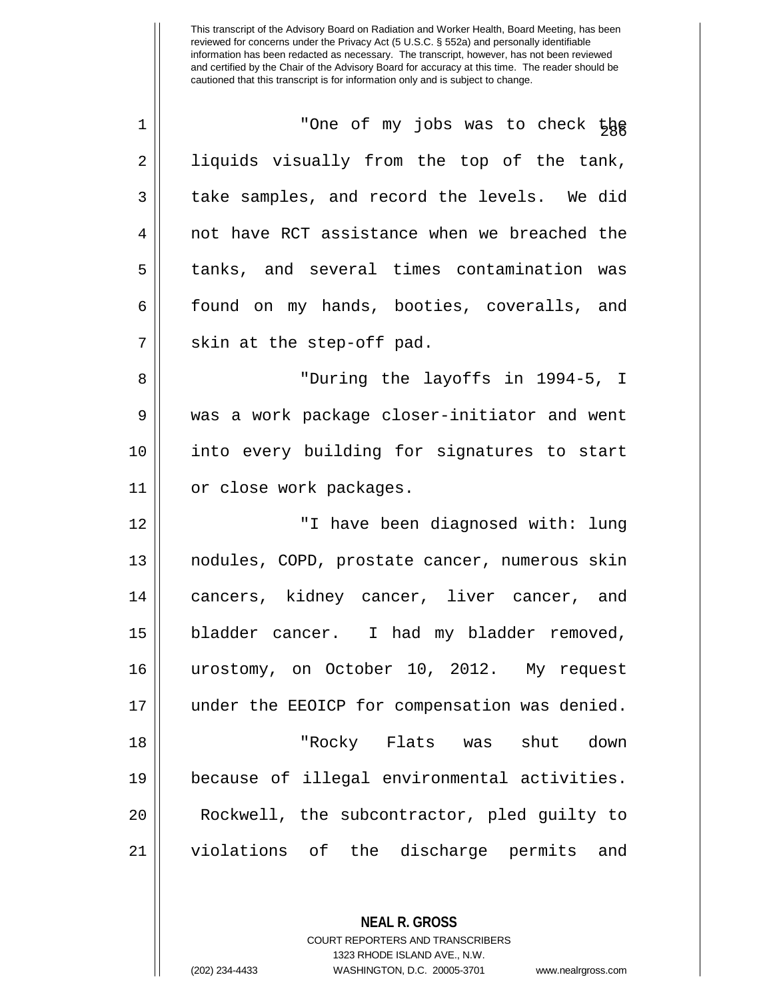| $\mathbf 1$    | "One of my jobs was to check the              |
|----------------|-----------------------------------------------|
| $\overline{2}$ | liquids visually from the top of the tank,    |
| 3              | take samples, and record the levels. We did   |
| 4              | not have RCT assistance when we breached the  |
| 5              | tanks, and several times contamination was    |
| 6              | found on my hands, booties, coveralls, and    |
| 7              | skin at the step-off pad.                     |
| 8              | "During the layoffs in 1994-5, I              |
| 9              | was a work package closer-initiator and went  |
| 10             | into every building for signatures to start   |
| 11             | or close work packages.                       |
| 12             | "I have been diagnosed with: lung             |
| 13             | nodules, COPD, prostate cancer, numerous skin |
| 14             | cancers, kidney cancer, liver cancer, and     |
| 15             | bladder cancer. I had my bladder removed,     |
| 16             | urostomy, on October 10, 2012. My request     |
| 17             | under the EEOICP for compensation was denied. |
| 18             | "Rocky Flats was shut<br>down                 |
| 19             | because of illegal environmental activities.  |
| 20             | Rockwell, the subcontractor, pled guilty to   |
| 21             | violations of the discharge permits and       |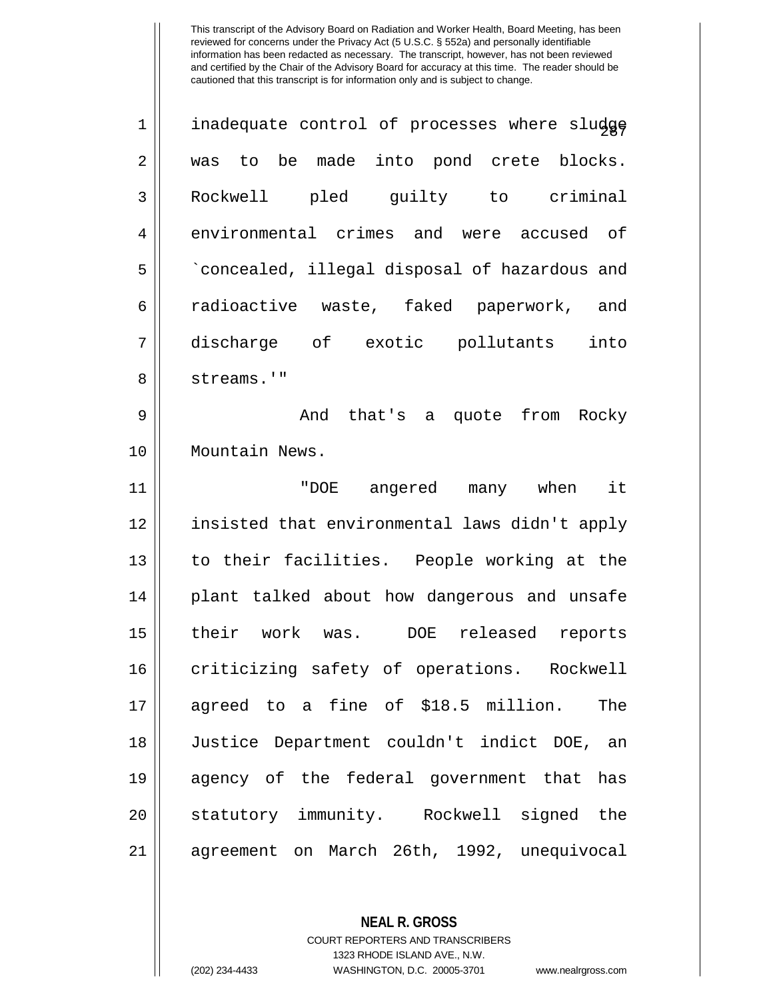| 1           | inadequate control of processes where sludge  |
|-------------|-----------------------------------------------|
| $\mathbf 2$ | was to be made into pond crete blocks.        |
| 3           | Rockwell pled guilty to criminal              |
| 4           | environmental crimes and were accused of      |
| 5           | `concealed, illegal disposal of hazardous and |
| 6           | radioactive waste, faked paperwork, and       |
| 7           | discharge of exotic pollutants into           |
| 8           | streams.'"                                    |
| $\mathsf 9$ | And that's a quote from Rocky                 |
| 10          | Mountain News.                                |
| 11          | "DOE angered many when it                     |
| 12          | insisted that environmental laws didn't apply |
| 13          | to their facilities. People working at the    |
| 14          | plant talked about how dangerous and unsafe   |
| 15          | their work was. DOE released reports          |
| 16          | criticizing safety of operations. Rockwell    |
| 17          | agreed to a fine of \$18.5 million.<br>The    |
| 18          | Justice Department couldn't indict DOE, an    |
| 19          | agency of the federal government that has     |
| 20          | statutory immunity. Rockwell signed the       |
| 21          | agreement on March 26th, 1992, unequivocal    |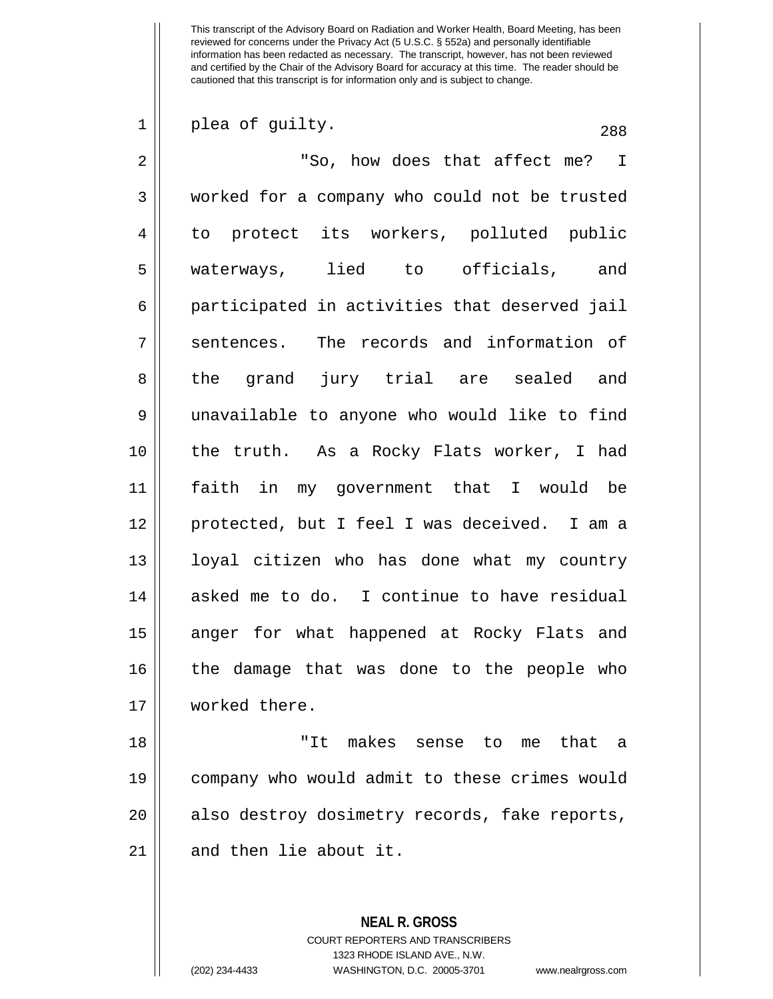| 1          | plea of guilty.<br>288                        |
|------------|-----------------------------------------------|
| $\sqrt{2}$ | "So, how does that affect me? I               |
| 3          | worked for a company who could not be trusted |
| 4          | to protect its workers, polluted public       |
| 5          | waterways, lied to officials, and             |
| 6          | participated in activities that deserved jail |
| 7          | sentences. The records and information of     |
| 8          | the grand jury trial are sealed and           |
| 9          | unavailable to anyone who would like to find  |
| 10         | the truth. As a Rocky Flats worker, I had     |
| 11         | faith in my government that I would be        |
| 12         | protected, but I feel I was deceived. I am a  |
| 13         | loyal citizen who has done what my country    |
| 14         | asked me to do. I continue to have residual   |
| 15         | anger for what happened at Rocky Flats and    |
| 16         | the damage that was done to the people who    |
| 17         | worked there.                                 |
| 18         | "It makes sense to<br>that<br>me<br>а         |
| 19         | company who would admit to these crimes would |
| 20         | also destroy dosimetry records, fake reports, |
| 21         | and then lie about it.                        |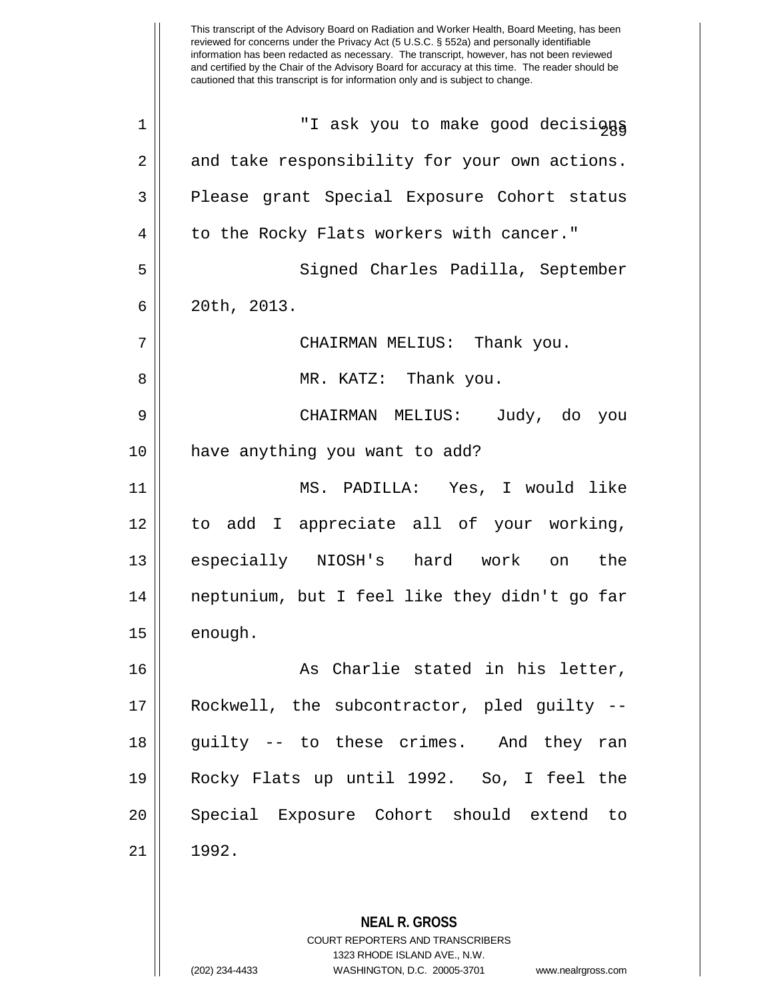This transcript of the Advisory Board on Radiation and Worker Health, Board Meeting, has been reviewed for concerns under the Privacy Act (5 U.S.C. § 552a) and personally identifiable information has been redacted as necessary. The transcript, however, has not been reviewed and certified by the Chair of the Advisory Board for accuracy at this time. The reader should be cautioned that this transcript is for information only and is subject to change. **NEAL R. GROSS** COURT REPORTERS AND TRANSCRIBERS 1323 RHODE ISLAND AVE., N.W. (202) 234-4433 WASHINGTON, D.C. 20005-3701 www.nealrgross.com <sup>289</sup> <sup>1</sup> "I ask you to make good decisions 2 || and take responsibility for your own actions. 3 || Please grant Special Exposure Cohort status 4 | to the Rocky Flats workers with cancer." 5 Signed Charles Padilla, September 6 20th, 2013. 7 CHAIRMAN MELIUS: Thank you. 8 MR. KATZ: Thank you. 9 CHAIRMAN MELIUS: Judy, do you 10 have anything you want to add? 11 MS. PADILLA: Yes, I would like 12 to add I appreciate all of your working, 13 especially NIOSH's hard work on the 14 neptunium, but I feel like they didn't go far 15 | enough. 16 || As Charlie stated in his letter, 17 Rockwell, the subcontractor, pled guilty -- 18 guilty -- to these crimes. And they ran 19 Rocky Flats up until 1992. So, I feel the 20 || Special Exposure Cohort should extend to  $21 \parallel 1992.$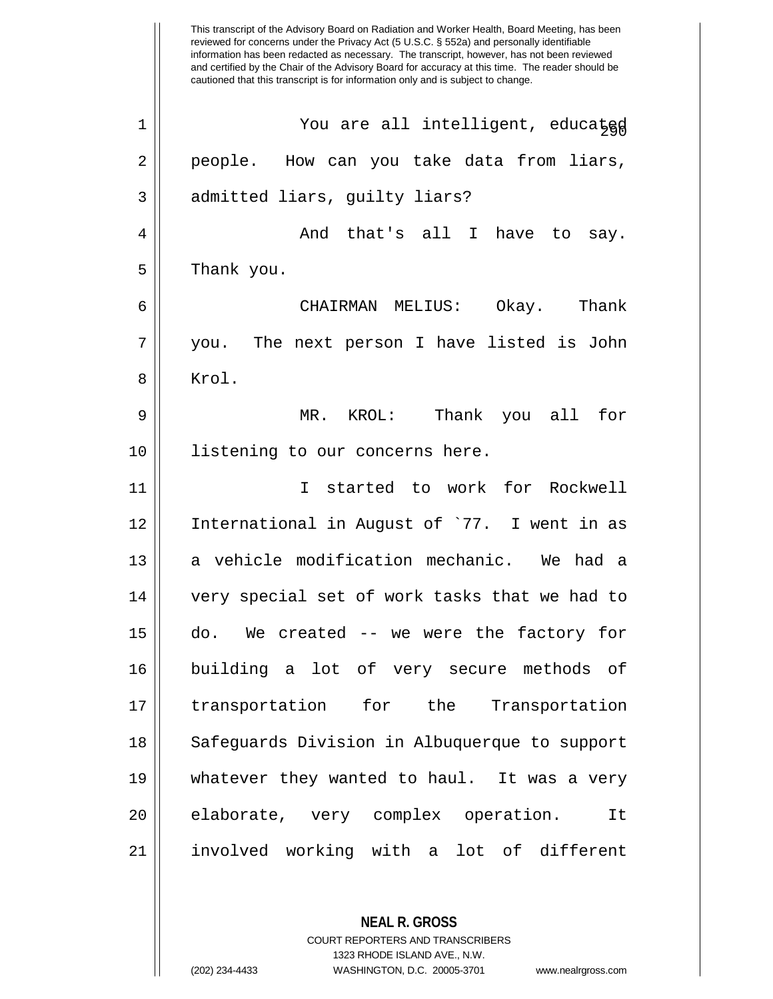This transcript of the Advisory Board on Radiation and Worker Health, Board Meeting, has been reviewed for concerns under the Privacy Act (5 U.S.C. § 552a) and personally identifiable information has been redacted as necessary. The transcript, however, has not been reviewed and certified by the Chair of the Advisory Board for accuracy at this time. The reader should be cautioned that this transcript is for information only and is subject to change. 1 || You are all intelligent, educated 2 || people. How can you take data from liars, 3 || admitted liars, guilty liars? 4 And that's all I have to say.  $5 \parallel$  Thank you. 6 CHAIRMAN MELIUS: Okay. Thank 7 you. The next person I have listed is John 8 Krol. 9 MR. KROL: Thank you all for 10 || listening to our concerns here. 11 I started to work for Rockwell 12 International in August of `77. I went in as 13 || a vehicle modification mechanic. We had a 14 || very special set of work tasks that we had to 15 do. We created -- we were the factory for 16 building a lot of very secure methods of 17 transportation for the Transportation 18 || Safeguards Division in Albuquerque to support 19 whatever they wanted to haul. It was a very 20 elaborate, very complex operation. It 21 involved working with a lot of different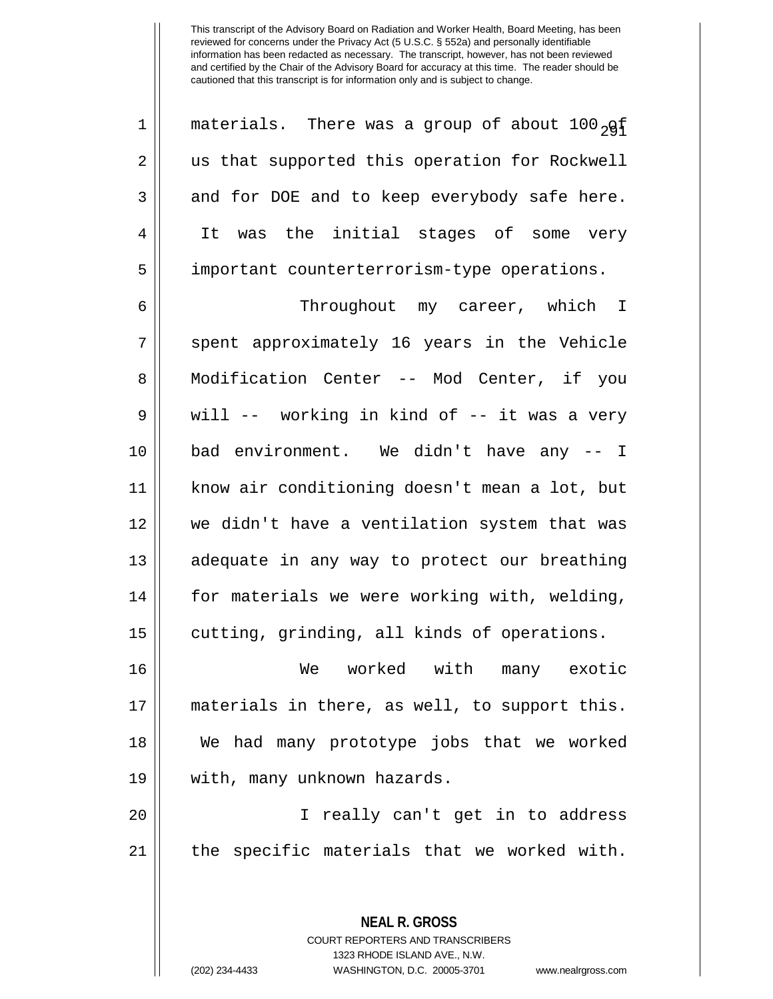| $\mathbf 1$ | materials. There was a group of about 100 284 |
|-------------|-----------------------------------------------|
| 2           | us that supported this operation for Rockwell |
| 3           | and for DOE and to keep everybody safe here.  |
| 4           | was the initial stages of some very<br>It     |
| 5           | important counterterrorism-type operations.   |
| 6           | Throughout my career, which I                 |
| 7           | spent approximately 16 years in the Vehicle   |
| 8           | Modification Center -- Mod Center, if you     |
| 9           | will -- working in kind of -- it was a very   |
| 10          | bad environment. We didn't have any -- I      |
| 11          | know air conditioning doesn't mean a lot, but |
| 12          | we didn't have a ventilation system that was  |
| 13          | adequate in any way to protect our breathing  |
| 14          | for materials we were working with, welding,  |
| 15          | cutting, grinding, all kinds of operations.   |
| 16          | We worked with many exotic                    |
| 17          | materials in there, as well, to support this. |
| 18          | We had many prototype jobs that we worked     |
| 19          | with, many unknown hazards.                   |
| 20          | I really can't get in to address              |
| 21          | the specific materials that we worked with.   |
|             |                                               |
|             | <b>NEAL R. GROSS</b>                          |

COURT REPORTERS AND TRANSCRIBERS 1323 RHODE ISLAND AVE., N.W.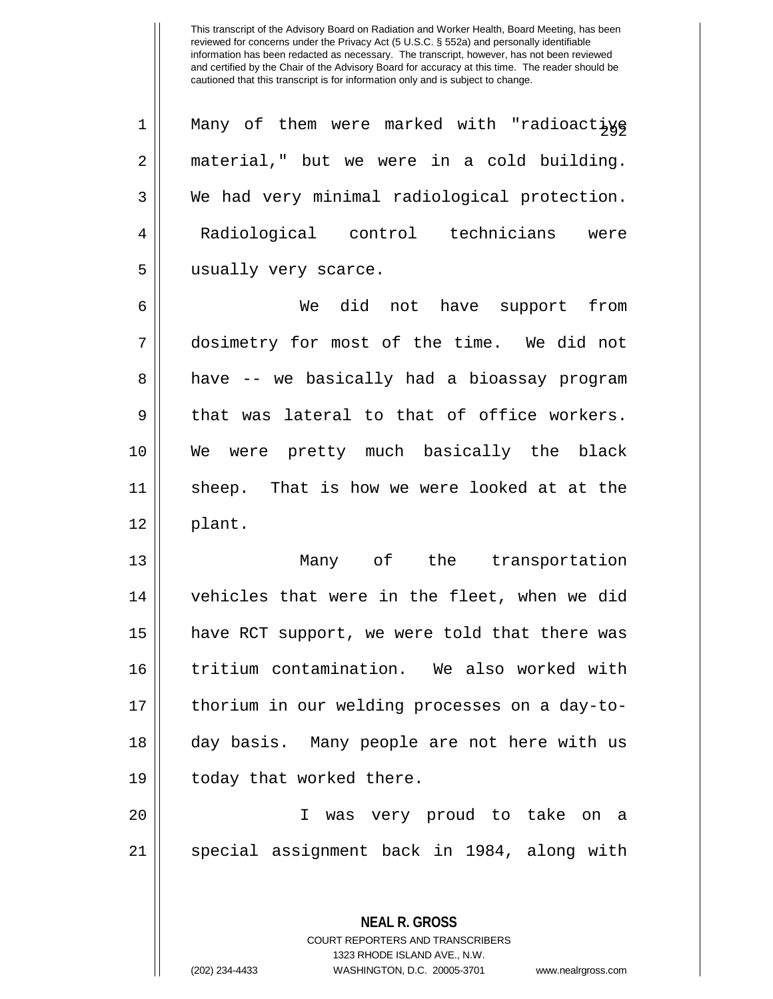| Many of them were marked with "radioactiye material," but we were in a cold building. 3 We had very minimal radiological protection. Radiological control technicians were usually very scarce.

6 We did not have support from 7 dosimetry for most of the time. We did not 8 || have -- we basically had a bioassay program  $9 \parallel$  that was lateral to that of office workers. 10 We were pretty much basically the black 11 sheep. That is how we were looked at at the 12 plant.

13 Many of the transportation 14 | vehicles that were in the fleet, when we did 15 have RCT support, we were told that there was 16 tritium contamination. We also worked with 17 || thorium in our welding processes on a day-to-18 day basis. Many people are not here with us 19 || today that worked there.

20 I was very proud to take on a 21 || special assignment back in 1984, along with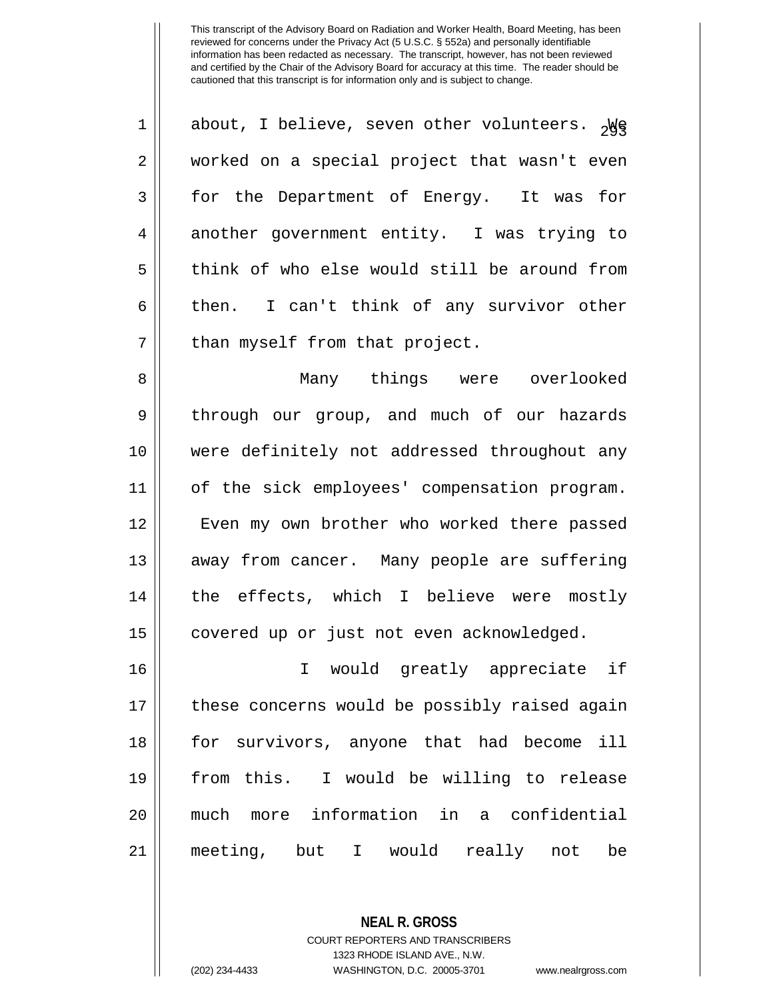1 || about, I believe, seven other volunteers.  $\sqrt{N}$ 2 || worked on a special project that wasn't even 3 for the Department of Energy. It was for 4 another government entity. I was trying to  $5 \parallel$  think of who else would still be around from 6 || then. I can't think of any survivor other 7 || than myself from that project.

8 Many things were overlooked 9 through our group, and much of our hazards 10 were definitely not addressed throughout any 11 of the sick employees' compensation program. 12 || Even my own brother who worked there passed 13 || away from cancer. Many people are suffering 14 || the effects, which I believe were mostly 15 | covered up or just not even acknowledged.

 I would greatly appreciate if 17 || these concerns would be possibly raised again for survivors, anyone that had become ill from this. I would be willing to release much more information in a confidential meeting, but I would really not be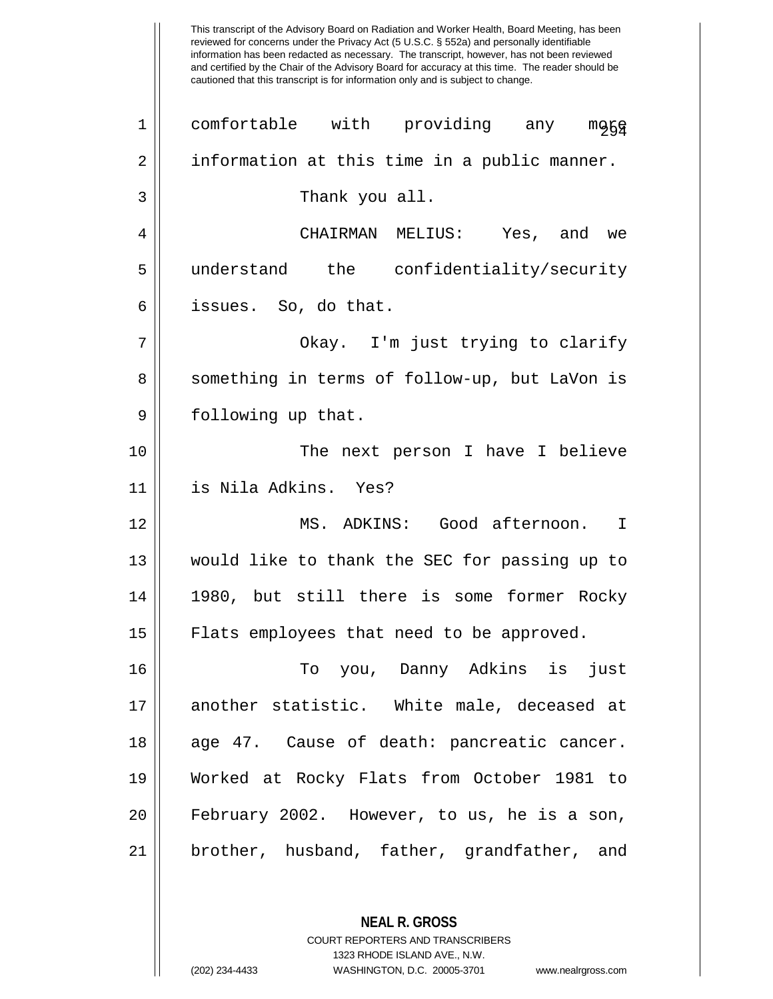This transcript of the Advisory Board on Radiation and Worker Health, Board Meeting, has been reviewed for concerns under the Privacy Act (5 U.S.C. § 552a) and personally identifiable information has been redacted as necessary. The transcript, however, has not been reviewed and certified by the Chair of the Advisory Board for accuracy at this time. The reader should be cautioned that this transcript is for information only and is subject to change. **NEAL R. GROSS**  $1$  comfortable with providing any mogg 2 | information at this time in a public manner. 3 Thank you all. 4 CHAIRMAN MELIUS: Yes, and we 5 understand the confidentiality/security 6 || issues. So, do that. 7 Okay. I'm just trying to clarify 8 || something in terms of follow-up, but LaVon is 9 | following up that. 10 The next person I have I believe 11 is Nila Adkins. Yes? 12 MS. ADKINS: Good afternoon. I 13 would like to thank the SEC for passing up to 14 || 1980, but still there is some former Rocky 15 || Flats employees that need to be approved. 16 To you, Danny Adkins is just 17 || another statistic. White male, deceased at 18 || age 47. Cause of death: pancreatic cancer. 19 Worked at Rocky Flats from October 1981 to 20 February 2002. However, to us, he is a son, 21 brother, husband, father, grandfather, and

> COURT REPORTERS AND TRANSCRIBERS 1323 RHODE ISLAND AVE., N.W.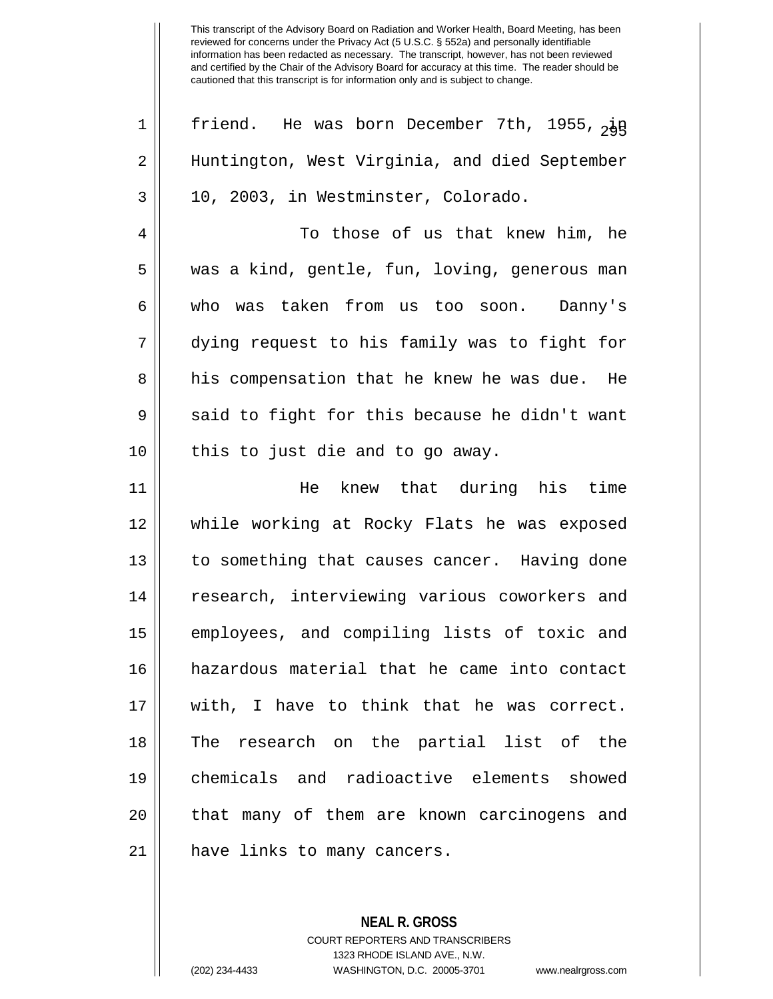| $1\,$ | friend. He was born December 7th, 1955, <sub>29</sub> |
|-------|-------------------------------------------------------|
| 2     | Huntington, West Virginia, and died September         |
| 3     | 10, 2003, in Westminster, Colorado.                   |
| 4     | To those of us that knew him, he                      |
| 5     | was a kind, gentle, fun, loving, generous man         |
| 6     | who was taken from us too soon. Danny's               |
| 7     | dying request to his family was to fight for          |
| 8     | his compensation that he knew he was due. He          |
| 9     | said to fight for this because he didn't want         |
| 10    | this to just die and to go away.                      |
| 11    | He knew that during his time                          |
| 12    | while working at Rocky Flats he was exposed           |
| 13    | to something that causes cancer. Having done          |
| 14    | research, interviewing various coworkers and          |
| 15    | employees, and compiling lists of toxic and           |
| 16    | hazardous material that he came into contact          |
| 17    | with, I have to think that he was correct.            |
| 18    | The research on the partial list of the               |
| 19    | chemicals and radioactive elements showed             |
| 20    | that many of them are known carcinogens and           |
| 21    | have links to many cancers.                           |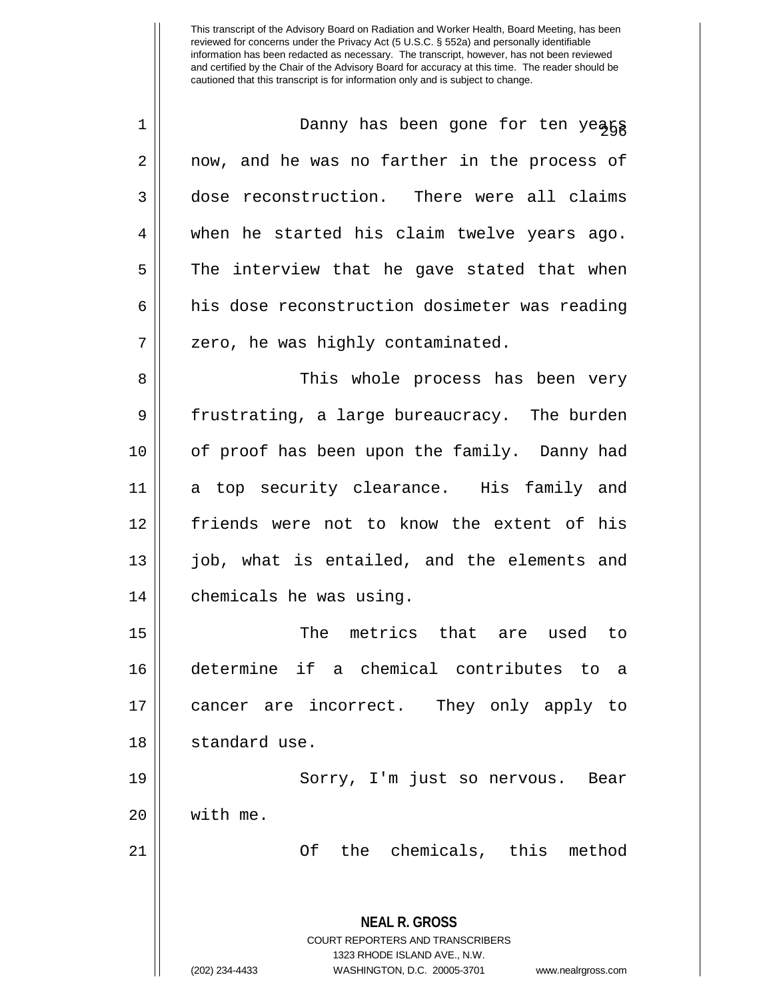| $\mathbf 1$ | Danny has been gone for ten yeags                                                                   |
|-------------|-----------------------------------------------------------------------------------------------------|
| 2           | now, and he was no farther in the process of                                                        |
| 3           | dose reconstruction. There were all claims                                                          |
| 4           | when he started his claim twelve years ago.                                                         |
| 5           | The interview that he gave stated that when                                                         |
| 6           | his dose reconstruction dosimeter was reading                                                       |
| 7           | zero, he was highly contaminated.                                                                   |
| 8           | This whole process has been very                                                                    |
| 9           | frustrating, a large bureaucracy. The burden                                                        |
| 10          | of proof has been upon the family. Danny had                                                        |
| 11          | a top security clearance. His family and                                                            |
| 12          | friends were not to know the extent of his                                                          |
| 13          | job, what is entailed, and the elements and                                                         |
| 14          | chemicals he was using.                                                                             |
| 15          | The metrics that are used<br>to                                                                     |
| 16          | determine if a chemical contributes to<br>- a                                                       |
| 17          | cancer are incorrect. They only apply to                                                            |
| 18          | standard use.                                                                                       |
| 19          | Sorry, I'm just so nervous.<br>Bear                                                                 |
| 20          | with me.                                                                                            |
| 21          | Of the chemicals, this<br>method                                                                    |
|             | <b>NEAL R. GROSS</b><br><b>COURT REPORTERS AND TRANSCRIBERS</b>                                     |
|             | 1323 RHODE ISLAND AVE., N.W.<br>(202) 234-4433<br>WASHINGTON, D.C. 20005-3701<br>www.nealrgross.com |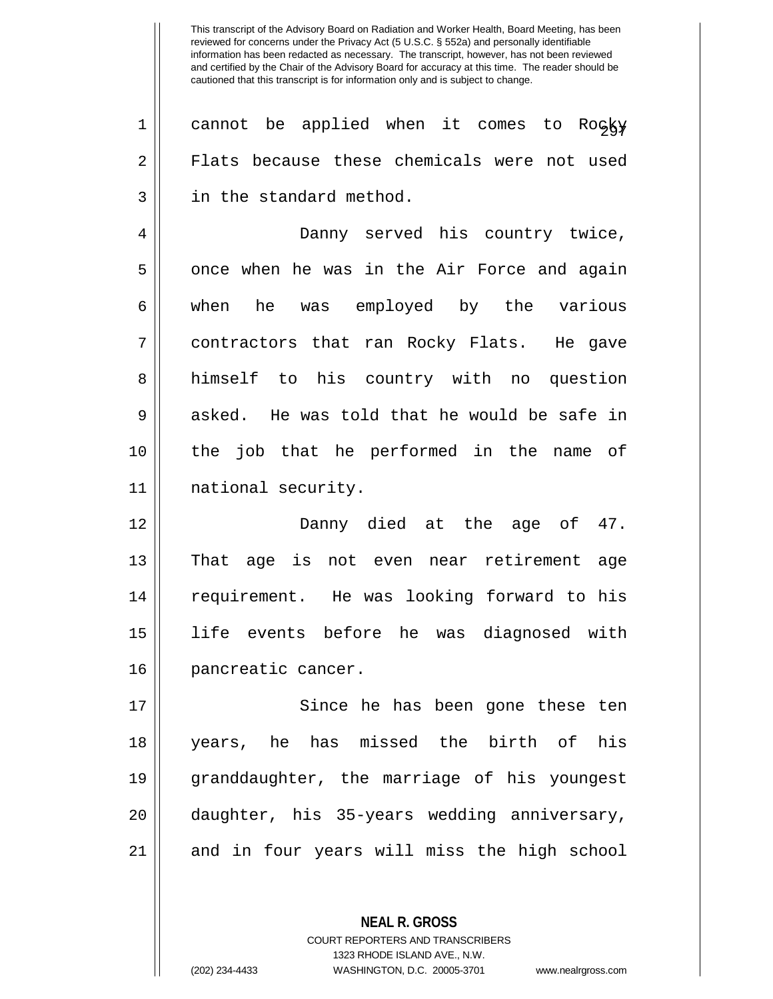$1$  || cannot be applied when it comes to Rocky 2 || Flats because these chemicals were not used 3 | in the standard method.

4 Danny served his country twice, 5 | once when he was in the Air Force and again 6 || when he was employed by the various 7 contractors that ran Rocky Flats. He gave 8 || himself to his country with no question  $9 \parallel$  asked. He was told that he would be safe in 10 the job that he performed in the name of 11 national security.

 Danny died at the age of 47. That age is not even near retirement age requirement. He was looking forward to his life events before he was diagnosed with pancreatic cancer.

17 || Since he has been gone these ten 18 years, he has missed the birth of his 19 granddaughter, the marriage of his youngest 20 daughter, his 35-years wedding anniversary, 21 || and in four years will miss the high school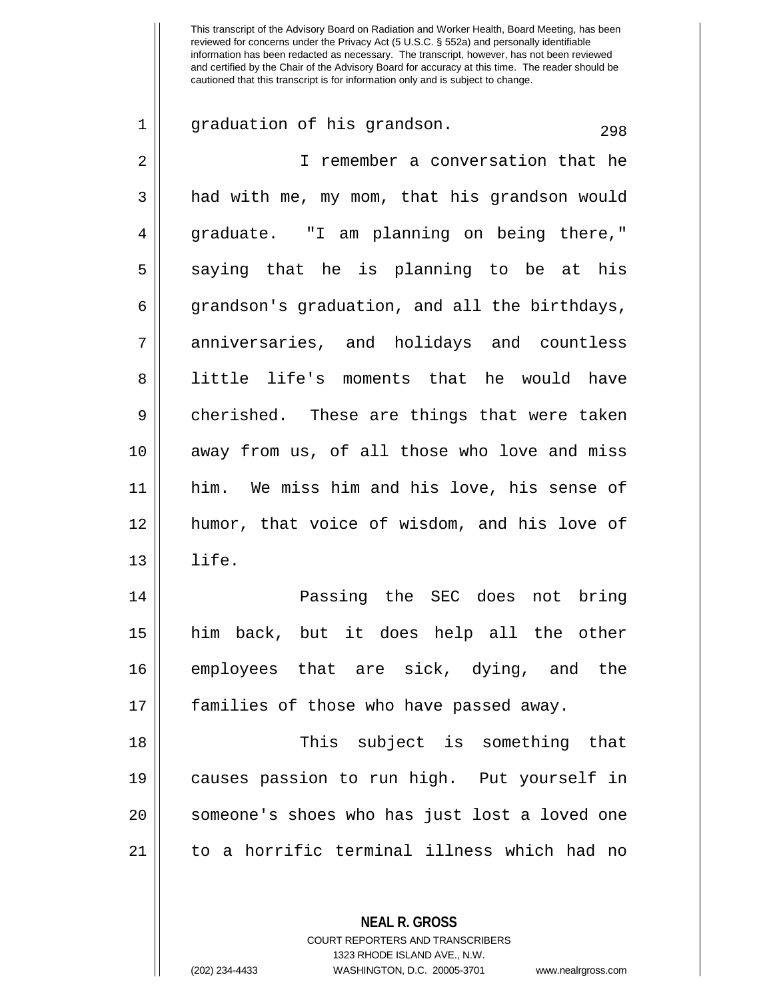$1 \parallel$  graduation of his grandson.  $298$ 2 || I remember a conversation that he 3 | had with me, my mom, that his grandson would  $4 \parallel$  graduate. "I am planning on being there,"  $5 \parallel$  saying that he is planning to be at his 6 grandson's graduation, and all the birthdays, 7 anniversaries, and holidays and countless 8 little life's moments that he would have 9 cherished. These are things that were taken 10 away from us, of all those who love and miss 11 him. We miss him and his love, his sense of 12 || humor, that voice of wisdom, and his love of  $13 \parallel$  life. 14 || **Passing the SEC does not bring** 15 him back, but it does help all the other 16 employees that are sick, dying, and the 17 || families of those who have passed away. 18 || This subject is something that 19 causes passion to run high. Put yourself in 20 || someone's shoes who has just lost a loved one 21 to a horrific terminal illness which had no

> COURT REPORTERS AND TRANSCRIBERS 1323 RHODE ISLAND AVE., N.W.

**NEAL R. GROSS**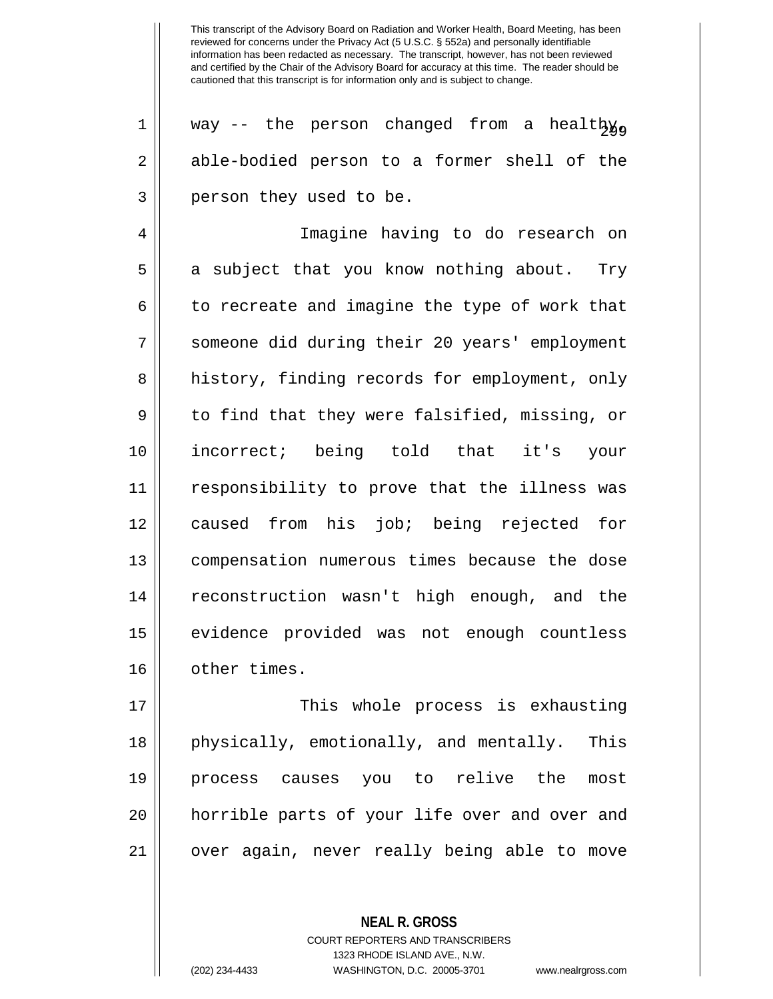1 | way -- the person changed from a healthy 2 || able-bodied person to a former shell of the 3 || person they used to be.

4 Imagine having to do research on  $5 \parallel$  a subject that you know nothing about. Try  $6 \parallel$  to recreate and imagine the type of work that 7 someone did during their 20 years' employment 8 || history, finding records for employment, only  $9 \parallel$  to find that they were falsified, missing, or 10 incorrect; being told that it's your 11 responsibility to prove that the illness was 12 caused from his job; being rejected for 13 compensation numerous times because the dose 14 || reconstruction wasn't high enough, and the 15 || evidence provided was not enough countless 16 other times.

 This whole process is exhausting physically, emotionally, and mentally. This process causes you to relive the most horrible parts of your life over and over and over again, never really being able to move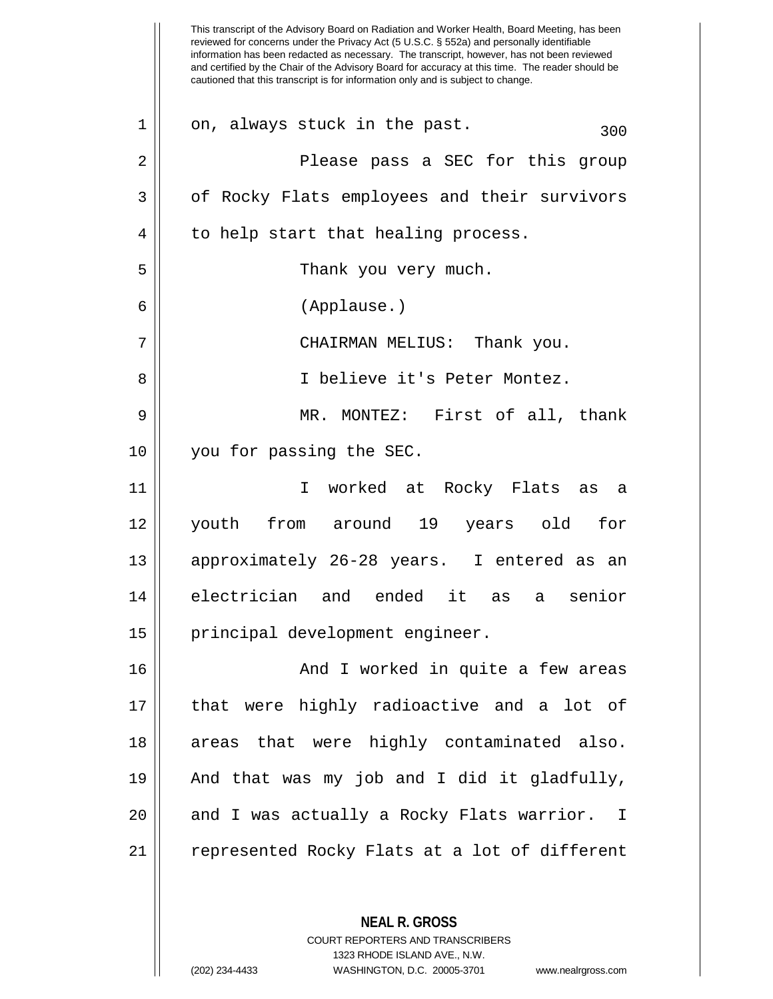This transcript of the Advisory Board on Radiation and Worker Health, Board Meeting, has been reviewed for concerns under the Privacy Act (5 U.S.C. § 552a) and personally identifiable information has been redacted as necessary. The transcript, however, has not been reviewed and certified by the Chair of the Advisory Board for accuracy at this time. The reader should be cautioned that this transcript is for information only and is subject to change. **NEAL R. GROSS**  $1 \parallel$  on, always stuck in the past.  $300$ 2 Please pass a SEC for this group 3 | of Rocky Flats employees and their survivors  $4 \parallel$  to help start that healing process. 5 Thank you very much. 6 (Applause.) 7 CHAIRMAN MELIUS: Thank you. 8 || I believe it's Peter Montez. 9 MR. MONTEZ: First of all, thank 10 you for passing the SEC. 11 I worked at Rocky Flats as a 12 youth from around 19 years old for 13 || approximately 26-28 years. I entered as an 14 electrician and ended it as a senior 15 || principal development engineer. 16 || And I worked in quite a few areas 17 || that were highly radioactive and a lot of 18 || areas that were highly contaminated also. 19 And that was my job and I did it gladfully, 20 || and I was actually a Rocky Flats warrior. I 21 || represented Rocky Flats at a lot of different

> COURT REPORTERS AND TRANSCRIBERS 1323 RHODE ISLAND AVE., N.W.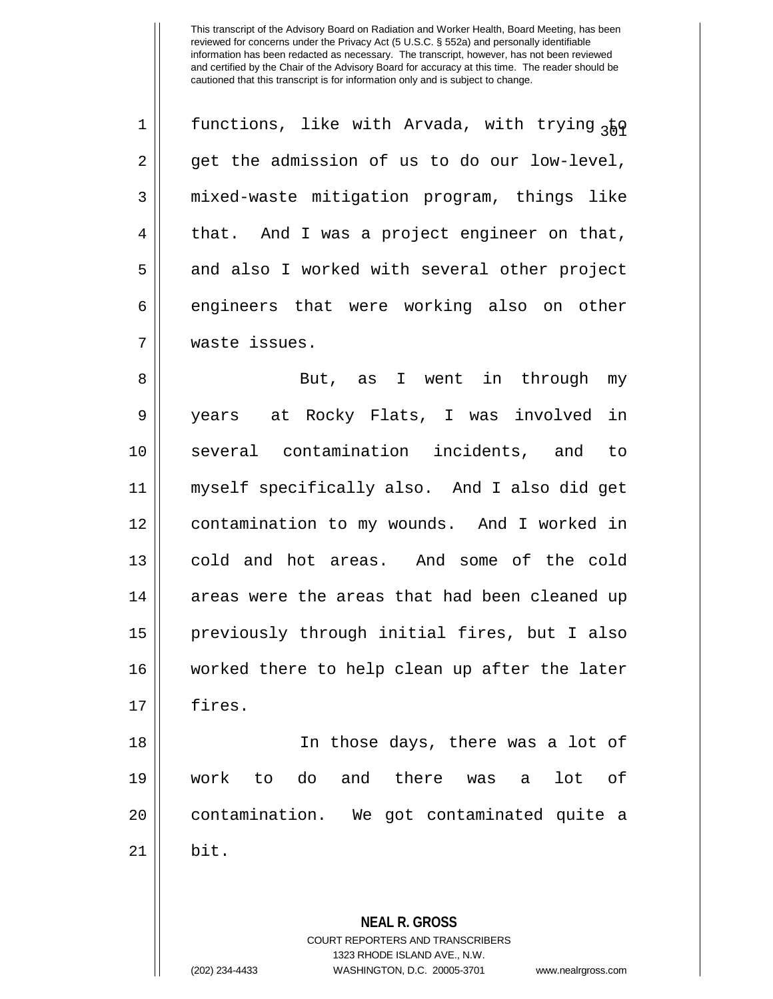1 | functions, like with Arvada, with trying  ${}_{3}^{1}\varphi$ 2 || get the admission of us to do our low-level, 3 mixed-waste mitigation program, things like  $4 \parallel$  that. And I was a project engineer on that, 5 || and also I worked with several other project 6 || engineers that were working also on other 7 waste issues.

 But, as I went in through my years at Rocky Flats, I was involved in several contamination incidents, and to myself specifically also. And I also did get contamination to my wounds. And I worked in 13 || cold and hot areas. And some of the cold 14 || areas were the areas that had been cleaned up previously through initial fires, but I also worked there to help clean up after the later 17 fires.

 In those days, there was a lot of work to do and there was a lot of contamination. We got contaminated quite a  $\parallel$  bit.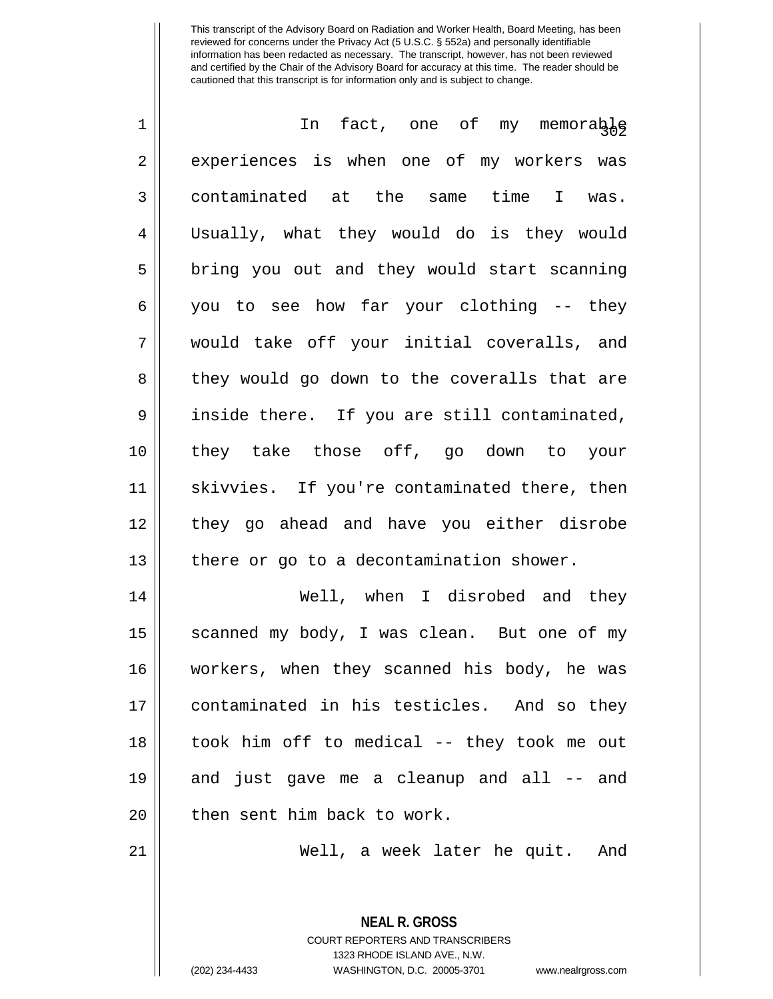| $\mathbf 1$    | In fact, one of my memorable                 |
|----------------|----------------------------------------------|
| $\overline{2}$ | experiences is when one of my workers was    |
| 3              | contaminated at the same time I was.         |
| 4              | Usually, what they would do is they would    |
| 5              | bring you out and they would start scanning  |
| 6              | you to see how far your clothing -- they     |
| 7              | would take off your initial coveralls, and   |
| 8              | they would go down to the coveralls that are |
| 9              | inside there. If you are still contaminated, |
| 10             | they take those off, go down to your         |
| 11             | skivvies. If you're contaminated there, then |
| 12             | they go ahead and have you either disrobe    |
| 13             | there or go to a decontamination shower.     |
| 14             | Well, when I disrobed and they               |
| 15             | scanned my body, I was clean. But one of my  |
| 16             | workers, when they scanned his body, he was  |
| 17             | contaminated in his testicles. And so they   |
| 18             | took him off to medical -- they took me out  |
| 19             | and just gave me a cleanup and all -- and    |
| 20             | then sent him back to work.                  |
| 21             | Well, a week later he quit. And              |
|                |                                              |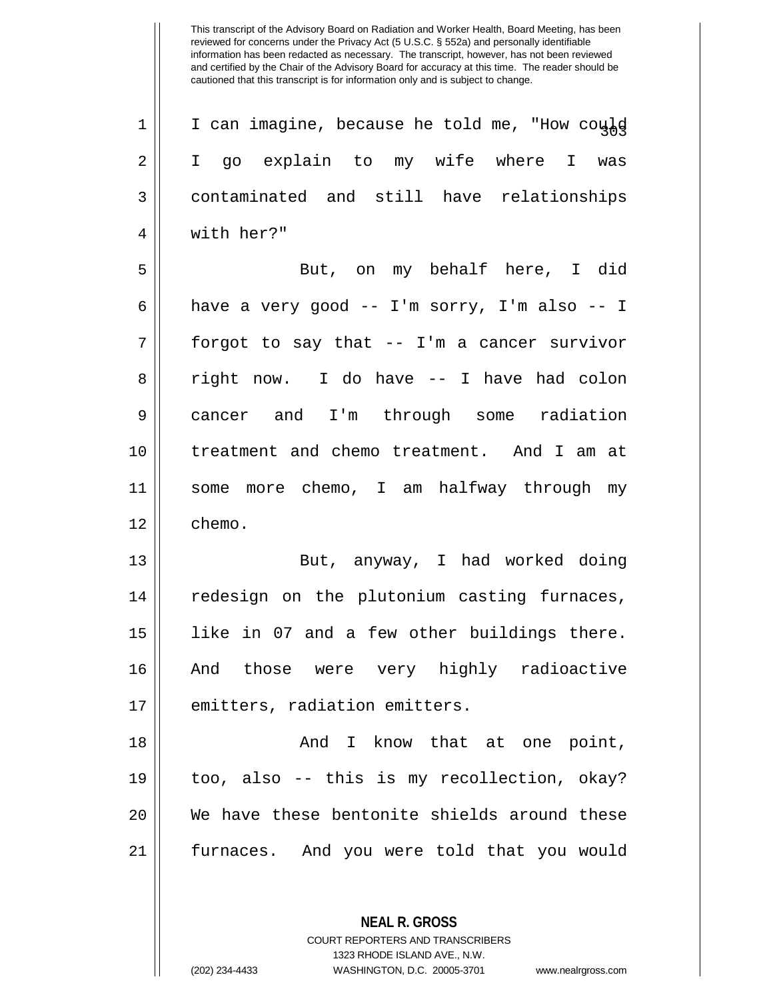| $\mathbf 1$    | I can imagine, because he told me, "How could |
|----------------|-----------------------------------------------|
| $\overline{2}$ | I go explain to my wife where I was           |
| 3              | contaminated and still have relationships     |
| 4              | with her?"                                    |
| 5              | But, on my behalf here, I did                 |
| 6              | have a very good -- I'm sorry, I'm also -- I  |
| 7              | forgot to say that -- I'm a cancer survivor   |
| 8              | right now. I do have -- I have had colon      |
| 9              | cancer and I'm through some radiation         |
| 10             | treatment and chemo treatment. And I am at    |
| 11             | some more chemo, I am halfway through my      |
| 12             | chemo.                                        |
| 13             | But, anyway, I had worked doing               |
| 14             | redesign on the plutonium casting furnaces,   |
| 15             | like in 07 and a few other buildings there.   |
| 16             | And those were very highly radioactive        |
| 17             | emitters, radiation emitters.                 |
| 18             | And I know that at one point,                 |
| 19             | too, also -- this is my recollection, okay?   |
| 20             | We have these bentonite shields around these  |
| 21             | furnaces. And you were told that you would    |
|                |                                               |
|                |                                               |

COURT REPORTERS AND TRANSCRIBERS 1323 RHODE ISLAND AVE., N.W.

**NEAL R. GROSS**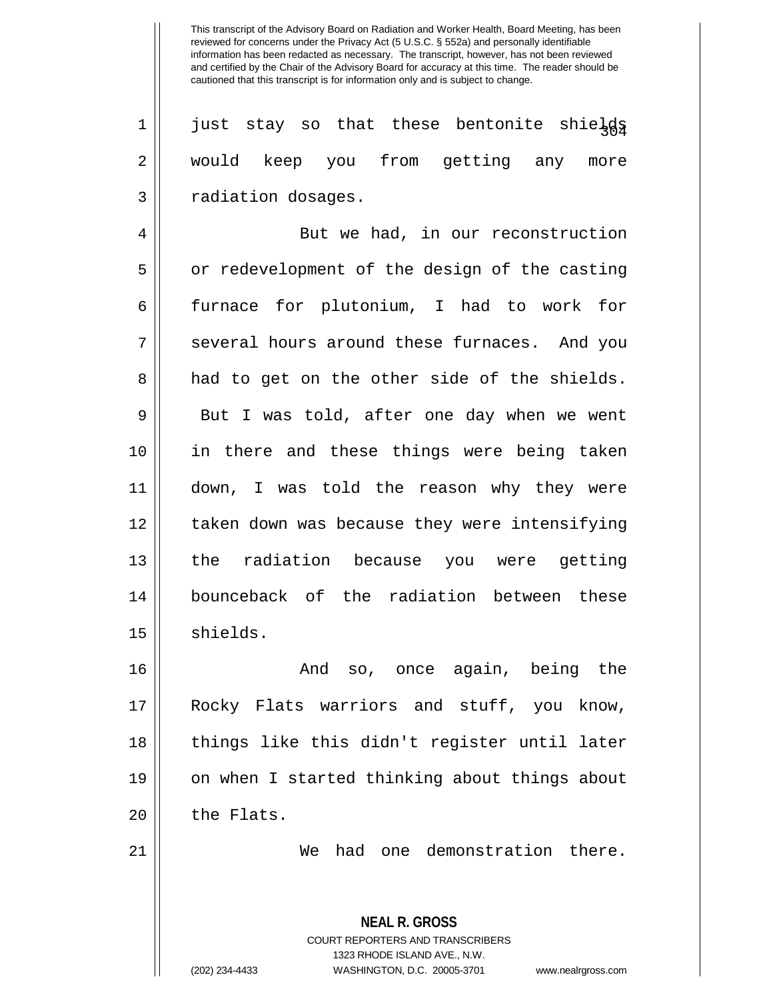$1$  | just stay so that these bentonite shields 2 || would keep you from getting any more 3 | radiation dosages.

4 | But we had, in our reconstruction 5 | or redevelopment of the design of the casting 6 furnace for plutonium, I had to work for 7 || several hours around these furnaces. And you 8 || had to get on the other side of the shields.  $9 \parallel$  But I was told, after one day when we went 10 in there and these things were being taken 11 down, I was told the reason why they were 12 taken down was because they were intensifying 13 the radiation because you were getting 14 bounceback of the radiation between these 15 || shields.

 And so, once again, being the Rocky Flats warriors and stuff, you know, 18 || things like this didn't register until later on when I started thinking about things about | the Flats.

21 We had one demonstration there.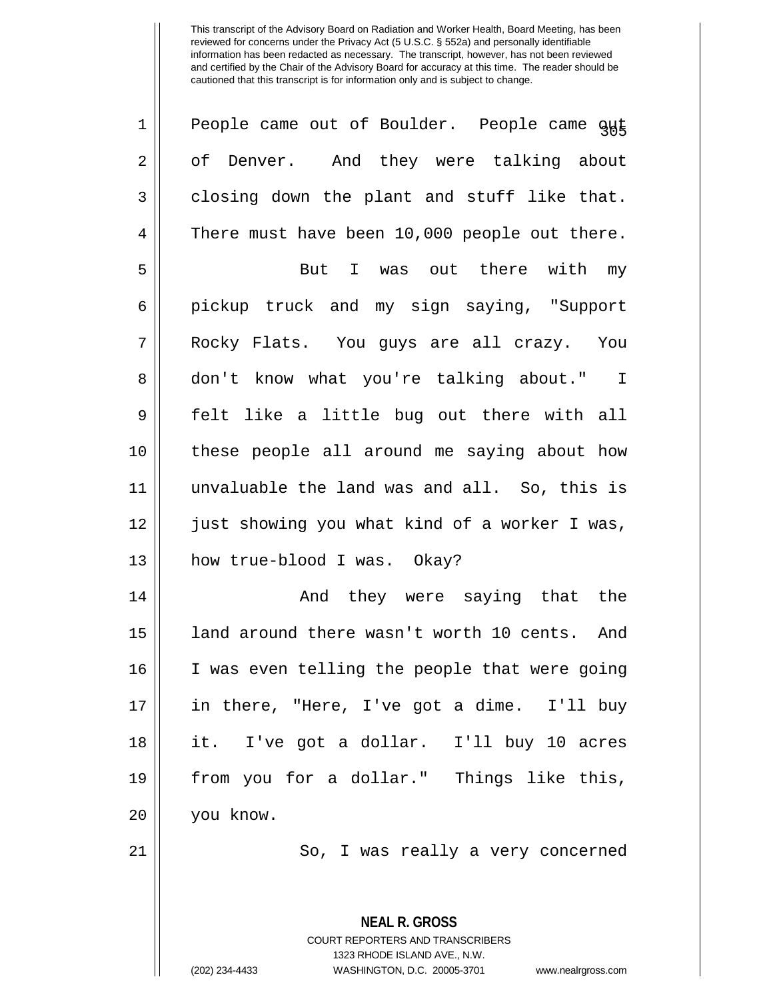| $\mathbf 1$    | People came out of Boulder. People came qut                                              |
|----------------|------------------------------------------------------------------------------------------|
| 2              | of Denver. And they were talking about                                                   |
| 3              | closing down the plant and stuff like that.                                              |
| $\overline{4}$ | There must have been 10,000 people out there.                                            |
| 5              | I was out there with my<br>But                                                           |
| 6              | pickup truck and my sign saying, "Support                                                |
| 7              | Rocky Flats. You guys are all crazy. You                                                 |
| 8              | don't know what you're talking about."<br>$\mathbf I$                                    |
| 9              | felt like a little bug out there with all                                                |
| 10             | these people all around me saying about how                                              |
| 11             | unvaluable the land was and all. So, this is                                             |
| 12             | just showing you what kind of a worker I was,                                            |
| 13             | how true-blood I was. Okay?                                                              |
| 14             | And they were saying that the                                                            |
| 15             | land around there wasn't worth 10 cents. And                                             |
| 16             | I was even telling the people that were going                                            |
| 17             | in there, "Here, I've got a dime. I'll buy                                               |
| 18             | it. I've got a dollar. I'll buy 10 acres                                                 |
| 19             | from you for a dollar." Things like this,                                                |
| 20             | you know.                                                                                |
| 21             | So, I was really a very concerned                                                        |
|                | <b>NEAL R. GROSS</b><br>COURT REPORTERS AND TRANSCRIBERS<br>1323 RHODE ISLAND AVE., N.W. |
|                | (202) 234-4433<br>WASHINGTON, D.C. 20005-3701<br>www.nealrgross.com                      |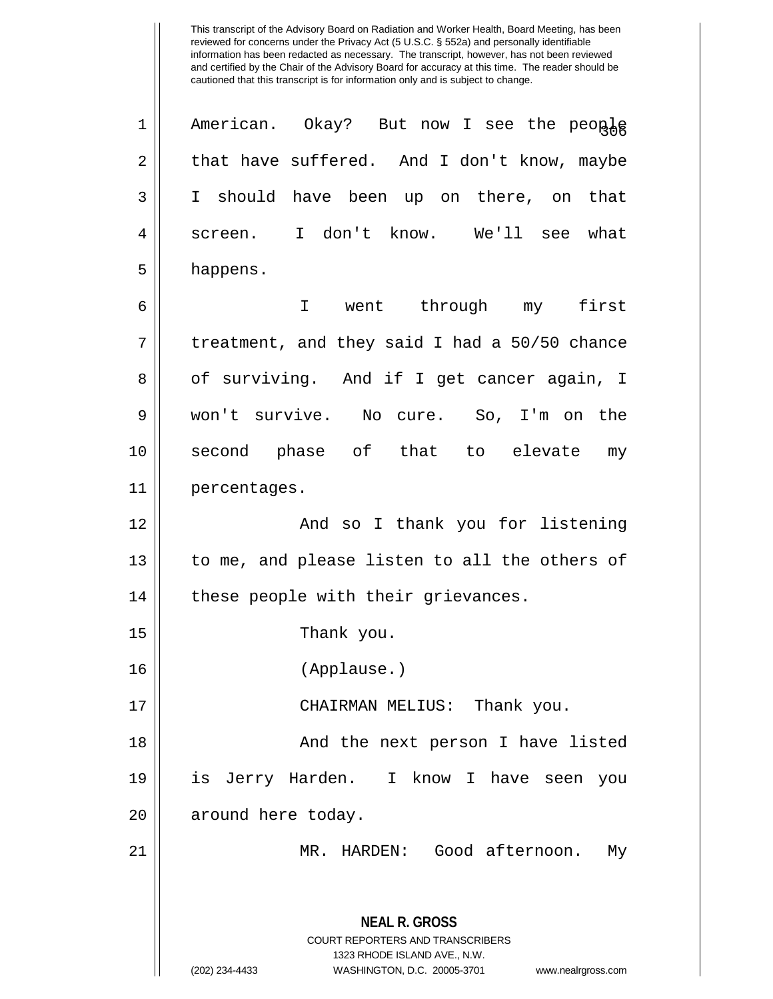**NEAL R. GROSS** COURT REPORTERS AND TRANSCRIBERS 1323 RHODE ISLAND AVE., N.W. (202) 234-4433 WASHINGTON, D.C. 20005-3701 www.nealrgross.com 1 || American. Okay? But now I see the people  $2 \parallel$  that have suffered. And I don't know, maybe 3 I should have been up on there, on that 4 screen. I don't know. We'll see what 5 | happens. 6 I went through my first  $7 \parallel$  treatment, and they said I had a 50/50 chance 8 || of surviving. And if I get cancer again, I 9 won't survive. No cure. So, I'm on the 10 second phase of that to elevate my 11 percentages. 12 And so I thank you for listening 13 || to me, and please listen to all the others of  $14$  | these people with their grievances. 15 || Thank you. 16 (Applause.) 17 CHAIRMAN MELIUS: Thank you. 18 || And the next person I have listed 19 is Jerry Harden. I know I have seen you 20 || around here today. 21 MR. HARDEN: Good afternoon. My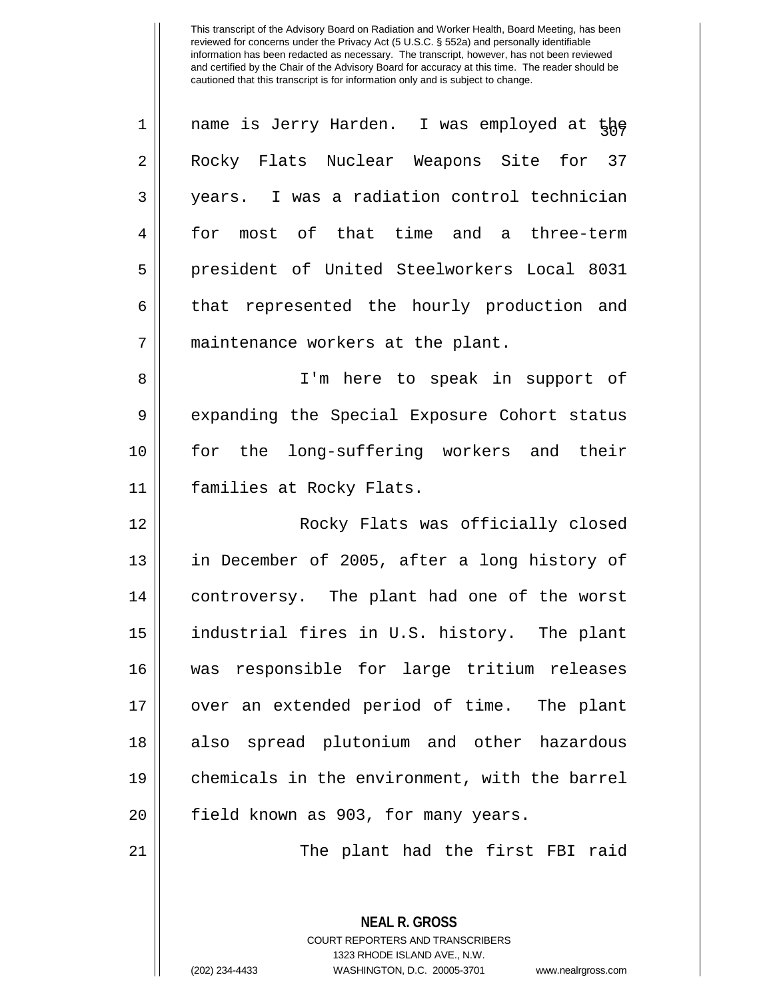| 1  | name is Jerry Harden. I was employed at the   |
|----|-----------------------------------------------|
| 2  | Rocky Flats Nuclear Weapons Site for 37       |
| 3  | years. I was a radiation control technician   |
| 4  | for most of that time and a three-term        |
| 5  | president of United Steelworkers Local 8031   |
| 6  | that represented the hourly production and    |
| 7  | maintenance workers at the plant.             |
| 8  | I'm here to speak in support of               |
| 9  | expanding the Special Exposure Cohort status  |
| 10 | for the long-suffering workers and their      |
| 11 | families at Rocky Flats.                      |
| 12 | Rocky Flats was officially closed             |
| 13 | in December of 2005, after a long history of  |
| 14 | controversy. The plant had one of the worst   |
| 15 | industrial fires in U.S. history. The plant   |
| 16 | was responsible for large tritium releases    |
| 17 | over an extended period of time. The plant    |
| 18 | also spread plutonium and other hazardous     |
| 19 | chemicals in the environment, with the barrel |
| 20 | field known as 903, for many years.           |
|    |                                               |

21 || The plant had the first FBI raid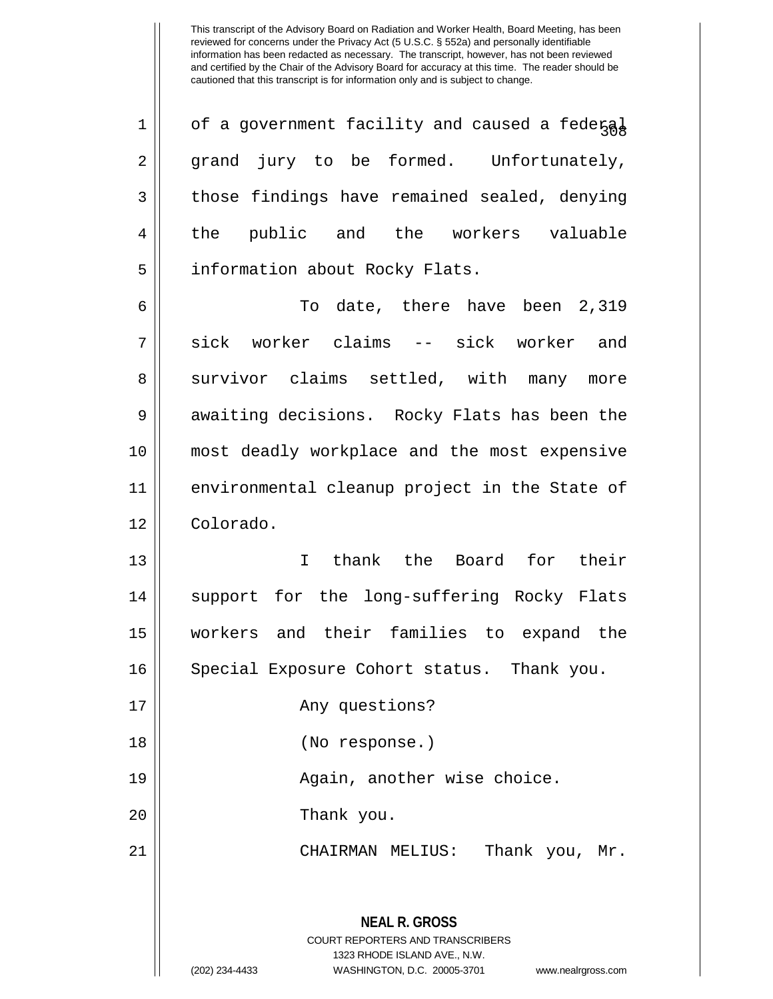**NEAL R. GROSS** COURT REPORTERS AND TRANSCRIBERS 1323 RHODE ISLAND AVE., N.W. (202) 234-4433 WASHINGTON, D.C. 20005-3701 www.nealrgross.com  $1 \parallel$  of a government facility and caused a federal 2 || grand jury to be formed. Unfortunately, 3 | those findings have remained sealed, denying 4 || the public and the workers valuable 5 || information about Rocky Flats. 6 To date, there have been 2,319 7|| sick worker claims -- sick worker and 8 || survivor claims settled, with many more 9 awaiting decisions. Rocky Flats has been the 10 most deadly workplace and the most expensive 11 environmental cleanup project in the State of 12 Colorado. 13 I thank the Board for their 14 || support for the long-suffering Rocky Flats 15 workers and their families to expand the 16 || Special Exposure Cohort status. Thank you. 17 Any questions? 18 (No response.) 19 || Again, another wise choice. 20 Thank you. 21 CHAIRMAN MELIUS: Thank you, Mr.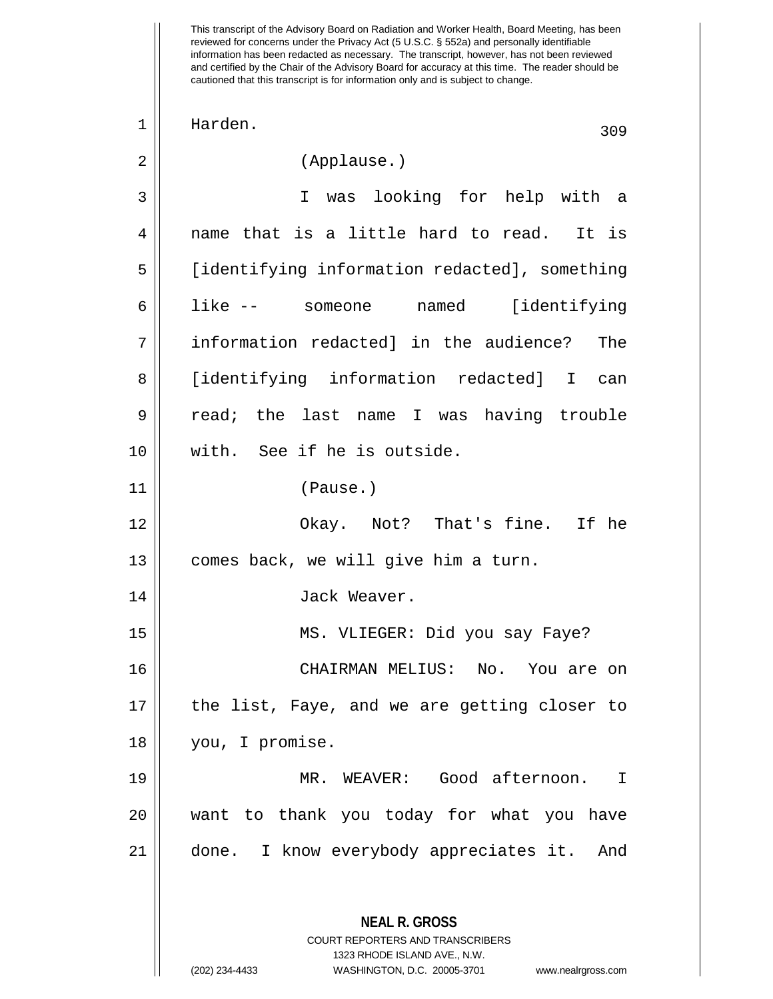This transcript of the Advisory Board on Radiation and Worker Health, Board Meeting, has been reviewed for concerns under the Privacy Act (5 U.S.C. § 552a) and personally identifiable information has been redacted as necessary. The transcript, however, has not been reviewed and certified by the Chair of the Advisory Board for accuracy at this time. The reader should be cautioned that this transcript is for information only and is subject to change. **NEAL R. GROSS** COURT REPORTERS AND TRANSCRIBERS 1323 RHODE ISLAND AVE., N.W. (202) 234-4433 WASHINGTON, D.C. 20005-3701 www.nealrgross.com <sup>309</sup> <sup>1</sup> Harden. 2 || (Applause.) 3 I was looking for help with a  $4 \parallel$  name that is a little hard to read. It is 5 [identifying information redacted], something 6 like -- someone named [identifying 7 || information redacted] in the audience? The 8 [identifying information redacted] I can 9 || read; the last name I was having trouble 10 || with. See if he is outside. 11 (Pause.) 12 Okay. Not? That's fine. If he 13 | comes back, we will give him a turn. 14 || Jack Weaver. 15 MS. VLIEGER: Did you say Faye? 16 CHAIRMAN MELIUS: No. You are on 17 the list, Faye, and we are getting closer to 18 you, I promise. 19 MR. WEAVER: Good afternoon. I 20 want to thank you today for what you have 21 done. I know everybody appreciates it. And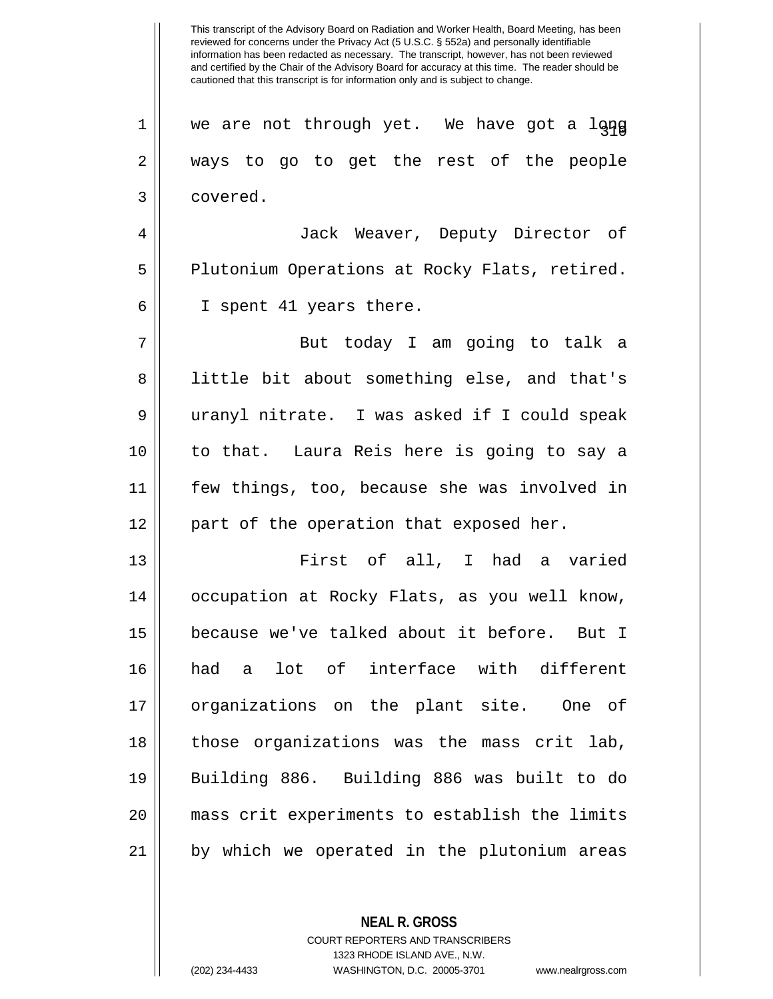$1 \parallel$  we are not through yet. We have got a long 2 || ways to go to get the rest of the people 3 covered.

4 | Jack Weaver, Deputy Director of 5 | Plutonium Operations at Rocky Flats, retired. 6 I spent 41 years there.

 But today I am going to talk a 8 || Iittle bit about something else, and that's uranyl nitrate. I was asked if I could speak to that. Laura Reis here is going to say a few things, too, because she was involved in 12 || part of the operation that exposed her.

 First of all, I had a varied 14 || occupation at Rocky Flats, as you well know, because we've talked about it before. But I had a lot of interface with different organizations on the plant site. One of those organizations was the mass crit lab, Building 886. Building 886 was built to do mass crit experiments to establish the limits by which we operated in the plutonium areas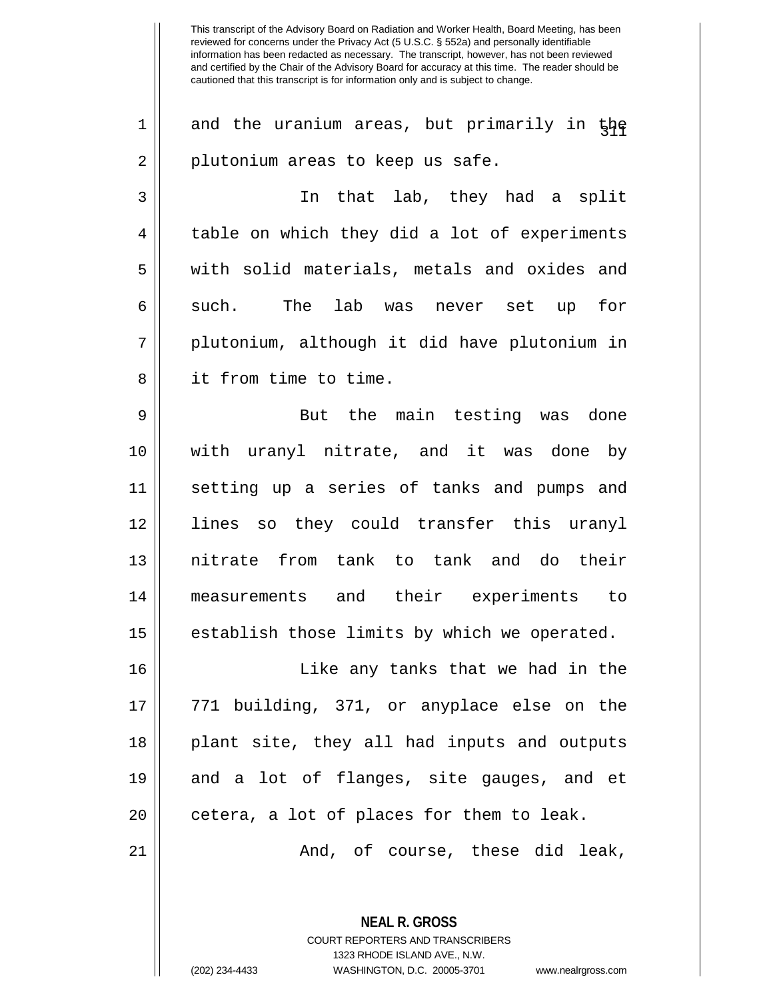$1$ | and the uranium areas, but primarily in the 2 || plutonium areas to keep us safe.

3 In that lab, they had a split 4 table on which they did a lot of experiments 5 || with solid materials, metals and oxides and 6 || such. The lab was never set up for 7 plutonium, although it did have plutonium in 8 it from time to time.

 But the main testing was done with uranyl nitrate, and it was done by setting up a series of tanks and pumps and lines so they could transfer this uranyl nitrate from tank to tank and do their measurements and their experiments to 15 || establish those limits by which we operated.

16 Like any tanks that we had in the 17 || 771 building, 371, or anyplace else on the 18 || plant site, they all had inputs and outputs 19 and a lot of flanges, site gauges, and et  $20$  || cetera, a lot of places for them to leak.

21 And, of course, these did leak,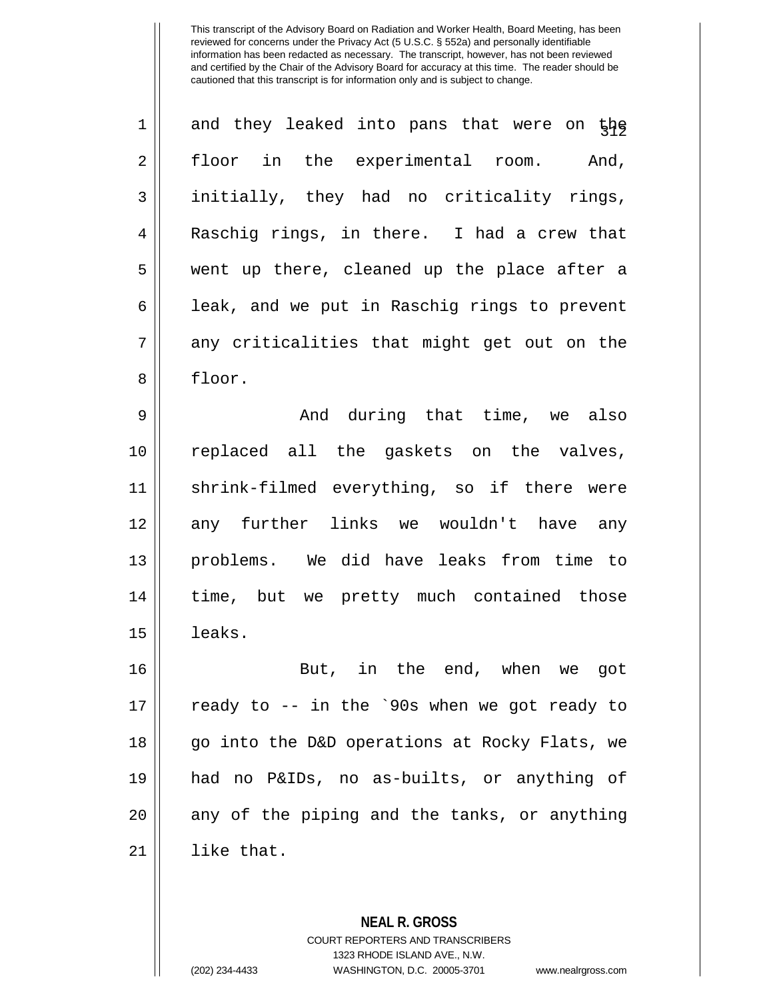| $\mathbf 1$ | and they leaked into pans that were on the    |
|-------------|-----------------------------------------------|
| 2           | floor in the experimental room.<br>And,       |
| 3           | initially, they had no criticality rings,     |
| 4           | Raschig rings, in there. I had a crew that    |
| 5           | went up there, cleaned up the place after a   |
| 6           | leak, and we put in Raschig rings to prevent  |
| 7           | any criticalities that might get out on the   |
| 8           | floor.                                        |
| 9           | And during that time, we also                 |
| 10          | replaced all the gaskets on the valves,       |
| 11          | shrink-filmed everything, so if there were    |
| 12          | any further links we wouldn't have any        |
| 13          | problems. We did have leaks from time to      |
| 14          | time, but we pretty much contained those      |
| 15          | leaks.                                        |
| 16          | But, in the end, when we got                  |
| 17          | ready to -- in the `90s when we got ready to  |
| 18          | go into the D&D operations at Rocky Flats, we |
| 19          | had no P&IDs, no as-builts, or anything of    |
| 20          | any of the piping and the tanks, or anything  |
| 21          | like that.                                    |
|             |                                               |

COURT REPORTERS AND TRANSCRIBERS 1323 RHODE ISLAND AVE., N.W. (202) 234-4433 WASHINGTON, D.C. 20005-3701 www.nealrgross.com

**NEAL R. GROSS**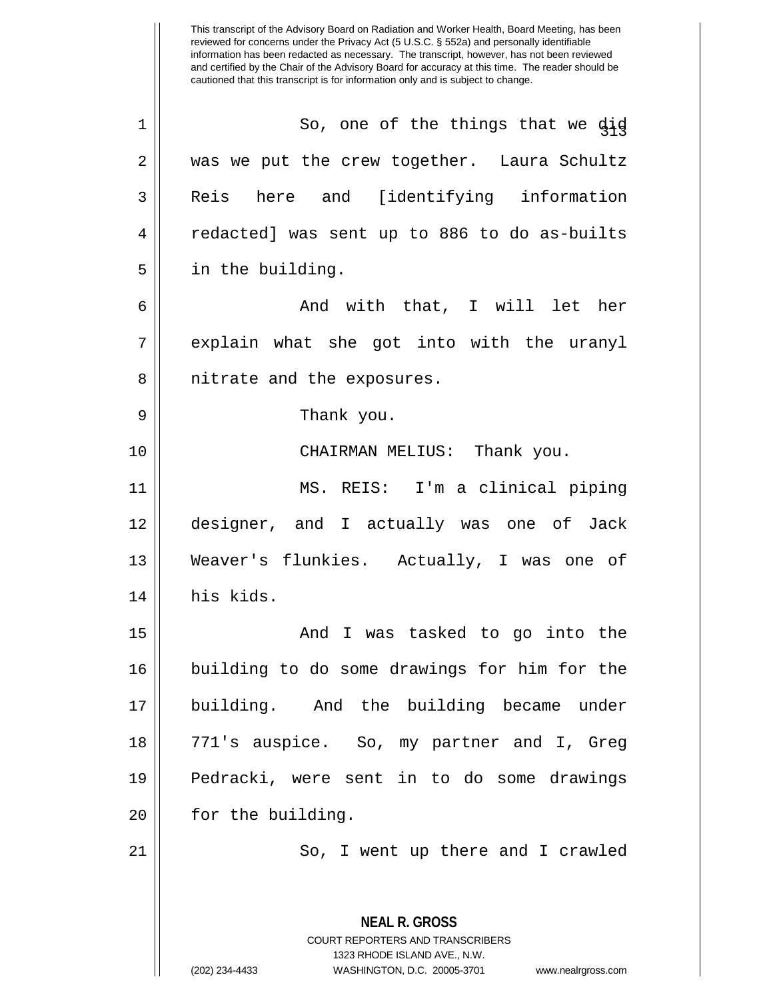This transcript of the Advisory Board on Radiation and Worker Health, Board Meeting, has been reviewed for concerns under the Privacy Act (5 U.S.C. § 552a) and personally identifiable information has been redacted as necessary. The transcript, however, has not been reviewed and certified by the Chair of the Advisory Board for accuracy at this time. The reader should be cautioned that this transcript is for information only and is subject to change. **NEAL R. GROSS** COURT REPORTERS AND TRANSCRIBERS 1323 RHODE ISLAND AVE., N.W. (202) 234-4433 WASHINGTON, D.C. 20005-3701 www.nealrgross.com  $1 \parallel$  So, one of the things that we did 2 || was we put the crew together. Laura Schultz 3 Reis here and [identifying information 4 | redacted] was sent up to 886 to do as-builts 5 || in the building. 6 And with that, I will let her 7 || explain what she got into with the uranyl 8 || nitrate and the exposures. 9 || Thank you. 10 CHAIRMAN MELIUS: Thank you. 11 MS. REIS: I'm a clinical piping 12 designer, and I actually was one of Jack 13 Weaver's flunkies. Actually, I was one of 14 his kids. 15 || And I was tasked to go into the 16 building to do some drawings for him for the 17 building. And the building became under 18 771's auspice. So, my partner and I, Greg 19 Pedracki, were sent in to do some drawings 20 || for the building. 21 || So, I went up there and I crawled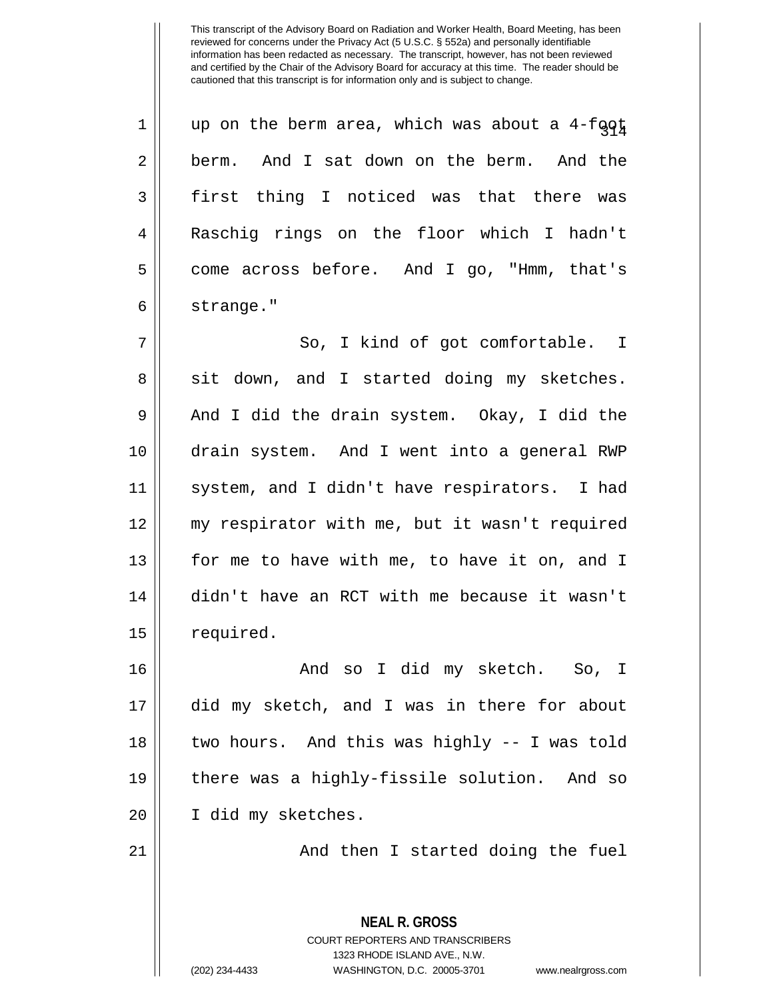**NEAL R. GROSS**  $1$  | up on the berm area, which was about a 4-foot 2 || berm. And I sat down on the berm. And the 3 first thing I noticed was that there was 4 Raschig rings on the floor which I hadn't 5 come across before. And I go, "Hmm, that's  $6 \parallel$  strange." 7 So, I kind of got comfortable. I 8 || sit down, and I started doing my sketches. 9 And I did the drain system. Okay, I did the 10 drain system. And I went into a general RWP 11 system, and I didn't have respirators. I had 12 my respirator with me, but it wasn't required 13  $\parallel$  for me to have with me, to have it on, and I 14 didn't have an RCT with me because it wasn't 15 | required. 16 And so I did my sketch. So, I 17 did my sketch, and I was in there for about 18 || two hours. And this was highly -- I was told 19 there was a highly-fissile solution. And so 20 I did my sketches. 21 || And then I started doing the fuel

> COURT REPORTERS AND TRANSCRIBERS 1323 RHODE ISLAND AVE., N.W.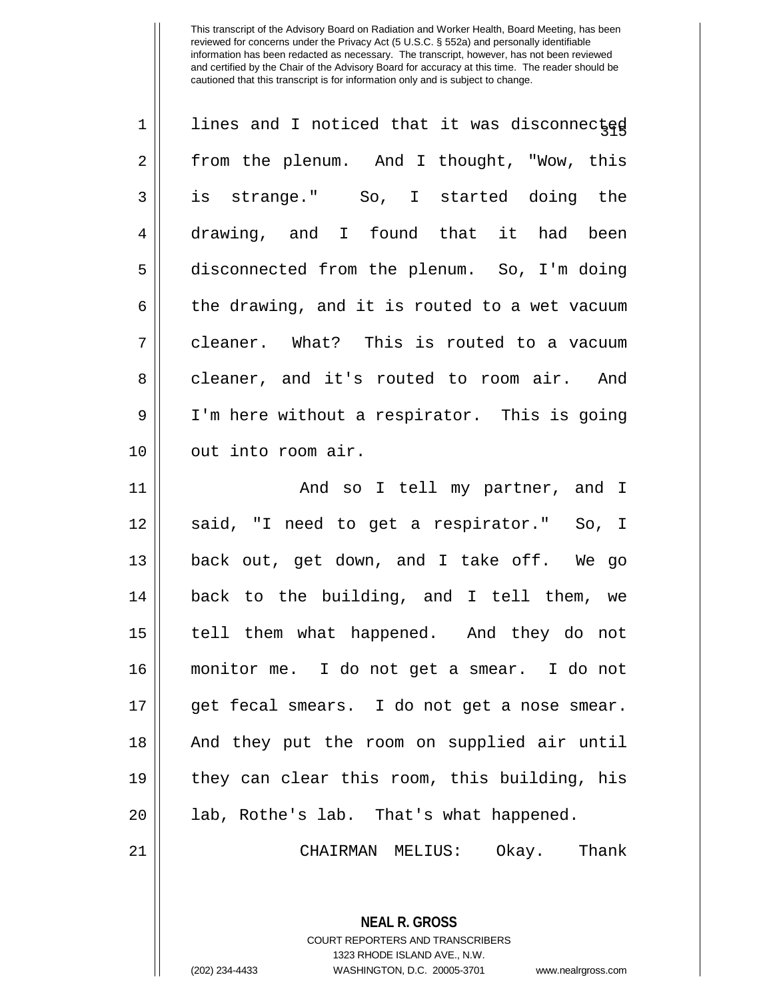| $\mathbf 1$    | lines and I noticed that it was disconnected             |
|----------------|----------------------------------------------------------|
| $\overline{2}$ | from the plenum. And I thought, "Wow, this               |
| 3              | is strange." So, I started doing the                     |
| $\overline{4}$ | drawing, and I found that it had been                    |
| 5              | disconnected from the plenum. So, I'm doing              |
| $\epsilon$     | the drawing, and it is routed to a wet vacuum            |
| 7              | cleaner. What? This is routed to a vacuum                |
| 8              | cleaner, and it's routed to room air. And                |
| $\mathsf 9$    | I'm here without a respirator. This is going             |
| 10             | out into room air.                                       |
| 11             | And so I tell my partner, and I                          |
| 12             | said, "I need to get a respirator." So, I                |
| 13             | back out, get down, and I take off. We go                |
| 14             | back to the building, and I tell them, we                |
| 15             | tell them what happened. And they do not                 |
| 16             | monitor me. I do not get a smear. I do not               |
| 17             | get fecal smears. I do not get a nose smear.             |
| 18             | And they put the room on supplied air until              |
| 19             | they can clear this room, this building, his             |
| 20             | lab, Rothe's lab. That's what happened.                  |
| 21             | Okay. Thank<br>CHAIRMAN MELIUS:                          |
|                |                                                          |
|                | <b>NEAL R. GROSS</b><br>COURT REPORTERS AND TRANSCRIBERS |

1323 RHODE ISLAND AVE., N.W.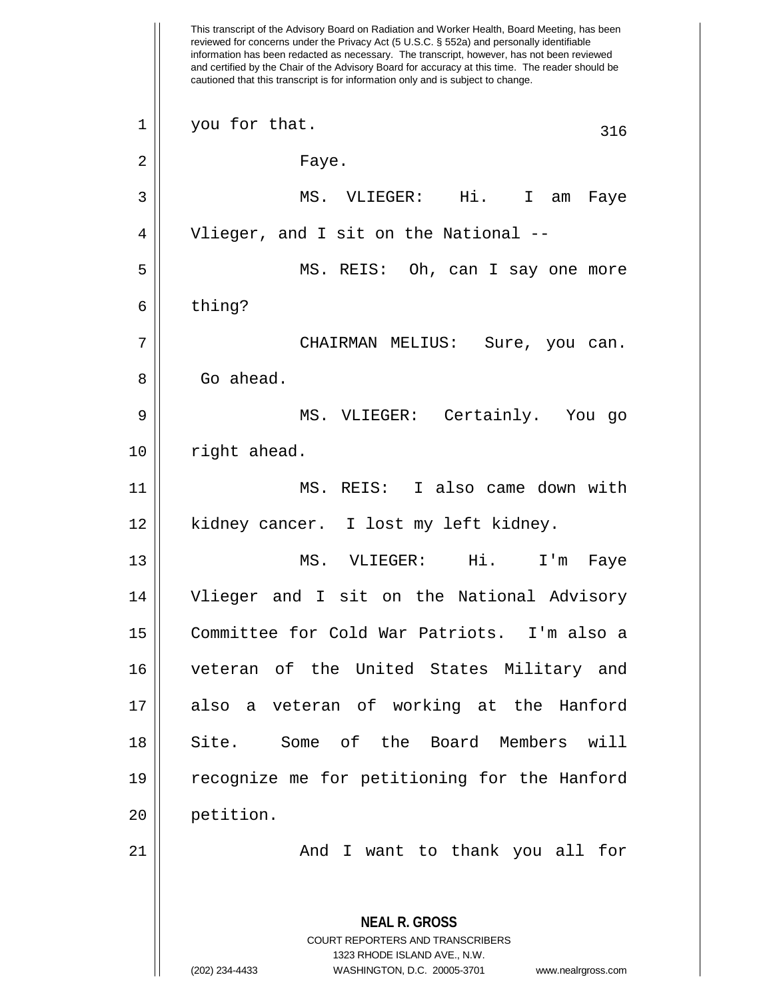This transcript of the Advisory Board on Radiation and Worker Health, Board Meeting, has been reviewed for concerns under the Privacy Act (5 U.S.C. § 552a) and personally identifiable information has been redacted as necessary. The transcript, however, has not been reviewed and certified by the Chair of the Advisory Board for accuracy at this time. The reader should be cautioned that this transcript is for information only and is subject to change. **NEAL R. GROSS** COURT REPORTERS AND TRANSCRIBERS 1323 RHODE ISLAND AVE., N.W. (202) 234-4433 WASHINGTON, D.C. 20005-3701 www.nealrgross.com  $1 \parallel$  you for that.  $316$ 2 || Faye. 3 MS. VLIEGER: Hi. I am Faye 4 || Vlieger, and I sit on the National --5 MS. REIS: Oh, can I say one more  $6 \parallel$  thing? 7 CHAIRMAN MELIUS: Sure, you can. 8 | Go ahead. 9 || MS. VLIEGER: Certainly. You go 10 | right ahead. 11 MS. REIS: I also came down with 12 || kidney cancer. I lost my left kidney. 13 MS. VLIEGER: Hi. I'm Faye 14 Vlieger and I sit on the National Advisory 15 Committee for Cold War Patriots. I'm also a 16 veteran of the United States Military and 17 also a veteran of working at the Hanford 18 Site. Some of the Board Members will 19 recognize me for petitioning for the Hanford 20 petition. 21 And I want to thank you all for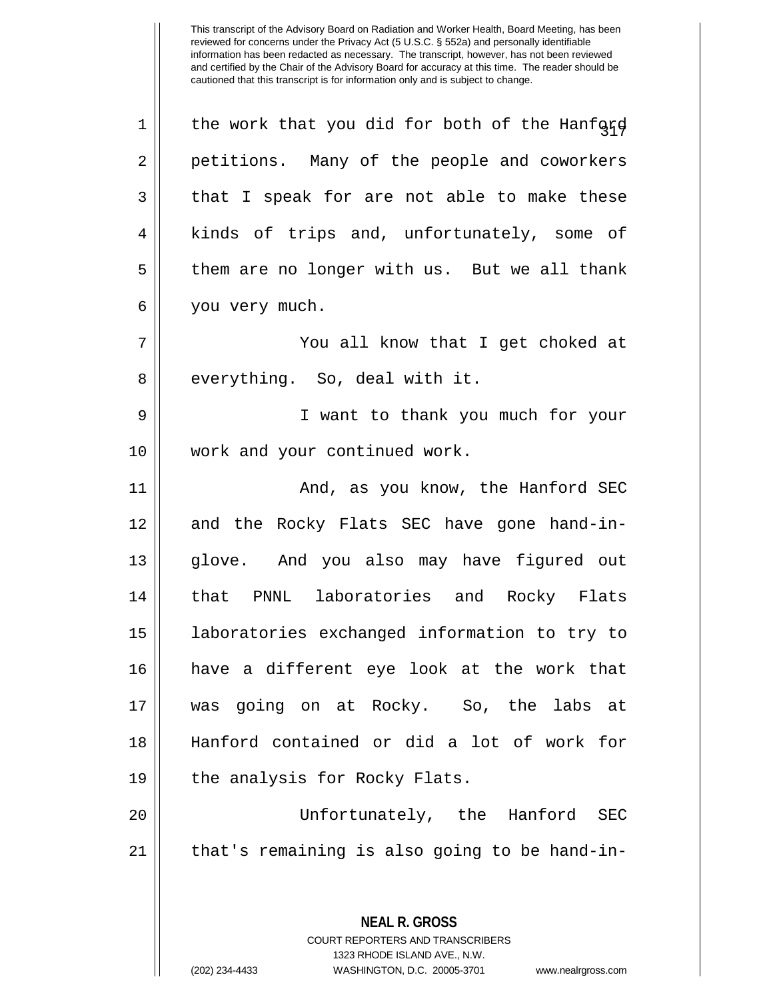**NEAL R. GROSS** COURT REPORTERS AND TRANSCRIBERS | the work that you did for both of the Hanford 2 || petitions. Many of the people and coworkers 3 || that I speak for are not able to make these 4 kinds of trips and, unfortunately, some of  $5 \parallel$  them are no longer with us. But we all thank you very much. You all know that I get choked at 8 || everything. So, deal with it. I want to thank you much for your work and your continued work. 11 || The Mand, as you know, the Hanford SEC and the Rocky Flats SEC have gone hand-in-13 || glove. And you also may have figured out that PNNL laboratories and Rocky Flats laboratories exchanged information to try to have a different eye look at the work that was going on at Rocky. So, the labs at Hanford contained or did a lot of work for || the analysis for Rocky Flats. Unfortunately, the Hanford SEC | that's remaining is also going to be hand-in-

1323 RHODE ISLAND AVE., N.W.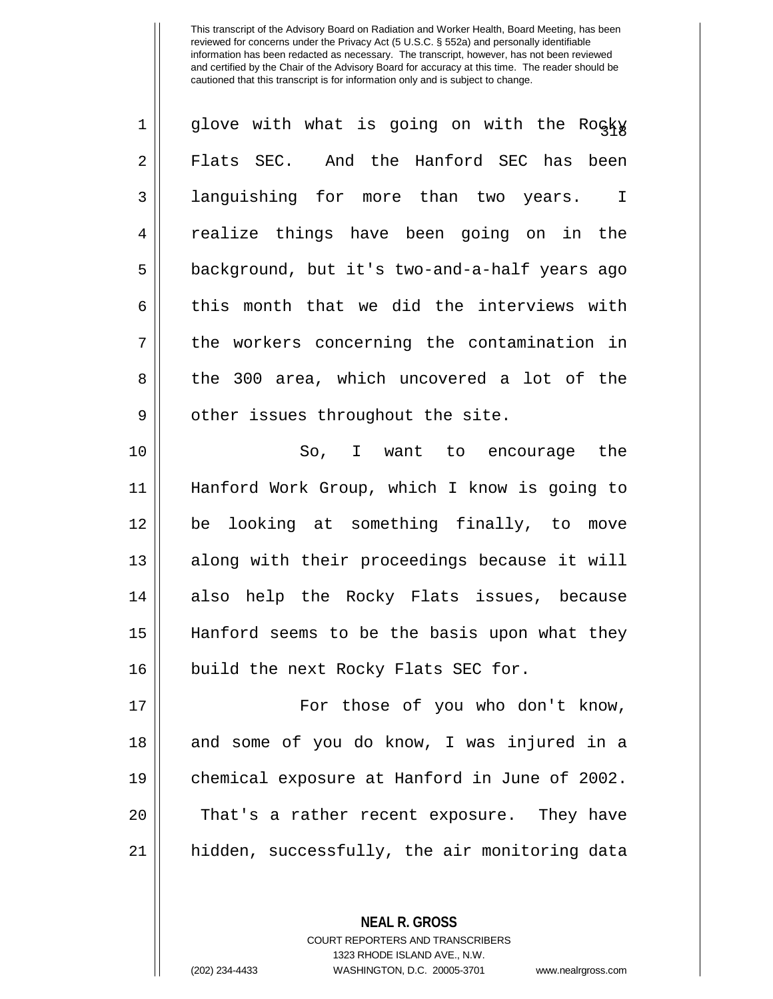| $\mathbf 1$    | glove with what is going on with the Rocky    |
|----------------|-----------------------------------------------|
| $\overline{2}$ | Flats SEC. And the Hanford SEC has been       |
| $\overline{3}$ | languishing for more than two years. I        |
| $\overline{4}$ | realize things have been going on in the      |
| 5              | background, but it's two-and-a-half years ago |
| 6              | this month that we did the interviews with    |
| 7              | the workers concerning the contamination in   |
| 8              | the 300 area, which uncovered a lot of the    |
| 9              | other issues throughout the site.             |

10 So, I want to encourage the 11 Hanford Work Group, which I know is going to 12 be looking at something finally, to move 13 || along with their proceedings because it will 14 || also help the Rocky Flats issues, because 15 Hanford seems to be the basis upon what they 16 || build the next Rocky Flats SEC for.

17 For those of you who don't know, 18 || and some of you do know, I was injured in a 19 chemical exposure at Hanford in June of 2002. 20 || That's a rather recent exposure. They have 21 hidden, successfully, the air monitoring data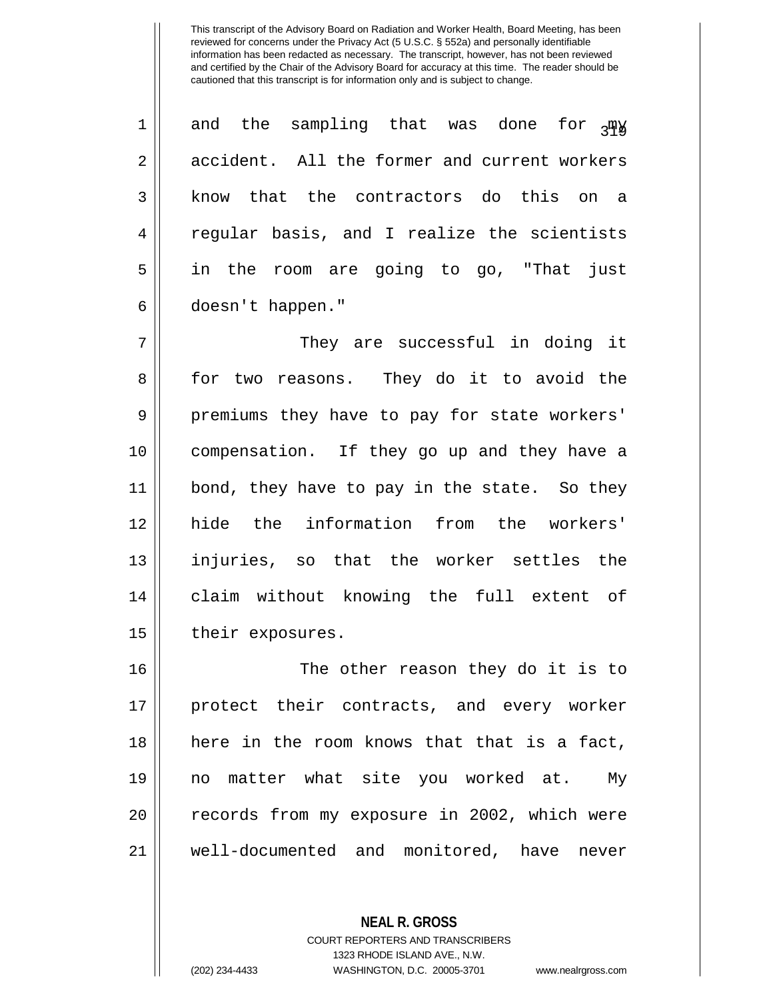$\begin{array}{c} \texttt{1} \parallel \texttt{1} \texttt{1} \parallel \texttt{2} \texttt{1} \texttt{2} \texttt{1} \texttt{3} \texttt{1} \texttt{4} \texttt{3} \texttt{4} \texttt{4} \texttt{5} \texttt{5} \texttt{4} \texttt{5} \texttt{7} \texttt{6} \texttt{7} \texttt{7} \texttt{7} \texttt{7} \texttt{8} \texttt{7} \texttt{7} \texttt{8} \texttt{7} \texttt{7} \texttt{8} \texttt{7} \texttt{8} \texttt{7} \texttt{7} \texttt{8$ 2 || accident. All the former and current workers  $3 \parallel$  know that the contractors do this on a 4 || regular basis, and I realize the scientists 5 || in the room are going to go, "That just 6 doesn't happen."

7 They are successful in doing it 8 || for two reasons. They do it to avoid the 9 || premiums they have to pay for state workers' 10 compensation. If they go up and they have a 11 bond, they have to pay in the state. So they 12 hide the information from the workers' 13 injuries, so that the worker settles the 14 || claim without knowing the full extent of 15 || their exposures.

 The other reason they do it is to protect their contracts, and every worker here in the room knows that that is a fact, no matter what site you worked at. My records from my exposure in 2002, which were well-documented and monitored, have never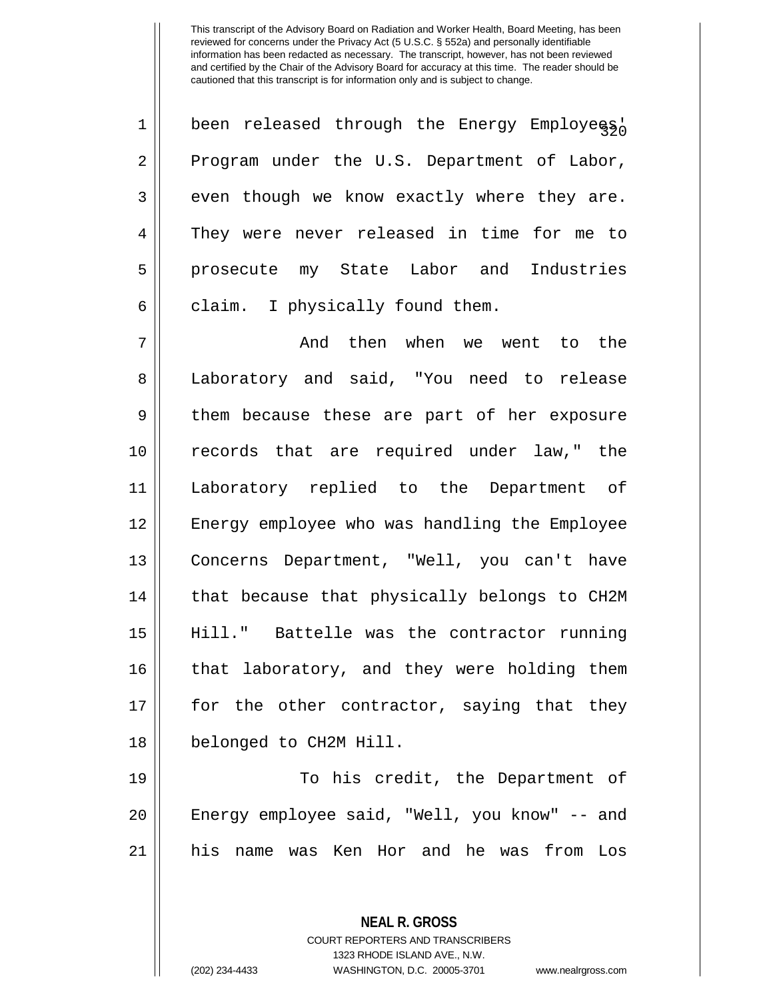$1$  | been released through the Energy Employees' 2 Program under the U.S. Department of Labor,  $3 \parallel$  even though we know exactly where they are. 4 They were never released in time for me to 5 || prosecute my State Labor and Industries  $6 \parallel$  claim. I physically found them.

7 And then when we went to the 8 || Laboratory and said, "You need to release 9 them because these are part of her exposure 10 records that are required under law," the 11 Laboratory replied to the Department of 12 Energy employee who was handling the Employee 13 || Concerns Department, "Well, you can't have 14 | that because that physically belongs to CH2M 15 Hill." Battelle was the contractor running 16 || that laboratory, and they were holding them 17 for the other contractor, saying that they 18 belonged to CH2M Hill.

19 To his credit, the Department of 20 Energy employee said, "Well, you know" -- and 21 his name was Ken Hor and he was from Los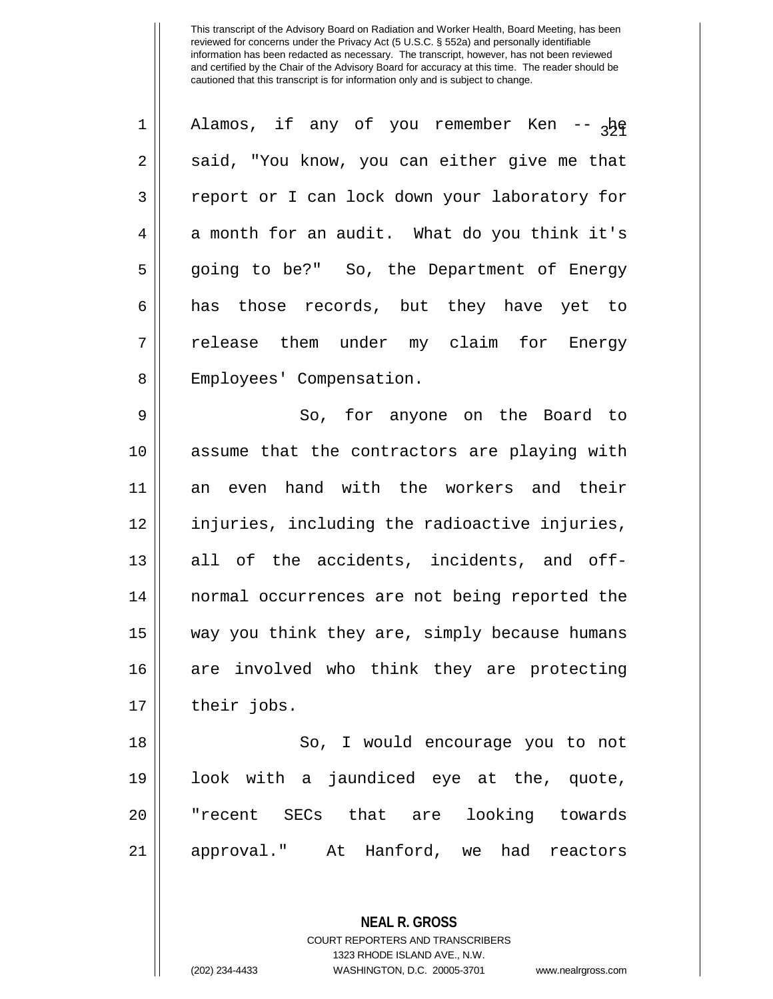| $\mathbf 1$ | Alamos, if any of you remember Ken -- $\frac{1}{2}$ |
|-------------|-----------------------------------------------------|
| 2           | said, "You know, you can either give me that        |
| 3           | report or I can lock down your laboratory for       |
| 4           | a month for an audit. What do you think it's        |
| 5           | going to be?" So, the Department of Energy          |
| 6           | has those records, but they have yet to             |
| 7           | release them under my claim for Energy              |
| 8           | Employees' Compensation.                            |
| 9           | So, for anyone on the Board to                      |
| 10          | assume that the contractors are playing with        |
| 11          | an even hand with the workers and their             |
| 12          | injuries, including the radioactive injuries,       |
| 13          | all of the accidents, incidents, and off-           |
| 14          | normal occurrences are not being reported the       |
| 15          | way you think they are, simply because humans       |
| 16          | are involved who think they are protecting          |
| 17          | their jobs.                                         |
| 18          | So, I would encourage you to not                    |
| 19          | look with a jaundiced eye at the, quote,            |
| 20          | "recent SECs that are looking towards               |
| 21          | approval." At Hanford, we had reactors              |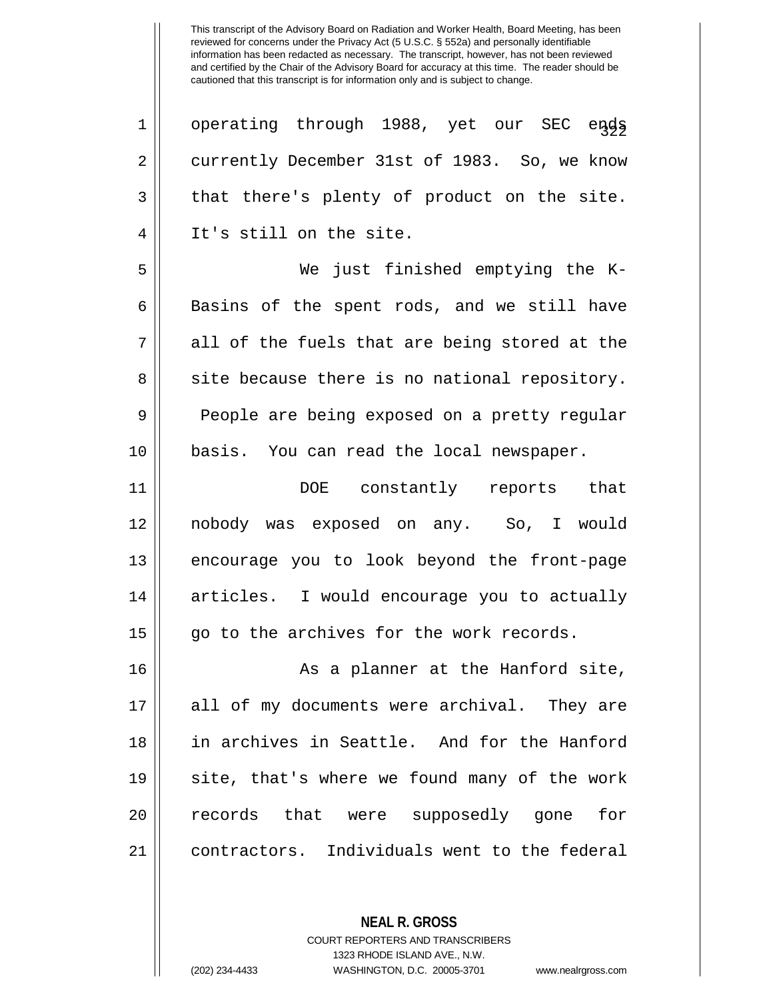| $\mathbf 1$    | operating through 1988, yet our SEC ends      |
|----------------|-----------------------------------------------|
| $\overline{2}$ | currently December 31st of 1983. So, we know  |
| 3              | that there's plenty of product on the site.   |
| 4              | It's still on the site.                       |
| 5              | We just finished emptying the K-              |
| 6              | Basins of the spent rods, and we still have   |
| 7              | all of the fuels that are being stored at the |
| 8              | site because there is no national repository. |
| 9              | People are being exposed on a pretty regular  |
| 10             | basis. You can read the local newspaper.      |
| 11             | DOE constantly reports that                   |
| 12             | nobody was exposed on any. So, I would        |
| 13             | encourage you to look beyond the front-page   |
| 14             | articles. I would encourage you to actually   |
| 15             | go to the archives for the work records.      |
| 16             | As a planner at the Hanford site,             |
| 17             | all of my documents were archival. They are   |
| 18             | in archives in Seattle. And for the Hanford   |
| 19             | site, that's where we found many of the work  |
| 20             | records that were supposedly gone<br>for      |
| 21             | contractors. Individuals went to the federal  |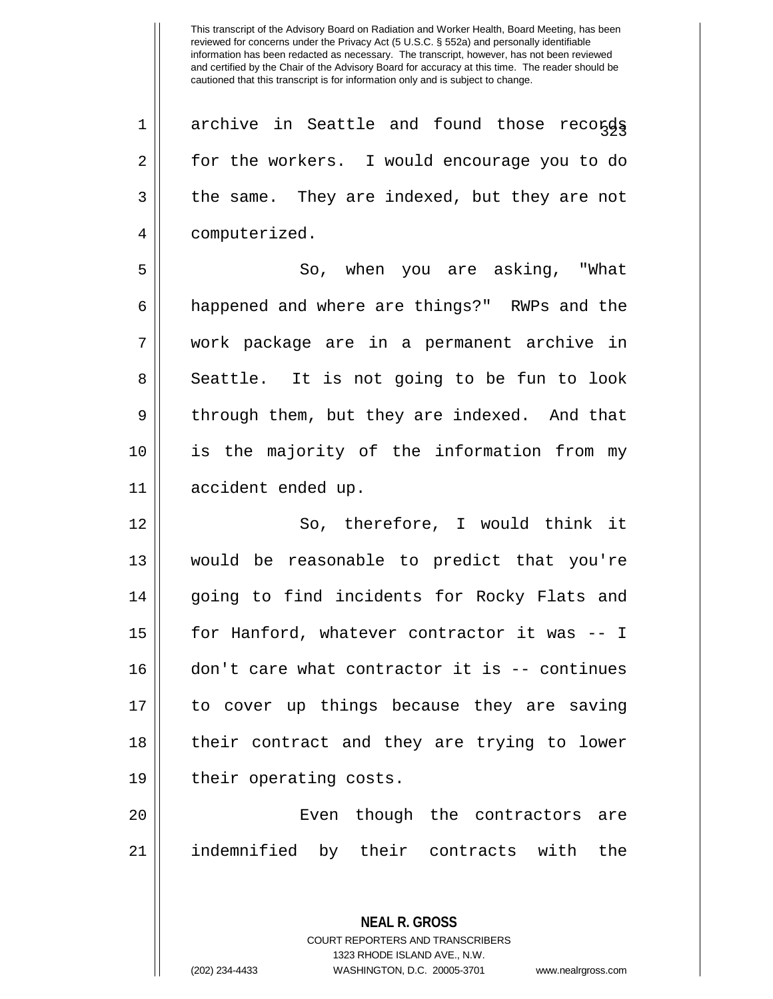$1$  archive in Seattle and found those records 2 | for the workers. I would encourage you to do  $3 \parallel$  the same. They are indexed, but they are not 4 | computerized.

 So, when you are asking, "What happened and where are things?" RWPs and the work package are in a permanent archive in 8 Seattle. It is not going to be fun to look  $9 \parallel$  through them, but they are indexed. And that is the majority of the information from my accident ended up.

 So, therefore, I would think it would be reasonable to predict that you're 14 || going to find incidents for Rocky Flats and for Hanford, whatever contractor it was -- I don't care what contractor it is -- continues to cover up things because they are saving 18 || their contract and they are trying to lower 19 | their operating costs.

20 Even though the contractors are 21 indemnified by their contracts with the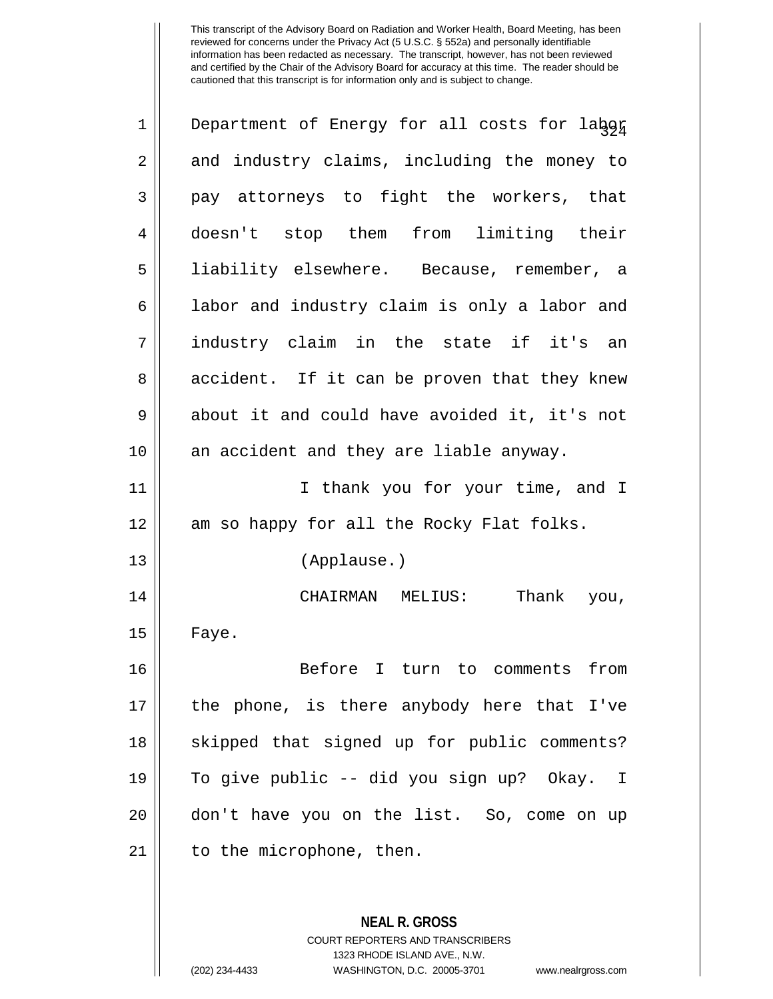| $\mathbf 1$ | Department of Energy for all costs for labof                                                                                                                           |
|-------------|------------------------------------------------------------------------------------------------------------------------------------------------------------------------|
| 2           | and industry claims, including the money to                                                                                                                            |
| 3           | pay attorneys to fight the workers, that                                                                                                                               |
| 4           | doesn't stop them from limiting their                                                                                                                                  |
| 5           | liability elsewhere. Because, remember, a                                                                                                                              |
| 6           | labor and industry claim is only a labor and                                                                                                                           |
| 7           | industry claim in the state if it's an                                                                                                                                 |
| 8           | accident. If it can be proven that they knew                                                                                                                           |
| 9           | about it and could have avoided it, it's not                                                                                                                           |
| 10          | an accident and they are liable anyway.                                                                                                                                |
| 11          | I thank you for your time, and I                                                                                                                                       |
| 12          | am so happy for all the Rocky Flat folks.                                                                                                                              |
| 13          | (Applause.)                                                                                                                                                            |
| 14          | Thank you,<br>CHAIRMAN MELIUS:                                                                                                                                         |
| 15          | Faye.                                                                                                                                                                  |
| 16          | Before I turn to comments from                                                                                                                                         |
| 17          | the phone, is there anybody here that I've                                                                                                                             |
| 18          | skipped that signed up for public comments?                                                                                                                            |
| 19          | To give public -- did you sign up? Okay. I                                                                                                                             |
| 20          | don't have you on the list. So, come on up                                                                                                                             |
| 21          | to the microphone, then.                                                                                                                                               |
|             | <b>NEAL R. GROSS</b><br><b>COURT REPORTERS AND TRANSCRIBERS</b><br>1323 RHODE ISLAND AVE., N.W.<br>(202) 234-4433<br>WASHINGTON, D.C. 20005-3701<br>www.nealrgross.com |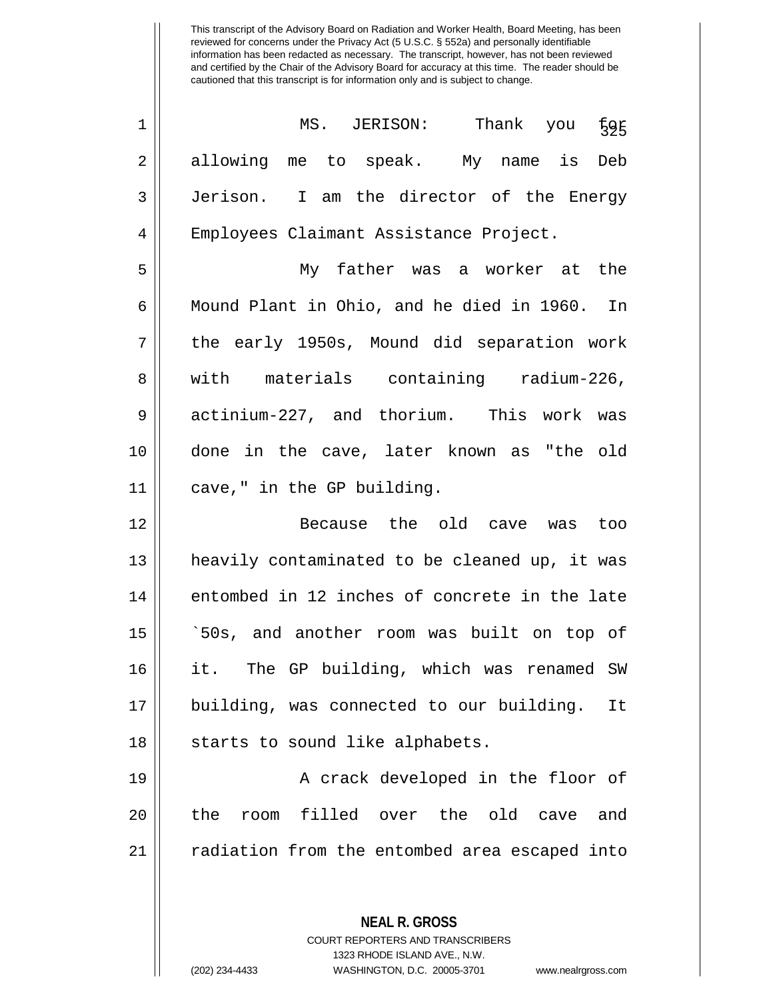| $\mathbf 1$ | MS. JERISON: Thank you<br>59£                                   |
|-------------|-----------------------------------------------------------------|
| 2           | allowing me to speak. My name is Deb                            |
| 3           | Jerison. I am the director of the Energy                        |
| 4           | Employees Claimant Assistance Project.                          |
| 5           | My father was a worker at the                                   |
| 6           | Mound Plant in Ohio, and he died in 1960. In                    |
| 7           | the early 1950s, Mound did separation work                      |
| 8           | with materials containing radium-226,                           |
| 9           | actinium-227, and thorium. This work was                        |
| 10          | done in the cave, later known as "the old                       |
| 11          | cave," in the GP building.                                      |
| 12          | Because the old cave was too                                    |
| 13          | heavily contaminated to be cleaned up, it was                   |
| 14          | entombed in 12 inches of concrete in the late                   |
| 15          | `50s, and another room was built on top of                      |
| 16          | it. The GP building, which was renamed SW                       |
| 17          | building, was connected to our building.<br>It                  |
| 18          | starts to sound like alphabets.                                 |
| 19          | A crack developed in the floor of                               |
| 20          | room filled over the old cave<br>the<br>and                     |
| 21          | radiation from the entombed area escaped into                   |
|             |                                                                 |
|             | <b>NEAL R. GROSS</b><br><b>COURT REPORTERS AND TRANSCRIBERS</b> |

1323 RHODE ISLAND AVE., N.W.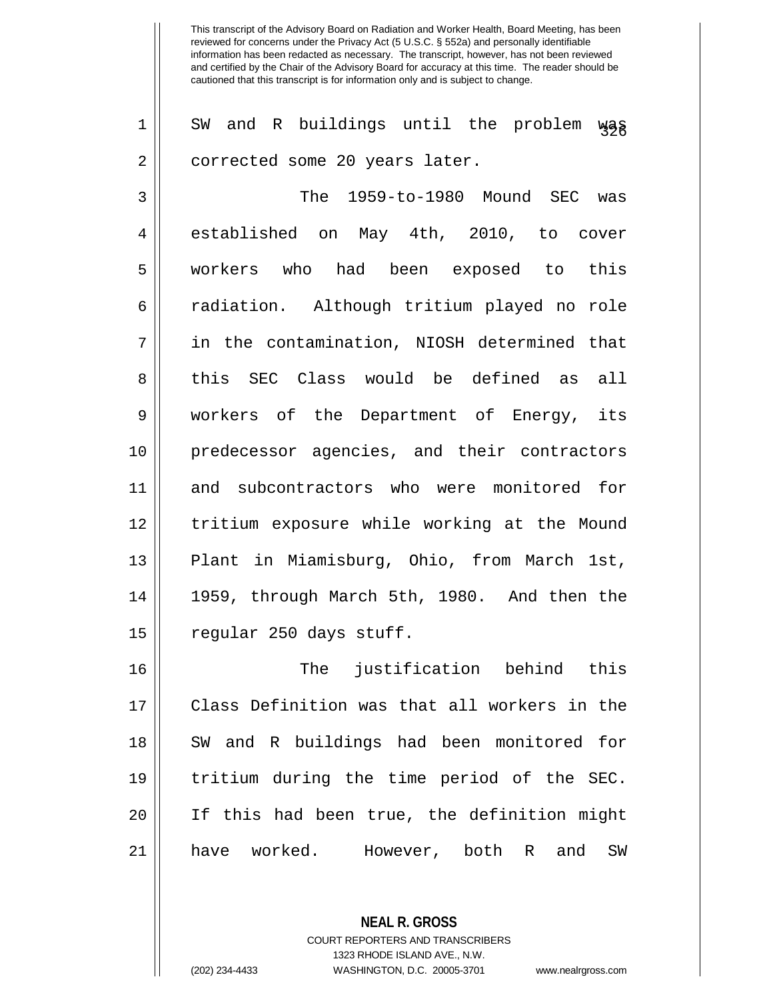$1$  SW and R buildings until the problem was 2 | corrected some 20 years later.

 The 1959-to-1980 Mound SEC was 4 established on May 4th, 2010, to cover workers who had been exposed to this radiation. Although tritium played no role in the contamination, NIOSH determined that 8 || this SEC Class would be defined as all workers of the Department of Energy, its predecessor agencies, and their contractors and subcontractors who were monitored for tritium exposure while working at the Mound 13 || Plant in Miamisburg, Ohio, from March 1st, 1959, through March 5th, 1980. And then the 15 | regular 250 days stuff.

 The justification behind this Class Definition was that all workers in the 18 || SW and R buildings had been monitored for tritium during the time period of the SEC. 20 || If this had been true, the definition might have worked. However, both R and SW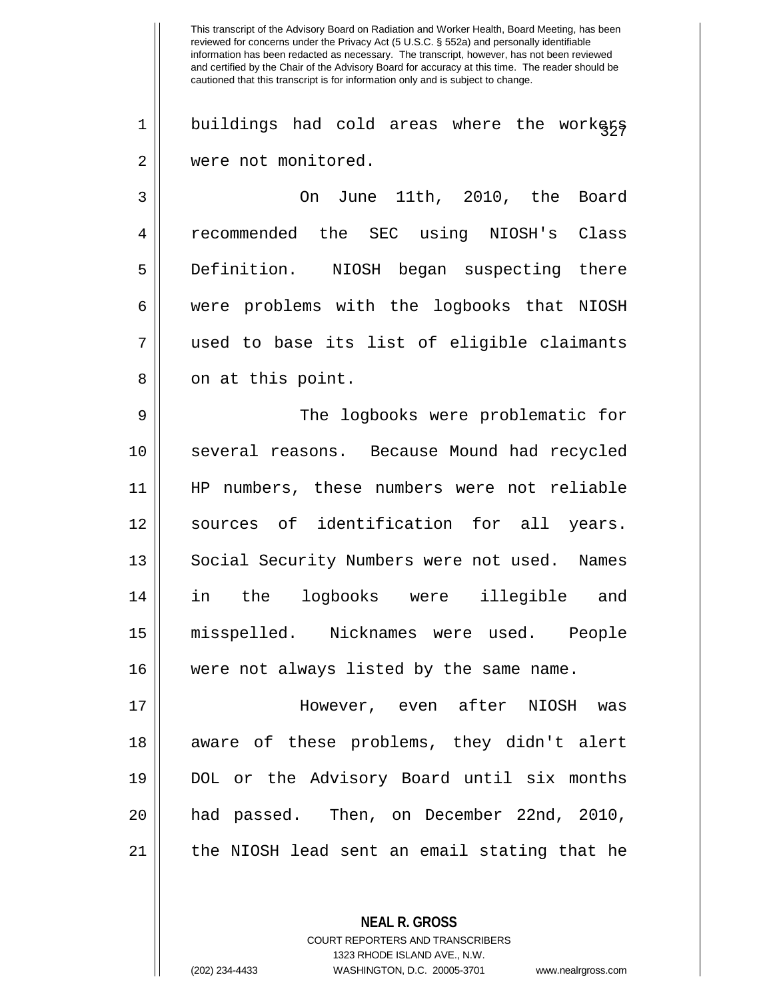$1 \parallel$  buildings had cold areas where the workers 2 || were not monitored.

3 On June 11th, 2010, the Board 4 recommended the SEC using NIOSH's Class 5 || Definition. NIOSH began suspecting there 6 were problems with the logbooks that NIOSH 7 used to base its list of eligible claimants 8 || on at this point.

 The logbooks were problematic for several reasons. Because Mound had recycled HP numbers, these numbers were not reliable sources of identification for all years. 13 | Social Security Numbers were not used. Names in the logbooks were illegible and misspelled. Nicknames were used. People were not always listed by the same name.

17 However, even after NIOSH was 18 || aware of these problems, they didn't alert 19 DOL or the Advisory Board until six months 20 || had passed. Then, on December 22nd, 2010, 21 the NIOSH lead sent an email stating that he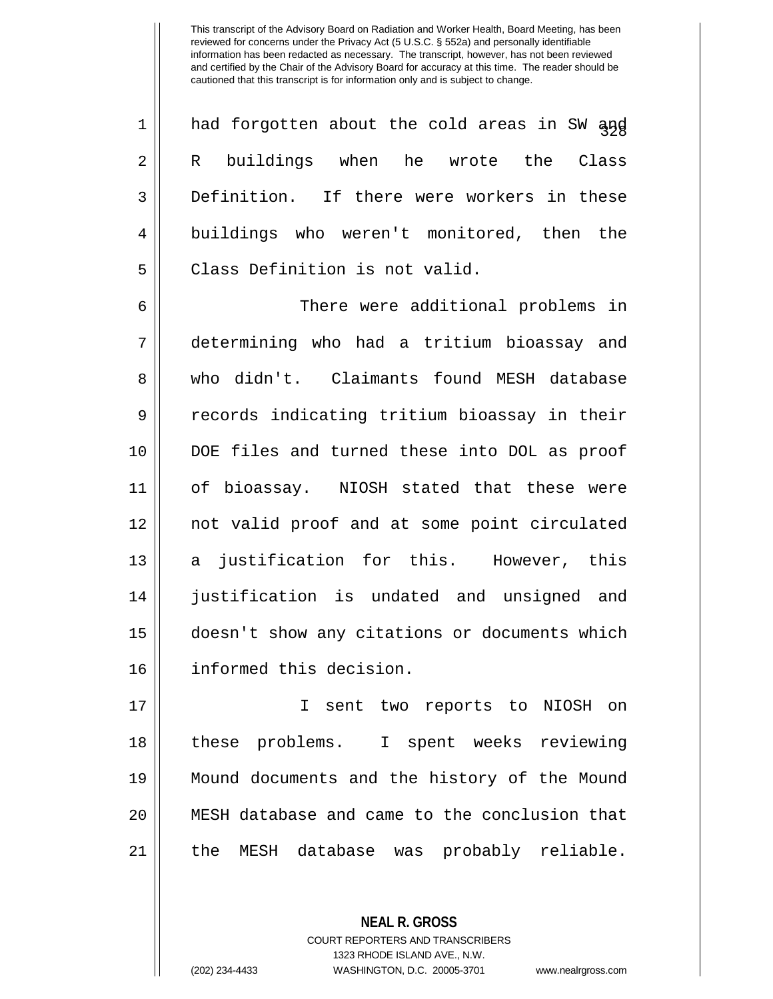| had forgotten about the cold areas in SW and R buildings when he wrote the Class Definition. If there were workers in these buildings who weren't monitored, then the 5 || Class Definition is not valid.

 There were additional problems in determining who had a tritium bioassay and who didn't. Claimants found MESH database 9 | records indicating tritium bioassay in their DOE files and turned these into DOL as proof of bioassay. NIOSH stated that these were not valid proof and at some point circulated 13 || a justification for this. However, this justification is undated and unsigned and doesn't show any citations or documents which informed this decision.

 I sent two reports to NIOSH on these problems. I spent weeks reviewing Mound documents and the history of the Mound MESH database and came to the conclusion that the MESH database was probably reliable.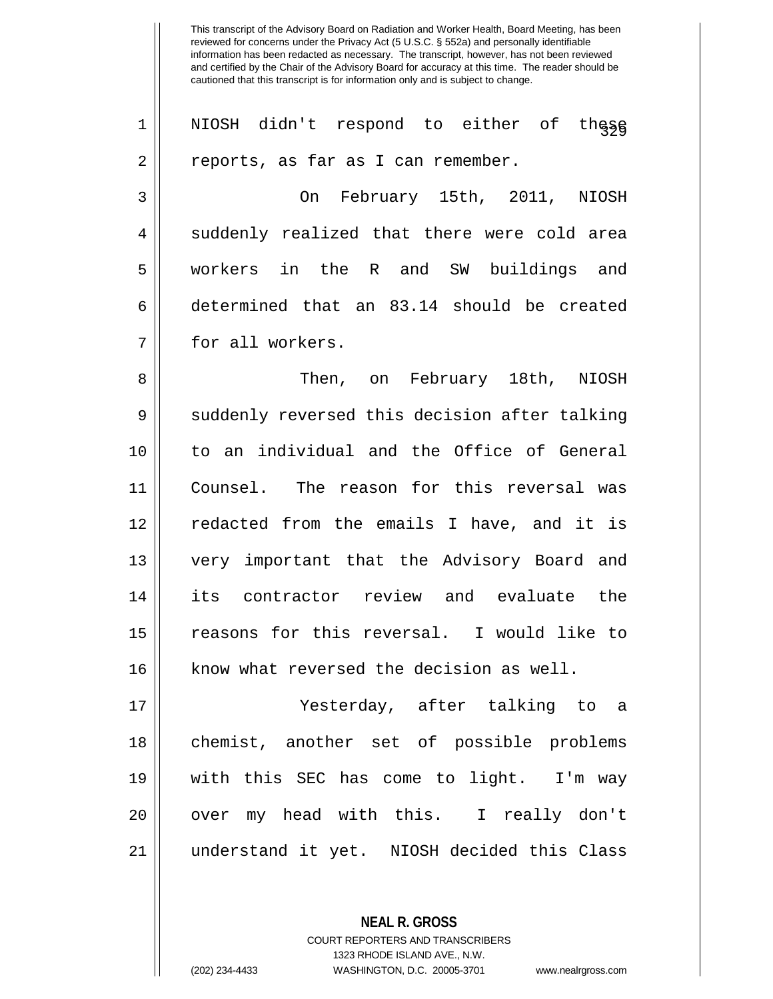1 || NIOSH didn't respond to either of these 2 | | reports, as far as I can remember.

3 On February 15th, 2011, NIOSH  $4 \parallel$  suddenly realized that there were cold area 5 workers in the R and SW buildings and 6 determined that an 83.14 should be created 7 || for all workers.

 Then, on February 18th, NIOSH 9 | suddenly reversed this decision after talking to an individual and the Office of General Counsel. The reason for this reversal was redacted from the emails I have, and it is very important that the Advisory Board and its contractor review and evaluate the reasons for this reversal. I would like to  $\parallel$  know what reversed the decision as well.

 Yesterday, after talking to a chemist, another set of possible problems with this SEC has come to light. I'm way 20 || over my head with this. I really don't understand it yet. NIOSH decided this Class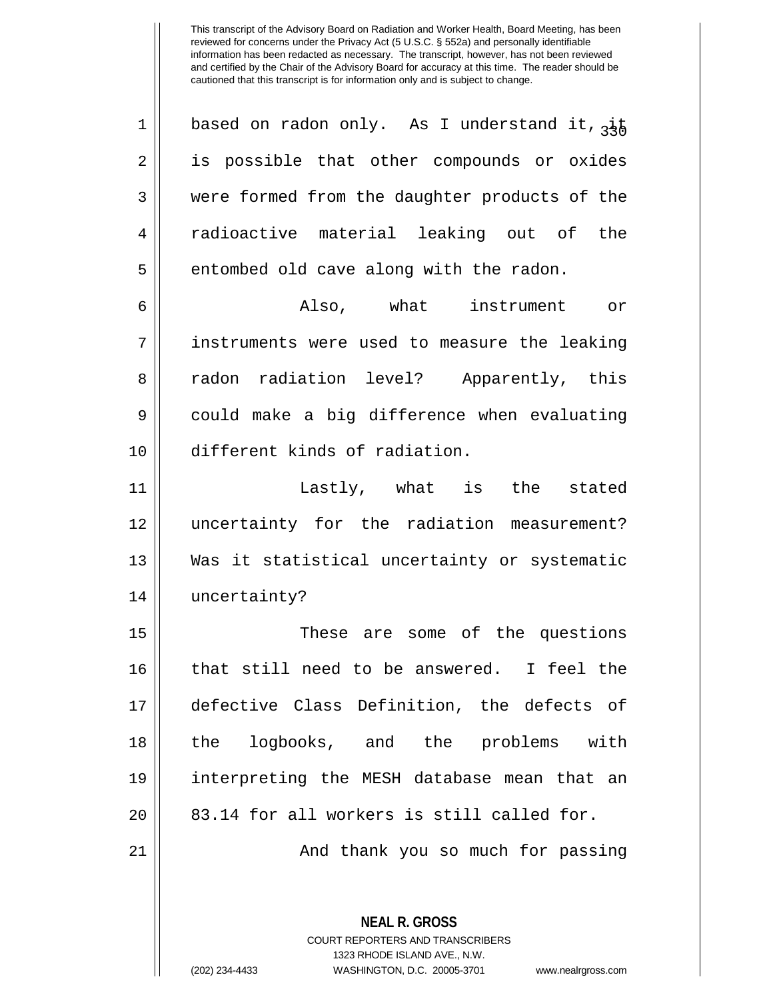**NEAL R. GROSS** 1 | based on radon only. As I understand it,  $\frac{1}{2}$ 2 || is possible that other compounds or oxides 3 Were formed from the daughter products of the 4 radioactive material leaking out of the  $5 \parallel$  entombed old cave along with the radon. 6 Also, what instrument or 7 instruments were used to measure the leaking 8 || radon radiation level? Apparently, this 9 could make a big difference when evaluating 10 different kinds of radiation. 11 Lastly, what is the stated 12 uncertainty for the radiation measurement? 13 Was it statistical uncertainty or systematic 14 | uncertainty? 15 These are some of the questions 16 that still need to be answered. I feel the 17 defective Class Definition, the defects of 18 the logbooks, and the problems with 19 interpreting the MESH database mean that an  $20 \parallel 83.14$  for all workers is still called for. 21 || And thank you so much for passing

> COURT REPORTERS AND TRANSCRIBERS 1323 RHODE ISLAND AVE., N.W.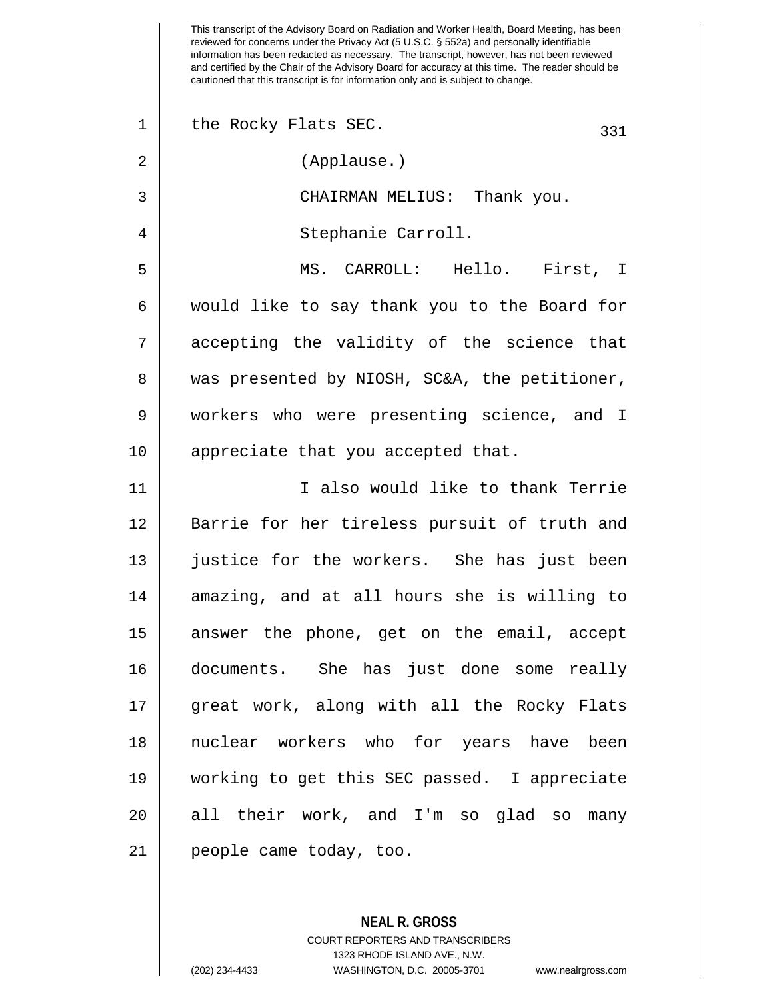This transcript of the Advisory Board on Radiation and Worker Health, Board Meeting, has been reviewed for concerns under the Privacy Act (5 U.S.C. § 552a) and personally identifiable information has been redacted as necessary. The transcript, however, has not been reviewed and certified by the Chair of the Advisory Board for accuracy at this time. The reader should be cautioned that this transcript is for information only and is subject to change.  $\begin{array}{c|c|c|c|c} 1 & \text{the Rocky Flats SEC.} \end{array}$  331 2 || (Applause.) 3 CHAIRMAN MELIUS: Thank you. 4 Stephanie Carroll. 5 MS. CARROLL: Hello. First, I 6 would like to say thank you to the Board for 7 accepting the validity of the science that 8 || was presented by NIOSH, SC&A, the petitioner, 9 workers who were presenting science, and I 10 || appreciate that you accepted that. 11 I also would like to thank Terrie 12 || Barrie for her tireless pursuit of truth and 13 || justice for the workers. She has just been 14 amazing, and at all hours she is willing to 15 answer the phone, get on the email, accept 16 documents. She has just done some really 17 || great work, along with all the Rocky Flats 18 nuclear workers who for years have been 19 working to get this SEC passed. I appreciate 20 || all their work, and I'm so glad so many 21 people came today, too.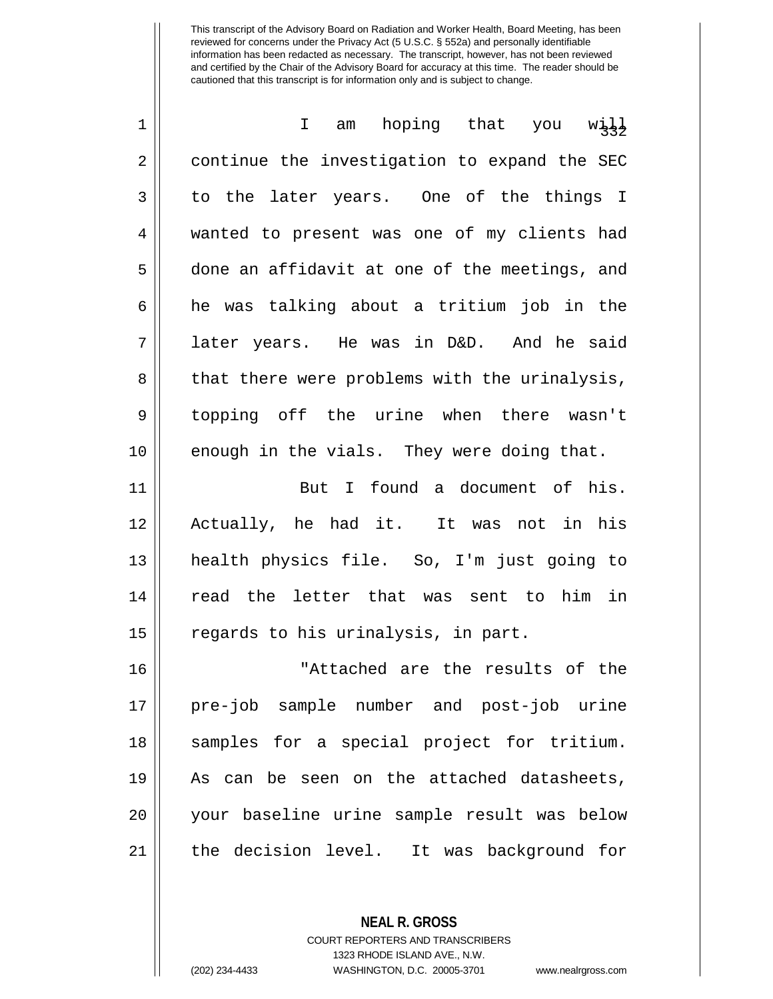| $\mathbf 1$ | am hoping that you<br>$\mathbf{I}$<br>$W_1 = \frac{1}{2}$ |
|-------------|-----------------------------------------------------------|
| 2           | continue the investigation to expand the SEC              |
| 3           | to the later years. One of the things I                   |
| 4           | wanted to present was one of my clients had               |
| 5           | done an affidavit at one of the meetings, and             |
| 6           | he was talking about a tritium job in the                 |
| 7           | later years. He was in D&D. And he said                   |
| 8           | that there were problems with the urinalysis,             |
| $\mathsf 9$ | topping off the urine when there wasn't                   |
| 10          | enough in the vials. They were doing that.                |
| 11          | But I found a document of his.                            |
| 12          | Actually, he had it. It was not in his                    |
| 13          | health physics file. So, I'm just going to                |
| 14          | read the letter that was sent to him in                   |
| 15          | regards to his urinalysis, in part.                       |
| 16          | "Attached are the results of the                          |
| 17          | pre-job sample number and post-job urine                  |
| 18          | samples for a special project for tritium.                |
| 19          | As can be seen on the attached datasheets,                |
| 20          | your baseline urine sample result was below               |
| 21          | the decision level. It was background for                 |

**NEAL R. GROSS** COURT REPORTERS AND TRANSCRIBERS 1323 RHODE ISLAND AVE., N.W.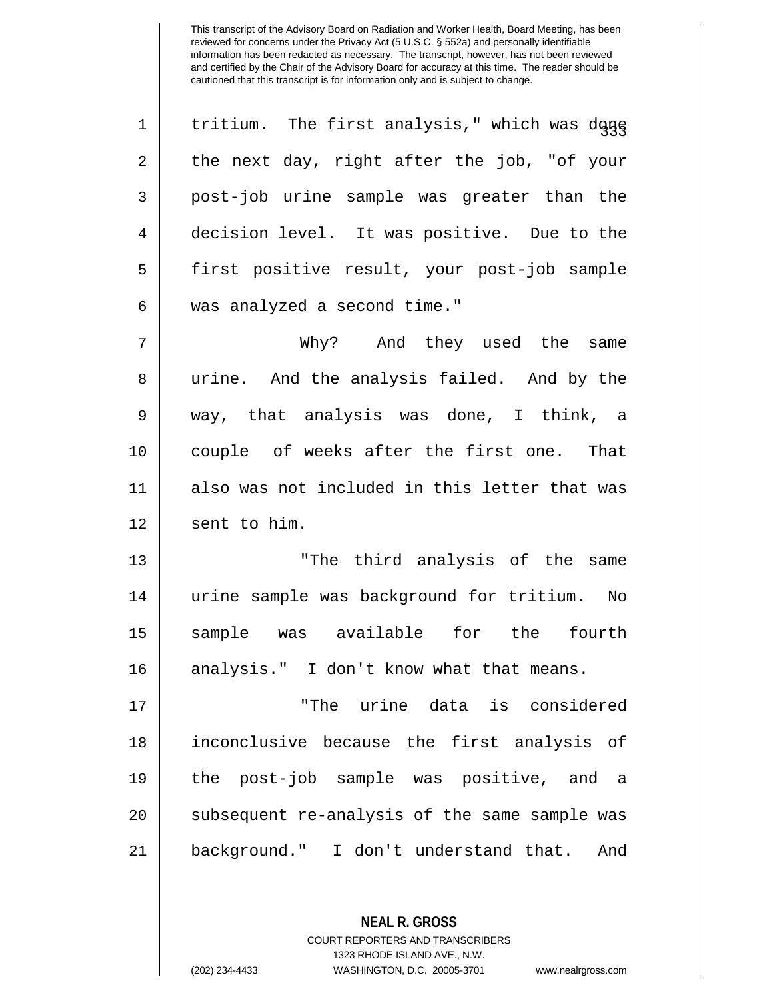| $\mathbf 1$    | tritium. The first analysis," which was dqnq  |
|----------------|-----------------------------------------------|
| $\overline{2}$ | the next day, right after the job, "of your   |
| $\mathbf{3}$   | post-job urine sample was greater than the    |
| 4              | decision level. It was positive. Due to the   |
| 5              | first positive result, your post-job sample   |
| $\epsilon$     | was analyzed a second time."                  |
| 7              | Why? And they used the same                   |
| 8              | urine. And the analysis failed. And by the    |
| $\mathsf 9$    | way, that analysis was done, I think, a       |
| 10             | couple of weeks after the first one. That     |
| 11             | also was not included in this letter that was |
| 12             | sent to him.                                  |
| 13             | "The third analysis of the same               |
| 14             | urine sample was background for tritium. No   |
| 15             | sample was available for the<br>fourth        |
| 16             | analysis." I don't know what that means.      |
| 17             | "The urine data is considered                 |
| 18             | inconclusive because the first analysis of    |
| 19             | the post-job sample was positive, and a       |
| 20             | subsequent re-analysis of the same sample was |
| 21             | background." I don't understand that.<br>And  |

**NEAL R. GROSS** COURT REPORTERS AND TRANSCRIBERS

1323 RHODE ISLAND AVE., N.W.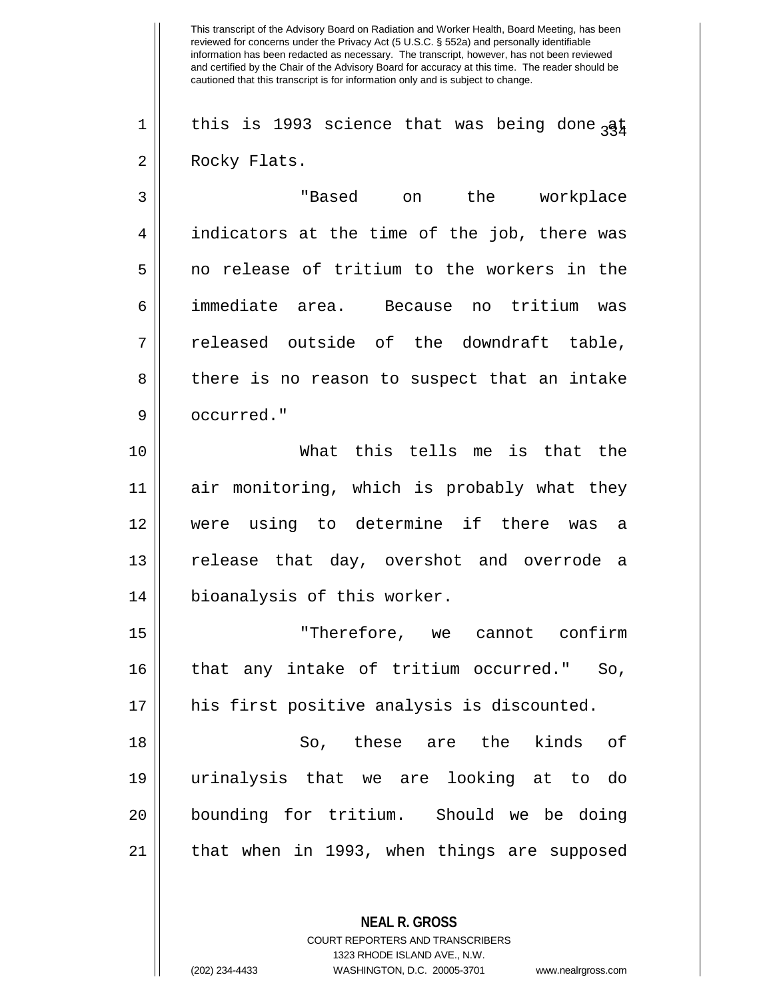1 || this is 1993 science that was being done  $_3$ 2 || Rocky Flats.

3 "Based on the workplace 4 || indicators at the time of the job, there was  $5 \parallel$  no release of tritium to the workers in the 6 immediate area. Because no tritium was  $7 \parallel$  released outside of the downdraft table, 8 || there is no reason to suspect that an intake 9 | occurred."

 What this tells me is that the air monitoring, which is probably what they were using to determine if there was a release that day, overshot and overrode a 14 | bioanalysis of this worker.

15 || Therefore, we cannot confirm 16 that any intake of tritium occurred." So, 17 his first positive analysis is discounted.

 So, these are the kinds of urinalysis that we are looking at to do bounding for tritium. Should we be doing 21 || that when in 1993, when things are supposed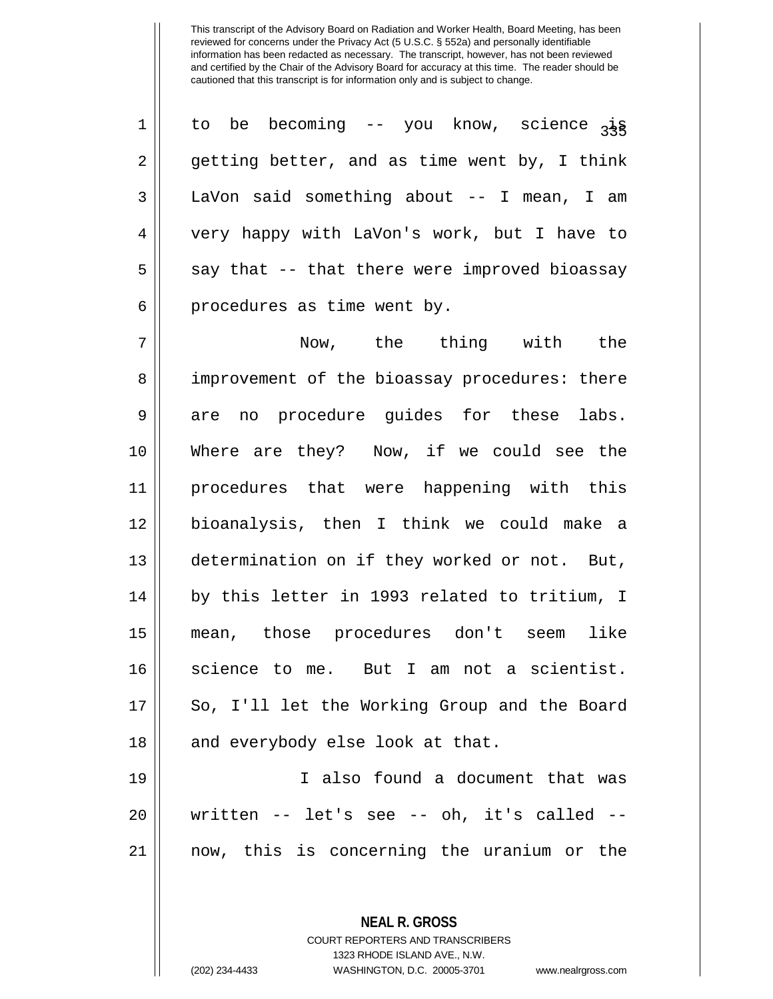$\begin{array}{ccc} 1 & \quad \text{to} \quad \text{be} \quad \text{becoming} \quad \text{--} \quad \text{you} \quad \text{know,} \quad \text{science} \quad \text{335} \end{array}$ 2 || getting better, and as time went by, I think 3 LaVon said something about -- I mean, I am 4 very happy with LaVon's work, but I have to  $5 \parallel$  say that -- that there were improved bioassay  $6 \parallel$  procedures as time went by.

7 Now, the thing with the 8 || improvement of the bioassay procedures: there  $9 \parallel$  are no procedure quides for these labs. 10 Where are they? Now, if we could see the 11 procedures that were happening with this 12 bioanalysis, then I think we could make a 13 | determination on if they worked or not. But, 14 || by this letter in 1993 related to tritium, I 15 mean, those procedures don't seem like 16 || science to me. But I am not a scientist. 17 || So, I'll let the Working Group and the Board  $18$  || and everybody else look at that. 19 I also found a document that was

 $20$  || written -- let's see -- oh, it's called --21 now, this is concerning the uranium or the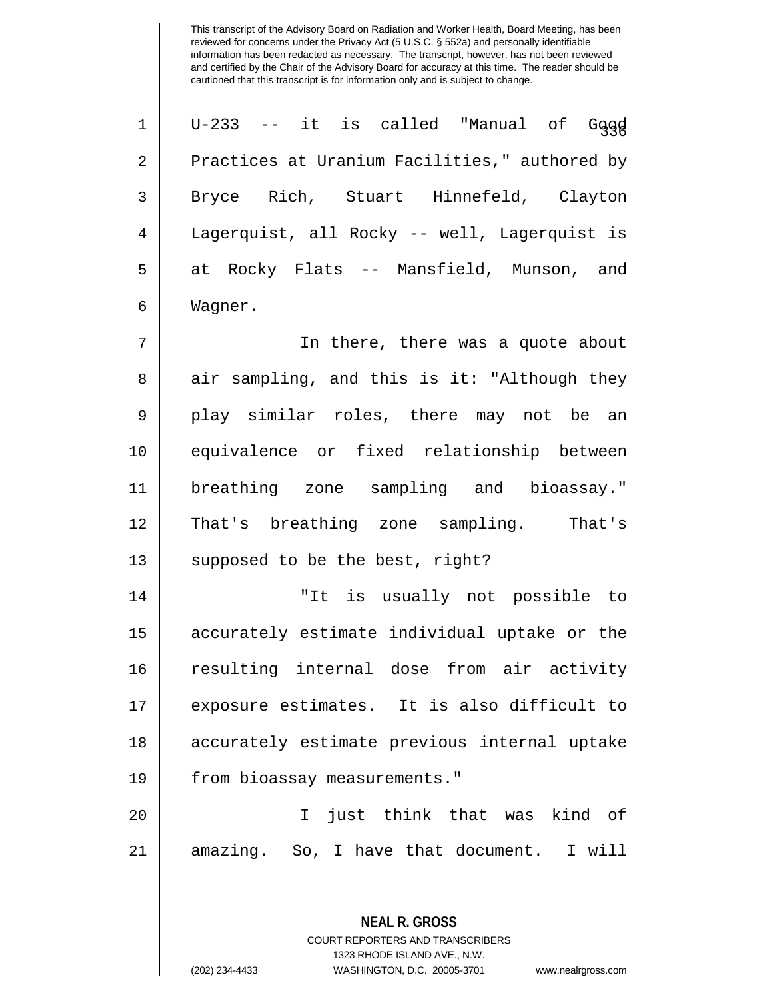1 || U-233 -- it is called "Manual of Goggd 2 **Practices at Uranium Facilities,"** authored by 3 Bryce Rich, Stuart Hinnefeld, Clayton 4 Lagerquist, all Rocky -- well, Lagerquist is 5 || at Rocky Flats -- Mansfield, Munson, and 6 Wagner.

 In there, there was a quote about  $8 \parallel$  air sampling, and this is it: "Although they 9 || play similar roles, there may not be an equivalence or fixed relationship between breathing zone sampling and bioassay." That's breathing zone sampling. That's  $\parallel$  supposed to be the best, right?

 "It is usually not possible to accurately estimate individual uptake or the resulting internal dose from air activity exposure estimates. It is also difficult to accurately estimate previous internal uptake from bioassay measurements."

20 I just think that was kind of 21 amazing. So, I have that document. I will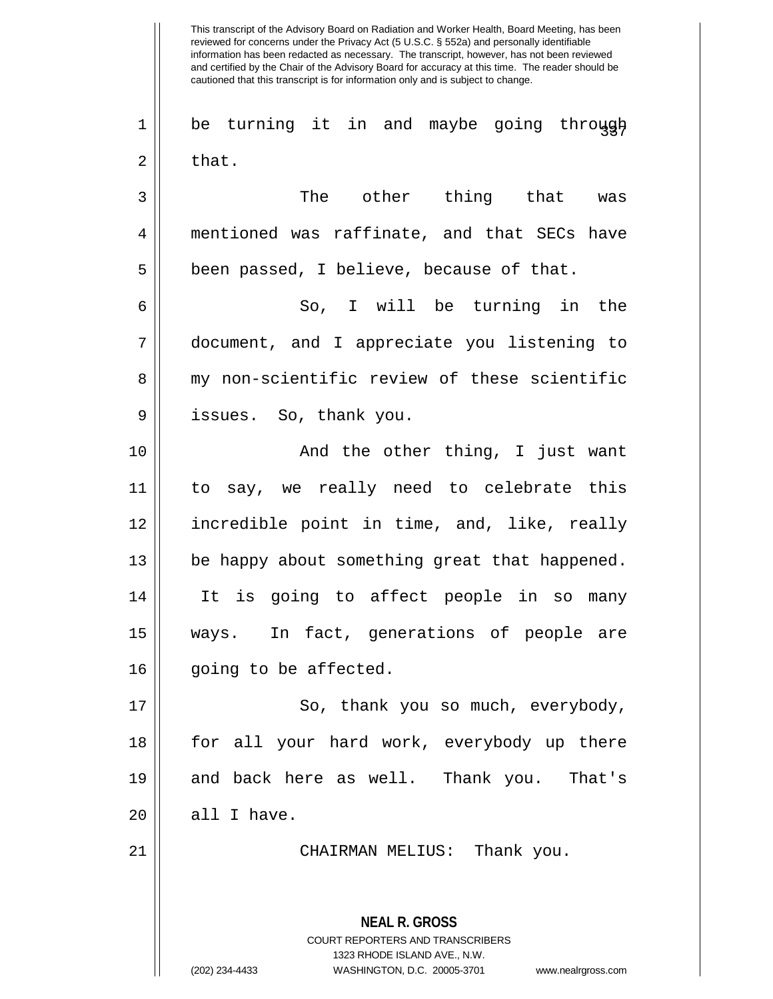This transcript of the Advisory Board on Radiation and Worker Health, Board Meeting, has been reviewed for concerns under the Privacy Act (5 U.S.C. § 552a) and personally identifiable information has been redacted as necessary. The transcript, however, has not been reviewed and certified by the Chair of the Advisory Board for accuracy at this time. The reader should be cautioned that this transcript is for information only and is subject to change. **NEAL R. GROSS** COURT REPORTERS AND TRANSCRIBERS 1323 RHODE ISLAND AVE., N.W. 1 || be turning it in and maybe going through  $2 \parallel$  that. 3 The other thing that was 4 mentioned was raffinate, and that SECs have  $5 \parallel$  been passed, I believe, because of that. 6 So, I will be turning in the 7 document, and I appreciate you listening to 8 || my non-scientific review of these scientific 9 || issues. So, thank you. 10 || The other thing, I just want 11 to say, we really need to celebrate this 12 incredible point in time, and, like, really  $13$  | be happy about something great that happened. 14 || It is going to affect people in so many 15 ways. In fact, generations of people are 16 | going to be affected. 17 || So, thank you so much, everybody, 18 for all your hard work, everybody up there 19 and back here as well. Thank you. That's  $20$  || all I have. 21 CHAIRMAN MELIUS: Thank you.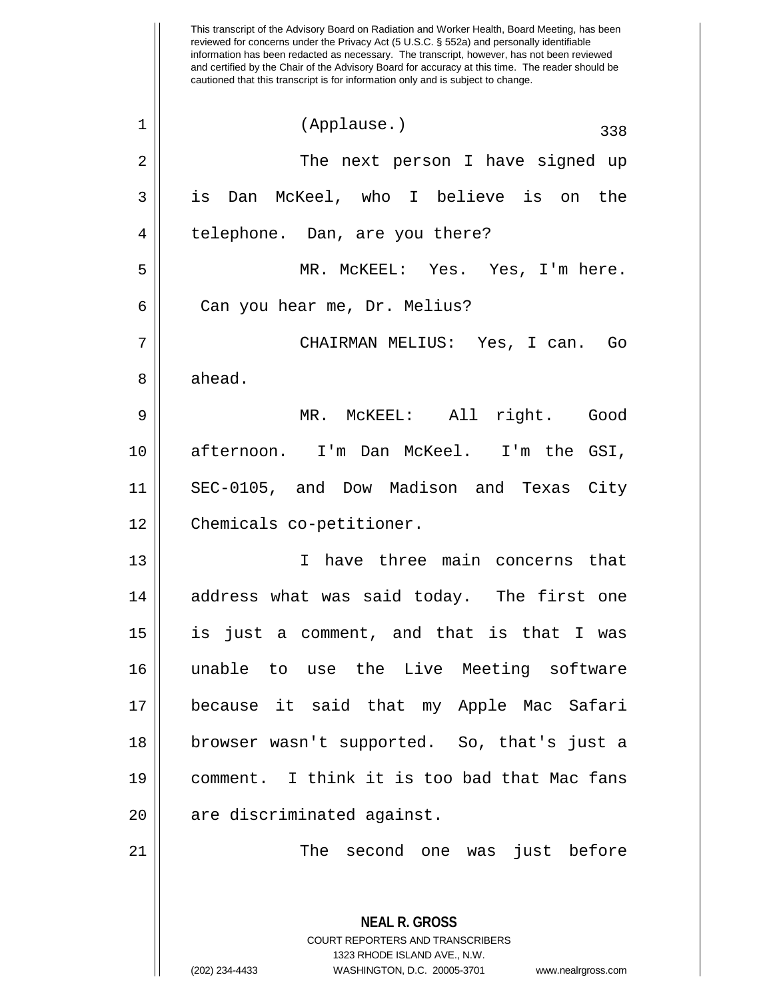This transcript of the Advisory Board on Radiation and Worker Health, Board Meeting, has been reviewed for concerns under the Privacy Act (5 U.S.C. § 552a) and personally identifiable information has been redacted as necessary. The transcript, however, has not been reviewed and certified by the Chair of the Advisory Board for accuracy at this time. The reader should be cautioned that this transcript is for information only and is subject to change. **NEAL R. GROSS** COURT REPORTERS AND TRANSCRIBERS 1323 RHODE ISLAND AVE., N.W.  $\begin{array}{c|c}\n 1 & \text{ (Applause.)} \\
\end{array}$ 2 The next person I have signed up 3 is Dan McKeel, who I believe is on the 4 || telephone. Dan, are you there? 5 MR. McKEEL: Yes. Yes, I'm here. 6 | Can you hear me, Dr. Melius? 7 CHAIRMAN MELIUS: Yes, I can. Go 8 | ahead. 9 || MR. McKEEL: All right. Good 10 afternoon. I'm Dan McKeel. I'm the GSI, 11 SEC-0105, and Dow Madison and Texas City 12 Chemicals co-petitioner. 13 I have three main concerns that 14 address what was said today. The first one 15 is just a comment, and that is that I was 16 unable to use the Live Meeting software 17 because it said that my Apple Mac Safari 18 browser wasn't supported. So, that's just a 19 comment. I think it is too bad that Mac fans 20 || are discriminated against. 21 The second one was just before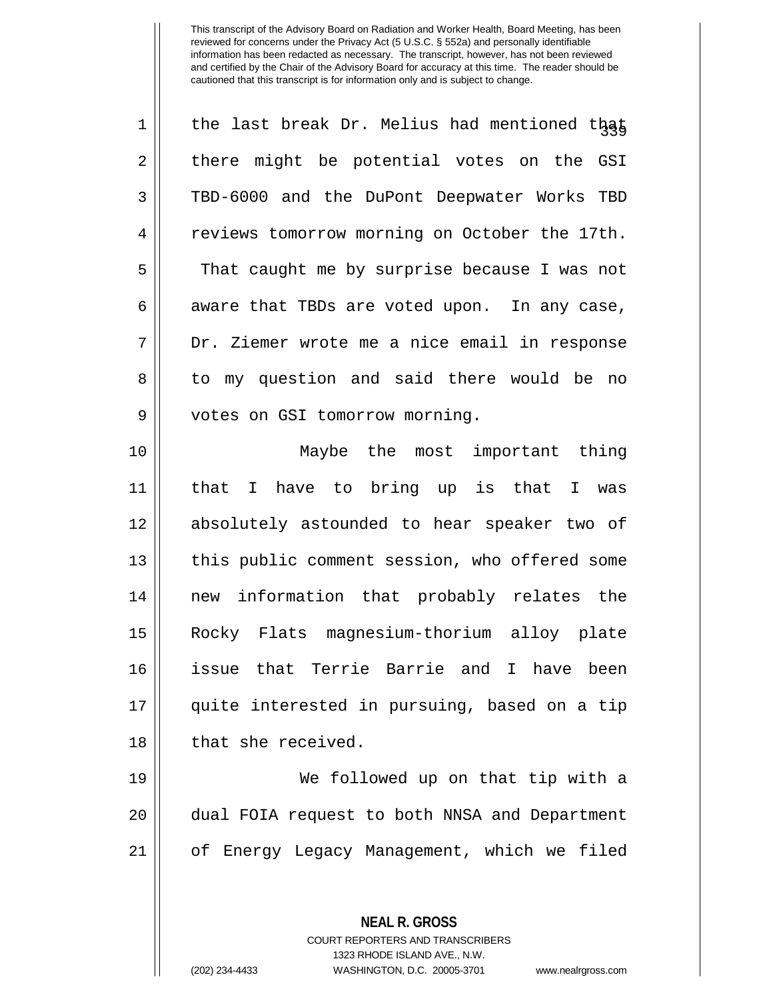| $\mathbf 1$ | the last break Dr. Melius had mentioned that                                             |
|-------------|------------------------------------------------------------------------------------------|
| 2           | there might be potential votes on the GSI                                                |
| 3           | TBD-6000 and the DuPont Deepwater Works TBD                                              |
| 4           | reviews tomorrow morning on October the 17th.                                            |
| 5           | That caught me by surprise because I was not                                             |
| 6           | aware that TBDs are voted upon. In any case,                                             |
| 7           | Dr. Ziemer wrote me a nice email in response                                             |
| 8           | to my question and said there would be no                                                |
| 9           | votes on GSI tomorrow morning.                                                           |
| 10          | Maybe the most important thing                                                           |
| 11          | have to bring up is that I<br>that<br>I<br>was                                           |
| 12          | absolutely astounded to hear speaker two of                                              |
| 13          | this public comment session, who offered some                                            |
| 14          | information that probably relates the<br>new                                             |
| 15          | Rocky Flats magnesium-thorium alloy plate                                                |
| 16          | issue that Terrie Barrie and I have been                                                 |
| 17          | quite interested in pursuing, based on a tip                                             |
| 18          | that she received.                                                                       |
| 19          | We followed up on that tip with a                                                        |
| 20          | dual FOIA request to both NNSA and Department                                            |
| 21          | of Energy Legacy Management, which we filed                                              |
|             | <b>NEAL R. GROSS</b><br>COURT REPORTERS AND TRANSCRIBERS<br>1323 RHODE ISLAND AVE., N.W. |
|             | (202) 234-4433<br>WASHINGTON, D.C. 20005-3701<br>www.nealrgross.com                      |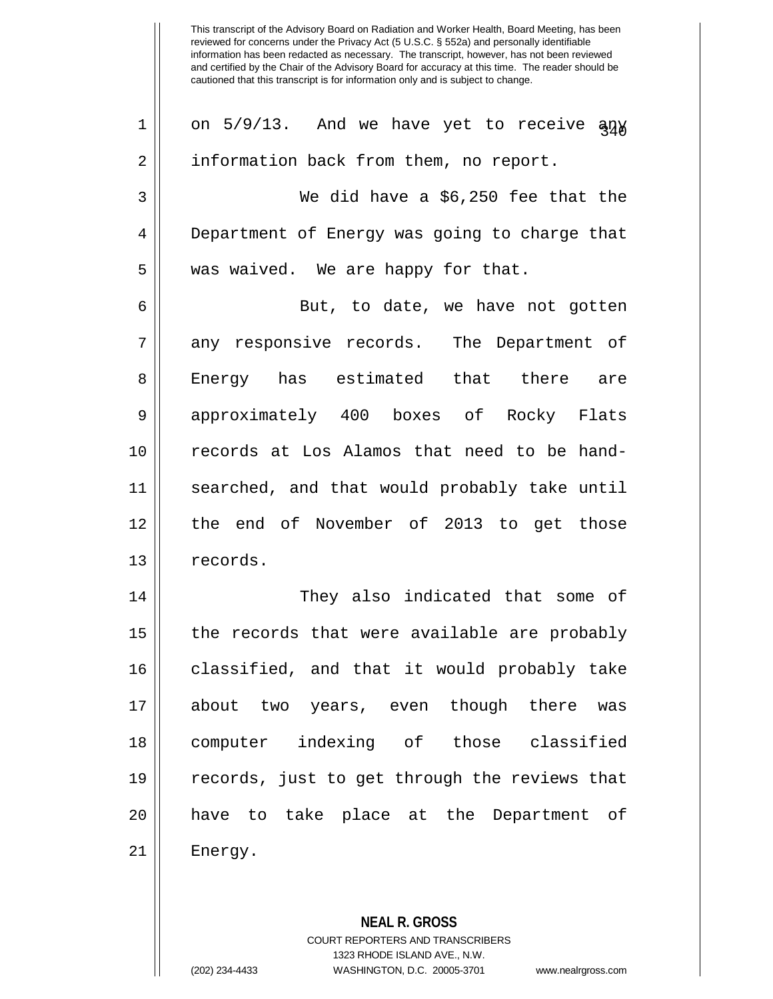1 || on 5/9/13. And we have yet to receive  $a\alpha$ 2 | information back from them, no report. 3 We did have a \$6,250 fee that the 4 Department of Energy was going to charge that 5 || was waived. We are happy for that. 6 || But, to date, we have not gotten 7 || any responsive records. The Department of 8 || Energy has estimated that there are 9 approximately 400 boxes of Rocky Flats 10 records at Los Alamos that need to be hand-11 searched, and that would probably take until 12 the end of November of 2013 to get those 13 | records. 14 || They also indicated that some of  $15$  | the records that were available are probably 16 classified, and that it would probably take 17 about two years, even though there was 18 computer indexing of those classified 19 || records, just to get through the reviews that 20 have to take place at the Department of 21 | Energy.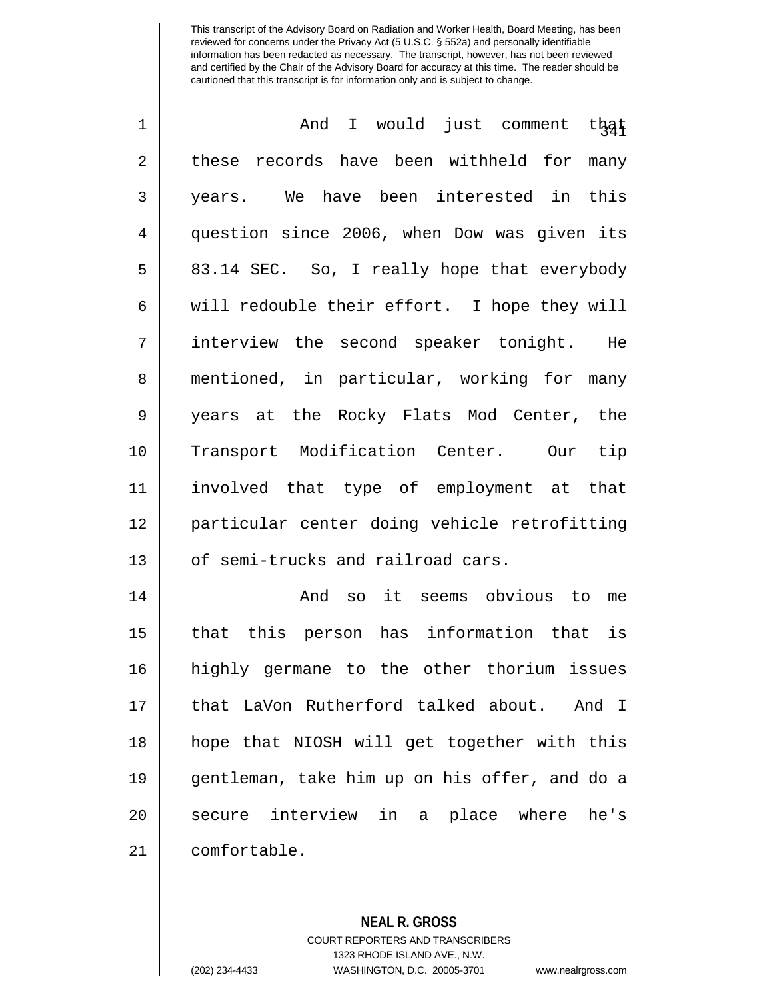| $\mathbf 1$    | And I would just comment that                 |
|----------------|-----------------------------------------------|
| $\overline{2}$ | these records have been withheld for<br>many  |
| 3              | years. We have been interested in this        |
| $\overline{4}$ | question since 2006, when Dow was given its   |
| 5              | 83.14 SEC. So, I really hope that everybody   |
| 6              | will redouble their effort. I hope they will  |
| 7              | interview the second speaker tonight. He      |
| 8              | mentioned, in particular, working for many    |
| 9              | years at the Rocky Flats Mod Center, the      |
| 10             | Transport Modification Center. Our tip        |
| 11             | involved that type of employment at that      |
| 12             | particular center doing vehicle retrofitting  |
| 13             | of semi-trucks and railroad cars.             |
| 14             | And so it seems obvious to<br>me              |
| 15             | that this person has information that is      |
| 16             | highly germane to the other thorium issues    |
| 17             | that LaVon Rutherford talked about.<br>And I  |
| 18             | hope that NIOSH will get together with this   |
| 19             | gentleman, take him up on his offer, and do a |
| 20             | secure interview in a place where<br>he's     |
| 21             | comfortable.                                  |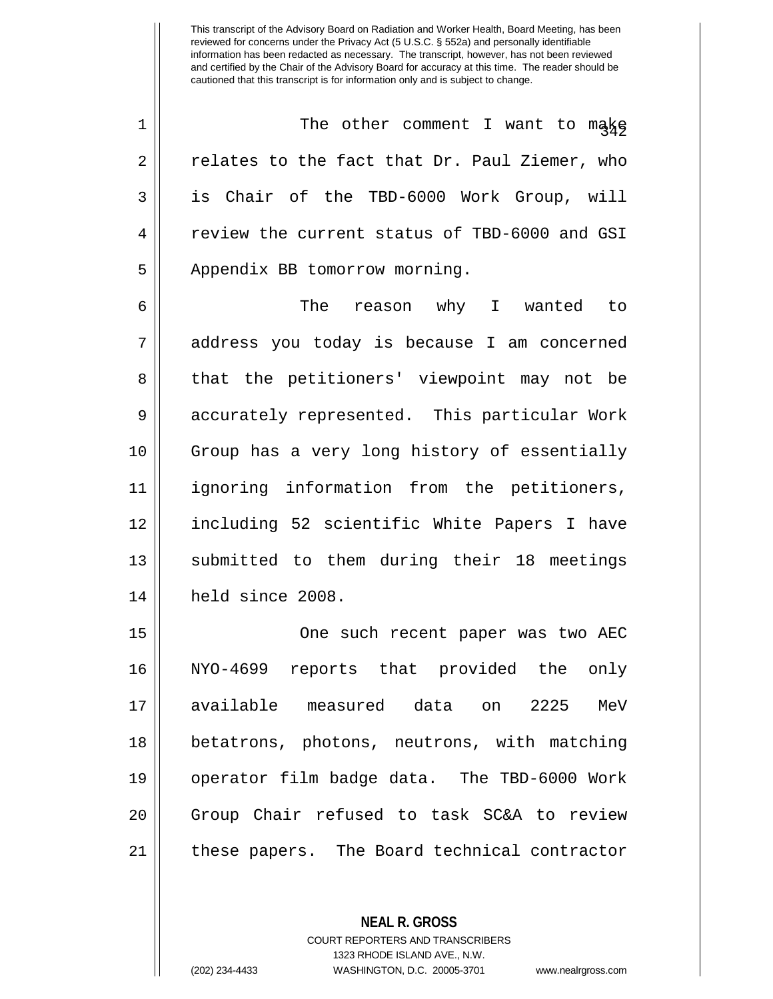<sup>342</sup> <sup>1</sup> The other comment I want to make 2 | relates to the fact that Dr. Paul Ziemer, who 3 is Chair of the TBD-6000 Work Group, will 4 Feview the current status of TBD-6000 and GSI 5 | Appendix BB tomorrow morning.

 The reason why I wanted to address you today is because I am concerned 8 || that the petitioners' viewpoint may not be 9 | accurately represented. This particular Work Group has a very long history of essentially ignoring information from the petitioners, including 52 scientific White Papers I have 13 || submitted to them during their 18 meetings held since 2008.

 One such recent paper was two AEC NYO-4699 reports that provided the only available measured data on 2225 MeV betatrons, photons, neutrons, with matching operator film badge data. The TBD-6000 Work 20 || Group Chair refused to task SC&A to review 21 || these papers. The Board technical contractor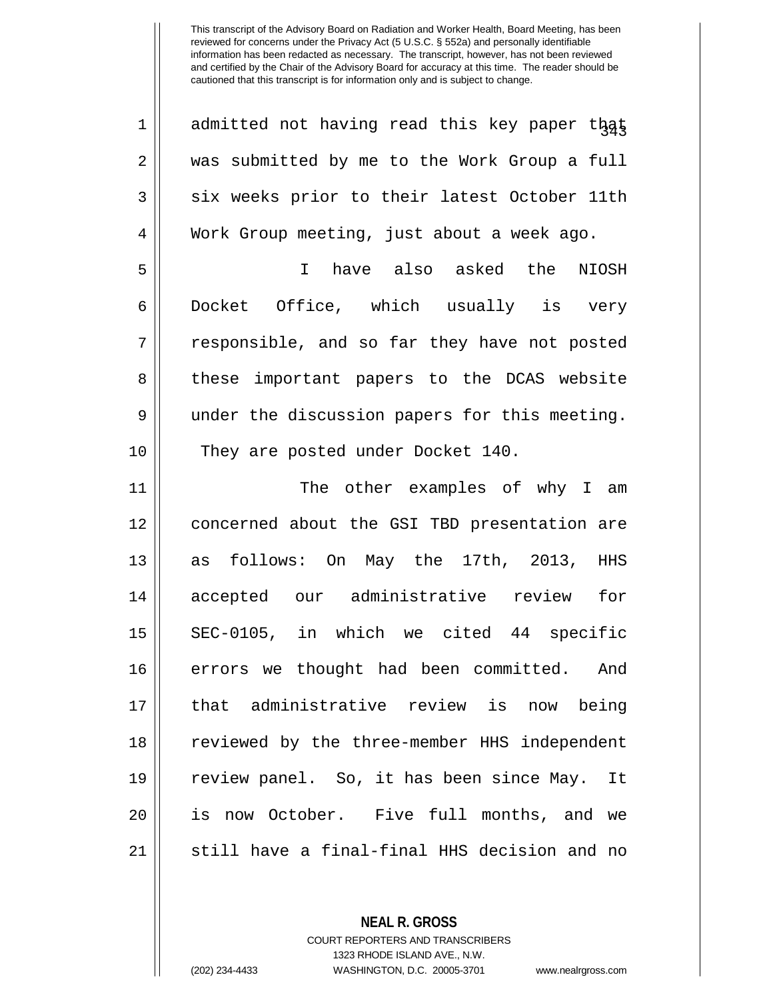| $\mathbf 1$    | admitted not having read this key paper that  |
|----------------|-----------------------------------------------|
| $\mathbf 2$    | was submitted by me to the Work Group a full  |
| 3              | six weeks prior to their latest October 11th  |
| $\overline{4}$ | Work Group meeting, just about a week ago.    |
| 5              | have also asked the<br>NIOSH<br>$\mathbf{I}$  |
| 6              | Docket Office, which usually is very          |
| 7              | responsible, and so far they have not posted  |
| 8              | these important papers to the DCAS website    |
| $\mathsf 9$    | under the discussion papers for this meeting. |
| 10             | They are posted under Docket 140.             |
| 11             | The other examples of why I am                |
| 12             | concerned about the GSI TBD presentation are  |
| 13             | as follows: On May the 17th, 2013, HHS        |
| 14             | accepted our administrative review<br>for     |
| 15             | SEC-0105, in which we cited 44 specific       |
| 16             | errors we thought had been committed. And     |
| 17             | that administrative review is now being       |
| 18             | reviewed by the three-member HHS independent  |
| 19             | review panel. So, it has been since May. It   |
| 20             | is now October. Five full months, and we      |
| 21             | still have a final-final HHS decision and no  |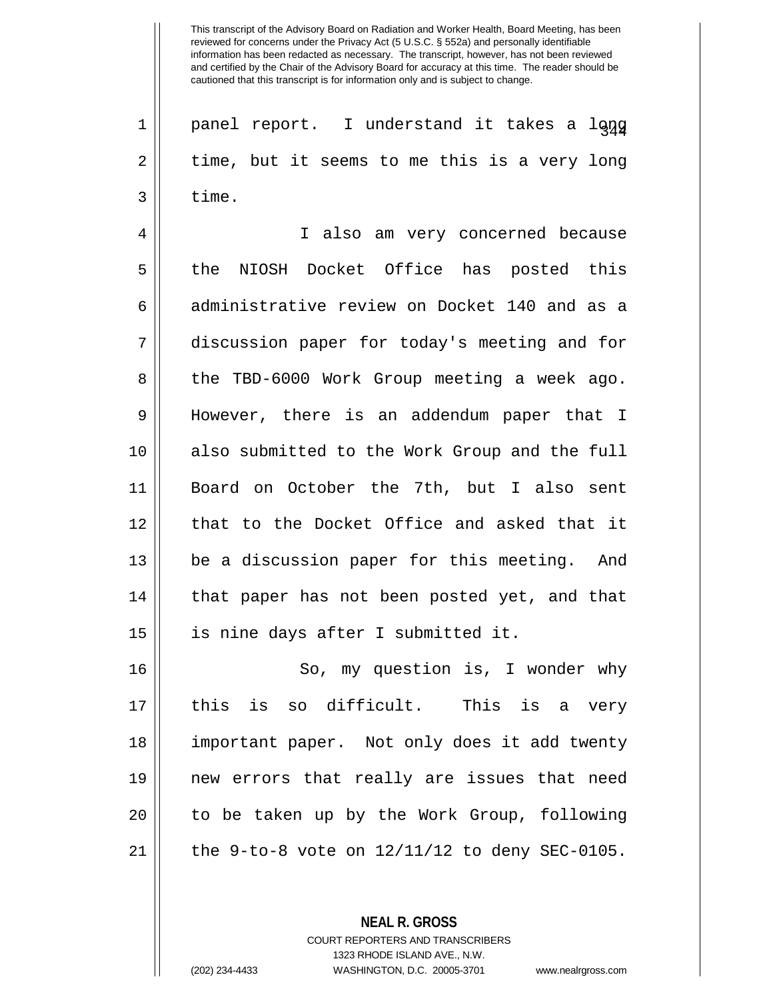$1$  || panel report. I understand it takes a logg  $2 \parallel$  time, but it seems to me this is a very long  $3 \parallel$  time.

4 | I also am very concerned because 5 || the NIOSH Docket Office has posted this 6 administrative review on Docket 140 and as a 7 discussion paper for today's meeting and for 8 || the TBD-6000 Work Group meeting a week ago. 9 However, there is an addendum paper that I 10 also submitted to the Work Group and the full 11 Board on October the 7th, but I also sent 12 || that to the Docket Office and asked that it 13 || be a discussion paper for this meeting. And 14 || that paper has not been posted yet, and that 15 is nine days after I submitted it.

16 || So, my question is, I wonder why this is so difficult. This is a very important paper. Not only does it add twenty new errors that really are issues that need 20 || to be taken up by the Work Group, following  $\vert$  the 9-to-8 vote on 12/11/12 to deny SEC-0105.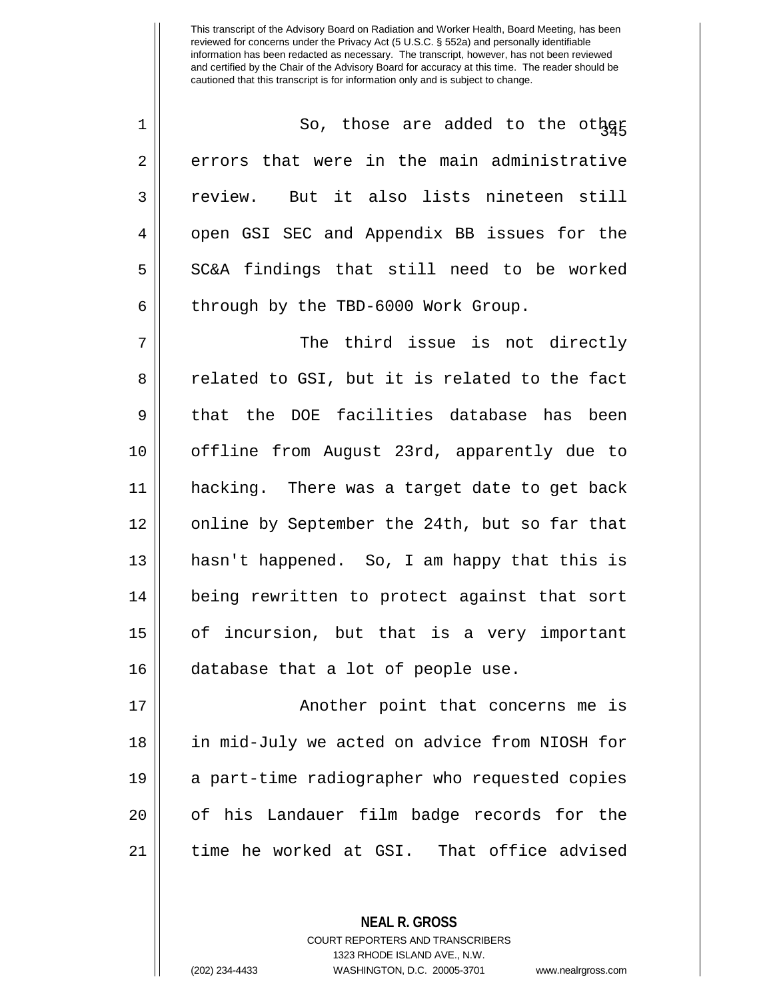$1 \parallel$  So, those are added to the other  $2 \parallel$  errors that were in the main administrative 3 review. But it also lists nineteen still 4 || open GSI SEC and Appendix BB issues for the  $5 \parallel$  SC&A findings that still need to be worked 6 | through by the TBD-6000 Work Group.

7 The third issue is not directly 8 || related to GSI, but it is related to the fact  $9 \parallel$  that the DOE facilities database has been 10 offline from August 23rd, apparently due to 11 hacking. There was a target date to get back 12 || online by September the 24th, but so far that 13 || hasn't happened. So, I am happy that this is 14 || being rewritten to protect against that sort 15 of incursion, but that is a very important 16 || database that a lot of people use.

17 || Another point that concerns me is 18 in mid-July we acted on advice from NIOSH for 19 || a part-time radiographer who requested copies 20 || of his Landauer film badge records for the 21 time he worked at GSI. That office advised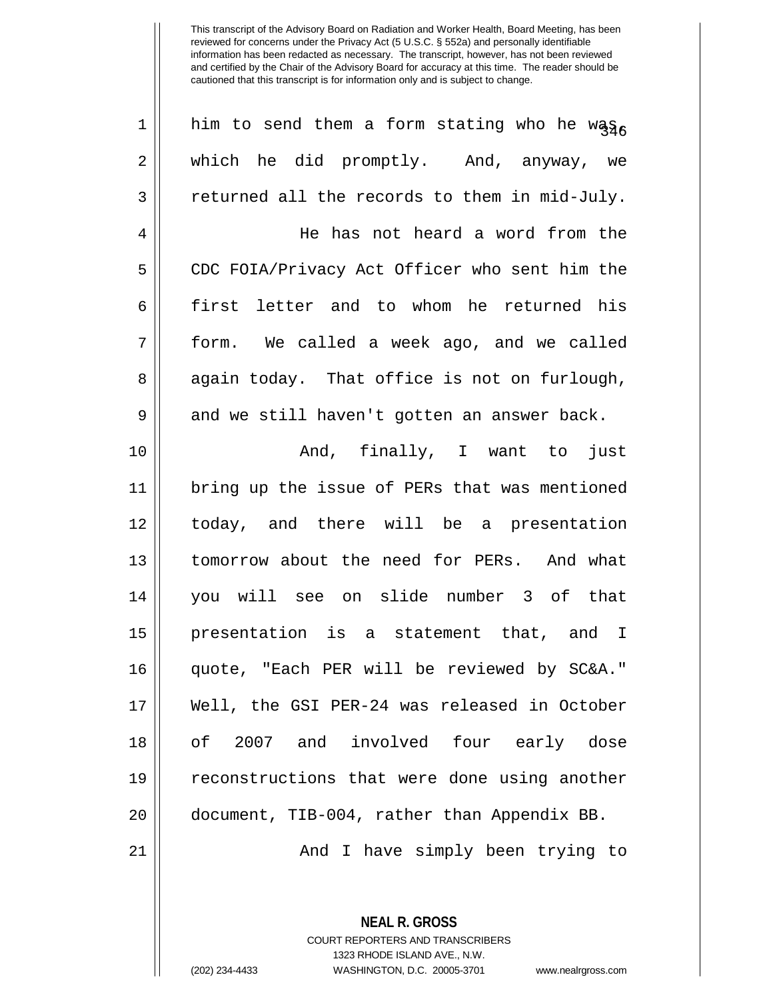| $\mathbf 1$ | him to send them a form stating who he wag6   |
|-------------|-----------------------------------------------|
| 2           | which he did promptly. And, anyway, we        |
| 3           | returned all the records to them in mid-July. |
| 4           | He has not heard a word from the              |
| 5           | CDC FOIA/Privacy Act Officer who sent him the |
| 6           | first letter and to whom he returned his      |
| 7           | form. We called a week ago, and we called     |
| 8           | again today. That office is not on furlough,  |
| $\mathsf 9$ | and we still haven't gotten an answer back.   |
| 10          | And, finally, I want to just                  |
| 11          | bring up the issue of PERs that was mentioned |
| 12          | today, and there will be a presentation       |
| 13          | tomorrow about the need for PERs. And what    |
| 14          | you will see on slide number 3 of that        |
| 15          | presentation is a statement that, and I       |
| 16          | quote, "Each PER will be reviewed by SC&A."   |
| 17          | Well, the GSI PER-24 was released in October  |
| 18          | of 2007 and involved four early dose          |
| 19          | reconstructions that were done using another  |
| 20          | document, TIB-004, rather than Appendix BB.   |
| 21          | And I have simply been trying to              |
|             |                                               |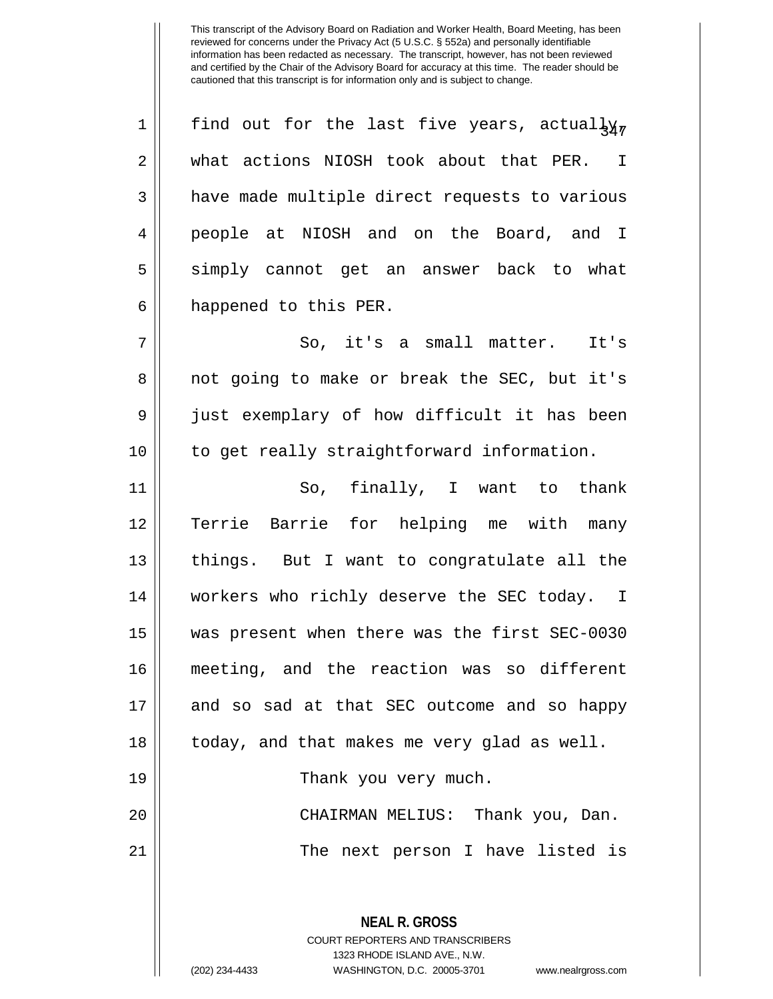1 || find out for the last five years, actually, 2 | what actions NIOSH took about that PER. I  $3 \parallel$  have made multiple direct requests to various 4 people at NIOSH and on the Board, and I 5 Simply cannot get an answer back to what 6 | happened to this PER.

7 So, it's a small matter. It's 8 || not going to make or break the SEC, but it's 9 || just exemplary of how difficult it has been 10 to get really straightforward information.

11 || So, finally, I want to thank 12 Terrie Barrie for helping me with many 13 || things. But I want to congratulate all the 14 workers who richly deserve the SEC today. I 15 was present when there was the first SEC-0030 16 meeting, and the reaction was so different 17 || and so sad at that SEC outcome and so happy 18 || today, and that makes me very glad as well. 19 || Thank you very much.

20 CHAIRMAN MELIUS: Thank you, Dan. 21 The next person I have listed is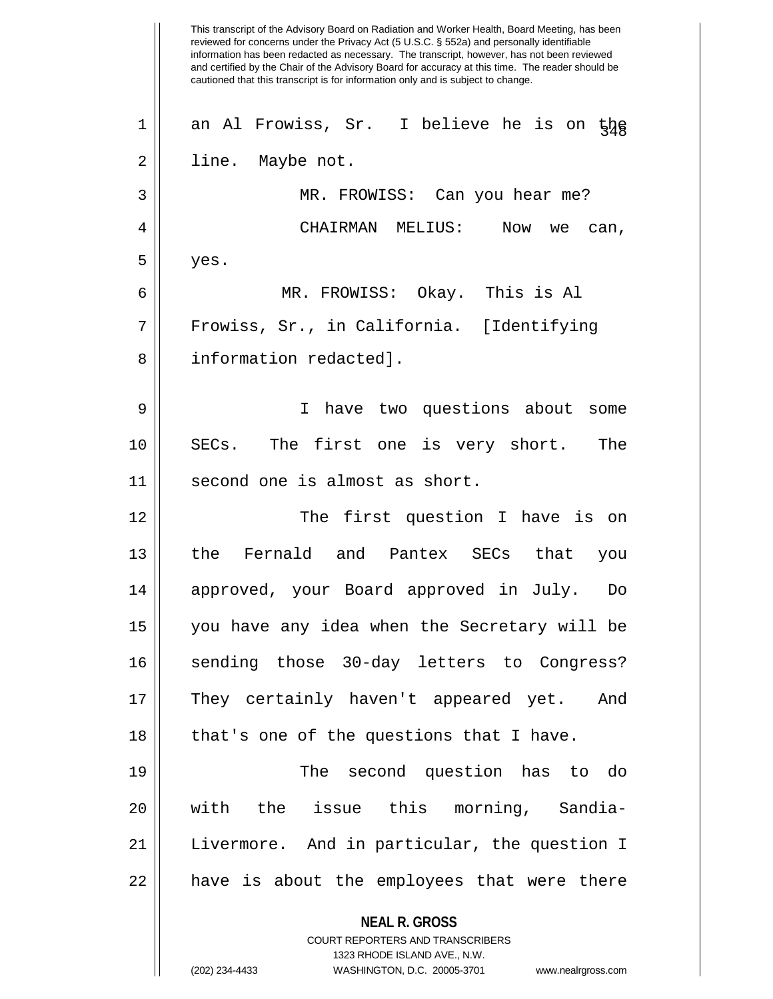This transcript of the Advisory Board on Radiation and Worker Health, Board Meeting, has been reviewed for concerns under the Privacy Act (5 U.S.C. § 552a) and personally identifiable information has been redacted as necessary. The transcript, however, has not been reviewed and certified by the Chair of the Advisory Board for accuracy at this time. The reader should be cautioned that this transcript is for information only and is subject to change. **NEAL R. GROSS** COURT REPORTERS AND TRANSCRIBERS 1323 RHODE ISLAND AVE., N.W. (202) 234-4433 WASHINGTON, D.C. 20005-3701 www.nealrgross.com 1 || an Al Frowiss, Sr. I believe he is on  $t_4$ 2 || line. Maybe not. 3 MR. FROWISS: Can you hear me? 4 CHAIRMAN MELIUS: Now we can,  $5$  yes. 6 MR. FROWISS: Okay. This is Al 7 || Frowiss, Sr., in California. [Identifying 8 || information redacted]. 9 || I have two questions about some 10 SECs. The first one is very short. The 11 | second one is almost as short. 12 The first question I have is on 13 the Fernald and Pantex SECs that you 14 approved, your Board approved in July. Do 15 you have any idea when the Secretary will be 16 || sending those 30-day letters to Congress? 17 || They certainly haven't appeared yet. And  $18$  | that's one of the questions that I have. 19 The second question has to do 20 with the issue this morning, Sandia-21 Livermore. And in particular, the question I 22 | have is about the employees that were there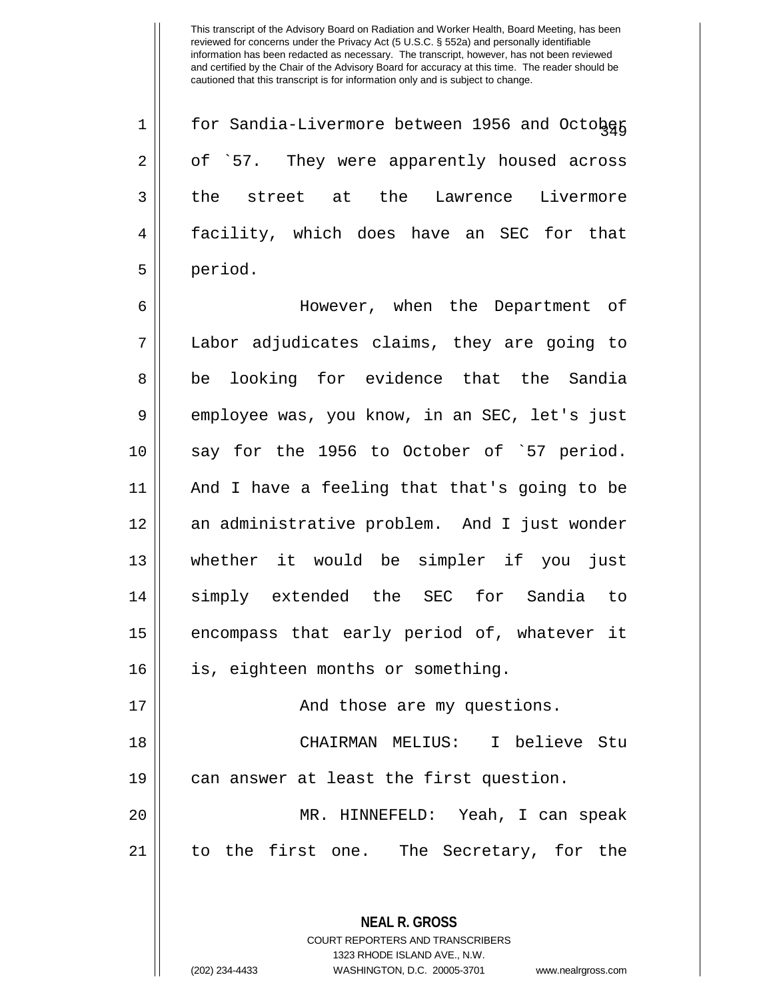$1$  | for Sandia-Livermore between 1956 and Octoberg 2 || of `57. They were apparently housed across 3 the street at the Lawrence Livermore 4 facility, which does have an SEC for that 5 period.

 However, when the Department of Labor adjudicates claims, they are going to 8 be looking for evidence that the Sandia 9 || employee was, you know, in an SEC, let's just say for the 1956 to October of `57 period. And I have a feeling that that's going to be an administrative problem. And I just wonder whether it would be simpler if you just simply extended the SEC for Sandia to 15 || encompass that early period of, whatever it 16 || is, eighteen months or something.

17 || And those are my questions.

18 CHAIRMAN MELIUS: I believe Stu 19 || can answer at least the first question.

20 MR. HINNEFELD: Yeah, I can speak 21 || to the first one. The Secretary, for the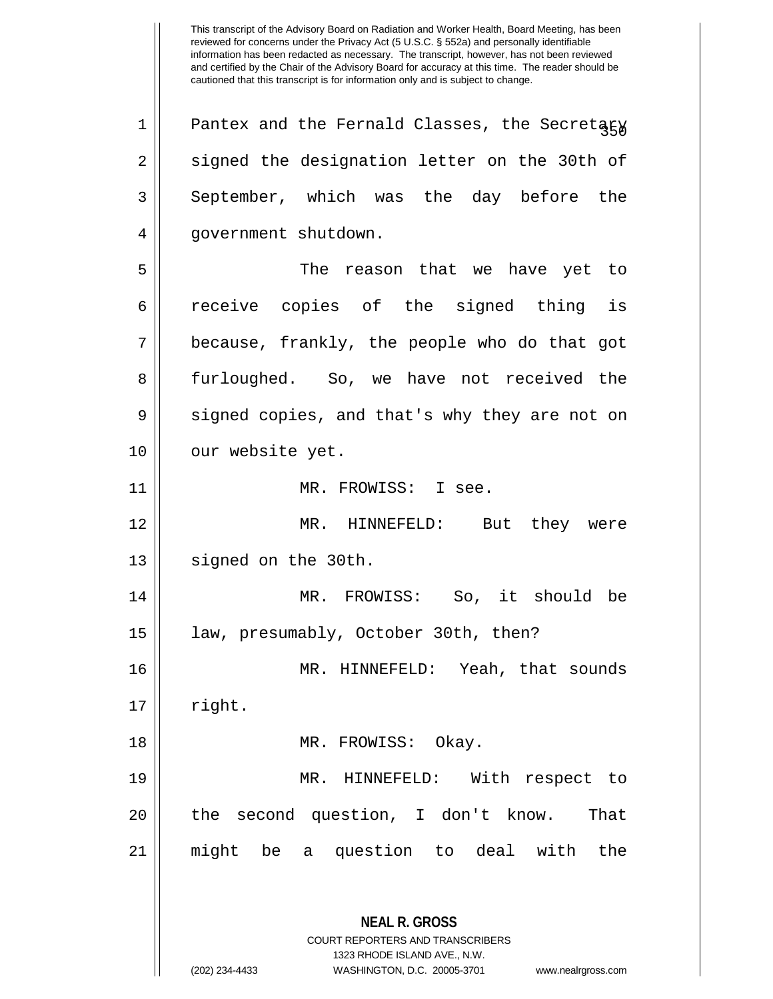**NEAL R. GROSS** COURT REPORTERS AND TRANSCRIBERS 1323 RHODE ISLAND AVE., N.W.  $1$  | Pantex and the Fernald Classes, the Secretary 2 || signed the designation letter on the 30th of 3 September, which was the day before the 4 | government shutdown. 5 The reason that we have yet to 6 receive copies of the signed thing is 7 because, frankly, the people who do that got 8 furloughed. So, we have not received the  $9 \parallel$  signed copies, and that's why they are not on 10 || our website yet. 11 MR. FROWISS: I see. 12 MR. HINNEFELD: But they were 13 | signed on the 30th. 14 || MR. FROWISS: So, it should be 15 | law, presumably, October 30th, then? 16 MR. HINNEFELD: Yeah, that sounds  $17 \parallel$  right. 18 MR. FROWISS: Okay. 19 MR. HINNEFELD: With respect to 20 || the second question, I don't know. That 21 might be a question to deal with the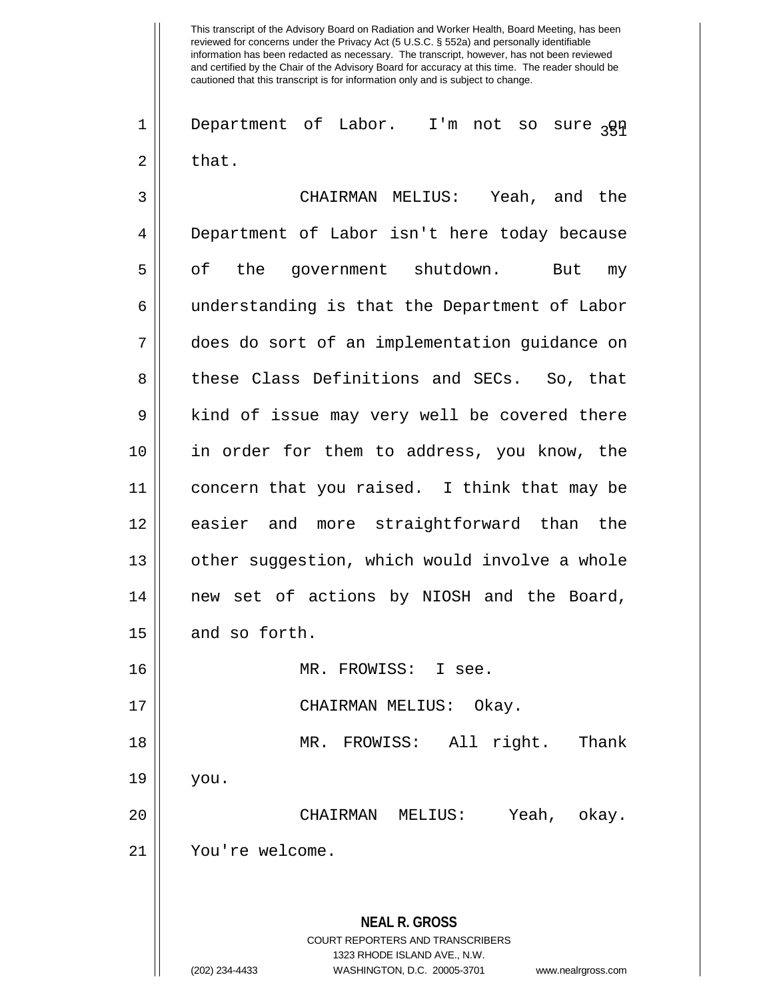1 || Department of Labor. I'm not so sure  $_3$ qn  $2 \parallel$  that.

**NEAL R. GROSS** COURT REPORTERS AND TRANSCRIBERS 1323 RHODE ISLAND AVE., N.W. (202) 234-4433 WASHINGTON, D.C. 20005-3701 www.nealrgross.com 3 CHAIRMAN MELIUS: Yeah, and the 4 Department of Labor isn't here today because 5 || of the government shutdown. But my 6 || understanding is that the Department of Labor 7 does do sort of an implementation guidance on 8 || these Class Definitions and SECs. So, that 9 || kind of issue may very well be covered there 10 in order for them to address, you know, the 11 concern that you raised. I think that may be 12 easier and more straightforward than the 13 | other suggestion, which would involve a whole 14 || new set of actions by NIOSH and the Board, 15 and so forth. 16 MR. FROWISS: I see. 17 CHAIRMAN MELIUS: Okay. 18 MR. FROWISS: All right. Thank  $19 \parallel$  you. 20 CHAIRMAN MELIUS: Yeah, okay. 21 You're welcome.